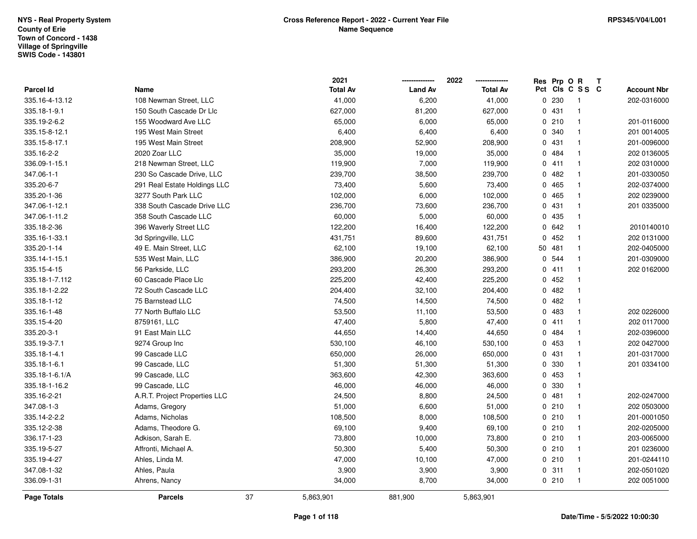|                  |                               |    | 2021            |                | 2022            |             | Res Prp O R |                 | Т |                    |
|------------------|-------------------------------|----|-----------------|----------------|-----------------|-------------|-------------|-----------------|---|--------------------|
| <b>Parcel Id</b> | Name                          |    | <b>Total Av</b> | <b>Land Av</b> | <b>Total Av</b> |             |             | Pct Cls C S S C |   | <b>Account Nbr</b> |
| 335.16-4-13.12   | 108 Newman Street, LLC        |    | 41,000          | 6,200          | 41,000          |             | 0.230       | $\overline{1}$  |   | 202-0316000        |
| 335.18-1-9.1     | 150 South Cascade Dr Llc      |    | 627,000         | 81,200         | 627,000         |             | 0431        | $\mathbf{1}$    |   |                    |
| 335.19-2-6.2     | 155 Woodward Ave LLC          |    | 65,000          | 6,000          | 65,000          |             | 0210        | $\mathbf{1}$    |   | 201-0116000        |
| 335.15-8-12.1    | 195 West Main Street          |    | 6,400           | 6,400          | 6,400           |             | 0 340       | $\mathbf{1}$    |   | 201 0014005        |
| 335.15-8-17.1    | 195 West Main Street          |    | 208,900         | 52,900         | 208,900         |             | 0431        | $\mathbf{1}$    |   | 201-0096000        |
| 335.16-2-2       | 2020 Zoar LLC                 |    | 35,000          | 19,000         | 35,000          |             | 0 484       | $\mathbf 1$     |   | 202 0136005        |
| 336.09-1-15.1    | 218 Newman Street, LLC        |    | 119,900         | 7,000          | 119,900         |             | 0411        | $\mathbf{1}$    |   | 202 0310000        |
| 347.06-1-1       | 230 So Cascade Drive, LLC     |    | 239,700         | 38,500         | 239,700         |             | 0.482       | $\mathbf{1}$    |   | 201-0330050        |
| 335.20-6-7       | 291 Real Estate Holdings LLC  |    | 73,400          | 5,600          | 73,400          |             | 0 465       | $\mathbf{1}$    |   | 202-0374000        |
| 335.20-1-36      | 3277 South Park LLC           |    | 102,000         | 6,000          | 102,000         |             | 0 465       | $\mathbf{1}$    |   | 202 0239000        |
| 347.06-1-12.1    | 338 South Cascade Drive LLC   |    | 236,700         | 73,600         | 236,700         |             | 0431        | $\mathbf{1}$    |   | 201 0335000        |
| 347.06-1-11.2    | 358 South Cascade LLC         |    | 60,000          | 5,000          | 60,000          |             | 0 435       | $\mathbf{1}$    |   |                    |
| 335.18-2-36      | 396 Waverly Street LLC        |    | 122,200         | 16,400         | 122,200         |             | 0.642       | $\mathbf{1}$    |   | 2010140010         |
| 335.16-1-33.1    | 3d Springville, LLC           |    | 431,751         | 89,600         | 431,751         | $\mathbf 0$ | 452         | $\mathbf{1}$    |   | 202 0131000        |
| 335.20-1-14      | 49 E. Main Street, LLC        |    | 62,100          | 19,100         | 62,100          |             | 50 481      | $\mathbf{1}$    |   | 202-0405000        |
| 335.14-1-15.1    | 535 West Main, LLC            |    | 386,900         | 20,200         | 386,900         |             | 0 544       | $\mathbf{1}$    |   | 201-0309000        |
| 335.15-4-15      | 56 Parkside, LLC              |    | 293,200         | 26,300         | 293,200         |             | 0411        | $\mathbf{1}$    |   | 202 0162000        |
| 335.18-1-7.112   | 60 Cascade Place Llc          |    | 225,200         | 42,400         | 225,200         |             | 0452        | $\mathbf{1}$    |   |                    |
| 335.18-1-2.22    | 72 South Cascade LLC          |    | 204,400         | 32,100         | 204,400         |             | 0.482       | $\mathbf{1}$    |   |                    |
| 335.18-1-12      | 75 Barnstead LLC              |    | 74,500          | 14,500         | 74,500          |             | 0.482       | $\mathbf{1}$    |   |                    |
| 335.16-1-48      | 77 North Buffalo LLC          |    | 53,500          | 11,100         | 53,500          |             | 0 483       | $\mathbf{1}$    |   | 202 0226000        |
| 335.15-4-20      | 8759161, LLC                  |    | 47,400          | 5,800          | 47,400          |             | 0411        | $\mathbf{1}$    |   | 202 0117000        |
| 335.20-3-1       | 91 East Main LLC              |    | 44,650          | 14,400         | 44,650          |             | 0.484       | $\mathbf{1}$    |   | 202-0396000        |
| 335.19-3-7.1     | 9274 Group Inc                |    | 530,100         | 46,100         | 530,100         |             | 0 453       | $\mathbf{1}$    |   | 202 0427000        |
| 335.18-1-4.1     | 99 Cascade LLC                |    | 650,000         | 26,000         | 650,000         |             | 0431        | $\mathbf{1}$    |   | 201-0317000        |
| 335.18-1-6.1     | 99 Cascade, LLC               |    | 51,300          | 51,300         | 51,300          |             | 0 330       | $\mathbf{1}$    |   | 201 0334100        |
| 335.18-1-6.1/A   | 99 Cascade, LLC               |    | 363,600         | 42,300         | 363,600         |             | 0 453       | $\mathbf{1}$    |   |                    |
| 335.18-1-16.2    | 99 Cascade, LLC               |    | 46,000          | 46,000         | 46,000          |             | 0 330       | $\mathbf 1$     |   |                    |
| 335.16-2-21      | A.R.T. Project Properties LLC |    | 24,500          | 8,800          | 24,500          |             | 0481        | $\mathbf{1}$    |   | 202-0247000        |
| 347.08-1-3       | Adams, Gregory                |    | 51,000          | 6,600          | 51,000          |             | 0210        | $\mathbf{1}$    |   | 202 0503000        |
| 335.14-2-2.2     | Adams, Nicholas               |    | 108,500         | 8,000          | 108,500         |             | 0210        | $\mathbf{1}$    |   | 201-0001050        |
| 335.12-2-38      | Adams, Theodore G.            |    | 69,100          | 9,400          | 69,100          |             | 0210        | $\mathbf{1}$    |   | 202-0205000        |
| 336.17-1-23      | Adkison, Sarah E.             |    | 73,800          | 10,000         | 73,800          |             | 0210        | $\mathbf{1}$    |   | 203-0065000        |
| 335.19-5-27      | Affronti, Michael A.          |    | 50,300          | 5,400          | 50,300          |             | 0210        | $\mathbf{1}$    |   | 201 0236000        |
| 335.19-4-27      | Ahles, Linda M.               |    | 47,000          | 10,100         | 47,000          |             | 0210        | $\mathbf{1}$    |   | 201-0244110        |
| 347.08-1-32      | Ahles, Paula                  |    | 3,900           | 3,900          | 3,900           |             | 0.311       | $\mathbf{1}$    |   | 202-0501020        |
| 336.09-1-31      | Ahrens, Nancy                 |    | 34,000          | 8,700          | 34,000          |             | 0210        | $\mathbf{1}$    |   | 202 0051000        |
| Page Totals      | <b>Parcels</b>                | 37 | 5,863,901       | 881,900        | 5,863,901       |             |             |                 |   |                    |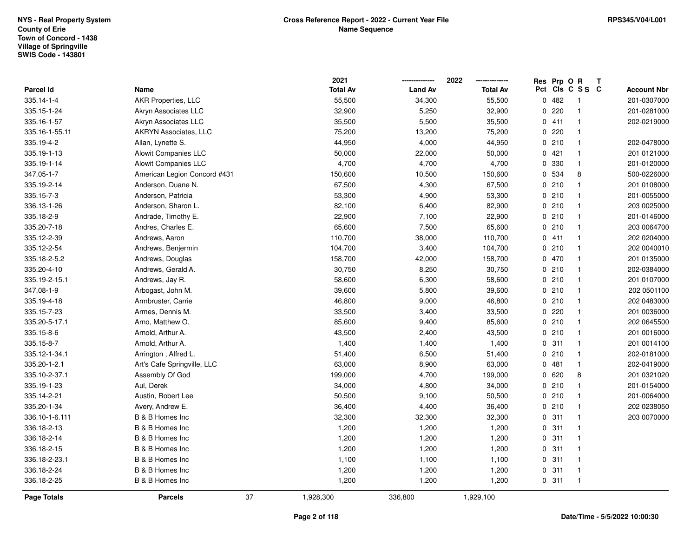|                |                              |    | 2021            |                | 2022<br>-------------- | Res Prp O R |                 | T |                    |
|----------------|------------------------------|----|-----------------|----------------|------------------------|-------------|-----------------|---|--------------------|
| Parcel Id      | Name                         |    | <b>Total Av</b> | <b>Land Av</b> | <b>Total Av</b>        |             | Pct Cls C S S C |   | <b>Account Nbr</b> |
| 335.14-1-4     | AKR Properties, LLC          |    | 55,500          | 34,300         | 55,500                 | 0.482       | $\overline{1}$  |   | 201-0307000        |
| 335.15-1-24    | Akryn Associates LLC         |    | 32,900          | 5,250          | 32,900                 | 0.220       | $\mathbf{1}$    |   | 201-0281000        |
| 335.16-1-57    | Akryn Associates LLC         |    | 35,500          | 5,500          | 35,500                 | 0411        | $\mathbf{1}$    |   | 202-0219000        |
| 335.16-1-55.11 | AKRYN Associates, LLC        |    | 75,200          | 13,200         | 75,200                 | 0.220       | $\overline{1}$  |   |                    |
| 335.19-4-2     | Allan, Lynette S.            |    | 44,950          | 4,000          | 44,950                 | 0210        | $\mathbf{1}$    |   | 202-0478000        |
| 335.19-1-13    | Alowit Companies LLC         |    | 50,000          | 22,000         | 50,000                 | 0421        | $\mathbf{1}$    |   | 201 0121000        |
| 335.19-1-14    | <b>Alowit Companies LLC</b>  |    | 4,700           | 4,700          | 4,700                  | 0 330       | $\mathbf{1}$    |   | 201-0120000        |
| 347.05-1-7     | American Legion Concord #431 |    | 150,600         | 10,500         | 150,600                | 0 534       | 8               |   | 500-0226000        |
| 335.19-2-14    | Anderson, Duane N.           |    | 67,500          | 4,300          | 67,500                 | 0210        | $\mathbf{1}$    |   | 201 0108000        |
| 335.15-7-3     | Anderson, Patricia           |    | 53,300          | 4,900          | 53,300                 | 0210        | $\mathbf{1}$    |   | 201-0055000        |
| 336.13-1-26    | Anderson, Sharon L.          |    | 82,100          | 6,400          | 82,900                 | 0210        | $\mathbf{1}$    |   | 203 0025000        |
| 335.18-2-9     | Andrade, Timothy E.          |    | 22,900          | 7,100          | 22,900                 | 0210        | $\overline{1}$  |   | 201-0146000        |
| 335.20-7-18    | Andres, Charles E.           |    | 65,600          | 7,500          | 65,600                 | 0210        | $\overline{1}$  |   | 203 0064700        |
| 335.12-2-39    | Andrews, Aaron               |    | 110,700         | 38,000         | 110,700                | 0411        | $\overline{1}$  |   | 202 0204000        |
| 335.12-2-54    | Andrews, Benjermin           |    | 104,700         | 3,400          | 104,700                | 0210        | $\overline{1}$  |   | 202 0040010        |
| 335.18-2-5.2   | Andrews, Douglas             |    | 158,700         | 42,000         | 158,700                | 0 470       | $\mathbf{1}$    |   | 201 0135000        |
| 335.20-4-10    | Andrews, Gerald A.           |    | 30,750          | 8,250          | 30,750                 | 0210        | $\mathbf{1}$    |   | 202-0384000        |
| 335.19-2-15.1  | Andrews, Jay R.              |    | 58,600          | 6,300          | 58,600                 | 0210        | $\mathbf{1}$    |   | 201 0107000        |
| 347.08-1-9     | Arbogast, John M.            |    | 39,600          | 5,800          | 39,600                 | 0210        | $\mathbf{1}$    |   | 202 0501100        |
| 335.19-4-18    | Armbruster, Carrie           |    | 46,800          | 9,000          | 46,800                 | 0210        | $\overline{1}$  |   | 202 0483000        |
| 335.15-7-23    | Armes, Dennis M.             |    | 33,500          | 3,400          | 33,500                 | 0.220       | $\mathbf{1}$    |   | 201 0036000        |
| 335.20-5-17.1  | Arno, Matthew O.             |    | 85,600          | 9,400          | 85,600                 | 0210        | $\mathbf{1}$    |   | 202 0645500        |
| 335.15-8-6     | Arnold, Arthur A.            |    | 43,500          | 2,400          | 43,500                 | 0210        | $\mathbf{1}$    |   | 201 0016000        |
| 335.15-8-7     | Arnold, Arthur A.            |    | 1,400           | 1,400          | 1,400                  | 0.311       | $\mathbf{1}$    |   | 201 0014100        |
| 335.12-1-34.1  | Arrington, Alfred L.         |    | 51,400          | 6,500          | 51,400                 | 0210        | $\mathbf{1}$    |   | 202-0181000        |
| 335.20-1-2.1   | Art's Cafe Springville, LLC  |    | 63,000          | 8,900          | 63,000                 | 0481        | $\mathbf{1}$    |   | 202-0419000        |
| 335.10-2-37.1  | Assembly Of God              |    | 199,000         | 4,700          | 199,000                | 0620        | 8               |   | 201 0321020        |
| 335.19-1-23    | Aul, Derek                   |    | 34,000          | 4,800          | 34,000                 | 0210        | $\mathbf{1}$    |   | 201-0154000        |
| 335.14-2-21    | Austin, Robert Lee           |    | 50,500          | 9,100          | 50,500                 | 0210        | $\overline{1}$  |   | 201-0064000        |
| 335.20-1-34    | Avery, Andrew E.             |    | 36,400          | 4,400          | 36,400                 | 0210        | $\mathbf{1}$    |   | 202 0238050        |
| 336.10-1-6.111 | B & B Homes Inc              |    | 32,300          | 32,300         | 32,300                 | 0.311       | $\mathbf{1}$    |   | 203 0070000        |
| 336.18-2-13    | B & B Homes Inc              |    | 1,200           | 1,200          | 1,200                  | 0.311       | $\mathbf{1}$    |   |                    |
| 336.18-2-14    | B & B Homes Inc              |    | 1,200           | 1,200          | 1,200                  | 0.311       | $\mathbf{1}$    |   |                    |
| 336.18-2-15    | B & B Homes Inc              |    | 1,200           | 1,200          | 1,200                  | 0.311       | $\overline{1}$  |   |                    |
| 336.18-2-23.1  | B & B Homes Inc              |    | 1,100           | 1,100          | 1,100                  | 0.311       | $\mathbf{1}$    |   |                    |
| 336.18-2-24    | B & B Homes Inc              |    | 1,200           | 1,200          | 1,200                  | 0.311       | $\overline{1}$  |   |                    |
| 336.18-2-25    | B & B Homes Inc              |    | 1,200           | 1,200          | 1,200                  | 0.311       | $\mathbf{1}$    |   |                    |
| Page Totals    | <b>Parcels</b>               | 37 | 1,928,300       | 336,800        | 1,929,100              |             |                 |   |                    |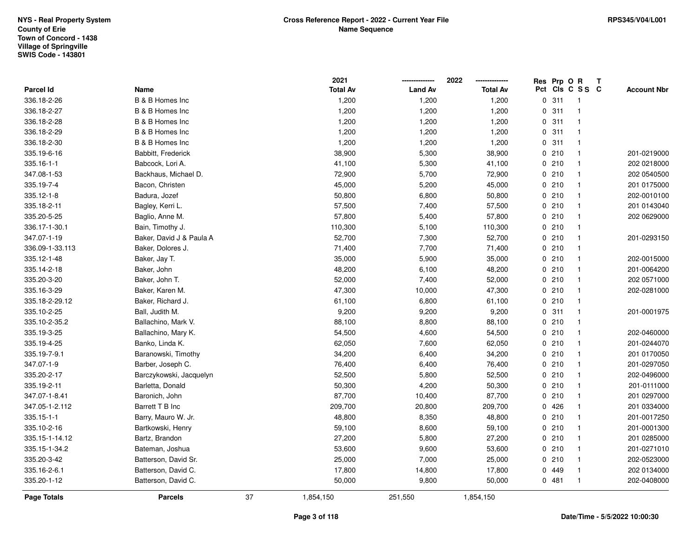|                 |                          |    | 2021            |                | 2022            | Res Prp O R |                 | Т |                    |
|-----------------|--------------------------|----|-----------------|----------------|-----------------|-------------|-----------------|---|--------------------|
| Parcel Id       | Name                     |    | <b>Total Av</b> | <b>Land Av</b> | <b>Total Av</b> |             | Pct Cls C S S C |   | <b>Account Nbr</b> |
| 336.18-2-26     | B & B Homes Inc          |    | 1,200           | 1,200          | 1,200           | 0.311       | $\mathbf{1}$    |   |                    |
| 336.18-2-27     | B & B Homes Inc          |    | 1,200           | 1,200          | 1,200           | 0.311       | $\mathbf{1}$    |   |                    |
| 336.18-2-28     | B & B Homes Inc          |    | 1,200           | 1,200          | 1,200           | 0.311       | $\mathbf{1}$    |   |                    |
| 336.18-2-29     | B & B Homes Inc          |    | 1,200           | 1,200          | 1,200           | 0.311       | $\mathbf{1}$    |   |                    |
| 336.18-2-30     | B & B Homes Inc          |    | 1,200           | 1,200          | 1,200           | 0.311       | $\mathbf{1}$    |   |                    |
| 335.19-6-16     | Babbitt, Frederick       |    | 38,900          | 5,300          | 38,900          | 0210        | $\mathbf{1}$    |   | 201-0219000        |
| 335.16-1-1      | Babcock, Lori A.         |    | 41,100          | 5,300          | 41,100          | 0210        | $\mathbf{1}$    |   | 202 0218000        |
| 347.08-1-53     | Backhaus, Michael D.     |    | 72,900          | 5,700          | 72,900          | 0210        | $\mathbf{1}$    |   | 202 0540500        |
| 335.19-7-4      | Bacon, Christen          |    | 45,000          | 5,200          | 45,000          | 0210        | $\mathbf{1}$    |   | 201 0175000        |
| 335.12-1-8      | Badura, Jozef            |    | 50,800          | 6,800          | 50,800          | 0210        | $\mathbf{1}$    |   | 202-0010100        |
| 335.18-2-11     | Bagley, Kerri L.         |    | 57,500          | 7,400          | 57,500          | 0210        | $\mathbf{1}$    |   | 201 0143040        |
| 335.20-5-25     | Baglio, Anne M.          |    | 57,800          | 5,400          | 57,800          | 0210        | $\mathbf{1}$    |   | 202 0629000        |
| 336.17-1-30.1   | Bain, Timothy J.         |    | 110,300         | 5,100          | 110,300         | 0210        | $\mathbf 1$     |   |                    |
| 347.07-1-19     | Baker, David J & Paula A |    | 52,700          | 7,300          | 52,700          | 0210        | $\mathbf{1}$    |   | 201-0293150        |
| 336.09-1-33.113 | Baker, Dolores J.        |    | 71,400          | 7,700          | 71,400          | 0210        | $\mathbf{1}$    |   |                    |
| 335.12-1-48     | Baker, Jay T.            |    | 35,000          | 5,900          | 35,000          | 0210        | $\mathbf{1}$    |   | 202-0015000        |
| 335.14-2-18     | Baker, John              |    | 48,200          | 6,100          | 48,200          | 0210        | $\mathbf{1}$    |   | 201-0064200        |
| 335.20-3-20     | Baker, John T.           |    | 52,000          | 7,400          | 52,000          | 0210        | $\mathbf{1}$    |   | 202 0571000        |
| 335.16-3-29     | Baker, Karen M.          |    | 47,300          | 10,000         | 47,300          | 0210        | $\mathbf{1}$    |   | 202-0281000        |
| 335.18-2-29.12  | Baker, Richard J.        |    | 61,100          | 6,800          | 61,100          | 0210        | $\mathbf{1}$    |   |                    |
| 335.10-2-25     | Ball, Judith M.          |    | 9,200           | 9,200          | 9,200           | 0.311       | $\mathbf{1}$    |   | 201-0001975        |
| 335.10-2-35.2   | Ballachino, Mark V.      |    | 88,100          | 8,800          | 88,100          | 0210        | $\mathbf{1}$    |   |                    |
| 335.19-3-25     | Ballachino, Mary K.      |    | 54,500          | 4,600          | 54,500          | 0210        | $\mathbf{1}$    |   | 202-0460000        |
| 335.19-4-25     | Banko, Linda K.          |    | 62,050          | 7,600          | 62,050          | 0210        | $\mathbf{1}$    |   | 201-0244070        |
| 335.19-7-9.1    | Baranowski, Timothy      |    | 34,200          | 6,400          | 34,200          | 0210        | $\mathbf{1}$    |   | 201 0170050        |
| 347.07-1-9      | Barber, Joseph C.        |    | 76,400          | 6,400          | 76,400          | 0210        | $\mathbf{1}$    |   | 201-0297050        |
| 335.20-2-17     | Barczykowski, Jacquelyn  |    | 52,500          | 5,800          | 52,500          | 0210        | $\mathbf{1}$    |   | 202-0496000        |
| 335.19-2-11     | Barletta, Donald         |    | 50,300          | 4,200          | 50,300          | 0210        | $\mathbf{1}$    |   | 201-0111000        |
| 347.07-1-8.41   | Baronich, John           |    | 87,700          | 10,400         | 87,700          | 0210        | $\mathbf{1}$    |   | 201 0297000        |
| 347.05-1-2.112  | Barrett T B Inc          |    | 209,700         | 20,800         | 209,700         | 0426        | $\mathbf{1}$    |   | 201 0334000        |
| 335.15-1-1      | Barry, Mauro W. Jr.      |    | 48,800          | 8,350          | 48,800          | 0210        | $\mathbf{1}$    |   | 201-0017250        |
| 335.10-2-16     | Bartkowski, Henry        |    | 59,100          | 8,600          | 59,100          | 0210        | $\mathbf{1}$    |   | 201-0001300        |
| 335.15-1-14.12  | Bartz, Brandon           |    | 27,200          | 5,800          | 27,200          | 0210        | $\mathbf{1}$    |   | 201 0285000        |
| 335.15-1-34.2   | Bateman, Joshua          |    | 53,600          | 9,600          | 53,600          | 0210        | $\mathbf{1}$    |   | 201-0271010        |
| 335.20-3-42     | Batterson, David Sr.     |    | 25,000          | 7,000          | 25,000          | 0210        | $\mathbf{1}$    |   | 202-0523000        |
| 335.16-2-6.1    | Batterson, David C.      |    | 17,800          | 14,800         | 17,800          | 0 449       | $\mathbf{1}$    |   | 202 0134000        |
| 335.20-1-12     | Batterson, David C.      |    | 50,000          | 9,800          | 50,000          | 0481        | $\mathbf{1}$    |   | 202-0408000        |
| Page Totals     | <b>Parcels</b>           | 37 | 1,854,150       | 251,550        | 1,854,150       |             |                 |   |                    |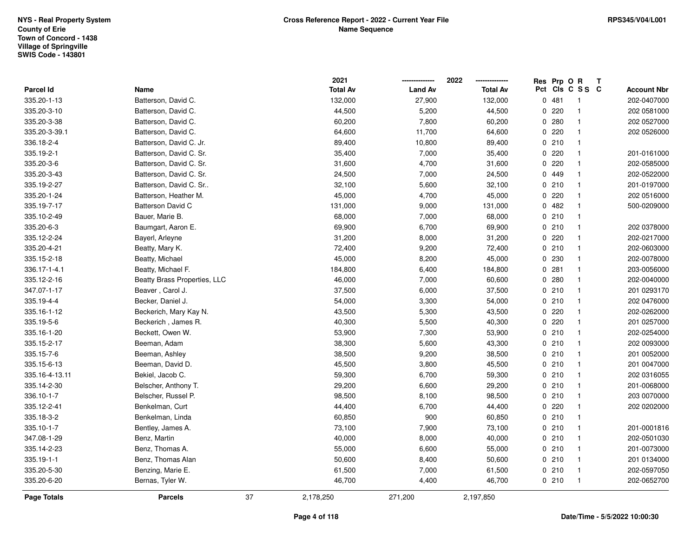|                    |                              |    | 2021            |                | 2022            | Res Prp O R |                 | T |                    |
|--------------------|------------------------------|----|-----------------|----------------|-----------------|-------------|-----------------|---|--------------------|
| Parcel Id          | Name                         |    | <b>Total Av</b> | <b>Land Av</b> | <b>Total Av</b> |             | Pct Cls C S S C |   | <b>Account Nbr</b> |
| 335.20-1-13        | Batterson, David C.          |    | 132,000         | 27,900         | 132,000         | 0481        | $\overline{1}$  |   | 202-0407000        |
| 335.20-3-10        | Batterson, David C.          |    | 44,500          | 5,200          | 44,500          | 0220        | $\mathbf{1}$    |   | 202 0581000        |
| 335.20-3-38        | Batterson, David C.          |    | 60,200          | 7,800          | 60,200          | 0.280       | $\mathbf{1}$    |   | 202 0527000        |
| 335.20-3-39.1      | Batterson, David C.          |    | 64,600          | 11,700         | 64,600          | 0220        | $\mathbf{1}$    |   | 202 0526000        |
| 336.18-2-4         | Batterson, David C. Jr.      |    | 89,400          | 10,800         | 89,400          | 0210        | $\mathbf{1}$    |   |                    |
| 335.19-2-1         | Batterson, David C. Sr.      |    | 35,400          | 7,000          | 35,400          | 0.220       | $\mathbf{1}$    |   | 201-0161000        |
| 335.20-3-6         | Batterson, David C. Sr.      |    | 31,600          | 4,700          | 31,600          | 0.220       | $\mathbf{1}$    |   | 202-0585000        |
| 335.20-3-43        | Batterson, David C. Sr.      |    | 24,500          | 7,000          | 24,500          | 0 449       | $\mathbf{1}$    |   | 202-0522000        |
| 335.19-2-27        | Batterson, David C. Sr       |    | 32,100          | 5,600          | 32,100          | 0210        | $\mathbf{1}$    |   | 201-0197000        |
| 335.20-1-24        | Batterson, Heather M.        |    | 45,000          | 4,700          | 45,000          | 0.220       | $\mathbf{1}$    |   | 202 0516000        |
| 335.19-7-17        | <b>Batterson David C</b>     |    | 131,000         | 9,000          | 131,000         | 0.482       | $\mathbf{1}$    |   | 500-0209000        |
| 335.10-2-49        | Bauer, Marie B.              |    | 68,000          | 7,000          | 68,000          | 0210        | $\mathbf{1}$    |   |                    |
| 335.20-6-3         | Baumgart, Aaron E.           |    | 69,900          | 6,700          | 69,900          | 0210        | $\mathbf{1}$    |   | 202 0378000        |
| 335.12-2-24        | Bayerl, Arleyne              |    | 31,200          | 8,000          | 31,200          | 0220        | $\mathbf{1}$    |   | 202-0217000        |
| 335.20-4-21        | Beatty, Mary K.              |    | 72,400          | 9,200          | 72,400          | 0210        | $\mathbf{1}$    |   | 202-0603000        |
| 335.15-2-18        | Beatty, Michael              |    | 45,000          | 8,200          | 45,000          | 0 230       | $\mathbf{1}$    |   | 202-0078000        |
| 336.17-1-4.1       | Beatty, Michael F.           |    | 184,800         | 6,400          | 184,800         | 0.281       | $\mathbf{1}$    |   | 203-0056000        |
| 335.12-2-16        | Beatty Brass Properties, LLC |    | 46,000          | 7,000          | 60,600          | 0.280       | $\mathbf{1}$    |   | 202-0040000        |
| 347.07-1-17        | Beaver, Carol J.             |    | 37,500          | 6,000          | 37,500          | 0210        | $\mathbf{1}$    |   | 201 0293170        |
| 335.19-4-4         | Becker, Daniel J.            |    | 54,000          | 3,300          | 54,000          | 0210        | $\mathbf{1}$    |   | 202 0476000        |
| 335.16-1-12        | Beckerich, Mary Kay N.       |    | 43,500          | 5,300          | 43,500          | $0$ 220     | $\mathbf{1}$    |   | 202-0262000        |
| 335.19-5-6         | Beckerich, James R.          |    | 40,300          | 5,500          | 40,300          | $0$ 220     | $\mathbf{1}$    |   | 201 0257000        |
| 335.16-1-20        | Beckett, Owen W.             |    | 53,900          | 7,300          | 53,900          | 0210        | $\mathbf{1}$    |   | 202-0254000        |
| 335.15-2-17        | Beeman, Adam                 |    | 38,300          | 5,600          | 43,300          | 0210        | $\mathbf{1}$    |   | 202 0093000        |
| 335.15-7-6         | Beeman, Ashley               |    | 38,500          | 9,200          | 38,500          | 0210        | $\mathbf{1}$    |   | 201 0052000        |
| 335.15-6-13        | Beeman, David D.             |    | 45,500          | 3,800          | 45,500          | 0210        | $\mathbf{1}$    |   | 201 0047000        |
| 335.16-4-13.11     | Bekiel, Jacob C.             |    | 59,300          | 6,700          | 59,300          | 0210        | $\mathbf{1}$    |   | 202 0316055        |
| 335.14-2-30        | Belscher, Anthony T.         |    | 29,200          | 6,600          | 29,200          | 0210        | $\mathbf{1}$    |   | 201-0068000        |
| 336.10-1-7         | Belscher, Russel P.          |    | 98,500          | 8,100          | 98,500          | 0210        | $\mathbf{1}$    |   | 203 0070000        |
| 335.12-2-41        | Benkelman, Curt              |    | 44,400          | 6,700          | 44,400          | $0$ 220     | $\mathbf{1}$    |   | 202 0202000        |
| 335.18-3-2         | Benkelman, Linda             |    | 60,850          | 900            | 60,850          | 0210        | $\mathbf{1}$    |   |                    |
| 335.10-1-7         | Bentley, James A.            |    | 73,100          | 7,900          | 73,100          | 0210        | $\mathbf{1}$    |   | 201-0001816        |
| 347.08-1-29        | Benz, Martin                 |    | 40,000          | 8,000          | 40,000          | 0210        | $\mathbf{1}$    |   | 202-0501030        |
| 335.14-2-23        | Benz, Thomas A.              |    | 55,000          | 6,600          | 55,000          | 0210        | $\mathbf{1}$    |   | 201-0073000        |
| 335.19-1-1         | Benz, Thomas Alan            |    | 50,600          | 8,400          | 50,600          | 0210        | $\mathbf{1}$    |   | 201 0134000        |
| 335.20-5-30        | Benzing, Marie E.            |    | 61,500          | 7,000          | 61,500          | 0210        | $\mathbf{1}$    |   | 202-0597050        |
| 335.20-6-20        | Bernas, Tyler W.             |    | 46,700          | 4,400          | 46,700          | 0210        | $\mathbf{1}$    |   | 202-0652700        |
| <b>Page Totals</b> | <b>Parcels</b>               | 37 | 2,178,250       | 271,200        | 2,197,850       |             |                 |   |                    |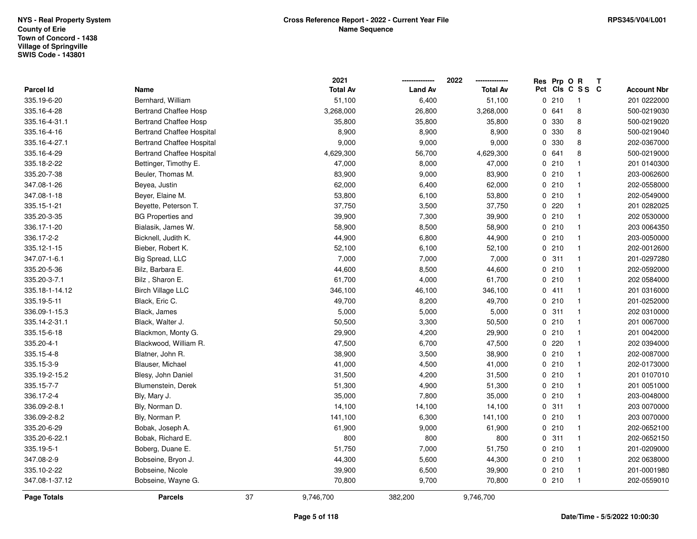|                    |                                  |    | 2021            |                | 2022            | Res Prp O R |                 | T |                    |
|--------------------|----------------------------------|----|-----------------|----------------|-----------------|-------------|-----------------|---|--------------------|
| Parcel Id          | Name                             |    | <b>Total Av</b> | <b>Land Av</b> | <b>Total Av</b> |             | Pct Cls C S S C |   | <b>Account Nbr</b> |
| 335.19-6-20        | Bernhard, William                |    | 51,100          | 6,400          | 51,100          | 0210        | $\mathbf{1}$    |   | 201 0222000        |
| 335.16-4-28        | <b>Bertrand Chaffee Hosp</b>     |    | 3,268,000       | 26,800         | 3,268,000       | 0641        | 8               |   | 500-0219030        |
| 335.16-4-31.1      | <b>Bertrand Chaffee Hosp</b>     |    | 35,800          | 35,800         | 35,800          | 0 330       | 8               |   | 500-0219020        |
| 335.16-4-16        | <b>Bertrand Chaffee Hospital</b> |    | 8,900           | 8,900          | 8,900           | 0 330       | 8               |   | 500-0219040        |
| 335.16-4-27.1      | <b>Bertrand Chaffee Hospital</b> |    | 9,000           | 9,000          | 9,000           | 0 330       | 8               |   | 202-0367000        |
| 335.16-4-29        | <b>Bertrand Chaffee Hospital</b> |    | 4,629,300       | 56,700         | 4,629,300       | 0 641       | 8               |   | 500-0219000        |
| 335.18-2-22        | Bettinger, Timothy E.            |    | 47,000          | 8,000          | 47,000          | 0210        | $\mathbf{1}$    |   | 201 0140300        |
| 335.20-7-38        | Beuler, Thomas M.                |    | 83,900          | 9,000          | 83,900          | 0210        | $\mathbf{1}$    |   | 203-0062600        |
| 347.08-1-26        | Beyea, Justin                    |    | 62,000          | 6,400          | 62,000          | 0210        | $\mathbf{1}$    |   | 202-0558000        |
| 347.08-1-18        | Beyer, Elaine M.                 |    | 53,800          | 6,100          | 53,800          | 0210        | $\mathbf{1}$    |   | 202-0549000        |
| 335.15-1-21        | Beyette, Peterson T.             |    | 37,750          | 3,500          | 37,750          | 0.220       | $\mathbf{1}$    |   | 201 0282025        |
| 335.20-3-35        | <b>BG Properties and</b>         |    | 39,900          | 7,300          | 39,900          | 0210        | 1               |   | 202 0530000        |
| 336.17-1-20        | Bialasik, James W.               |    | 58,900          | 8,500          | 58,900          | 0210        | $\mathbf{1}$    |   | 203 0064350        |
| 336.17-2-2         | Bicknell, Judith K.              |    | 44,900          | 6,800          | 44,900          | 0210        | $\mathbf{1}$    |   | 203-0050000        |
| 335.12-1-15        | Bieber, Robert K.                |    | 52,100          | 6,100          | 52,100          | 0210        | $\mathbf{1}$    |   | 202-0012600        |
| 347.07-1-6.1       | Big Spread, LLC                  |    | 7,000           | 7,000          | 7,000           | 0.311       | $\mathbf{1}$    |   | 201-0297280        |
| 335.20-5-36        | Bilz, Barbara E.                 |    | 44,600          | 8,500          | 44,600          | 0210        | $\mathbf{1}$    |   | 202-0592000        |
| 335.20-3-7.1       | Bilz, Sharon E.                  |    | 61,700          | 4,000          | 61,700          | 0210        | $\mathbf{1}$    |   | 202 0584000        |
| 335.18-1-14.12     | <b>Birch Village LLC</b>         |    | 346,100         | 46,100         | 346,100         | 0411        | 1               |   | 201 0316000        |
| 335.19-5-11        | Black, Eric C.                   |    | 49,700          | 8,200          | 49,700          | 0210        | $\mathbf{1}$    |   | 201-0252000        |
| 336.09-1-15.3      | Black, James                     |    | 5,000           | 5,000          | 5,000           | 0.311       | $\mathbf{1}$    |   | 202 0310000        |
| 335.14-2-31.1      | Black, Walter J.                 |    | 50,500          | 3,300          | 50,500          | 0210        | $\mathbf{1}$    |   | 201 0067000        |
| 335.15-6-18        | Blackmon, Monty G.               |    | 29,900          | 4,200          | 29,900          | 0210        | $\mathbf{1}$    |   | 201 0042000        |
| 335.20-4-1         | Blackwood, William R.            |    | 47,500          | 6,700          | 47,500          | 0220        | $\mathbf{1}$    |   | 202 0394000        |
| 335.15-4-8         | Blatner, John R.                 |    | 38,900          | 3,500          | 38,900          | 0210        | $\mathbf{1}$    |   | 202-0087000        |
| 335.15-3-9         | Blauser, Michael                 |    | 41,000          | 4,500          | 41,000          | 0210        | 1               |   | 202-0173000        |
| 335.19-2-15.2      | Blesy, John Daniel               |    | 31,500          | 4,200          | 31,500          | 0210        | 1               |   | 201 0107010        |
| 335.15-7-7         | Blumenstein, Derek               |    | 51,300          | 4,900          | 51,300          | 0210        | $\mathbf{1}$    |   | 201 0051000        |
| 336.17-2-4         | Bly, Mary J.                     |    | 35,000          | 7,800          | 35,000          | 0210        | $\mathbf{1}$    |   | 203-0048000        |
| 336.09-2-8.1       | Bly, Norman D.                   |    | 14,100          | 14,100         | 14,100          | 0.311       | $\mathbf{1}$    |   | 203 0070000        |
| 336.09-2-8.2       | Bly, Norman P.                   |    | 141,100         | 6,300          | 141,100         | 0210        | $\mathbf{1}$    |   | 203 0070000        |
| 335.20-6-29        | Bobak, Joseph A.                 |    | 61,900          | 9,000          | 61,900          | 0210        | $\mathbf{1}$    |   | 202-0652100        |
| 335.20-6-22.1      | Bobak, Richard E.                |    | 800             | 800            | 800             | 0.311       | $\mathbf{1}$    |   | 202-0652150        |
| 335.19-5-1         | Boberg, Duane E.                 |    | 51,750          | 7,000          | 51,750          | 0210        | $\mathbf{1}$    |   | 201-0209000        |
| 347.08-2-9         | Bobseine, Bryon J.               |    | 44,300          | 5,600          | 44,300          | 0210        | $\mathbf{1}$    |   | 202 0638000        |
| 335.10-2-22        | Bobseine, Nicole                 |    | 39,900          | 6,500          | 39,900          | 0210        | $\mathbf{1}$    |   | 201-0001980        |
| 347.08-1-37.12     | Bobseine, Wayne G.               |    | 70,800          | 9,700          | 70,800          | 0210        | $\mathbf{1}$    |   | 202-0559010        |
| <b>Page Totals</b> | <b>Parcels</b>                   | 37 | 9,746,700       | 382,200        | 9,746,700       |             |                 |   |                    |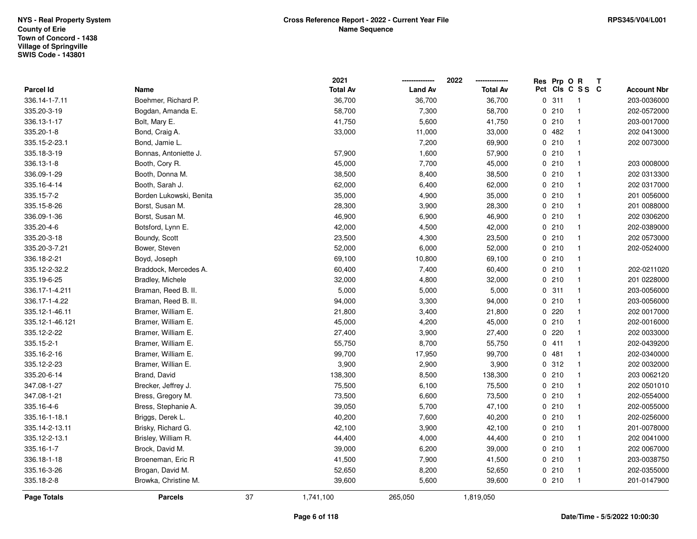|                 |                         |    | 2021            |                | 2022            | Res Prp O R |                 | T |                    |
|-----------------|-------------------------|----|-----------------|----------------|-----------------|-------------|-----------------|---|--------------------|
| Parcel Id       | Name                    |    | <b>Total Av</b> | <b>Land Av</b> | <b>Total Av</b> |             | Pct Cls C S S C |   | <b>Account Nbr</b> |
| 336.14-1-7.11   | Boehmer, Richard P.     |    | 36,700          | 36,700         | 36,700          | 0.311       | $\overline{1}$  |   | 203-0036000        |
| 335.20-3-19     | Bogdan, Amanda E.       |    | 58,700          | 7,300          | 58,700          | 0210        | $\mathbf{1}$    |   | 202-0572000        |
| 336.13-1-17     | Bolt, Mary E.           |    | 41,750          | 5,600          | 41,750          | 0210        | $\mathbf{1}$    |   | 203-0017000        |
| 335.20-1-8      | Bond, Craig A.          |    | 33,000          | 11,000         | 33,000          | 0482        | $\mathbf{1}$    |   | 202 0413000        |
| 335.15-2-23.1   | Bond, Jamie L.          |    |                 | 7,200          | 69,900          | 0210        | $\mathbf{1}$    |   | 202 0073000        |
| 335.18-3-19     | Bonnas, Antoniette J.   |    | 57,900          | 1,600          | 57,900          | 0210        | $\mathbf{1}$    |   |                    |
| 336.13-1-8      | Booth, Cory R.          |    | 45,000          | 7,700          | 45,000          | 0210        | $\mathbf{1}$    |   | 203 0008000        |
| 336.09-1-29     | Booth, Donna M.         |    | 38,500          | 8,400          | 38,500          | 0210        | $\mathbf{1}$    |   | 202 0313300        |
| 335.16-4-14     | Booth, Sarah J.         |    | 62,000          | 6,400          | 62,000          | 0210        | $\mathbf{1}$    |   | 202 0317000        |
| 335.15-7-2      | Borden Lukowski, Benita |    | 35,000          | 4,900          | 35,000          | 0210        | $\mathbf{1}$    |   | 201 0056000        |
| 335.15-8-26     | Borst, Susan M.         |    | 28,300          | 3,900          | 28,300          | 0210        | $\mathbf{1}$    |   | 201 0088000        |
| 336.09-1-36     | Borst, Susan M.         |    | 46,900          | 6,900          | 46,900          | 0210        | $\mathbf{1}$    |   | 202 0306200        |
| 335.20-4-6      | Botsford, Lynn E.       |    | 42,000          | 4,500          | 42,000          | 0210        | $\mathbf{1}$    |   | 202-0389000        |
| 335.20-3-18     | Boundy, Scott           |    | 23,500          | 4,300          | 23,500          | 0210        | $\mathbf{1}$    |   | 202 0573000        |
| 335.20-3-7.21   | Bower, Steven           |    | 52,000          | 6,000          | 52,000          | 0210        | $\mathbf{1}$    |   | 202-0524000        |
| 336.18-2-21     | Boyd, Joseph            |    | 69,100          | 10,800         | 69,100          | 0210        | $\mathbf{1}$    |   |                    |
| 335.12-2-32.2   | Braddock, Mercedes A.   |    | 60,400          | 7,400          | 60,400          | 0210        | $\mathbf{1}$    |   | 202-0211020        |
| 335.19-6-25     | Bradley, Michele        |    | 32,000          | 4,800          | 32,000          | 0210        | $\mathbf{1}$    |   | 201 0228000        |
| 336.17-1-4.211  | Braman, Reed B. II.     |    | 5,000           | 5,000          | 5,000           | 0.311       | $\mathbf{1}$    |   | 203-0056000        |
| 336.17-1-4.22   | Braman, Reed B. II.     |    | 94,000          | 3,300          | 94,000          | 0210        | $\mathbf{1}$    |   | 203-0056000        |
| 335.12-1-46.11  | Bramer, William E.      |    | 21,800          | 3,400          | 21,800          | 0220        | $\mathbf{1}$    |   | 202 0017000        |
| 335.12-1-46.121 | Bramer, William E.      |    | 45,000          | 4,200          | 45,000          | 0210        | $\mathbf{1}$    |   | 202-0016000        |
| 335.12-2-22     | Bramer, William E.      |    | 27,400          | 3,900          | 27,400          | 0220        | $\mathbf{1}$    |   | 202 0033000        |
| 335.15-2-1      | Bramer, William E.      |    | 55,750          | 8,700          | 55,750          | 0411        | $\mathbf{1}$    |   | 202-0439200        |
| 335.16-2-16     | Bramer, William E.      |    | 99,700          | 17,950         | 99,700          | 0481        | $\mathbf{1}$    |   | 202-0340000        |
| 335.12-2-23     | Bramer, Willian E.      |    | 3,900           | 2,900          | 3,900           | 0.312       | $\mathbf{1}$    |   | 202 0032000        |
| 335.20-6-14     | Brand, David            |    | 138,300         | 8,500          | 138,300         | 0210        | $\mathbf{1}$    |   | 203 0062120        |
| 347.08-1-27     | Brecker, Jeffrey J.     |    | 75,500          | 6,100          | 75,500          | 0210        | $\mathbf{1}$    |   | 202 0501010        |
| 347.08-1-21     | Bress, Gregory M.       |    | 73,500          | 6,600          | 73,500          | 0210        | $\mathbf{1}$    |   | 202-0554000        |
| 335.16-4-6      | Bress, Stephanie A.     |    | 39,050          | 5,700          | 47,100          | 0210        | $\mathbf{1}$    |   | 202-0055000        |
| 335.16-1-18.1   | Briggs, Derek L.        |    | 40,200          | 7,600          | 40,200          | 0210        | $\mathbf{1}$    |   | 202-0256000        |
| 335.14-2-13.11  | Brisky, Richard G.      |    | 42,100          | 3,900          | 42,100          | 0210        | $\mathbf{1}$    |   | 201-0078000        |
| 335.12-2-13.1   | Brisley, William R.     |    | 44,400          | 4,000          | 44,400          | 0210        | $\mathbf{1}$    |   | 202 0041000        |
| 335.16-1-7      | Brock, David M.         |    | 39,000          | 6,200          | 39,000          | 0210        | $\mathbf{1}$    |   | 202 0067000        |
| 336.18-1-18     | Broeneman, Eric R       |    | 41,500          | 7,900          | 41,500          | 0210        | $\mathbf{1}$    |   | 203-0038750        |
| 335.16-3-26     | Brogan, David M.        |    | 52,650          | 8,200          | 52,650          | 0210        | $\mathbf{1}$    |   | 202-0355000        |
| 335.18-2-8      | Browka, Christine M.    |    | 39,600          | 5,600          | 39,600          | 0210        | $\mathbf{1}$    |   | 201-0147900        |
| Page Totals     | <b>Parcels</b>          | 37 | 1,741,100       | 265,050        | 1,819,050       |             |                 |   |                    |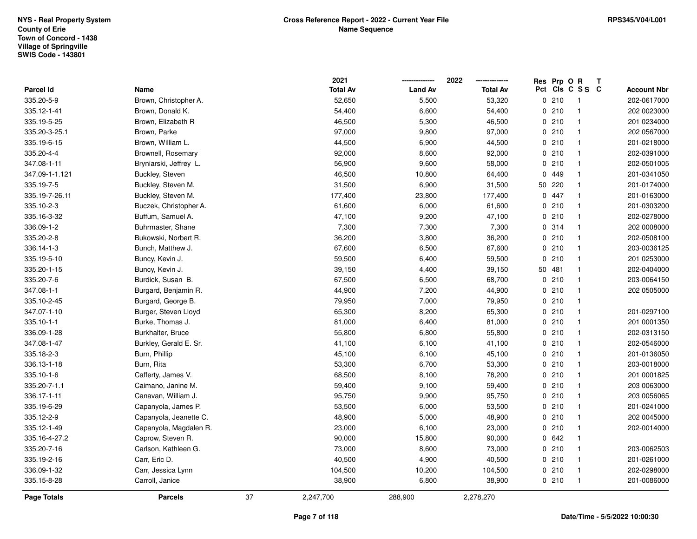|                |                        |    | 2021            |                | 2022            | Res Prp O R |                 | Т |                    |
|----------------|------------------------|----|-----------------|----------------|-----------------|-------------|-----------------|---|--------------------|
| Parcel Id      | Name                   |    | <b>Total Av</b> | <b>Land Av</b> | <b>Total Av</b> |             | Pct Cls C S S C |   | <b>Account Nbr</b> |
| 335.20-5-9     | Brown, Christopher A.  |    | 52,650          | 5,500          | 53,320          | 0210        | $\overline{1}$  |   | 202-0617000        |
| 335.12-1-41    | Brown, Donald K.       |    | 54,400          | 6,600          | 54,400          | 0210        | $\overline{1}$  |   | 202 0023000        |
| 335.19-5-25    | Brown, Elizabeth R     |    | 46,500          | 5,300          | 46,500          | 0210        | $\overline{1}$  |   | 201 0234000        |
| 335.20-3-25.1  | Brown, Parke           |    | 97,000          | 9,800          | 97,000          | 0210        | $\overline{1}$  |   | 202 0567000        |
| 335.19-6-15    | Brown, William L.      |    | 44,500          | 6,900          | 44,500          | 0210        | $\mathbf{1}$    |   | 201-0218000        |
| 335.20-4-4     | Brownell, Rosemary     |    | 92,000          | 8,600          | 92,000          | 0210        | $\mathbf{1}$    |   | 202-0391000        |
| 347.08-1-11    | Bryniarski, Jeffrey L. |    | 56,900          | 9,600          | 58,000          | 0210        | $\overline{1}$  |   | 202-0501005        |
| 347.09-1-1.121 | Buckley, Steven        |    | 46,500          | 10,800         | 64,400          | 0 449       | $\mathbf{1}$    |   | 201-0341050        |
| 335.19-7-5     | Buckley, Steven M.     |    | 31,500          | 6,900          | 31,500          | 50 220      | $\mathbf{1}$    |   | 201-0174000        |
| 335.19-7-26.11 | Buckley, Steven M.     |    | 177,400         | 23,800         | 177,400         | 0 447       | $\overline{1}$  |   | 201-0163000        |
| 335.10-2-3     | Buczek, Christopher A. |    | 61,600          | 6,000          | 61,600          | 0210        | $\overline{1}$  |   | 201-0303200        |
| 335.16-3-32    | Buffum, Samuel A.      |    | 47,100          | 9,200          | 47,100          | 0210        | $\overline{1}$  |   | 202-0278000        |
| 336.09-1-2     | Buhrmaster, Shane      |    | 7,300           | 7,300          | 7,300           | 0.314       | $\mathbf{1}$    |   | 202 0008000        |
| 335.20-2-8     | Bukowski, Norbert R.   |    | 36,200          | 3,800          | 36,200          | 0210        | $\overline{1}$  |   | 202-0508100        |
| 336.14-1-3     | Bunch, Matthew J.      |    | 67,600          | 6,500          | 67,600          | 0210        | $\overline{1}$  |   | 203-0036125        |
| 335.19-5-10    | Buncy, Kevin J.        |    | 59,500          | 6,400          | 59,500          | 0210        | $\mathbf{1}$    |   | 201 0253000        |
| 335.20-1-15    | Buncy, Kevin J.        |    | 39,150          | 4,400          | 39,150          | 50 481      | $\mathbf{1}$    |   | 202-0404000        |
| 335.20-7-6     | Burdick, Susan B.      |    | 67,500          | 6,500          | 68,700          | 0210        | $\overline{1}$  |   | 203-0064150        |
| 347.08-1-1     | Burgard, Benjamin R.   |    | 44,900          | 7,200          | 44,900          | 0210        | $\overline{1}$  |   | 202 0505000        |
| 335.10-2-45    | Burgard, George B.     |    | 79,950          | 7,000          | 79,950          | 0210        | $\mathbf{1}$    |   |                    |
| 347.07-1-10    | Burger, Steven Lloyd   |    | 65,300          | 8,200          | 65,300          | 0210        | $\overline{1}$  |   | 201-0297100        |
| 335.10-1-1     | Burke, Thomas J.       |    | 81,000          | 6,400          | 81,000          | 0210        | $\overline{1}$  |   | 201 0001350        |
| 336.09-1-28    | Burkhalter, Bruce      |    | 55,800          | 6,800          | 55,800          | 0210        | $\mathbf{1}$    |   | 202-0313150        |
| 347.08-1-47    | Burkley, Gerald E. Sr. |    | 41,100          | 6,100          | 41,100          | 0210        | $\mathbf{1}$    |   | 202-0546000        |
| 335.18-2-3     | Burn, Phillip          |    | 45,100          | 6,100          | 45,100          | 0210        | $\overline{1}$  |   | 201-0136050        |
| 336.13-1-18    | Burn, Rita             |    | 53,300          | 6,700          | 53,300          | 0210        | $\mathbf{1}$    |   | 203-0018000        |
| 335.10-1-6     | Cafferty, James V.     |    | 68,500          | 8,100          | 78,200          | 0210        | $\overline{1}$  |   | 201 0001825        |
| 335.20-7-1.1   | Caimano, Janine M.     |    | 59,400          | 9,100          | 59,400          | 0210        | $\mathbf{1}$    |   | 203 0063000        |
| 336.17-1-11    | Canavan, William J.    |    | 95,750          | 9,900          | 95,750          | 0210        | $\overline{1}$  |   | 203 0056065        |
| 335.19-6-29    | Capanyola, James P.    |    | 53,500          | 6,000          | 53,500          | 0210        | $\mathbf{1}$    |   | 201-0241000        |
| 335.12-2-9     | Capanyola, Jeanette C. |    | 48,900          | 5,000          | 48,900          | 0210        | $\mathbf{1}$    |   | 202 0045000        |
| 335.12-1-49    | Capanyola, Magdalen R. |    | 23,000          | 6,100          | 23,000          | 0210        | $\overline{1}$  |   | 202-0014000        |
| 335.16-4-27.2  | Caprow, Steven R.      |    | 90,000          | 15,800         | 90,000          | 0642        | $\overline{1}$  |   |                    |
| 335.20-7-16    | Carlson, Kathleen G.   |    | 73,000          | 8,600          | 73,000          | 0210        | $\overline{1}$  |   | 203-0062503        |
| 335.19-2-16    | Carr, Eric D.          |    | 40,500          | 4,900          | 40,500          | 0210        | $\overline{1}$  |   | 201-0261000        |
| 336.09-1-32    | Carr, Jessica Lynn     |    | 104,500         | 10,200         | 104,500         | 0210        | $\overline{1}$  |   | 202-0298000        |
| 335.15-8-28    | Carroll, Janice        |    | 38,900          | 6,800          | 38,900          | 0210        | $\overline{1}$  |   | 201-0086000        |
| Page Totals    | <b>Parcels</b>         | 37 | 2,247,700       | 288,900        | 2,278,270       |             |                 |   |                    |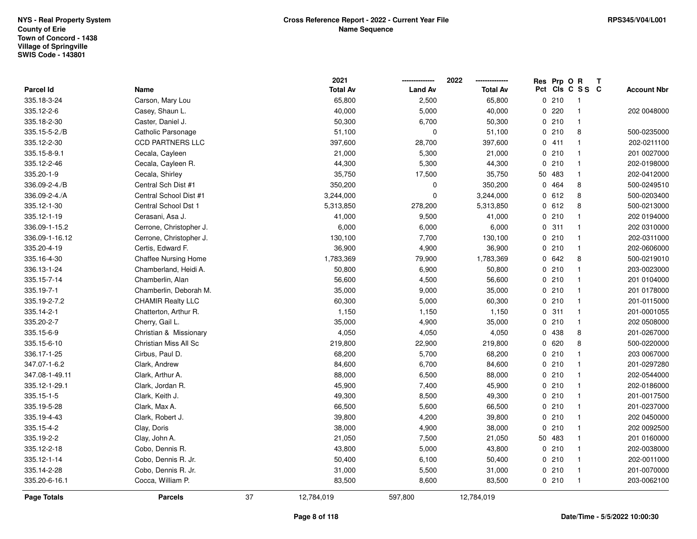|                    |                             |    | 2021            |                | 2022            | Res Prp O R |                 | T |                    |
|--------------------|-----------------------------|----|-----------------|----------------|-----------------|-------------|-----------------|---|--------------------|
| Parcel Id          | Name                        |    | <b>Total Av</b> | <b>Land Av</b> | <b>Total Av</b> |             | Pct Cls C S S C |   | <b>Account Nbr</b> |
| 335.18-3-24        | Carson, Mary Lou            |    | 65,800          | 2,500          | 65,800          | 0210        | $\overline{1}$  |   |                    |
| 335.12-2-6         | Casey, Shaun L.             |    | 40,000          | 5,000          | 40,000          | 0.220       | $\mathbf{1}$    |   | 202 0048000        |
| 335.18-2-30        | Caster, Daniel J.           |    | 50,300          | 6,700          | 50,300          | 0210        | $\mathbf{1}$    |   |                    |
| 335.15-5-2./B      | Catholic Parsonage          |    | 51,100          | $\mathbf 0$    | 51,100          | 0210        | 8               |   | 500-0235000        |
| 335.12-2-30        | <b>CCD PARTNERS LLC</b>     |    | 397,600         | 28,700         | 397,600         | 0411        | $\mathbf{1}$    |   | 202-0211100        |
| 335.15-8-9.1       | Cecala, Cayleen             |    | 21,000          | 5,300          | 21,000          | 0210        | $\mathbf{1}$    |   | 201 0027000        |
| 335.12-2-46        | Cecala, Cayleen R.          |    | 44,300          | 5,300          | 44,300          | 0210        | $\mathbf{1}$    |   | 202-0198000        |
| 335.20-1-9         | Cecala, Shirley             |    | 35,750          | 17,500         | 35,750          | 50 483      | $\mathbf{1}$    |   | 202-0412000        |
| 336.09-2-4./B      | Central Sch Dist #1         |    | 350,200         | $\pmb{0}$      | 350,200         | 0 464       | 8               |   | 500-0249510        |
| 336.09-2-4./A      | Central School Dist #1      |    | 3,244,000       | $\mathbf 0$    | 3,244,000       | 0612        | 8               |   | 500-0203400        |
| 335.12-1-30        | Central School Dst 1        |    | 5,313,850       | 278,200        | 5,313,850       | 0 612       | 8               |   | 500-0213000        |
| 335.12-1-19        | Cerasani, Asa J.            |    | 41,000          | 9,500          | 41,000          | 0210        | $\mathbf{1}$    |   | 202 0194000        |
| 336.09-1-15.2      | Cerrone, Christopher J.     |    | 6,000           | 6,000          | 6,000           | 0.311       | $\mathbf{1}$    |   | 202 0310000        |
| 336.09-1-16.12     | Cerrone, Christopher J.     |    | 130,100         | 7,700          | 130,100         | 0210        | $\mathbf{1}$    |   | 202-0311000        |
| 335.20-4-19        | Certis, Edward F.           |    | 36,900          | 4,900          | 36,900          | 0210        | $\mathbf{1}$    |   | 202-0606000        |
| 335.16-4-30        | <b>Chaffee Nursing Home</b> |    | 1,783,369       | 79,900         | 1,783,369       | 0 642       | 8               |   | 500-0219010        |
| 336.13-1-24        | Chamberland, Heidi A.       |    | 50,800          | 6,900          | 50,800          | 0210        | $\mathbf{1}$    |   | 203-0023000        |
| 335.15-7-14        | Chamberlin, Alan            |    | 56,600          | 4,500          | 56,600          | 0210        | $\mathbf{1}$    |   | 201 0104000        |
| 335.19-7-1         | Chamberlin, Deborah M.      |    | 35,000          | 9,000          | 35,000          | 0210        | $\mathbf{1}$    |   | 201 0178000        |
| 335.19-2-7.2       | <b>CHAMIR Realty LLC</b>    |    | 60,300          | 5,000          | 60,300          | 0210        | $\mathbf{1}$    |   | 201-0115000        |
| 335.14-2-1         | Chatterton, Arthur R.       |    | 1,150           | 1,150          | 1,150           | 0.311       | $\mathbf{1}$    |   | 201-0001055        |
| 335.20-2-7         | Cherry, Gail L.             |    | 35,000          | 4,900          | 35,000          | 0210        | $\mathbf{1}$    |   | 202 0508000        |
| 335.15-6-9         | Christian & Missionary      |    | 4,050           | 4,050          | 4,050           | 0 438       | 8               |   | 201-0267000        |
| 335.15-6-10        | Christian Miss All Sc       |    | 219,800         | 22,900         | 219,800         | 0620        | 8               |   | 500-0220000        |
| 336.17-1-25        | Cirbus, Paul D.             |    | 68,200          | 5,700          | 68,200          | 0210        | $\mathbf{1}$    |   | 203 0067000        |
| 347.07-1-6.2       | Clark, Andrew               |    | 84,600          | 6,700          | 84,600          | 0210        | $\mathbf{1}$    |   | 201-0297280        |
| 347.08-1-49.11     | Clark, Arthur A.            |    | 88,000          | 6,500          | 88,000          | 0210        | $\mathbf{1}$    |   | 202-0544000        |
| 335.12-1-29.1      | Clark, Jordan R.            |    | 45,900          | 7,400          | 45,900          | 0210        | $\mathbf{1}$    |   | 202-0186000        |
| 335.15-1-5         | Clark, Keith J.             |    | 49,300          | 8,500          | 49,300          | 0210        | $\overline{1}$  |   | 201-0017500        |
| 335.19-5-28        | Clark, Max A.               |    | 66,500          | 5,600          | 66,500          | 0210        | $\mathbf{1}$    |   | 201-0237000        |
| 335.19-4-43        | Clark, Robert J.            |    | 39,800          | 4,200          | 39,800          | 0210        | $\mathbf{1}$    |   | 202 0450000        |
| 335.15-4-2         | Clay, Doris                 |    | 38,000          | 4,900          | 38,000          | 0210        | $\mathbf{1}$    |   | 202 0092500        |
| 335.19-2-2         | Clay, John A.               |    | 21,050          | 7,500          | 21,050          | 50 483      | $\mathbf{1}$    |   | 201 0160000        |
| 335.12-2-18        | Cobo, Dennis R.             |    | 43,800          | 5,000          | 43,800          | 0210        | $\mathbf{1}$    |   | 202-0038000        |
| 335.12-1-14        | Cobo, Dennis R. Jr.         |    | 50,400          | 6,100          | 50,400          | 0210        | $\mathbf{1}$    |   | 202-0011000        |
| 335.14-2-28        | Cobo, Dennis R. Jr.         |    | 31,000          | 5,500          | 31,000          | 0210        | $\mathbf{1}$    |   | 201-0070000        |
| 335.20-6-16.1      | Cocca, William P.           |    | 83,500          | 8,600          | 83,500          | 0210        | $\overline{1}$  |   | 203-0062100        |
| <b>Page Totals</b> | <b>Parcels</b>              | 37 | 12,784,019      | 597,800        | 12,784,019      |             |                 |   |                    |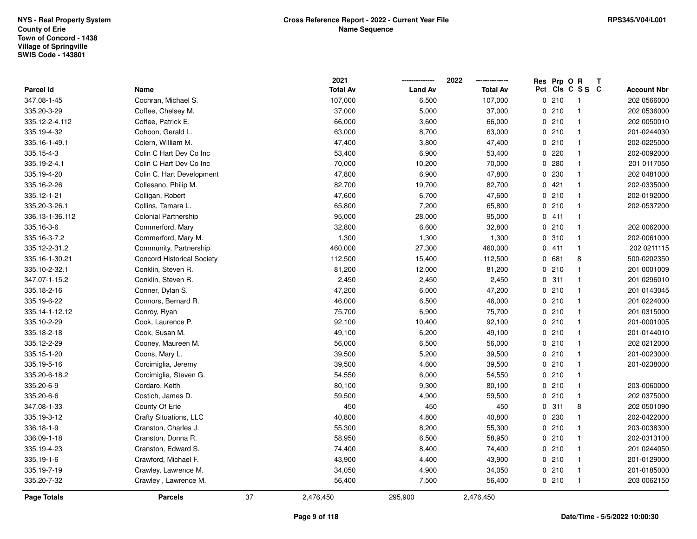|                 |                                   |    | 2021            |                | 2022            | Res Prp O R |                 | Т |                    |
|-----------------|-----------------------------------|----|-----------------|----------------|-----------------|-------------|-----------------|---|--------------------|
| Parcel Id       | Name                              |    | <b>Total Av</b> | <b>Land Av</b> | <b>Total Av</b> |             | Pct Cls C S S C |   | <b>Account Nbr</b> |
| 347.08-1-45     | Cochran, Michael S.               |    | 107,000         | 6,500          | 107,000         | 0210        | $\overline{1}$  |   | 202 0566000        |
| 335.20-3-29     | Coffee, Chelsey M.                |    | 37,000          | 5,000          | 37,000          | 0210        | $\overline{1}$  |   | 202 0536000        |
| 335.12-2-4.112  | Coffee, Patrick E.                |    | 66,000          | 3,600          | 66,000          | 0210        | $\overline{1}$  |   | 202 0050010        |
| 335.19-4-32     | Cohoon, Gerald L.                 |    | 63,000          | 8,700          | 63,000          | 0210        | $\overline{1}$  |   | 201-0244030        |
| 335.16-1-49.1   | Colern, William M.                |    | 47,400          | 3,800          | 47,400          | 0210        | $\mathbf{1}$    |   | 202-0225000        |
| 335.15-4-3      | Colin C Hart Dev Co Inc           |    | 53,400          | 6,900          | 53,400          | 0220        | $\overline{1}$  |   | 202-0092000        |
| 335.19-2-4.1    | Colin C Hart Dev Co Inc           |    | 70,000          | 10,200         | 70,000          | 0.280       | $\overline{1}$  |   | 201 0117050        |
| 335.19-4-20     | Colin C. Hart Development         |    | 47,800          | 6,900          | 47,800          | 0 230       | $\mathbf{1}$    |   | 202 0481000        |
| 335.16-2-26     | Collesano, Philip M.              |    | 82,700          | 19,700         | 82,700          | 0.421       | $\mathbf{1}$    |   | 202-0335000        |
| 335.12-1-21     | Colligan, Robert                  |    | 47,600          | 6,700          | 47,600          | 0210        | $\overline{1}$  |   | 202-0192000        |
| 335.20-3-26.1   | Collins, Tamara L.                |    | 65,800          | 7,200          | 65,800          | 0210        | $\overline{1}$  |   | 202-0537200        |
| 336.13-1-36.112 | Colonial Partnership              |    | 95,000          | 28,000         | 95,000          | 0411        | $\mathbf{1}$    |   |                    |
| 335.16-3-6      | Commerford, Mary                  |    | 32,800          | 6,600          | 32,800          | 0210        | $\mathbf{1}$    |   | 202 0062000        |
| 335.16-3-7.2    | Commerford, Mary M.               |    | 1,300           | 1,300          | 1,300           | 0.310       | $\overline{1}$  |   | 202-0061000        |
| 335.12-2-31.2   | Community, Partnership            |    | 460,000         | 27,300         | 460,000         | 0411        | $\mathbf{1}$    |   | 202 0211115        |
| 335.16-1-30.21  | <b>Concord Historical Society</b> |    | 112,500         | 15,400         | 112,500         | 0681        | 8               |   | 500-0202350        |
| 335.10-2-32.1   | Conklin, Steven R.                |    | 81,200          | 12,000         | 81,200          | 0210        | $\mathbf{1}$    |   | 201 0001009        |
| 347.07-1-15.2   | Conklin, Steven R.                |    | 2,450           | 2,450          | 2,450           | 0.311       | $\overline{1}$  |   | 201 0296010        |
| 335.18-2-16     | Conner, Dylan S.                  |    | 47,200          | 6,000          | 47,200          | 0210        | $\overline{1}$  |   | 201 0143045        |
| 335.19-6-22     | Connors, Bernard R.               |    | 46,000          | 6,500          | 46,000          | 0210        | $\overline{1}$  |   | 201 0224000        |
| 335.14-1-12.12  | Conroy, Ryan                      |    | 75,700          | 6,900          | 75,700          | 0210        | $\overline{1}$  |   | 201 0315000        |
| 335.10-2-29     | Cook, Laurence P.                 |    | 92,100          | 10,400         | 92,100          | 0210        | $\overline{1}$  |   | 201-0001005        |
| 335.18-2-18     | Cook, Susan M.                    |    | 49,100          | 6,200          | 49,100          | 0210        | $\mathbf{1}$    |   | 201-0144010        |
| 335.12-2-29     | Cooney, Maureen M.                |    | 56,000          | 6,500          | 56,000          | 0210        | $\mathbf{1}$    |   | 202 0212000        |
| 335.15-1-20     | Coons, Mary L.                    |    | 39,500          | 5,200          | 39,500          | 0210        | $\overline{1}$  |   | 201-0023000        |
| 335.19-5-16     | Corcimiglia, Jeremy               |    | 39,500          | 4,600          | 39,500          | 0210        | $\mathbf{1}$    |   | 201-0238000        |
| 335.20-6-18.2   | Corcimiglia, Steven G.            |    | 54,550          | 6,000          | 54,550          | 0210        | $\overline{1}$  |   |                    |
| 335.20-6-9      | Cordaro, Keith                    |    | 80,100          | 9,300          | 80,100          | 0210        | $\overline{1}$  |   | 203-0060000        |
| 335.20-6-6      | Costich, James D.                 |    | 59,500          | 4,900          | 59,500          | 0210        | $\overline{1}$  |   | 202 0375000        |
| 347.08-1-33     | County Of Erie                    |    | 450             | 450            | 450             | 0.311       | 8               |   | 202 0501090        |
| 335.19-3-12     | Crafty Situations, LLC            |    | 40,800          | 4,800          | 40,800          | 0 230       | $\mathbf{1}$    |   | 202-0422000        |
| 336.18-1-9      | Cranston, Charles J.              |    | 55,300          | 8,200          | 55,300          | 0210        | $\overline{1}$  |   | 203-0038300        |
| 336.09-1-18     | Cranston, Donna R.                |    | 58,950          | 6,500          | 58,950          | 0210        | $\overline{1}$  |   | 202-0313100        |
| 335.19-4-23     | Cranston, Edward S.               |    | 74,400          | 8,400          | 74,400          | 0210        | $\overline{1}$  |   | 201 0244050        |
| 335.19-1-6      | Crawford, Michael F.              |    | 43,900          | 4,400          | 43,900          | 0210        | $\overline{1}$  |   | 201-0129000        |
| 335.19-7-19     | Crawley, Lawrence M.              |    | 34,050          | 4,900          | 34,050          | 0210        | $\overline{1}$  |   | 201-0185000        |
| 335.20-7-32     | Crawley, Lawrence M.              |    | 56,400          | 7,500          | 56,400          | 0210        | $\overline{1}$  |   | 203 0062150        |
| Page Totals     | <b>Parcels</b>                    | 37 | 2,476,450       | 295,900        | 2,476,450       |             |                 |   |                    |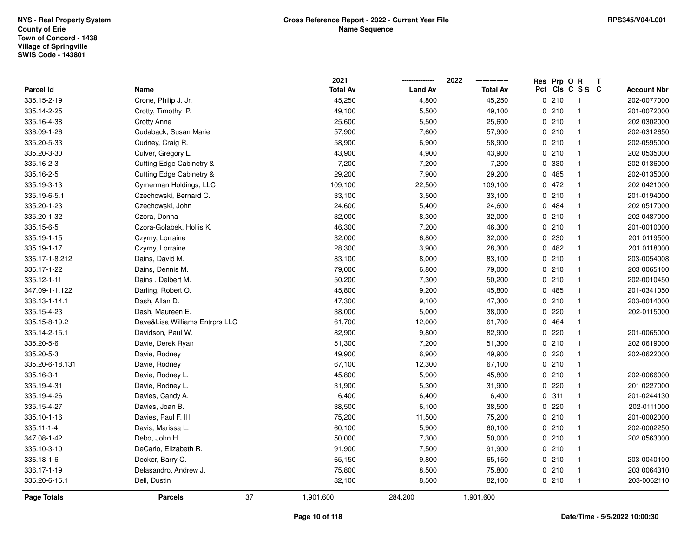|                    |                                |    | 2021            |                | 2022            | Res Prp O R |                 | $\mathbf{T}$ |                    |
|--------------------|--------------------------------|----|-----------------|----------------|-----------------|-------------|-----------------|--------------|--------------------|
| Parcel Id          | Name                           |    | <b>Total Av</b> | <b>Land Av</b> | <b>Total Av</b> |             | Pct Cls C S S C |              | <b>Account Nbr</b> |
| 335.15-2-19        | Crone, Philip J. Jr.           |    | 45,250          | 4,800          | 45,250          | 0210        | $\mathbf{1}$    |              | 202-0077000        |
| 335.14-2-25        | Crotty, Timothy P.             |    | 49,100          | 5,500          | 49,100          | 0210        | $\mathbf{1}$    |              | 201-0072000        |
| 335.16-4-38        | <b>Crotty Anne</b>             |    | 25,600          | 5,500          | 25,600          | 0210        | -1              |              | 202 0302000        |
| 336.09-1-26        | Cudaback, Susan Marie          |    | 57,900          | 7,600          | 57,900          | 0210        | $\mathbf{1}$    |              | 202-0312650        |
| 335.20-5-33        | Cudney, Craig R.               |    | 58,900          | 6,900          | 58,900          | 0210        | $\mathbf{1}$    |              | 202-0595000        |
| 335.20-3-30        | Culver, Gregory L.             |    | 43,900          | 4,900          | 43,900          | 0210        | $\mathbf{1}$    |              | 202 0535000        |
| 335.16-2-3         | Cutting Edge Cabinetry &       |    | 7,200           | 7,200          | 7,200           | 0 330       | $\mathbf{1}$    |              | 202-0136000        |
| 335.16-2-5         | Cutting Edge Cabinetry &       |    | 29,200          | 7,900          | 29,200          | 0 485       | $\mathbf{1}$    |              | 202-0135000        |
| 335.19-3-13        | Cymerman Holdings, LLC         |    | 109,100         | 22,500         | 109,100         | 0472        | $\mathbf{1}$    |              | 202 0421000        |
| 335.19-6-5.1       | Czechowski, Bernard C.         |    | 33,100          | 3,500          | 33,100          | 0210        | $\mathbf{1}$    |              | 201-0194000        |
| 335.20-1-23        | Czechowski, John               |    | 24,600          | 5,400          | 24,600          | 0.484       | $\mathbf{1}$    |              | 202 0517000        |
| 335.20-1-32        | Czora, Donna                   |    | 32,000          | 8,300          | 32,000          | 0210        | $\mathbf{1}$    |              | 202 0487000        |
| 335.15-6-5         | Czora-Golabek, Hollis K.       |    | 46,300          | 7,200          | 46,300          | 0210        | $\mathbf{1}$    |              | 201-0010000        |
| 335.19-1-15        | Czyrny, Lorraine               |    | 32,000          | 6,800          | 32,000          | 0 230       | $\mathbf{1}$    |              | 201 0119500        |
| 335.19-1-17        | Czyrny, Lorraine               |    | 28,300          | 3,900          | 28,300          | 0.482       | $\mathbf{1}$    |              | 201 0118000        |
| 336.17-1-8.212     | Dains, David M.                |    | 83,100          | 8,000          | 83,100          | 0210        | $\mathbf{1}$    |              | 203-0054008        |
| 336.17-1-22        | Dains, Dennis M.               |    | 79,000          | 6,800          | 79,000          | 0210        | $\mathbf{1}$    |              | 203 0065100        |
| 335.12-1-11        | Dains, Delbert M.              |    | 50,200          | 7,300          | 50,200          | 0210        | $\mathbf{1}$    |              | 202-0010450        |
| 347.09-1-1.122     | Darling, Robert O.             |    | 45,800          | 9,200          | 45,800          | 0.485       | $\mathbf{1}$    |              | 201-0341050        |
| 336.13-1-14.1      | Dash, Allan D.                 |    | 47,300          | 9,100          | 47,300          | 0210        | $\mathbf{1}$    |              | 203-0014000        |
| 335.15-4-23        | Dash, Maureen E.               |    | 38,000          | 5,000          | 38,000          | 0220        | $\mathbf{1}$    |              | 202-0115000        |
| 335.15-8-19.2      | Dave&Lisa Williams Entrprs LLC |    | 61,700          | 12,000         | 61,700          | 0 464       | $\mathbf{1}$    |              |                    |
| 335.14-2-15.1      | Davidson, Paul W.              |    | 82,900          | 9,800          | 82,900          | $0$ 220     | $\mathbf{1}$    |              | 201-0065000        |
| 335.20-5-6         | Davie, Derek Ryan              |    | 51,300          | 7,200          | 51,300          | 0210        | $\mathbf{1}$    |              | 202 0619000        |
| 335.20-5-3         | Davie, Rodney                  |    | 49,900          | 6,900          | 49,900          | 0220        | $\mathbf{1}$    |              | 202-0622000        |
| 335.20-6-18.131    | Davie, Rodney                  |    | 67,100          | 12,300         | 67,100          | 0210        | $\mathbf{1}$    |              |                    |
| 335.16-3-1         | Davie, Rodney L.               |    | 45,800          | 5,900          | 45,800          | 0210        | $\overline{1}$  |              | 202-0066000        |
| 335.19-4-31        | Davie, Rodney L.               |    | 31,900          | 5,300          | 31,900          | $0$ 220     | $\mathbf{1}$    |              | 201 0227000        |
| 335.19-4-26        | Davies, Candy A.               |    | 6,400           | 6,400          | 6,400           | 0.311       | $\mathbf{1}$    |              | 201-0244130        |
| 335.15-4-27        | Davies, Joan B.                |    | 38,500          | 6,100          | 38,500          | 0220        | $\mathbf{1}$    |              | 202-0111000        |
| 335.10-1-16        | Davies, Paul F. III.           |    | 75,200          | 11,500         | 75,200          | 0210        | $\mathbf{1}$    |              | 201-0002000        |
| $335.11 - 1 - 4$   | Davis, Marissa L.              |    | 60,100          | 5,900          | 60,100          | 0210        | $\mathbf{1}$    |              | 202-0002250        |
| 347.08-1-42        | Debo, John H.                  |    | 50,000          | 7,300          | 50,000          | 0210        | $\mathbf{1}$    |              | 202 0563000        |
| 335.10-3-10        | DeCarlo, Elizabeth R.          |    | 91,900          | 7,500          | 91,900          | 0210        | $\mathbf{1}$    |              |                    |
| 336.18-1-6         | Decker, Barry C.               |    | 65,150          | 9,800          | 65,150          | 0210        | $\mathbf{1}$    |              | 203-0040100        |
| 336.17-1-19        | Delasandro, Andrew J.          |    | 75,800          | 8,500          | 75,800          | 0210        | $\mathbf{1}$    |              | 203 0064310        |
| 335.20-6-15.1      | Dell, Dustin                   |    | 82,100          | 8,500          | 82,100          | 0210        | $\overline{1}$  |              | 203-0062110        |
| <b>Page Totals</b> | <b>Parcels</b>                 | 37 | 1,901,600       | 284,200        | 1,901,600       |             |                 |              |                    |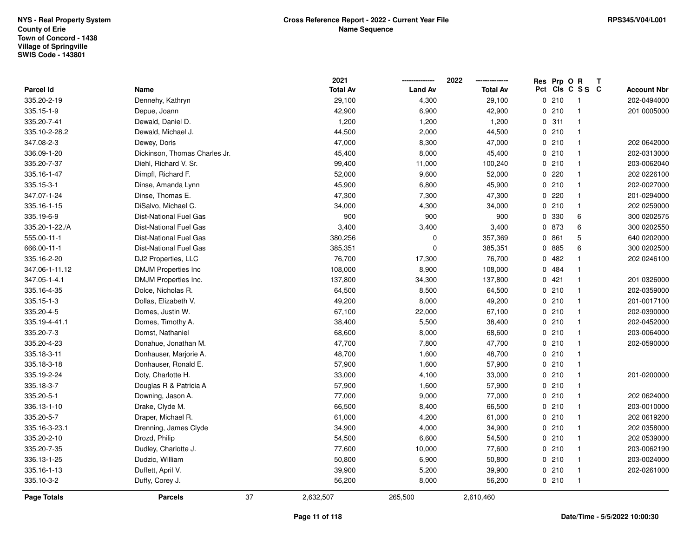|                |                               |    | 2021            |                | 2022            |     | Res Prp O R |              | T |                    |
|----------------|-------------------------------|----|-----------------|----------------|-----------------|-----|-------------|--------------|---|--------------------|
| Parcel Id      | Name                          |    | <b>Total Av</b> | <b>Land Av</b> | <b>Total Av</b> | Pct |             | CIs C S S C  |   | <b>Account Nbr</b> |
| 335.20-2-19    | Dennehy, Kathryn              |    | 29,100          | 4,300          | 29,100          |     | 0210        | -1           |   | 202-0494000        |
| 335.15-1-9     | Depue, Joann                  |    | 42,900          | 6,900          | 42,900          |     | 0210        | $\mathbf{1}$ |   | 201 0005000        |
| 335.20-7-41    | Dewald, Daniel D.             |    | 1,200           | 1,200          | 1,200           |     | 0.311       | $\mathbf{1}$ |   |                    |
| 335.10-2-28.2  | Dewald, Michael J.            |    | 44,500          | 2,000          | 44,500          |     | 0210        | $\mathbf{1}$ |   |                    |
| 347.08-2-3     | Dewey, Doris                  |    | 47,000          | 8,300          | 47,000          |     | 0210        | $\mathbf{1}$ |   | 202 0642000        |
| 336.09-1-20    | Dickinson, Thomas Charles Jr. |    | 45,400          | 8,000          | 45,400          |     | 0210        | $\mathbf{1}$ |   | 202-0313000        |
| 335.20-7-37    | Diehl, Richard V. Sr.         |    | 99,400          | 11,000         | 100,240         |     | 0210        | $\mathbf{1}$ |   | 203-0062040        |
| 335.16-1-47    | Dimpfl, Richard F.            |    | 52,000          | 9,600          | 52,000          |     | 0.220       | $\mathbf{1}$ |   | 202 0226100        |
| 335.15-3-1     | Dinse, Amanda Lynn            |    | 45,900          | 6,800          | 45,900          |     | 0210        | $\mathbf{1}$ |   | 202-0027000        |
| 347.07-1-24    | Dinse, Thomas E.              |    | 47,300          | 7,300          | 47,300          |     | 0.220       | $\mathbf{1}$ |   | 201-0294000        |
| 335.16-1-15    | DiSalvo, Michael C.           |    | 34,000          | 4,300          | 34,000          |     | 0210        | $\mathbf{1}$ |   | 202 0259000        |
| 335.19-6-9     | <b>Dist-National Fuel Gas</b> |    | 900             | 900            | 900             |     | 0 330       | 6            |   | 300 0202575        |
| 335.20-1-22./A | <b>Dist-National Fuel Gas</b> |    | 3,400           | 3,400          | 3,400           |     | 0 873       | 6            |   | 300 0202550        |
| 555.00-11-1    | <b>Dist-National Fuel Gas</b> |    | 380,256         | 0              | 357,369         |     | 0861        | 5            |   | 640 0202000        |
| 666.00-11-1    | <b>Dist-National Fuel Gas</b> |    | 385,351         | 0              | 385,351         |     | 0 885       | 6            |   | 300 0202500        |
| 335.16-2-20    | DJ2 Properties, LLC           |    | 76,700          | 17,300         | 76,700          |     | 0.482       | $\mathbf{1}$ |   | 202 0246100        |
| 347.06-1-11.12 | <b>DMJM Properties Inc</b>    |    | 108,000         | 8,900          | 108,000         |     | 0 484       | $\mathbf{1}$ |   |                    |
| 347.05-1-4.1   | DMJM Properties Inc.          |    | 137,800         | 34,300         | 137,800         |     | 0421        | $\mathbf{1}$ |   | 201 0326000        |
| 335.16-4-35    | Dolce, Nicholas R.            |    | 64,500          | 8,500          | 64,500          |     | 0210        | $\mathbf{1}$ |   | 202-0359000        |
| 335.15-1-3     | Dollas, Elizabeth V.          |    | 49,200          | 8,000          | 49,200          |     | 0210        | $\mathbf{1}$ |   | 201-0017100        |
| 335.20-4-5     | Domes, Justin W.              |    | 67,100          | 22,000         | 67,100          |     | 0210        | $\mathbf 1$  |   | 202-0390000        |
| 335.19-4-41.1  | Domes, Timothy A.             |    | 38,400          | 5,500          | 38,400          |     | 0210        | $\mathbf{1}$ |   | 202-0452000        |
| 335.20-7-3     | Domst, Nathaniel              |    | 68,600          | 8,000          | 68,600          |     | 0210        | $\mathbf{1}$ |   | 203-0064000        |
| 335.20-4-23    | Donahue, Jonathan M.          |    | 47,700          | 7,800          | 47,700          |     | 0210        | $\mathbf{1}$ |   | 202-0590000        |
| 335.18-3-11    | Donhauser, Marjorie A.        |    | 48,700          | 1,600          | 48,700          |     | 0210        | $\mathbf{1}$ |   |                    |
| 335.18-3-18    | Donhauser, Ronald E.          |    | 57,900          | 1,600          | 57,900          |     | 0210        | $\mathbf{1}$ |   |                    |
| 335.19-2-24    | Doty, Charlotte H.            |    | 33,000          | 4,100          | 33,000          |     | 0210        | $\mathbf{1}$ |   | 201-0200000        |
| 335.18-3-7     | Douglas R & Patricia A        |    | 57,900          | 1,600          | 57,900          |     | 0210        | $\mathbf 1$  |   |                    |
| 335.20-5-1     | Downing, Jason A.             |    | 77,000          | 9,000          | 77,000          |     | 0210        | $\mathbf{1}$ |   | 202 0624000        |
| 336.13-1-10    | Drake, Clyde M.               |    | 66,500          | 8,400          | 66,500          |     | 0210        | $\mathbf{1}$ |   | 203-0010000        |
| 335.20-5-7     | Draper, Michael R.            |    | 61,000          | 4,200          | 61,000          |     | 0210        | $\mathbf{1}$ |   | 202 0619200        |
| 335.16-3-23.1  | Drenning, James Clyde         |    | 34,900          | 4,000          | 34,900          |     | 0210        | $\mathbf{1}$ |   | 202 0358000        |
| 335.20-2-10    | Drozd, Philip                 |    | 54,500          | 6,600          | 54,500          |     | 0210        | $\mathbf{1}$ |   | 202 0539000        |
| 335.20-7-35    | Dudley, Charlotte J.          |    | 77,600          | 10,000         | 77,600          |     | 0210        | $\mathbf{1}$ |   | 203-0062190        |
| 336.13-1-25    | Dudzic, William               |    | 50,800          | 6,900          | 50,800          |     | 0210        | $\mathbf{1}$ |   | 203-0024000        |
| 335.16-1-13    | Duffett, April V.             |    | 39,900          | 5,200          | 39,900          |     | 0210        | $\mathbf{1}$ |   | 202-0261000        |
| 335.10-3-2     | Duffy, Corey J.               |    | 56,200          | 8,000          | 56,200          |     | 0210        | $\mathbf{1}$ |   |                    |
| Page Totals    | <b>Parcels</b>                | 37 | 2,632,507       | 265,500        | 2,610,460       |     |             |              |   |                    |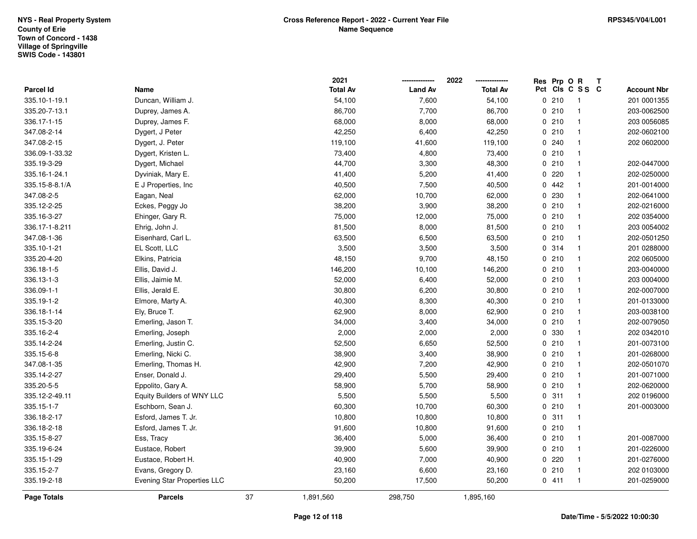|                  |                             |    | 2021            |                | 2022            | Res Prp O R |                 | Т |                    |
|------------------|-----------------------------|----|-----------------|----------------|-----------------|-------------|-----------------|---|--------------------|
| <b>Parcel Id</b> | Name                        |    | <b>Total Av</b> | <b>Land Av</b> | <b>Total Av</b> |             | Pct Cls C S S C |   | <b>Account Nbr</b> |
| 335.10-1-19.1    | Duncan, William J.          |    | 54,100          | 7,600          | 54,100          | 0210        | $\overline{1}$  |   | 201 0001355        |
| 335.20-7-13.1    | Duprey, James A.            |    | 86,700          | 7,700          | 86,700          | 0210        | $\mathbf{1}$    |   | 203-0062500        |
| 336.17-1-15      | Duprey, James F.            |    | 68,000          | 8,000          | 68,000          | 0210        | $\overline{1}$  |   | 203 0056085        |
| 347.08-2-14      | Dygert, J Peter             |    | 42,250          | 6,400          | 42,250          | 0210        | $\mathbf{1}$    |   | 202-0602100        |
| 347.08-2-15      | Dygert, J. Peter            |    | 119,100         | 41,600         | 119,100         | 0.240       | $\mathbf{1}$    |   | 202 0602000        |
| 336.09-1-33.32   | Dygert, Kristen L.          |    | 73,400          | 4,800          | 73,400          | 0210        | $\mathbf{1}$    |   |                    |
| 335.19-3-29      | Dygert, Michael             |    | 44,700          | 3,300          | 48,300          | 0210        | $\mathbf{1}$    |   | 202-0447000        |
| 335.16-1-24.1    | Dyviniak, Mary E.           |    | 41,400          | 5,200          | 41,400          | 0.220       | $\mathbf{1}$    |   | 202-0250000        |
| 335.15-8-8.1/A   | E J Properties, Inc         |    | 40,500          | 7,500          | 40,500          | 0.442       | $\mathbf{1}$    |   | 201-0014000        |
| 347.08-2-5       | Eagan, Neal                 |    | 62,000          | 10,700         | 62,000          | 0 230       | $\mathbf{1}$    |   | 202-0641000        |
| 335.12-2-25      | Eckes, Peggy Jo             |    | 38,200          | 3,900          | 38,200          | 0210        | $\mathbf{1}$    |   | 202-0216000        |
| 335.16-3-27      | Ehinger, Gary R.            |    | 75,000          | 12,000         | 75,000          | 0210        | $\overline{1}$  |   | 202 0354000        |
| 336.17-1-8.211   | Ehrig, John J.              |    | 81,500          | 8,000          | 81,500          | 0210        | $\mathbf{1}$    |   | 203 0054002        |
| 347.08-1-36      | Eisenhard, Carl L.          |    | 63,500          | 6,500          | 63,500          | 0210        | $\mathbf{1}$    |   | 202-0501250        |
| 335.10-1-21      | EL Scott, LLC               |    | 3,500           | 3,500          | 3,500           | 0 314       | $\mathbf{1}$    |   | 201 0288000        |
| 335.20-4-20      | Elkins, Patricia            |    | 48,150          | 9,700          | 48,150          | 0210        | $\mathbf{1}$    |   | 202 0605000        |
| 336.18-1-5       | Ellis, David J.             |    | 146,200         | 10,100         | 146,200         | 0210        | $\mathbf{1}$    |   | 203-0040000        |
| 336.13-1-3       | Ellis, Jaimie M.            |    | 52,000          | 6,400          | 52,000          | 0210        | $\mathbf{1}$    |   | 203 0004000        |
| 336.09-1-1       | Ellis, Jerald E.            |    | 30,800          | 6,200          | 30,800          | 0210        | $\mathbf{1}$    |   | 202-0007000        |
| 335.19-1-2       | Elmore, Marty A.            |    | 40,300          | 8,300          | 40,300          | 0210        | $\mathbf{1}$    |   | 201-0133000        |
| 336.18-1-14      | Ely, Bruce T.               |    | 62,900          | 8,000          | 62,900          | 0210        | $\mathbf{1}$    |   | 203-0038100        |
| 335.15-3-20      | Emerling, Jason T.          |    | 34,000          | 3,400          | 34,000          | 0210        | $\mathbf{1}$    |   | 202-0079050        |
| 335.16-2-4       | Emerling, Joseph            |    | 2,000           | 2,000          | 2,000           | 0 330       | $\mathbf{1}$    |   | 202 0342010        |
| 335.14-2-24      | Emerling, Justin C.         |    | 52,500          | 6,650          | 52,500          | 0210        | $\mathbf{1}$    |   | 201-0073100        |
| 335.15-6-8       | Emerling, Nicki C.          |    | 38,900          | 3,400          | 38,900          | 0210        | $\mathbf{1}$    |   | 201-0268000        |
| 347.08-1-35      | Emerling, Thomas H.         |    | 42,900          | 7,200          | 42,900          | 0210        | $\mathbf{1}$    |   | 202-0501070        |
| 335.14-2-27      | Enser, Donald J.            |    | 29,400          | 5,500          | 29,400          | 0210        | $\mathbf{1}$    |   | 201-0071000        |
| 335.20-5-5       | Eppolito, Gary A.           |    | 58,900          | 5,700          | 58,900          | 0210        | $\mathbf{1}$    |   | 202-0620000        |
| 335.12-2-49.11   | Equity Builders of WNY LLC  |    | 5,500           | 5,500          | 5,500           | 0.311       | $\mathbf{1}$    |   | 202 0196000        |
| 335.15-1-7       | Eschborn, Sean J.           |    | 60,300          | 10,700         | 60,300          | 0210        | $\mathbf{1}$    |   | 201-0003000        |
| 336.18-2-17      | Esford, James T. Jr.        |    | 10,800          | 10,800         | 10,800          | 0.311       | $\mathbf{1}$    |   |                    |
| 336.18-2-18      | Esford, James T. Jr.        |    | 91,600          | 10,800         | 91,600          | 0210        | $\mathbf{1}$    |   |                    |
| 335.15-8-27      | Ess, Tracy                  |    | 36,400          | 5,000          | 36,400          | 0210        | $\mathbf{1}$    |   | 201-0087000        |
| 335.19-6-24      | Eustace, Robert             |    | 39,900          | 5,600          | 39,900          | 0210        | $\mathbf{1}$    |   | 201-0226000        |
| 335.15-1-29      | Eustace, Robert H.          |    | 40,900          | 7,000          | 40,900          | 0.220       | $\mathbf{1}$    |   | 201-0276000        |
| 335.15-2-7       | Evans, Gregory D.           |    | 23,160          | 6,600          | 23,160          | 0210        | $\mathbf{1}$    |   | 202 0103000        |
| 335.19-2-18      | Evening Star Properties LLC |    | 50,200          | 17,500         | 50,200          | 0411        | $\overline{1}$  |   | 201-0259000        |
| Page Totals      | <b>Parcels</b>              | 37 | 1,891,560       | 298,750        | 1,895,160       |             |                 |   |                    |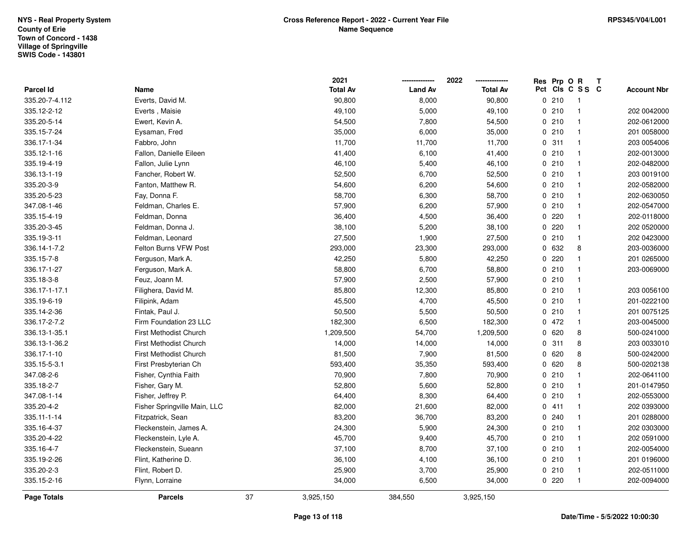|                    |                               |    | 2021            | -------------- | 2022<br>-------------- | Res Prp O R |                 | Т |                    |
|--------------------|-------------------------------|----|-----------------|----------------|------------------------|-------------|-----------------|---|--------------------|
| Parcel Id          | Name                          |    | <b>Total Av</b> | <b>Land Av</b> | <b>Total Av</b>        |             | Pct Cls C S S C |   | <b>Account Nbr</b> |
| 335.20-7-4.112     | Everts, David M.              |    | 90,800          | 8,000          | 90,800                 | 0210        | $\overline{1}$  |   |                    |
| 335.12-2-12        | Everts, Maisie                |    | 49,100          | 5,000          | 49,100                 | 0210        | $\mathbf{1}$    |   | 202 0042000        |
| 335.20-5-14        | Ewert, Kevin A.               |    | 54,500          | 7,800          | 54,500                 | 0210        | $\mathbf{1}$    |   | 202-0612000        |
| 335.15-7-24        | Eysaman, Fred                 |    | 35,000          | 6,000          | 35,000                 | 0210        | $\mathbf{1}$    |   | 201 0058000        |
| 336.17-1-34        | Fabbro, John                  |    | 11,700          | 11,700         | 11,700                 | 0.311       | $\mathbf{1}$    |   | 203 0054006        |
| 335.12-1-16        | Fallon, Danielle Eileen       |    | 41,400          | 6,100          | 41,400                 | 0210        | $\mathbf{1}$    |   | 202-0013000        |
| 335.19-4-19        | Fallon, Julie Lynn            |    | 46,100          | 5,400          | 46,100                 | 0210        | $\mathbf{1}$    |   | 202-0482000        |
| 336.13-1-19        | Fancher, Robert W.            |    | 52,500          | 6,700          | 52,500                 | 0210        | $\mathbf{1}$    |   | 203 0019100        |
| 335.20-3-9         | Fanton, Matthew R.            |    | 54,600          | 6,200          | 54,600                 | 0210        | $\mathbf{1}$    |   | 202-0582000        |
| 335.20-5-23        | Fay, Donna F.                 |    | 58,700          | 6,300          | 58,700                 | 0210        | $\mathbf{1}$    |   | 202-0630050        |
| 347.08-1-46        | Feldman, Charles E.           |    | 57,900          | 6,200          | 57,900                 | 0210        | $\mathbf{1}$    |   | 202-0547000        |
| 335.15-4-19        | Feldman, Donna                |    | 36,400          | 4,500          | 36,400                 | 0.220       | $\mathbf{1}$    |   | 202-0118000        |
| 335.20-3-45        | Feldman, Donna J.             |    | 38,100          | 5,200          | 38,100                 | 0.220       | $\mathbf{1}$    |   | 202 0520000        |
| 335.19-3-11        | Feldman, Leonard              |    | 27,500          | 1,900          | 27,500                 | 0210        | $\mathbf{1}$    |   | 202 0423000        |
| 336.14-1-7.2       | Felton Burns VFW Post         |    | 293,000         | 23,300         | 293,000                | 0 632       | 8               |   | 203-0036000        |
| 335.15-7-8         | Ferguson, Mark A.             |    | 42,250          | 5,800          | 42,250                 | 0.220       | $\mathbf{1}$    |   | 201 0265000        |
| 336.17-1-27        | Ferguson, Mark A.             |    | 58,800          | 6,700          | 58,800                 | 0210        | $\mathbf{1}$    |   | 203-0069000        |
| 335.18-3-8         | Feuz, Joann M.                |    | 57,900          | 2,500          | 57,900                 | 0210        | $\overline{1}$  |   |                    |
| 336.17-1-17.1      | Filighera, David M.           |    | 85,800          | 12,300         | 85,800                 | 0210        | $\overline{1}$  |   | 203 0056100        |
| 335.19-6-19        | Filipink, Adam                |    | 45,500          | 4,700          | 45,500                 | 0210        | $\mathbf{1}$    |   | 201-0222100        |
| 335.14-2-36        | Fintak, Paul J.               |    | 50,500          | 5,500          | 50,500                 | 0210        | $\mathbf{1}$    |   | 201 0075125        |
| 336.17-2-7.2       | Firm Foundation 23 LLC        |    | 182,300         | 6,500          | 182,300                | 0472        | $\mathbf{1}$    |   | 203-0045000        |
| 336.13-1-35.1      | First Methodist Church        |    | 1,209,500       | 54,700         | 1,209,500              | 0620        | 8               |   | 500-0241000        |
| 336.13-1-36.2      | <b>First Methodist Church</b> |    | 14,000          | 14,000         | 14,000                 | 0.311       | 8               |   | 203 0033010        |
| 336.17-1-10        | First Methodist Church        |    | 81,500          | 7,900          | 81,500                 | 0620        | 8               |   | 500-0242000        |
| 335.15-5-3.1       | First Presbyterian Ch         |    | 593,400         | 35,350         | 593,400                | 0 620       | 8               |   | 500-0202138        |
| 347.08-2-6         | Fisher, Cynthia Faith         |    | 70,900          | 7,800          | 70,900                 | 0210        | $\mathbf{1}$    |   | 202-0641100        |
| 335.18-2-7         | Fisher, Gary M.               |    | 52,800          | 5,600          | 52,800                 | 0210        | $\mathbf{1}$    |   | 201-0147950        |
| 347.08-1-14        | Fisher, Jeffrey P.            |    | 64,400          | 8,300          | 64,400                 | 0210        | $\mathbf{1}$    |   | 202-0553000        |
| 335.20-4-2         | Fisher Springville Main, LLC  |    | 82,000          | 21,600         | 82,000                 | 0411        | $\mathbf{1}$    |   | 202 0393000        |
| 335.11-1-14        | Fitzpatrick, Sean             |    | 83,200          | 36,700         | 83,200                 | 0.240       | $\mathbf{1}$    |   | 201 0288000        |
| 335.16-4-37        | Fleckenstein, James A.        |    | 24,300          | 5,900          | 24,300                 | 0210        | $\mathbf{1}$    |   | 202 0303000        |
| 335.20-4-22        | Fleckenstein, Lyle A.         |    | 45,700          | 9,400          | 45,700                 | 0210        | $\mathbf{1}$    |   | 202 0591000        |
| 335.16-4-7         | Fleckenstein, Sueann          |    | 37,100          | 8,700          | 37,100                 | 0210        | $\mathbf{1}$    |   | 202-0054000        |
| 335.19-2-26        | Flint, Katherine D.           |    | 36,100          | 4,100          | 36,100                 | 0210        | $\mathbf{1}$    |   | 201 0196000        |
| 335.20-2-3         | Flint, Robert D.              |    | 25,900          | 3,700          | 25,900                 | 0210        | $\overline{1}$  |   | 202-0511000        |
| 335.15-2-16        | Flynn, Lorraine               |    | 34,000          | 6,500          | 34,000                 | 0220        | $\mathbf{1}$    |   | 202-0094000        |
| <b>Page Totals</b> | <b>Parcels</b>                | 37 | 3,925,150       | 384,550        | 3,925,150              |             |                 |   |                    |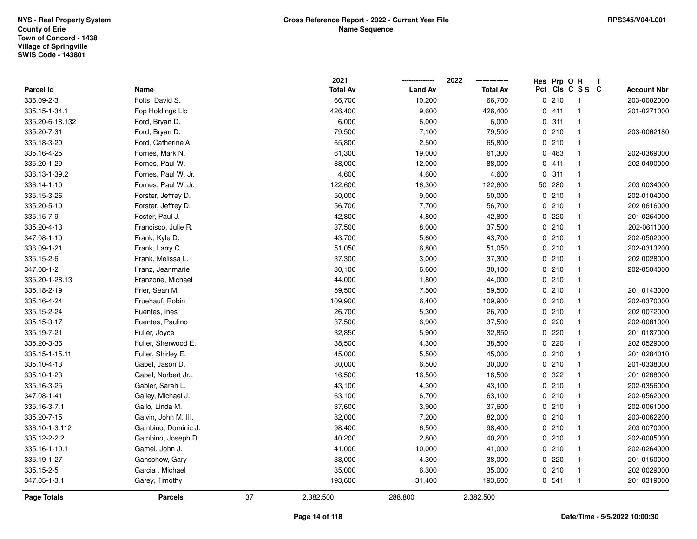|                    |                      |    | 2021            |                | 2022<br>--------------- |     | Res Prp O R |              | Т |                    |
|--------------------|----------------------|----|-----------------|----------------|-------------------------|-----|-------------|--------------|---|--------------------|
| Parcel Id          | Name                 |    | <b>Total Av</b> | <b>Land Av</b> | <b>Total Av</b>         | Pct |             | CIS C S S C  |   | <b>Account Nbr</b> |
| 336.09-2-3         | Folts, David S.      |    | 66,700          | 10,200         | 66,700                  |     | 0210        | $\mathbf{1}$ |   | 203-0002000        |
| 335.15-1-34.1      | Fop Holdings Llc     |    | 426,400         | 9,600          | 426,400                 |     | 0411        | $\mathbf{1}$ |   | 201-0271000        |
| 335.20-6-18.132    | Ford, Bryan D.       |    | 6,000           | 6,000          | 6,000                   |     | 0.311       | $\mathbf{1}$ |   |                    |
| 335.20-7-31        | Ford, Bryan D.       |    | 79,500          | 7,100          | 79,500                  |     | 0210        | $\mathbf{1}$ |   | 203-0062180        |
| 335.18-3-20        | Ford, Catherine A.   |    | 65,800          | 2,500          | 65,800                  |     | 0210        | $\mathbf{1}$ |   |                    |
| 335.16-4-25        | Fornes, Mark N.      |    | 61,300          | 19,000         | 61,300                  |     | 0 483       | $\mathbf{1}$ |   | 202-0369000        |
| 335.20-1-29        | Fornes, Paul W.      |    | 88,000          | 12,000         | 88,000                  |     | 0411        | $\mathbf{1}$ |   | 202 0490000        |
| 336.13-1-39.2      | Fornes, Paul W. Jr.  |    | 4,600           | 4,600          | 4,600                   |     | 0.311       | $\mathbf{1}$ |   |                    |
| 336.14-1-10        | Fornes, Paul W. Jr.  |    | 122,600         | 16,300         | 122,600                 |     | 50 280      | $\mathbf{1}$ |   | 203 0034000        |
| 335.15-3-26        | Forster, Jeffrey D.  |    | 50,000          | 9,000          | 50,000                  |     | 0210        | $\mathbf{1}$ |   | 202-0104000        |
| 335.20-5-10        | Forster, Jeffrey D.  |    | 56,700          | 7,700          | 56,700                  |     | 0210        | $\mathbf{1}$ |   | 202 0616000        |
| 335.15-7-9         | Foster, Paul J.      |    | 42,800          | 4,800          | 42,800                  |     | 0.220       | $\mathbf{1}$ |   | 201 0264000        |
| 335.20-4-13        | Francisco, Julie R.  |    | 37,500          | 8,000          | 37,500                  |     | 0210        | $\mathbf{1}$ |   | 202-0611000        |
| 347.08-1-10        | Frank, Kyle D.       |    | 43,700          | 5,600          | 43,700                  |     | 0210        | $\mathbf 1$  |   | 202-0502000        |
| 336.09-1-21        | Frank, Larry C.      |    | 51,050          | 6,800          | 51,050                  |     | 0210        | $\mathbf{1}$ |   | 202-0313200        |
| 335.15-2-6         | Frank, Melissa L.    |    | 37,300          | 3,000          | 37,300                  |     | 0210        | $\mathbf{1}$ |   | 202 0028000        |
| 347.08-1-2         | Franz, Jeanmarie     |    | 30,100          | 6,600          | 30,100                  |     | 0210        | $\mathbf{1}$ |   | 202-0504000        |
| 335.20-1-28.13     | Franzone, Michael    |    | 44,000          | 1,800          | 44,000                  |     | 0210        | $\mathbf{1}$ |   |                    |
| 335.18-2-19        | Frier, Sean M.       |    | 59,500          | 7,500          | 59,500                  |     | 0210        | $\mathbf{1}$ |   | 201 0143000        |
| 335.16-4-24        | Fruehauf, Robin      |    | 109,900         | 6,400          | 109,900                 |     | 0210        | $\mathbf{1}$ |   | 202-0370000        |
| 335.15-2-24        | Fuentes, Ines        |    | 26,700          | 5,300          | 26,700                  |     | 0210        | $\mathbf{1}$ |   | 202 0072000        |
| 335.15-3-17        | Fuentes, Paulino     |    | 37,500          | 6,900          | 37,500                  |     | $0$ 220     | $\mathbf{1}$ |   | 202-0081000        |
| 335.19-7-21        | Fuller, Joyce        |    | 32,850          | 5,900          | 32,850                  |     | 0220        | $\mathbf{1}$ |   | 201 0187000        |
| 335.20-3-36        | Fuller, Sherwood E.  |    | 38,500          | 4,300          | 38,500                  |     | 0220        | $\mathbf{1}$ |   | 202 0529000        |
| 335.15-1-15.11     | Fuller, Shirley E.   |    | 45,000          | 5,500          | 45,000                  |     | 0210        | $\mathbf{1}$ |   | 201 0284010        |
| 335.10-4-13        | Gabel, Jason D.      |    | 30,000          | 6,500          | 30,000                  |     | 0210        | $\mathbf{1}$ |   | 201-0338000        |
| 335.10-1-23        | Gabel, Norbert Jr    |    | 16,500          | 16,500         | 16,500                  |     | 0.322       | $\mathbf{1}$ |   | 201 0288000        |
| 335.16-3-25        | Gabler, Sarah L.     |    | 43,100          | 4,300          | 43,100                  |     | 0210        | $\mathbf{1}$ |   | 202-0356000        |
| 347.08-1-41        | Galley, Michael J.   |    | 63,100          | 6,700          | 63,100                  |     | 0210        | $\mathbf{1}$ |   | 202-0562000        |
| 335.16-3-7.1       | Gallo, Linda M.      |    | 37,600          | 3,900          | 37,600                  |     | 0210        | $\mathbf{1}$ |   | 202-0061000        |
| 335.20-7-15        | Galvin, John M. III. |    | 82,000          | 7,200          | 82,000                  |     | 0210        | $\mathbf{1}$ |   | 203-0062200        |
| 336.10-1-3.112     | Gambino, Dominic J.  |    | 98,400          | 6,500          | 98,400                  |     | 0210        | $\mathbf{1}$ |   | 203 0070000        |
| 335.12-2-2.2       | Gambino, Joseph D.   |    | 40,200          | 2,800          | 40,200                  |     | 0210        | $\mathbf{1}$ |   | 202-0005000        |
| 335.16-1-10.1      | Gamel, John J.       |    | 41,000          | 10,000         | 41,000                  |     | 0210        | $\mathbf{1}$ |   | 202-0264000        |
| 335.19-1-27        | Ganschow, Gary       |    | 38,000          | 4,300          | 38,000                  |     | 0.220       | $\mathbf{1}$ |   | 201 0150000        |
| 335.15-2-5         | Garcia, Michael      |    | 35,000          | 6,300          | 35,000                  |     | 0210        | $\mathbf{1}$ |   | 202 0029000        |
| 347.05-1-3.1       | Garey, Timothy       |    | 193,600         | 31,400         | 193,600                 |     | 0.541       | $\mathbf{1}$ |   | 201 0319000        |
| <b>Page Totals</b> | <b>Parcels</b>       | 37 | 2,382,500       | 288,800        | 2,382,500               |     |             |              |   |                    |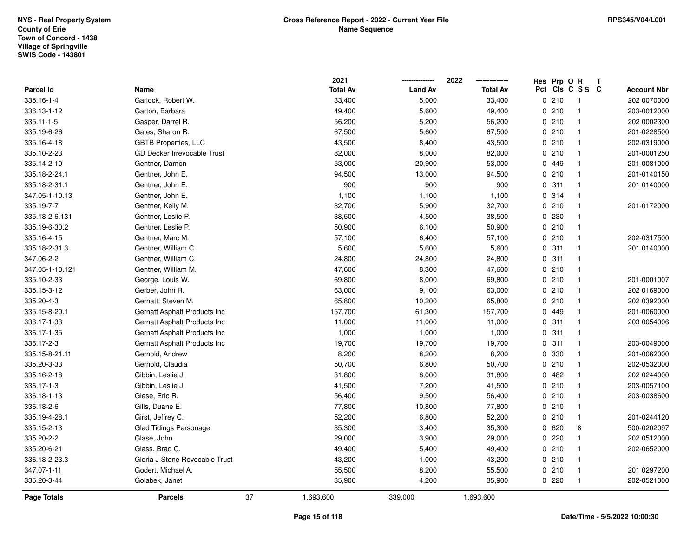|                 |                                    |    | 2021            |                | 2022            | Res Prp O R |                 | Т |                    |
|-----------------|------------------------------------|----|-----------------|----------------|-----------------|-------------|-----------------|---|--------------------|
| Parcel Id       | Name                               |    | <b>Total Av</b> | <b>Land Av</b> | <b>Total Av</b> |             | Pct Cls C S S C |   | <b>Account Nbr</b> |
| 335.16-1-4      | Garlock, Robert W.                 |    | 33,400          | 5,000          | 33,400          | 0210        | $\overline{1}$  |   | 202 0070000        |
| 336.13-1-12     | Garton, Barbara                    |    | 49,400          | 5,600          | 49,400          | 0210        | $\overline{1}$  |   | 203-0012000        |
| 335.11-1-5      | Gasper, Darrel R.                  |    | 56,200          | 5,200          | 56,200          | 0210        | $\mathbf{1}$    |   | 202 0002300        |
| 335.19-6-26     | Gates, Sharon R.                   |    | 67,500          | 5,600          | 67,500          | 0210        | $\mathbf{1}$    |   | 201-0228500        |
| 335.16-4-18     | <b>GBTB Properties, LLC</b>        |    | 43,500          | 8,400          | 43,500          | 0210        | $\mathbf{1}$    |   | 202-0319000        |
| 335.10-2-23     | <b>GD Decker Irrevocable Trust</b> |    | 82,000          | 8,000          | 82,000          | 0210        | $\mathbf{1}$    |   | 201-0001250        |
| 335.14-2-10     | Gentner, Damon                     |    | 53,000          | 20,900         | 53,000          | 0 449       | $\mathbf{1}$    |   | 201-0081000        |
| 335.18-2-24.1   | Gentner, John E.                   |    | 94,500          | 13,000         | 94,500          | 0210        | $\mathbf{1}$    |   | 201-0140150        |
| 335.18-2-31.1   | Gentner, John E.                   |    | 900             | 900            | 900             | 0.311       | $\mathbf{1}$    |   | 201 0140000        |
| 347.05-1-10.13  | Gentner, John E.                   |    | 1,100           | 1,100          | 1,100           | 0.314       | $\mathbf{1}$    |   |                    |
| 335.19-7-7      | Gentner, Kelly M.                  |    | 32,700          | 5,900          | 32,700          | 0210        | $\mathbf{1}$    |   | 201-0172000        |
| 335.18-2-6.131  | Gentner, Leslie P.                 |    | 38,500          | 4,500          | 38,500          | 0 230       |                 |   |                    |
| 335.19-6-30.2   | Gentner, Leslie P.                 |    | 50,900          | 6,100          | 50,900          | 0210        | $\mathbf{1}$    |   |                    |
| 335.16-4-15     | Gentner, Marc M.                   |    | 57,100          | 6,400          | 57,100          | 0210        | $\mathbf{1}$    |   | 202-0317500        |
| 335.18-2-31.3   | Gentner, William C.                |    | 5,600           | 5,600          | 5,600           | 0.311       | $\mathbf{1}$    |   | 201 0140000        |
| 347.06-2-2      | Gentner, William C.                |    | 24,800          | 24,800         | 24,800          | 0.311       | $\mathbf{1}$    |   |                    |
| 347.05-1-10.121 | Gentner, William M.                |    | 47,600          | 8,300          | 47,600          | 0210        | $\mathbf{1}$    |   |                    |
| 335.10-2-33     | George, Louis W.                   |    | 69,800          | 8,000          | 69,800          | 0210        | $\mathbf{1}$    |   | 201-0001007        |
| 335.15-3-12     | Gerber, John R.                    |    | 63,000          | 9,100          | 63,000          | 0210        | $\mathbf{1}$    |   | 202 0169000        |
| 335.20-4-3      | Gernatt, Steven M.                 |    | 65,800          | 10,200         | 65,800          | 0210        | $\mathbf{1}$    |   | 202 0392000        |
| 335.15-8-20.1   | Gernatt Asphalt Products Inc       |    | 157,700         | 61,300         | 157,700         | 0 449       | $\mathbf{1}$    |   | 201-0060000        |
| 336.17-1-33     | Gernatt Asphalt Products Inc       |    | 11,000          | 11,000         | 11,000          | 0.311       | $\mathbf{1}$    |   | 203 0054006        |
| 336.17-1-35     | Gernatt Asphalt Products Inc       |    | 1,000           | 1,000          | 1,000           | 0.311       | $\mathbf{1}$    |   |                    |
| 336.17-2-3      | Gernatt Asphalt Products Inc       |    | 19,700          | 19,700         | 19,700          | 0.311       | $\mathbf{1}$    |   | 203-0049000        |
| 335.15-8-21.11  | Gernold, Andrew                    |    | 8,200           | 8,200          | 8,200           | 0 330       | $\overline{1}$  |   | 201-0062000        |
| 335.20-3-33     | Gernold, Claudia                   |    | 50,700          | 6,800          | 50,700          | 0210        | $\mathbf{1}$    |   | 202-0532000        |
| 335.16-2-18     | Gibbin, Leslie J.                  |    | 31,800          | 8,000          | 31,800          | 0.482       | 1               |   | 202 0244000        |
| 336.17-1-3      | Gibbin, Leslie J.                  |    | 41,500          | 7,200          | 41,500          | 0210        | $\mathbf{1}$    |   | 203-0057100        |
| 336.18-1-13     | Giese, Eric R.                     |    | 56,400          | 9,500          | 56,400          | 0210        | $\mathbf{1}$    |   | 203-0038600        |
| 336.18-2-6      | Gills, Duane E.                    |    | 77,800          | 10,800         | 77,800          | 0210        | $\mathbf{1}$    |   |                    |
| 335.19-4-28.1   | Girst, Jeffrey C.                  |    | 52,200          | 6,800          | 52,200          | 0210        | $\mathbf{1}$    |   | 201-0244120        |
| 335.15-2-13     | <b>Glad Tidings Parsonage</b>      |    | 35,300          | 3,400          | 35,300          | 0620        | 8               |   | 500-0202097        |
| 335.20-2-2      | Glase, John                        |    | 29,000          | 3,900          | 29,000          | 0220        | $\mathbf{1}$    |   | 202 0512000        |
| 335.20-6-21     | Glass, Brad C.                     |    | 49,400          | 5,400          | 49,400          | 0210        | $\mathbf{1}$    |   | 202-0652000        |
| 336.18-2-23.3   | Gloria J Stone Revocable Trust     |    | 43,200          | 1,000          | 43,200          | 0210        | $\mathbf{1}$    |   |                    |
| 347.07-1-11     | Godert, Michael A.                 |    | 55,500          | 8,200          | 55,500          | 0210        | $\overline{1}$  |   | 201 0297200        |
| 335.20-3-44     | Golabek, Janet                     |    | 35,900          | 4,200          | 35,900          | $0$ 220     | $\mathbf{1}$    |   | 202-0521000        |
| Page Totals     | <b>Parcels</b>                     | 37 | 1,693,600       | 339,000        | 1,693,600       |             |                 |   |                    |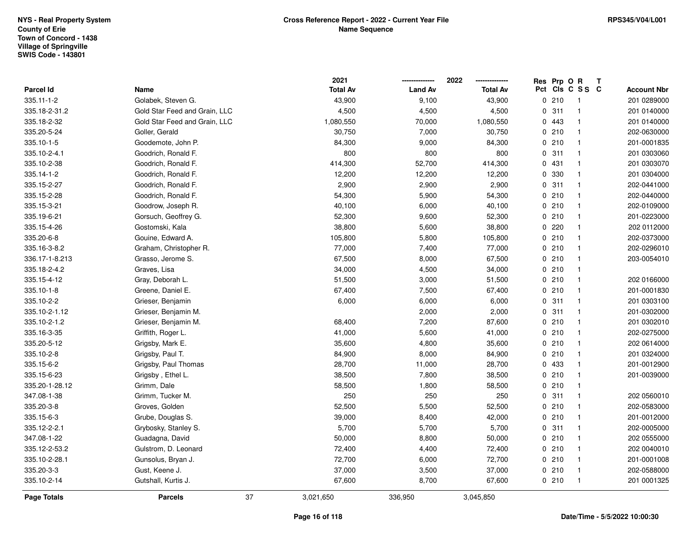|                |                               |                 | 2021            |                | 2022            | Res Prp O R |                 | Т |                    |
|----------------|-------------------------------|-----------------|-----------------|----------------|-----------------|-------------|-----------------|---|--------------------|
| Parcel Id      | Name                          |                 | <b>Total Av</b> | <b>Land Av</b> | <b>Total Av</b> |             | Pct Cls C S S C |   | <b>Account Nbr</b> |
| 335.11-1-2     | Golabek, Steven G.            |                 | 43,900          | 9,100          | 43,900          | 0210        | $\overline{1}$  |   | 201 0289000        |
| 335.18-2-31.2  | Gold Star Feed and Grain, LLC |                 | 4,500           | 4,500          | 4,500           | 0.311       | $\mathbf{1}$    |   | 201 0140000        |
| 335.18-2-32    | Gold Star Feed and Grain, LLC |                 | 1,080,550       | 70,000         | 1,080,550       | 0 443       | $\mathbf{1}$    |   | 201 0140000        |
| 335.20-5-24    | Goller, Gerald                |                 | 30,750          | 7,000          | 30,750          | 0210        | $\mathbf{1}$    |   | 202-0630000        |
| 335.10-1-5     | Goodemote, John P.            |                 | 84,300          | 9,000          | 84,300          | 0210        | $\mathbf{1}$    |   | 201-0001835        |
| 335.10-2-4.1   | Goodrich, Ronald F.           |                 | 800             | 800            | 800             | 0.311       | $\overline{1}$  |   | 201 0303060        |
| 335.10-2-38    | Goodrich, Ronald F.           |                 | 414,300         | 52,700         | 414,300         | 0431        | $\mathbf{1}$    |   | 201 0303070        |
| 335.14-1-2     | Goodrich, Ronald F.           |                 | 12,200          | 12,200         | 12,200          | 0 330       | $\mathbf{1}$    |   | 201 0304000        |
| 335.15-2-27    | Goodrich, Ronald F.           |                 | 2,900           | 2,900          | 2,900           | 0.311       | $\mathbf{1}$    |   | 202-0441000        |
| 335.15-2-28    | Goodrich, Ronald F.           |                 | 54,300          | 5,900          | 54,300          | 0210        | $\mathbf{1}$    |   | 202-0440000        |
| 335.15-3-21    | Goodrow, Joseph R.            |                 | 40,100          | 6,000          | 40,100          | 0210        | $\overline{1}$  |   | 202-0109000        |
| 335.19-6-21    | Gorsuch, Geoffrey G.          |                 | 52,300          | 9,600          | 52,300          | 0210        | $\overline{1}$  |   | 201-0223000        |
| 335.15-4-26    | Gostomski, Kala               |                 | 38,800          | 5,600          | 38,800          | 0.220       | $\mathbf{1}$    |   | 202 0112000        |
| 335.20-6-8     | Gouine, Edward A.             |                 | 105,800         | 5,800          | 105,800         | 0210        | $\mathbf{1}$    |   | 202-0373000        |
| 335.16-3-8.2   | Graham, Christopher R.        |                 | 77,000          | 7,400          | 77,000          | 0210        | $\mathbf{1}$    |   | 202-0296010        |
| 336.17-1-8.213 | Grasso, Jerome S.             |                 | 67,500          | 8,000          | 67,500          | 0210        | $\mathbf{1}$    |   | 203-0054010        |
| 335.18-2-4.2   | Graves, Lisa                  |                 | 34,000          | 4,500          | 34,000          | 0210        | $\mathbf{1}$    |   |                    |
| 335.15-4-12    | Gray, Deborah L.              |                 | 51,500          | 3,000          | 51,500          | 0210        | $\mathbf{1}$    |   | 202 0166000        |
| 335.10-1-8     | Greene, Daniel E.             |                 | 67,400          | 7,500          | 67,400          | 0210        | $\overline{1}$  |   | 201-0001830        |
| 335.10-2-2     | Grieser, Benjamin             |                 | 6,000           | 6,000          | 6,000           | 0.311       | $\overline{1}$  |   | 201 0303100        |
| 335.10-2-1.12  | Grieser, Benjamin M.          |                 |                 | 2,000          | 2,000           | 0.311       | $\mathbf{1}$    |   | 201-0302000        |
| 335.10-2-1.2   | Grieser, Benjamin M.          |                 | 68,400          | 7,200          | 87,600          | 0210        | $\mathbf{1}$    |   | 201 0302010        |
| 335.16-3-35    | Griffith, Roger L.            |                 | 41,000          | 5,600          | 41,000          | 0210        | $\mathbf{1}$    |   | 202-0275000        |
| 335.20-5-12    | Grigsby, Mark E.              |                 | 35,600          | 4,800          | 35,600          | 0210        | $\mathbf{1}$    |   | 202 0614000        |
| 335.10-2-8     | Grigsby, Paul T.              |                 | 84,900          | 8,000          | 84,900          | 0210        | $\mathbf{1}$    |   | 201 0324000        |
| 335.15-6-2     | Grigsby, Paul Thomas          |                 | 28,700          | 11,000         | 28,700          | 0 433       | $\mathbf{1}$    |   | 201-0012900        |
| 335.15-6-23    | Grigsby, Ethel L.             |                 | 38,500          | 7,800          | 38,500          | 0210        | $\mathbf{1}$    |   | 201-0039000        |
| 335.20-1-28.12 | Grimm, Dale                   |                 | 58,500          | 1,800          | 58,500          | 0210        | $\mathbf{1}$    |   |                    |
| 347.08-1-38    | Grimm, Tucker M.              |                 | 250             | 250            | 250             | 0.311       | $\mathbf{1}$    |   | 202 0560010        |
| 335.20-3-8     | Groves, Golden                |                 | 52,500          | 5,500          | 52,500          | 0210        | $\mathbf{1}$    |   | 202-0583000        |
| 335.15-6-3     | Grube, Douglas S.             |                 | 39,000          | 8,400          | 42,000          | 0210        | $\mathbf{1}$    |   | 201-0012000        |
| 335.12-2-2.1   | Grybosky, Stanley S.          |                 | 5,700           | 5,700          | 5,700           | 0.311       | $\mathbf{1}$    |   | 202-0005000        |
| 347.08-1-22    | Guadagna, David               |                 | 50,000          | 8,800          | 50,000          | 0210        | $\mathbf{1}$    |   | 202 0555000        |
| 335.12-2-53.2  | Gulstrom, D. Leonard          |                 | 72,400          | 4,400          | 72,400          | 0210        | $\mathbf{1}$    |   | 202 0040010        |
| 335.10-2-28.1  | Gunsolus, Bryan J.            |                 | 72,700          | 6,000          | 72,700          | 0210        | $\mathbf{1}$    |   | 201-0001008        |
| 335.20-3-3     | Gust, Keene J.                |                 | 37,000          | 3,500          | 37,000          | 0210        | $\overline{1}$  |   | 202-0588000        |
| 335.10-2-14    | Gutshall, Kurtis J.           |                 | 67,600          | 8,700          | 67,600          | 0210        | $\overline{1}$  |   | 201 0001325        |
| Page Totals    | <b>Parcels</b>                | 37<br>3,021,650 |                 | 336,950        | 3,045,850       |             |                 |   |                    |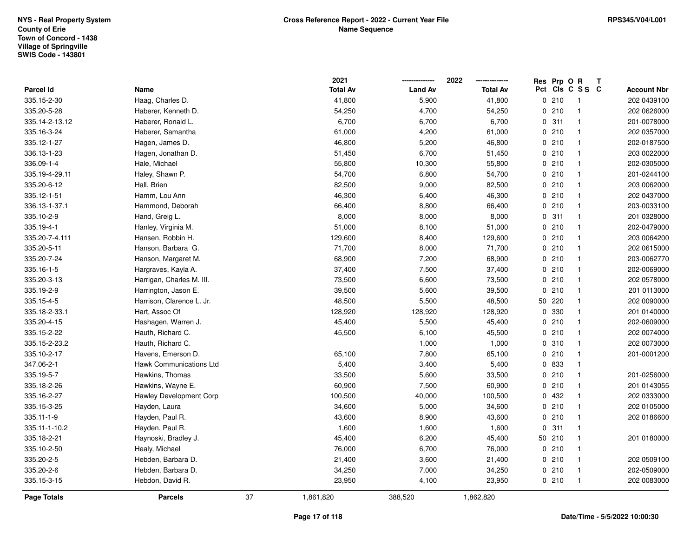|                |                                |    | 2021            |                | 2022            | Res Prp O R |                 | Т |                    |
|----------------|--------------------------------|----|-----------------|----------------|-----------------|-------------|-----------------|---|--------------------|
| Parcel Id      | Name                           |    | <b>Total Av</b> | <b>Land Av</b> | <b>Total Av</b> |             | Pct Cls C S S C |   | <b>Account Nbr</b> |
| 335.15-2-30    | Haag, Charles D.               |    | 41,800          | 5,900          | 41,800          | 0210        | $\overline{1}$  |   | 202 0439100        |
| 335.20-5-28    | Haberer, Kenneth D.            |    | 54,250          | 4,700          | 54,250          | 0210        | $\overline{1}$  |   | 202 0626000        |
| 335.14-2-13.12 | Haberer, Ronald L.             |    | 6,700           | 6,700          | 6,700           | 0.311       | $\mathbf{1}$    |   | 201-0078000        |
| 335.16-3-24    | Haberer, Samantha              |    | 61,000          | 4,200          | 61,000          | 0210        | $\overline{1}$  |   | 202 0357000        |
| 335.12-1-27    | Hagen, James D.                |    | 46,800          | 5,200          | 46,800          | 0210        | $\mathbf{1}$    |   | 202-0187500        |
| 336.13-1-23    | Hagen, Jonathan D.             |    | 51,450          | 6,700          | 51,450          | 0210        | $\mathbf{1}$    |   | 203 0022000        |
| 336.09-1-4     | Hale, Michael                  |    | 55,800          | 10,300         | 55,800          | 0210        | $\mathbf{1}$    |   | 202-0305000        |
| 335.19-4-29.11 | Haley, Shawn P.                |    | 54,700          | 6,800          | 54,700          | 0210        | $\mathbf{1}$    |   | 201-0244100        |
| 335.20-6-12    | Hall, Brien                    |    | 82,500          | 9,000          | 82,500          | 0210        | $\mathbf{1}$    |   | 203 0062000        |
| 335.12-1-51    | Hamm, Lou Ann                  |    | 46,300          | 6,400          | 46,300          | 0210        | $\mathbf{1}$    |   | 202 0437000        |
| 336.13-1-37.1  | Hammond, Deborah               |    | 66,400          | 8,800          | 66,400          | 0210        | $\overline{1}$  |   | 203-0033100        |
| 335.10-2-9     | Hand, Greig L.                 |    | 8,000           | 8,000          | 8,000           | 0.311       | $\mathbf{1}$    |   | 201 0328000        |
| 335.19-4-1     | Hanley, Virginia M.            |    | 51,000          | 8,100          | 51,000          | 0210        | $\mathbf{1}$    |   | 202-0479000        |
| 335.20-7-4.111 | Hansen, Robbin H.              |    | 129,600         | 8,400          | 129,600         | 0210        | $\overline{1}$  |   | 203 0064200        |
| 335.20-5-11    | Hanson, Barbara G.             |    | 71,700          | 8,000          | 71,700          | 0210        | $\mathbf{1}$    |   | 202 0615000        |
| 335.20-7-24    | Hanson, Margaret M.            |    | 68,900          | 7,200          | 68,900          | 0210        | $\mathbf{1}$    |   | 203-0062770        |
| 335.16-1-5     | Hargraves, Kayla A.            |    | 37,400          | 7,500          | 37,400          | 0210        | $\mathbf{1}$    |   | 202-0069000        |
| 335.20-3-13    | Harrigan, Charles M. III.      |    | 73,500          | 6,600          | 73,500          | 0210        | $\overline{1}$  |   | 202 0578000        |
| 335.19-2-9     | Harrington, Jason E.           |    | 39,500          | 5,600          | 39,500          | 0210        | $\overline{1}$  |   | 201 0113000        |
| 335.15-4-5     | Harrison, Clarence L. Jr.      |    | 48,500          | 5,500          | 48,500          | 50 220      | $\mathbf{1}$    |   | 202 0090000        |
| 335.18-2-33.1  | Hart, Assoc Of                 |    | 128,920         | 128,920        | 128,920         | 0 330       | $\mathbf{1}$    |   | 201 0140000        |
| 335.20-4-15    | Hashagen, Warren J.            |    | 45,400          | 5,500          | 45,400          | 0210        | $\mathbf{1}$    |   | 202-0609000        |
| 335.15-2-22    | Hauth, Richard C.              |    | 45,500          | 6,100          | 45,500          | 0210        | $\mathbf{1}$    |   | 202 0074000        |
| 335.15-2-23.2  | Hauth, Richard C.              |    |                 | 1,000          | 1,000           | 0.310       | $\mathbf{1}$    |   | 202 0073000        |
| 335.10-2-17    | Havens, Emerson D.             |    | 65,100          | 7,800          | 65,100          | 0210        | $\overline{1}$  |   | 201-0001200        |
| 347.06-2-1     | Hawk Communications Ltd        |    | 5,400           | 3,400          | 5,400           | 0 833       | $\mathbf{1}$    |   |                    |
| 335.19-5-7     | Hawkins, Thomas                |    | 33,500          | 5,600          | 33,500          | 0210        | $\mathbf{1}$    |   | 201-0256000        |
| 335.18-2-26    | Hawkins, Wayne E.              |    | 60,900          | 7,500          | 60,900          | 0210        | $\overline{1}$  |   | 201 0143055        |
| 335.16-2-27    | <b>Hawley Development Corp</b> |    | 100,500         | 40,000         | 100,500         | 0 432       | $\overline{1}$  |   | 202 0333000        |
| 335.15-3-25    | Hayden, Laura                  |    | 34,600          | 5,000          | 34,600          | 0210        | $\mathbf{1}$    |   | 202 0105000        |
| 335.11-1-9     | Hayden, Paul R.                |    | 43,600          | 8,900          | 43,600          | 0210        | $\mathbf{1}$    |   | 202 0186600        |
| 335.11-1-10.2  | Hayden, Paul R.                |    | 1,600           | 1,600          | 1,600           | 0.311       | $\mathbf{1}$    |   |                    |
| 335.18-2-21    | Haynoski, Bradley J.           |    | 45,400          | 6,200          | 45,400          | 50 210      | $\mathbf{1}$    |   | 201 0180000        |
| 335.10-2-50    | Healy, Michael                 |    | 76,000          | 6,700          | 76,000          | 0210        | $\mathbf{1}$    |   |                    |
| 335.20-2-5     | Hebden, Barbara D.             |    | 21,400          | 3,600          | 21,400          | 0210        | $\mathbf{1}$    |   | 202 0509100        |
| 335.20-2-6     | Hebden, Barbara D.             |    | 34,250          | 7,000          | 34,250          | 0210        | $\overline{1}$  |   | 202-0509000        |
| 335.15-3-15    | Hebdon, David R.               |    | 23,950          | 4,100          | 23,950          | 0210        | $\overline{1}$  |   | 202 0083000        |
| Page Totals    | <b>Parcels</b>                 | 37 | 1,861,820       | 388,520        | 1,862,820       |             |                 |   |                    |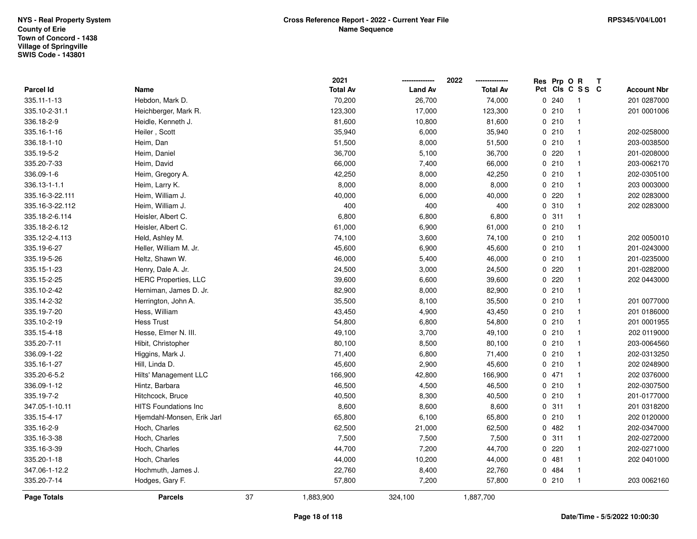|                 |                             |    | 2021            |                | 2022<br>-------------- | Res Prp O R |                 | Т |                    |
|-----------------|-----------------------------|----|-----------------|----------------|------------------------|-------------|-----------------|---|--------------------|
| Parcel Id       | Name                        |    | <b>Total Av</b> | <b>Land Av</b> | <b>Total Av</b>        |             | Pct Cls C S S C |   | <b>Account Nbr</b> |
| 335.11-1-13     | Hebdon, Mark D.             |    | 70,200          | 26,700         | 74,000                 | 0.240       | $\mathbf{1}$    |   | 201 0287000        |
| 335.10-2-31.1   | Heichberger, Mark R.        |    | 123,300         | 17,000         | 123,300                | 0210        | $\mathbf{1}$    |   | 201 0001006        |
| 336.18-2-9      | Heidle, Kenneth J.          |    | 81,600          | 10,800         | 81,600                 | 0210        | $\mathbf{1}$    |   |                    |
| 335.16-1-16     | Heiler, Scott               |    | 35,940          | 6,000          | 35,940                 | 0210        | $\mathbf{1}$    |   | 202-0258000        |
| 336.18-1-10     | Heim, Dan                   |    | 51,500          | 8,000          | 51,500                 | 0210        | $\mathbf{1}$    |   | 203-0038500        |
| 335.19-5-2      | Heim, Daniel                |    | 36,700          | 5,100          | 36,700                 | 0.220       | $\mathbf{1}$    |   | 201-0208000        |
| 335.20-7-33     | Heim, David                 |    | 66,000          | 7,400          | 66,000                 | 0210        | $\mathbf{1}$    |   | 203-0062170        |
| 336.09-1-6      | Heim, Gregory A.            |    | 42,250          | 8,000          | 42,250                 | 0210        | $\mathbf{1}$    |   | 202-0305100        |
| 336.13-1-1.1    | Heim, Larry K.              |    | 8,000           | 8,000          | 8,000                  | 0210        | $\mathbf{1}$    |   | 203 0003000        |
| 335.16-3-22.111 | Heim, William J.            |    | 40,000          | 6,000          | 40,000                 | 0.220       | $\mathbf{1}$    |   | 202 0283000        |
| 335.16-3-22.112 | Heim, William J.            |    | 400             | 400            | 400                    | 0.310       | $\mathbf{1}$    |   | 202 0283000        |
| 335.18-2-6.114  | Heisler, Albert C.          |    | 6,800           | 6,800          | 6,800                  | 0.311       | $\mathbf{1}$    |   |                    |
| 335.18-2-6.12   | Heisler, Albert C.          |    | 61,000          | 6,900          | 61,000                 | 0210        | $\mathbf{1}$    |   |                    |
| 335.12-2-4.113  | Held, Ashley M.             |    | 74,100          | 3,600          | 74,100                 | 0210        | $\mathbf{1}$    |   | 202 0050010        |
| 335.19-6-27     | Heller, William M. Jr.      |    | 45,600          | 6,900          | 45,600                 | 0210        | $\mathbf{1}$    |   | 201-0243000        |
| 335.19-5-26     | Heltz, Shawn W.             |    | 46,000          | 5,400          | 46,000                 | 0210        | $\mathbf{1}$    |   | 201-0235000        |
| 335.15-1-23     | Henry, Dale A. Jr.          |    | 24,500          | 3,000          | 24,500                 | 0.220       | $\mathbf{1}$    |   | 201-0282000        |
| 335.15-2-25     | <b>HERC Properties, LLC</b> |    | 39,600          | 6,600          | 39,600                 | 0.220       | $\mathbf{1}$    |   | 202 0443000        |
| 335.10-2-42     | Herniman, James D. Jr.      |    | 82,900          | 8,000          | 82,900                 | 0210        | $\mathbf{1}$    |   |                    |
| 335.14-2-32     | Herrington, John A.         |    | 35,500          | 8,100          | 35,500                 | 0210        | $\mathbf{1}$    |   | 201 0077000        |
| 335.19-7-20     | Hess, William               |    | 43,450          | 4,900          | 43,450                 | 0210        | $\mathbf{1}$    |   | 201 0186000        |
| 335.10-2-19     | <b>Hess Trust</b>           |    | 54,800          | 6,800          | 54,800                 | 0210        | $\mathbf{1}$    |   | 201 0001955        |
| 335.15-4-18     | Hesse, Elmer N. III.        |    | 49,100          | 3,700          | 49,100                 | 0210        | $\mathbf{1}$    |   | 202 0119000        |
| 335.20-7-11     | Hibit, Christopher          |    | 80,100          | 8,500          | 80,100                 | 0210        | $\mathbf{1}$    |   | 203-0064560        |
| 336.09-1-22     | Higgins, Mark J.            |    | 71,400          | 6,800          | 71,400                 | 0210        | $\mathbf{1}$    |   | 202-0313250        |
| 335.16-1-27     | Hill, Linda D.              |    | 45,600          | 2,900          | 45,600                 | 0210        | $\mathbf{1}$    |   | 202 0248900        |
| 335.20-6-5.2    | Hilts' Management LLC       |    | 166,900         | 42,800         | 166,900                | 0471        | $\mathbf{1}$    |   | 202 0376000        |
| 336.09-1-12     | Hintz, Barbara              |    | 46,500          | 4,500          | 46,500                 | 0210        | $\mathbf{1}$    |   | 202-0307500        |
| 335.19-7-2      | Hitchcock, Bruce            |    | 40,500          | 8,300          | 40,500                 | 0210        | $\mathbf{1}$    |   | 201-0177000        |
| 347.05-1-10.11  | <b>HITS Foundations Inc</b> |    | 8,600           | 8,600          | 8,600                  | 0.311       | $\mathbf{1}$    |   | 201 0318200        |
| 335.15-4-17     | Hjemdahl-Monsen, Erik Jarl  |    | 65,800          | 6,100          | 65,800                 | 0210        | $\mathbf{1}$    |   | 202 0120000        |
| 335.16-2-9      | Hoch, Charles               |    | 62,500          | 21,000         | 62,500                 | 0.482       | $\mathbf{1}$    |   | 202-0347000        |
| 335.16-3-38     | Hoch, Charles               |    | 7,500           | 7,500          | 7,500                  | 0.311       | $\mathbf{1}$    |   | 202-0272000        |
| 335.16-3-39     | Hoch, Charles               |    | 44,700          | 7,200          | 44,700                 | 0.220       | $\mathbf{1}$    |   | 202-0271000        |
| 335.20-1-18     | Hoch, Charles               |    | 44,000          | 10,200         | 44,000                 | 0.481       | $\mathbf{1}$    |   | 202 0401000        |
| 347.06-1-12.2   | Hochmuth, James J.          |    | 22,760          | 8,400          | 22,760                 | 0 484       | $\mathbf{1}$    |   |                    |
| 335.20-7-14     | Hodges, Gary F.             |    | 57,800          | 7,200          | 57,800                 | 0210        | $\mathbf{1}$    |   | 203 0062160        |
| Page Totals     | <b>Parcels</b>              | 37 | 1,883,900       | 324,100        | 1,887,700              |             |                 |   |                    |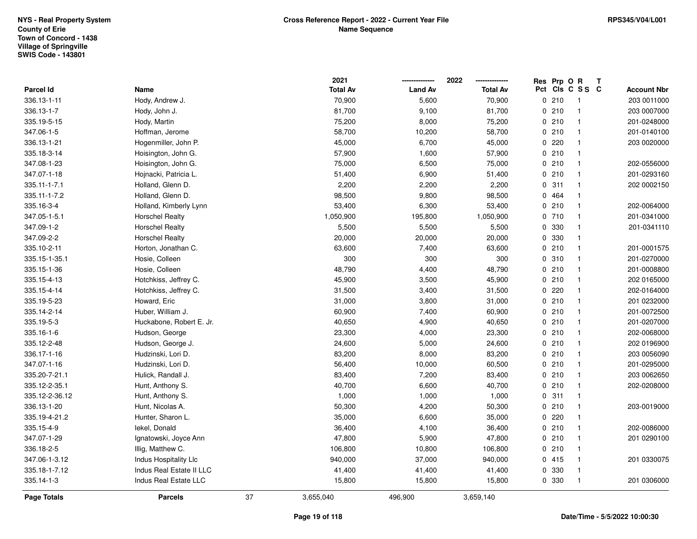|                |                          |    | 2021            | -------------- | 2022<br>-------------- | Res Prp O R |                 | T |                    |
|----------------|--------------------------|----|-----------------|----------------|------------------------|-------------|-----------------|---|--------------------|
| Parcel Id      | Name                     |    | <b>Total Av</b> | <b>Land Av</b> | <b>Total Av</b>        |             | Pct Cls C S S C |   | <b>Account Nbr</b> |
| 336.13-1-11    | Hody, Andrew J.          |    | 70,900          | 5,600          | 70,900                 | 0210        | $\overline{1}$  |   | 203 0011000        |
| 336.13-1-7     | Hody, John J.            |    | 81,700          | 9,100          | 81,700                 | 0210        | $\mathbf{1}$    |   | 203 0007000        |
| 335.19-5-15    | Hody, Martin             |    | 75,200          | 8,000          | 75,200                 | 0210        | $\mathbf{1}$    |   | 201-0248000        |
| 347.06-1-5     | Hoffman, Jerome          |    | 58,700          | 10,200         | 58,700                 | 0210        | $\overline{1}$  |   | 201-0140100        |
| 336.13-1-21    | Hogenmiller, John P.     |    | 45,000          | 6,700          | 45,000                 | 0.220       | $\overline{1}$  |   | 203 0020000        |
| 335.18-3-14    | Hoisington, John G.      |    | 57,900          | 1,600          | 57,900                 | 0210        | $\mathbf{1}$    |   |                    |
| 347.08-1-23    | Hoisington, John G.      |    | 75,000          | 6,500          | 75,000                 | 0210        | $\mathbf{1}$    |   | 202-0556000        |
| 347.07-1-18    | Hojnacki, Patricia L.    |    | 51,400          | 6,900          | 51,400                 | 0210        | $\mathbf{1}$    |   | 201-0293160        |
| 335.11-1-7.1   | Holland, Glenn D.        |    | 2,200           | 2,200          | 2,200                  | 0.311       | $\mathbf{1}$    |   | 202 0002150        |
| 335.11-1-7.2   | Holland, Glenn D.        |    | 98,500          | 9,800          | 98,500                 | 0 464       | $\mathbf{1}$    |   |                    |
| 335.16-3-4     | Holland, Kimberly Lynn   |    | 53,400          | 6,300          | 53,400                 | 0210        | $\overline{1}$  |   | 202-0064000        |
| 347.05-1-5.1   | <b>Horschel Realty</b>   |    | 1,050,900       | 195,800        | 1,050,900              | 0710        | $\overline{1}$  |   | 201-0341000        |
| 347.09-1-2     | <b>Horschel Realty</b>   |    | 5,500           | 5,500          | 5,500                  | 0 330       | $\mathbf{1}$    |   | 201-0341110        |
| 347.09-2-2     | <b>Horschel Realty</b>   |    | 20,000          | 20,000         | 20,000                 | 0 330       | $\mathbf{1}$    |   |                    |
| 335.10-2-11    | Horton, Jonathan C.      |    | 63,600          | 7,400          | 63,600                 | 0210        | $\overline{1}$  |   | 201-0001575        |
| 335.15-1-35.1  | Hosie, Colleen           |    | 300             | 300            | 300                    | 0.310       | $\mathbf{1}$    |   | 201-0270000        |
| 335.15-1-36    | Hosie, Colleen           |    | 48,790          | 4,400          | 48,790                 | 0210        | $\mathbf{1}$    |   | 201-0008800        |
| 335.15-4-13    | Hotchkiss, Jeffrey C.    |    | 45,900          | 3,500          | 45,900                 | 0210        | $\overline{1}$  |   | 202 0165000        |
| 335.15-4-14    | Hotchkiss, Jeffrey C.    |    | 31,500          | 3,400          | 31,500                 | 0220        | $\mathbf{1}$    |   | 202-0164000        |
| 335.19-5-23    | Howard, Eric             |    | 31,000          | 3,800          | 31,000                 | 0210        | $\mathbf{1}$    |   | 201 0232000        |
| 335.14-2-14    | Huber, William J.        |    | 60,900          | 7,400          | 60,900                 | 0210        | $\mathbf{1}$    |   | 201-0072500        |
| 335.19-5-3     | Huckabone, Robert E. Jr. |    | 40,650          | 4,900          | 40,650                 | 0210        | $\mathbf{1}$    |   | 201-0207000        |
| 335.16-1-6     | Hudson, George           |    | 23,300          | 4,000          | 23,300                 | 0210        | $\mathbf{1}$    |   | 202-0068000        |
| 335.12-2-48    | Hudson, George J.        |    | 24,600          | 5,000          | 24,600                 | 0210        | $\mathbf{1}$    |   | 202 0196900        |
| 336.17-1-16    | Hudzinski, Lori D.       |    | 83,200          | 8,000          | 83,200                 | 0210        | $\overline{1}$  |   | 203 0056090        |
| 347.07-1-16    | Hudzinski, Lori D.       |    | 56,400          | 10,000         | 60,500                 | 0210        | $\mathbf{1}$    |   | 201-0295000        |
| 335.20-7-21.1  | Hulick, Randall J.       |    | 83,400          | 7,200          | 83,400                 | 0210        | $\mathbf{1}$    |   | 203 0062650        |
| 335.12-2-35.1  | Hunt, Anthony S.         |    | 40,700          | 6,600          | 40,700                 | 0210        | $\mathbf{1}$    |   | 202-0208000        |
| 335.12-2-36.12 | Hunt, Anthony S.         |    | 1,000           | 1,000          | 1,000                  | 0.311       | $\overline{1}$  |   |                    |
| 336.13-1-20    | Hunt, Nicolas A.         |    | 50,300          | 4,200          | 50,300                 | 0210        | $\mathbf{1}$    |   | 203-0019000        |
| 335.19-4-21.2  | Hunter, Sharon L.        |    | 35,000          | 6,600          | 35,000                 | $0$ 220     | $\mathbf{1}$    |   |                    |
| 335.15-4-9     | lekel, Donald            |    | 36,400          | 4,100          | 36,400                 | 0210        | $\mathbf{1}$    |   | 202-0086000        |
| 347.07-1-29    | Ignatowski, Joyce Ann    |    | 47,800          | 5,900          | 47,800                 | 0210        | $\mathbf{1}$    |   | 201 0290100        |
| 336.18-2-5     | Illig, Matthew C.        |    | 106,800         | 10,800         | 106,800                | 0210        | $\mathbf{1}$    |   |                    |
| 347.06-1-3.12  | Indus Hospitality Llc    |    | 940,000         | 37,000         | 940,000                | 0415        | $\mathbf{1}$    |   | 201 0330075        |
| 335.18-1-7.12  | Indus Real Estate II LLC |    | 41,400          | 41,400         | 41,400                 | 0 330       | $\mathbf{1}$    |   |                    |
| 335.14-1-3     | Indus Real Estate LLC    |    | 15,800          | 15,800         | 15,800                 | 0 330       | $\overline{1}$  |   | 201 0306000        |
| Page Totals    | <b>Parcels</b>           | 37 | 3,655,040       | 496,900        | 3,659,140              |             |                 |   |                    |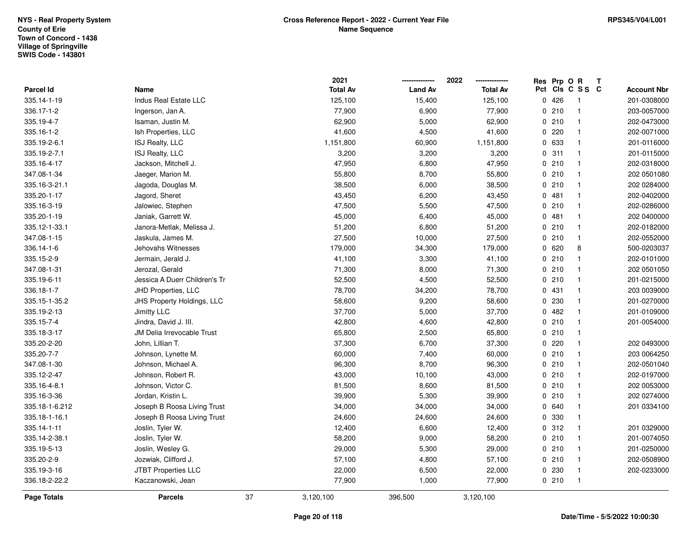|                    |                               |    | 2021            | -------------- | 2022<br>-------------- |     | Res Prp O R |                | Т |                    |
|--------------------|-------------------------------|----|-----------------|----------------|------------------------|-----|-------------|----------------|---|--------------------|
| Parcel Id          | Name                          |    | <b>Total Av</b> | <b>Land Av</b> | <b>Total Av</b>        | Pct |             | CIS C S S C    |   | <b>Account Nbr</b> |
| 335.14-1-19        | Indus Real Estate LLC         |    | 125,100         | 15,400         | 125,100                |     | 0426        | $\overline{1}$ |   | 201-0308000        |
| 336.17-1-2         | Ingerson, Jan A.              |    | 77,900          | 6,900          | 77,900                 |     | 0210        | $\mathbf{1}$   |   | 203-0057000        |
| 335.19-4-7         | Isaman, Justin M.             |    | 62,900          | 5,000          | 62,900                 |     | 0210        | $\mathbf{1}$   |   | 202-0473000        |
| 335.16-1-2         | Ish Properties, LLC           |    | 41,600          | 4,500          | 41,600                 |     | 0220        | $\mathbf{1}$   |   | 202-0071000        |
| 335.19-2-6.1       | ISJ Realty, LLC               |    | 1,151,800       | 60,900         | 1,151,800              |     | 0 633       | $\mathbf{1}$   |   | 201-0116000        |
| 335.19-2-7.1       | ISJ Realty, LLC               |    | 3,200           | 3,200          | 3,200                  |     | 0.311       | $\mathbf{1}$   |   | 201-0115000        |
| 335.16-4-17        | Jackson, Mitchell J.          |    | 47,950          | 6,800          | 47,950                 |     | 0210        | $\mathbf{1}$   |   | 202-0318000        |
| 347.08-1-34        | Jaeger, Marion M.             |    | 55,800          | 8,700          | 55,800                 |     | 0210        | $\mathbf{1}$   |   | 202 0501080        |
| 335.16-3-21.1      | Jagoda, Douglas M.            |    | 38,500          | 6,000          | 38,500                 |     | 0210        | $\mathbf{1}$   |   | 202 0284000        |
| 335.20-1-17        | Jagord, Sheret                |    | 43,450          | 6,200          | 43,450                 |     | 0.481       | $\mathbf{1}$   |   | 202-0402000        |
| 335.16-3-19        | Jalowiec, Stephen             |    | 47,500          | 5,500          | 47,500                 |     | 0210        | $\mathbf{1}$   |   | 202-0286000        |
| 335.20-1-19        | Janiak, Garrett W.            |    | 45,000          | 6,400          | 45,000                 |     | 0481        | $\mathbf{1}$   |   | 202 0400000        |
| 335.12-1-33.1      | Janora-Metlak, Melissa J.     |    | 51,200          | 6,800          | 51,200                 |     | 0210        | $\mathbf{1}$   |   | 202-0182000        |
| 347.08-1-15        | Jaskula, James M.             |    | 27,500          | 10,000         | 27,500                 |     | 0210        | $\mathbf{1}$   |   | 202-0552000        |
| 336.14-1-6         | Jehovahs Witnesses            |    | 179,000         | 34,300         | 179,000                |     | 0620        | 8              |   | 500-0203037        |
| 335.15-2-9         | Jermain, Jerald J.            |    | 41,100          | 3,300          | 41,100                 |     | 0210        | $\mathbf{1}$   |   | 202-0101000        |
| 347.08-1-31        | Jerozal, Gerald               |    | 71,300          | 8,000          | 71,300                 |     | 0210        | $\mathbf{1}$   |   | 202 0501050        |
| 335.19-6-11        | Jessica A Duerr Children's Tr |    | 52,500          | 4,500          | 52,500                 |     | 0210        | $\mathbf{1}$   |   | 201-0215000        |
| 336.18-1-7         | JHD Properties, LLC           |    | 78,700          | 34,200         | 78,700                 |     | 0431        | $\overline{1}$ |   | 203 0039000        |
| 335.15-1-35.2      | JHS Property Holdings, LLC    |    | 58,600          | 9,200          | 58,600                 |     | 0 230       | $\mathbf{1}$   |   | 201-0270000        |
| 335.19-2-13        | Jimitty LLC                   |    | 37,700          | 5,000          | 37,700                 |     | 0482        | $\mathbf{1}$   |   | 201-0109000        |
| 335.15-7-4         | Jindra, David J. III.         |    | 42,800          | 4,600          | 42,800                 |     | 0210        | $\mathbf{1}$   |   | 201-0054000        |
| 335.18-3-17        | JM Delia Irrevocable Trust    |    | 65,800          | 2,500          | 65,800                 |     | 0210        | $\mathbf{1}$   |   |                    |
| 335.20-2-20        | John, Lillian T.              |    | 37,300          | 6,700          | 37,300                 |     | 0.220       | $\overline{1}$ |   | 202 0493000        |
| 335.20-7-7         | Johnson, Lynette M.           |    | 60,000          | 7,400          | 60,000                 |     | 0210        | $\mathbf{1}$   |   | 203 0064250        |
| 347.08-1-30        | Johnson, Michael A.           |    | 96,300          | 8,700          | 96,300                 |     | 0210        | $\overline{1}$ |   | 202-0501040        |
| 335.12-2-47        | Johnson, Robert R.            |    | 43,000          | 10,100         | 43,000                 |     | 0210        | $\mathbf{1}$   |   | 202-0197000        |
| 335.16-4-8.1       | Johnson, Victor C.            |    | 81,500          | 8,600          | 81,500                 |     | 0210        | $\overline{1}$ |   | 202 0053000        |
| 335.16-3-36        | Jordan, Kristin L.            |    | 39,900          | 5,300          | 39,900                 |     | 0210        | $\mathbf{1}$   |   | 202 0274000        |
| 335.18-1-6.212     | Joseph B Roosa Living Trust   |    | 34,000          | 34,000         | 34,000                 |     | 0 640       | $\mathbf{1}$   |   | 201 0334100        |
| 335.18-1-16.1      | Joseph B Roosa Living Trust   |    | 24,600          | 24,600         | 24,600                 |     | 0 330       | $\mathbf{1}$   |   |                    |
| 335.14-1-11        | Joslin, Tyler W.              |    | 12,400          | 6,600          | 12,400                 |     | 0.312       | $\mathbf{1}$   |   | 201 0329000        |
| 335.14-2-38.1      | Joslin, Tyler W.              |    | 58,200          | 9,000          | 58,200                 |     | 0210        | $\mathbf{1}$   |   | 201-0074050        |
| 335.19-5-13        | Joslin, Wesley G.             |    | 29,000          | 5,300          | 29,000                 |     | 0210        | $\mathbf{1}$   |   | 201-0250000        |
| 335.20-2-9         | Jozwiak, Clifford J.          |    | 57,100          | 4,800          | 57,100                 |     | 0210        | $\mathbf{1}$   |   | 202-0508900        |
| 335.19-3-16        | JTBT Properties LLC           |    | 22,000          | 6,500          | 22,000                 |     | 0 230       | $\mathbf{1}$   |   | 202-0233000        |
| 336.18-2-22.2      | Kaczanowski, Jean             |    | 77,900          | 1,000          | 77,900                 |     | 0210        | $\overline{1}$ |   |                    |
| <b>Page Totals</b> | <b>Parcels</b>                | 37 | 3,120,100       | 396,500        | 3,120,100              |     |             |                |   |                    |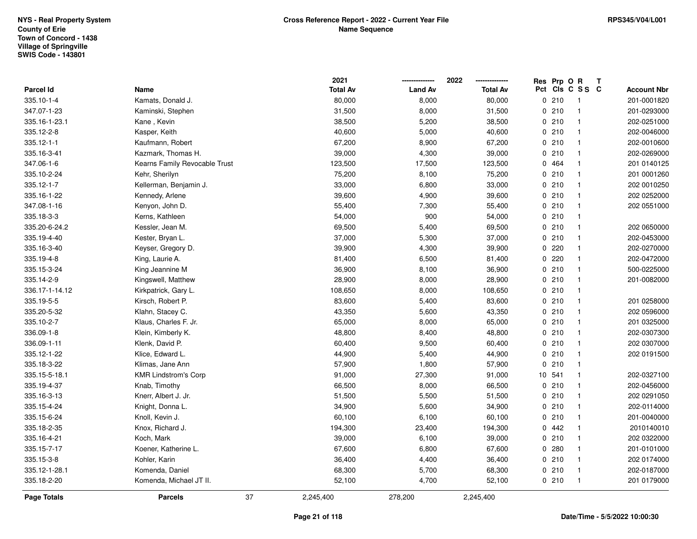|                    |                               |    | 2021            |                | 2022            | Res Prp O R |                 | Т |                    |
|--------------------|-------------------------------|----|-----------------|----------------|-----------------|-------------|-----------------|---|--------------------|
| Parcel Id          | Name                          |    | <b>Total Av</b> | <b>Land Av</b> | <b>Total Av</b> |             | Pct Cls C S S C |   | <b>Account Nbr</b> |
| 335.10-1-4         | Kamats, Donald J.             |    | 80,000          | 8,000          | 80,000          | 0210        | $\overline{1}$  |   | 201-0001820        |
| 347.07-1-23        | Kaminski, Stephen             |    | 31,500          | 8,000          | 31,500          | 0210        | $\mathbf{1}$    |   | 201-0293000        |
| 335.16-1-23.1      | Kane, Kevin                   |    | 38,500          | 5,200          | 38,500          | 0210        | $\mathbf{1}$    |   | 202-0251000        |
| 335.12-2-8         | Kasper, Keith                 |    | 40,600          | 5,000          | 40,600          | 0210        | $\mathbf{1}$    |   | 202-0046000        |
| 335.12-1-1         | Kaufmann, Robert              |    | 67,200          | 8,900          | 67,200          | 0210        | $\mathbf{1}$    |   | 202-0010600        |
| 335.16-3-41        | Kazmark, Thomas H.            |    | 39,000          | 4,300          | 39,000          | 0210        | $\mathbf{1}$    |   | 202-0269000        |
| 347.06-1-6         | Kearns Family Revocable Trust |    | 123,500         | 17,500         | 123,500         | 0 464       | $\mathbf{1}$    |   | 201 0140125        |
| 335.10-2-24        | Kehr, Sherilyn                |    | 75,200          | 8,100          | 75,200          | 0210        | $\mathbf{1}$    |   | 201 0001260        |
| 335.12-1-7         | Kellerman, Benjamin J.        |    | 33,000          | 6,800          | 33,000          | 0210        | $\mathbf{1}$    |   | 202 0010250        |
| 335.16-1-22        | Kennedy, Arlene               |    | 39,600          | 4,900          | 39,600          | 0210        | $\mathbf{1}$    |   | 202 0252000        |
| 347.08-1-16        | Kenyon, John D.               |    | 55,400          | 7,300          | 55,400          | 0210        | $\mathbf{1}$    |   | 202 0551000        |
| 335.18-3-3         | Kerns, Kathleen               |    | 54,000          | 900            | 54,000          | 0210        | $\mathbf{1}$    |   |                    |
| 335.20-6-24.2      | Kessler, Jean M.              |    | 69,500          | 5,400          | 69,500          | 0210        | $\mathbf{1}$    |   | 202 0650000        |
| 335.19-4-40        | Kester, Bryan L.              |    | 37,000          | 5,300          | 37,000          | 0210        | $\overline{1}$  |   | 202-0453000        |
| 335.16-3-40        | Keyser, Gregory D.            |    | 39,900          | 4,300          | 39,900          | $0$ 220     | $\mathbf{1}$    |   | 202-0270000        |
| 335.19-4-8         | King, Laurie A.               |    | 81,400          | 6,500          | 81,400          | 0.220       | $\mathbf{1}$    |   | 202-0472000        |
| 335.15-3-24        | King Jeannine M               |    | 36,900          | 8,100          | 36,900          | 0210        | $\mathbf{1}$    |   | 500-0225000        |
| 335.14-2-9         | Kingswell, Matthew            |    | 28,900          | 8,000          | 28,900          | 0210        | $\mathbf{1}$    |   | 201-0082000        |
| 336.17-1-14.12     | Kirkpatrick, Gary L.          |    | 108,650         | 8,000          | 108,650         | 0210        | $\mathbf{1}$    |   |                    |
| 335.19-5-5         | Kirsch, Robert P.             |    | 83,600          | 5,400          | 83,600          | 0210        | $\mathbf{1}$    |   | 201 0258000        |
| 335.20-5-32        | Klahn, Stacey C.              |    | 43,350          | 5,600          | 43,350          | 0210        |                 |   | 202 0596000        |
| 335.10-2-7         | Klaus, Charles F. Jr.         |    | 65,000          | 8,000          | 65,000          | 0210        | $\mathbf{1}$    |   | 201 0325000        |
| 336.09-1-8         | Klein, Kimberly K.            |    | 48,800          | 8,400          | 48,800          | 0210        | $\mathbf{1}$    |   | 202-0307300        |
| 336.09-1-11        | Klenk, David P.               |    | 60,400          | 9,500          | 60,400          | 0210        | $\mathbf{1}$    |   | 202 0307000        |
| 335.12-1-22        | Klice, Edward L.              |    | 44,900          | 5,400          | 44,900          | 0210        | $\mathbf{1}$    |   | 202 0191500        |
| 335.18-3-22        | Klimas, Jane Ann              |    | 57,900          | 1,800          | 57,900          | 0210        | $\mathbf{1}$    |   |                    |
| 335.15-5-18.1      | <b>KMR Lindstrom's Corp</b>   |    | 91,000          | 27,300         | 91,000          | 10 541      | $\mathbf{1}$    |   | 202-0327100        |
| 335.19-4-37        | Knab, Timothy                 |    | 66,500          | 8,000          | 66,500          | 0210        | $\mathbf{1}$    |   | 202-0456000        |
| 335.16-3-13        | Knerr, Albert J. Jr.          |    | 51,500          | 5,500          | 51,500          | 0210        | $\overline{1}$  |   | 202 0291050        |
| 335.15-4-24        | Knight, Donna L.              |    | 34,900          | 5,600          | 34,900          | 0210        | $\mathbf{1}$    |   | 202-0114000        |
| 335.15-6-24        | Knoll, Kevin J.               |    | 60,100          | 6,100          | 60,100          | 0210        | $\mathbf{1}$    |   | 201-0040000        |
| 335.18-2-35        | Knox, Richard J.              |    | 194,300         | 23,400         | 194,300         | 0.442       | $\mathbf{1}$    |   | 2010140010         |
| 335.16-4-21        | Koch, Mark                    |    | 39,000          | 6,100          | 39,000          | 0210        | $\overline{1}$  |   | 202 0322000        |
| 335.15-7-17        | Koener, Katherine L.          |    | 67,600          | 6,800          | 67,600          | 0.280       | $\mathbf{1}$    |   | 201-0101000        |
| 335.15-3-8         | Kohler, Karin                 |    | 36,400          | 4,400          | 36,400          | 0210        | $\mathbf{1}$    |   | 202 0174000        |
| 335.12-1-28.1      | Komenda, Daniel               |    | 68,300          | 5,700          | 68,300          | 0210        | $\overline{1}$  |   | 202-0187000        |
| 335.18-2-20        | Komenda, Michael JT II.       |    | 52,100          | 4,700          | 52,100          | 0210        | $\mathbf{1}$    |   | 201 0179000        |
| <b>Page Totals</b> | <b>Parcels</b>                | 37 | 2,245,400       | 278,200        | 2,245,400       |             |                 |   |                    |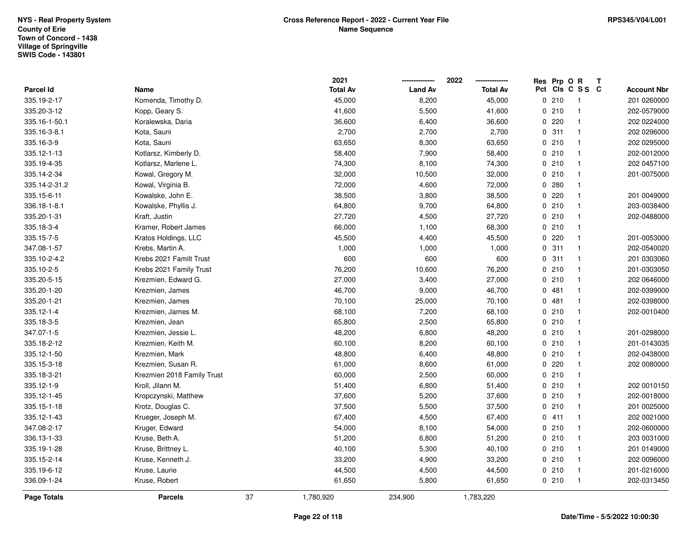|               |                            |    | 2021            | --------------- | 2022<br>-------------- | Res Prp O R |                 | T |                    |
|---------------|----------------------------|----|-----------------|-----------------|------------------------|-------------|-----------------|---|--------------------|
| Parcel Id     | Name                       |    | <b>Total Av</b> | <b>Land Av</b>  | <b>Total Av</b>        |             | Pct Cls C S S C |   | <b>Account Nbr</b> |
| 335.19-2-17   | Komenda, Timothy D.        |    | 45,000          | 8,200           | 45,000                 | 0210        | $\overline{1}$  |   | 201 0260000        |
| 335.20-3-12   | Kopp, Geary S.             |    | 41,600          | 5,500           | 41,600                 | 0210        | $\mathbf{1}$    |   | 202-0579000        |
| 335.16-1-50.1 | Koralewska, Daria          |    | 36,600          | 6,400           | 36,600                 | 0220        | $\overline{1}$  |   | 202 0224000        |
| 335.16-3-8.1  | Kota, Sauni                |    | 2,700           | 2,700           | 2,700                  | 0.311       | $\overline{1}$  |   | 202 0296000        |
| 335.16-3-9    | Kota, Sauni                |    | 63,650          | 8,300           | 63,650                 | 0210        | $\overline{1}$  |   | 202 0295000        |
| 335.12-1-13   | Kotlarsz, Kimberly D.      |    | 58,400          | 7,900           | 58,400                 | 0210        | $\overline{1}$  |   | 202-0012000        |
| 335.19-4-35   | Kotlarsz, Marlene L.       |    | 74,300          | 8,100           | 74,300                 | 0210        | $\overline{1}$  |   | 202 0457100        |
| 335.14-2-34   | Kowal, Gregory M.          |    | 32,000          | 10,500          | 32,000                 | 0210        | $\mathbf{1}$    |   | 201-0075000        |
| 335.14-2-31.2 | Kowal, Virginia B.         |    | 72,000          | 4,600           | 72,000                 | 0.280       | $\mathbf{1}$    |   |                    |
| 335.15-6-11   | Kowalske, John E.          |    | 38,500          | 3,800           | 38,500                 | 0220        | $\mathbf{1}$    |   | 201 0049000        |
| 336.18-1-8.1  | Kowalske, Phyllis J.       |    | 64,800          | 9,700           | 64,800                 | 0210        | $\overline{1}$  |   | 203-0038400        |
| 335.20-1-31   | Kraft, Justin              |    | 27,720          | 4,500           | 27,720                 | 0210        | $\mathbf{1}$    |   | 202-0488000        |
| 335.18-3-4    | Kramer, Robert James       |    | 66,000          | 1,100           | 68,300                 | 0210        | $\mathbf{1}$    |   |                    |
| 335.15-7-5    | Kratos Holdings, LLC       |    | 45,500          | 4,400           | 45,500                 | 0.220       | $\mathbf{1}$    |   | 201-0053000        |
| 347.08-1-57   | Krebs, Martin A.           |    | 1,000           | 1,000           | 1,000                  | 0.311       | $\overline{1}$  |   | 202-0540020        |
| 335.10-2-4.2  | Krebs 2021 Familt Trust    |    | 600             | 600             | 600                    | 0.311       | $\mathbf{1}$    |   | 201 0303060        |
| 335.10-2-5    | Krebs 2021 Family Trust    |    | 76,200          | 10,600          | 76,200                 | 0210        | $\mathbf{1}$    |   | 201-0303050        |
| 335.20-5-15   | Krezmien, Edward G.        |    | 27,000          | 3,400           | 27,000                 | 0210        | $\overline{1}$  |   | 202 0646000        |
| 335.20-1-20   | Krezmien, James            |    | 46,700          | 9,000           | 46,700                 | 0481        | $\mathbf{1}$    |   | 202-0399000        |
| 335.20-1-21   | Krezmien, James            |    | 70,100          | 25,000          | 70,100                 | 0481        | $\mathbf{1}$    |   | 202-0398000        |
| 335.12-1-4    | Krezmien, James M.         |    | 68,100          | 7,200           | 68,100                 | 0210        | $\mathbf{1}$    |   | 202-0010400        |
| 335.18-3-5    | Krezmien, Jean             |    | 65,800          | 2,500           | 65,800                 | 0210        | $\overline{1}$  |   |                    |
| 347.07-1-5    | Krezmien, Jessie L.        |    | 48,200          | 6,800           | 48,200                 | 0210        | $\mathbf{1}$    |   | 201-0298000        |
| 335.18-2-12   | Krezmien, Keith M.         |    | 60,100          | 8,200           | 60,100                 | 0210        | $\mathbf{1}$    |   | 201-0143035        |
| 335.12-1-50   | Krezmien, Mark             |    | 48,800          | 6,400           | 48,800                 | 0210        | $\overline{1}$  |   | 202-0438000        |
| 335.15-3-18   | Krezmien, Susan R.         |    | 61,000          | 8,600           | 61,000                 | 0.220       | $\mathbf{1}$    |   | 202 0080000        |
| 335.18-3-21   | Krezmien 2018 Family Trust |    | 60,000          | 2,500           | 60,000                 | 0210        | $\mathbf{1}$    |   |                    |
| 335.12-1-9    | Kroll, Jilann M.           |    | 51,400          | 6,800           | 51,400                 | 0210        | $\mathbf{1}$    |   | 202 0010150        |
| 335.12-1-45   | Kropczynski, Matthew       |    | 37,600          | 5,200           | 37,600                 | 0210        | $\overline{1}$  |   | 202-0018000        |
| 335.15-1-18   | Krotz, Douglas C.          |    | 37,500          | 5,500           | 37,500                 | 0210        | $\mathbf{1}$    |   | 201 0025000        |
| 335.12-1-43   | Krueger, Joseph M.         |    | 67,400          | 4,500           | 67,400                 | 0411        | $\mathbf{1}$    |   | 202 0021000        |
| 347.08-2-17   | Kruger, Edward             |    | 54,000          | 8,100           | 54,000                 | 0210        | $\overline{1}$  |   | 202-0600000        |
| 336.13-1-33   | Kruse, Beth A.             |    | 51,200          | 6,800           | 51,200                 | 0210        | $\mathbf{1}$    |   | 203 0031000        |
| 335.19-1-28   | Kruse, Brittney L.         |    | 40,100          | 5,300           | 40,100                 | 0210        | $\mathbf{1}$    |   | 201 0149000        |
| 335.15-2-14   | Kruse, Kenneth J.          |    | 33,200          | 4,900           | 33,200                 | 0210        | $\mathbf{1}$    |   | 202 0096000        |
| 335.19-6-12   | Kruse, Laurie              |    | 44,500          | 4,500           | 44,500                 | 0210        | $\mathbf{1}$    |   | 201-0216000        |
| 336.09-1-24   | Kruse, Robert              |    | 61,650          | 5,800           | 61,650                 | 0210        | $\overline{1}$  |   | 202-0313450        |
| Page Totals   | <b>Parcels</b>             | 37 | 1,780,920       | 234,900         | 1,783,220              |             |                 |   |                    |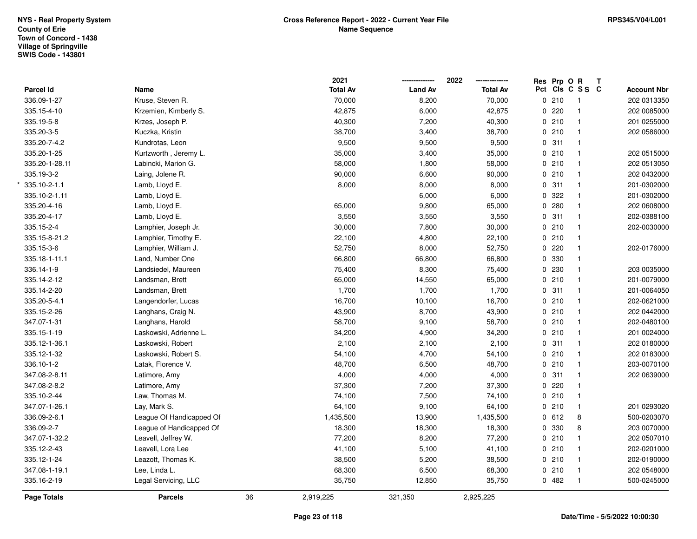|                |                          |    | 2021            |                | 2022            |             |       | Res Prp O R     | $\mathbf{T}$ |                    |
|----------------|--------------------------|----|-----------------|----------------|-----------------|-------------|-------|-----------------|--------------|--------------------|
| Parcel Id      | Name                     |    | <b>Total Av</b> | <b>Land Av</b> | <b>Total Av</b> |             |       | Pct Cls C S S C |              | <b>Account Nbr</b> |
| 336.09-1-27    | Kruse, Steven R.         |    | 70,000          | 8,200          | 70,000          |             | 0210  | $\mathbf 1$     |              | 202 0313350        |
| 335.15-4-10    | Krzemien, Kimberly S.    |    | 42,875          | 6,000          | 42,875          | $\mathbf 0$ | 220   |                 |              | 202 0085000        |
| 335.19-5-8     | Krzes, Joseph P.         |    | 40,300          | 7,200          | 40,300          |             | 0210  | $\mathbf 1$     |              | 201 0255000        |
| 335.20-3-5     | Kuczka, Kristin          |    | 38,700          | 3,400          | 38,700          |             | 0210  | $\mathbf{1}$    |              | 202 0586000        |
| 335.20-7-4.2   | Kundrotas, Leon          |    | 9,500           | 9,500          | 9,500           |             | 0.311 |                 |              |                    |
| 335.20-1-25    | Kurtzworth, Jeremy L.    |    | 35,000          | 3,400          | 35,000          |             | 0210  |                 |              | 202 0515000        |
| 335.20-1-28.11 | Labincki, Marion G.      |    | 58,000          | 1,800          | 58,000          |             | 0210  |                 |              | 202 0513050        |
| 335.19-3-2     | Laing, Jolene R.         |    | 90,000          | 6,600          | 90,000          |             | 0210  | $\mathbf{1}$    |              | 202 0432000        |
| 335.10-2-1.1   | Lamb, Lloyd E.           |    | 8,000           | 8,000          | 8,000           | $\mathbf 0$ | 311   | $\mathbf{1}$    |              | 201-0302000        |
| 335.10-2-1.11  | Lamb, Lloyd E.           |    |                 | 6,000          | 6,000           | 0           | 322   | $\mathbf 1$     |              | 201-0302000        |
| 335.20-4-16    | Lamb, Lloyd E.           |    | 65,000          | 9,800          | 65,000          |             | 0.280 | $\mathbf{1}$    |              | 202 0608000        |
| 335.20-4-17    | Lamb, Lloyd E.           |    | 3,550           | 3,550          | 3,550           |             | 0.311 |                 |              | 202-0388100        |
| 335.15-2-4     | Lamphier, Joseph Jr.     |    | 30,000          | 7,800          | 30,000          |             | 0210  |                 |              | 202-0030000        |
| 335.15-8-21.2  | Lamphier, Timothy E.     |    | 22,100          | 4,800          | 22,100          |             | 0210  |                 |              |                    |
| 335.15-3-6     | Lamphier, William J.     |    | 52,750          | 8,000          | 52,750          |             | 0.220 |                 |              | 202-0176000        |
| 335.18-1-11.1  | Land, Number One         |    | 66,800          | 66,800         | 66,800          | 0           | 330   |                 |              |                    |
| 336.14-1-9     | Landsiedel, Maureen      |    | 75,400          | 8,300          | 75,400          | 0           | 230   |                 |              | 203 0035000        |
| 335.14-2-12    | Landsman, Brett          |    | 65,000          | 14,550         | 65,000          |             | 0210  |                 |              | 201-0079000        |
| 335.14-2-20    | Landsman, Brett          |    | 1,700           | 1,700          | 1,700           |             | 0.311 |                 |              | 201-0064050        |
| 335.20-5-4.1   | Langendorfer, Lucas      |    | 16,700          | 10,100         | 16,700          |             | 0210  |                 |              | 202-0621000        |
| 335.15-2-26    | Langhans, Craig N.       |    | 43,900          | 8,700          | 43,900          |             | 0210  |                 |              | 202 0442000        |
| 347.07-1-31    | Langhans, Harold         |    | 58,700          | 9,100          | 58,700          |             | 0210  | $\mathbf{1}$    |              | 202-0480100        |
| 335.15-1-19    | Laskowski, Adrienne L.   |    | 34,200          | 4,900          | 34,200          |             | 0210  | $\mathbf{1}$    |              | 201 0024000        |
| 335.12-1-36.1  | Laskowski, Robert        |    | 2,100           | 2,100          | 2,100           | $\mathbf 0$ | 311   | $\mathbf{1}$    |              | 202 0180000        |
| 335.12-1-32    | Laskowski, Robert S.     |    | 54,100          | 4,700          | 54,100          |             | 0210  | $\mathbf{1}$    |              | 202 0183000        |
| 336.10-1-2     | Latak, Florence V.       |    | 48,700          | 6,500          | 48,700          |             | 0210  |                 |              | 203-0070100        |
| 347.08-2-8.11  | Latimore, Amy            |    | 4,000           | 4,000          | 4,000           |             | 0.311 |                 |              | 202 0639000        |
| 347.08-2-8.2   | Latimore, Amy            |    | 37,300          | 7,200          | 37,300          | $\mathbf 0$ | 220   |                 |              |                    |
| 335.10-2-44    | Law, Thomas M.           |    | 74,100          | 7,500          | 74,100          |             | 0210  | $\mathbf 1$     |              |                    |
| 347.07-1-26.1  | Lay, Mark S.             |    | 64,100          | 9,100          | 64,100          | $\mathbf 0$ | 210   | $\mathbf{1}$    |              | 201 0293020        |
| 336.09-2-6.1   | League Of Handicapped Of |    | 1,435,500       | 13,900         | 1,435,500       |             | 0 612 | 8               |              | 500-0203070        |
| 336.09-2-7     | League of Handicapped Of |    | 18,300          | 18,300         | 18,300          |             | 0 330 | 8               |              | 203 0070000        |
| 347.07-1-32.2  | Leavell, Jeffrey W.      |    | 77,200          | 8,200          | 77,200          |             | 0210  |                 |              | 202 0507010        |
| 335.12-2-43    | Leavell, Lora Lee        |    | 41,100          | 5,100          | 41,100          |             | 0210  |                 |              | 202-0201000        |
| 335.12-1-24    | Leazott, Thomas K.       |    | 38,500          | 5,200          | 38,500          |             | 0210  |                 |              | 202-0190000        |
| 347.08-1-19.1  | Lee, Linda L.            |    | 68,300          | 6,500          | 68,300          |             | 0210  | $\mathbf 1$     |              | 202 0548000        |
| 335.16-2-19    | Legal Servicing, LLC     |    | 35,750          | 12,850         | 35,750          |             | 0482  |                 |              | 500-0245000        |
| Page Totals    | <b>Parcels</b>           | 36 | 2,919,225       | 321,350        | 2,925,225       |             |       |                 |              |                    |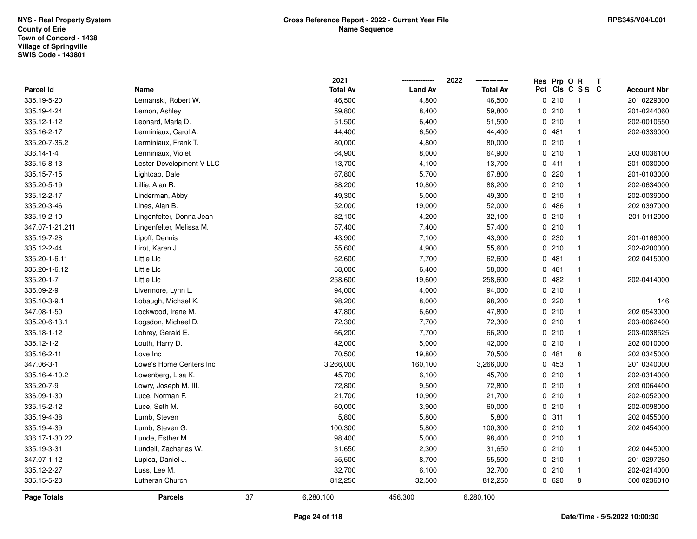|                 |                          |    | 2021            |                | 2022            | Res Prp O R |                 | T |                    |
|-----------------|--------------------------|----|-----------------|----------------|-----------------|-------------|-----------------|---|--------------------|
| Parcel Id       | Name                     |    | <b>Total Av</b> | <b>Land Av</b> | <b>Total Av</b> |             | Pct Cls C S S C |   | <b>Account Nbr</b> |
| 335.19-5-20     | Lemanski, Robert W.      |    | 46,500          | 4,800          | 46,500          | 0210        | $\mathbf{1}$    |   | 201 0229300        |
| 335.19-4-24     | Lemon, Ashley            |    | 59,800          | 8,400          | 59,800          | 0210        | $\mathbf{1}$    |   | 201-0244060        |
| 335.12-1-12     | Leonard, Marla D.        |    | 51,500          | 6,400          | 51,500          | 0210        | $\mathbf{1}$    |   | 202-0010550        |
| 335.16-2-17     | Lerminiaux, Carol A.     |    | 44,400          | 6,500          | 44,400          | 0481        | $\mathbf{1}$    |   | 202-0339000        |
| 335.20-7-36.2   | Lerminiaux, Frank T.     |    | 80,000          | 4,800          | 80,000          | 0210        | $\mathbf{1}$    |   |                    |
| 336.14-1-4      | Lerminiaux, Violet       |    | 64,900          | 8,000          | 64,900          | 0210        | $\mathbf{1}$    |   | 203 0036100        |
| 335.15-8-13     | Lester Development V LLC |    | 13,700          | 4,100          | 13,700          | 0411        | $\mathbf{1}$    |   | 201-0030000        |
| 335.15-7-15     | Lightcap, Dale           |    | 67,800          | 5,700          | 67,800          | 0220        | $\mathbf{1}$    |   | 201-0103000        |
| 335.20-5-19     | Lillie, Alan R.          |    | 88,200          | 10,800         | 88,200          | 0210        | $\mathbf{1}$    |   | 202-0634000        |
| 335.12-2-17     | Linderman, Abby          |    | 49,300          | 5,000          | 49,300          | 0210        | $\mathbf{1}$    |   | 202-0039000        |
| 335.20-3-46     | Lines, Alan B.           |    | 52,000          | 19,000         | 52,000          | 0486        | $\mathbf{1}$    |   | 202 0397000        |
| 335.19-2-10     | Lingenfelter, Donna Jean |    | 32,100          | 4,200          | 32,100          | 0210        | $\mathbf{1}$    |   | 201 0112000        |
| 347.07-1-21.211 | Lingenfelter, Melissa M. |    | 57,400          | 7,400          | 57,400          | 0210        | $\mathbf{1}$    |   |                    |
| 335.19-7-28     | Lipoff, Dennis           |    | 43,900          | 7,100          | 43,900          | 0 230       | $\mathbf{1}$    |   | 201-0166000        |
| 335.12-2-44     | Lirot, Karen J.          |    | 55,600          | 4,900          | 55,600          | 0210        | $\mathbf{1}$    |   | 202-0200000        |
| 335.20-1-6.11   | Little Llc               |    | 62,600          | 7,700          | 62,600          | 0481        | $\mathbf{1}$    |   | 202 0415000        |
| 335.20-1-6.12   | Little Llc               |    | 58,000          | 6,400          | 58,000          | 0481        | $\mathbf{1}$    |   |                    |
| 335.20-1-7      | Little Llc               |    | 258,600         | 19,600         | 258,600         | 0.482       | $\mathbf{1}$    |   | 202-0414000        |
| 336.09-2-9      | Livermore, Lynn L.       |    | 94,000          | 4,000          | 94,000          | 0210        | $\mathbf{1}$    |   |                    |
| 335.10-3-9.1    | Lobaugh, Michael K.      |    | 98,200          | 8,000          | 98,200          | 0220        | $\mathbf{1}$    |   | 146                |
| 347.08-1-50     | Lockwood, Irene M.       |    | 47,800          | 6,600          | 47,800          | 0210        | $\mathbf{1}$    |   | 202 0543000        |
| 335.20-6-13.1   | Logsdon, Michael D.      |    | 72,300          | 7,700          | 72,300          | 0210        | $\mathbf{1}$    |   | 203-0062400        |
| 336.18-1-12     | Lohrey, Gerald E.        |    | 66,200          | 7,700          | 66,200          | 0210        | $\mathbf{1}$    |   | 203-0038525        |
| 335.12-1-2      | Louth, Harry D.          |    | 42,000          | 5,000          | 42,000          | 0210        | $\mathbf{1}$    |   | 202 0010000        |
| 335.16-2-11     | Love Inc                 |    | 70,500          | 19,800         | 70,500          | 0481        | 8               |   | 202 0345000        |
| 347.06-3-1      | Lowe's Home Centers Inc  |    | 3,266,000       | 160,100        | 3,266,000       | 0 453       | $\mathbf{1}$    |   | 201 0340000        |
| 335.16-4-10.2   | Lowenberg, Lisa K.       |    | 45,700          | 6,100          | 45,700          | 0210        | 1               |   | 202-0314000        |
| 335.20-7-9      | Lowry, Joseph M. III.    |    | 72,800          | 9,500          | 72,800          | 0210        | $\mathbf{1}$    |   | 203 0064400        |
| 336.09-1-30     | Luce, Norman F.          |    | 21,700          | 10,900         | 21,700          | 0210        | $\mathbf{1}$    |   | 202-0052000        |
| 335.15-2-12     | Luce, Seth M.            |    | 60,000          | 3,900          | 60,000          | 0210        | $\mathbf{1}$    |   | 202-0098000        |
| 335.19-4-38     | Lumb, Steven             |    | 5,800           | 5,800          | 5,800           | 0.311       | $\mathbf{1}$    |   | 202 0455000        |
| 335.19-4-39     | Lumb, Steven G.          |    | 100,300         | 5,800          | 100,300         | 0210        | $\mathbf{1}$    |   | 202 0454000        |
| 336.17-1-30.22  | Lunde, Esther M.         |    | 98,400          | 5,000          | 98,400          | 0210        | $\mathbf{1}$    |   |                    |
| 335.19-3-31     | Lundell, Zacharias W.    |    | 31,650          | 2,300          | 31,650          | 0210        | $\mathbf{1}$    |   | 202 0445000        |
| 347.07-1-12     | Lupica, Daniel J.        |    | 55,500          | 8,700          | 55,500          | 0210        | $\mathbf{1}$    |   | 201 0297260        |
| 335.12-2-27     | Luss, Lee M.             |    | 32,700          | 6,100          | 32,700          | 0210        | $\mathbf{1}$    |   | 202-0214000        |
| 335.15-5-23     | Lutheran Church          |    | 812,250         | 32,500         | 812,250         | 0620        | 8               |   | 500 0236010        |
| Page Totals     | <b>Parcels</b>           | 37 | 6,280,100       | 456,300        | 6,280,100       |             |                 |   |                    |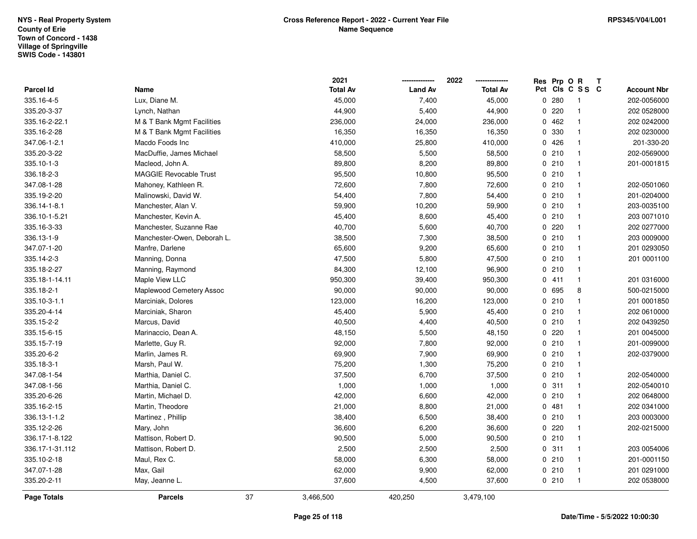|                 |                               |    | 2021            |                | 2022            | Res Prp O R |                 | T |                    |
|-----------------|-------------------------------|----|-----------------|----------------|-----------------|-------------|-----------------|---|--------------------|
| Parcel Id       | Name                          |    | <b>Total Av</b> | <b>Land Av</b> | <b>Total Av</b> |             | Pct Cls C S S C |   | <b>Account Nbr</b> |
| 335.16-4-5      | Lux, Diane M.                 |    | 45,000          | 7,400          | 45,000          | 0.280       | $\overline{1}$  |   | 202-0056000        |
| 335.20-3-37     | Lynch, Nathan                 |    | 44,900          | 5,400          | 44,900          | 0220        | $\mathbf{1}$    |   | 202 0528000        |
| 335.16-2-22.1   | M & T Bank Mgmt Facilities    |    | 236,000         | 24,000         | 236,000         | 0462        | $\mathbf{1}$    |   | 202 0242000        |
| 335.16-2-28     | M & T Bank Mgmt Facilities    |    | 16,350          | 16,350         | 16,350          | 0 330       | $\mathbf{1}$    |   | 202 0230000        |
| 347.06-1-2.1    | Macdo Foods Inc               |    | 410,000         | 25,800         | 410,000         | 0426        | $\mathbf{1}$    |   | 201-330-20         |
| 335.20-3-22     | MacDuffie, James Michael      |    | 58,500          | 5,500          | 58,500          | 0210        | $\mathbf{1}$    |   | 202-0569000        |
| 335.10-1-3      | Macleod, John A.              |    | 89,800          | 8,200          | 89,800          | 0210        | $\mathbf{1}$    |   | 201-0001815        |
| 336.18-2-3      | <b>MAGGIE Revocable Trust</b> |    | 95,500          | 10,800         | 95,500          | 0210        | $\mathbf{1}$    |   |                    |
| 347.08-1-28     | Mahoney, Kathleen R.          |    | 72,600          | 7,800          | 72,600          | 0210        | $\mathbf{1}$    |   | 202-0501060        |
| 335.19-2-20     | Malinowski, David W.          |    | 54,400          | 7,800          | 54,400          | 0210        | $\mathbf{1}$    |   | 201-0204000        |
| 336.14-1-8.1    | Manchester, Alan V.           |    | 59,900          | 10,200         | 59,900          | 0210        | $\mathbf{1}$    |   | 203-0035100        |
| 336.10-1-5.21   | Manchester, Kevin A.          |    | 45,400          | 8,600          | 45,400          | 0210        | $\mathbf{1}$    |   | 203 0071010        |
| 335.16-3-33     | Manchester, Suzanne Rae       |    | 40,700          | 5,600          | 40,700          | 0.220       | $\mathbf{1}$    |   | 202 0277000        |
| 336.13-1-9      | Manchester-Owen, Deborah L.   |    | 38,500          | 7,300          | 38,500          | 0210        | $\mathbf{1}$    |   | 203 0009000        |
| 347.07-1-20     | Manfre, Darlene               |    | 65,600          | 9,200          | 65,600          | 0210        | $\mathbf{1}$    |   | 201 0293050        |
| 335.14-2-3      | Manning, Donna                |    | 47,500          | 5,800          | 47,500          | 0210        | $\mathbf{1}$    |   | 201 0001100        |
| 335.18-2-27     | Manning, Raymond              |    | 84,300          | 12,100         | 96,900          | 0210        | $\mathbf{1}$    |   |                    |
| 335.18-1-14.11  | Maple View LLC                |    | 950,300         | 39,400         | 950,300         | 0411        | $\mathbf{1}$    |   | 201 0316000        |
| 335.18-2-1      | Maplewood Cemetery Assoc      |    | 90,000          | 90,000         | 90,000          | 0 695       | 8               |   | 500-0215000        |
| 335.10-3-1.1    | Marciniak, Dolores            |    | 123,000         | 16,200         | 123,000         | 0210        | $\mathbf{1}$    |   | 201 0001850        |
| 335.20-4-14     | Marciniak, Sharon             |    | 45,400          | 5,900          | 45,400          | 0210        | $\mathbf{1}$    |   | 202 0610000        |
| 335.15-2-2      | Marcus, David                 |    | 40,500          | 4,400          | 40,500          | 0210        | $\mathbf{1}$    |   | 202 0439250        |
| 335.15-6-15     | Marinaccio, Dean A.           |    | 48,150          | 5,500          | 48,150          | 0.220       | $\mathbf{1}$    |   | 201 0045000        |
| 335.15-7-19     | Marlette, Guy R.              |    | 92,000          | 7,800          | 92,000          | 0210        | $\mathbf{1}$    |   | 201-0099000        |
| 335.20-6-2      | Marlin, James R.              |    | 69,900          | 7,900          | 69,900          | 0210        | $\mathbf{1}$    |   | 202-0379000        |
| 335.18-3-1      | Marsh, Paul W.                |    | 75,200          | 1,300          | 75,200          | 0210        | $\mathbf{1}$    |   |                    |
| 347.08-1-54     | Marthia, Daniel C.            |    | 37,500          | 6,700          | 37,500          | 0210        | $\mathbf{1}$    |   | 202-0540000        |
| 347.08-1-56     | Marthia, Daniel C.            |    | 1,000           | 1,000          | 1,000           | 0.311       | $\mathbf{1}$    |   | 202-0540010        |
| 335.20-6-26     | Martin, Michael D.            |    | 42,000          | 6,600          | 42,000          | 0210        | $\mathbf{1}$    |   | 202 0648000        |
| 335.16-2-15     | Martin, Theodore              |    | 21,000          | 8,800          | 21,000          | 0.481       | $\mathbf{1}$    |   | 202 0341000        |
| 336.13-1-1.2    | Martinez, Phillip             |    | 38,400          | 6,500          | 38,400          | 0210        | $\mathbf{1}$    |   | 203 0003000        |
| 335.12-2-26     | Mary, John                    |    | 36,600          | 6,200          | 36,600          | 0220        | $\mathbf{1}$    |   | 202-0215000        |
| 336.17-1-8.122  | Mattison, Robert D.           |    | 90,500          | 5,000          | 90,500          | 0210        | $\mathbf{1}$    |   |                    |
| 336.17-1-31.112 | Mattison, Robert D.           |    | 2,500           | 2,500          | 2,500           | 0.311       | $\mathbf{1}$    |   | 203 0054006        |
| 335.10-2-18     | Maul, Rex C.                  |    | 58,000          | 6,300          | 58,000          | 0210        | $\mathbf{1}$    |   | 201-0001150        |
| 347.07-1-28     | Max, Gail                     |    | 62,000          | 9,900          | 62,000          | 0210        | $\mathbf{1}$    |   | 201 0291000        |
| 335.20-2-11     | May, Jeanne L.                |    | 37,600          | 4,500          | 37,600          | 0210        | $\mathbf{1}$    |   | 202 0538000        |
| Page Totals     | <b>Parcels</b>                | 37 | 3,466,500       | 420,250        | 3,479,100       |             |                 |   |                    |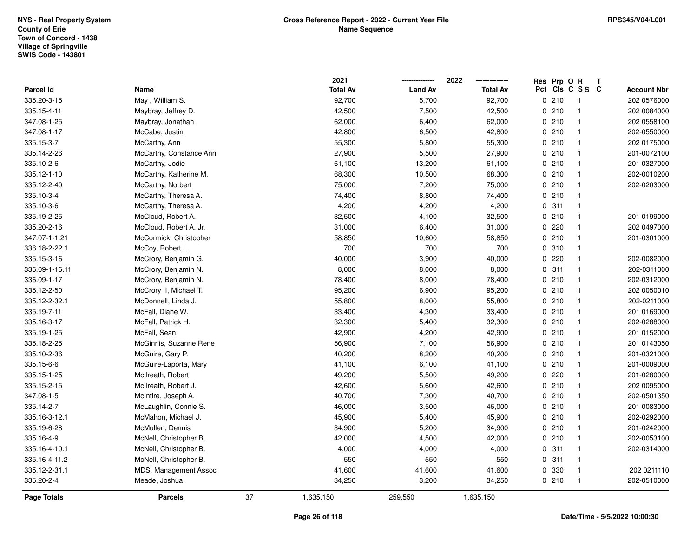|                    |                         |    | 2021            |                | 2022            | Res Prp O R |                 | Т |                    |
|--------------------|-------------------------|----|-----------------|----------------|-----------------|-------------|-----------------|---|--------------------|
| Parcel Id          | Name                    |    | <b>Total Av</b> | <b>Land Av</b> | <b>Total Av</b> |             | Pct Cls C S S C |   | <b>Account Nbr</b> |
| 335.20-3-15        | May, William S.         |    | 92,700          | 5,700          | 92,700          | 0210        | $\overline{1}$  |   | 202 0576000        |
| 335.15-4-11        | Maybray, Jeffrey D.     |    | 42,500          | 7,500          | 42,500          | 0210        | $\overline{1}$  |   | 202 0084000        |
| 347.08-1-25        | Maybray, Jonathan       |    | 62,000          | 6,400          | 62,000          | 0210        | $\overline{1}$  |   | 202 0558100        |
| 347.08-1-17        | McCabe, Justin          |    | 42,800          | 6,500          | 42,800          | 0210        | $\overline{1}$  |   | 202-0550000        |
| 335.15-3-7         | McCarthy, Ann           |    | 55,300          | 5,800          | 55,300          | 0210        | $\overline{1}$  |   | 202 0175000        |
| 335.14-2-26        | McCarthy, Constance Ann |    | 27,900          | 5,500          | 27,900          | 0210        | $\overline{1}$  |   | 201-0072100        |
| 335.10-2-6         | McCarthy, Jodie         |    | 61,100          | 13,200         | 61,100          | 0210        | $\overline{1}$  |   | 201 0327000        |
| 335.12-1-10        | McCarthy, Katherine M.  |    | 68,300          | 10,500         | 68,300          | 0210        | $\mathbf{1}$    |   | 202-0010200        |
| 335.12-2-40        | McCarthy, Norbert       |    | 75,000          | 7,200          | 75,000          | 0210        | $\mathbf{1}$    |   | 202-0203000        |
| 335.10-3-4         | McCarthy, Theresa A.    |    | 74,400          | 8,800          | 74,400          | 0210        | $\overline{1}$  |   |                    |
| 335.10-3-6         | McCarthy, Theresa A.    |    | 4,200           | 4,200          | 4,200           | 0.311       | $\overline{1}$  |   |                    |
| 335.19-2-25        | McCloud, Robert A.      |    | 32,500          | 4,100          | 32,500          | 0210        | $\overline{1}$  |   | 201 0199000        |
| 335.20-2-16        | McCloud, Robert A. Jr.  |    | 31,000          | 6,400          | 31,000          | 0.220       | $\overline{1}$  |   | 202 0497000        |
| 347.07-1-1.21      | McCormick, Christopher  |    | 58,850          | 10,600         | 58,850          | 0210        | $\overline{1}$  |   | 201-0301000        |
| 336.18-2-22.1      | McCoy, Robert L.        |    | 700             | 700            | 700             | 0.310       | $\overline{1}$  |   |                    |
| 335.15-3-16        | McCrory, Benjamin G.    |    | 40,000          | 3,900          | 40,000          | 0220        | $\mathbf{1}$    |   | 202-0082000        |
| 336.09-1-16.11     | McCrory, Benjamin N.    |    | 8,000           | 8,000          | 8,000           | 0.311       | $\mathbf{1}$    |   | 202-0311000        |
| 336.09-1-17        | McCrory, Benjamin N.    |    | 78,400          | 8,000          | 78,400          | 0210        | $\overline{1}$  |   | 202-0312000        |
| 335.12-2-50        | McCrory II, Michael T.  |    | 95,200          | 6,900          | 95,200          | 0210        | $\overline{1}$  |   | 202 0050010        |
| 335.12-2-32.1      | McDonnell, Linda J.     |    | 55,800          | 8,000          | 55,800          | 0210        | $\mathbf{1}$    |   | 202-0211000        |
| 335.19-7-11        | McFall, Diane W.        |    | 33,400          | 4,300          | 33,400          | 0210        | $\mathbf{1}$    |   | 201 0169000        |
| 335.16-3-17        | McFall, Patrick H.      |    | 32,300          | 5,400          | 32,300          | 0210        | $\overline{1}$  |   | 202-0288000        |
| 335.19-1-25        | McFall, Sean            |    | 42,900          | 4,200          | 42,900          | 0210        | $\mathbf{1}$    |   | 201 0152000        |
| 335.18-2-25        | McGinnis, Suzanne Rene  |    | 56,900          | 7,100          | 56,900          | 0210        | $\mathbf{1}$    |   | 201 0143050        |
| 335.10-2-36        | McGuire, Gary P.        |    | 40,200          | 8,200          | 40,200          | 0210        | $\overline{1}$  |   | 201-0321000        |
| 335.15-6-6         | McGuire-Laporta, Mary   |    | 41,100          | 6,100          | 41,100          | 0210        | $\overline{1}$  |   | 201-0009000        |
| 335.15-1-25        | McIlreath, Robert       |    | 49,200          | 5,500          | 49,200          | 0220        | $\overline{1}$  |   | 201-0280000        |
| 335.15-2-15        | McIlreath, Robert J.    |    | 42,600          | 5,600          | 42,600          | 0210        | $\mathbf{1}$    |   | 202 0095000        |
| 347.08-1-5         | McIntire, Joseph A.     |    | 40,700          | 7,300          | 40,700          | 0210        | $\overline{1}$  |   | 202-0501350        |
| 335.14-2-7         | McLaughlin, Connie S.   |    | 46,000          | 3,500          | 46,000          | 0210        | $\overline{1}$  |   | 201 0083000        |
| 335.16-3-12.1      | McMahon, Michael J.     |    | 45,900          | 5,400          | 45,900          | 0210        | $\mathbf{1}$    |   | 202-0292000        |
| 335.19-6-28        | McMullen, Dennis        |    | 34,900          | 5,200          | 34,900          | 0210        | $\mathbf{1}$    |   | 201-0242000        |
| 335.16-4-9         | McNell, Christopher B.  |    | 42,000          | 4,500          | 42,000          | 0210        | $\overline{1}$  |   | 202-0053100        |
| 335.16-4-10.1      | McNell, Christopher B.  |    | 4,000           | 4,000          | 4,000           | 0.311       | $\overline{1}$  |   | 202-0314000        |
| 335.16-4-11.2      | McNell, Christopher B.  |    | 550             | 550            | 550             | 0.311       | $\mathbf{1}$    |   |                    |
| 335.12-2-31.1      | MDS, Management Assoc   |    | 41,600          | 41,600         | 41,600          | 0 330       | $\overline{1}$  |   | 202 0211110        |
| 335.20-2-4         | Meade, Joshua           |    | 34,250          | 3,200          | 34,250          | 0210        | $\overline{1}$  |   | 202-0510000        |
| <b>Page Totals</b> | <b>Parcels</b>          | 37 | 1,635,150       | 259,550        | 1,635,150       |             |                 |   |                    |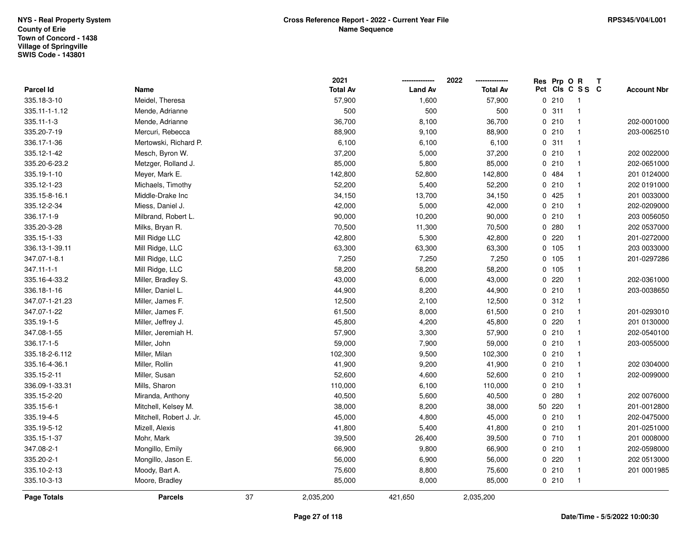|                  |                         |    | 2021            |                | 2022            | Res Prp O R |                 | Т |                    |
|------------------|-------------------------|----|-----------------|----------------|-----------------|-------------|-----------------|---|--------------------|
| Parcel Id        | Name                    |    | <b>Total Av</b> | <b>Land Av</b> | <b>Total Av</b> |             | Pct Cls C S S C |   | <b>Account Nbr</b> |
| 335.18-3-10      | Meidel, Theresa         |    | 57,900          | 1,600          | 57,900          | 0210        | $\overline{1}$  |   |                    |
| 335.11-1-1.12    | Mende, Adrianne         |    | 500             | 500            | 500             | 0.311       | $\overline{1}$  |   |                    |
| 335.11-1-3       | Mende, Adrianne         |    | 36,700          | 8,100          | 36,700          | 0210        | $\overline{1}$  |   | 202-0001000        |
| 335.20-7-19      | Mercuri, Rebecca        |    | 88,900          | 9,100          | 88,900          | 0210        | $\overline{1}$  |   | 203-0062510        |
| 336.17-1-36      | Mertowski, Richard P.   |    | 6,100           | 6,100          | 6,100           | 0.311       | $\mathbf{1}$    |   |                    |
| 335.12-1-42      | Mesch, Byron W.         |    | 37,200          | 5,000          | 37,200          | 0210        | $\mathbf{1}$    |   | 202 0022000        |
| 335.20-6-23.2    | Metzger, Rolland J.     |    | 85,000          | 5,800          | 85,000          | 0210        | $\mathbf{1}$    |   | 202-0651000        |
| 335.19-1-10      | Meyer, Mark E.          |    | 142,800         | 52,800         | 142,800         | 0 484       | $\mathbf{1}$    |   | 201 0124000        |
| 335.12-1-23      | Michaels, Timothy       |    | 52,200          | 5,400          | 52,200          | 0210        | $\overline{1}$  |   | 202 0191000        |
| 335.15-8-16.1    | Middle-Drake Inc        |    | 34,150          | 13,700         | 34,150          | 0425        | $\overline{1}$  |   | 201 0033000        |
| 335.12-2-34      | Miess, Daniel J.        |    | 42,000          | 5,000          | 42,000          | 0210        | $\mathbf{1}$    |   | 202-0209000        |
| 336.17-1-9       | Milbrand, Robert L.     |    | 90,000          | 10,200         | 90,000          | 0210        | $\mathbf{1}$    |   | 203 0056050        |
| 335.20-3-28      | Milks, Bryan R.         |    | 70,500          | 11,300         | 70,500          | 0.280       | $\mathbf{1}$    |   | 202 0537000        |
| 335.15-1-33      | Mill Ridge LLC          |    | 42,800          | 5,300          | 42,800          | 0220        | $\mathbf{1}$    |   | 201-0272000        |
| 336.13-1-39.11   | Mill Ridge, LLC         |    | 63,300          | 63,300         | 63,300          | 0 105       | $\mathbf{1}$    |   | 203 0033000        |
| 347.07-1-8.1     | Mill Ridge, LLC         |    | 7,250           | 7,250          | 7,250           | 0 105       | $\mathbf{1}$    |   | 201-0297286        |
| $347.11 - 1 - 1$ | Mill Ridge, LLC         |    | 58,200          | 58,200         | 58,200          | 0 105       | $\mathbf{1}$    |   |                    |
| 335.16-4-33.2    | Miller, Bradley S.      |    | 43,000          | 6,000          | 43,000          | 0220        | $\overline{1}$  |   | 202-0361000        |
| 336.18-1-16      | Miller, Daniel L.       |    | 44,900          | 8,200          | 44,900          | 0210        | $\overline{1}$  |   | 203-0038650        |
| 347.07-1-21.23   | Miller, James F.        |    | 12,500          | 2,100          | 12,500          | 0.312       | $\mathbf{1}$    |   |                    |
| 347.07-1-22      | Miller, James F.        |    | 61,500          | 8,000          | 61,500          | 0210        | $\overline{1}$  |   | 201-0293010        |
| 335.19-1-5       | Miller, Jeffrey J.      |    | 45,800          | 4,200          | 45,800          | 0220        | $\mathbf{1}$    |   | 201 0130000        |
| 347.08-1-55      | Miller, Jeremiah H.     |    | 57,900          | 3,300          | 57,900          | 0210        | $\mathbf{1}$    |   | 202-0540100        |
| 336.17-1-5       | Miller, John            |    | 59,000          | 7,900          | 59,000          | 0210        | $\mathbf{1}$    |   | 203-0055000        |
| 335.18-2-6.112   | Miller, Milan           |    | 102,300         | 9,500          | 102,300         | 0210        | $\overline{1}$  |   |                    |
| 335.16-4-36.1    | Miller, Rollin          |    | 41,900          | 9,200          | 41,900          | 0210        | $\overline{1}$  |   | 202 0304000        |
| 335.15-2-11      | Miller, Susan           |    | 52,600          | 4,600          | 52,600          | 0210        | $\mathbf{1}$    |   | 202-0099000        |
| 336.09-1-33.31   | Mills, Sharon           |    | 110,000         | 6,100          | 110,000         | 0210        | $\mathbf{1}$    |   |                    |
| 335.15-2-20      | Miranda, Anthony        |    | 40,500          | 5,600          | 40,500          | 0.280       | $\mathbf{1}$    |   | 202 0076000        |
| 335.15-6-1       | Mitchell, Kelsey M.     |    | 38,000          | 8,200          | 38,000          | 50 220      | $\mathbf{1}$    |   | 201-0012800        |
| 335.19-4-5       | Mitchell, Robert J. Jr. |    | 45,000          | 4,800          | 45,000          | 0210        | $\mathbf{1}$    |   | 202-0475000        |
| 335.19-5-12      | Mizell, Alexis          |    | 41,800          | 5,400          | 41,800          | 0210        | $\overline{1}$  |   | 201-0251000        |
| 335.15-1-37      | Mohr, Mark              |    | 39,500          | 26,400         | 39,500          | 0710        | $\overline{1}$  |   | 201 0008000        |
| 347.08-2-1       | Mongillo, Emily         |    | 66,900          | 9,800          | 66,900          | 0210        | $\mathbf{1}$    |   | 202-0598000        |
| 335.20-2-1       | Mongillo, Jason E.      |    | 56,000          | 6,900          | 56,000          | 0220        | $\mathbf{1}$    |   | 202 0513000        |
| 335.10-2-13      | Moody, Bart A.          |    | 75,600          | 8,800          | 75,600          | 0210        | $\overline{1}$  |   | 201 0001985        |
| 335.10-3-13      | Moore, Bradley          |    | 85,000          | 8,000          | 85,000          | 0210        | $\overline{1}$  |   |                    |
| Page Totals      | <b>Parcels</b>          | 37 | 2,035,200       | 421,650        | 2,035,200       |             |                 |   |                    |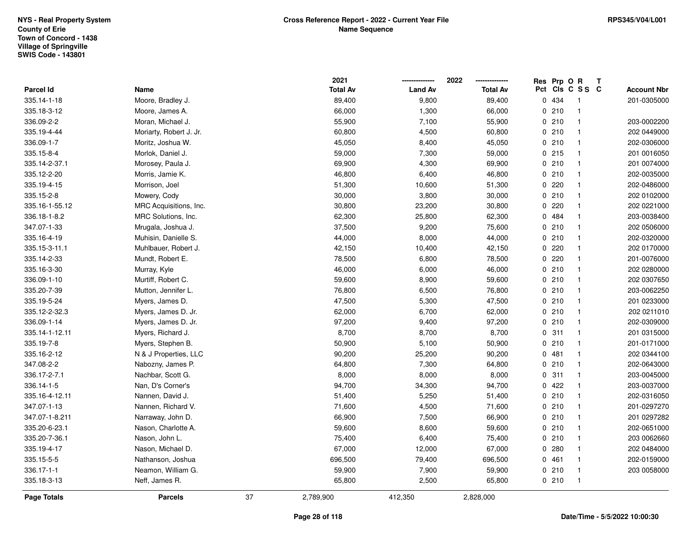|                |                         |    | 2021            |                | 2022            | Res Prp O R |                 | T. |                    |
|----------------|-------------------------|----|-----------------|----------------|-----------------|-------------|-----------------|----|--------------------|
| Parcel Id      | Name                    |    | <b>Total Av</b> | <b>Land Av</b> | <b>Total Av</b> |             | Pct Cls C S S C |    | <b>Account Nbr</b> |
| 335.14-1-18    | Moore, Bradley J.       |    | 89,400          | 9,800          | 89,400          | 0 434       | $\mathbf{1}$    |    | 201-0305000        |
| 335.18-3-12    | Moore, James A.         |    | 66,000          | 1,300          | 66,000          | 0210        | $\mathbf{1}$    |    |                    |
| 336.09-2-2     | Moran, Michael J.       |    | 55,900          | 7,100          | 55,900          | 0210        | $\mathbf{1}$    |    | 203-0002200        |
| 335.19-4-44    | Moriarty, Robert J. Jr. |    | 60,800          | 4,500          | 60,800          | 0210        | $\mathbf{1}$    |    | 202 0449000        |
| 336.09-1-7     | Moritz, Joshua W.       |    | 45,050          | 8,400          | 45,050          | 0210        | $\mathbf{1}$    |    | 202-0306000        |
| 335.15-8-4     | Morlok, Daniel J.       |    | 59,000          | 7,300          | 59,000          | 0215        | $\mathbf{1}$    |    | 201 0016050        |
| 335.14-2-37.1  | Morosey, Paula J.       |    | 69,900          | 4,300          | 69,900          | 0210        | $\mathbf{1}$    |    | 201 0074000        |
| 335.12-2-20    | Morris, Jamie K.        |    | 46,800          | 6,400          | 46,800          | 0210        | $\mathbf{1}$    |    | 202-0035000        |
| 335.19-4-15    | Morrison, Joel          |    | 51,300          | 10,600         | 51,300          | 0.220       | $\mathbf{1}$    |    | 202-0486000        |
| 335.15-2-8     | Mowery, Cody            |    | 30,000          | 3,800          | 30,000          | 0210        | $\mathbf{1}$    |    | 202 0102000        |
| 335.16-1-55.12 | MRC Acquisitions, Inc.  |    | 30,800          | 23,200         | 30,800          | 0.220       | $\mathbf{1}$    |    | 202 0221000        |
| 336.18-1-8.2   | MRC Solutions, Inc.     |    | 62,300          | 25,800         | 62,300          | 0 484       | $\mathbf{1}$    |    | 203-0038400        |
| 347.07-1-33    | Mrugala, Joshua J.      |    | 37,500          | 9,200          | 75,600          | 0210        | $\mathbf{1}$    |    | 202 0506000        |
| 335.16-4-19    | Muhisin, Danielle S.    |    | 44,000          | 8,000          | 44,000          | 0210        | $\mathbf{1}$    |    | 202-0320000        |
| 335.15-3-11.1  | Muhlbauer, Robert J.    |    | 42,150          | 10,400         | 42,150          | 0220        | $\mathbf{1}$    |    | 202 0170000        |
| 335.14-2-33    | Mundt, Robert E.        |    | 78,500          | 6,800          | 78,500          | 0.220       | $\mathbf{1}$    |    | 201-0076000        |
| 335.16-3-30    | Murray, Kyle            |    | 46,000          | 6,000          | 46,000          | 0210        | $\mathbf{1}$    |    | 202 0280000        |
| 336.09-1-10    | Murtiff, Robert C.      |    | 59,600          | 8,900          | 59,600          | 0210        | $\mathbf{1}$    |    | 202 0307650        |
| 335.20-7-39    | Mutton, Jennifer L.     |    | 76,800          | 6,500          | 76,800          | 0210        | $\mathbf{1}$    |    | 203-0062250        |
| 335.19-5-24    | Myers, James D.         |    | 47,500          | 5,300          | 47,500          | 0210        | $\mathbf{1}$    |    | 201 0233000        |
| 335.12-2-32.3  | Myers, James D. Jr.     |    | 62,000          | 6,700          | 62,000          | 0210        | $\mathbf{1}$    |    | 202 0211010        |
| 336.09-1-14    | Myers, James D. Jr.     |    | 97,200          | 9,400          | 97,200          | 0210        | $\mathbf{1}$    |    | 202-0309000        |
| 335.14-1-12.11 | Myers, Richard J.       |    | 8,700           | 8,700          | 8,700           | 0.311       | $\mathbf{1}$    |    | 201 0315000        |
| 335.19-7-8     | Myers, Stephen B.       |    | 50,900          | 5,100          | 50,900          | 0210        | $\mathbf{1}$    |    | 201-0171000        |
| 335.16-2-12    | N & J Properties, LLC   |    | 90,200          | 25,200         | 90,200          | 0.481       | $\mathbf{1}$    |    | 202 0344100        |
| 347.08-2-2     | Nabozny, James P.       |    | 64,800          | 7,300          | 64,800          | 0210        | $\mathbf{1}$    |    | 202-0643000        |
| 336.17-2-7.1   | Nachbar, Scott G.       |    | 8,000           | 8,000          | 8,000           | 0.311       | $\mathbf{1}$    |    | 203-0045000        |
| 336.14-1-5     | Nan, D's Corner's       |    | 94,700          | 34,300         | 94,700          | 0422        | $\mathbf{1}$    |    | 203-0037000        |
| 335.16-4-12.11 | Nannen, David J.        |    | 51,400          | 5,250          | 51,400          | 0210        | $\mathbf{1}$    |    | 202-0316050        |
| 347.07-1-13    | Nannen, Richard V.      |    | 71,600          | 4,500          | 71,600          | 0210        | $\mathbf{1}$    |    | 201-0297270        |
| 347.07-1-8.211 | Narraway, John D.       |    | 66,900          | 7,500          | 66,900          | 0210        | $\mathbf{1}$    |    | 201 0297282        |
| 335.20-6-23.1  | Nason, Charlotte A.     |    | 59,600          | 8,600          | 59,600          | 0210        | $\mathbf{1}$    |    | 202-0651000        |
| 335.20-7-36.1  | Nason, John L.          |    | 75,400          | 6,400          | 75,400          | 0210        | $\mathbf{1}$    |    | 203 0062660        |
| 335.19-4-17    | Nason, Michael D.       |    | 67,000          | 12,000         | 67,000          | 0.280       | $\mathbf{1}$    |    | 202 0484000        |
| 335.15-5-5     | Nathanson, Joshua       |    | 696,500         | 79,400         | 696,500         | 0461        | $\mathbf{1}$    |    | 202-0159000        |
| 336.17-1-1     | Neamon, William G.      |    | 59,900          | 7,900          | 59,900          | 0210        | $\mathbf{1}$    |    | 203 0058000        |
| 335.18-3-13    | Neff, James R.          |    | 65,800          | 2,500          | 65,800          | 0210        | $\mathbf{1}$    |    |                    |
| Page Totals    | <b>Parcels</b>          | 37 | 2,789,900       | 412,350        | 2,828,000       |             |                 |    |                    |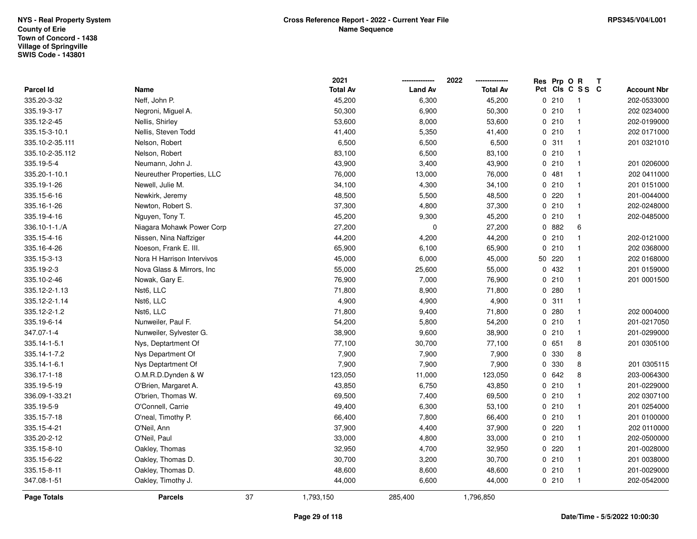|                    |                            |    | 2021            |                | 2022            | Res Prp O R |                 | T |                    |
|--------------------|----------------------------|----|-----------------|----------------|-----------------|-------------|-----------------|---|--------------------|
| Parcel Id          | Name                       |    | <b>Total Av</b> | <b>Land Av</b> | <b>Total Av</b> |             | Pct Cls C S S C |   | <b>Account Nbr</b> |
| 335.20-3-32        | Neff, John P.              |    | 45,200          | 6,300          | 45,200          | 0210        | $\overline{1}$  |   | 202-0533000        |
| 335.19-3-17        | Negroni, Miguel A.         |    | 50,300          | 6,900          | 50,300          | 0210        | $\mathbf{1}$    |   | 202 0234000        |
| 335.12-2-45        | Nellis, Shirley            |    | 53,600          | 8,000          | 53,600          | 0210        | $\mathbf{1}$    |   | 202-0199000        |
| 335.15-3-10.1      | Nellis, Steven Todd        |    | 41,400          | 5,350          | 41,400          | 0210        | $\mathbf{1}$    |   | 202 0171000        |
| 335.10-2-35.111    | Nelson, Robert             |    | 6,500           | 6,500          | 6,500           | 0.311       | $\mathbf{1}$    |   | 201 0321010        |
| 335.10-2-35.112    | Nelson, Robert             |    | 83,100          | 6,500          | 83,100          | 0210        | $\mathbf{1}$    |   |                    |
| 335.19-5-4         | Neumann, John J.           |    | 43,900          | 3,400          | 43,900          | 0210        | $\mathbf{1}$    |   | 201 0206000        |
| 335.20-1-10.1      | Neureuther Properties, LLC |    | 76,000          | 13,000         | 76,000          | 0481        | $\mathbf{1}$    |   | 202 0411000        |
| 335.19-1-26        | Newell, Julie M.           |    | 34,100          | 4,300          | 34,100          | 0210        | $\mathbf{1}$    |   | 201 0151000        |
| 335.15-6-16        | Newkirk, Jeremy            |    | 48,500          | 5,500          | 48,500          | 0.220       | $\mathbf{1}$    |   | 201-0044000        |
| 335.16-1-26        | Newton, Robert S.          |    | 37,300          | 4,800          | 37,300          | 0210        | $\mathbf{1}$    |   | 202-0248000        |
| 335.19-4-16        | Nguyen, Tony T.            |    | 45,200          | 9,300          | 45,200          | 0210        | $\mathbf{1}$    |   | 202-0485000        |
| 336.10-1-1./A      | Niagara Mohawk Power Corp  |    | 27,200          | 0              | 27,200          | 0 882       | 6               |   |                    |
| 335.15-4-16        | Nissen, Nina Naffziger     |    | 44,200          | 4,200          | 44,200          | 0210        | $\mathbf{1}$    |   | 202-0121000        |
| 335.16-4-26        | Noeson, Frank E. III.      |    | 65,900          | 6,100          | 65,900          | 0210        | $\mathbf{1}$    |   | 202 0368000        |
| 335.15-3-13        | Nora H Harrison Intervivos |    | 45,000          | 6,000          | 45,000          | 50 220      | $\mathbf{1}$    |   | 202 0168000        |
| 335.19-2-3         | Nova Glass & Mirrors, Inc. |    | 55,000          | 25,600         | 55,000          | 0 432       | $\mathbf{1}$    |   | 201 0159000        |
| 335.10-2-46        | Nowak, Gary E.             |    | 76,900          | 7,000          | 76,900          | 0210        | $\mathbf{1}$    |   | 201 0001500        |
| 335.12-2-1.13      | Nst6, LLC                  |    | 71,800          | 8,900          | 71,800          | 0.280       | $\mathbf{1}$    |   |                    |
| 335.12-2-1.14      | Nst6, LLC                  |    | 4,900           | 4,900          | 4,900           | 0.311       | $\mathbf{1}$    |   |                    |
| 335.12-2-1.2       | Nst6, LLC                  |    | 71,800          | 9,400          | 71,800          | 0.280       | $\mathbf{1}$    |   | 202 0004000        |
| 335.19-6-14        | Nunweiler, Paul F.         |    | 54,200          | 5,800          | 54,200          | 0210        | $\mathbf{1}$    |   | 201-0217050        |
| 347.07-1-4         | Nunweiler, Sylvester G.    |    | 38,900          | 9,600          | 38,900          | 0210        | $\mathbf{1}$    |   | 201-0299000        |
| 335.14-1-5.1       | Nys, Deptartment Of        |    | 77,100          | 30,700         | 77,100          | 0 651       | 8               |   | 201 0305100        |
| 335.14-1-7.2       | Nys Department Of          |    | 7,900           | 7,900          | 7,900           | 0 330       | 8               |   |                    |
| 335.14-1-6.1       | Nys Deptartment Of         |    | 7,900           | 7,900          | 7,900           | 0 330       | 8               |   | 201 0305115        |
| 336.17-1-18        | O.M.R.D.Dynden & W         |    | 123,050         | 11,000         | 123,050         | 0 642       | 8               |   | 203-0064300        |
| 335.19-5-19        | O'Brien, Margaret A.       |    | 43,850          | 6,750          | 43,850          | 0210        | $\mathbf{1}$    |   | 201-0229000        |
| 336.09-1-33.21     | O'brien, Thomas W.         |    | 69,500          | 7,400          | 69,500          | 0210        | $\mathbf{1}$    |   | 202 0307100        |
| 335.19-5-9         | O'Connell, Carrie          |    | 49,400          | 6,300          | 53,100          | 0210        | $\mathbf{1}$    |   | 201 0254000        |
| 335.15-7-18        | O'neal, Timothy P.         |    | 66,400          | 7,800          | 66,400          | 0210        | $\mathbf{1}$    |   | 201 0100000        |
| 335.15-4-21        | O'Neil, Ann                |    | 37,900          | 4,400          | 37,900          | 0.220       | $\mathbf{1}$    |   | 202 0110000        |
| 335.20-2-12        | O'Neil, Paul               |    | 33,000          | 4,800          | 33,000          | 0210        | $\mathbf{1}$    |   | 202-0500000        |
| 335.15-8-10        | Oakley, Thomas             |    | 32,950          | 4,700          | 32,950          | 0.220       | $\mathbf{1}$    |   | 201-0028000        |
| 335.15-6-22        | Oakley, Thomas D.          |    | 30,700          | 3,200          | 30,700          | 0210        | $\mathbf{1}$    |   | 201 0038000        |
| 335.15-8-11        | Oakley, Thomas D.          |    | 48,600          | 8,600          | 48,600          | 0210        | $\mathbf{1}$    |   | 201-0029000        |
| 347.08-1-51        | Oakley, Timothy J.         |    | 44,000          | 6,600          | 44,000          | 0210        | $\overline{1}$  |   | 202-0542000        |
| <b>Page Totals</b> | <b>Parcels</b>             | 37 | 1,793,150       | 285,400        | 1,796,850       |             |                 |   |                    |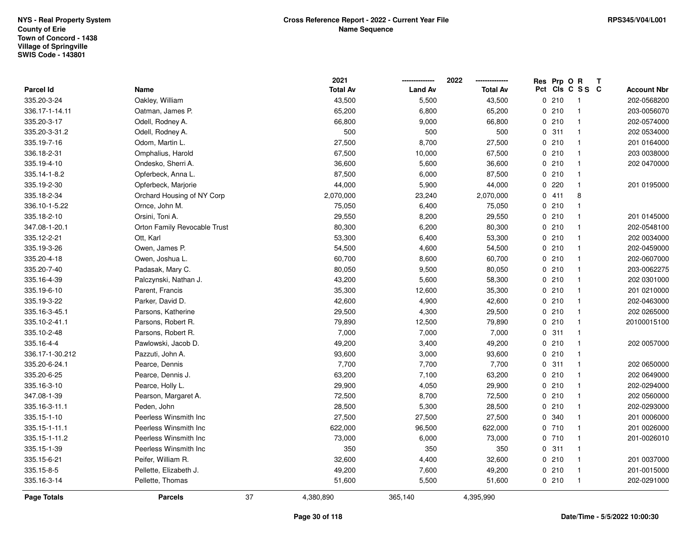|                    |                              |    | 2021            |                | 2022            | Res Prp O R |                 | T |                    |
|--------------------|------------------------------|----|-----------------|----------------|-----------------|-------------|-----------------|---|--------------------|
| Parcel Id          | Name                         |    | <b>Total Av</b> | <b>Land Av</b> | <b>Total Av</b> |             | Pct Cls C S S C |   | <b>Account Nbr</b> |
| 335.20-3-24        | Oakley, William              |    | 43,500          | 5,500          | 43,500          | 0210        | $\overline{1}$  |   | 202-0568200        |
| 336.17-1-14.11     | Oatman, James P.             |    | 65,200          | 6,800          | 65,200          | 0210        | $\mathbf{1}$    |   | 203-0056070        |
| 335.20-3-17        | Odell, Rodney A.             |    | 66,800          | 9,000          | 66,800          | 0210        | $\mathbf{1}$    |   | 202-0574000        |
| 335.20-3-31.2      | Odell, Rodney A.             |    | 500             | 500            | 500             | 0.311       | $\mathbf{1}$    |   | 202 0534000        |
| 335.19-7-16        | Odom, Martin L.              |    | 27,500          | 8,700          | 27,500          | 0210        | $\mathbf{1}$    |   | 201 0164000        |
| 336.18-2-31        | Omphalius, Harold            |    | 67,500          | 10,000         | 67,500          | 0210        | $\mathbf{1}$    |   | 203 0038000        |
| 335.19-4-10        | Ondesko, Sherri A.           |    | 36,600          | 5,600          | 36,600          | 0210        | $\mathbf{1}$    |   | 202 0470000        |
| 335.14-1-8.2       | Opferbeck, Anna L.           |    | 87,500          | 6,000          | 87,500          | 0210        | $\mathbf{1}$    |   |                    |
| 335.19-2-30        | Opferbeck, Marjorie          |    | 44,000          | 5,900          | 44,000          | 0220        | $\mathbf{1}$    |   | 201 0195000        |
| 335.18-2-34        | Orchard Housing of NY Corp   |    | 2,070,000       | 23,240         | 2,070,000       | 0411        | 8               |   |                    |
| 336.10-1-5.22      | Ornce, John M.               |    | 75,050          | 6,400          | 75,050          | 0210        | $\mathbf{1}$    |   |                    |
| 335.18-2-10        | Orsini, Toni A.              |    | 29,550          | 8,200          | 29,550          | 0210        | $\mathbf{1}$    |   | 201 0145000        |
| 347.08-1-20.1      | Orton Family Revocable Trust |    | 80,300          | 6,200          | 80,300          | 0210        | $\mathbf{1}$    |   | 202-0548100        |
| 335.12-2-21        | Ott, Karl                    |    | 53,300          | 6,400          | 53,300          | 0210        | $\mathbf{1}$    |   | 202 0034000        |
| 335.19-3-26        | Owen, James P.               |    | 54,500          | 4,600          | 54,500          | 0210        | $\mathbf{1}$    |   | 202-0459000        |
| 335.20-4-18        | Owen, Joshua L.              |    | 60,700          | 8,600          | 60,700          | 0210        | $\mathbf{1}$    |   | 202-0607000        |
| 335.20-7-40        | Padasak, Mary C.             |    | 80,050          | 9,500          | 80,050          | 0210        | $\mathbf{1}$    |   | 203-0062275        |
| 335.16-4-39        | Palczynski, Nathan J.        |    | 43,200          | 5,600          | 58,300          | 0210        | $\mathbf{1}$    |   | 202 0301000        |
| 335.19-6-10        | Parent, Francis              |    | 35,300          | 12,600         | 35,300          | 0210        | $\mathbf{1}$    |   | 201 0210000        |
| 335.19-3-22        | Parker, David D.             |    | 42,600          | 4,900          | 42,600          | 0210        | $\mathbf{1}$    |   | 202-0463000        |
| 335.16-3-45.1      | Parsons, Katherine           |    | 29,500          | 4,300          | 29,500          | 0210        | $\mathbf{1}$    |   | 202 0265000        |
| 335.10-2-41.1      | Parsons, Robert R.           |    | 79,890          | 12,500         | 79,890          | 0210        | $\mathbf{1}$    |   | 20100015100        |
| 335.10-2-48        | Parsons, Robert R.           |    | 7,000           | 7,000          | 7,000           | 0.311       | $\mathbf{1}$    |   |                    |
| 335.16-4-4         | Pawlowski, Jacob D.          |    | 49,200          | 3,400          | 49,200          | 0210        | $\mathbf{1}$    |   | 202 0057000        |
| 336.17-1-30.212    | Pazzuti, John A.             |    | 93,600          | 3,000          | 93,600          | 0210        | $\mathbf{1}$    |   |                    |
| 335.20-6-24.1      | Pearce, Dennis               |    | 7,700           | 7,700          | 7,700           | 0.311       | $\mathbf{1}$    |   | 202 0650000        |
| 335.20-6-25        | Pearce, Dennis J.            |    | 63,200          | 7,100          | 63,200          | 0210        | $\mathbf{1}$    |   | 202 0649000        |
| 335.16-3-10        | Pearce, Holly L.             |    | 29,900          | 4,050          | 29,900          | 0210        | $\mathbf{1}$    |   | 202-0294000        |
| 347.08-1-39        | Pearson, Margaret A.         |    | 72,500          | 8,700          | 72,500          | 0210        | $\mathbf{1}$    |   | 202 0560000        |
| 335.16-3-11.1      | Peden, John                  |    | 28,500          | 5,300          | 28,500          | 0210        | $\mathbf{1}$    |   | 202-0293000        |
| 335.15-1-10        | Peerless Winsmith Inc        |    | 27,500          | 27,500         | 27,500          | 0 340       | $\mathbf{1}$    |   | 201 0006000        |
| 335.15-1-11.1      | Peerless Winsmith Inc        |    | 622,000         | 96,500         | 622,000         | 0710        | $\mathbf{1}$    |   | 201 0026000        |
| 335.15-1-11.2      | Peerless Winsmith Inc        |    | 73,000          | 6,000          | 73,000          | 0710        | $\mathbf{1}$    |   | 201-0026010        |
| 335.15-1-39        | Peerless Winsmith Inc        |    | 350             | 350            | 350             | 0.311       | $\mathbf{1}$    |   |                    |
| 335.15-6-21        | Peifer, William R.           |    | 32,600          | 4,400          | 32,600          | 0210        | $\mathbf{1}$    |   | 201 0037000        |
| 335.15-8-5         | Pellette, Elizabeth J.       |    | 49,200          | 7,600          | 49,200          | 0210        | $\mathbf{1}$    |   | 201-0015000        |
| 335.16-3-14        | Pellette, Thomas             |    | 51,600          | 5,500          | 51,600          | 0210        | $\overline{1}$  |   | 202-0291000        |
| <b>Page Totals</b> | <b>Parcels</b>               | 37 | 4,380,890       | 365,140        | 4,395,990       |             |                 |   |                    |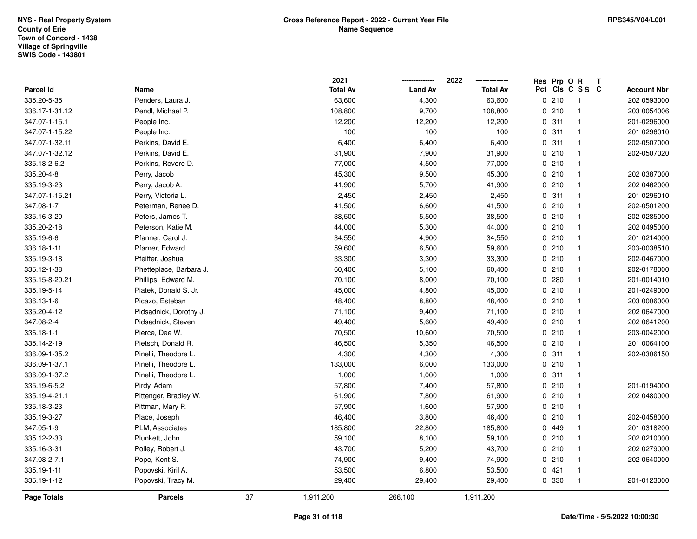|                |                         |    | 2021            |                | 2022            | Res Prp O R |                         | Т |                    |
|----------------|-------------------------|----|-----------------|----------------|-----------------|-------------|-------------------------|---|--------------------|
| Parcel Id      | Name                    |    | <b>Total Av</b> | <b>Land Av</b> | <b>Total Av</b> |             | Pct Cls C S S C         |   | <b>Account Nbr</b> |
| 335.20-5-35    | Penders, Laura J.       |    | 63,600          | 4,300          | 63,600          | 0210        | $\overline{1}$          |   | 202 0593000        |
| 336.17-1-31.12 | Pendl, Michael P.       |    | 108,800         | 9,700          | 108,800         | 0210        | $\overline{1}$          |   | 203 0054006        |
| 347.07-1-15.1  | People Inc.             |    | 12,200          | 12,200         | 12,200          | 0.311       | $\overline{\mathbf{1}}$ |   | 201-0296000        |
| 347.07-1-15.22 | People Inc.             |    | 100             | 100            | 100             | 0.311       | $\overline{\mathbf{1}}$ |   | 201 0296010        |
| 347.07-1-32.11 | Perkins, David E.       |    | 6,400           | 6,400          | 6,400           | 0.311       | $\mathbf{1}$            |   | 202-0507000        |
| 347.07-1-32.12 | Perkins, David E.       |    | 31,900          | 7,900          | 31,900          | 0210        | $\mathbf{1}$            |   | 202-0507020        |
| 335.18-2-6.2   | Perkins, Revere D.      |    | 77,000          | 4,500          | 77,000          | 0210        | $\overline{\mathbf{1}}$ |   |                    |
| 335.20-4-8     | Perry, Jacob            |    | 45,300          | 9,500          | 45,300          | 0210        | $\mathbf{1}$            |   | 202 0387000        |
| 335.19-3-23    | Perry, Jacob A.         |    | 41,900          | 5,700          | 41,900          | 0210        | $\mathbf{1}$            |   | 202 0462000        |
| 347.07-1-15.21 | Perry, Victoria L.      |    | 2,450           | 2,450          | 2,450           | 0.311       | $\mathbf{1}$            |   | 201 0296010        |
| 347.08-1-7     | Peterman, Renee D.      |    | 41,500          | 6,600          | 41,500          | 0210        | $\overline{\mathbf{1}}$ |   | 202-0501200        |
| 335.16-3-20    | Peters, James T.        |    | 38,500          | 5,500          | 38,500          | 0210        | $\mathbf{1}$            |   | 202-0285000        |
| 335.20-2-18    | Peterson, Katie M.      |    | 44,000          | 5,300          | 44,000          | 0210        | $\mathbf{1}$            |   | 202 0495000        |
| 335.19-6-6     | Pfanner, Carol J.       |    | 34,550          | 4,900          | 34,550          | 0210        | $\overline{\mathbf{1}}$ |   | 201 0214000        |
| 336.18-1-11    | Pfarner, Edward         |    | 59,600          | 6,500          | 59,600          | 0210        | $\mathbf{1}$            |   | 203-0038510        |
| 335.19-3-18    | Pfeiffer, Joshua        |    | 33,300          | 3,300          | 33,300          | 0210        | $\mathbf{1}$            |   | 202-0467000        |
| 335.12-1-38    | Phetteplace, Barbara J. |    | 60,400          | 5,100          | 60,400          | 0210        | $\mathbf{1}$            |   | 202-0178000        |
| 335.15-8-20.21 | Phillips, Edward M.     |    | 70,100          | 8,000          | 70,100          | 0.280       | $\overline{\mathbf{1}}$ |   | 201-0014010        |
| 335.19-5-14    | Piatek, Donald S. Jr.   |    | 45,000          | 4,800          | 45,000          | 0210        | $\mathbf{1}$            |   | 201-0249000        |
| 336.13-1-6     | Picazo, Esteban         |    | 48,400          | 8,800          | 48,400          | 0210        | $\overline{\mathbf{1}}$ |   | 203 0006000        |
| 335.20-4-12    | Pidsadnick, Dorothy J.  |    | 71,100          | 9,400          | 71,100          | 0210        | $\mathbf{1}$            |   | 202 0647000        |
| 347.08-2-4     | Pidsadnick, Steven      |    | 49,400          | 5,600          | 49,400          | 0210        | $\overline{\mathbf{1}}$ |   | 202 0641200        |
| 336.18-1-1     | Pierce, Dee W.          |    | 70,500          | 10,600         | 70,500          | 0210        | $\mathbf{1}$            |   | 203-0042000        |
| 335.14-2-19    | Pietsch, Donald R.      |    | 46,500          | 5,350          | 46,500          | 0210        | $\mathbf{1}$            |   | 201 0064100        |
| 336.09-1-35.2  | Pinelli, Theodore L.    |    | 4,300           | 4,300          | 4,300           | 0.311       | $\overline{\mathbf{1}}$ |   | 202-0306150        |
| 336.09-1-37.1  | Pinelli, Theodore L.    |    | 133,000         | 6,000          | 133,000         | 0210        | $\mathbf{1}$            |   |                    |
| 336.09-1-37.2  | Pinelli, Theodore L.    |    | 1,000           | 1,000          | 1,000           | 0.311       | $\mathbf{1}$            |   |                    |
| 335.19-6-5.2   | Pirdy, Adam             |    | 57,800          | 7,400          | 57,800          | 0210        | $\overline{1}$          |   | 201-0194000        |
| 335.19-4-21.1  | Pittenger, Bradley W.   |    | 61,900          | 7,800          | 61,900          | 0210        | $\overline{\mathbf{1}}$ |   | 202 0480000        |
| 335.18-3-23    | Pittman, Mary P.        |    | 57,900          | 1,600          | 57,900          | 0210        | $\mathbf{1}$            |   |                    |
| 335.19-3-27    | Place, Joseph           |    | 46,400          | 3,800          | 46,400          | 0210        | $\mathbf{1}$            |   | 202-0458000        |
| 347.05-1-9     | PLM, Associates         |    | 185,800         | 22,800         | 185,800         | 0 449       | $\overline{\mathbf{1}}$ |   | 201 0318200        |
| 335.12-2-33    | Plunkett, John          |    | 59,100          | 8,100          | 59,100          | 0210        | $\overline{\mathbf{1}}$ |   | 202 0210000        |
| 335.16-3-31    | Polley, Robert J.       |    | 43,700          | 5,200          | 43,700          | 0210        | $\mathbf{1}$            |   | 202 0279000        |
| 347.08-2-7.1   | Pope, Kent S.           |    | 74,900          | 9,400          | 74,900          | 0210        | $\mathbf{1}$            |   | 202 0640000        |
| 335.19-1-11    | Popovski, Kiril A.      |    | 53,500          | 6,800          | 53,500          | 0421        | $\mathbf{1}$            |   |                    |
| 335.19-1-12    | Popovski, Tracy M.      |    | 29,400          | 29,400         | 29,400          | 0 330       | $\overline{1}$          |   | 201-0123000        |
| Page Totals    | <b>Parcels</b>          | 37 | 1,911,200       | 266,100        | 1,911,200       |             |                         |   |                    |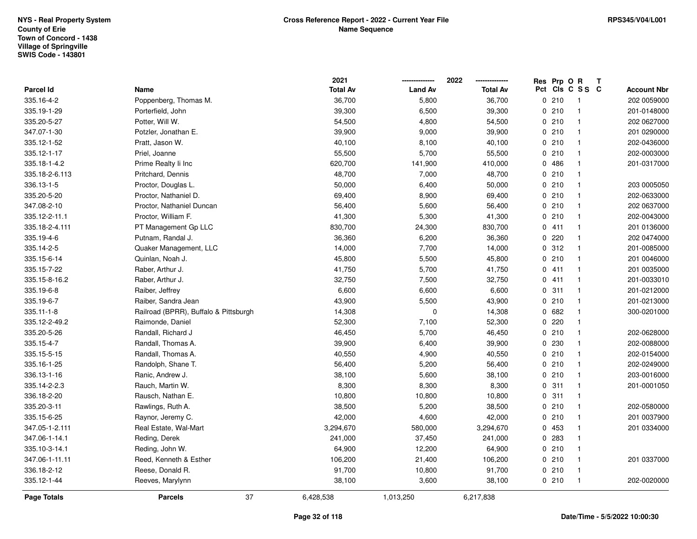|                  |                                       | 2021            |                | 2022            | Res Prp O R |                 | T |                    |
|------------------|---------------------------------------|-----------------|----------------|-----------------|-------------|-----------------|---|--------------------|
| Parcel Id        | Name                                  | <b>Total Av</b> | <b>Land Av</b> | <b>Total Av</b> |             | Pct Cls C S S C |   | <b>Account Nbr</b> |
| 335.16-4-2       | Poppenberg, Thomas M.                 | 36,700          | 5,800          | 36,700          | 0210        | $\overline{1}$  |   | 202 0059000        |
| 335.19-1-29      | Porterfield, John                     | 39,300          | 6,500          | 39,300          | 0210        | $\mathbf{1}$    |   | 201-0148000        |
| 335.20-5-27      | Potter, Will W.                       | 54,500          | 4,800          | 54,500          | 0210        | $\mathbf{1}$    |   | 202 0627000        |
| 347.07-1-30      | Potzler, Jonathan E.                  | 39,900          | 9,000          | 39,900          | 0210        | $\mathbf{1}$    |   | 201 0290000        |
| 335.12-1-52      | Pratt, Jason W.                       | 40,100          | 8,100          | 40,100          | 0210        | $\mathbf{1}$    |   | 202-0436000        |
| 335.12-1-17      | Priel, Joanne                         | 55,500          | 5,700          | 55,500          | 0210        | $\mathbf{1}$    |   | 202-0003000        |
| 335.18-1-4.2     | Prime Realty Ii Inc                   | 620,700         | 141,900        | 410,000         | 0486        | $\mathbf{1}$    |   | 201-0317000        |
| 335.18-2-6.113   | Pritchard, Dennis                     | 48,700          | 7,000          | 48,700          | 0210        | $\mathbf{1}$    |   |                    |
| 336.13-1-5       | Proctor, Douglas L.                   | 50,000          | 6,400          | 50,000          | 0210        | $\mathbf{1}$    |   | 203 0005050        |
| 335.20-5-20      | Proctor, Nathaniel D.                 | 69,400          | 8,900          | 69,400          | 0210        | $\mathbf{1}$    |   | 202-0633000        |
| 347.08-2-10      | Proctor, Nathaniel Duncan             | 56,400          | 5,600          | 56,400          | 0210        | $\mathbf{1}$    |   | 202 0637000        |
| 335.12-2-11.1    | Proctor, William F.                   | 41,300          | 5,300          | 41,300          | 0210        | $\mathbf{1}$    |   | 202-0043000        |
| 335.18-2-4.111   | PT Management Gp LLC                  | 830,700         | 24,300         | 830,700         | 0411        | $\mathbf{1}$    |   | 201 0136000        |
| 335.19-4-6       | Putnam, Randal J.                     | 36,360          | 6,200          | 36,360          | 0220        | $\mathbf{1}$    |   | 202 0474000        |
| 335.14-2-5       | Quaker Management, LLC                | 14,000          | 7,700          | 14,000          | 0.312       | $\mathbf{1}$    |   | 201-0085000        |
| 335.15-6-14      | Quinlan, Noah J.                      | 45,800          | 5,500          | 45,800          | 0210        | $\mathbf{1}$    |   | 201 0046000        |
| 335.15-7-22      | Raber, Arthur J.                      | 41,750          | 5,700          | 41,750          | 0411        | $\mathbf{1}$    |   | 201 0035000        |
| 335.15-8-16.2    | Raber, Arthur J.                      | 32,750          | 7,500          | 32,750          | 0411        | $\mathbf{1}$    |   | 201-0033010        |
| 335.19-6-8       | Raiber, Jeffrey                       | 6,600           | 6,600          | 6,600           | 0.311       | $\mathbf{1}$    |   | 201-0212000        |
| 335.19-6-7       | Raiber, Sandra Jean                   | 43,900          | 5,500          | 43,900          | 0210        | $\mathbf{1}$    |   | 201-0213000        |
| $335.11 - 1 - 8$ | Railroad (BPRR), Buffalo & Pittsburgh | 14,308          | $\pmb{0}$      | 14,308          | 0 682       | $\mathbf{1}$    |   | 300-0201000        |
| 335.12-2-49.2    | Raimonde, Daniel                      | 52,300          | 7,100          | 52,300          | 0220        | $\mathbf{1}$    |   |                    |
| 335.20-5-26      | Randall, Richard J                    | 46,450          | 5,700          | 46,450          | 0210        | $\mathbf{1}$    |   | 202-0628000        |
| 335.15-4-7       | Randall, Thomas A.                    | 39,900          | 6,400          | 39,900          | 0 230       | $\mathbf{1}$    |   | 202-0088000        |
| 335.15-5-15      | Randall, Thomas A.                    | 40,550          | 4,900          | 40,550          | 0210        | $\mathbf{1}$    |   | 202-0154000        |
| 335.16-1-25      | Randolph, Shane T.                    | 56,400          | 5,200          | 56,400          | 0210        | $\mathbf{1}$    |   | 202-0249000        |
| 336.13-1-16      | Ranic, Andrew J.                      | 38,100          | 5,600          | 38,100          | 0210        | $\mathbf{1}$    |   | 203-0016000        |
| 335.14-2-2.3     | Rauch, Martin W.                      | 8,300           | 8,300          | 8,300           | 0.311       | $\mathbf{1}$    |   | 201-0001050        |
| 336.18-2-20      | Rausch, Nathan E.                     | 10,800          | 10,800         | 10,800          | 0.311       | $\mathbf{1}$    |   |                    |
| 335.20-3-11      | Rawlings, Ruth A.                     | 38,500          | 5,200          | 38,500          | 0210        | $\mathbf{1}$    |   | 202-0580000        |
| 335.15-6-25      | Raynor, Jeremy C.                     | 42,000          | 4,600          | 42,000          | 0210        | $\mathbf{1}$    |   | 201 0037900        |
| 347.05-1-2.111   | Real Estate, Wal-Mart                 | 3,294,670       | 580,000        | 3,294,670       | 0 453       | $\mathbf{1}$    |   | 201 0334000        |
| 347.06-1-14.1    | Reding, Derek                         | 241,000         | 37,450         | 241,000         | 0.283       | $\mathbf{1}$    |   |                    |
| 335.10-3-14.1    | Reding, John W.                       | 64,900          | 12,200         | 64,900          | 0210        | $\mathbf{1}$    |   |                    |
| 347.06-1-11.11   | Reed, Kenneth & Esther                | 106,200         | 21,400         | 106,200         | 0210        | $\mathbf{1}$    |   | 201 0337000        |
| 336.18-2-12      | Reese, Donald R.                      | 91,700          | 10,800         | 91,700          | 0210        | $\mathbf{1}$    |   |                    |
| 335.12-1-44      | Reeves, Marylynn                      | 38,100          | 3,600          | 38,100          | 0210        | $\mathbf{1}$    |   | 202-0020000        |
| Page Totals      | 37<br><b>Parcels</b>                  | 6,428,538       | 1,013,250      | 6,217,838       |             |                 |   |                    |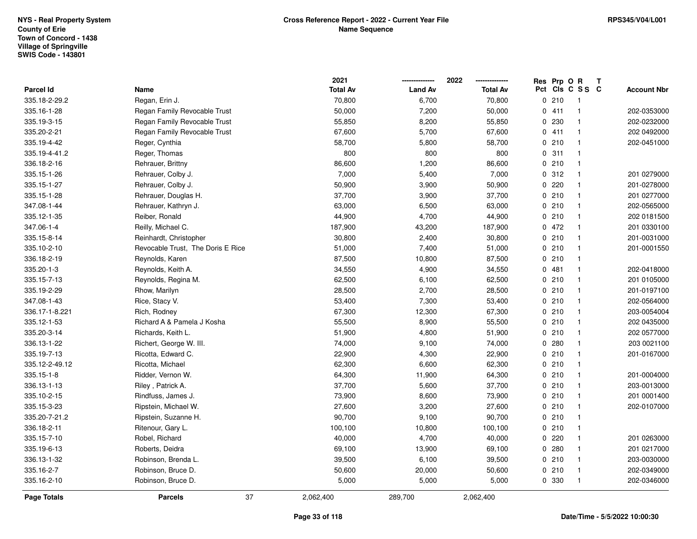|                    |                                   | 2021            |                | 2022            | Res Prp O R |                         | Т |                    |
|--------------------|-----------------------------------|-----------------|----------------|-----------------|-------------|-------------------------|---|--------------------|
| Parcel Id          | Name                              | <b>Total Av</b> | <b>Land Av</b> | <b>Total Av</b> |             | Pct Cls C S S C         |   | <b>Account Nbr</b> |
| 335.18-2-29.2      | Regan, Erin J.                    | 70,800          | 6,700          | 70,800          | 0210        | $\overline{1}$          |   |                    |
| 335.16-1-28        | Regan Family Revocable Trust      | 50,000          | 7,200          | 50,000          | 0411        | $\overline{\mathbf{1}}$ |   | 202-0353000        |
| 335.19-3-15        | Regan Family Revocable Trust      | 55,850          | 8,200          | 55,850          | 0.230       | $\overline{\mathbf{1}}$ |   | 202-0232000        |
| 335.20-2-21        | Regan Family Revocable Trust      | 67,600          | 5,700          | 67,600          | 0411        | $\overline{\mathbf{1}}$ |   | 202 0492000        |
| 335.19-4-42        | Reger, Cynthia                    | 58,700          | 5,800          | 58,700          | 0210        | $\overline{\mathbf{1}}$ |   | 202-0451000        |
| 335.19-4-41.2      | Reger, Thomas                     | 800             | 800            | 800             | 0.311       | $\overline{\mathbf{1}}$ |   |                    |
| 336.18-2-16        | Rehrauer, Brittny                 | 86,600          | 1,200          | 86,600          | 0210        | $\overline{1}$          |   |                    |
| 335.15-1-26        | Rehrauer, Colby J.                | 7,000           | 5,400          | 7,000           | 0.312       | $\overline{\mathbf{1}}$ |   | 201 0279000        |
| 335.15-1-27        | Rehrauer, Colby J.                | 50,900          | 3,900          | 50,900          | 0.220       | $\mathbf{1}$            |   | 201-0278000        |
| 335.15-1-28        | Rehrauer, Douglas H.              | 37,700          | 3,900          | 37,700          | 0210        | $\mathbf{1}$            |   | 201 0277000        |
| 347.08-1-44        | Rehrauer, Kathryn J.              | 63,000          | 6,500          | 63,000          | 0210        | $\overline{\mathbf{1}}$ |   | 202-0565000        |
| 335.12-1-35        | Reiber, Ronald                    | 44,900          | 4,700          | 44,900          | 0210        | $\mathbf{1}$            |   | 202 0181500        |
| 347.06-1-4         | Reilly, Michael C.                | 187,900         | 43,200         | 187,900         | 0472        | $\mathbf{1}$            |   | 201 0330100        |
| 335.15-8-14        | Reinhardt, Christopher            | 30,800          | 2,400          | 30,800          | 0210        | $\overline{\mathbf{1}}$ |   | 201-0031000        |
| 335.10-2-10        | Revocable Trust, The Doris E Rice | 51,000          | 7,400          | 51,000          | 0210        | $\overline{\mathbf{1}}$ |   | 201-0001550        |
| 336.18-2-19        | Reynolds, Karen                   | 87,500          | 10,800         | 87,500          | 0210        | $\mathbf{1}$            |   |                    |
| 335.20-1-3         | Reynolds, Keith A.                | 34,550          | 4,900          | 34,550          | 0481        | $\mathbf{1}$            |   | 202-0418000        |
| 335.15-7-13        | Reynolds, Regina M.               | 62,500          | 6,100          | 62,500          | 0210        | $\overline{\mathbf{1}}$ |   | 201 0105000        |
| 335.19-2-29        | Rhow, Marilyn                     | 28,500          | 2,700          | 28,500          | 0210        | $\overline{\mathbf{1}}$ |   | 201-0197100        |
| 347.08-1-43        | Rice, Stacy V.                    | 53,400          | 7,300          | 53,400          | 0210        | $\mathbf{1}$            |   | 202-0564000        |
| 336.17-1-8.221     | Rich, Rodney                      | 67,300          | 12,300         | 67,300          | 0210        | $\overline{1}$          |   | 203-0054004        |
| 335.12-1-53        | Richard A & Pamela J Kosha        | 55,500          | 8,900          | 55,500          | 0210        | $\overline{\mathbf{1}}$ |   | 202 0435000        |
| 335.20-3-14        | Richards, Keith L.                | 51,900          | 4,800          | 51,900          | 0210        | $\mathbf{1}$            |   | 202 0577000        |
| 336.13-1-22        | Richert, George W. III.           | 74,000          | 9,100          | 74,000          | 0.280       | $\mathbf{1}$            |   | 203 0021100        |
| 335.19-7-13        | Ricotta, Edward C.                | 22,900          | 4,300          | 22,900          | 0210        | $\overline{\mathbf{1}}$ |   | 201-0167000        |
| 335.12-2-49.12     | Ricotta, Michael                  | 62,300          | 6,600          | 62,300          | 0210        | $\overline{\mathbf{1}}$ |   |                    |
| 335.15-1-8         | Ridder, Vernon W.                 | 64,300          | 11,900         | 64,300          | 0210        | $\overline{1}$          |   | 201-0004000        |
| 336.13-1-13        | Riley, Patrick A.                 | 37,700          | 5,600          | 37,700          | 0210        | $\mathbf{1}$            |   | 203-0013000        |
| 335.10-2-15        | Rindfuss, James J.                | 73,900          | 8,600          | 73,900          | 0210        | $\mathbf{1}$            |   | 201 0001400        |
| 335.15-3-23        | Ripstein, Michael W.              | 27,600          | 3,200          | 27,600          | 0210        | $\overline{\mathbf{1}}$ |   | 202-0107000        |
| 335.20-7-21.2      | Ripstein, Suzanne H.              | 90,700          | 9,100          | 90,700          | 0210        | $\mathbf{1}$            |   |                    |
| 336.18-2-11        | Ritenour, Gary L.                 | 100,100         | 10,800         | 100,100         | 0210        | $\mathbf{1}$            |   |                    |
| 335.15-7-10        | Robel, Richard                    | 40,000          | 4,700          | 40,000          | 0.220       | $\overline{\mathbf{1}}$ |   | 201 0263000        |
| 335.19-6-13        | Roberts, Deidra                   | 69,100          | 13,900         | 69,100          | 0.280       | $\mathbf{1}$            |   | 201 0217000        |
| 336.13-1-32        | Robinson, Brenda L.               | 39,500          | 6,100          | 39,500          | 0210        | $\mathbf{1}$            |   | 203-0030000        |
| 335.16-2-7         | Robinson, Bruce D.                | 50,600          | 20,000         | 50,600          | 0210        | $\overline{\mathbf{1}}$ |   | 202-0349000        |
| 335.16-2-10        | Robinson, Bruce D.                | 5,000           | 5,000          | 5,000           | 0 330       | $\overline{1}$          |   | 202-0346000        |
| <b>Page Totals</b> | 37<br><b>Parcels</b>              | 2,062,400       | 289,700        | 2,062,400       |             |                         |   |                    |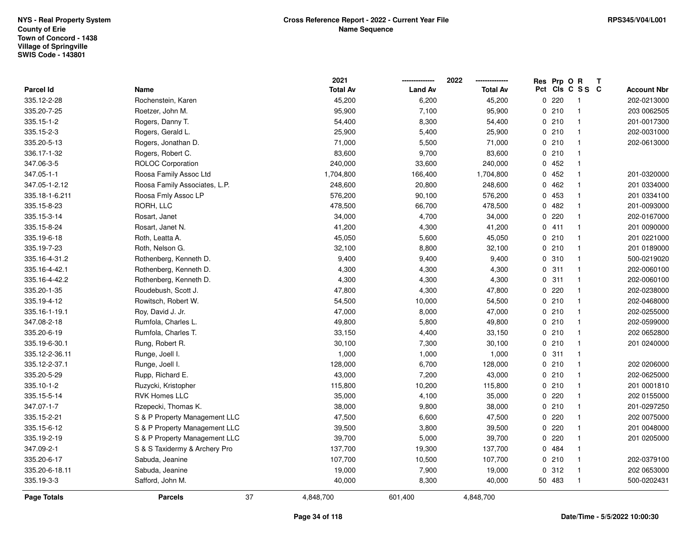|                |                               | 2021            |                | 2022            | Res Prp O R |                 | T |                    |
|----------------|-------------------------------|-----------------|----------------|-----------------|-------------|-----------------|---|--------------------|
| Parcel Id      | Name                          | <b>Total Av</b> | <b>Land Av</b> | <b>Total Av</b> |             | Pct Cls C S S C |   | <b>Account Nbr</b> |
| 335.12-2-28    | Rochenstein, Karen            | 45,200          | 6,200          | 45,200          | 0.220       | $\overline{1}$  |   | 202-0213000        |
| 335.20-7-25    | Roetzer, John M.              | 95,900          | 7,100          | 95,900          | 0210        | $\mathbf{1}$    |   | 203 0062505        |
| 335.15-1-2     | Rogers, Danny T.              | 54,400          | 8,300          | 54,400          | 0210        | $\mathbf{1}$    |   | 201-0017300        |
| 335.15-2-3     | Rogers, Gerald L.             | 25,900          | 5,400          | 25,900          | 0210        | $\mathbf{1}$    |   | 202-0031000        |
| 335.20-5-13    | Rogers, Jonathan D.           | 71,000          | 5,500          | 71,000          | 0210        | $\mathbf{1}$    |   | 202-0613000        |
| 336.17-1-32    | Rogers, Robert C.             | 83,600          | 9,700          | 83,600          | 0210        | $\mathbf{1}$    |   |                    |
| 347.06-3-5     | <b>ROLOC Corporation</b>      | 240,000         | 33,600         | 240,000         | 0452        | $\mathbf{1}$    |   |                    |
| 347.05-1-1     | Roosa Family Assoc Ltd        | 1,704,800       | 166,400        | 1,704,800       | 0452        | $\mathbf{1}$    |   | 201-0320000        |
| 347.05-1-2.12  | Roosa Family Associates, L.P. | 248,600         | 20,800         | 248,600         | 0462        | $\mathbf{1}$    |   | 201 0334000        |
| 335.18-1-6.211 | Roosa Fmly Assoc LP           | 576,200         | 90,100         | 576,200         | 0 453       | $\mathbf{1}$    |   | 201 0334100        |
| 335.15-8-23    | RORH, LLC                     | 478,500         | 66,700         | 478,500         | 0.482       | $\mathbf{1}$    |   | 201-0093000        |
| 335.15-3-14    | Rosart, Janet                 | 34,000          | 4,700          | 34,000          | $0$ 220     | $\mathbf{1}$    |   | 202-0167000        |
| 335.15-8-24    | Rosart, Janet N.              | 41,200          | 4,300          | 41,200          | 0411        | $\mathbf{1}$    |   | 201 0090000        |
| 335.19-6-18    | Roth, Leatta A.               | 45,050          | 5,600          | 45,050          | 0210        | $\mathbf{1}$    |   | 201 0221000        |
| 335.19-7-23    | Roth, Nelson G.               | 32,100          | 8,800          | 32,100          | 0210        | $\mathbf{1}$    |   | 201 0189000        |
| 335.16-4-31.2  | Rothenberg, Kenneth D.        | 9,400           | 9,400          | 9,400           | 0.310       | $\mathbf{1}$    |   | 500-0219020        |
| 335.16-4-42.1  | Rothenberg, Kenneth D.        | 4,300           | 4,300          | 4,300           | 0.311       | $\mathbf{1}$    |   | 202-0060100        |
| 335.16-4-42.2  | Rothenberg, Kenneth D.        | 4,300           | 4,300          | 4,300           | 0.311       | $\mathbf{1}$    |   | 202-0060100        |
| 335.20-1-35    | Roudebush, Scott J.           | 47,800          | 4,300          | 47,800          | 0.220       | $\mathbf{1}$    |   | 202-0238000        |
| 335.19-4-12    | Rowitsch, Robert W.           | 54,500          | 10,000         | 54,500          | 0210        | $\mathbf{1}$    |   | 202-0468000        |
| 335.16-1-19.1  | Roy, David J. Jr.             | 47,000          | 8,000          | 47,000          | 0210        | $\mathbf{1}$    |   | 202-0255000        |
| 347.08-2-18    | Rumfola, Charles L.           | 49,800          | 5,800          | 49,800          | 0210        | $\mathbf{1}$    |   | 202-0599000        |
| 335.20-6-19    | Rumfola, Charles T.           | 33,150          | 4,400          | 33,150          | 0210        | $\mathbf{1}$    |   | 202 0652800        |
| 335.19-6-30.1  | Rung, Robert R.               | 30,100          | 7,300          | 30,100          | 0210        | $\mathbf{1}$    |   | 201 0240000        |
| 335.12-2-36.11 | Runge, Joell I.               | 1,000           | 1,000          | 1,000           | 0.311       | $\mathbf{1}$    |   |                    |
| 335.12-2-37.1  | Runge, Joell I.               | 128,000         | 6,700          | 128,000         | 0210        | $\mathbf{1}$    |   | 202 0206000        |
| 335.20-5-29    | Rupp, Richard E.              | 43,000          | 7,200          | 43,000          | 0210        | $\mathbf{1}$    |   | 202-0625000        |
| 335.10-1-2     | Ruzycki, Kristopher           | 115,800         | 10,200         | 115,800         | 0210        | $\mathbf{1}$    |   | 201 0001810        |
| 335.15-5-14    | <b>RVK Homes LLC</b>          | 35,000          | 4,100          | 35,000          | 0220        | $\mathbf{1}$    |   | 202 0155000        |
| 347.07-1-7     | Rzepecki, Thomas K.           | 38,000          | 9,800          | 38,000          | 0210        | $\mathbf{1}$    |   | 201-0297250        |
| 335.15-2-21    | S & P Property Management LLC | 47,500          | 6,600          | 47,500          | 0220        | $\mathbf{1}$    |   | 202 0075000        |
| 335.15-6-12    | S & P Property Management LLC | 39,500          | 3,800          | 39,500          | 0.220       | $\mathbf{1}$    |   | 201 0048000        |
| 335.19-2-19    | S & P Property Management LLC | 39,700          | 5,000          | 39,700          | 0.220       | $\mathbf{1}$    |   | 201 0205000        |
| 347.09-2-1     | S & S Taxidermy & Archery Pro | 137,700         | 19,300         | 137,700         | 0 484       | $\mathbf{1}$    |   |                    |
| 335.20-6-17    | Sabuda, Jeanine               | 107,700         | 10,500         | 107,700         | 0210        | $\mathbf{1}$    |   | 202-0379100        |
| 335.20-6-18.11 | Sabuda, Jeanine               | 19,000          | 7,900          | 19,000          | 0.312       | $\mathbf{1}$    |   | 202 0653000        |
| 335.19-3-3     | Safford, John M.              | 40,000          | 8,300          | 40,000          | 50 483      | $\overline{1}$  |   | 500-0202431        |
| Page Totals    | 37<br><b>Parcels</b>          | 4,848,700       | 601,400        | 4,848,700       |             |                 |   |                    |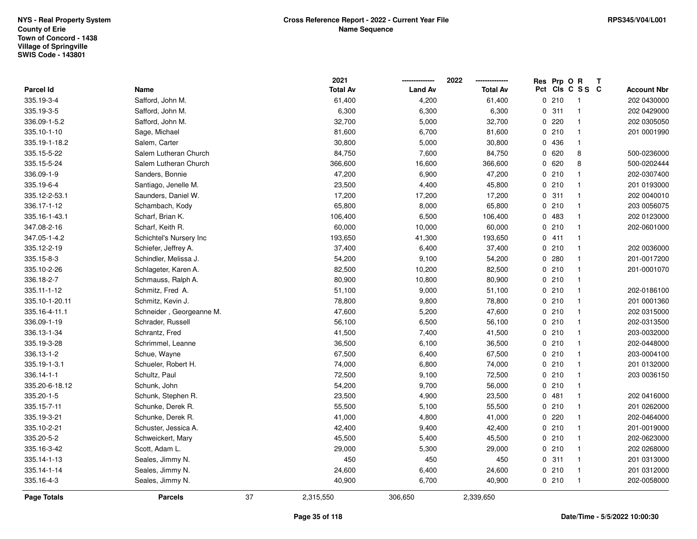|                |                          |    | 2021            |                | 2022            | Res Prp O R |                 | T |                    |
|----------------|--------------------------|----|-----------------|----------------|-----------------|-------------|-----------------|---|--------------------|
| Parcel Id      | Name                     |    | <b>Total Av</b> | <b>Land Av</b> | <b>Total Av</b> |             | Pct Cls C S S C |   | <b>Account Nbr</b> |
| 335.19-3-4     | Safford, John M.         |    | 61,400          | 4,200          | 61,400          | 0210        | $\overline{1}$  |   | 202 0430000        |
| 335.19-3-5     | Safford, John M.         |    | 6,300           | 6,300          | 6,300           | 0.311       | $\mathbf{1}$    |   | 202 0429000        |
| 336.09-1-5.2   | Safford, John M.         |    | 32,700          | 5,000          | 32,700          | 0.220       | $\mathbf{1}$    |   | 202 0305050        |
| 335.10-1-10    | Sage, Michael            |    | 81,600          | 6,700          | 81,600          | 0210        | $\mathbf{1}$    |   | 201 0001990        |
| 335.19-1-18.2  | Salem, Carter            |    | 30,800          | 5,000          | 30,800          | 0 436       | $\mathbf{1}$    |   |                    |
| 335.15-5-22    | Salem Lutheran Church    |    | 84,750          | 7,600          | 84,750          | 0620        | 8               |   | 500-0236000        |
| 335.15-5-24    | Salem Lutheran Church    |    | 366,600         | 16,600         | 366,600         | 0620        | 8               |   | 500-0202444        |
| 336.09-1-9     | Sanders, Bonnie          |    | 47,200          | 6,900          | 47,200          | 0210        | $\mathbf{1}$    |   | 202-0307400        |
| 335.19-6-4     | Santiago, Jenelle M.     |    | 23,500          | 4,400          | 45,800          | 0210        | $\mathbf{1}$    |   | 201 0193000        |
| 335.12-2-53.1  | Saunders, Daniel W.      |    | 17,200          | 17,200         | 17,200          | 0.311       | $\mathbf{1}$    |   | 202 0040010        |
| 336.17-1-12    | Schambach, Kody          |    | 65,800          | 8,000          | 65,800          | 0210        | $\mathbf{1}$    |   | 203 0056075        |
| 335.16-1-43.1  | Scharf, Brian K.         |    | 106,400         | 6,500          | 106,400         | 0 483       | $\mathbf{1}$    |   | 202 0123000        |
| 347.08-2-16    | Scharf, Keith R.         |    | 60,000          | 10,000         | 60,000          | 0210        | $\mathbf{1}$    |   | 202-0601000        |
| 347.05-1-4.2   | Schichtel's Nursery Inc  |    | 193,650         | 41,300         | 193,650         | 0411        | $\mathbf{1}$    |   |                    |
| 335.12-2-19    | Schiefer, Jeffrey A.     |    | 37,400          | 6,400          | 37,400          | 0210        | $\mathbf{1}$    |   | 202 0036000        |
| 335.15-8-3     | Schindler, Melissa J.    |    | 54,200          | 9,100          | 54,200          | 0.280       | $\mathbf{1}$    |   | 201-0017200        |
| 335.10-2-26    | Schlageter, Karen A.     |    | 82,500          | 10,200         | 82,500          | 0210        | $\mathbf{1}$    |   | 201-0001070        |
| 336.18-2-7     | Schmauss, Ralph A.       |    | 80,900          | 10,800         | 80,900          | 0210        | $\mathbf{1}$    |   |                    |
| 335.11-1-12    | Schmitz, Fred A.         |    | 51,100          | 9,000          | 51,100          | 0210        | $\mathbf{1}$    |   | 202-0186100        |
| 335.10-1-20.11 | Schmitz, Kevin J.        |    | 78,800          | 9,800          | 78,800          | 0210        | $\mathbf{1}$    |   | 201 0001360        |
| 335.16-4-11.1  | Schneider, Georgeanne M. |    | 47,600          | 5,200          | 47,600          | 0210        | $\mathbf{1}$    |   | 202 0315000        |
| 336.09-1-19    | Schrader, Russell        |    | 56,100          | 6,500          | 56,100          | 0210        | $\mathbf{1}$    |   | 202-0313500        |
| 336.13-1-34    | Schrantz, Fred           |    | 41,500          | 7,400          | 41,500          | 0210        | $\mathbf{1}$    |   | 203-0032000        |
| 335.19-3-28    | Schrimmel, Leanne        |    | 36,500          | 6,100          | 36,500          | 0210        | $\mathbf{1}$    |   | 202-0448000        |
| 336.13-1-2     | Schue, Wayne             |    | 67,500          | 6,400          | 67,500          | 0210        | $\mathbf{1}$    |   | 203-0004100        |
| 335.19-1-3.1   | Schueler, Robert H.      |    | 74,000          | 6,800          | 74,000          | 0210        | $\mathbf{1}$    |   | 201 0132000        |
| 336.14-1-1     | Schultz, Paul            |    | 72,500          | 9,100          | 72,500          | 0210        | $\mathbf{1}$    |   | 203 0036150        |
| 335.20-6-18.12 | Schunk, John             |    | 54,200          | 9,700          | 56,000          | 0210        | $\mathbf{1}$    |   |                    |
| 335.20-1-5     | Schunk, Stephen R.       |    | 23,500          | 4,900          | 23,500          | 0481        | $\mathbf{1}$    |   | 202 0416000        |
| 335.15-7-11    | Schunke, Derek R.        |    | 55,500          | 5,100          | 55,500          | 0210        | $\mathbf{1}$    |   | 201 0262000        |
| 335.19-3-21    | Schunke, Derek R.        |    | 41,000          | 4,800          | 41,000          | 0220        | $\mathbf{1}$    |   | 202-0464000        |
| 335.10-2-21    | Schuster, Jessica A.     |    | 42,400          | 9,400          | 42,400          | 0210        | $\mathbf{1}$    |   | 201-0019000        |
| 335.20-5-2     | Schweickert, Mary        |    | 45,500          | 5,400          | 45,500          | 0210        | $\mathbf{1}$    |   | 202-0623000        |
| 335.16-3-42    | Scott, Adam L.           |    | 29,000          | 5,300          | 29,000          | 0210        | $\mathbf{1}$    |   | 202 0268000        |
| 335.14-1-13    | Seales, Jimmy N.         |    | 450             | 450            | 450             | 0.311       | $\mathbf{1}$    |   | 201 0313000        |
| 335.14-1-14    | Seales, Jimmy N.         |    | 24,600          | 6,400          | 24,600          | 0210        | $\mathbf{1}$    |   | 201 0312000        |
| 335.16-4-3     | Seales, Jimmy N.         |    | 40,900          | 6,700          | 40,900          | 0210        | $\mathbf{1}$    |   | 202-0058000        |
| Page Totals    | <b>Parcels</b>           | 37 | 2,315,550       | 306,650        | 2,339,650       |             |                 |   |                    |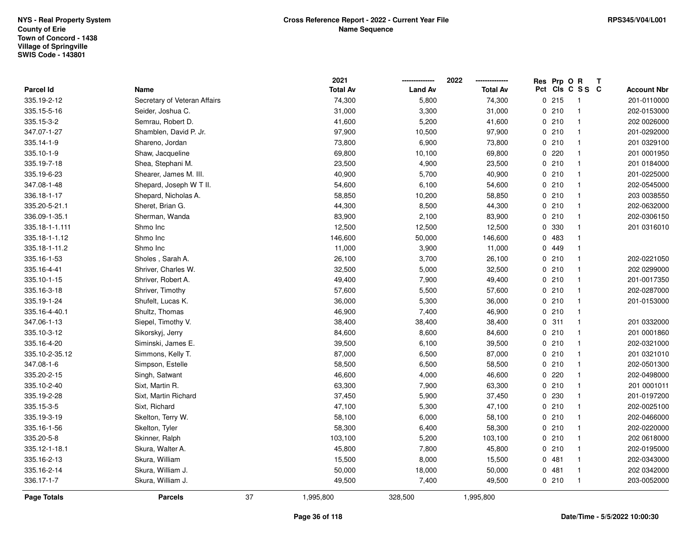|                |                              |    | 2021            |                | 2022            | Res Prp O R |                 | T |                    |
|----------------|------------------------------|----|-----------------|----------------|-----------------|-------------|-----------------|---|--------------------|
| Parcel Id      | Name                         |    | <b>Total Av</b> | <b>Land Av</b> | <b>Total Av</b> |             | Pct Cls C S S C |   | <b>Account Nbr</b> |
| 335.19-2-12    | Secretary of Veteran Affairs |    | 74,300          | 5,800          | 74,300          | 0215        | $\overline{1}$  |   | 201-0110000        |
| 335.15-5-16    | Seider, Joshua C.            |    | 31,000          | 3,300          | 31,000          | 0210        | $\mathbf{1}$    |   | 202-0153000        |
| 335.15-3-2     | Semrau, Robert D.            |    | 41,600          | 5,200          | 41,600          | 0210        | $\mathbf{1}$    |   | 202 0026000        |
| 347.07-1-27    | Shamblen, David P. Jr.       |    | 97,900          | 10,500         | 97,900          | 0210        | $\mathbf{1}$    |   | 201-0292000        |
| 335.14-1-9     | Shareno, Jordan              |    | 73,800          | 6,900          | 73,800          | 0210        | $\mathbf{1}$    |   | 201 0329100        |
| 335.10-1-9     | Shaw, Jacqueline             |    | 69,800          | 10,100         | 69,800          | 0220        | $\mathbf{1}$    |   | 201 0001950        |
| 335.19-7-18    | Shea, Stephani M.            |    | 23,500          | 4,900          | 23,500          | 0210        | $\mathbf{1}$    |   | 201 0184000        |
| 335.19-6-23    | Shearer, James M. III.       |    | 40,900          | 5,700          | 40,900          | 0210        | $\mathbf{1}$    |   | 201-0225000        |
| 347.08-1-48    | Shepard, Joseph W T II.      |    | 54,600          | 6,100          | 54,600          | 0210        | $\mathbf{1}$    |   | 202-0545000        |
| 336.18-1-17    | Shepard, Nicholas A.         |    | 58,850          | 10,200         | 58,850          | 0210        | $\mathbf{1}$    |   | 203 0038550        |
| 335.20-5-21.1  | Sheret, Brian G.             |    | 44,300          | 8,500          | 44,300          | 0210        | $\mathbf{1}$    |   | 202-0632000        |
| 336.09-1-35.1  | Sherman, Wanda               |    | 83,900          | 2,100          | 83,900          | 0210        | $\mathbf{1}$    |   | 202-0306150        |
| 335.18-1-1.111 | Shmo Inc                     |    | 12,500          | 12,500         | 12,500          | 0 330       | $\mathbf{1}$    |   | 201 0316010        |
| 335.18-1-1.12  | Shmo Inc                     |    | 146,600         | 50,000         | 146,600         | 0 483       | $\mathbf{1}$    |   |                    |
| 335.18-1-11.2  | Shmo Inc                     |    | 11,000          | 3,900          | 11,000          | 0 449       | $\mathbf{1}$    |   |                    |
| 335.16-1-53    | Sholes, Sarah A.             |    | 26,100          | 3,700          | 26,100          | 0210        | $\mathbf{1}$    |   | 202-0221050        |
| 335.16-4-41    | Shriver, Charles W.          |    | 32,500          | 5,000          | 32,500          | 0210        | $\mathbf{1}$    |   | 202 0299000        |
| 335.10-1-15    | Shriver, Robert A.           |    | 49,400          | 7,900          | 49,400          | 0210        | $\mathbf{1}$    |   | 201-0017350        |
| 335.16-3-18    | Shriver, Timothy             |    | 57,600          | 5,500          | 57,600          | 0210        | $\mathbf{1}$    |   | 202-0287000        |
| 335.19-1-24    | Shufelt, Lucas K.            |    | 36,000          | 5,300          | 36,000          | 0210        | $\mathbf{1}$    |   | 201-0153000        |
| 335.16-4-40.1  | Shultz, Thomas               |    | 46,900          | 7,400          | 46,900          | 0210        | $\mathbf{1}$    |   |                    |
| 347.06-1-13    | Siepel, Timothy V.           |    | 38,400          | 38,400         | 38,400          | 0.311       | $\mathbf{1}$    |   | 201 0332000        |
| 335.10-3-12    | Sikorskyj, Jerry             |    | 84,600          | 8,600          | 84,600          | 0210        | $\mathbf{1}$    |   | 201 0001860        |
| 335.16-4-20    | Siminski, James E.           |    | 39,500          | 6,100          | 39,500          | 0210        | $\mathbf{1}$    |   | 202-0321000        |
| 335.10-2-35.12 | Simmons, Kelly T.            |    | 87,000          | 6,500          | 87,000          | 0210        | $\mathbf{1}$    |   | 201 0321010        |
| 347.08-1-6     | Simpson, Estelle             |    | 58,500          | 6,500          | 58,500          | 0210        | $\mathbf{1}$    |   | 202-0501300        |
| 335.20-2-15    | Singh, Satwant               |    | 46,600          | 4,000          | 46,600          | 0220        | $\mathbf{1}$    |   | 202-0498000        |
| 335.10-2-40    | Sixt, Martin R.              |    | 63,300          | 7,900          | 63,300          | 0210        | $\mathbf{1}$    |   | 201 0001011        |
| 335.19-2-28    | Sixt, Martin Richard         |    | 37,450          | 5,900          | 37,450          | 0230        | $\mathbf{1}$    |   | 201-0197200        |
| 335.15-3-5     | Sixt, Richard                |    | 47,100          | 5,300          | 47,100          | 0210        | $\mathbf{1}$    |   | 202-0025100        |
| 335.19-3-19    | Skelton, Terry W.            |    | 58,100          | 6,000          | 58,100          | 0210        | $\mathbf{1}$    |   | 202-0466000        |
| 335.16-1-56    | Skelton, Tyler               |    | 58,300          | 6,400          | 58,300          | 0210        | $\mathbf{1}$    |   | 202-0220000        |
| 335.20-5-8     | Skinner, Ralph               |    | 103,100         | 5,200          | 103,100         | 0210        | $\mathbf{1}$    |   | 202 0618000        |
| 335.12-1-18.1  | Skura, Walter A.             |    | 45,800          | 7,800          | 45,800          | 0210        | $\mathbf{1}$    |   | 202-0195000        |
| 335.16-2-13    | Skura, William               |    | 15,500          | 8,000          | 15,500          | 0.481       | $\mathbf{1}$    |   | 202-0343000        |
| 335.16-2-14    | Skura, William J.            |    | 50,000          | 18,000         | 50,000          | 0481        | $\mathbf{1}$    |   | 202 0342000        |
| 336.17-1-7     | Skura, William J.            |    | 49,500          | 7,400          | 49,500          | 0210        | $\mathbf{1}$    |   | 203-0052000        |
| Page Totals    | <b>Parcels</b>               | 37 | 1,995,800       | 328,500        | 1,995,800       |             |                 |   |                    |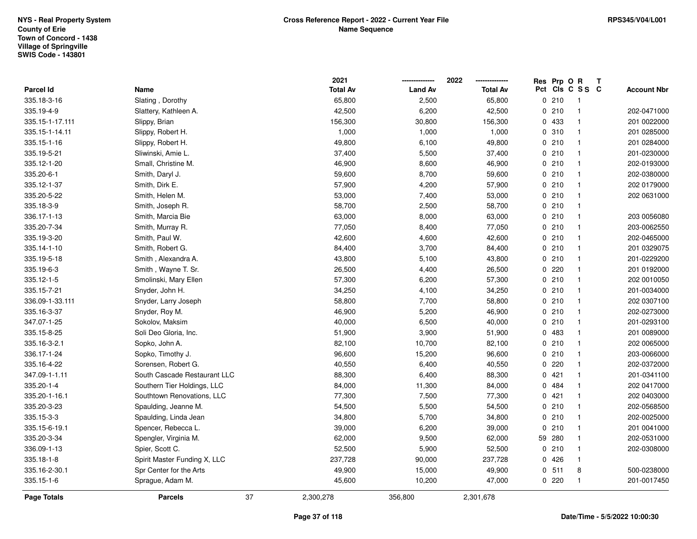|                 |                              |    | 2021            |                | 2022            | Res Prp O R |                 | Т |                    |
|-----------------|------------------------------|----|-----------------|----------------|-----------------|-------------|-----------------|---|--------------------|
| Parcel Id       | Name                         |    | <b>Total Av</b> | <b>Land Av</b> | <b>Total Av</b> |             | Pct Cls C S S C |   | <b>Account Nbr</b> |
| 335.18-3-16     | Slating, Dorothy             |    | 65,800          | 2,500          | 65,800          | 0210        | $\mathbf{1}$    |   |                    |
| 335.19-4-9      | Slattery, Kathleen A.        |    | 42,500          | 6,200          | 42,500          | 0210        | $\mathbf{1}$    |   | 202-0471000        |
| 335.15-1-17.111 | Slippy, Brian                |    | 156,300         | 30,800         | 156,300         | 0 433       | $\mathbf{1}$    |   | 201 0022000        |
| 335.15-1-14.11  | Slippy, Robert H.            |    | 1,000           | 1,000          | 1,000           | 0.310       | $\mathbf{1}$    |   | 201 0285000        |
| 335.15-1-16     | Slippy, Robert H.            |    | 49,800          | 6,100          | 49,800          | 0210        | $\mathbf{1}$    |   | 201 0284000        |
| 335.19-5-21     | Sliwinski, Amie L.           |    | 37,400          | 5,500          | 37,400          | 0210        | $\mathbf{1}$    |   | 201-0230000        |
| 335.12-1-20     | Small, Christine M.          |    | 46,900          | 8,600          | 46,900          | 0210        | $\mathbf{1}$    |   | 202-0193000        |
| 335.20-6-1      | Smith, Daryl J.              |    | 59,600          | 8,700          | 59,600          | 0210        | $\mathbf{1}$    |   | 202-0380000        |
| 335.12-1-37     | Smith, Dirk E.               |    | 57,900          | 4,200          | 57,900          | 0210        | $\mathbf{1}$    |   | 202 0179000        |
| 335.20-5-22     | Smith, Helen M.              |    | 53,000          | 7,400          | 53,000          | 0210        | $\mathbf{1}$    |   | 202 0631000        |
| 335.18-3-9      | Smith, Joseph R.             |    | 58,700          | 2,500          | 58,700          | 0210        | $\mathbf{1}$    |   |                    |
| 336.17-1-13     | Smith, Marcia Bie            |    | 63,000          | 8,000          | 63,000          | 0210        | $\mathbf{1}$    |   | 203 0056080        |
| 335.20-7-34     | Smith, Murray R.             |    | 77,050          | 8,400          | 77,050          | 0210        | $\mathbf{1}$    |   | 203-0062550        |
| 335.19-3-20     | Smith, Paul W.               |    | 42,600          | 4,600          | 42,600          | 0210        | $\mathbf{1}$    |   | 202-0465000        |
| 335.14-1-10     | Smith, Robert G.             |    | 84,400          | 3,700          | 84,400          | 0210        | $\mathbf{1}$    |   | 201 0329075        |
| 335.19-5-18     | Smith, Alexandra A.          |    | 43,800          | 5,100          | 43,800          | 0210        | $\mathbf{1}$    |   | 201-0229200        |
| 335.19-6-3      | Smith, Wayne T. Sr.          |    | 26,500          | 4,400          | 26,500          | 0.220       | $\mathbf{1}$    |   | 201 0192000        |
| 335.12-1-5      | Smolinski, Mary Ellen        |    | 57,300          | 6,200          | 57,300          | 0210        | $\mathbf{1}$    |   | 202 0010050        |
| 335.15-7-21     | Snyder, John H.              |    | 34,250          | 4,100          | 34,250          | 0210        | $\mathbf{1}$    |   | 201-0034000        |
| 336.09-1-33.111 | Snyder, Larry Joseph         |    | 58,800          | 7,700          | 58,800          | 0210        | $\mathbf{1}$    |   | 202 0307100        |
| 335.16-3-37     | Snyder, Roy M.               |    | 46,900          | 5,200          | 46,900          | 0210        | $\mathbf{1}$    |   | 202-0273000        |
| 347.07-1-25     | Sokolov, Maksim              |    | 40,000          | 6,500          | 40,000          | 0210        | $\mathbf{1}$    |   | 201-0293100        |
| 335.15-8-25     | Soli Deo Gloria, Inc.        |    | 51,900          | 3,900          | 51,900          | 0 483       | $\mathbf{1}$    |   | 201 0089000        |
| 335.16-3-2.1    | Sopko, John A.               |    | 82,100          | 10,700         | 82,100          | 0210        | $\mathbf{1}$    |   | 202 0065000        |
| 336.17-1-24     | Sopko, Timothy J.            |    | 96,600          | 15,200         | 96,600          | 0210        | $\mathbf{1}$    |   | 203-0066000        |
| 335.16-4-22     | Sorensen, Robert G.          |    | 40,550          | 6,400          | 40,550          | 0.220       | $\mathbf{1}$    |   | 202-0372000        |
| 347.09-1-1.11   | South Cascade Restaurant LLC |    | 88,300          | 6,400          | 88,300          | 0421        | $\mathbf{1}$    |   | 201-0341100        |
| 335.20-1-4      | Southern Tier Holdings, LLC  |    | 84,000          | 11,300         | 84,000          | 0 484       | $\mathbf{1}$    |   | 202 0417000        |
| 335.20-1-16.1   | Southtown Renovations, LLC   |    | 77,300          | 7,500          | 77,300          | 0421        | $\mathbf{1}$    |   | 202 0403000        |
| 335.20-3-23     | Spaulding, Jeanne M.         |    | 54,500          | 5,500          | 54,500          | 0210        | $\mathbf{1}$    |   | 202-0568500        |
| 335.15-3-3      | Spaulding, Linda Jean        |    | 34,800          | 5,700          | 34,800          | 0210        | $\mathbf{1}$    |   | 202-0025000        |
| 335.15-6-19.1   | Spencer, Rebecca L.          |    | 39,000          | 6,200          | 39,000          | 0210        | $\mathbf{1}$    |   | 201 0041000        |
| 335.20-3-34     | Spengler, Virginia M.        |    | 62,000          | 9,500          | 62,000          | 59 280      | $\mathbf{1}$    |   | 202-0531000        |
| 336.09-1-13     | Spier, Scott C.              |    | 52,500          | 5,900          | 52,500          | 0210        | $\mathbf{1}$    |   | 202-0308000        |
| 335.18-1-8      | Spirit Master Funding X, LLC |    | 237,728         | 90,000         | 237,728         | 0426        | $\mathbf{1}$    |   |                    |
| 335.16-2-30.1   | Spr Center for the Arts      |    | 49,900          | 15,000         | 49,900          | 0, 511      | 8               |   | 500-0238000        |
| 335.15-1-6      | Sprague, Adam M.             |    | 45,600          | 10,200         | 47,000          | 0220        | $\mathbf{1}$    |   | 201-0017450        |
| Page Totals     | <b>Parcels</b>               | 37 | 2,300,278       | 356,800        | 2,301,678       |             |                 |   |                    |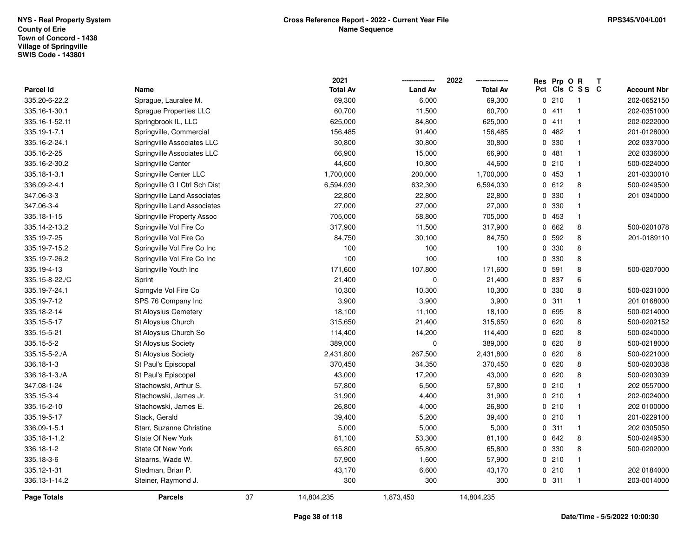|                  |                               |    | 2021            |                | 2022            | Res Prp O R |                 | Т |                    |
|------------------|-------------------------------|----|-----------------|----------------|-----------------|-------------|-----------------|---|--------------------|
| <b>Parcel Id</b> | Name                          |    | <b>Total Av</b> | <b>Land Av</b> | <b>Total Av</b> |             | Pct Cls C S S C |   | <b>Account Nbr</b> |
| 335.20-6-22.2    | Sprague, Lauralee M.          |    | 69,300          | 6,000          | 69,300          | 0210        | $\overline{1}$  |   | 202-0652150        |
| 335.16-1-30.1    | Sprague Properties LLC        |    | 60,700          | 11,500         | 60,700          | 0411        | $\mathbf{1}$    |   | 202-0351000        |
| 335.16-1-52.11   | Springbrook IL, LLC           |    | 625,000         | 84,800         | 625,000         | 0411        | $\mathbf{1}$    |   | 202-0222000        |
| 335.19-1-7.1     | Springville, Commercial       |    | 156,485         | 91,400         | 156,485         | 0.482       | $\overline{1}$  |   | 201-0128000        |
| 335.16-2-24.1    | Springville Associates LLC    |    | 30,800          | 30,800         | 30,800          | 0 330       | $\overline{1}$  |   | 202 0337000        |
| 335.16-2-25      | Springville Associates LLC    |    | 66,900          | 15,000         | 66,900          | 0481        | $\mathbf{1}$    |   | 202 0336000        |
| 335.16-2-30.2    | Springville Center            |    | 44,600          | 10,800         | 44,600          | 0210        | $\mathbf{1}$    |   | 500-0224000        |
| 335.18-1-3.1     | Springville Center LLC        |    | 1,700,000       | 200,000        | 1,700,000       | 0 453       | $\mathbf{1}$    |   | 201-0330010        |
| 336.09-2-4.1     | Springville G I Ctrl Sch Dist |    | 6,594,030       | 632,300        | 6,594,030       | 0 612       | 8               |   | 500-0249500        |
| 347.06-3-3       | Springville Land Associates   |    | 22,800          | 22,800         | 22,800          | 0 330       | $\mathbf{1}$    |   | 201 0340000        |
| 347.06-3-4       | Springville Land Associates   |    | 27,000          | 27,000         | 27,000          | 0 330       | $\overline{1}$  |   |                    |
| 335.18-1-15      | Springville Property Assoc    |    | 705,000         | 58,800         | 705,000         | 0 453       | $\mathbf{1}$    |   |                    |
| 335.14-2-13.2    | Springville Vol Fire Co       |    | 317,900         | 11,500         | 317,900         | 0 662       | 8               |   | 500-0201078        |
| 335.19-7-25      | Springville Vol Fire Co       |    | 84,750          | 30,100         | 84,750          | 0 592       | 8               |   | 201-0189110        |
| 335.19-7-15.2    | Springville Vol Fire Co Inc   |    | 100             | 100            | 100             | 0 330       | 8               |   |                    |
| 335.19-7-26.2    | Springville Vol Fire Co Inc   |    | 100             | 100            | 100             | 0 330       | 8               |   |                    |
| 335.19-4-13      | Springville Youth Inc         |    | 171,600         | 107,800        | 171,600         | 0 591       | 8               |   | 500-0207000        |
| 335.15-8-22./C   | Sprint                        |    | 21,400          | 0              | 21,400          | 0 837       | 6               |   |                    |
| 335.19-7-24.1    | Sprngvle Vol Fire Co          |    | 10,300          | 10,300         | 10,300          | 0 330       | 8               |   | 500-0231000        |
| 335.19-7-12      | SPS 76 Company Inc            |    | 3,900           | 3,900          | 3,900           | 0.311       | $\mathbf{1}$    |   | 201 0168000        |
| 335.18-2-14      | St Aloysius Cemetery          |    | 18,100          | 11,100         | 18,100          | 0 695       | 8               |   | 500-0214000        |
| 335.15-5-17      | St Aloysius Church            |    | 315,650         | 21,400         | 315,650         | 0620        | 8               |   | 500-0202152        |
| 335.15-5-21      | St Aloysius Church So         |    | 114,400         | 14,200         | 114,400         | 0620        | 8               |   | 500-0240000        |
| 335.15-5-2       | <b>St Aloysius Society</b>    |    | 389,000         | 0              | 389,000         | 0620        | 8               |   | 500-0218000        |
| 335.15-5-2./A    | St Aloysius Society           |    | 2,431,800       | 267,500        | 2,431,800       | 0620        | 8               |   | 500-0221000        |
| 336.18-1-3       | St Paul's Episcopal           |    | 370,450         | 34,350         | 370,450         | 0620        | 8               |   | 500-0203038        |
| 336.18-1-3./A    | St Paul's Episcopal           |    | 43,000          | 17,200         | 43,000          | 0620        | 8               |   | 500-0203039        |
| 347.08-1-24      | Stachowski, Arthur S.         |    | 57,800          | 6,500          | 57,800          | 0210        | $\mathbf{1}$    |   | 202 0557000        |
| 335.15-3-4       | Stachowski, James Jr.         |    | 31,900          | 4,400          | 31,900          | 0210        | $\overline{1}$  |   | 202-0024000        |
| 335.15-2-10      | Stachowski, James E.          |    | 26,800          | 4,000          | 26,800          | 0210        | $\mathbf{1}$    |   | 202 0100000        |
| 335.19-5-17      | Stack, Gerald                 |    | 39,400          | 5,200          | 39,400          | 0210        | $\mathbf{1}$    |   | 201-0229100        |
| 336.09-1-5.1     | Starr, Suzanne Christine      |    | 5,000           | 5,000          | 5,000           | 0.311       | $\mathbf{1}$    |   | 202 0305050        |
| 335.18-1-1.2     | State Of New York             |    | 81,100          | 53,300         | 81,100          | 0 642       | 8               |   | 500-0249530        |
| 336.18-1-2       | State Of New York             |    | 65,800          | 65,800         | 65,800          | 0 330       | 8               |   | 500-0202000        |
| 335.18-3-6       | Stearns, Wade W.              |    | 57,900          | 1,600          | 57,900          | 0210        | $\mathbf{1}$    |   |                    |
| 335.12-1-31      | Stedman, Brian P.             |    | 43,170          | 6,600          | 43,170          | 0210        | $\overline{1}$  |   | 202 0184000        |
| 336.13-1-14.2    | Steiner, Raymond J.           |    | 300             | 300            | 300             | 0.311       | $\overline{1}$  |   | 203-0014000        |
| Page Totals      | <b>Parcels</b>                | 37 | 14,804,235      | 1,873,450      | 14,804,235      |             |                 |   |                    |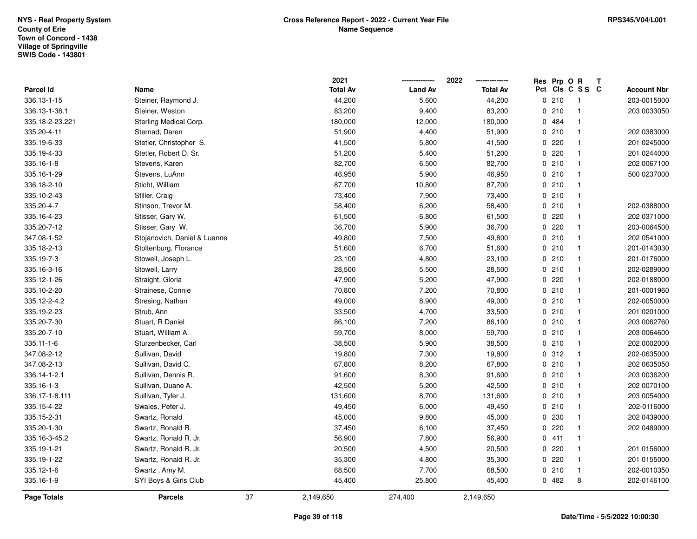|                 |                              |    | 2021            | -------------- | 2022<br>-------------- | Res Prp O R |                         | T |                    |
|-----------------|------------------------------|----|-----------------|----------------|------------------------|-------------|-------------------------|---|--------------------|
| Parcel Id       | Name                         |    | <b>Total Av</b> | <b>Land Av</b> | <b>Total Av</b>        |             | Pct Cls C S S C         |   | <b>Account Nbr</b> |
| 336.13-1-15     | Steiner, Raymond J.          |    | 44,200          | 5,600          | 44,200                 | 0210        | $\overline{\mathbf{1}}$ |   | 203-0015000        |
| 336.13-1-38.1   | Steiner, Weston              |    | 83,200          | 9,400          | 83,200                 | 0210        | $\mathbf{1}$            |   | 203 0033050        |
| 335.18-2-23.221 | Sterling Medical Corp.       |    | 180,000         | 12,000         | 180,000                | 0 484       | $\mathbf{1}$            |   |                    |
| 335.20-4-11     | Sternad, Daren               |    | 51,900          | 4,400          | 51,900                 | 0210        | $\mathbf{1}$            |   | 202 0383000        |
| 335.19-6-33     | Stetler, Christopher S.      |    | 41,500          | 5,800          | 41,500                 | 0.220       | $\mathbf{1}$            |   | 201 0245000        |
| 335.19-4-33     | Stetler, Robert D. Sr.       |    | 51,200          | 5,400          | 51,200                 | 0220        | $\mathbf{1}$            |   | 201 0244000        |
| 335.16-1-8      | Stevens, Karen               |    | 82,700          | 6,500          | 82,700                 | 0210        | $\mathbf{1}$            |   | 202 0067100        |
| 335.16-1-29     | Stevens, LuAnn               |    | 46,950          | 5,900          | 46,950                 | 0210        | $\mathbf{1}$            |   | 500 0237000        |
| 336.18-2-10     | Sticht, William              |    | 87,700          | 10,800         | 87,700                 | 0210        | $\mathbf{1}$            |   |                    |
| 335.10-2-43     | Stiller, Craig               |    | 73,400          | 7,900          | 73,400                 | 0210        | $\mathbf{1}$            |   |                    |
| 335.20-4-7      | Stinson, Trevor M.           |    | 58,400          | 6,200          | 58,400                 | 0210        | $\mathbf{1}$            |   | 202-0388000        |
| 335.16-4-23     | Stisser, Gary W.             |    | 61,500          | 6,800          | 61,500                 | 0.220       | $\mathbf{1}$            |   | 202 0371000        |
| 335.20-7-12     | Stisser, Gary W.             |    | 36,700          | 5,900          | 36,700                 | 0.220       | $\mathbf{1}$            |   | 203-0064500        |
| 347.08-1-52     | Stojanovich, Daniel & Luanne |    | 49,800          | 7,500          | 49,800                 | 0210        | $\mathbf{1}$            |   | 202 0541000        |
| 335.18-2-13     | Stoltenburg, Florance        |    | 51,600          | 6,700          | 51,600                 | 0210        | $\mathbf{1}$            |   | 201-0143030        |
| 335.19-7-3      | Stowell, Joseph L.           |    | 23,100          | 4,800          | 23,100                 | 0210        | $\mathbf{1}$            |   | 201-0176000        |
| 335.16-3-16     | Stowell, Larry               |    | 28,500          | 5,500          | 28,500                 | 0210        | $\mathbf{1}$            |   | 202-0289000        |
| 335.12-1-26     | Straight, Gloria             |    | 47,900          | 5,200          | 47,900                 | 0.220       | $\mathbf{1}$            |   | 202-0188000        |
| 335.10-2-20     | Strainese, Connie            |    | 70,800          | 7,200          | 70,800                 | 0210        | $\mathbf{1}$            |   | 201-0001960        |
| 335.12-2-4.2    | Stresing, Nathan             |    | 49,000          | 8,900          | 49,000                 | 0210        | $\mathbf{1}$            |   | 202-0050000        |
| 335.19-2-23     | Strub, Ann                   |    | 33,500          | 4,700          | 33,500                 | 0210        | $\mathbf{1}$            |   | 201 0201000        |
| 335.20-7-30     | Stuart, R Daniel             |    | 86,100          | 7,200          | 86,100                 | 0210        | $\mathbf{1}$            |   | 203 0062760        |
| 335.20-7-10     | Stuart, William A.           |    | 59,700          | 8,000          | 59,700                 | 0210        | $\mathbf{1}$            |   | 203 0064600        |
| 335.11-1-6      | Sturzenbecker, Carl          |    | 38,500          | 5,900          | 38,500                 | 0210        | $\mathbf{1}$            |   | 202 0002000        |
| 347.08-2-12     | Sullivan, David              |    | 19,800          | 7,300          | 19,800                 | 0.312       | $\mathbf{1}$            |   | 202-0635000        |
| 347.08-2-13     | Sullivan, David C.           |    | 67,800          | 8,200          | 67,800                 | 0210        | $\mathbf{1}$            |   | 202 0635050        |
| 336.14-1-2.1    | Sullivan, Dennis R.          |    | 91,600          | 8,300          | 91,600                 | 0210        | $\mathbf{1}$            |   | 203 0036200        |
| 335.16-1-3      | Sullivan, Duane A.           |    | 42,500          | 5,200          | 42,500                 | 0210        | $\mathbf{1}$            |   | 202 0070100        |
| 336.17-1-8.111  | Sullivan, Tyler J.           |    | 131,600         | 8,700          | 131,600                | 0210        | $\mathbf{1}$            |   | 203 0054000        |
| 335.15-4-22     | Swales, Peter J.             |    | 49,450          | 6,000          | 49,450                 | 0210        | $\mathbf{1}$            |   | 202-0116000        |
| 335.15-2-31     | Swartz, Ronald               |    | 45,000          | 9,800          | 45,000                 | 0 230       | $\mathbf{1}$            |   | 202 0439000        |
| 335.20-1-30     | Swartz, Ronald R.            |    | 37,450          | 6,100          | 37,450                 | 0.220       | $\mathbf{1}$            |   | 202 0489000        |
| 335.16-3-45.2   | Swartz, Ronald R. Jr.        |    | 56,900          | 7,800          | 56,900                 | 0411        | $\mathbf{1}$            |   |                    |
| 335.19-1-21     | Swartz, Ronald R. Jr.        |    | 20,500          | 4,500          | 20,500                 | 0.220       | $\mathbf{1}$            |   | 201 0156000        |
| 335.19-1-22     | Swartz, Ronald R. Jr.        |    | 35,300          | 4,800          | 35,300                 | 0.220       | $\mathbf{1}$            |   | 201 0155000        |
| 335.12-1-6      | Swartz, Amy M.               |    | 68,500          | 7,700          | 68,500                 | 0210        | $\mathbf{1}$            |   | 202-0010350        |
| 335.16-1-9      | SYI Boys & Girls Club        |    | 45,400          | 25,800         | 45,400                 | 0.482       | 8                       |   | 202-0146100        |
| Page Totals     | <b>Parcels</b>               | 37 | 2,149,650       | 274,400        | 2,149,650              |             |                         |   |                    |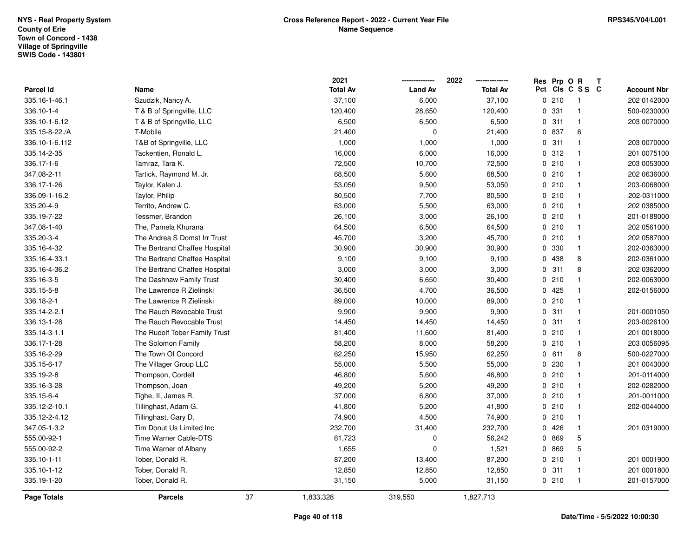|                                   |                               |    | 2021<br><b>Total Av</b> | <b>Land Av</b> | 2022                      | Res Prp O R    | Pct Cls C S S C              | Т |                                   |
|-----------------------------------|-------------------------------|----|-------------------------|----------------|---------------------------|----------------|------------------------------|---|-----------------------------------|
| <b>Parcel Id</b><br>335.16-1-46.1 | Name                          |    |                         | 6,000          | <b>Total Av</b><br>37,100 |                |                              |   | <b>Account Nbr</b><br>202 0142000 |
|                                   | Szudzik, Nancy A.             |    | 37,100                  |                |                           | 0210           | $\mathbf{1}$                 |   |                                   |
| 336.10-1-4                        | T & B of Springville, LLC     |    | 120,400                 | 28,650         | 120,400                   | 0.331<br>0.311 | $\mathbf{1}$<br>$\mathbf{1}$ |   | 500-0230000                       |
| 336.10-1-6.12                     | T & B of Springville, LLC     |    | 6,500                   | 6,500          | 6,500                     |                |                              |   | 203 0070000                       |
| 335.15-8-22./A                    | T-Mobile                      |    | 21,400                  | $\mathbf 0$    | 21,400                    | 0 837          | 6                            |   |                                   |
| 336.10-1-6.112                    | T&B of Springville, LLC       |    | 1,000                   | 1,000          | 1,000                     | 0.311          | $\mathbf{1}$                 |   | 203 0070000                       |
| 335.14-2-35                       | Tackentien, Ronald L.         |    | 16,000                  | 6,000          | 16,000                    | 0.312          | $\mathbf{1}$                 |   | 201 0075100                       |
| 336.17-1-6                        | Tamraz, Tara K.               |    | 72,500                  | 10,700         | 72,500                    | 0210           | $\mathbf{1}$                 |   | 203 0053000                       |
| 347.08-2-11                       | Tartick, Raymond M. Jr.       |    | 68,500                  | 5,600          | 68,500                    | 0210           | $\mathbf{1}$                 |   | 202 0636000                       |
| 336.17-1-26                       | Taylor, Kalen J.              |    | 53,050                  | 9,500          | 53,050                    | 0210           | $\mathbf{1}$                 |   | 203-0068000                       |
| 336.09-1-16.2                     | Taylor, Philip                |    | 80,500                  | 7,700          | 80,500                    | 0210           | $\mathbf{1}$                 |   | 202-0311000                       |
| 335.20-4-9                        | Territo, Andrew C.            |    | 63,000                  | 5,500          | 63,000                    | 0210           | $\mathbf{1}$                 |   | 202 0385000                       |
| 335.19-7-22                       | Tessmer, Brandon              |    | 26,100                  | 3,000          | 26,100                    | 0210           | $\mathbf{1}$                 |   | 201-0188000                       |
| 347.08-1-40                       | The, Pamela Khurana           |    | 64,500                  | 6,500          | 64,500                    | 0210           | $\mathbf{1}$                 |   | 202 0561000                       |
| 335.20-3-4                        | The Andrea S Domst Irr Trust  |    | 45,700                  | 3,200          | 45,700                    | 0210           | $\mathbf{1}$                 |   | 202 0587000                       |
| 335.16-4-32                       | The Bertrand Chaffee Hospital |    | 30,900                  | 30,900         | 30,900                    | 0 330          | $\mathbf{1}$                 |   | 202-0363000                       |
| 335.16-4-33.1                     | The Bertrand Chaffee Hospital |    | 9,100                   | 9,100          | 9,100                     | 0 438          | 8                            |   | 202-0361000                       |
| 335.16-4-36.2                     | The Bertrand Chaffee Hospital |    | 3,000                   | 3,000          | 3,000                     | 0.311          | 8                            |   | 202 0362000                       |
| 335.16-3-5                        | The Dashnaw Family Trust      |    | 30,400                  | 6,650          | 30,400                    | 0210           | $\mathbf{1}$                 |   | 202-0063000                       |
| 335.15-5-8                        | The Lawrence R Zielinski      |    | 36,500                  | 4,700          | 36,500                    | 0.425          | $\mathbf{1}$                 |   | 202-0156000                       |
| 336.18-2-1                        | The Lawrence R Zielinski      |    | 89,000                  | 10,000         | 89,000                    | 0210           | $\mathbf{1}$                 |   |                                   |
| 335.14-2-2.1                      | The Rauch Revocable Trust     |    | 9,900                   | 9,900          | 9,900                     | 0.311          | $\overline{1}$               |   | 201-0001050                       |
| 336.13-1-28                       | The Rauch Revocable Trust     |    | 14,450                  | 14,450         | 14,450                    | 0.311          | $\mathbf{1}$                 |   | 203-0026100                       |
| 335.14-3-1.1                      | The Rudolf Tober Family Trust |    | 81,400                  | 11,600         | 81,400                    | 0210           | $\mathbf{1}$                 |   | 201 0018000                       |
| 336.17-1-28                       | The Solomon Family            |    | 58,200                  | 8,000          | 58,200                    | 0210           | $\mathbf{1}$                 |   | 203 0056095                       |
| 335.16-2-29                       | The Town Of Concord           |    | 62,250                  | 15,950         | 62,250                    | 0 611          | 8                            |   | 500-0227000                       |
| 335.15-6-17                       | The Villager Group LLC        |    | 55,000                  | 5,500          | 55,000                    | 0 230          | $\mathbf{1}$                 |   | 201 0043000                       |
| 335.19-2-8                        | Thompson, Cordell             |    | 46,800                  | 5,600          | 46,800                    | 0210           | $\mathbf{1}$                 |   | 201-0114000                       |
| 335.16-3-28                       | Thompson, Joan                |    | 49,200                  | 5,200          | 49,200                    | 0210           | $\mathbf{1}$                 |   | 202-0282000                       |
| 335.15-6-4                        | Tighe, II, James R.           |    | 37,000                  | 6,800          | 37,000                    | 0210           | $\mathbf{1}$                 |   | 201-0011000                       |
| 335.12-2-10.1                     | Tillinghast, Adam G.          |    | 41,800                  | 5,200          | 41,800                    | 0210           | $\mathbf{1}$                 |   | 202-0044000                       |
| 335.12-2-4.12                     | Tillinghast, Gary D.          |    | 74,900                  | 4,500          | 74,900                    | 0210           | $\mathbf{1}$                 |   |                                   |
| 347.05-1-3.2                      | Tim Donut Us Limited Inc      |    | 232,700                 | 31,400         | 232,700                   | 0426           | $\mathbf{1}$                 |   | 201 0319000                       |
| 555.00-92-1                       | Time Warner Cable-DTS         |    | 61,723                  | 0              | 56,242                    | 0 869          | $\mathbf 5$                  |   |                                   |
| 555.00-92-2                       | Time Warner of Albany         |    | 1,655                   | 0              | 1,521                     | 0 869          | 5                            |   |                                   |
| 335.10-1-11                       | Tober, Donald R.              |    | 87,200                  | 13,400         | 87,200                    | 0210           | $\mathbf{1}$                 |   | 201 0001900                       |
| 335.10-1-12                       | Tober, Donald R.              |    | 12,850                  | 12,850         | 12,850                    | 0.311          | $\mathbf{1}$                 |   | 201 0001800                       |
| 335.19-1-20                       | Tober, Donald R.              |    | 31,150                  | 5,000          | 31,150                    | 0210           | $\mathbf{1}$                 |   | 201-0157000                       |
| <b>Page Totals</b>                | <b>Parcels</b>                | 37 | 1,833,328               | 319,550        | 1,827,713                 |                |                              |   |                                   |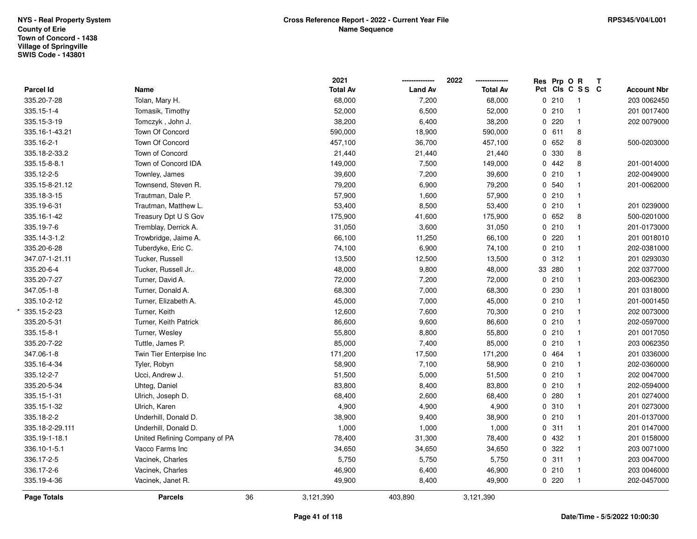|                  |                               |    | 2021            |                | 2022<br>-------------- | Res Prp O R |                 | Т |                    |
|------------------|-------------------------------|----|-----------------|----------------|------------------------|-------------|-----------------|---|--------------------|
| <b>Parcel Id</b> | Name                          |    | <b>Total Av</b> | <b>Land Av</b> | <b>Total Av</b>        |             | Pct Cls C S S C |   | <b>Account Nbr</b> |
| 335.20-7-28      | Tolan, Mary H.                |    | 68,000          | 7,200          | 68,000                 | 0210        | $\overline{1}$  |   | 203 0062450        |
| 335.15-1-4       | Tomasik, Timothy              |    | 52,000          | 6,500          | 52,000                 | 0210        | $\mathbf{1}$    |   | 201 0017400        |
| 335.15-3-19      | Tomczyk, John J.              |    | 38,200          | 6,400          | 38,200                 | 0.220       | $\mathbf{1}$    |   | 202 0079000        |
| 335.16-1-43.21   | Town Of Concord               |    | 590,000         | 18,900         | 590,000                | 0 611       | 8               |   |                    |
| 335.16-2-1       | Town Of Concord               |    | 457,100         | 36,700         | 457,100                | 0 652       | 8               |   | 500-0203000        |
| 335.18-2-33.2    | Town of Concord               |    | 21,440          | 21,440         | 21,440                 | 0 330       | 8               |   |                    |
| 335.15-8-8.1     | Town of Concord IDA           |    | 149,000         | 7,500          | 149,000                | 0.442       | 8               |   | 201-0014000        |
| 335.12-2-5       | Townley, James                |    | 39,600          | 7,200          | 39,600                 | 0210        | $\mathbf{1}$    |   | 202-0049000        |
| 335.15-8-21.12   | Townsend, Steven R.           |    | 79,200          | 6,900          | 79,200                 | 0 540       | $\mathbf{1}$    |   | 201-0062000        |
| 335.18-3-15      | Trautman, Dale P.             |    | 57,900          | 1,600          | 57,900                 | 0210        | $\mathbf{1}$    |   |                    |
| 335.19-6-31      | Trautman, Matthew L.          |    | 53,400          | 8,500          | 53,400                 | 0210        | $\mathbf{1}$    |   | 201 0239000        |
| 335.16-1-42      | Treasury Dpt U S Gov          |    | 175,900         | 41,600         | 175,900                | 0 652       | 8               |   | 500-0201000        |
| 335.19-7-6       | Tremblay, Derrick A.          |    | 31,050          | 3,600          | 31,050                 | 0210        | $\mathbf{1}$    |   | 201-0173000        |
| 335.14-3-1.2     | Trowbridge, Jaime A.          |    | 66,100          | 11,250         | 66,100                 | 0.220       | $\mathbf{1}$    |   | 201 0018010        |
| 335.20-6-28      | Tuberdyke, Eric C.            |    | 74,100          | 6,900          | 74,100                 | 0210        | $\mathbf{1}$    |   | 202-0381000        |
| 347.07-1-21.11   | Tucker, Russell               |    | 13,500          | 12,500         | 13,500                 | 0.312       | $\mathbf{1}$    |   | 201 0293030        |
| 335.20-6-4       | Tucker, Russell Jr            |    | 48,000          | 9,800          | 48,000                 | 33 280      | $\mathbf{1}$    |   | 202 0377000        |
| 335.20-7-27      | Turner, David A.              |    | 72,000          | 7,200          | 72,000                 | 0210        | $\mathbf{1}$    |   | 203-0062300        |
| 347.05-1-8       | Turner, Donald A.             |    | 68,300          | 7,000          | 68,300                 | 0 230       | $\mathbf{1}$    |   | 201 0318000        |
| 335.10-2-12      | Turner, Elizabeth A.          |    | 45,000          | 7,000          | 45,000                 | 0210        | $\mathbf{1}$    |   | 201-0001450        |
| 335.15-2-23      | Turner, Keith                 |    | 12,600          | 7,600          | 70,300                 | 0210        | $\mathbf{1}$    |   | 202 0073000        |
| 335.20-5-31      | Turner, Keith Patrick         |    | 86,600          | 9,600          | 86,600                 | 0210        | $\mathbf{1}$    |   | 202-0597000        |
| 335.15-8-1       | Turner, Wesley                |    | 55,800          | 8,800          | 55,800                 | 0210        | $\mathbf{1}$    |   | 201 0017050        |
| 335.20-7-22      | Tuttle, James P.              |    | 85,000          | 7,400          | 85,000                 | 0210        | $\mathbf{1}$    |   | 203 0062350        |
| 347.06-1-8       | Twin Tier Enterpise Inc       |    | 171,200         | 17,500         | 171,200                | 0 464       | $\mathbf{1}$    |   | 201 0336000        |
| 335.16-4-34      | Tyler, Robyn                  |    | 58,900          | 7,100          | 58,900                 | 0210        | $\mathbf{1}$    |   | 202-0360000        |
| 335.12-2-7       | Ucci, Andrew J.               |    | 51,500          | 5,000          | 51,500                 | 0210        | $\mathbf{1}$    |   | 202 0047000        |
| 335.20-5-34      | Uhteg, Daniel                 |    | 83,800          | 8,400          | 83,800                 | 0210        | $\mathbf{1}$    |   | 202-0594000        |
| 335.15-1-31      | Ulrich, Joseph D.             |    | 68,400          | 2,600          | 68,400                 | 0.280       | $\mathbf{1}$    |   | 201 0274000        |
| 335.15-1-32      | Ulrich, Karen                 |    | 4,900           | 4,900          | 4,900                  | 0.310       | $\mathbf{1}$    |   | 201 0273000        |
| 335.18-2-2       | Underhill, Donald D.          |    | 38,900          | 9,400          | 38,900                 | 0210        | $\mathbf{1}$    |   | 201-0137000        |
| 335.18-2-29.111  | Underhill, Donald D.          |    | 1,000           | 1,000          | 1,000                  | 0.311       | $\mathbf{1}$    |   | 201 0147000        |
| 335.19-1-18.1    | United Refining Company of PA |    | 78,400          | 31,300         | 78,400                 | 0 432       | $\mathbf{1}$    |   | 201 0158000        |
| 336.10-1-5.1     | Vacco Farms Inc               |    | 34,650          | 34,650         | 34,650                 | 0.322       | $\mathbf{1}$    |   | 203 0071000        |
| 336.17-2-5       | Vacinek, Charles              |    | 5,750           | 5,750          | 5,750                  | 0.311       | $\mathbf{1}$    |   | 203 0047000        |
| 336.17-2-6       | Vacinek, Charles              |    | 46,900          | 6,400          | 46,900                 | 0210        | $\overline{1}$  |   | 203 0046000        |
| 335.19-4-36      | Vacinek, Janet R.             |    | 49,900          | 8,400          | 49,900                 | 0.220       | $\mathbf{1}$    |   | 202-0457000        |
| Page Totals      | <b>Parcels</b>                | 36 | 3,121,390       | 403,890        | 3,121,390              |             |                 |   |                    |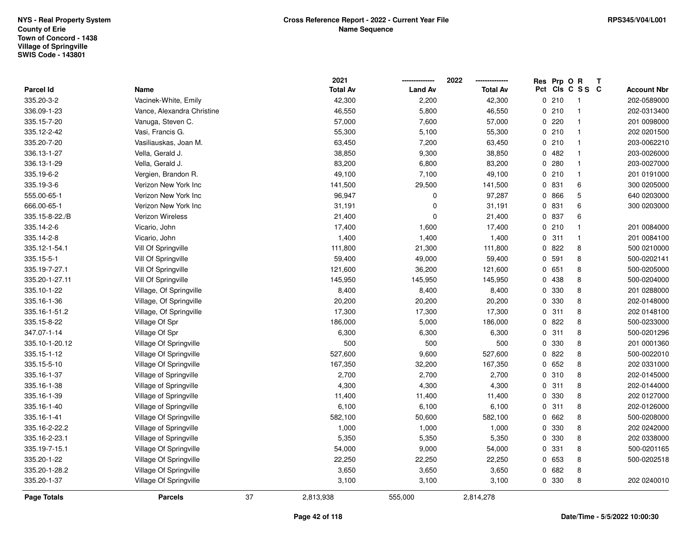|                  |                            |    | 2021            |                | 2022            | Res Prp O R |                 | Т |                    |
|------------------|----------------------------|----|-----------------|----------------|-----------------|-------------|-----------------|---|--------------------|
| <b>Parcel Id</b> | Name                       |    | <b>Total Av</b> | <b>Land Av</b> | <b>Total Av</b> |             | Pct Cls C S S C |   | <b>Account Nbr</b> |
| 335.20-3-2       | Vacinek-White, Emily       |    | 42,300          | 2,200          | 42,300          | 0210        | $\overline{1}$  |   | 202-0589000        |
| 336.09-1-23      | Vance, Alexandra Christine |    | 46,550          | 5,800          | 46,550          | 0210        | $\mathbf{1}$    |   | 202-0313400        |
| 335.15-7-20      | Vanuga, Steven C.          |    | 57,000          | 7,600          | 57,000          | 0.220       | $\mathbf{1}$    |   | 201 0098000        |
| 335.12-2-42      | Vasi, Francis G.           |    | 55,300          | 5,100          | 55,300          | 0210        | $\mathbf{1}$    |   | 202 0201500        |
| 335.20-7-20      | Vasiliauskas, Joan M.      |    | 63,450          | 7,200          | 63,450          | 0210        | $\mathbf{1}$    |   | 203-0062210        |
| 336.13-1-27      | Vella, Gerald J.           |    | 38,850          | 9,300          | 38,850          | 0482        | $\mathbf{1}$    |   | 203-0026000        |
| 336.13-1-29      | Vella, Gerald J.           |    | 83,200          | 6,800          | 83,200          | 0.280       | $\mathbf{1}$    |   | 203-0027000        |
| 335.19-6-2       | Vergien, Brandon R.        |    | 49,100          | 7,100          | 49,100          | 0210        | $\mathbf{1}$    |   | 201 0191000        |
| 335.19-3-6       | Verizon New York Inc       |    | 141,500         | 29,500         | 141,500         | 0 831       | 6               |   | 300 0205000        |
| 555.00-65-1      | Verizon New York Inc       |    | 96,947          | $\mathbf 0$    | 97,287          | 0 866       | 5               |   | 640 0203000        |
| 666.00-65-1      | Verizon New York Inc       |    | 31,191          | $\mathbf 0$    | 31,191          | 0 831       | 6               |   | 300 0203000        |
| 335.15-8-22./B   | Verizon Wireless           |    | 21,400          | $\mathbf 0$    | 21,400          | 0 837       | 6               |   |                    |
| 335.14-2-6       | Vicario, John              |    | 17,400          | 1,600          | 17,400          | 0210        | $\mathbf{1}$    |   | 201 0084000        |
| 335.14-2-8       | Vicario, John              |    | 1,400           | 1,400          | 1,400           | 0.311       | $\mathbf{1}$    |   | 201 0084100        |
| 335.12-1-54.1    | Vill Of Springville        |    | 111,800         | 21,300         | 111,800         | 0822        | 8               |   | 500 0210000        |
| 335.15-5-1       | Vill Of Springville        |    | 59,400          | 49,000         | 59,400          | 0 591       | 8               |   | 500-0202141        |
| 335.19-7-27.1    | Vill Of Springville        |    | 121,600         | 36,200         | 121,600         | 0 651       | 8               |   | 500-0205000        |
| 335.20-1-27.11   | Vill Of Springville        |    | 145,950         | 145,950        | 145,950         | 0 438       | 8               |   | 500-0204000        |
| 335.10-1-22      | Village, Of Springville    |    | 8,400           | 8,400          | 8,400           | 0 330       | 8               |   | 201 0288000        |
| 335.16-1-36      | Village, Of Springville    |    | 20,200          | 20,200         | 20,200          | 0 330       | 8               |   | 202-0148000        |
| 335.16-1-51.2    | Village, Of Springville    |    | 17,300          | 17,300         | 17,300          | 0.311       | 8               |   | 202 0148100        |
| 335.15-8-22      | Village Of Spr             |    | 186,000         | 5,000          | 186,000         | 0822        | 8               |   | 500-0233000        |
| 347.07-1-14      | Village Of Spr             |    | 6,300           | 6,300          | 6,300           | 0.311       | 8               |   | 500-0201296        |
| 335.10-1-20.12   | Village Of Springville     |    | 500             | 500            | 500             | 0 330       | 8               |   | 201 0001360        |
| 335.15-1-12      | Village Of Springville     |    | 527,600         | 9,600          | 527,600         | 0822        | 8               |   | 500-0022010        |
| 335.15-5-10      | Village Of Springville     |    | 167,350         | 32,200         | 167,350         | 0 652       | 8               |   | 202 0331000        |
| 335.16-1-37      | Village of Springville     |    | 2,700           | 2,700          | 2,700           | 0.310       | 8               |   | 202-0145000        |
| 335.16-1-38      | Village of Springville     |    | 4,300           | 4,300          | 4,300           | 0.311       | 8               |   | 202-0144000        |
| 335.16-1-39      | Village of Springville     |    | 11,400          | 11,400         | 11,400          | 0 330       | 8               |   | 202 0127000        |
| 335.16-1-40      | Village of Springville     |    | 6,100           | 6,100          | 6,100           | 0.311       | 8               |   | 202-0126000        |
| 335.16-1-41      | Village Of Springville     |    | 582,100         | 50,600         | 582,100         | 0662        | 8               |   | 500-0208000        |
| 335.16-2-22.2    | Village of Springville     |    | 1,000           | 1,000          | 1,000           | 0 330       | 8               |   | 202 0242000        |
| 335.16-2-23.1    | Village of Springville     |    | 5,350           | 5,350          | 5,350           | 0 330       | 8               |   | 202 0338000        |
| 335.19-7-15.1    | Village Of Springville     |    | 54,000          | 9,000          | 54,000          | 0 331       | 8               |   | 500-0201165        |
| 335.20-1-22      | Village Of Springville     |    | 22,250          | 22,250         | 22,250          | 0 653       | 8               |   | 500-0202518        |
| 335.20-1-28.2    | Village Of Springville     |    | 3,650           | 3,650          | 3,650           | 0682        | 8               |   |                    |
| 335.20-1-37      | Village Of Springville     |    | 3,100           | 3,100          | 3,100           | 0 330       | 8               |   | 202 0240010        |
| Page Totals      | <b>Parcels</b>             | 37 | 2,813,938       | 555,000        | 2,814,278       |             |                 |   |                    |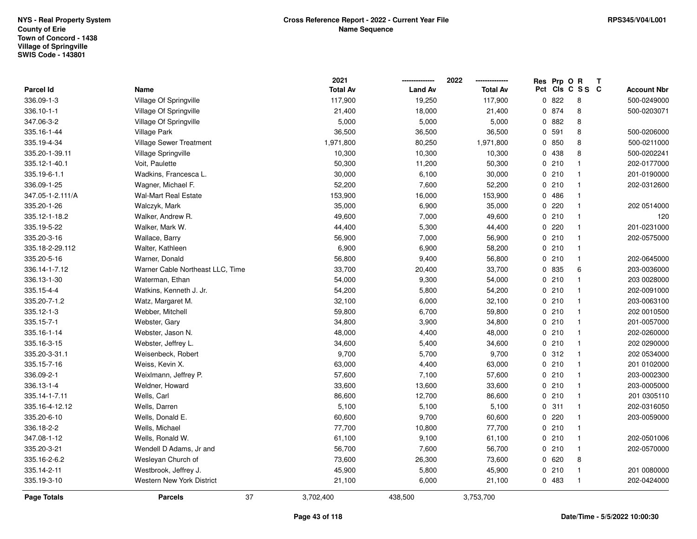|                    |                                  | 2021            | -------------- | 2022<br>-------------- | Res Prp O R |                 | Т |                    |
|--------------------|----------------------------------|-----------------|----------------|------------------------|-------------|-----------------|---|--------------------|
| Parcel Id          | Name                             | <b>Total Av</b> | <b>Land Av</b> | <b>Total Av</b>        |             | Pct Cls C S S C |   | <b>Account Nbr</b> |
| 336.09-1-3         | Village Of Springville           | 117,900         | 19,250         | 117,900                | 0822        | 8               |   | 500-0249000        |
| 336.10-1-1         | Village Of Springville           | 21,400          | 18,000         | 21,400                 | 0 874       | 8               |   | 500-0203071        |
| 347.06-3-2         | Village Of Springville           | 5,000           | 5,000          | 5,000                  | 0.882       | 8               |   |                    |
| 335.16-1-44        | Village Park                     | 36,500          | 36,500         | 36,500                 | 0 591       | 8               |   | 500-0206000        |
| 335.19-4-34        | Village Sewer Treatment          | 1,971,800       | 80,250         | 1,971,800              | 0 850       | 8               |   | 500-0211000        |
| 335.20-1-39.11     | Village Springville              | 10,300          | 10,300         | 10,300                 | 0 438       | 8               |   | 500-0202241        |
| 335.12-1-40.1      | Voit, Paulette                   | 50,300          | 11,200         | 50,300                 | 0210        | $\mathbf{1}$    |   | 202-0177000        |
| 335.19-6-1.1       | Wadkins, Francesca L.            | 30,000          | 6,100          | 30,000                 | 0210        | $\mathbf 1$     |   | 201-0190000        |
| 336.09-1-25        | Wagner, Michael F.               | 52,200          | 7,600          | 52,200                 | 0210        | $\mathbf{1}$    |   | 202-0312600        |
| 347.05-1-2.111/A   | <b>Wal-Mart Real Estate</b>      | 153,900         | 16,000         | 153,900                | 0486        | $\mathbf{1}$    |   |                    |
| 335.20-1-26        | Walczyk, Mark                    | 35,000          | 6,900          | 35,000                 | 0.220       | $\mathbf{1}$    |   | 202 0514000        |
| 335.12-1-18.2      | Walker, Andrew R.                | 49,600          | 7,000          | 49,600                 | 0210        | $\mathbf{1}$    |   | 120                |
| 335.19-5-22        | Walker, Mark W.                  | 44,400          | 5,300          | 44,400                 | 0220        | $\mathbf{1}$    |   | 201-0231000        |
| 335.20-3-16        | Wallace, Barry                   | 56,900          | 7,000          | 56,900                 | 0210        | $\mathbf{1}$    |   | 202-0575000        |
| 335.18-2-29.112    | Walter, Kathleen                 | 6,900           | 6,900          | 58,200                 | 0210        | $\mathbf{1}$    |   |                    |
| 335.20-5-16        | Warner, Donald                   | 56,800          | 9,400          | 56,800                 | 0210        | $\mathbf{1}$    |   | 202-0645000        |
| 336.14-1-7.12      | Warner Cable Northeast LLC, Time | 33,700          | 20,400         | 33,700                 | 0 835       | 6               |   | 203-0036000        |
| 336.13-1-30        | Waterman, Ethan                  | 54,000          | 9,300          | 54,000                 | 0210        | $\mathbf{1}$    |   | 203 0028000        |
| 335.15-4-4         | Watkins, Kenneth J. Jr.          | 54,200          | 5,800          | 54,200                 | 0210        | $\mathbf{1}$    |   | 202-0091000        |
| 335.20-7-1.2       | Watz, Margaret M.                | 32,100          | 6,000          | 32,100                 | 0210        | $\mathbf{1}$    |   | 203-0063100        |
| 335.12-1-3         | Webber, Mitchell                 | 59,800          | 6,700          | 59,800                 | 0210        | $\mathbf{1}$    |   | 202 0010500        |
| 335.15-7-1         | Webster, Gary                    | 34,800          | 3,900          | 34,800                 | 0210        | $\overline{1}$  |   | 201-0057000        |
| 335.16-1-14        | Webster, Jason N.                | 48,000          | 4,400          | 48,000                 | 0210        | $\mathbf{1}$    |   | 202-0260000        |
| 335.16-3-15        | Webster, Jeffrey L.              | 34,600          | 5,400          | 34,600                 | 0210        | $\mathbf{1}$    |   | 202 0290000        |
| 335.20-3-31.1      | Weisenbeck, Robert               | 9,700           | 5,700          | 9,700                  | 0.312       | $\mathbf{1}$    |   | 202 0534000        |
| 335.15-7-16        | Weiss, Kevin X.                  | 63,000          | 4,400          | 63,000                 | 0210        | $\mathbf{1}$    |   | 201 0102000        |
| 336.09-2-1         | Weixlmann, Jeffrey P.            | 57,600          | 7,100          | 57,600                 | 0210        | $\mathbf{1}$    |   | 203-0002300        |
| 336.13-1-4         | Weldner, Howard                  | 33,600          | 13,600         | 33,600                 | 0210        | $\mathbf{1}$    |   | 203-0005000        |
| 335.14-1-7.11      | Wells, Carl                      | 86,600          | 12,700         | 86,600                 | 0210        | $\overline{1}$  |   | 201 0305110        |
| 335.16-4-12.12     | Wells, Darren                    | 5,100           | 5,100          | 5,100                  | 0.311       | $\mathbf{1}$    |   | 202-0316050        |
| 335.20-6-10        | Wells, Donald E.                 | 60,600          | 9,700          | 60,600                 | 0.220       | $\mathbf{1}$    |   | 203-0059000        |
| 336.18-2-2         | Wells, Michael                   | 77,700          | 10,800         | 77,700                 | 0210        | $\mathbf{1}$    |   |                    |
| 347.08-1-12        | Wells, Ronald W.                 | 61,100          | 9,100          | 61,100                 | 0210        | $\mathbf{1}$    |   | 202-0501006        |
| 335.20-3-21        | Wendell D Adams, Jr and          | 56,700          | 7,600          | 56,700                 | 0210        | $\mathbf{1}$    |   | 202-0570000        |
| 335.16-2-6.2       | Wesleyan Church of               | 73,600          | 26,300         | 73,600                 | 0620        | 8               |   |                    |
| 335.14-2-11        | Westbrook, Jeffrey J.            | 45,900          | 5,800          | 45,900                 | 0210        | $\mathbf{1}$    |   | 201 0080000        |
| 335.19-3-10        | Western New York District        | 21,100          | 6,000          | 21,100                 | 0 483       | $\overline{1}$  |   | 202-0424000        |
| <b>Page Totals</b> | 37<br><b>Parcels</b>             | 3,702,400       | 438,500        | 3,753,700              |             |                 |   |                    |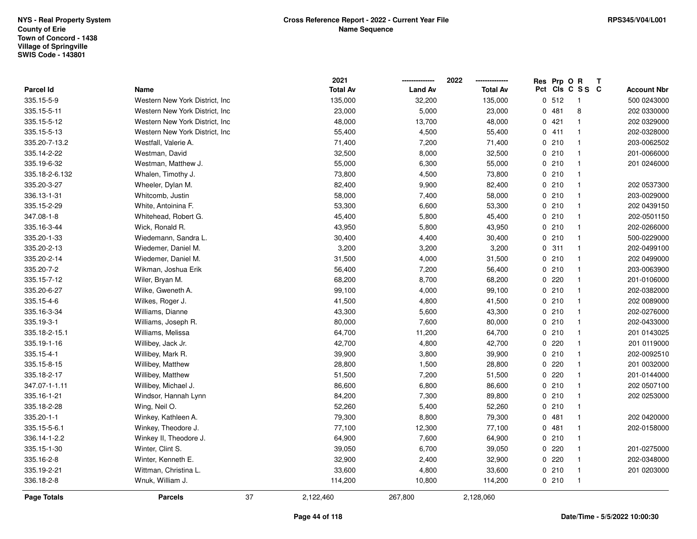|                    |                                 |    | 2021            |                | 2022            |             |       | Res Prp O R     | T |                    |
|--------------------|---------------------------------|----|-----------------|----------------|-----------------|-------------|-------|-----------------|---|--------------------|
| Parcel Id          | Name                            |    | <b>Total Av</b> | <b>Land Av</b> | <b>Total Av</b> |             |       | Pct Cls C S S C |   | <b>Account Nbr</b> |
| 335.15-5-9         | Western New York District, Inc  |    | 135,000         | 32,200         | 135,000         |             | 0.512 | $\mathbf{1}$    |   | 500 0243000        |
| 335.15-5-11        | Western New York District, Inc. |    | 23,000          | 5,000          | 23,000          |             | 0481  | 8               |   | 202 0330000        |
| 335.15-5-12        | Western New York District, Inc. |    | 48,000          | 13,700         | 48,000          |             | 0421  | $\mathbf{1}$    |   | 202 0329000        |
| 335.15-5-13        | Western New York District, Inc. |    | 55,400          | 4,500          | 55,400          |             | 0411  | $\mathbf{1}$    |   | 202-0328000        |
| 335.20-7-13.2      | Westfall, Valerie A.            |    | 71,400          | 7,200          | 71,400          |             | 0210  |                 |   | 203-0062502        |
| 335.14-2-22        | Westman, David                  |    | 32,500          | 8,000          | 32,500          |             | 0210  |                 |   | 201-0066000        |
| 335.19-6-32        | Westman, Matthew J.             |    | 55,000          | 6,300          | 55,000          |             | 0210  | $\mathbf{1}$    |   | 201 0246000        |
| 335.18-2-6.132     | Whalen, Timothy J.              |    | 73,800          | 4,500          | 73,800          |             | 0210  | $\mathbf{1}$    |   |                    |
| 335.20-3-27        | Wheeler, Dylan M.               |    | 82,400          | 9,900          | 82,400          |             | 0210  | $\mathbf{1}$    |   | 202 0537300        |
| 336.13-1-31        | Whitcomb, Justin                |    | 58,000          | 7,400          | 58,000          |             | 0210  | $\mathbf{1}$    |   | 203-0029000        |
| 335.15-2-29        | White, Antoinina F.             |    | 53,300          | 6,600          | 53,300          |             | 0210  | $\mathbf 1$     |   | 202 0439150        |
| 347.08-1-8         | Whitehead, Robert G.            |    | 45,400          | 5,800          | 45,400          |             | 0210  |                 |   | 202-0501150        |
| 335.16-3-44        | Wick, Ronald R.                 |    | 43,950          | 5,800          | 43,950          |             | 0210  |                 |   | 202-0266000        |
| 335.20-1-33        | Wiedemann, Sandra L.            |    | 30,400          | 4,400          | 30,400          |             | 0210  | $\mathbf{1}$    |   | 500-0229000        |
| 335.20-2-13        | Wiedemer, Daniel M.             |    | 3,200           | 3,200          | 3,200           |             | 0.311 | $\mathbf{1}$    |   | 202-0499100        |
| 335.20-2-14        | Wiedemer, Daniel M.             |    | 31,500          | 4,000          | 31,500          |             | 0210  | $\mathbf{1}$    |   | 202 0499000        |
| 335.20-7-2         | Wikman, Joshua Erik             |    | 56,400          | 7,200          | 56,400          |             | 0210  | $\mathbf{1}$    |   | 203-0063900        |
| 335.15-7-12        | Wiler, Bryan M.                 |    | 68,200          | 8,700          | 68,200          |             | 0.220 | $\mathbf{1}$    |   | 201-0106000        |
| 335.20-6-27        | Wilke, Gweneth A.               |    | 99,100          | 4,000          | 99,100          |             | 0210  |                 |   | 202-0382000        |
| 335.15-4-6         | Wilkes, Roger J.                |    | 41,500          | 4,800          | 41,500          |             | 0210  |                 |   | 202 0089000        |
| 335.16-3-34        | Williams, Dianne                |    | 43,300          | 5,600          | 43,300          |             | 0210  |                 |   | 202-0276000        |
| 335.19-3-1         | Williams, Joseph R.             |    | 80,000          | 7,600          | 80,000          |             | 0210  | $\mathbf 1$     |   | 202-0433000        |
| 335.18-2-15.1      | Williams, Melissa               |    | 64,700          | 11,200         | 64,700          |             | 0210  | $\mathbf{1}$    |   | 201 0143025        |
| 335.19-1-16        | Willibey, Jack Jr.              |    | 42,700          | 4,800          | 42,700          | 0           | 220   | $\mathbf{1}$    |   | 201 0119000        |
| 335.15-4-1         | Willibey, Mark R.               |    | 39,900          | 3,800          | 39,900          |             | 0210  | $\mathbf{1}$    |   | 202-0092510        |
| 335.15-8-15        | Willibey, Matthew               |    | 28,800          | 1,500          | 28,800          |             | 0.220 |                 |   | 201 0032000        |
| 335.18-2-17        | Willibey, Matthew               |    | 51,500          | 7,200          | 51,500          |             | 0.220 |                 |   | 201-0144000        |
| 347.07-1-1.11      | Willibey, Michael J.            |    | 86,600          | 6,800          | 86,600          |             | 0210  |                 |   | 202 0507100        |
| 335.16-1-21        | Windsor, Hannah Lynn            |    | 84,200          | 7,300          | 89,800          |             | 0210  | $\mathbf{1}$    |   | 202 0253000        |
| 335.18-2-28        | Wing, Neil O.                   |    | 52,260          | 5,400          | 52,260          | $\mathbf 0$ | 210   | $\mathbf{1}$    |   |                    |
| 335.20-1-1         | Winkey, Kathleen A.             |    | 79,300          | 8,800          | 79,300          |             | 0481  | $\mathbf{1}$    |   | 202 0420000        |
| 335.15-5-6.1       | Winkey, Theodore J.             |    | 77,100          | 12,300         | 77,100          |             | 0.481 | $\mathbf{1}$    |   | 202-0158000        |
| 336.14-1-2.2       | Winkey II, Theodore J.          |    | 64,900          | 7,600          | 64,900          |             | 0210  | $\mathbf 1$     |   |                    |
| 335.15-1-30        | Winter, Clint S.                |    | 39,050          | 6,700          | 39,050          |             | 0.220 |                 |   | 201-0275000        |
| 335.16-2-8         | Winter, Kenneth E.              |    | 32,900          | 2,400          | 32,900          |             | 0.220 |                 |   | 202-0348000        |
| 335.19-2-21        | Wittman, Christina L.           |    | 33,600          | 4,800          | 33,600          |             | 0210  | $\mathbf{1}$    |   | 201 0203000        |
| 336.18-2-8         | Wnuk, William J.                |    | 114,200         | 10,800         | 114,200         |             | 0210  | $\mathbf{1}$    |   |                    |
| <b>Page Totals</b> | <b>Parcels</b>                  | 37 | 2,122,460       | 267,800        | 2,128,060       |             |       |                 |   |                    |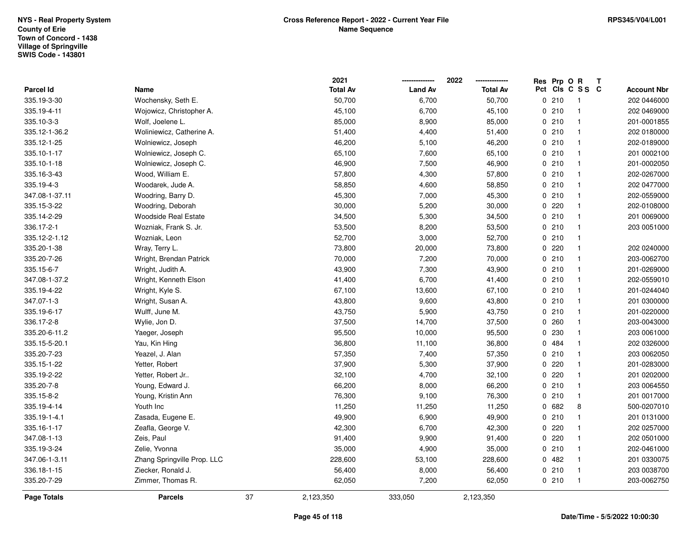|                |                             |    | 2021            |                | 2022            | Res Prp O R |                 | Т |                    |
|----------------|-----------------------------|----|-----------------|----------------|-----------------|-------------|-----------------|---|--------------------|
| Parcel Id      | Name                        |    | <b>Total Av</b> | <b>Land Av</b> | <b>Total Av</b> |             | Pct Cls C S S C |   | <b>Account Nbr</b> |
| 335.19-3-30    | Wochensky, Seth E.          |    | 50,700          | 6,700          | 50,700          | 0210        | $\overline{1}$  |   | 202 0446000        |
| 335.19-4-11    | Wojowicz, Christopher A.    |    | 45,100          | 6,700          | 45,100          | 0210        | $\mathbf{1}$    |   | 202 0469000        |
| 335.10-3-3     | Wolf, Joelene L.            |    | 85,000          | 8,900          | 85,000          | 0210        | $\overline{1}$  |   | 201-0001855        |
| 335.12-1-36.2  | Woliniewicz, Catherine A.   |    | 51,400          | 4,400          | 51,400          | 0210        | $\mathbf{1}$    |   | 202 0180000        |
| 335.12-1-25    | Wolniewicz, Joseph          |    | 46,200          | 5,100          | 46,200          | 0210        | $\mathbf{1}$    |   | 202-0189000        |
| 335.10-1-17    | Wolniewicz, Joseph C.       |    | 65,100          | 7,600          | 65,100          | 0210        | $\overline{1}$  |   | 201 0002100        |
| 335.10-1-18    | Wolniewicz, Joseph C.       |    | 46,900          | 7,500          | 46,900          | 0210        | $\mathbf{1}$    |   | 201-0002050        |
| 335.16-3-43    | Wood, William E.            |    | 57,800          | 4,300          | 57,800          | 0210        | $\mathbf{1}$    |   | 202-0267000        |
| 335.19-4-3     | Woodarek, Jude A.           |    | 58,850          | 4,600          | 58,850          | 0210        | $\mathbf{1}$    |   | 202 0477000        |
| 347.08-1-37.11 | Woodring, Barry D.          |    | 45,300          | 7,000          | 45,300          | 0210        | $\mathbf{1}$    |   | 202-0559000        |
| 335.15-3-22    | Woodring, Deborah           |    | 30,000          | 5,200          | 30,000          | $0$ 220     | $\mathbf{1}$    |   | 202-0108000        |
| 335.14-2-29    | <b>Woodside Real Estate</b> |    | 34,500          | 5,300          | 34,500          | 0210        | $\mathbf{1}$    |   | 201 0069000        |
| 336.17-2-1     | Wozniak, Frank S. Jr.       |    | 53,500          | 8,200          | 53,500          | 0210        | $\mathbf{1}$    |   | 203 0051000        |
| 335.12-2-1.12  | Wozniak, Leon               |    | 52,700          | 3,000          | 52,700          | 0210        | $\mathbf{1}$    |   |                    |
| 335.20-1-38    | Wray, Terry L.              |    | 73,800          | 20,000         | 73,800          | $0$ 220     | $\mathbf{1}$    |   | 202 0240000        |
| 335.20-7-26    | Wright, Brendan Patrick     |    | 70,000          | 7,200          | 70,000          | 0210        | $\mathbf{1}$    |   | 203-0062700        |
| 335.15-6-7     | Wright, Judith A.           |    | 43,900          | 7,300          | 43,900          | 0210        | $\mathbf{1}$    |   | 201-0269000        |
| 347.08-1-37.2  | Wright, Kenneth Elson       |    | 41,400          | 6,700          | 41,400          | 0210        | $\mathbf{1}$    |   | 202-0559010        |
| 335.19-4-22    | Wright, Kyle S.             |    | 67,100          | 13,600         | 67,100          | 0210        | $\mathbf{1}$    |   | 201-0244040        |
| 347.07-1-3     | Wright, Susan A.            |    | 43,800          | 9,600          | 43,800          | 0210        | $\overline{1}$  |   | 201 0300000        |
| 335.19-6-17    | Wulff, June M.              |    | 43,750          | 5,900          | 43,750          | 0210        | $\mathbf{1}$    |   | 201-0220000        |
| 336.17-2-8     | Wylie, Jon D.               |    | 37,500          | 14,700         | 37,500          | 0.260       | $\mathbf{1}$    |   | 203-0043000        |
| 335.20-6-11.2  | Yaeger, Joseph              |    | 95,500          | 10,000         | 95,500          | 0230        | $\mathbf{1}$    |   | 203 0061000        |
| 335.15-5-20.1  | Yau, Kin Hing               |    | 36,800          | 11,100         | 36,800          | 0 484       | $\mathbf{1}$    |   | 202 0326000        |
| 335.20-7-23    | Yeazel, J. Alan             |    | 57,350          | 7,400          | 57,350          | 0210        | $\mathbf{1}$    |   | 203 0062050        |
| 335.15-1-22    | Yetter, Robert              |    | 37,900          | 5,300          | 37,900          | 0.220       | $\overline{1}$  |   | 201-0283000        |
| 335.19-2-22    | Yetter, Robert Jr           |    | 32,100          | 4,700          | 32,100          | 0.220       | $\mathbf{1}$    |   | 201 0202000        |
| 335.20-7-8     | Young, Edward J.            |    | 66,200          | 8,000          | 66,200          | 0210        | $\mathbf{1}$    |   | 203 0064550        |
| 335.15-8-2     | Young, Kristin Ann          |    | 76,300          | 9,100          | 76,300          | 0210        | $\mathbf{1}$    |   | 201 0017000        |
| 335.19-4-14    | Youth Inc                   |    | 11,250          | 11,250         | 11,250          | 0 682       | 8               |   | 500-0207010        |
| 335.19-1-4.1   | Zasada, Eugene E.           |    | 49,900          | 6,900          | 49,900          | 0210        | $\mathbf{1}$    |   | 201 0131000        |
| 335.16-1-17    | Zeafla, George V.           |    | 42,300          | 6,700          | 42,300          | 0.220       | $\mathbf{1}$    |   | 202 0257000        |
| 347.08-1-13    | Zeis, Paul                  |    | 91,400          | 9,900          | 91,400          | 0.220       | $\mathbf{1}$    |   | 202 0501000        |
| 335.19-3-24    | Zelie, Yvonna               |    | 35,000          | 4,900          | 35,000          | 0210        | $\mathbf{1}$    |   | 202-0461000        |
| 347.06-1-3.11  | Zhang Springville Prop. LLC |    | 228,600         | 53,100         | 228,600         | 0.482       | $\mathbf{1}$    |   | 201 0330075        |
| 336.18-1-15    | Ziecker, Ronald J.          |    | 56,400          | 8,000          | 56,400          | 0210        | $\overline{1}$  |   | 203 0038700        |
| 335.20-7-29    | Zimmer, Thomas R.           |    | 62,050          | 7,200          | 62,050          | 0210        | $\overline{1}$  |   | 203-0062750        |
| Page Totals    | <b>Parcels</b>              | 37 | 2,123,350       | 333,050        | 2,123,350       |             |                 |   |                    |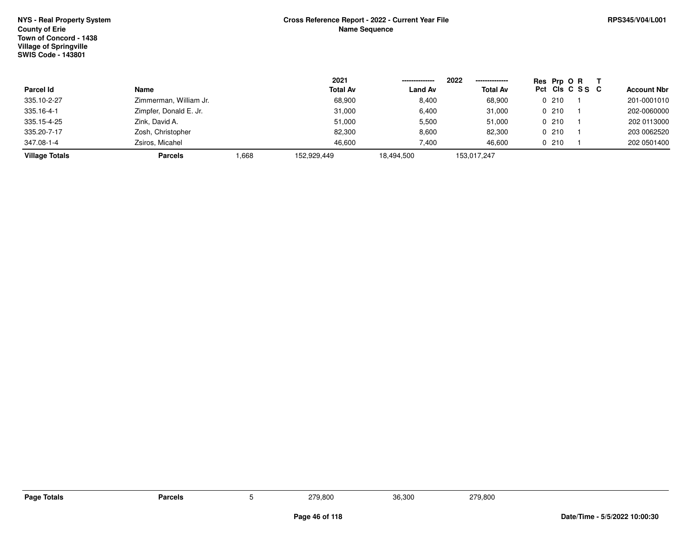|                       |                        |       | 2021            |                | 2022<br>--------------- | Res Prp O R |                 |                    |
|-----------------------|------------------------|-------|-----------------|----------------|-------------------------|-------------|-----------------|--------------------|
| Parcel Id             | Name                   |       | <b>Total Av</b> | <b>Land Av</b> | <b>Total Av</b>         |             | Pct Cls C S S C | <b>Account Nbr</b> |
| 335.10-2-27           | Zimmerman, William Jr. |       | 68,900          | 8,400          | 68,900                  | 0210        |                 | 201-0001010        |
| 335.16-4-1            | Zimpfer, Donald E. Jr. |       | 31,000          | 6,400          | 31,000                  | 0210        |                 | 202-0060000        |
| 335.15-4-25           | Zink, David A.         |       | 51,000          | 5,500          | 51,000                  | 0.210       |                 | 202 0113000        |
| 335.20-7-17           | Zosh, Christopher      |       | 82,300          | 8,600          | 82,300                  | 0.210       |                 | 203 0062520        |
| 347.08-1-4            | Zsiros, Micahel        |       | 46,600          | 7,400          | 46.600                  | 0210        |                 | 202 0501400        |
| <b>Village Totals</b> | <b>Parcels</b>         | 0.668 | 152.929.449     | 18,494,500     | 153,017,247             |             |                 |                    |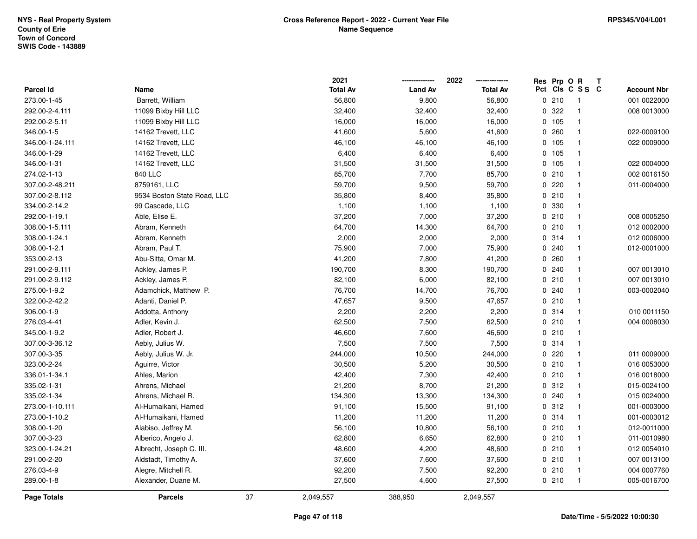|                  |                             | 2021            |                | 2022            |     | Res Prp O R |                         | Т |                    |
|------------------|-----------------------------|-----------------|----------------|-----------------|-----|-------------|-------------------------|---|--------------------|
| <b>Parcel Id</b> | Name                        | <b>Total Av</b> | <b>Land Av</b> | <b>Total Av</b> | Pct |             | CIS C S S C             |   | <b>Account Nbr</b> |
| 273.00-1-45      | Barrett, William            | 56,800          | 9,800          | 56,800          |     | 0210        | $\overline{\mathbf{1}}$ |   | 001 0022000        |
| 292.00-2-4.111   | 11099 Bixby Hill LLC        | 32,400          | 32,400         | 32,400          | 0   | 322         | $\mathbf{1}$            |   | 008 0013000        |
| 292.00-2-5.11    | 11099 Bixby Hill LLC        | 16,000          | 16,000         | 16,000          |     | 0, 105      | $\mathbf{1}$            |   |                    |
| 346.00-1-5       | 14162 Trevett, LLC          | 41,600          | 5,600          | 41,600          |     | 0.260       | $\mathbf{1}$            |   | 022-0009100        |
| 346.00-1-24.111  | 14162 Trevett, LLC          | 46,100          | 46,100         | 46,100          |     | 0 105       | $\mathbf{1}$            |   | 022 0009000        |
| 346.00-1-29      | 14162 Trevett, LLC          | 6,400           | 6,400          | 6,400           |     | 0 105       | $\mathbf{1}$            |   |                    |
| 346.00-1-31      | 14162 Trevett, LLC          | 31,500          | 31,500         | 31,500          |     | 0 105       | $\mathbf{1}$            |   | 022 0004000        |
| 274.02-1-13      | 840 LLC                     | 85,700          | 7,700          | 85,700          |     | 0210        | $\mathbf{1}$            |   | 002 0016150        |
| 307.00-2-48.211  | 8759161, LLC                | 59,700          | 9,500          | 59,700          |     | 0220        | $\mathbf{1}$            |   | 011-0004000        |
| 307.00-2-8.112   | 9534 Boston State Road, LLC | 35,800          | 8,400          | 35,800          |     | 0210        | $\mathbf{1}$            |   |                    |
| 334.00-2-14.2    | 99 Cascade, LLC             | 1,100           | 1,100          | 1,100           |     | 0 330       | -1                      |   |                    |
| 292.00-1-19.1    | Able, Elise E.              | 37,200          | 7,000          | 37,200          |     | 0210        | $\mathbf{1}$            |   | 008 0005250        |
| 308.00-1-5.111   | Abram, Kenneth              | 64,700          | 14,300         | 64,700          |     | 0210        | -1                      |   | 012 0002000        |
| 308.00-1-24.1    | Abram, Kenneth              | 2,000           | 2,000          | 2,000           |     | 0.314       | $\mathbf{1}$            |   | 012 0006000        |
| 308.00-1-2.1     | Abram, Paul T.              | 75,900          | 7,000          | 75,900          |     | 0.240       | $\mathbf{1}$            |   | 012-0001000        |
| 353.00-2-13      | Abu-Sitta, Omar M.          | 41,200          | 7,800          | 41,200          |     | 0.260       | $\mathbf{1}$            |   |                    |
| 291.00-2-9.111   | Ackley, James P.            | 190,700         | 8,300          | 190,700         |     | 0.240       | $\mathbf{1}$            |   | 007 0013010        |
| 291.00-2-9.112   | Ackley, James P.            | 82,100          | 6,000          | 82,100          |     | 0210        | $\mathbf{1}$            |   | 007 0013010        |
| 275.00-1-9.2     | Adamchick, Matthew P.       | 76,700          | 14,700         | 76,700          |     | 0.240       | $\mathbf{1}$            |   | 003-0002040        |
| 322.00-2-42.2    | Adanti, Daniel P.           | 47,657          | 9,500          | 47,657          |     | 0210        | $\overline{\mathbf{1}}$ |   |                    |
| 306.00-1-9       | Addotta, Anthony            | 2,200           | 2,200          | 2,200           |     | 0.314       | $\mathbf{1}$            |   | 010 0011150        |
| 276.03-4-41      | Adler, Kevin J.             | 62,500          | 7,500          | 62,500          |     | 0210        | -1                      |   | 004 0008030        |
| 345.00-1-9.2     | Adler, Robert J.            | 46,600          | 7,600          | 46,600          |     | 0210        | $\mathbf{1}$            |   |                    |
| 307.00-3-36.12   | Aebly, Julius W.            | 7,500           | 7,500          | 7,500           |     | 0.314       | $\mathbf{1}$            |   |                    |
| 307.00-3-35      | Aebly, Julius W. Jr.        | 244,000         | 10,500         | 244,000         |     | 0220        | $\mathbf{1}$            |   | 011 0009000        |
| 323.00-2-24      | Aguirre, Victor             | 30,500          | 5,200          | 30,500          |     | 0210        | -1                      |   | 016 0053000        |
| 336.01-1-34.1    | Ahles, Marion               | 42,400          | 7,300          | 42,400          |     | 0210        | -1                      |   | 016 0018000        |
| 335.02-1-31      | Ahrens, Michael             | 21,200          | 8,700          | 21,200          |     | 0.312       | $\mathbf{1}$            |   | 015-0024100        |
| 335.02-1-34      | Ahrens, Michael R.          | 134,300         | 13,300         | 134,300         |     | 0.240       | $\overline{\mathbf{1}}$ |   | 015 0024000        |
| 273.00-1-10.111  | Al-Humaikani, Hamed         | 91,100          | 15,500         | 91,100          |     | 0.312       | $\mathbf{1}$            |   | 001-0003000        |
| 273.00-1-10.2    | Al-Humaikani, Hamed         | 11,200          | 11,200         | 11,200          |     | 0 314       | $\mathbf{1}$            |   | 001-0003012        |
| 308.00-1-20      | Alabiso, Jeffrey M.         | 56,100          | 10,800         | 56,100          |     | 0210        | $\mathbf{1}$            |   | 012-0011000        |
| 307.00-3-23      | Alberico, Angelo J.         | 62,800          | 6,650          | 62,800          |     | 0210        | $\mathbf{1}$            |   | 011-0010980        |
| 323.00-1-24.21   | Albrecht, Joseph C. III.    | 48,600          | 4,200          | 48,600          |     | 0210        | $\mathbf{1}$            |   | 012 0054010        |
| 291.00-2-20      | Aldstadt, Timothy A.        | 37,600          | 7,600          | 37,600          |     | 0210        | $\mathbf{1}$            |   | 007 0013100        |
| 276.03-4-9       | Alegre, Mitchell R.         | 92,200          | 7,500          | 92,200          |     | 0210        | $\mathbf{1}$            |   | 004 0007760        |
| 289.00-1-8       | Alexander, Duane M.         | 27,500          | 4,600          | 27,500          |     | 0210        | $\mathbf{1}$            |   | 005-0016700        |
| Page Totals      | <b>Parcels</b>              | 37<br>2,049,557 | 388,950        | 2,049,557       |     |             |                         |   |                    |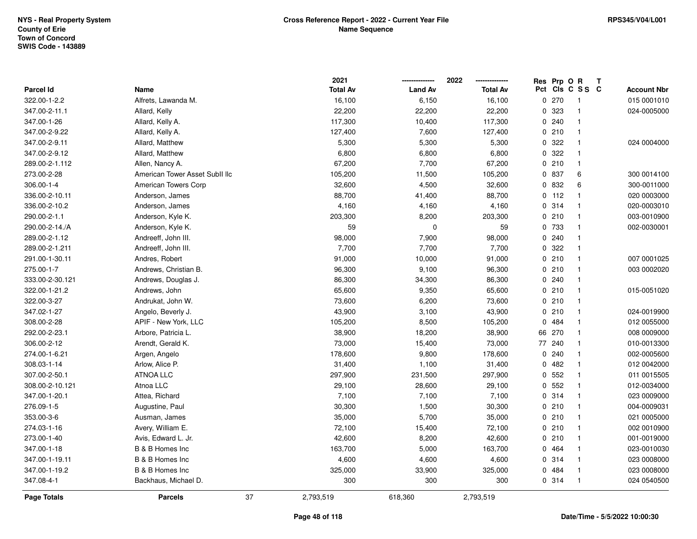|                 |                                |    | 2021            |                | 2022            |          | Res Prp O R |                         | T |                    |
|-----------------|--------------------------------|----|-----------------|----------------|-----------------|----------|-------------|-------------------------|---|--------------------|
| Parcel Id       | Name                           |    | <b>Total Av</b> | <b>Land Av</b> | <b>Total Av</b> | Pct      |             | CIs C S S C             |   | <b>Account Nbr</b> |
| 322.00-1-2.2    | Alfrets, Lawanda M.            |    | 16,100          | 6,150          | 16,100          | 0        | 270         | -1                      |   | 015 0001010        |
| 347.00-2-11.1   | Allard, Kelly                  |    | 22,200          | 22,200         | 22,200          | 0        | 323         | $\overline{\mathbf{1}}$ |   | 024-0005000        |
| 347.00-1-26     | Allard, Kelly A.               |    | 117,300         | 10,400         | 117,300         |          | 0.240       | $\mathbf{1}$            |   |                    |
| 347.00-2-9.22   | Allard, Kelly A.               |    | 127,400         | 7,600          | 127,400         |          | 0210        | $\mathbf{1}$            |   |                    |
| 347.00-2-9.11   | Allard, Matthew                |    | 5,300           | 5,300          | 5,300           |          | 0.322       |                         |   | 024 0004000        |
| 347.00-2-9.12   | Allard, Matthew                |    | 6,800           | 6,800          | 6,800           |          | 0.322       | $\overline{1}$          |   |                    |
| 289.00-2-1.112  | Allen, Nancy A.                |    | 67,200          | 7,700          | 67,200          |          | 0210        | -1                      |   |                    |
| 273.00-2-28     | American Tower Asset SubII IIc |    | 105,200         | 11,500         | 105,200         | 0        | 837         | 6                       |   | 300 0014100        |
| 306.00-1-4      | American Towers Corp           |    | 32,600          | 4,500          | 32,600          |          | 0 832       | 6                       |   | 300-0011000        |
| 336.00-2-10.11  | Anderson, James                |    | 88,700          | 41,400         | 88,700          | $\Omega$ | 112         | $\mathbf{1}$            |   | 020 0003000        |
| 336.00-2-10.2   | Anderson, James                |    | 4,160           | 4,160          | 4,160           |          | 0.314       | -1                      |   | 020-0003010        |
| 290.00-2-1.1    | Anderson, Kyle K.              |    | 203,300         | 8,200          | 203,300         |          | 0210        | -1                      |   | 003-0010900        |
| 290.00-2-14./A  | Anderson, Kyle K.              |    | 59              | 0              | 59              |          | 0 733       |                         |   | 002-0030001        |
| 289.00-2-1.12   | Andreeff, John III.            |    | 98,000          | 7,900          | 98,000          |          | 0.240       | -1                      |   |                    |
| 289.00-2-1.211  | Andreeff, John III.            |    | 7,700           | 7,700          | 7,700           |          | 0.322       | $\mathbf{1}$            |   |                    |
| 291.00-1-30.11  | Andres, Robert                 |    | 91,000          | 10,000         | 91,000          |          | 0210        | $\overline{1}$          |   | 007 0001025        |
| 275.00-1-7      | Andrews, Christian B.          |    | 96,300          | 9,100          | 96,300          |          | 0210        | $\mathbf{1}$            |   | 003 0002020        |
| 333.00-2-30.121 | Andrews, Douglas J.            |    | 86,300          | 34,300         | 86,300          |          | 0.240       | -1                      |   |                    |
| 322.00-1-21.2   | Andrews, John                  |    | 65,600          | 9,350          | 65,600          |          | 0210        | -1                      |   | 015-0051020        |
| 322.00-3-27     | Andrukat, John W.              |    | 73,600          | 6,200          | 73,600          |          | 0210        | $\mathbf{1}$            |   |                    |
| 347.02-1-27     | Angelo, Beverly J.             |    | 43,900          | 3,100          | 43,900          |          | 0210        | $\overline{1}$          |   | 024-0019900        |
| 308.00-2-28     | APIF - New York, LLC           |    | 105,200         | 8,500          | 105,200         | 0        | 484         | -1                      |   | 012 0055000        |
| 292.00-2-23.1   | Arbore, Patricia L.            |    | 38,900          | 18,200         | 38,900          | 66       | 270         | $\overline{\mathbf{1}}$ |   | 008 0009000        |
| 306.00-2-12     | Arendt, Gerald K.              |    | 73,000          | 15,400         | 73,000          | 77       | 240         | $\mathbf{1}$            |   | 010-0013300        |
| 274.00-1-6.21   | Argen, Angelo                  |    | 178,600         | 9,800          | 178,600         |          | 0.240       | -1                      |   | 002-0005600        |
| 308.03-1-14     | Arlow, Alice P.                |    | 31,400          | 1,100          | 31,400          | 0        | 482         |                         |   | 012 0042000        |
| 307.00-2-50.1   | <b>ATNOA LLC</b>               |    | 297,900         | 231,500        | 297,900         |          | 0 552       |                         |   | 011 0015505        |
| 308.00-2-10.121 | Atnoa LLC                      |    | 29,100          | 28,600         | 29,100          |          | 0 552       | $\overline{1}$          |   | 012-0034000        |
| 347.00-1-20.1   | Attea, Richard                 |    | 7,100           | 7,100          | 7,100           |          | 0.314       | -1                      |   | 023 0009000        |
| 276.09-1-5      | Augustine, Paul                |    | 30,300          | 1,500          | 30,300          |          | 0210        | $\overline{\mathbf{1}}$ |   | 004-0009031        |
| 353.00-3-6      | Ausman, James                  |    | 35,000          | 5,700          | 35,000          |          | 0210        | $\overline{\mathbf{1}}$ |   | 021 0005000        |
| 274.03-1-16     | Avery, William E.              |    | 72,100          | 15,400         | 72,100          |          | 0210        | $\overline{1}$          |   | 002 0010900        |
| 273.00-1-40     | Avis, Edward L. Jr.            |    | 42,600          | 8,200          | 42,600          |          | 0210        | -1                      |   | 001-0019000        |
| 347.00-1-18     | B & B Homes Inc                |    | 163,700         | 5,000          | 163,700         |          | 0 464       |                         |   | 023-0010030        |
| 347.00-1-19.11  | B & B Homes Inc                |    | 4,600           | 4,600          | 4,600           |          | 0.314       | $\mathbf{1}$            |   | 023 0008000        |
| 347.00-1-19.2   | B & B Homes Inc                |    | 325,000         | 33,900         | 325,000         | 0        | 484         | -1                      |   | 023 0008000        |
| 347.08-4-1      | Backhaus, Michael D.           |    | 300             | 300            | 300             |          | 0.314       | -1                      |   | 024 0540500        |
| Page Totals     | <b>Parcels</b>                 | 37 | 2,793,519       | 618,360        | 2,793,519       |          |             |                         |   |                    |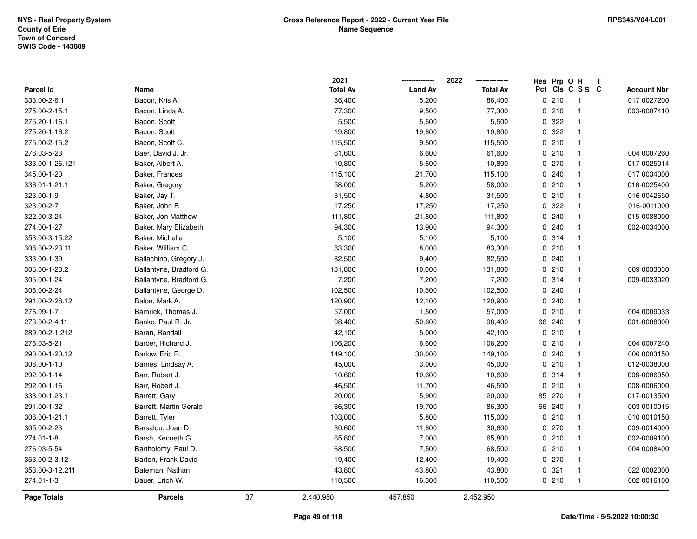|                 |                         |    | 2021            |                | 2022            |     | Res Prp O R |                | Т |                    |
|-----------------|-------------------------|----|-----------------|----------------|-----------------|-----|-------------|----------------|---|--------------------|
| Parcel Id       | Name                    |    | <b>Total Av</b> | <b>Land Av</b> | <b>Total Av</b> | Pct |             | CIS C S S C    |   | <b>Account Nbr</b> |
| 333.00-2-6.1    | Bacon, Kris A.          |    | 86,400          | 5,200          | 86,400          |     | 0210        | $\mathbf{1}$   |   | 017 0027200        |
| 275.00-2-15.1   | Bacon, Linda A.         |    | 77,300          | 9,500          | 77,300          |     | 0210        | $\overline{1}$ |   | 003-0007410        |
| 275.20-1-16.1   | Bacon, Scott            |    | 5,500           | 5,500          | 5,500           |     | 0 322       | $\mathbf{1}$   |   |                    |
| 275.20-1-16.2   | Bacon, Scott            |    | 19,800          | 19,800         | 19,800          |     | 0 322       | $\mathbf 1$    |   |                    |
| 275.00-2-15.2   | Bacon, Scott C.         |    | 115,500         | 9,500          | 115,500         |     | 0210        | $\mathbf{1}$   |   |                    |
| 276.03-5-23     | Baer, David J. Jr.      |    | 61,600          | 6,600          | 61,600          |     | 0210        | $\mathbf 1$    |   | 004 0007260        |
| 333.00-1-26.121 | Baker, Albert A.        |    | 10,800          | 5,600          | 10,800          |     | 0270        | $\mathbf{1}$   |   | 017-0025014        |
| 345.00-1-20     | Baker, Frances          |    | 115,100         | 21,700         | 115,100         |     | 0.240       | $\mathbf{1}$   |   | 017 0034000        |
| 336.01-1-21.1   | Baker, Gregory          |    | 58,000          | 5,200          | 58,000          |     | 0210        | $\mathbf{1}$   |   | 016-0025400        |
| 323.00-1-9      | Baker, Jay T.           |    | 31,500          | 4,800          | 31,500          |     | 0210        | $\mathbf{1}$   |   | 016 0042650        |
| 323.00-2-7      | Baker, John P.          |    | 17,250          | 17,250         | 17,250          |     | 0 322       | $\mathbf{1}$   |   | 016-0011000        |
| 322.00-3-24     | Baker, Jon Matthew      |    | 111,800         | 21,800         | 111,800         |     | 0.240       | $\mathbf 1$    |   | 015-0038000        |
| 274.00-1-27     | Baker, Mary Elizabeth   |    | 94,300          | 13,900         | 94,300          |     | 0.240       |                |   | 002-0034000        |
| 353.00-3-15.22  | Baker, Michelle         |    | 5,100           | 5,100          | 5,100           |     | 0 314       | $\mathbf{1}$   |   |                    |
| 308.00-2-23.11  | Baker, William C.       |    | 83,300          | 8,000          | 83,300          |     | 0210        | $\mathbf 1$    |   |                    |
| 333.00-1-39     | Ballachino, Gregory J.  |    | 82,500          | 9,400          | 82,500          |     | 0.240       | $\mathbf{1}$   |   |                    |
| 305.00-1-23.2   | Ballantyne, Bradford G. |    | 131,800         | 10,000         | 131,800         |     | 0210        | $\mathbf 1$    |   | 009 0033030        |
| 305.00-1-24     | Ballantyne, Bradford G. |    | 7,200           | 7,200          | 7,200           |     | 0.314       | $\mathbf{1}$   |   | 009-0033020        |
| 308.00-2-24     | Ballantyne, George D.   |    | 102,500         | 10,500         | 102,500         |     | 0.240       | $\mathbf 1$    |   |                    |
| 291.00-2-28.12  | Balon, Mark A.          |    | 120,900         | 12,100         | 120,900         |     | 0.240       | $\mathbf{1}$   |   |                    |
| 276.09-1-7      | Bamrick, Thomas J.      |    | 57,000          | 1,500          | 57,000          |     | 0210        | $\overline{1}$ |   | 004 0009033        |
| 273.00-2-4.11   | Banko, Paul R. Jr.      |    | 98,400          | 50,600         | 98,400          | 66  | 240         | $\mathbf{1}$   |   | 001-0008000        |
| 289.00-2-1.212  | Baran, Randall          |    | 42,100          | 5,000          | 42,100          |     | 0210        | $\mathbf{1}$   |   |                    |
| 276.03-5-21     | Barber, Richard J.      |    | 106,200         | 6,600          | 106,200         |     | 0210        | $\overline{1}$ |   | 004 0007240        |
| 290.00-1-20.12  | Barlow, Eric R.         |    | 149,100         | 30,000         | 149,100         |     | 0.240       | $\mathbf{1}$   |   | 006 0003150        |
| 308.00-1-10     | Barnes, Lindsay A.      |    | 45,000          | 3,000          | 45,000          |     | 0210        | $\mathbf 1$    |   | 012-0038000        |
| 292.00-1-14     | Barr, Robert J.         |    | 10,600          | 10,600         | 10,600          |     | 0 314       | -1             |   | 008-0006050        |
| 292.00-1-16     | Barr, Robert J.         |    | 46,500          | 11,700         | 46,500          |     | 0210        | $\mathbf 1$    |   | 008-0006000        |
| 333.00-1-23.1   | Barrett, Gary           |    | 20,000          | 5,900          | 20,000          | 85  | 270         | $\mathbf{1}$   |   | 017-0013500        |
| 291.00-1-32     | Barrett, Martin Gerald  |    | 86,300          | 19,700         | 86,300          |     | 66 240      | $\mathbf{1}$   |   | 003 0010015        |
| 306.00-1-21.1   | Barrett, Tyler          |    | 103,000         | 5,800          | 115,000         |     | 0210        | $\overline{1}$ |   | 010 0010150        |
| 305.00-2-23     | Barsalou, Joan D.       |    | 30,600          | 11,800         | 30,600          |     | 0270        | $\mathbf{1}$   |   | 009-0014000        |
| 274.01-1-8      | Barsh, Kenneth G.       |    | 65,800          | 7,000          | 65,800          |     | 0 210       | $\mathbf{1}$   |   | 002-0009100        |
| 276.03-5-54     | Bartholomy, Paul D.     |    | 68,500          | 7,500          | 68,500          |     | 0210        | $\mathbf 1$    |   | 004 0008400        |
| 353.00-2-3.12   | Barton, Frank David     |    | 19,400          | 12,400         | 19,400          |     | 0 270       | $\mathbf{1}$   |   |                    |
| 353.00-3-12.211 | Bateman, Nathan         |    | 43,800          | 43,800         | 43,800          |     | 0.321       | $\overline{1}$ |   | 022 0002000        |
| 274.01-1-3      | Bauer, Erich W.         |    | 110,500         | 16,300         | 110,500         |     | 0210        | $\mathbf{1}$   |   | 002 0016100        |
| Page Totals     | <b>Parcels</b>          | 37 | 2,440,950       | 457,850        | 2,452,950       |     |             |                |   |                    |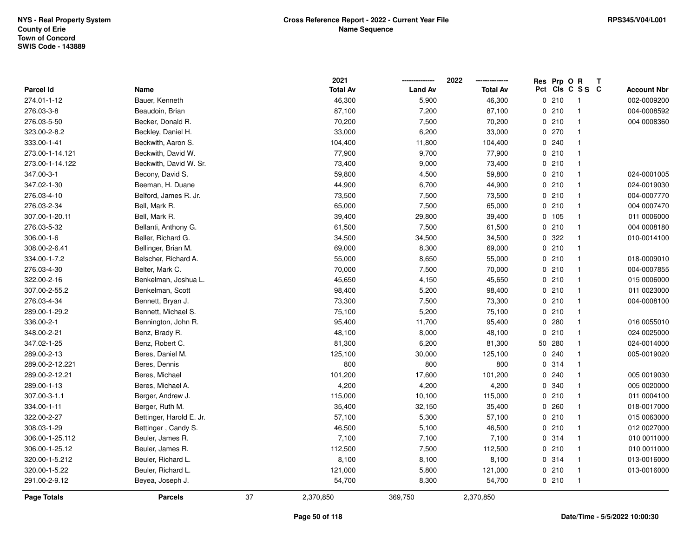|                  |                          |    | 2021            |                | 2022            |    | Res Prp O R |                         | Т |                    |
|------------------|--------------------------|----|-----------------|----------------|-----------------|----|-------------|-------------------------|---|--------------------|
| <b>Parcel Id</b> | Name                     |    | <b>Total Av</b> | <b>Land Av</b> | <b>Total Av</b> |    |             | Pct Cls C S S C         |   | <b>Account Nbr</b> |
| 274.01-1-12      | Bauer, Kenneth           |    | 46,300          | 5,900          | 46,300          |    | 0210        | $\overline{\mathbf{1}}$ |   | 002-0009200        |
| 276.03-3-8       | Beaudoin, Brian          |    | 87,100          | 7,200          | 87,100          |    | 0210        | $\overline{\mathbf{1}}$ |   | 004-0008592        |
| 276.03-5-50      | Becker, Donald R.        |    | 70,200          | 7,500          | 70,200          |    | 0210        | $\mathbf{1}$            |   | 004 0008360        |
| 323.00-2-8.2     | Beckley, Daniel H.       |    | 33,000          | 6,200          | 33,000          |    | 0270        | $\mathbf{1}$            |   |                    |
| 333.00-1-41      | Beckwith, Aaron S.       |    | 104,400         | 11,800         | 104,400         |    | 0.240       | $\mathbf{1}$            |   |                    |
| 273.00-1-14.121  | Beckwith, David W.       |    | 77,900          | 9,700          | 77,900          |    | 0210        | $\overline{\mathbf{1}}$ |   |                    |
| 273.00-1-14.122  | Beckwith, David W. Sr.   |    | 73,400          | 9,000          | 73,400          |    | 0210        | $\overline{1}$          |   |                    |
| 347.00-3-1       | Becony, David S.         |    | 59,800          | 4,500          | 59,800          |    | 0210        | $\mathbf{1}$            |   | 024-0001005        |
| 347.02-1-30      | Beeman, H. Duane         |    | 44,900          | 6,700          | 44,900          |    | 0210        | $\overline{1}$          |   | 024-0019030        |
| 276.03-4-10      | Belford, James R. Jr.    |    | 73,500          | 7,500          | 73,500          |    | 0210        | $\mathbf{1}$            |   | 004-0007770        |
| 276.03-2-34      | Bell, Mark R.            |    | 65,000          | 7,500          | 65,000          |    | 0210        | $\overline{1}$          |   | 004 0007470        |
| 307.00-1-20.11   | Bell, Mark R.            |    | 39,400          | 29,800         | 39,400          |    | 0 105       | $\mathbf{1}$            |   | 011 0006000        |
| 276.03-5-32      | Bellanti, Anthony G.     |    | 61,500          | 7,500          | 61,500          |    | 0210        | -1                      |   | 004 0008180        |
| 306.00-1-6       | Beller, Richard G.       |    | 34,500          | 34,500         | 34,500          |    | 0.322       | $\mathbf{1}$            |   | 010-0014100        |
| 308.00-2-6.41    | Bellinger, Brian M.      |    | 69,000          | 8,300          | 69,000          |    | 0210        | $\overline{1}$          |   |                    |
| 334.00-1-7.2     | Belscher, Richard A.     |    | 55,000          | 8,650          | 55,000          |    | 0210        | $\overline{1}$          |   | 018-0009010        |
| 276.03-4-30      | Belter, Mark C.          |    | 70,000          | 7,500          | 70,000          |    | 0210        | $\overline{1}$          |   | 004-0007855        |
| 322.00-2-16      | Benkelman, Joshua L.     |    | 45,650          | 4,150          | 45,650          |    | 0210        | $\overline{1}$          |   | 015 0006000        |
| 307.00-2-55.2    | Benkelman, Scott         |    | 98,400          | 5,200          | 98,400          |    | 0210        | $\overline{1}$          |   | 011 0023000        |
| 276.03-4-34      | Bennett, Bryan J.        |    | 73,300          | 7,500          | 73,300          |    | 0210        | $\overline{\mathbf{1}}$ |   | 004-0008100        |
| 289.00-1-29.2    | Bennett, Michael S.      |    | 75,100          | 5,200          | 75,100          |    | 0210        | $\mathbf{1}$            |   |                    |
| 336.00-2-1       | Bennington, John R.      |    | 95,400          | 11,700         | 95,400          |    | 0.280       | $\overline{1}$          |   | 016 0055010        |
| 348.00-2-21      | Benz, Brady R.           |    | 48,100          | 8,000          | 48,100          |    | 0210        | $\mathbf{1}$            |   | 024 0025000        |
| 347.02-1-25      | Benz, Robert C.          |    | 81,300          | 6,200          | 81,300          | 50 | 280         | $\mathbf{1}$            |   | 024-0014000        |
| 289.00-2-13      | Beres, Daniel M.         |    | 125,100         | 30,000         | 125,100         |    | 0.240       | $\mathbf{1}$            |   | 005-0019020        |
| 289.00-2-12.221  | Beres, Dennis            |    | 800             | 800            | 800             |    | 0 314       | $\mathbf 1$             |   |                    |
| 289.00-2-12.21   | Beres, Michael           |    | 101,200         | 17,600         | 101,200         |    | 0240        | $\mathbf 1$             |   | 005 0019030        |
| 289.00-1-13      | Beres, Michael A.        |    | 4,200           | 4,200          | 4,200           |    | 0 340       | $\mathbf 1$             |   | 005 0020000        |
| 307.00-3-1.1     | Berger, Andrew J.        |    | 115,000         | 10,100         | 115,000         |    | 0210        | $\overline{1}$          |   | 011 0004100        |
| 334.00-1-11      | Berger, Ruth M.          |    | 35,400          | 32,150         | 35,400          |    | 0.260       | $\overline{1}$          |   | 018-0017000        |
| 322.00-2-27      | Bettinger, Harold E. Jr. |    | 57,100          | 5,300          | 57,100          |    | 0210        | $\mathbf{1}$            |   | 015 0063000        |
| 308.03-1-29      | Bettinger, Candy S.      |    | 46,500          | 5,100          | 46,500          |    | 0210        | $\overline{1}$          |   | 012 0027000        |
| 306.00-1-25.112  | Beuler, James R.         |    | 7,100           | 7,100          | 7,100           |    | 0.314       | $\overline{1}$          |   | 010 0011000        |
| 306.00-1-25.12   | Beuler, James R.         |    | 112,500         | 7,500          | 112,500         |    | 0210        | $\mathbf{1}$            |   | 010 0011000        |
| 320.00-1-5.212   | Beuler, Richard L.       |    | 8,100           | 8,100          | 8,100           |    | 0.314       | $\mathbf{1}$            |   | 013-0016000        |
| 320.00-1-5.22    | Beuler, Richard L.       |    | 121,000         | 5,800          | 121,000         |    | 0210        | $\overline{1}$          |   | 013-0016000        |
| 291.00-2-9.12    | Beyea, Joseph J.         |    | 54,700          | 8,300          | 54,700          |    | 0210        | $\overline{1}$          |   |                    |
| Page Totals      | <b>Parcels</b>           | 37 | 2,370,850       | 369,750        | 2,370,850       |    |             |                         |   |                    |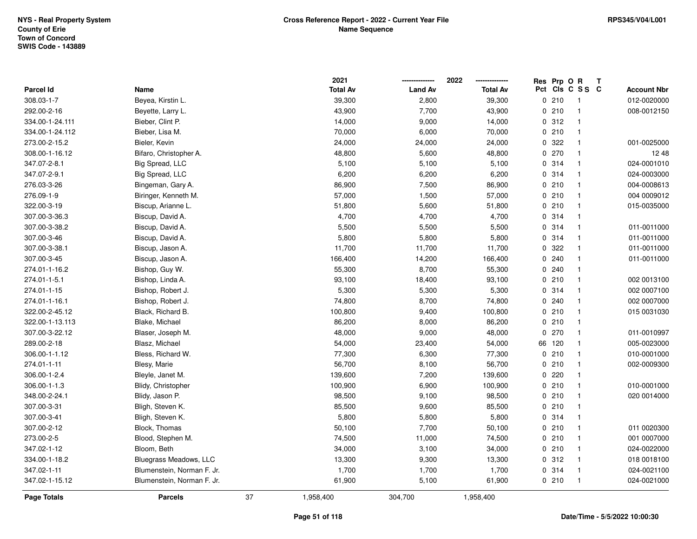|                  |                            |    | 2021            |                | 2022            |     | Res Prp O R |                         | Т |                    |
|------------------|----------------------------|----|-----------------|----------------|-----------------|-----|-------------|-------------------------|---|--------------------|
| <b>Parcel Id</b> | Name                       |    | <b>Total Av</b> | <b>Land Av</b> | <b>Total Av</b> | Pct |             | CIS C S S C             |   | <b>Account Nbr</b> |
| 308.03-1-7       | Beyea, Kirstin L.          |    | 39,300          | 2,800          | 39,300          |     | 0210        | $\overline{\mathbf{1}}$ |   | 012-0020000        |
| 292.00-2-16      | Beyette, Larry L.          |    | 43,900          | 7,700          | 43,900          |     | 0210        | $\mathbf{1}$            |   | 008-0012150        |
| 334.00-1-24.111  | Bieber, Clint P.           |    | 14,000          | 9,000          | 14,000          |     | 0.312       | $\mathbf{1}$            |   |                    |
| 334.00-1-24.112  | Bieber, Lisa M.            |    | 70,000          | 6,000          | 70,000          |     | 0210        | $\mathbf{1}$            |   |                    |
| 273.00-2-15.2    | Bieler, Kevin              |    | 24,000          | 24,000         | 24,000          |     | 0.322       | $\mathbf{1}$            |   | 001-0025000        |
| 308.00-1-16.12   | Bifaro, Christopher A.     |    | 48,800          | 5,600          | 48,800          |     | 0270        | $\mathbf{1}$            |   | 12 48              |
| 347.07-2-8.1     | Big Spread, LLC            |    | 5,100           | 5,100          | 5,100           |     | 0.314       | $\mathbf{1}$            |   | 024-0001010        |
| 347.07-2-9.1     | Big Spread, LLC            |    | 6,200           | 6,200          | 6,200           |     | 0 314       | $\mathbf{1}$            |   | 024-0003000        |
| 276.03-3-26      | Bingeman, Gary A.          |    | 86,900          | 7,500          | 86,900          |     | 0210        | $\mathbf{1}$            |   | 004-0008613        |
| 276.09-1-9       | Biringer, Kenneth M.       |    | 57,000          | 1,500          | 57,000          |     | 0210        | $\mathbf{1}$            |   | 004 0009012        |
| 322.00-3-19      | Biscup, Arianne L.         |    | 51,800          | 5,600          | 51,800          |     | 0210        | $\mathbf{1}$            |   | 015-0035000        |
| 307.00-3-36.3    | Biscup, David A.           |    | 4,700           | 4,700          | 4,700           |     | 0 314       | $\mathbf{1}$            |   |                    |
| 307.00-3-38.2    | Biscup, David A.           |    | 5,500           | 5,500          | 5,500           |     | 0 314       | 1                       |   | 011-0011000        |
| 307.00-3-46      | Biscup, David A.           |    | 5,800           | 5,800          | 5,800           |     | 0 314       | $\mathbf{1}$            |   | 011-0011000        |
| 307.00-3-38.1    | Biscup, Jason A.           |    | 11,700          | 11,700         | 11,700          |     | 0 322       | $\mathbf{1}$            |   | 011-0011000        |
| 307.00-3-45      | Biscup, Jason A.           |    | 166,400         | 14,200         | 166,400         |     | 0.240       | $\mathbf{1}$            |   | 011-0011000        |
| 274.01-1-16.2    | Bishop, Guy W.             |    | 55,300          | 8,700          | 55,300          |     | 0.240       | $\mathbf{1}$            |   |                    |
| 274.01-1-5.1     | Bishop, Linda A.           |    | 93,100          | 18,400         | 93,100          |     | 0210        | $\mathbf{1}$            |   | 002 0013100        |
| 274.01-1-15      | Bishop, Robert J.          |    | 5,300           | 5,300          | 5,300           |     | 0.314       | $\mathbf{1}$            |   | 002 0007100        |
| 274.01-1-16.1    | Bishop, Robert J.          |    | 74,800          | 8,700          | 74,800          |     | 0.240       | $\mathbf{1}$            |   | 002 0007000        |
| 322.00-2-45.12   | Black, Richard B.          |    | 100,800         | 9,400          | 100,800         |     | 0210        | $\mathbf{1}$            |   | 015 0031030        |
| 322.00-1-13.113  | Blake, Michael             |    | 86,200          | 8,000          | 86,200          |     | 0210        | $\mathbf{1}$            |   |                    |
| 307.00-3-22.12   | Blaser, Joseph M.          |    | 48,000          | 9,000          | 48,000          |     | 0270        | $\mathbf{1}$            |   | 011-0010997        |
| 289.00-2-18      | Blasz, Michael             |    | 54,000          | 23,400         | 54,000          |     | 66 120      | $\mathbf{1}$            |   | 005-0023000        |
| 306.00-1-1.12    | Bless, Richard W.          |    | 77,300          | 6,300          | 77,300          |     | 0210        | $\mathbf{1}$            |   | 010-0001000        |
| 274.01-1-11      | Blesy, Marie               |    | 56,700          | 8,100          | 56,700          |     | 0210        | $\mathbf{1}$            |   | 002-0009300        |
| 306.00-1-2.4     | Bleyle, Janet M.           |    | 139,600         | 7,200          | 139,600         |     | 0220        | $\mathbf{1}$            |   |                    |
| 306.00-1-1.3     | Blidy, Christopher         |    | 100,900         | 6,900          | 100,900         |     | 0210        | $\mathbf{1}$            |   | 010-0001000        |
| 348.00-2-24.1    | Blidy, Jason P.            |    | 98,500          | 9,100          | 98,500          |     | 0210        | $\mathbf{1}$            |   | 020 0014000        |
| 307.00-3-31      | Bligh, Steven K.           |    | 85,500          | 9,600          | 85,500          |     | 0210        | $\mathbf{1}$            |   |                    |
| 307.00-3-41      | Bligh, Steven K.           |    | 5,800           | 5,800          | 5,800           |     | 0.314       | $\mathbf{1}$            |   |                    |
| 307.00-2-12      | Block, Thomas              |    | 50,100          | 7,700          | 50,100          |     | 0210        | $\mathbf{1}$            |   | 011 0020300        |
| 273.00-2-5       | Blood, Stephen M.          |    | 74,500          | 11,000         | 74,500          |     | 0210        | $\mathbf{1}$            |   | 001 0007000        |
| 347.02-1-12      | Bloom, Beth                |    | 34,000          | 3,100          | 34,000          |     | 0210        | $\mathbf{1}$            |   | 024-0022000        |
| 334.00-1-18.2    | Bluegrass Meadows, LLC     |    | 13,300          | 9,300          | 13,300          |     | 0.312       | $\mathbf{1}$            |   | 018 0018100        |
| 347.02-1-11      | Blumenstein, Norman F. Jr. |    | 1,700           | 1,700          | 1,700           |     | 0 314       | $\mathbf{1}$            |   | 024-0021100        |
| 347.02-1-15.12   | Blumenstein, Norman F. Jr. |    | 61,900          | 5,100          | 61,900          |     | 0210        | $\mathbf{1}$            |   | 024-0021000        |
| Page Totals      | <b>Parcels</b>             | 37 | 1,958,400       | 304,700        | 1,958,400       |     |             |                         |   |                    |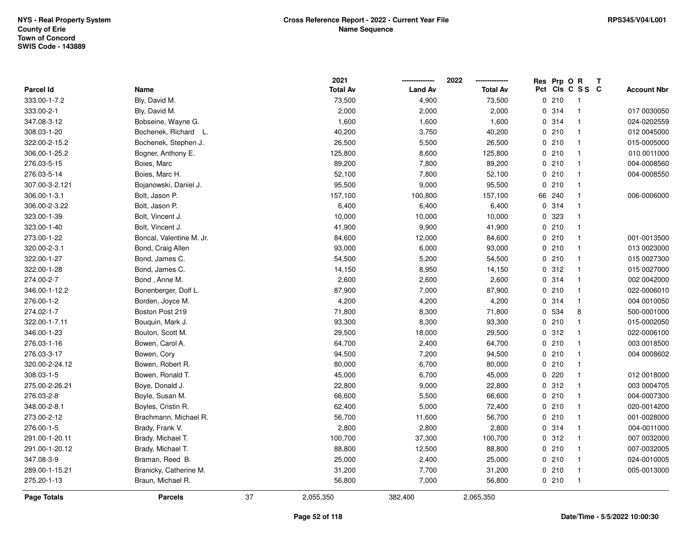|                  |                          |    | 2021            |                | 2022            |     | Res Prp O R |                | T |                    |
|------------------|--------------------------|----|-----------------|----------------|-----------------|-----|-------------|----------------|---|--------------------|
| <b>Parcel Id</b> | Name                     |    | <b>Total Av</b> | <b>Land Av</b> | <b>Total Av</b> | Pct |             | CIS C S S C    |   | <b>Account Nbr</b> |
| 333.00-1-7.2     | Bly, David M.            |    | 73,500          | 4,900          | 73,500          |     | 0210        | $\overline{1}$ |   |                    |
| 333.00-2-1       | Bly, David M.            |    | 2,000           | 2,000          | 2,000           |     | 0.314       | $\mathbf{1}$   |   | 017 0030050        |
| 347.08-3-12      | Bobseine, Wayne G.       |    | 1,600           | 1,600          | 1,600           |     | 0.314       | $\mathbf{1}$   |   | 024-0202559        |
| 308.03-1-20      | Bochenek, Richard L.     |    | 40,200          | 3,750          | 40,200          |     | 0210        | $\mathbf{1}$   |   | 012 0045000        |
| 322.00-2-15.2    | Bochenek, Stephen J.     |    | 26,500          | 5,500          | 26,500          |     | 0210        | $\mathbf{1}$   |   | 015-0005000        |
| 306.00-1-25.2    | Bogner, Anthony E.       |    | 125,800         | 8,600          | 125,800         |     | 0210        | $\mathbf{1}$   |   | 010 0011000        |
| 276.03-5-15      | Boies, Marc              |    | 89,200          | 7,800          | 89,200          |     | 0210        | $\mathbf{1}$   |   | 004-0008560        |
| 276.03-5-14      | Boies, Marc H.           |    | 52,100          | 7,800          | 52,100          |     | 0210        | $\mathbf{1}$   |   | 004-0008550        |
| 307.00-3-2.121   | Bojanowski, Daniel J.    |    | 95,500          | 9,000          | 95,500          |     | 0210        | $\mathbf{1}$   |   |                    |
| 306.00-1-3.1     | Bolt, Jason P.           |    | 157,100         | 100,800        | 157,100         |     | 66 240      | $\mathbf{1}$   |   | 006-0006000        |
| 306.00-2-3.22    | Bolt, Jason P.           |    | 6,400           | 6,400          | 6,400           |     | 0.314       | $\mathbf{1}$   |   |                    |
| 323.00-1-39      | Bolt, Vincent J.         |    | 10,000          | 10,000         | 10,000          |     | 0 323       | $\mathbf{1}$   |   |                    |
| 323.00-1-40      | Bolt, Vincent J.         |    | 41,900          | 9,900          | 41,900          |     | 0210        | 1              |   |                    |
| 273.00-1-22      | Boncal, Valentine M. Jr. |    | 84,600          | 12,000         | 84,600          |     | 0210        | $\mathbf{1}$   |   | 001-0013500        |
| 320.00-2-3.1     | Bond, Craig Allen        |    | 93,000          | 6,000          | 93,000          |     | 0210        | $\mathbf{1}$   |   | 013 0023000        |
| 322.00-1-27      | Bond, James C.           |    | 54,500          | 5,200          | 54,500          |     | 0210        | $\mathbf{1}$   |   | 015 0027300        |
| 322.00-1-28      | Bond, James C.           |    | 14,150          | 8,950          | 14,150          |     | 0.312       | $\mathbf{1}$   |   | 015 0027000        |
| 274.00-2-7       | Bond, Anne M.            |    | 2,600           | 2,600          | 2,600           |     | 0 314       | $\mathbf{1}$   |   | 002 0042000        |
| 346.00-1-12.2    | Bonenberger, Dolf L.     |    | 87,900          | 7,000          | 87,900          |     | 0210        | $\mathbf{1}$   |   | 022-0006010        |
| 276.00-1-2       | Borden, Joyce M.         |    | 4,200           | 4,200          | 4,200           |     | 0.314       | $\mathbf{1}$   |   | 004 0010050        |
| 274.02-1-7       | Boston Post 219          |    | 71,800          | 8,300          | 71,800          |     | 0 534       | 8              |   | 500-0001000        |
| 322.00-1-7.11    | Bouquin, Mark J.         |    | 93,300          | 8,300          | 93,300          |     | 0210        | $\mathbf{1}$   |   | 015-0002050        |
| 346.00-1-23      | Bouton, Scott M.         |    | 29,500          | 18,000         | 29,500          |     | 0.312       | $\mathbf{1}$   |   | 022-0006100        |
| 276.03-1-16      | Bowen, Carol A.          |    | 64,700          | 2,400          | 64,700          |     | 0210        | $\mathbf{1}$   |   | 003 0018500        |
| 276.03-3-17      | Bowen, Cory              |    | 94,500          | 7,200          | 94,500          |     | 0210        | $\mathbf{1}$   |   | 004 0008602        |
| 320.00-2-24.12   | Bowen, Robert R.         |    | 80,000          | 6,700          | 80,000          |     | 0210        | $\mathbf{1}$   |   |                    |
| 308.03-1-5       | Bowen, Ronald T.         |    | 45,000          | 6,700          | 45,000          |     | 0220        | $\mathbf{1}$   |   | 012 0018000        |
| 275.00-2-26.21   | Boye, Donald J.          |    | 22,800          | 9,000          | 22,800          |     | 0.312       | $\mathbf{1}$   |   | 003 0004705        |
| 276.03-2-8       | Boyle, Susan M.          |    | 66,600          | 5,500          | 66,600          |     | 0210        | $\mathbf{1}$   |   | 004-0007300        |
| 348.00-2-8.1     | Boyles, Cristin R.       |    | 62,400          | 5,000          | 72,400          |     | 0210        | $\mathbf{1}$   |   | 020-0014200        |
| 273.00-2-12      | Brachmann, Michael R.    |    | 56,700          | 11,600         | 56,700          |     | 0210        | $\mathbf{1}$   |   | 001-0028000        |
| 276.00-1-5       | Brady, Frank V.          |    | 2,800           | 2,800          | 2,800           |     | 0 314       | $\mathbf{1}$   |   | 004-0011000        |
| 291.00-1-20.11   | Brady, Michael T.        |    | 100,700         | 37,300         | 100,700         |     | 0.312       | $\mathbf{1}$   |   | 007 0032000        |
| 291.00-1-20.12   | Brady, Michael T.        |    | 88,800          | 12,500         | 88,800          |     | 0210        | $\mathbf{1}$   |   | 007-0032005        |
| 347.08-3-9       | Braman, Reed B.          |    | 25,000          | 2,400          | 25,000          |     | 0210        | $\mathbf{1}$   |   | 024-0010005        |
| 289.00-1-15.21   | Branicky, Catherine M.   |    | 31,200          | 7,700          | 31,200          |     | 0210        | $\mathbf{1}$   |   | 005-0013000        |
| 275.20-1-13      | Braun, Michael R.        |    | 56,800          | 7,000          | 56,800          |     | 0210        | $\overline{1}$ |   |                    |
| Page Totals      | <b>Parcels</b>           | 37 | 2,055,350       | 382,400        | 2,065,350       |     |             |                |   |                    |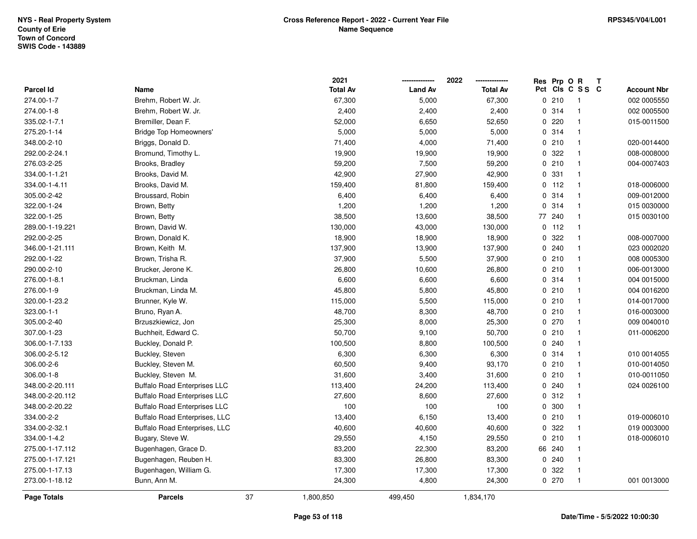|                  |                                     |    | 2021            |                | 2022            | Res Prp O R |                         | Т                  |  |
|------------------|-------------------------------------|----|-----------------|----------------|-----------------|-------------|-------------------------|--------------------|--|
| <b>Parcel Id</b> | Name                                |    | <b>Total Av</b> | <b>Land Av</b> | <b>Total Av</b> |             | Pct Cls C S S C         | <b>Account Nbr</b> |  |
| 274.00-1-7       | Brehm, Robert W. Jr.                |    | 67,300          | 5,000          | 67,300          | 0210        | $\overline{\mathbf{1}}$ | 002 0005550        |  |
| 274.00-1-8       | Brehm, Robert W. Jr.                |    | 2,400           | 2,400          | 2,400           | 0.314       | $\overline{1}$          | 002 0005500        |  |
| 335.02-1-7.1     | Bremiller, Dean F.                  |    | 52,000          | 6,650          | 52,650          | 0.220       | $\mathbf{1}$            | 015-0011500        |  |
| 275.20-1-14      | <b>Bridge Top Homeowners'</b>       |    | 5,000           | 5,000          | 5,000           | 0.314       | $\overline{1}$          |                    |  |
| 348.00-2-10      | Briggs, Donald D.                   |    | 71,400          | 4,000          | 71,400          | 0210        | $\mathbf{1}$            | 020-0014400        |  |
| 292.00-2-24.1    | Bromund, Timothy L.                 |    | 19,900          | 19,900         | 19,900          | 0.322       | $\overline{\mathbf{1}}$ | 008-0008000        |  |
| 276.03-2-25      | Brooks, Bradley                     |    | 59,200          | 7,500          | 59,200          | 0210        | $\overline{1}$          | 004-0007403        |  |
| 334.00-1-1.21    | Brooks, David M.                    |    | 42,900          | 27,900         | 42,900          | 0 331       | $\overline{1}$          |                    |  |
| 334.00-1-4.11    | Brooks, David M.                    |    | 159,400         | 81,800         | 159,400         | $0$ 112     | $\overline{1}$          | 018-0006000        |  |
| 305.00-2-42      | Broussard, Robin                    |    | 6,400           | 6,400          | 6,400           | 0.314       | $\overline{1}$          | 009-0012000        |  |
| 322.00-1-24      | Brown, Betty                        |    | 1,200           | 1,200          | 1,200           | 0.314       | $\overline{1}$          | 015 0030000        |  |
| 322.00-1-25      | Brown, Betty                        |    | 38,500          | 13,600         | 38,500          | 77 240      | $\overline{1}$          | 015 0030100        |  |
| 289.00-1-19.221  | Brown, David W.                     |    | 130,000         | 43,000         | 130,000         | $0$ 112     | -1                      |                    |  |
| 292.00-2-25      | Brown, Donald K.                    |    | 18,900          | 18,900         | 18,900          | 0.322       | $\mathbf{1}$            | 008-0007000        |  |
| 346.00-1-21.111  | Brown, Keith M.                     |    | 137,900         | 13,900         | 137,900         | 0.240       | $\overline{1}$          | 023 0002020        |  |
| 292.00-1-22      | Brown, Trisha R.                    |    | 37,900          | 5,500          | 37,900          | 0210        | $\overline{1}$          | 008 0005300        |  |
| 290.00-2-10      | Brucker, Jerone K.                  |    | 26,800          | 10,600         | 26,800          | 0210        | $\overline{1}$          | 006-0013000        |  |
| 276.00-1-8.1     | Bruckman, Linda                     |    | 6,600           | 6,600          | 6,600           | 0.314       | $\overline{1}$          | 004 0015000        |  |
| 276.00-1-9       | Bruckman, Linda M.                  |    | 45,800          | 5,800          | 45,800          | 0210        | $\overline{1}$          | 004 0016200        |  |
| 320.00-1-23.2    | Brunner, Kyle W.                    |    | 115,000         | 5,500          | 115,000         | 0210        | $\overline{1}$          | 014-0017000        |  |
| 323.00-1-1       | Bruno, Ryan A.                      |    | 48,700          | 8,300          | 48,700          | 0210        | $\overline{1}$          | 016-0003000        |  |
| 305.00-2-40      | Brzuszkiewicz, Jon                  |    | 25,300          | 8,000          | 25,300          | 0270        | $\overline{1}$          | 009 0040010        |  |
| 307.00-1-23      | Buchheit, Edward C.                 |    | 50,700          | 9,100          | 50,700          | 0210        | $\mathbf{1}$            | 011-0006200        |  |
| 306.00-1-7.133   | Buckley, Donald P.                  |    | 100,500         | 8,800          | 100,500         | 0.240       | $\overline{1}$          |                    |  |
| 306.00-2-5.12    | Buckley, Steven                     |    | 6,300           | 6,300          | 6,300           | 0 314       | $\overline{1}$          | 010 0014055        |  |
| 306.00-2-6       | Buckley, Steven M.                  |    | 60,500          | 9,400          | 93,170          | 0210        | -1                      | 010-0014050        |  |
| 306.00-1-8       | Buckley, Steven M.                  |    | 31,600          | 3,400          | 31,600          | 0210        | $\mathbf{1}$            | 010-0011050        |  |
| 348.00-2-20.111  | <b>Buffalo Road Enterprises LLC</b> |    | 113,400         | 24,200         | 113,400         | 0.240       | $\overline{1}$          | 024 0026100        |  |
| 348.00-2-20.112  | <b>Buffalo Road Enterprises LLC</b> |    | 27,600          | 8,600          | 27,600          | 0.312       | $\overline{1}$          |                    |  |
| 348.00-2-20.22   | <b>Buffalo Road Enterprises LLC</b> |    | 100             | 100            | 100             | 0 300       | $\overline{1}$          |                    |  |
| 334.00-2-2       | Buffalo Road Enterprises, LLC       |    | 13,400          | 6,150          | 13,400          | 0210        | $\mathbf{1}$            | 019-0006010        |  |
| 334.00-2-32.1    | Buffalo Road Enterprises, LLC       |    | 40,600          | 40,600         | 40,600          | 0.322       | $\mathbf{1}$            | 019 0003000        |  |
| 334.00-1-4.2     | Bugary, Steve W.                    |    | 29,550          | 4,150          | 29,550          | 0210        | $\overline{1}$          | 018-0006010        |  |
| 275.00-1-17.112  | Bugenhagen, Grace D.                |    | 83,200          | 22,300         | 83,200          | 66 240      | $\overline{1}$          |                    |  |
| 275.00-1-17.121  | Bugenhagen, Reuben H.               |    | 83,300          | 26,800         | 83,300          | 0.240       | $\mathbf{1}$            |                    |  |
| 275.00-1-17.13   | Bugenhagen, William G.              |    | 17,300          | 17,300         | 17,300          | 0.322       | $\mathbf{1}$            |                    |  |
| 273.00-1-18.12   | Bunn, Ann M.                        |    | 24,300          | 4,800          | 24,300          | 0270        | $\overline{1}$          | 001 0013000        |  |
| Page Totals      | <b>Parcels</b>                      | 37 | 1,800,850       | 499,450        | 1,834,170       |             |                         |                    |  |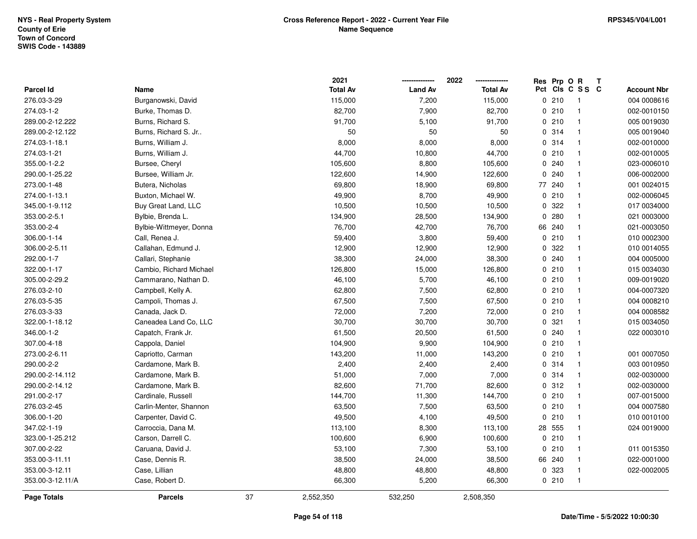|                    |                         |    | 2021            |                | 2022            | Res | Prp OR |                 | $\mathbf{T}$ |                    |
|--------------------|-------------------------|----|-----------------|----------------|-----------------|-----|--------|-----------------|--------------|--------------------|
| Parcel Id          | Name                    |    | <b>Total Av</b> | <b>Land Av</b> | <b>Total Av</b> |     |        | Pct Cls C S S C |              | <b>Account Nbr</b> |
| 276.03-3-29        | Burganowski, David      |    | 115,000         | 7,200          | 115,000         |     | 0210   | - 1             |              | 004 0008616        |
| 274.03-1-2         | Burke, Thomas D.        |    | 82,700          | 7,900          | 82,700          |     | 0210   | $\overline{1}$  |              | 002-0010150        |
| 289.00-2-12.222    | Burns, Richard S.       |    | 91,700          | 5,100          | 91,700          |     | 0210   | $\overline{1}$  |              | 005 0019030        |
| 289.00-2-12.122    | Burns, Richard S. Jr    |    | 50              | 50             | 50              |     | 0.314  | $\overline{1}$  |              | 005 0019040        |
| 274.03-1-18.1      | Burns, William J.       |    | 8,000           | 8,000          | 8,000           |     | 0.314  | $\overline{1}$  |              | 002-0010000        |
| 274.03-1-21        | Burns, William J.       |    | 44,700          | 10,800         | 44,700          |     | 0210   | $\mathbf{1}$    |              | 002-0010005        |
| 355.00-1-2.2       | Bursee, Cheryl          |    | 105,600         | 8,800          | 105,600         |     | 0.240  | $\mathbf{1}$    |              | 023-0006010        |
| 290.00-1-25.22     | Bursee, William Jr.     |    | 122,600         | 14,900         | 122,600         |     | 0.240  | $\mathbf{1}$    |              | 006-0002000        |
| 273.00-1-48        | Butera, Nicholas        |    | 69,800          | 18,900         | 69,800          |     | 77 240 | $\mathbf{1}$    |              | 001 0024015        |
| 274.00-1-13.1      | Buxton, Michael W.      |    | 49,900          | 8,700          | 49,900          |     | 0210   | $\mathbf{1}$    |              | 002-0006045        |
| 345.00-1-9.112     | Buy Great Land, LLC     |    | 10,500          | 10,500         | 10,500          |     | 0.322  | $\overline{1}$  |              | 017 0034000        |
| 353.00-2-5.1       | Bylbie, Brenda L.       |    | 134,900         | 28,500         | 134,900         |     | 0.280  | $\mathbf{1}$    |              | 021 0003000        |
| 353.00-2-4         | Bylbie-Wittmeyer, Donna |    | 76,700          | 42,700         | 76,700          |     | 66 240 | $\mathbf{1}$    |              | 021-0003050        |
| 306.00-1-14        | Call, Renea J.          |    | 59,400          | 3,800          | 59,400          |     | 0210   | $\overline{1}$  |              | 010 0002300        |
| 306.00-2-5.11      | Callahan, Edmund J.     |    | 12,900          | 12,900         | 12,900          |     | 0 322  | $\overline{1}$  |              | 010 0014055        |
| 292.00-1-7         | Callari, Stephanie      |    | 38,300          | 24,000         | 38,300          |     | 0.240  | $\mathbf{1}$    |              | 004 0005000        |
| 322.00-1-17        | Cambio, Richard Michael |    | 126,800         | 15,000         | 126,800         |     | 0210   | $\overline{1}$  |              | 015 0034030        |
| 305.00-2-29.2      | Cammarano, Nathan D.    |    | 46,100          | 5,700          | 46,100          |     | 0210   | $\overline{1}$  |              | 009-0019020        |
| 276.03-2-10        | Campbell, Kelly A.      |    | 62,800          | 7,500          | 62,800          |     | 0210   | $\overline{1}$  |              | 004-0007320        |
| 276.03-5-35        | Campoli, Thomas J.      |    | 67,500          | 7,500          | 67,500          |     | 0210   | $\mathbf{1}$    |              | 004 0008210        |
| 276.03-3-33        | Canada, Jack D.         |    | 72,000          | 7,200          | 72,000          |     | 0210   | $\mathbf{1}$    |              | 004 0008582        |
| 322.00-1-18.12     | Caneadea Land Co, LLC   |    | 30,700          | 30,700         | 30,700          |     | 0.321  | $\mathbf{1}$    |              | 015 0034050        |
| 346.00-1-2         | Capatch, Frank Jr.      |    | 61,500          | 20,500         | 61,500          |     | 0.240  | $\overline{1}$  |              | 022 0003010        |
| 307.00-4-18        | Cappola, Daniel         |    | 104,900         | 9,900          | 104,900         |     | 0210   | $\overline{1}$  |              |                    |
| 273.00-2-6.11      | Capriotto, Carman       |    | 143,200         | 11,000         | 143,200         |     | 0210   | $\overline{1}$  |              | 001 0007050        |
| 290.00-2-2         | Cardamone, Mark B.      |    | 2,400           | 2,400          | 2,400           |     | 0.314  | $\overline{1}$  |              | 003 0010950        |
| 290.00-2-14.112    | Cardamone, Mark B.      |    | 51,000          | 7,000          | 7,000           |     | 0.314  | $\mathbf{1}$    |              | 002-0030000        |
| 290.00-2-14.12     | Cardamone, Mark B.      |    | 82,600          | 71,700         | 82,600          |     | 0.312  | $\mathbf{1}$    |              | 002-0030000        |
| 291.00-2-17        | Cardinale, Russell      |    | 144,700         | 11,300         | 144,700         |     | 0210   | $\overline{1}$  |              | 007-0015000        |
| 276.03-2-45        | Carlin-Menter, Shannon  |    | 63,500          | 7,500          | 63,500          |     | 0210   | $\overline{1}$  |              | 004 0007580        |
| 306.00-1-20        | Carpenter, David C.     |    | 49,500          | 4,100          | 49,500          |     | 0210   | $\overline{1}$  |              | 010 0010100        |
| 347.02-1-19        | Carroccia, Dana M.      |    | 113,100         | 8,300          | 113,100         |     | 28 555 | $\overline{1}$  |              | 024 0019000        |
| 323.00-1-25.212    | Carson, Darrell C.      |    | 100,600         | 6,900          | 100,600         |     | 0210   | $\overline{1}$  |              |                    |
| 307.00-2-22        | Caruana, David J.       |    | 53,100          | 7,300          | 53,100          |     | 0210   | $\mathbf{1}$    |              | 011 0015350        |
| 353.00-3-11.11     | Case, Dennis R.         |    | 38,500          | 24,000         | 38,500          |     | 66 240 | $\mathbf{1}$    |              | 022-0001000        |
| 353.00-3-12.11     | Case, Lillian           |    | 48,800          | 48,800         | 48,800          |     | 0 323  | $\mathbf{1}$    |              | 022-0002005        |
| 353.00-3-12.11/A   | Case, Robert D.         |    | 66,300          | 5,200          | 66,300          |     | 0210   | $\overline{1}$  |              |                    |
| <b>Page Totals</b> | <b>Parcels</b>          | 37 | 2,552,350       | 532,250        | 2,508,350       |     |        |                 |              |                    |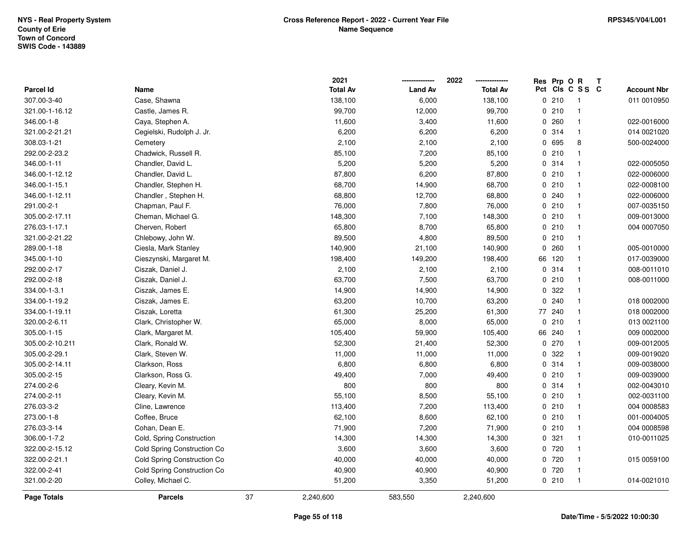|                  |                             |    | 2021            |                | 2022            | Res          | Prp O R |                 | Т |                    |
|------------------|-----------------------------|----|-----------------|----------------|-----------------|--------------|---------|-----------------|---|--------------------|
| <b>Parcel Id</b> | Name                        |    | <b>Total Av</b> | <b>Land Av</b> | <b>Total Av</b> |              |         | Pct Cls C S S C |   | <b>Account Nbr</b> |
| 307.00-3-40      | Case, Shawna                |    | 138,100         | 6,000          | 138,100         |              | 0210    | $\overline{1}$  |   | 011 0010950        |
| 321.00-1-16.12   | Castle, James R.            |    | 99,700          | 12,000         | 99,700          | $\mathbf{0}$ | 210     | $\mathbf{1}$    |   |                    |
| 346.00-1-8       | Caya, Stephen A.            |    | 11,600          | 3,400          | 11,600          |              | 0.260   | $\mathbf{1}$    |   | 022-0016000        |
| 321.00-2-21.21   | Cegielski, Rudolph J. Jr.   |    | 6,200           | 6,200          | 6,200           |              | 0 314   | $\mathbf{1}$    |   | 014 0021020        |
| 308.03-1-21      | Cemetery                    |    | 2,100           | 2,100          | 2,100           |              | 0 695   | 8               |   | 500-0024000        |
| 292.00-2-23.2    | Chadwick, Russell R.        |    | 85,100          | 7,200          | 85,100          |              | 0210    | $\mathbf 1$     |   |                    |
| 346.00-1-11      | Chandler, David L.          |    | 5,200           | 5,200          | 5,200           |              | 0.314   | $\mathbf{1}$    |   | 022-0005050        |
| 346.00-1-12.12   | Chandler, David L.          |    | 87,800          | 6,200          | 87,800          |              | 0210    | $\mathbf{1}$    |   | 022-0006000        |
| 346.00-1-15.1    | Chandler, Stephen H.        |    | 68,700          | 14,900         | 68,700          |              | 0210    | $\mathbf{1}$    |   | 022-0008100        |
| 346.00-1-12.11   | Chandler, Stephen H.        |    | 68,800          | 12,700         | 68,800          |              | 0.240   | $\mathbf{1}$    |   | 022-0006000        |
| 291.00-2-1       | Chapman, Paul F.            |    | 76,000          | 7,800          | 76,000          |              | 0210    | $\mathbf 1$     |   | 007-0035150        |
| 305.00-2-17.11   | Cheman, Michael G.          |    | 148,300         | 7,100          | 148,300         |              | 0210    | $\mathbf{1}$    |   | 009-0013000        |
| 276.03-1-17.1    | Cherven, Robert             |    | 65,800          | 8,700          | 65,800          |              | 0210    | -1              |   | 004 0007050        |
| 321.00-2-21.22   | Chlebowy, John W.           |    | 89,500          | 4,800          | 89,500          |              | 0210    | $\mathbf{1}$    |   |                    |
| 289.00-1-18      | Ciesla, Mark Stanley        |    | 140,900         | 21,100         | 140,900         | 0            | 260     | $\mathbf{1}$    |   | 005-0010000        |
| 345.00-1-10      | Cieszynski, Margaret M.     |    | 198,400         | 149,200        | 198,400         | 66           | 120     | $\mathbf{1}$    |   | 017-0039000        |
| 292.00-2-17      | Ciszak, Daniel J.           |    | 2,100           | 2,100          | 2,100           |              | 0 314   | $\mathbf{1}$    |   | 008-0011010        |
| 292.00-2-18      | Ciszak, Daniel J.           |    | 63,700          | 7,500          | 63,700          |              | 0210    | $\mathbf{1}$    |   | 008-0011000        |
| 334.00-1-3.1     | Ciszak, James E.            |    | 14,900          | 14,900         | 14,900          |              | 0.322   | -1              |   |                    |
| 334.00-1-19.2    | Ciszak, James E.            |    | 63,200          | 10,700         | 63,200          | $\mathbf{0}$ | 240     | $\mathbf{1}$    |   | 018 0002000        |
| 334.00-1-19.11   | Ciszak, Loretta             |    | 61,300          | 25,200         | 61,300          |              | 77 240  | $\mathbf{1}$    |   | 018 0002000        |
| 320.00-2-6.11    | Clark, Christopher W.       |    | 65,000          | 8,000          | 65,000          | 0            | 210     | $\mathbf{1}$    |   | 013 0021100        |
| 305.00-1-15      | Clark, Margaret M.          |    | 105,400         | 59,900         | 105,400         | 66           | 240     | $\mathbf{1}$    |   | 009 0002000        |
| 305.00-2-10.211  | Clark, Ronald W.            |    | 52,300          | 21,400         | 52,300          | 0            | 270     | $\mathbf{1}$    |   | 009-0012005        |
| 305.00-2-29.1    | Clark, Steven W.            |    | 11,000          | 11,000         | 11,000          | $\mathbf 0$  | 322     | $\mathbf 1$     |   | 009-0019020        |
| 305.00-2-14.11   | Clarkson, Ross              |    | 6,800           | 6,800          | 6,800           |              | 0 314   |                 |   | 009-0038000        |
| 305.00-2-15      | Clarkson, Ross G.           |    | 49,400          | 7,000          | 49,400          |              | 0210    | -1              |   | 009-0039000        |
| 274.00-2-6       | Cleary, Kevin M.            |    | 800             | 800            | 800             |              | 0 314   | $\mathbf{1}$    |   | 002-0043010        |
| 274.00-2-11      | Cleary, Kevin M.            |    | 55,100          | 8,500          | 55,100          |              | 0210    | $\mathbf{1}$    |   | 002-0031100        |
| 276.03-3-2       | Cline, Lawrence             |    | 113,400         | 7,200          | 113,400         |              | 0210    | $\mathbf{1}$    |   | 004 0008583        |
| 273.00-1-8       | Coffee, Bruce               |    | 62,100          | 8,600          | 62,100          |              | 0210    | $\mathbf{1}$    |   | 001-0004005        |
| 276.03-3-14      | Cohan, Dean E.              |    | 71,900          | 7,200          | 71,900          |              | 0210    | $\mathbf{1}$    |   | 004 0008598        |
| 306.00-1-7.2     | Cold, Spring Construction   |    | 14,300          | 14,300         | 14,300          |              | 0.321   | -1              |   | 010-0011025        |
| 322.00-2-15.12   | Cold Spring Construction Co |    | 3,600           | 3,600          | 3,600           |              | 0 720   | $\mathbf{1}$    |   |                    |
| 322.00-2-21.1    | Cold Spring Construction Co |    | 40,000          | 40,000         | 40,000          |              | 0 720   | $\mathbf 1$     |   | 015 0059100        |
| 322.00-2-41      | Cold Spring Construction Co |    | 40,900          | 40,900         | 40,900          |              | 0 720   | $\mathbf{1}$    |   |                    |
| 321.00-2-20      | Colley, Michael C.          |    | 51,200          | 3,350          | 51,200          |              | 0210    | $\overline{1}$  |   | 014-0021010        |
| Page Totals      | <b>Parcels</b>              | 37 | 2,240,600       | 583,550        | 2,240,600       |              |         |                 |   |                    |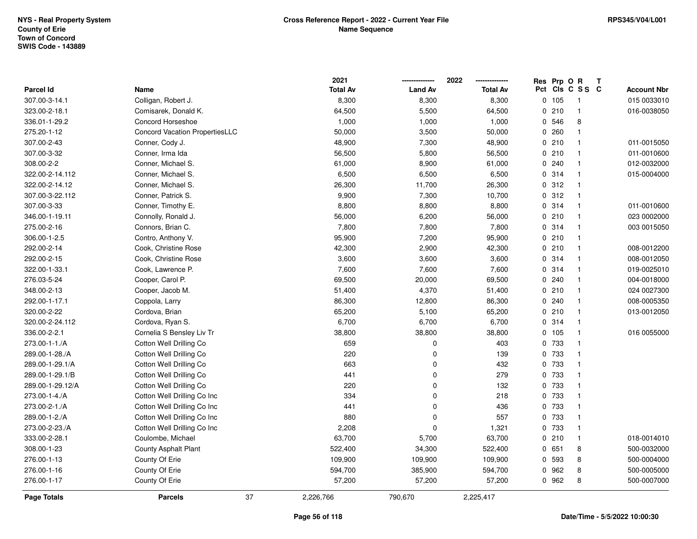|                  |                                       | 2021            |                | 2022            | Res          | Prp O R |                 | T |                    |
|------------------|---------------------------------------|-----------------|----------------|-----------------|--------------|---------|-----------------|---|--------------------|
| <b>Parcel Id</b> | Name                                  | <b>Total Av</b> | <b>Land Av</b> | <b>Total Av</b> |              |         | Pct Cls C S S C |   | <b>Account Nbr</b> |
| 307.00-3-14.1    | Colligan, Robert J.                   | 8,300           | 8,300          | 8,300           | $\mathbf{0}$ | 105     | -1              |   | 015 0033010        |
| 323.00-2-18.1    | Comisarek, Donald K.                  | 64,500          | 5,500          | 64,500          | 0            | 210     | $\mathbf{1}$    |   | 016-0038050        |
| 336.01-1-29.2    | <b>Concord Horseshoe</b>              | 1,000           | 1,000          | 1,000           |              | 0 546   | 8               |   |                    |
| 275.20-1-12      | <b>Concord Vacation PropertiesLLC</b> | 50,000          | 3,500          | 50,000          |              | 0.260   | $\overline{1}$  |   |                    |
| 307.00-2-43      | Conner, Cody J.                       | 48,900          | 7,300          | 48,900          |              | 0210    | $\mathbf{1}$    |   | 011-0015050        |
| 307.00-3-32      | Conner, Irma Ida                      | 56,500          | 5,800          | 56,500          |              | 0210    | $\overline{1}$  |   | 011-0010600        |
| 308.00-2-2       | Conner, Michael S.                    | 61,000          | 8,900          | 61,000          |              | 0.240   | $\mathbf{1}$    |   | 012-0032000        |
| 322.00-2-14.112  | Conner, Michael S.                    | 6,500           | 6,500          | 6,500           |              | 0 314   | $\mathbf{1}$    |   | 015-0004000        |
| 322.00-2-14.12   | Conner, Michael S.                    | 26,300          | 11,700         | 26,300          |              | 0.312   | $\mathbf{1}$    |   |                    |
| 307.00-3-22.112  | Conner, Patrick S.                    | 9,900           | 7,300          | 10,700          |              | 0.312   | $\mathbf{1}$    |   |                    |
| 307.00-3-33      | Conner, Timothy E.                    | 8,800           | 8,800          | 8,800           |              | 0.314   | $\overline{1}$  |   | 011-0010600        |
| 346.00-1-19.11   | Connolly, Ronald J.                   | 56,000          | 6,200          | 56,000          |              | 0210    | $\overline{1}$  |   | 023 0002000        |
| 275.00-2-16      | Connors, Brian C.                     | 7,800           | 7,800          | 7,800           |              | 0.314   | -1              |   | 003 0015050        |
| 306.00-1-2.5     | Contro, Anthony V.                    | 95,900          | 7,200          | 95,900          |              | 0210    | -1              |   |                    |
| 292.00-2-14      | Cook, Christine Rose                  | 42,300          | 2,900          | 42,300          |              | 0210    | $\mathbf{1}$    |   | 008-0012200        |
| 292.00-2-15      | Cook, Christine Rose                  | 3,600           | 3,600          | 3,600           |              | 0.314   | $\mathbf{1}$    |   | 008-0012050        |
| 322.00-1-33.1    | Cook, Lawrence P.                     | 7,600           | 7,600          | 7,600           |              | 0.314   | $\mathbf{1}$    |   | 019-0025010        |
| 276.03-5-24      | Cooper, Carol P.                      | 69,500          | 20,000         | 69,500          |              | 0.240   | -1              |   | 004-0018000        |
| 348.00-2-13      | Cooper, Jacob M.                      | 51,400          | 4,370          | 51,400          |              | 0210    | $\mathbf{1}$    |   | 024 0027300        |
| 292.00-1-17.1    | Coppola, Larry                        | 86,300          | 12,800         | 86,300          |              | 0.240   |                 |   | 008-0005350        |
| 320.00-2-22      | Cordova, Brian                        | 65,200          | 5,100          | 65,200          |              | 0210    | $\overline{1}$  |   | 013-0012050        |
| 320.00-2-24.112  | Cordova, Ryan S.                      | 6,700           | 6,700          | 6,700           |              | 0 314   | $\mathbf{1}$    |   |                    |
| 336.00-2-2.1     | Cornelia S Bensley Liv Tr             | 38,800          | 38,800         | 38,800          |              | 0, 105  | $\mathbf{1}$    |   | 016 0055000        |
| 273.00-1-1./A    | Cotton Well Drilling Co               | 659             | 0              | 403             | $\mathbf{0}$ | 733     | $\mathbf{1}$    |   |                    |
| 289.00-1-28./A   | Cotton Well Drilling Co               | 220             | 0              | 139             |              | 0 733   | $\mathbf{1}$    |   |                    |
| 289.00-1-29.1/A  | Cotton Well Drilling Co               | 663             | 0              | 432             |              | 0 733   | -1              |   |                    |
| 289.00-1-29.1/B  | Cotton Well Drilling Co               | 441             | 0              | 279             |              | 0 733   |                 |   |                    |
| 289.00-1-29.12/A | Cotton Well Drilling Co               | 220             | 0              | 132             |              | 0 733   | $\mathbf{1}$    |   |                    |
| 273.00-1-4./A    | Cotton Well Drilling Co Inc           | 334             | 0              | 218             |              | 0 733   | $\mathbf{1}$    |   |                    |
| 273.00-2-1./A    | Cotton Well Drilling Co Inc           | 441             | 0              | 436             |              | 0 733   | $\mathbf{1}$    |   |                    |
| 289.00-1-2./A    | Cotton Well Drilling Co Inc           | 880             | 0              | 557             | 0            | 733     | $\mathbf{1}$    |   |                    |
| 273.00-2-23./A   | Cotton Well Drilling Co Inc           | 2,208           | 0              | 1,321           |              | 0 733   | $\mathbf{1}$    |   |                    |
| 333.00-2-28.1    | Coulombe, Michael                     | 63,700          | 5,700          | 63,700          |              | 0210    | $\mathbf{1}$    |   | 018-0014010        |
| 308.00-1-23      | County Asphalt Plant                  | 522,400         | 34,300         | 522,400         |              | 0 651   | 8               |   | 500-0032000        |
| 276.00-1-13      | County Of Erie                        | 109,900         | 109,900        | 109,900         | 0            | 593     | 8               |   | 500-0004000        |
| 276.00-1-16      | County Of Erie                        | 594,700         | 385,900        | 594,700         |              | 0 962   | 8               |   | 500-0005000        |
| 276.00-1-17      | County Of Erie                        | 57,200          | 57,200         | 57,200          |              | 0 962   | 8               |   | 500-0007000        |
| Page Totals      | <b>Parcels</b>                        | 37<br>2,226,766 | 790,670        | 2,225,417       |              |         |                 |   |                    |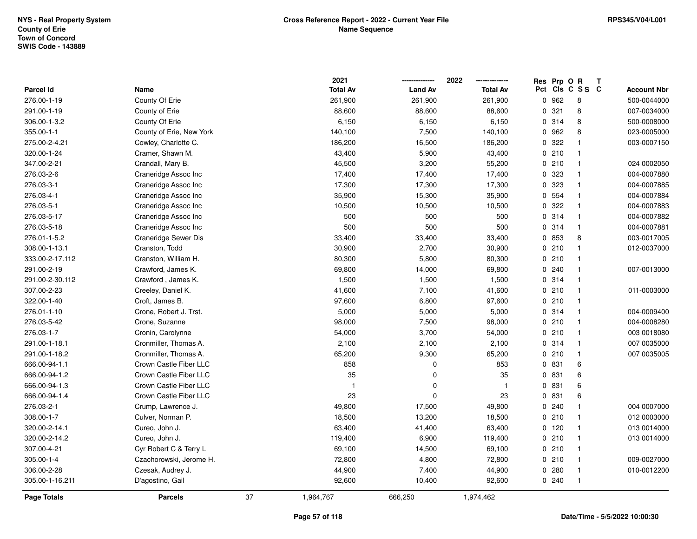|                  |                          |    | 2021            |                | 2022            | Res Prp O R |                 | Т |                    |
|------------------|--------------------------|----|-----------------|----------------|-----------------|-------------|-----------------|---|--------------------|
| <b>Parcel Id</b> | Name                     |    | <b>Total Av</b> | <b>Land Av</b> | <b>Total Av</b> |             | Pct Cls C S S C |   | <b>Account Nbr</b> |
| 276.00-1-19      | County Of Erie           |    | 261,900         | 261,900        | 261,900         | 0 962       | 8               |   | 500-0044000        |
| 291.00-1-19      | County of Erie           |    | 88,600          | 88,600         | 88,600          | 0.321       | 8               |   | 007-0034000        |
| 306.00-1-3.2     | County Of Erie           |    | 6,150           | 6,150          | 6,150           | 0.314       | 8               |   | 500-0008000        |
| 355.00-1-1       | County of Erie, New York |    | 140,100         | 7,500          | 140,100         | 0 962       | 8               |   | 023-0005000        |
| 275.00-2-4.21    | Cowley, Charlotte C.     |    | 186,200         | 16,500         | 186,200         | 0.322       | $\mathbf{1}$    |   | 003-0007150        |
| 320.00-1-24      | Cramer, Shawn M.         |    | 43,400          | 5,900          | 43,400          | 0210        | $\mathbf{1}$    |   |                    |
| 347.00-2-21      | Crandall, Mary B.        |    | 45,500          | 3,200          | 55,200          | 0210        | $\overline{1}$  |   | 024 0002050        |
| 276.03-2-6       | Craneridge Assoc Inc     |    | 17,400          | 17,400         | 17,400          | 0 323       | $\overline{1}$  |   | 004-0007880        |
| 276.03-3-1       | Craneridge Assoc Inc     |    | 17,300          | 17,300         | 17,300          | 0 323       | $\overline{1}$  |   | 004-0007885        |
| 276.03-4-1       | Craneridge Assoc Inc     |    | 35,900          | 15,300         | 35,900          | 0 554       | $\overline{1}$  |   | 004-0007884        |
| 276.03-5-1       | Craneridge Assoc Inc     |    | 10,500          | 10,500         | 10,500          | 0.322       | $\overline{1}$  |   | 004-0007883        |
| 276.03-5-17      | Craneridge Assoc Inc     |    | 500             | 500            | 500             | 0.314       | $\overline{1}$  |   | 004-0007882        |
| 276.03-5-18      | Craneridge Assoc Inc     |    | 500             | 500            | 500             | 0 314       | -1              |   | 004-0007881        |
| 276.01-1-5.2     | Craneridge Sewer Dis     |    | 33,400          | 33,400         | 33,400          | 0 853       | 8               |   | 003-0017005        |
| 308.00-1-13.1    | Cranston, Todd           |    | 30,900          | 2,700          | 30,900          | 0210        | $\mathbf{1}$    |   | 012-0037000        |
| 333.00-2-17.112  | Cranston, William H.     |    | 80,300          | 5,800          | 80,300          | 0210        | $\overline{1}$  |   |                    |
| 291.00-2-19      | Crawford, James K.       |    | 69,800          | 14,000         | 69,800          | 0.240       | $\overline{1}$  |   | 007-0013000        |
| 291.00-2-30.112  | Crawford, James K.       |    | 1,500           | 1,500          | 1,500           | 0.314       | $\overline{1}$  |   |                    |
| 307.00-2-23      | Creeley, Daniel K.       |    | 41,600          | 7,100          | 41,600          | 0210        | $\overline{1}$  |   | 011-0003000        |
| 322.00-1-40      | Croft, James B.          |    | 97,600          | 6,800          | 97,600          | 0210        | $\overline{1}$  |   |                    |
| 276.01-1-10      | Crone, Robert J. Trst.   |    | 5,000           | 5,000          | 5,000           | 0.314       | $\overline{1}$  |   | 004-0009400        |
| 276.03-5-42      | Crone, Suzanne           |    | 98,000          | 7,500          | 98,000          | 0210        | $\overline{1}$  |   | 004-0008280        |
| 276.03-1-7       | Cronin, Carolynne        |    | 54,000          | 3,700          | 54,000          | 0210        | $\overline{1}$  |   | 003 0018080        |
| 291.00-1-18.1    | Cronmiller, Thomas A.    |    | 2,100           | 2,100          | 2,100           | 0.314       | $\overline{1}$  |   | 007 0035000        |
| 291.00-1-18.2    | Cronmiller, Thomas A.    |    | 65,200          | 9,300          | 65,200          | 0210        | $\overline{1}$  |   | 007 0035005        |
| 666.00-94-1.1    | Crown Castle Fiber LLC   |    | 858             | 0              | 853             | 0 831       | 6               |   |                    |
| 666.00-94-1.2    | Crown Castle Fiber LLC   |    | 35              | $\Omega$       | 35              | 0 831       | 6               |   |                    |
| 666.00-94-1.3    | Crown Castle Fiber LLC   |    | $\mathbf{1}$    | 0              | $\mathbf{1}$    | 0 831       | 6               |   |                    |
| 666.00-94-1.4    | Crown Castle Fiber LLC   |    | 23              | $\Omega$       | 23              | 0 831       | 6               |   |                    |
| 276.03-2-1       | Crump, Lawrence J.       |    | 49,800          | 17,500         | 49,800          | 0.240       | $\mathbf{1}$    |   | 004 0007000        |
| 308.00-1-7       | Culver, Norman P.        |    | 18,500          | 13,200         | 18,500          | 0210        | $\overline{1}$  |   | 012 0003000        |
| 320.00-2-14.1    | Cureo, John J.           |    | 63,400          | 41,400         | 63,400          | 0, 120      | $\overline{1}$  |   | 013 0014000        |
| 320.00-2-14.2    | Cureo, John J.           |    | 119,400         | 6,900          | 119,400         | 0210        | $\overline{1}$  |   | 013 0014000        |
| 307.00-4-21      | Cyr Robert C & Terry L   |    | 69,100          | 14,500         | 69,100          | 0210        | $\overline{1}$  |   |                    |
| 305.00-1-4       | Czachorowski, Jerome H.  |    | 72,800          | 4,800          | 72,800          | 0210        | $\overline{1}$  |   | 009-0027000        |
| 306.00-2-28      | Czesak, Audrey J.        |    | 44,900          | 7,400          | 44,900          | 0.280       | $\overline{1}$  |   | 010-0012200        |
| 305.00-1-16.211  | D'agostino, Gail         |    | 92,600          | 10,400         | 92,600          | 0.240       | $\overline{1}$  |   |                    |
| Page Totals      | <b>Parcels</b>           | 37 | 1,964,767       | 666,250        | 1,974,462       |             |                 |   |                    |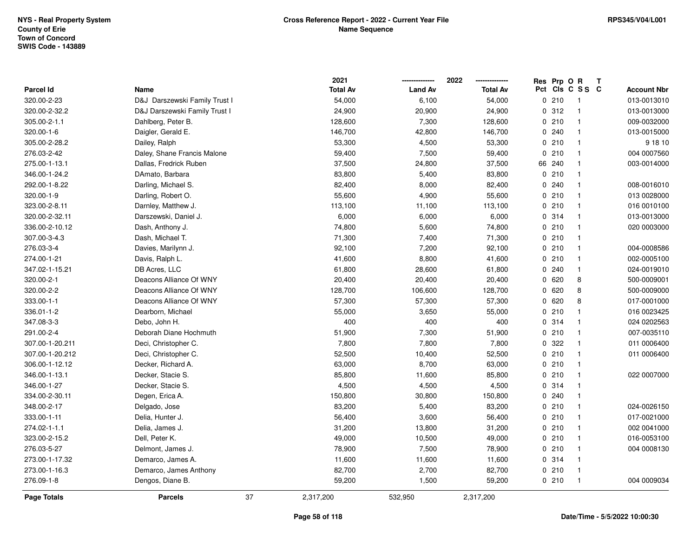**2021 -------------- 2022**

**--------------**

|                    |                               |    | 2021            |                | 2022            |     | Res Prp O | R<br>Т         |                    |
|--------------------|-------------------------------|----|-----------------|----------------|-----------------|-----|-----------|----------------|--------------------|
| <b>Parcel Id</b>   | Name                          |    | <b>Total Av</b> | <b>Land Av</b> | <b>Total Av</b> | Pct |           | CIs C S S C    | <b>Account Nbr</b> |
| 320.00-2-23        | D&J Darszewski Family Trust I |    | 54,000          | 6,100          | 54,000          |     | 0210      | -1             | 013-0013010        |
| 320.00-2-32.2      | D&J Darszewski Family Trust I |    | 24,900          | 20,900         | 24,900          |     | 0.312     | $\mathbf{1}$   | 013-0013000        |
| 305.00-2-1.1       | Dahlberg, Peter B.            |    | 128,600         | 7,300          | 128,600         |     | 0210      | -1             | 009-0032000        |
| 320.00-1-6         | Daigler, Gerald E.            |    | 146,700         | 42,800         | 146,700         |     | 0.240     | $\mathbf{1}$   | 013-0015000        |
| 305.00-2-28.2      | Dailey, Ralph                 |    | 53,300          | 4,500          | 53,300          |     | 0210      | $\overline{1}$ | 9 18 10            |
| 276.03-2-42        | Daley, Shane Francis Malone   |    | 59,400          | 7,500          | 59,400          |     | 0210      | $\mathbf{1}$   | 004 0007560        |
| 275.00-1-13.1      | Dallas, Fredrick Ruben        |    | 37,500          | 24,800         | 37,500          |     | 66 240    | $\overline{1}$ | 003-0014000        |
| 346.00-1-24.2      | DAmato, Barbara               |    | 83,800          | 5,400          | 83,800          |     | 0210      | $\mathbf{1}$   |                    |
| 292.00-1-8.22      | Darling, Michael S.           |    | 82,400          | 8,000          | 82,400          |     | 0.240     | $\overline{1}$ | 008-0016010        |
| 320.00-1-9         | Darling, Robert O.            |    | 55,600          | 4,900          | 55,600          |     | 0210      | $\overline{1}$ | 013 0028000        |
| 323.00-2-8.11      | Darnley, Matthew J.           |    | 113,100         | 11,100         | 113,100         |     | 0210      | $\overline{1}$ | 016 0010100        |
| 320.00-2-32.11     | Darszewski, Daniel J.         |    | 6,000           | 6,000          | 6,000           |     | 0.314     | -1             | 013-0013000        |
| 336.00-2-10.12     | Dash, Anthony J.              |    | 74,800          | 5,600          | 74,800          |     | 0210      | $\overline{1}$ | 020 0003000        |
| 307.00-3-4.3       | Dash, Michael T.              |    | 71,300          | 7,400          | 71,300          |     | 0210      | $\overline{1}$ |                    |
| 276.03-3-4         | Davies, Marilynn J.           |    | 92,100          | 7,200          | 92,100          |     | 0210      | $\overline{1}$ | 004-0008586        |
| 274.00-1-21        | Davis, Ralph L.               |    | 41,600          | 8,800          | 41,600          |     | 0210      | $\mathbf{1}$   | 002-0005100        |
| 347.02-1-15.21     | DB Acres, LLC                 |    | 61,800          | 28,600         | 61,800          |     | 0.240     | $\mathbf{1}$   | 024-0019010        |
| 320.00-2-1         | Deacons Alliance Of WNY       |    | 20,400          | 20,400         | 20,400          |     | 0620      | 8              | 500-0009001        |
| 320.00-2-2         | Deacons Alliance Of WNY       |    | 128,700         | 106,600        | 128,700         |     | 0620      | 8              | 500-0009000        |
| 333.00-1-1         | Deacons Alliance Of WNY       |    | 57,300          | 57,300         | 57,300          |     | 0620      | 8              | 017-0001000        |
| 336.01-1-2         | Dearborn, Michael             |    | 55,000          | 3,650          | 55,000          |     | 0210      | $\mathbf{1}$   | 016 0023425        |
| 347.08-3-3         | Debo, John H.                 |    | 400             | 400            | 400             |     | 0.314     | $\mathbf{1}$   | 024 0202563        |
| 291.00-2-4         | Deborah Diane Hochmuth        |    | 51,900          | 7,300          | 51,900          |     | 0210      | $\mathbf{1}$   | 007-0035110        |
| 307.00-1-20.211    | Deci, Christopher C.          |    | 7,800           | 7,800          | 7,800           |     | 0.322     | $\mathbf{1}$   | 011 0006400        |
| 307.00-1-20.212    | Deci, Christopher C.          |    | 52,500          | 10,400         | 52,500          |     | 0210      | -1             | 011 0006400        |
| 306.00-1-12.12     | Decker, Richard A.            |    | 63,000          | 8,700          | 63,000          |     | 0210      | $\overline{1}$ |                    |
| 346.00-1-13.1      | Decker, Stacie S.             |    | 85,800          | 11,600         | 85,800          |     | 0210      | $\overline{1}$ | 022 0007000        |
| 346.00-1-27        | Decker, Stacie S.             |    | 4,500           | 4,500          | 4,500           |     | 0.314     | -1             |                    |
| 334.00-2-30.11     | Degen, Erica A.               |    | 150,800         | 30,800         | 150,800         |     | 0.240     | $\overline{1}$ |                    |
| 348.00-2-17        | Delgado, Jose                 |    | 83,200          | 5,400          | 83,200          |     | 0210      | $\mathbf{1}$   | 024-0026150        |
| 333.00-1-11        | Delia, Hunter J.              |    | 56,400          | 3,600          | 56,400          |     | 0210      | $\mathbf{1}$   | 017-0021000        |
| 274.02-1-1.1       | Delia, James J.               |    | 31,200          | 13,800         | 31,200          |     | 0210      | $\mathbf{1}$   | 002 0041000        |
| 323.00-2-15.2      | Dell, Peter K.                |    | 49,000          | 10,500         | 49,000          |     | 0210      | $\mathbf{1}$   | 016-0053100        |
| 276.03-5-27        | Delmont, James J.             |    | 78,900          | 7,500          | 78,900          |     | 0210      | -1             | 004 0008130        |
| 273.00-1-17.32     | Demarco, James A.             |    | 11,600          | 11,600         | 11,600          |     | 0.314     | $\overline{1}$ |                    |
| 273.00-1-16.3      | Demarco, James Anthony        |    | 82,700          | 2,700          | 82,700          |     | 0210      | -1             |                    |
| 276.09-1-8         | Dengos, Diane B.              |    | 59,200          | 1,500          | 59,200          |     | 0210      | $\overline{1}$ | 004 0009034        |
| <b>Page Totals</b> | <b>Parcels</b>                | 37 | 2,317,200       | 532,950        | 2,317,200       |     |           |                |                    |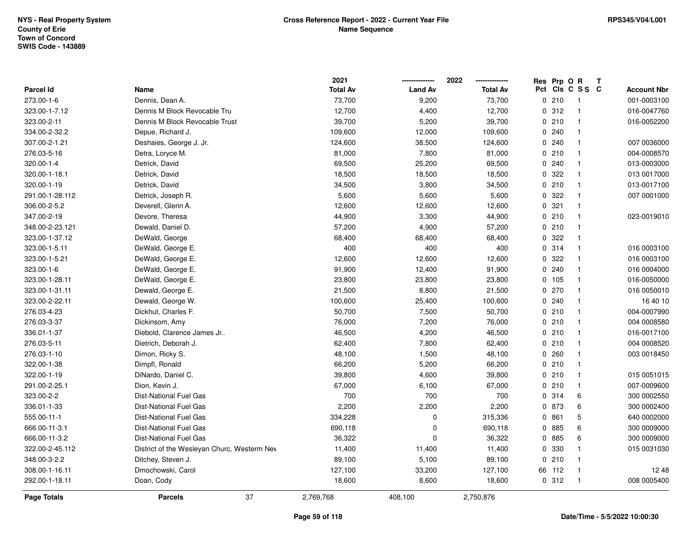|                  |                                             | 2021            |                | 2022            |     | Res Prp O R |                | T |                    |
|------------------|---------------------------------------------|-----------------|----------------|-----------------|-----|-------------|----------------|---|--------------------|
| <b>Parcel Id</b> | Name                                        | <b>Total Av</b> | <b>Land Av</b> | <b>Total Av</b> | Pct |             | CIS C S S C    |   | <b>Account Nbr</b> |
| 273.00-1-6       | Dennis, Dean A.                             | 73,700          | 9,200          | 73,700          |     | 0210        | $\overline{1}$ |   | 001-0003100        |
| 323.00-1-7.12    | Dennis M Block Revocable Tru                | 12,700          | 4,400          | 12,700          |     | 0.312       | $\mathbf{1}$   |   | 016-0047760        |
| 323.00-2-11      | Dennis M Block Revocable Trust              | 39,700          | 5,200          | 39,700          |     | 0210        | $\mathbf{1}$   |   | 016-0052200        |
| 334.00-2-32.2    | Depue, Richard J.                           | 109,600         | 12,000         | 109,600         |     | 0.240       | $\mathbf{1}$   |   |                    |
| 307.00-2-1.21    | Deshaies, George J. Jr.                     | 124,600         | 38,500         | 124,600         |     | 0.240       | $\mathbf{1}$   |   | 007 0036000        |
| 276.03-5-16      | Detra, Loryce M.                            | 81,000          | 7,800          | 81,000          |     | 0210        | $\mathbf{1}$   |   | 004-0008570        |
| 320.00-1-4       | Detrick, David                              | 69,500          | 25,200         | 69,500          |     | 0.240       | $\mathbf{1}$   |   | 013-0003000        |
| 320.00-1-18.1    | Detrick, David                              | 18,500          | 18,500         | 18,500          |     | 0.322       | $\mathbf{1}$   |   | 013 0017000        |
| 320.00-1-19      | Detrick, David                              | 34,500          | 3,800          | 34,500          |     | 0210        | $\mathbf{1}$   |   | 013-0017100        |
| 291.00-1-28.112  | Detrick, Joseph R.                          | 5,600           | 5,600          | 5,600           |     | 0.322       | $\mathbf{1}$   |   | 007 0001000        |
| 306.00-2-5.2     | Deverell, Glenn A.                          | 12,600          | 12,600         | 12,600          |     | 0.321       | $\mathbf{1}$   |   |                    |
| 347.00-2-19      | Devore, Theresa                             | 44,900          | 3,300          | 44,900          |     | 0210        | $\mathbf{1}$   |   | 023-0019010        |
| 348.00-2-23.121  | Dewald, Daniel D.                           | 57,200          | 4,900          | 57,200          |     | 0210        | 1              |   |                    |
| 323.00-1-37.12   | DeWald, George                              | 68,400          | 68,400         | 68,400          |     | 0 322       | $\mathbf{1}$   |   |                    |
| 323.00-1-5.11    | DeWald, George E.                           | 400             | 400            | 400             |     | 0.314       | $\mathbf{1}$   |   | 016 0003100        |
| 323.00-1-5.21    | DeWald, George E.                           | 12,600          | 12,600         | 12,600          |     | 0.322       | $\mathbf{1}$   |   | 016 0003100        |
| 323.00-1-6       | DeWald, George E.                           | 91,900          | 12,400         | 91,900          |     | 0.240       | $\mathbf{1}$   |   | 016 0004000        |
| 323.00-1-28.11   | DeWald, George E.                           | 23,800          | 23,800         | 23,800          |     | 0, 105      | $\mathbf{1}$   |   | 016-0050000        |
| 323.00-1-31.11   | Dewald, George E.                           | 21,500          | 8,800          | 21,500          |     | 0270        | $\mathbf{1}$   |   | 016 0050010        |
| 323.00-2-22.11   | Dewald, George W.                           | 100,600         | 25,400         | 100,600         |     | 0.240       | $\mathbf{1}$   |   | 16 40 10           |
| 276.03-4-23      | Dickhut, Charles F.                         | 50,700          | 7,500          | 50,700          |     | 0210        | $\mathbf{1}$   |   | 004-0007990        |
| 276.03-3-37      | Dickinsom, Amy                              | 76,000          | 7,200          | 76,000          |     | 0210        | $\mathbf{1}$   |   | 004 0008580        |
| 336.01-1-37      | Diebold, Clarence James Jr                  | 46,500          | 4,200          | 46,500          |     | 0210        | $\mathbf{1}$   |   | 016-0017100        |
| 276.03-5-11      | Dietrich, Deborah J.                        | 62,400          | 7,800          | 62,400          |     | 0210        | $\mathbf{1}$   |   | 004 0008520        |
| 276.03-1-10      | Dimon, Ricky S.                             | 48,100          | 1,500          | 48,100          |     | 0.260       | $\mathbf{1}$   |   | 003 0018450        |
| 322.00-1-38      | Dimpfl, Ronald                              | 66,200          | 5,200          | 66,200          |     | 0210        | $\mathbf{1}$   |   |                    |
| 322.00-1-19      | DiNardo, Daniel C.                          | 39,800          | 4,600          | 39,800          |     | 0210        | $\mathbf{1}$   |   | 015 0051015        |
| 291.00-2-25.1    | Dion, Kevin J.                              | 67,000          | 6,100          | 67,000          |     | 0210        | $\mathbf{1}$   |   | 007-0009600        |
| 323.00-2-2       | <b>Dist-National Fuel Gas</b>               | 700             | 700            | 700             |     | 0.314       | 6              |   | 300 0002550        |
| 336.01-1-33      | <b>Dist-National Fuel Gas</b>               | 2,200           | 2,200          | 2,200           |     | 0 873       | 6              |   | 300 0002400        |
| 555.00-11-1      | <b>Dist-National Fuel Gas</b>               | 334,228         | 0              | 315,336         |     | 0861        | 5              |   | 640 0002000        |
| 666.00-11-3.1    | <b>Dist-National Fuel Gas</b>               | 690,118         | 0              | 690,118         |     | 0 885       | 6              |   | 300 0009000        |
| 666.00-11-3.2    | <b>Dist-National Fuel Gas</b>               | 36,322          | 0              | 36,322          |     | 0 885       | 6              |   | 300 0009000        |
| 322.00-2-45.112  | District of the Wesleyan Churc, Westerm Nev | 11,400          | 11,400         | 11,400          |     | 0 330       | $\mathbf{1}$   |   | 015 0031030        |
| 348.00-3-2.2     | Ditchey, Steven J.                          | 89,100          | 5,100          | 89,100          |     | 0210        | $\mathbf{1}$   |   |                    |
| 308.00-1-16.11   | Dmochowski, Carol                           | 127,100         | 33,200         | 127,100         |     | 66 112      | $\mathbf{1}$   |   | 1248               |
| 292.00-1-18.11   | Doan, Cody                                  | 18,600          | 8,600          | 18,600          |     | 0.312       | $\mathbf{1}$   |   | 008 0005400        |
| Page Totals      | 37<br><b>Parcels</b>                        | 2,769,768       | 408,100        | 2,750,876       |     |             |                |   |                    |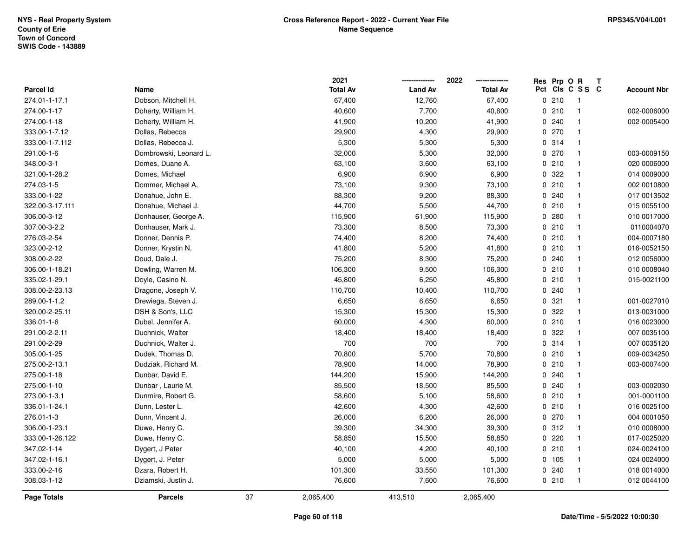|                    |                        |    | 2021            |                | 2022            | Res Prp O R |                          | Т |                    |
|--------------------|------------------------|----|-----------------|----------------|-----------------|-------------|--------------------------|---|--------------------|
| Parcel Id          | Name                   |    | <b>Total Av</b> | <b>Land Av</b> | <b>Total Av</b> |             | Pct Cls C S S C          |   | <b>Account Nbr</b> |
| 274.01-1-17.1      | Dobson, Mitchell H.    |    | 67,400          | 12,760         | 67,400          | 0210        | $\overline{\phantom{1}}$ |   |                    |
| 274.00-1-17        | Doherty, William H.    |    | 40,600          | 7,700          | 40,600          | 0210        | $\overline{\mathbf{1}}$  |   | 002-0006000        |
| 274.00-1-18        | Doherty, William H.    |    | 41,900          | 10,200         | 41,900          | 0.240       | $\overline{\mathbf{1}}$  |   | 002-0005400        |
| 333.00-1-7.12      | Dollas, Rebecca        |    | 29,900          | 4,300          | 29,900          | 0270        | $\overline{\mathbf{1}}$  |   |                    |
| 333.00-1-7.112     | Dollas, Rebecca J.     |    | 5,300           | 5,300          | 5,300           | 0.314       | $\overline{1}$           |   |                    |
| 291.00-1-6         | Dombrowski, Leonard L. |    | 32,000          | 5,300          | 32,000          | 0270        | $\overline{\mathbf{1}}$  |   | 003-0009150        |
| 348.00-3-1         | Domes, Duane A.        |    | 63,100          | 3,600          | 63,100          | 0210        | $\overline{1}$           |   | 020 0006000        |
| 321.00-1-28.2      | Domes, Michael         |    | 6,900           | 6,900          | 6,900           | 0.322       | $\overline{1}$           |   | 014 0009000        |
| 274.03-1-5         | Dommer, Michael A.     |    | 73,100          | 9,300          | 73,100          | 0210        | $\overline{\mathbf{1}}$  |   | 002 0010800        |
| 333.00-1-22        | Donahue, John E.       |    | 88,300          | 9,200          | 88,300          | 0.240       | $\overline{1}$           |   | 017 0013502        |
| 322.00-3-17.111    | Donahue, Michael J.    |    | 44,700          | 5,500          | 44,700          | 0210        | $\overline{1}$           |   | 015 0055100        |
| 306.00-3-12        | Donhauser, George A.   |    | 115,900         | 61,900         | 115,900         | 0.280       | $\mathbf{1}$             |   | 010 0017000        |
| 307.00-3-2.2       | Donhauser, Mark J.     |    | 73,300          | 8,500          | 73,300          | 0210        | -1                       |   | 0110004070         |
| 276.03-2-54        | Donner, Dennis P.      |    | 74,400          | 8,200          | 74,400          | 0210        | $\overline{1}$           |   | 004-0007180        |
| 323.00-2-12        | Donner, Krystin N.     |    | 41,800          | 5,200          | 41,800          | 0210        | $\overline{1}$           |   | 016-0052150        |
| 308.00-2-22        | Doud, Dale J.          |    | 75,200          | 8,300          | 75,200          | 0.240       | $\mathbf{1}$             |   | 012 0056000        |
| 306.00-1-18.21     | Dowling, Warren M.     |    | 106,300         | 9,500          | 106,300         | 0210        | $\mathbf{1}$             |   | 010 0008040        |
| 335.02-1-29.1      | Doyle, Casino N.       |    | 45,800          | 6,250          | 45,800          | 0210        | $\overline{1}$           |   | 015-0021100        |
| 308.00-2-23.13     | Dragone, Joseph V.     |    | 110,700         | 10,400         | 110,700         | 0.240       | $\overline{1}$           |   |                    |
| 289.00-1-1.2       | Drewiega, Steven J.    |    | 6,650           | 6,650          | 6,650           | 0.321       | $\overline{\mathbf{1}}$  |   | 001-0027010        |
| 320.00-2-25.11     | DSH & Son's, LLC       |    | 15,300          | 15,300         | 15,300          | 0 322       | $\overline{\mathbf{1}}$  |   | 013-0031000        |
| 336.01-1-6         | Dubel, Jennifer A.     |    | 60,000          | 4,300          | 60,000          | 0210        | $\overline{1}$           |   | 016 0023000        |
| 291.00-2-2.11      | Duchnick, Walter       |    | 18,400          | 18,400         | 18,400          | 0.322       | $\overline{1}$           |   | 007 0035100        |
| 291.00-2-29        | Duchnick, Walter J.    |    | 700             | 700            | 700             | 0.314       | $\overline{\mathbf{1}}$  |   | 007 0035120        |
| 305.00-1-25        | Dudek, Thomas D.       |    | 70,800          | 5,700          | 70,800          | 0210        | $\overline{1}$           |   | 009-0034250        |
| 275.00-2-13.1      | Dudziak, Richard M.    |    | 78,900          | 14,000         | 78,900          | 0210        | $\mathbf{1}$             |   | 003-0007400        |
| 275.00-1-18        | Dunbar, David E.       |    | 144,200         | 15,900         | 144,200         | 0.240       | $\mathbf{1}$             |   |                    |
| 275.00-1-10        | Dunbar, Laurie M.      |    | 85,500          | 18,500         | 85,500          | 0.240       | $\mathbf{1}$             |   | 003-0002030        |
| 273.00-1-3.1       | Dunmire, Robert G.     |    | 58,600          | 5,100          | 58,600          | 0210        | $\overline{1}$           |   | 001-0001100        |
| 336.01-1-24.1      | Dunn, Lester L.        |    | 42,600          | 4,300          | 42,600          | 0210        | $\overline{1}$           |   | 016 0025100        |
| 276.01-1-3         | Dunn, Vincent J.       |    | 26,000          | 6,200          | 26,000          | 0270        | $\overline{\mathbf{1}}$  |   | 004 0001050        |
| 306.00-1-23.1      | Duwe, Henry C.         |    | 39,300          | 34,300         | 39,300          | 0.312       | $\overline{1}$           |   | 010 0008000        |
| 333.00-1-26.122    | Duwe, Henry C.         |    | 58,850          | 15,500         | 58,850          | 0220        | $\overline{1}$           |   | 017-0025020        |
| 347.02-1-14        | Dygert, J Peter        |    | 40,100          | 4,200          | 40,100          | 0210        | $\overline{1}$           |   | 024-0024100        |
| 347.02-1-16.1      | Dygert, J. Peter       |    | 5,000           | 5,000          | 5,000           | 0 105       | $\overline{\mathbf{1}}$  |   | 024 0024000        |
| 333.00-2-16        | Dzara, Robert H.       |    | 101,300         | 33,550         | 101,300         | 0.240       | $\overline{1}$           |   | 018 0014000        |
| 308.03-1-12        | Dziamski, Justin J.    |    | 76,600          | 7,600          | 76,600          | 0210        | $\overline{1}$           |   | 012 0044100        |
| <b>Page Totals</b> | <b>Parcels</b>         | 37 | 2,065,400       | 413,510        | 2,065,400       |             |                          |   |                    |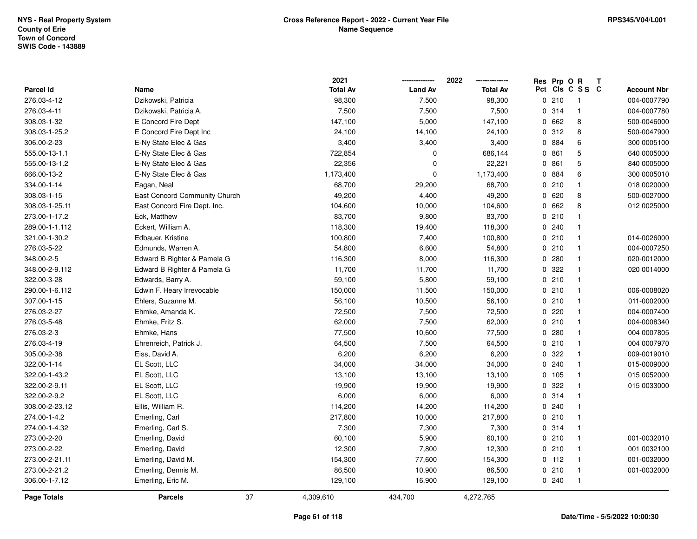**2021 -------------- 2022**

**--------------**

|                    |                               | 2021            |                | 2022            | Res Prp O | R<br>T          |                    |
|--------------------|-------------------------------|-----------------|----------------|-----------------|-----------|-----------------|--------------------|
| Parcel Id          | Name                          | <b>Total Av</b> | <b>Land Av</b> | <b>Total Av</b> |           | Pct Cls C S S C | <b>Account Nbr</b> |
| 276.03-4-12        | Dzikowski, Patricia           | 98,300          | 7,500          | 98,300          | 0210      | $\overline{1}$  | 004-0007790        |
| 276.03-4-11        | Dzikowski, Patricia A.        | 7,500           | 7,500          | 7,500           | 0.314     | $\mathbf{1}$    | 004-0007780        |
| 308.03-1-32        | E Concord Fire Dept           | 147,100         | 5,000          | 147,100         | 0 662     | 8               | 500-0046000        |
| 308.03-1-25.2      | E Concord Fire Dept Inc       | 24,100          | 14,100         | 24,100          | 0 312     | 8               | 500-0047900        |
| 306.00-2-23        | E-Ny State Elec & Gas         | 3,400           | 3,400          | 3,400           | 0 884     | 6               | 300 0005100        |
| 555.00-13-1.1      | E-Ny State Elec & Gas         | 722,854         | 0              | 686,144         | 0861      | 5               | 640 0005000        |
| 555.00-13-1.2      | E-Ny State Elec & Gas         | 22,356          | 0              | 22,221          | 0861      | $\mathbf 5$     | 840 0005000        |
| 666.00-13-2        | E-Ny State Elec & Gas         | 1,173,400       | $\mathbf 0$    | 1,173,400       | 0 884     | 6               | 300 0005010        |
| 334.00-1-14        | Eagan, Neal                   | 68,700          | 29,200         | 68,700          | 0210      | $\mathbf{1}$    | 018 0020000        |
| 308.03-1-15        | East Concord Community Church | 49,200          | 4,400          | 49,200          | 0 620     | 8               | 500-0027000        |
| 308.03-1-25.11     | East Concord Fire Dept. Inc.  | 104,600         | 10,000         | 104,600         | 0 662     | 8               | 012 0025000        |
| 273.00-1-17.2      | Eck, Matthew                  | 83,700          | 9,800          | 83,700          | 0210      |                 |                    |
| 289.00-1-1.112     | Eckert, William A.            | 118,300         | 19,400         | 118,300         | 0.240     | $\mathbf{1}$    |                    |
| 321.00-1-30.2      | Edbauer, Kristine             | 100,800         | 7,400          | 100,800         | 0210      | $\mathbf{1}$    | 014-0026000        |
| 276.03-5-22        | Edmunds, Warren A.            | 54,800          | 6,600          | 54,800          | 0210      | $\overline{1}$  | 004-0007250        |
| 348.00-2-5         | Edward B Righter & Pamela G   | 116,300         | 8,000          | 116,300         | 0280      | $\overline{1}$  | 020-0012000        |
| 348.00-2-9.112     | Edward B Righter & Pamela G   | 11,700          | 11,700         | 11,700          | 0 322     | $\mathbf{1}$    | 020 0014000        |
| 322.00-3-28        | Edwards, Barry A.             | 59,100          | 5,800          | 59,100          | 0210      | $\mathbf{1}$    |                    |
| 290.00-1-6.112     | Edwin F. Heary Irrevocable    | 150,000         | 11,500         | 150,000         | 0210      | $\mathbf{1}$    | 006-0008020        |
| 307.00-1-15        | Ehlers, Suzanne M.            | 56,100          | 10,500         | 56,100          | 0210      | $\overline{1}$  | 011-0002000        |
| 276.03-2-27        | Ehmke, Amanda K.              | 72,500          | 7,500          | 72,500          | 0 220     | $\mathbf{1}$    | 004-0007400        |
| 276.03-5-48        | Ehmke, Fritz S.               | 62,000          | 7,500          | 62,000          | 0210      | $\mathbf{1}$    | 004-0008340        |
| 276.03-2-3         | Ehmke, Hans                   | 77,500          | 10,600         | 77,500          | 0.280     | $\mathbf{1}$    | 004 0007805        |
| 276.03-4-19        | Ehrenreich, Patrick J.        | 64,500          | 7,500          | 64,500          | 0210      | $\mathbf{1}$    | 004 0007970        |
| 305.00-2-38        | Eiss, David A.                | 6,200           | 6,200          | 6,200           | 0 322     |                 | 009-0019010        |
| 322.00-1-14        | EL Scott, LLC                 | 34,000          | 34,000         | 34,000          | 0.240     | -1              | 015-0009000        |
| 322.00-1-43.2      | EL Scott, LLC                 | 13,100          | 13,100         | 13,100          | 0 105     |                 | 015 0052000        |
| 322.00-2-9.11      | EL Scott, LLC                 | 19,900          | 19,900         | 19,900          | 0 322     | $\mathbf{1}$    | 015 0033000        |
| 322.00-2-9.2       | EL Scott, LLC                 | 6,000           | 6,000          | 6,000           | 0.314     | $\mathbf{1}$    |                    |
| 308.00-2-23.12     | Ellis, William R.             | 114,200         | 14,200         | 114,200         | 0 240     | $\mathbf{1}$    |                    |
| 274.00-1-4.2       | Emerling, Carl                | 217,800         | 10,000         | 217,800         | 0210      | $\overline{1}$  |                    |
| 274.00-1-4.32      | Emerling, Carl S.             | 7,300           | 7,300          | 7,300           | 0.314     | $\mathbf{1}$    |                    |
| 273.00-2-20        | Emerling, David               | 60,100          | 5,900          | 60,100          | 0210      | $\mathbf{1}$    | 001-0032010        |
| 273.00-2-22        | Emerling, David               | 12,300          | 7,800          | 12,300          | 0210      | $\mathbf{1}$    | 001 0032100        |
| 273.00-2-21.11     | Emerling, David M.            | 154,300         | 77,600         | 154,300         | $0$ 112   | $\mathbf{1}$    | 001-0032000        |
| 273.00-2-21.2      | Emerling, Dennis M.           | 86,500          | 10,900         | 86,500          | 0210      | $\mathbf{1}$    | 001-0032000        |
| 306.00-1-7.12      | Emerling, Eric M.             | 129,100         | 16,900         | 129,100         | 0.240     | $\overline{1}$  |                    |
| <b>Page Totals</b> | 37<br><b>Parcels</b>          | 4,309,610       | 434,700        | 4,272,765       |           |                 |                    |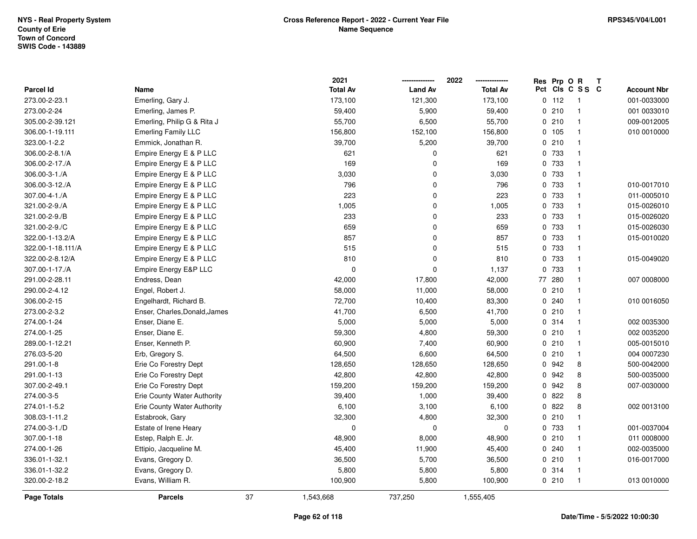|                   |                                    |    | 2021            |                | 2022            | Res Prp O R |                          | T |                    |
|-------------------|------------------------------------|----|-----------------|----------------|-----------------|-------------|--------------------------|---|--------------------|
| <b>Parcel Id</b>  | Name                               |    | <b>Total Av</b> | <b>Land Av</b> | <b>Total Av</b> |             | Pct Cls C S S C          |   | <b>Account Nbr</b> |
| 273.00-2-23.1     | Emerling, Gary J.                  |    | 173,100         | 121,300        | 173,100         | $0$ 112     | $\overline{\phantom{1}}$ |   | 001-0033000        |
| 273.00-2-24       | Emerling, James P.                 |    | 59,400          | 5,900          | 59,400          | 0210        | $\mathbf{1}$             |   | 001 0033010        |
| 305.00-2-39.121   | Emerling, Philip G & Rita J        |    | 55,700          | 6,500          | 55,700          | 0210        | $\mathbf{1}$             |   | 009-0012005        |
| 306.00-1-19.111   | <b>Emerling Family LLC</b>         |    | 156,800         | 152,100        | 156,800         | 0 105       | $\mathbf{1}$             |   | 010 0010000        |
| 323.00-1-2.2      | Emmick, Jonathan R.                |    | 39,700          | 5,200          | 39,700          | 0210        | $\mathbf{1}$             |   |                    |
| 306.00-2-8.1/A    | Empire Energy E & P LLC            |    | 621             | 0              | 621             | 0 733       | $\mathbf{1}$             |   |                    |
| 306.00-2-17./A    | Empire Energy E & P LLC            |    | 169             | 0              | 169             | 0 733       | $\mathbf{1}$             |   |                    |
| 306.00-3-1./A     | Empire Energy E & P LLC            |    | 3,030           | 0              | 3,030           | 0 733       | $\mathbf{1}$             |   |                    |
| 306.00-3-12./A    | Empire Energy E & P LLC            |    | 796             | 0              | 796             | 0 733       | $\mathbf{1}$             |   | 010-0017010        |
| 307.00-4-1./A     | Empire Energy E & P LLC            |    | 223             | 0              | 223             | 0 733       | $\mathbf{1}$             |   | 011-0005010        |
| 321.00-2-9./A     | Empire Energy E & P LLC            |    | 1,005           | $\mathbf 0$    | 1,005           | 0 733       | $\mathbf{1}$             |   | 015-0026010        |
| 321.00-2-9./B     | Empire Energy E & P LLC            |    | 233             | $\mathbf 0$    | 233             | 0 733       | $\mathbf 1$              |   | 015-0026020        |
| 321.00-2-9./C     | Empire Energy E & P LLC            |    | 659             | $\pmb{0}$      | 659             | 0 733       | 1                        |   | 015-0026030        |
| 322.00-1-13.2/A   | Empire Energy E & P LLC            |    | 857             | 0              | 857             | 0 733       | $\mathbf{1}$             |   | 015-0010020        |
| 322.00-1-18.111/A | Empire Energy E & P LLC            |    | 515             | $\mathbf 0$    | 515             | 0 733       | $\mathbf{1}$             |   |                    |
| 322.00-2-8.12/A   | Empire Energy E & P LLC            |    | 810             | 0              | 810             | 0 733       | $\mathbf{1}$             |   | 015-0049020        |
| 307.00-1-17./A    | Empire Energy E&P LLC              |    | 0               | $\mathbf 0$    | 1,137           | 0 733       | $\mathbf{1}$             |   |                    |
| 291.00-2-28.11    | Endress, Dean                      |    | 42,000          | 17,800         | 42,000          | 77 280      | $\mathbf{1}$             |   | 007 0008000        |
| 290.00-2-4.12     | Engel, Robert J.                   |    | 58,000          | 11,000         | 58,000          | 0210        | $\mathbf{1}$             |   |                    |
| 306.00-2-15       | Engelhardt, Richard B.             |    | 72,700          | 10,400         | 83,300          | 0.240       | $\mathbf{1}$             |   | 010 0016050        |
| 273.00-2-3.2      | Enser, Charles, Donald, James      |    | 41,700          | 6,500          | 41,700          | 0210        | $\mathbf{1}$             |   |                    |
| 274.00-1-24       | Enser, Diane E.                    |    | 5,000           | 5,000          | 5,000           | 0 314       | $\mathbf{1}$             |   | 002 0035300        |
| 274.00-1-25       | Enser, Diane E.                    |    | 59,300          | 4,800          | 59,300          | 0210        | $\mathbf{1}$             |   | 002 0035200        |
| 289.00-1-12.21    | Enser, Kenneth P.                  |    | 60,900          | 7,400          | 60,900          | 0210        | $\mathbf{1}$             |   | 005-0015010        |
| 276.03-5-20       | Erb, Gregory S.                    |    | 64,500          | 6,600          | 64,500          | 0210        | $\mathbf{1}$             |   | 004 0007230        |
| 291.00-1-8        | Erie Co Forestry Dept              |    | 128,650         | 128,650        | 128,650         | 0 942       | 8                        |   | 500-0042000        |
| 291.00-1-13       | Erie Co Forestry Dept              |    | 42,800          | 42,800         | 42,800          | 0 942       | 8                        |   | 500-0035000        |
| 307.00-2-49.1     | Erie Co Forestry Dept              |    | 159,200         | 159,200        | 159,200         | 0 942       | 8                        |   | 007-0030000        |
| 274.00-3-5        | Erie County Water Authority        |    | 39,400          | 1,000          | 39,400          | 0822        | 8                        |   |                    |
| 274.01-1-5.2      | <b>Erie County Water Authority</b> |    | 6,100           | 3,100          | 6,100           | 0822        | 8                        |   | 002 0013100        |
| 308.03-1-11.2     | Estabrook, Gary                    |    | 32,300          | 4,800          | 32,300          | 0210        | $\mathbf{1}$             |   |                    |
| 274.00-3-1./D     | Estate of Irene Heary              |    | $\mathbf 0$     | $\mathbf 0$    | $\mathbf 0$     | 0 733       | $\mathbf{1}$             |   | 001-0037004        |
| 307.00-1-18       | Estep, Ralph E. Jr.                |    | 48,900          | 8,000          | 48,900          | 0210        | $\mathbf{1}$             |   | 011 0008000        |
| 274.00-1-26       | Ettipio, Jacqueline M.             |    | 45,400          | 11,900         | 45,400          | 0.240       | $\mathbf{1}$             |   | 002-0035000        |
| 336.01-1-32.1     | Evans, Gregory D.                  |    | 36,500          | 5,700          | 36,500          | 0210        | $\mathbf{1}$             |   | 016-0017000        |
| 336.01-1-32.2     | Evans, Gregory D.                  |    | 5,800           | 5,800          | 5,800           | 0 314       | $\mathbf{1}$             |   |                    |
| 320.00-2-18.2     | Evans, William R.                  |    | 100,900         | 5,800          | 100,900         | 0210        | $\mathbf{1}$             |   | 013 0010000        |
| Page Totals       | <b>Parcels</b>                     | 37 | 1,543,668       | 737,250        | 1,555,405       |             |                          |   |                    |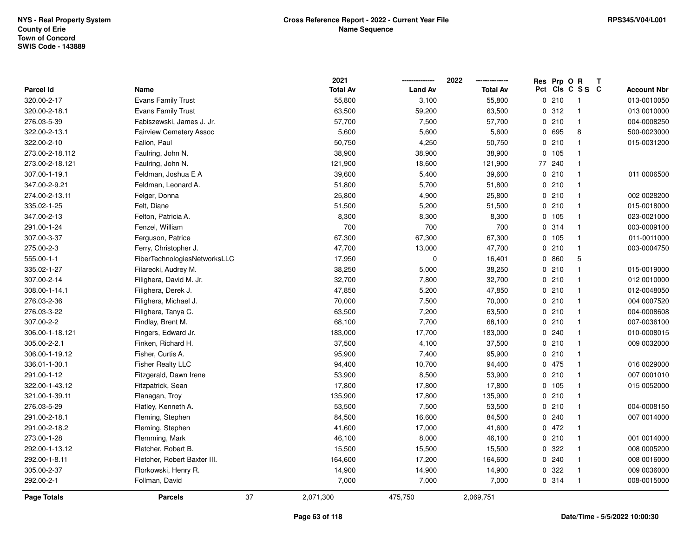|                    |                                |    | 2021            |                | 2022            | Res Prp O R |                 | Т |                    |
|--------------------|--------------------------------|----|-----------------|----------------|-----------------|-------------|-----------------|---|--------------------|
| <b>Parcel Id</b>   | Name                           |    | <b>Total Av</b> | <b>Land Av</b> | <b>Total Av</b> |             | Pct Cls C S S C |   | <b>Account Nbr</b> |
| 320.00-2-17        | Evans Family Trust             |    | 55,800          | 3,100          | 55,800          | 0210        | $\overline{1}$  |   | 013-0010050        |
| 320.00-2-18.1      | Evans Family Trust             |    | 63,500          | 59,200         | 63,500          | 0.312       | $\mathbf{1}$    |   | 013 0010000        |
| 276.03-5-39        | Fabiszewski, James J. Jr.      |    | 57,700          | 7,500          | 57,700          | 0210        | $\mathbf{1}$    |   | 004-0008250        |
| 322.00-2-13.1      | <b>Fairview Cemetery Assoc</b> |    | 5,600           | 5,600          | 5,600           | 0 695       | 8               |   | 500-0023000        |
| 322.00-2-10        | Fallon, Paul                   |    | 50,750          | 4,250          | 50,750          | 0210        | $\mathbf{1}$    |   | 015-0031200        |
| 273.00-2-18.112    | Faulring, John N.              |    | 38,900          | 38,900         | 38,900          | 0, 105      | $\mathbf{1}$    |   |                    |
| 273.00-2-18.121    | Faulring, John N.              |    | 121,900         | 18,600         | 121,900         | 77 240      | $\mathbf{1}$    |   |                    |
| 307.00-1-19.1      | Feldman, Joshua E A            |    | 39,600          | 5,400          | 39,600          | 0210        | $\mathbf{1}$    |   | 011 0006500        |
| 347.00-2-9.21      | Feldman, Leonard A.            |    | 51,800          | 5,700          | 51,800          | 0210        | $\mathbf{1}$    |   |                    |
| 274.00-2-13.11     | Felger, Donna                  |    | 25,800          | 4,900          | 25,800          | 0210        | $\mathbf{1}$    |   | 002 0028200        |
| 335.02-1-25        | Felt, Diane                    |    | 51,500          | 5,200          | 51,500          | 0210        | $\mathbf{1}$    |   | 015-0018000        |
| 347.00-2-13        | Felton, Patricia A.            |    | 8,300           | 8,300          | 8,300           | 0 105       | $\mathbf{1}$    |   | 023-0021000        |
| 291.00-1-24        | Fenzel, William                |    | 700             | 700            | 700             | 0.314       | $\mathbf{1}$    |   | 003-0009100        |
| 307.00-3-37        | Ferguson, Patrice              |    | 67,300          | 67,300         | 67,300          | 0, 105      | $\mathbf{1}$    |   | 011-0011000        |
| 275.00-2-3         | Ferry, Christopher J.          |    | 47,700          | 13,000         | 47,700          | 0210        | $\mathbf{1}$    |   | 003-0004750        |
| 555.00-1-1         | FiberTechnologiesNetworksLLC   |    | 17,950          | $\pmb{0}$      | 16,401          | 0860        | 5               |   |                    |
| 335.02-1-27        | Filarecki, Audrey M.           |    | 38,250          | 5,000          | 38,250          | 0210        | $\mathbf{1}$    |   | 015-0019000        |
| 307.00-2-14        | Filighera, David M. Jr.        |    | 32,700          | 7,800          | 32,700          | 0210        | $\mathbf{1}$    |   | 012 0010000        |
| 308.00-1-14.1      | Filighera, Derek J.            |    | 47,850          | 5,200          | 47,850          | 0210        | $\mathbf{1}$    |   | 012-0048050        |
| 276.03-2-36        | Filighera, Michael J.          |    | 70,000          | 7,500          | 70,000          | 0210        | $\mathbf{1}$    |   | 004 0007520        |
| 276.03-3-22        | Filighera, Tanya C.            |    | 63,500          | 7,200          | 63,500          | 0210        | $\mathbf{1}$    |   | 004-0008608        |
| 307.00-2-2         | Findlay, Brent M.              |    | 68,100          | 7,700          | 68,100          | 0210        | $\mathbf{1}$    |   | 007-0036100        |
| 306.00-1-18.121    | Fingers, Edward Jr.            |    | 183,000         | 17,700         | 183,000         | 0.240       | $\mathbf{1}$    |   | 010-0008015        |
| 305.00-2-2.1       | Finken, Richard H.             |    | 37,500          | 4,100          | 37,500          | 0210        | $\mathbf{1}$    |   | 009 0032000        |
| 306.00-1-19.12     | Fisher, Curtis A.              |    | 95,900          | 7,400          | 95,900          | 0210        | $\mathbf{1}$    |   |                    |
| 336.01-1-30.1      | <b>Fisher Realty LLC</b>       |    | 94,400          | 10,700         | 94,400          | 0 475       | $\mathbf{1}$    |   | 016 0029000        |
| 291.00-1-12        | Fitzgerald, Dawn Irene         |    | 53,900          | 8,500          | 53,900          | 0210        | $\mathbf{1}$    |   | 007 0001010        |
| 322.00-1-43.12     | Fitzpatrick, Sean              |    | 17,800          | 17,800         | 17,800          | 0, 105      | $\mathbf{1}$    |   | 015 0052000        |
| 321.00-1-39.11     | Flanagan, Troy                 |    | 135,900         | 17,800         | 135,900         | 0210        | $\mathbf{1}$    |   |                    |
| 276.03-5-29        | Flatley, Kenneth A.            |    | 53,500          | 7,500          | 53,500          | 0210        | $\mathbf{1}$    |   | 004-0008150        |
| 291.00-2-18.1      | Fleming, Stephen               |    | 84,500          | 16,600         | 84,500          | 0.240       | $\mathbf{1}$    |   | 007 0014000        |
| 291.00-2-18.2      | Fleming, Stephen               |    | 41,600          | 17,000         | 41,600          | 0472        | $\mathbf{1}$    |   |                    |
| 273.00-1-28        | Flemming, Mark                 |    | 46,100          | 8,000          | 46,100          | 0210        | $\mathbf{1}$    |   | 001 0014000        |
| 292.00-1-13.12     | Fletcher, Robert B.            |    | 15,500          | 15,500         | 15,500          | 0.322       | $\mathbf{1}$    |   | 008 0005200        |
| 292.00-1-8.11      | Fletcher, Robert Baxter III.   |    | 164,600         | 17,200         | 164,600         | 0.240       | $\mathbf{1}$    |   | 008 0016000        |
| 305.00-2-37        | Florkowski, Henry R.           |    | 14,900          | 14,900         | 14,900          | 0 322       | $\mathbf{1}$    |   | 009 0036000        |
| 292.00-2-1         | Follman, David                 |    | 7,000           | 7,000          | 7,000           | 0.314       | $\mathbf{1}$    |   | 008-0015000        |
| <b>Page Totals</b> | <b>Parcels</b>                 | 37 | 2,071,300       | 475,750        | 2,069,751       |             |                 |   |                    |

## **Page 63 of 118**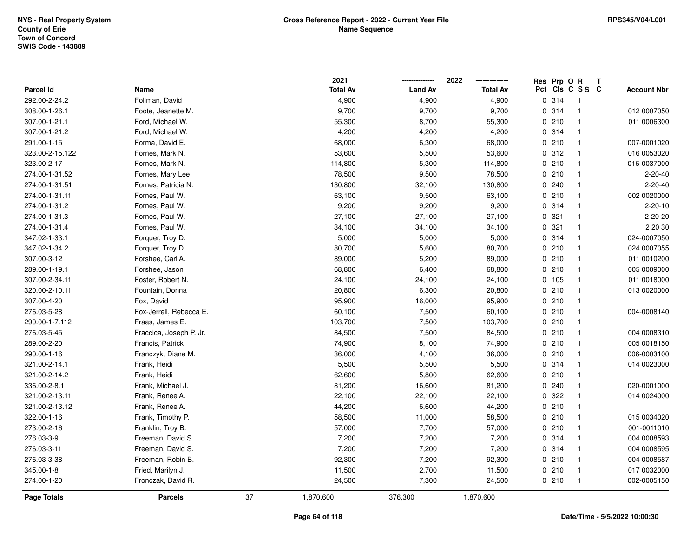|                    |                         |    | 2021            |                | 2022            | Res Prp O R |                 | Т |                    |
|--------------------|-------------------------|----|-----------------|----------------|-----------------|-------------|-----------------|---|--------------------|
| Parcel Id          | Name                    |    | <b>Total Av</b> | <b>Land Av</b> | <b>Total Av</b> |             | Pct Cls C S S C |   | <b>Account Nbr</b> |
| 292.00-2-24.2      | Follman, David          |    | 4,900           | 4,900          | 4,900           | 0.314       | $\overline{1}$  |   |                    |
| 308.00-1-26.1      | Foote, Jeanette M.      |    | 9,700           | 9,700          | 9,700           | 0.314       | $\mathbf{1}$    |   | 012 0007050        |
| 307.00-1-21.1      | Ford, Michael W.        |    | 55,300          | 8,700          | 55,300          | 0210        | $\mathbf{1}$    |   | 011 0006300        |
| 307.00-1-21.2      | Ford, Michael W.        |    | 4,200           | 4,200          | 4,200           | 0.314       | $\mathbf{1}$    |   |                    |
| 291.00-1-15        | Forma, David E.         |    | 68,000          | 6,300          | 68,000          | 0210        | $\mathbf{1}$    |   | 007-0001020        |
| 323.00-2-15.122    | Fornes, Mark N.         |    | 53,600          | 5,500          | 53,600          | 0.312       | 1               |   | 016 0053020        |
| 323.00-2-17        | Fornes, Mark N.         |    | 114,800         | 5,300          | 114,800         | 0210        | $\mathbf{1}$    |   | 016-0037000        |
| 274.00-1-31.52     | Fornes, Mary Lee        |    | 78,500          | 9,500          | 78,500          | 0210        | $\mathbf{1}$    |   | $2 - 20 - 40$      |
| 274.00-1-31.51     | Fornes, Patricia N.     |    | 130,800         | 32,100         | 130,800         | 0.240       | $\mathbf{1}$    |   | $2 - 20 - 40$      |
| 274.00-1-31.11     | Fornes, Paul W.         |    | 63,100          | 9,500          | 63,100          | 0210        | $\mathbf{1}$    |   | 002 0020000        |
| 274.00-1-31.2      | Fornes, Paul W.         |    | 9,200           | 9,200          | 9,200           | 0.314       | $\mathbf{1}$    |   | $2 - 20 - 10$      |
| 274.00-1-31.3      | Fornes, Paul W.         |    | 27,100          | 27,100         | 27,100          | 0.321       | $\mathbf{1}$    |   | $2 - 20 - 20$      |
| 274.00-1-31.4      | Fornes, Paul W.         |    | 34,100          | 34,100         | 34,100          | 0.321       | $\mathbf{1}$    |   | 2 20 30            |
| 347.02-1-33.1      | Forquer, Troy D.        |    | 5,000           | 5,000          | 5,000           | 0.314       | $\mathbf{1}$    |   | 024-0007050        |
| 347.02-1-34.2      | Forquer, Troy D.        |    | 80,700          | 5,600          | 80,700          | 0210        | $\mathbf{1}$    |   | 024 0007055        |
| 307.00-3-12        | Forshee, Carl A.        |    | 89,000          | 5,200          | 89,000          | 0210        | $\mathbf{1}$    |   | 011 0010200        |
| 289.00-1-19.1      | Forshee, Jason          |    | 68,800          | 6,400          | 68,800          | 0210        | $\mathbf{1}$    |   | 005 0009000        |
| 307.00-2-34.11     | Foster, Robert N.       |    | 24,100          | 24,100         | 24,100          | 0 105       | $\mathbf{1}$    |   | 011 0018000        |
| 320.00-2-10.11     | Fountain, Donna         |    | 20,800          | 6,300          | 20,800          | 0210        | $\mathbf{1}$    |   | 013 0020000        |
| 307.00-4-20        | Fox, David              |    | 95,900          | 16,000         | 95,900          | 0210        | $\mathbf{1}$    |   |                    |
| 276.03-5-28        | Fox-Jerrell, Rebecca E. |    | 60,100          | 7,500          | 60,100          | 0210        | $\mathbf{1}$    |   | 004-0008140        |
| 290.00-1-7.112     | Fraas, James E.         |    | 103,700         | 7,500          | 103,700         | 0210        | $\mathbf{1}$    |   |                    |
| 276.03-5-45        | Fraccica, Joseph P. Jr. |    | 84,500          | 7,500          | 84,500          | 0210        | $\mathbf{1}$    |   | 004 0008310        |
| 289.00-2-20        | Francis, Patrick        |    | 74,900          | 8,100          | 74,900          | 0210        | $\mathbf{1}$    |   | 005 0018150        |
| 290.00-1-16        | Franczyk, Diane M.      |    | 36,000          | 4,100          | 36,000          | 0210        | $\mathbf{1}$    |   | 006-0003100        |
| 321.00-2-14.1      | Frank, Heidi            |    | 5,500           | 5,500          | 5,500           | 0.314       | $\mathbf{1}$    |   | 014 0023000        |
| 321.00-2-14.2      | Frank, Heidi            |    | 62,600          | 5,800          | 62,600          | 0210        | $\mathbf{1}$    |   |                    |
| 336.00-2-8.1       | Frank, Michael J.       |    | 81,200          | 16,600         | 81,200          | 0.240       | 1               |   | 020-0001000        |
| 321.00-2-13.11     | Frank, Renee A.         |    | 22,100          | 22,100         | 22,100          | 0.322       | $\mathbf{1}$    |   | 014 0024000        |
| 321.00-2-13.12     | Frank, Renee A.         |    | 44,200          | 6,600          | 44,200          | 0210        | $\mathbf{1}$    |   |                    |
| 322.00-1-16        | Frank, Timothy P.       |    | 58,500          | 11,000         | 58,500          | 0210        | $\mathbf{1}$    |   | 015 0034020        |
| 273.00-2-16        | Franklin, Troy B.       |    | 57,000          | 7,700          | 57,000          | 0210        | $\mathbf{1}$    |   | 001-0011010        |
| 276.03-3-9         | Freeman, David S.       |    | 7,200           | 7,200          | 7,200           | 0.314       | $\mathbf{1}$    |   | 004 0008593        |
| 276.03-3-11        | Freeman, David S.       |    | 7,200           | 7,200          | 7,200           | 0.314       | $\mathbf{1}$    |   | 004 0008595        |
| 276.03-3-38        | Freeman, Robin B.       |    | 92,300          | 7,200          | 92,300          | 0210        | $\mathbf{1}$    |   | 004 0008587        |
| 345.00-1-8         | Fried, Marilyn J.       |    | 11,500          | 2,700          | 11,500          | 0210        | $\mathbf{1}$    |   | 017 0032000        |
| 274.00-1-20        | Fronczak, David R.      |    | 24,500          | 7,300          | 24,500          | 0210        | $\mathbf{1}$    |   | 002-0005150        |
| <b>Page Totals</b> | <b>Parcels</b>          | 37 | 1,870,600       | 376,300        | 1,870,600       |             |                 |   |                    |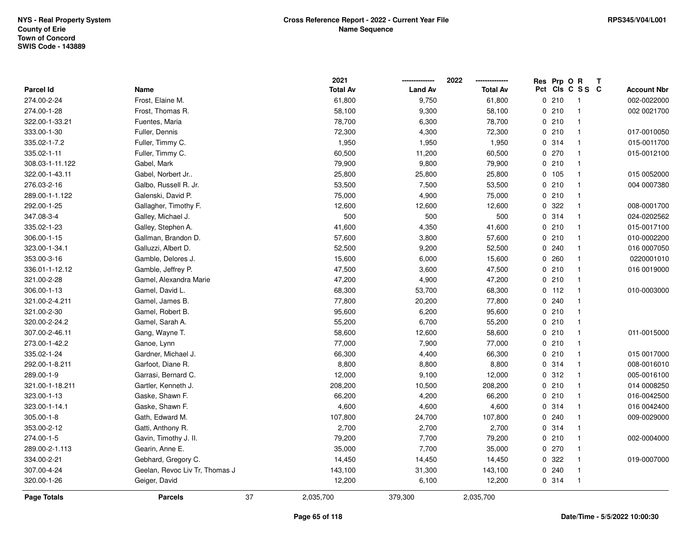|                  |                                |    | 2021            |                | 2022            | Res | Prp O R | Т               |                    |
|------------------|--------------------------------|----|-----------------|----------------|-----------------|-----|---------|-----------------|--------------------|
| <b>Parcel Id</b> | Name                           |    | <b>Total Av</b> | <b>Land Av</b> | <b>Total Av</b> |     |         | Pct Cls C S S C | <b>Account Nbr</b> |
| 274.00-2-24      | Frost, Elaine M.               |    | 61,800          | 9,750          | 61,800          |     | 0210    | $\overline{1}$  | 002-0022000        |
| 274.00-1-28      | Frost, Thomas R.               |    | 58,100          | 9,300          | 58,100          |     | 0210    | $\mathbf 1$     | 002 0021700        |
| 322.00-1-33.21   | Fuentes, Maria                 |    | 78,700          | 6,300          | 78,700          |     | 0210    | $\mathbf 1$     |                    |
| 333.00-1-30      | Fuller, Dennis                 |    | 72,300          | 4,300          | 72,300          |     | 0210    | -1              | 017-0010050        |
| 335.02-1-7.2     | Fuller, Timmy C.               |    | 1,950           | 1,950          | 1,950           |     | 0.314   | -1              | 015-0011700        |
| 335.02-1-11      | Fuller, Timmy C.               |    | 60,500          | 11,200         | 60,500          |     | 0270    |                 | 015-0012100        |
| 308.03-1-11.122  | Gabel, Mark                    |    | 79,900          | 9,800          | 79,900          |     | 0210    | $\mathbf 1$     |                    |
| 322.00-1-43.11   | Gabel, Norbert Jr              |    | 25,800          | 25,800         | 25,800          |     | 0 105   | $\mathbf{1}$    | 015 0052000        |
| 276.03-2-16      | Galbo, Russell R. Jr.          |    | 53,500          | 7,500          | 53,500          |     | 0210    | $\mathbf 1$     | 004 0007380        |
| 289.00-1-1.122   | Galenski, David P.             |    | 75,000          | 4,900          | 75,000          |     | 0210    | $\mathbf 1$     |                    |
| 292.00-1-25      | Gallagher, Timothy F.          |    | 12,600          | 12,600         | 12,600          |     | 0.322   |                 | 008-0001700        |
| 347.08-3-4       | Galley, Michael J.             |    | 500             | 500            | 500             |     | 0.314   |                 | 024-0202562        |
| 335.02-1-23      | Galley, Stephen A.             |    | 41,600          | 4,350          | 41,600          |     | 0210    |                 | 015-0017100        |
| 306.00-1-15      | Gallman, Brandon D.            |    | 57,600          | 3,800          | 57,600          |     | 0210    | $\mathbf 1$     | 010-0002200        |
| 323.00-1-34.1    | Galluzzi, Albert D.            |    | 52,500          | 9,200          | 52,500          |     | 0.240   | $\mathbf 1$     | 016 0007050        |
| 353.00-3-16      | Gamble, Delores J.             |    | 15,600          | 6,000          | 15,600          |     | 0.260   | $\mathbf{1}$    | 0220001010         |
| 336.01-1-12.12   | Gamble, Jeffrey P.             |    | 47,500          | 3,600          | 47,500          |     | 0210    | -1              | 016 0019000        |
| 321.00-2-28      | Gamel, Alexandra Marie         |    | 47,200          | 4,900          | 47,200          |     | 0210    | -1              |                    |
| 306.00-1-13      | Gamel, David L.                |    | 68,300          | 53,700         | 68,300          |     | $0$ 112 | $\mathbf 1$     | 010-0003000        |
| 321.00-2-4.211   | Gamel, James B.                |    | 77,800          | 20,200         | 77,800          |     | 0.240   |                 |                    |
| 321.00-2-30      | Gamel, Robert B.               |    | 95,600          | 6,200          | 95,600          |     | 0210    | $\mathbf{1}$    |                    |
| 320.00-2-24.2    | Gamel, Sarah A.                |    | 55,200          | 6,700          | 55,200          |     | 0210    | $\mathbf 1$     |                    |
| 307.00-2-46.11   | Gang, Wayne T.                 |    | 58,600          | 12,600         | 58,600          |     | 0210    | $\mathbf{1}$    | 011-0015000        |
| 273.00-1-42.2    | Ganoe, Lynn                    |    | 77,000          | 7,900          | 77,000          |     | 0210    | $\mathbf{1}$    |                    |
| 335.02-1-24      | Gardner, Michael J.            |    | 66,300          | 4,400          | 66,300          |     | 0210    | $\mathbf 1$     | 015 0017000        |
| 292.00-1-8.211   | Garfoot, Diane R.              |    | 8,800           | 8,800          | 8,800           |     | 0.314   |                 | 008-0016010        |
| 289.00-1-9       | Garrasi, Bernard C.            |    | 12,000          | 9,100          | 12,000          |     | 0.312   |                 | 005-0016100        |
| 321.00-1-18.211  | Gartler, Kenneth J.            |    | 208,200         | 10,500         | 208,200         |     | 0210    | $\mathbf 1$     | 014 0008250        |
| 323.00-1-13      | Gaske, Shawn F.                |    | 66,200          | 4,200          | 66,200          |     | 0210    | $\mathbf 1$     | 016-0042500        |
| 323.00-1-14.1    | Gaske, Shawn F.                |    | 4,600           | 4,600          | 4,600           |     | 0.314   | $\mathbf 1$     | 016 0042400        |
| 305.00-1-8       | Gath, Edward M.                |    | 107,800         | 24,700         | 107,800         |     | 0.240   | $\mathbf 1$     | 009-0029000        |
| 353.00-2-12      | Gatti, Anthony R.              |    | 2,700           | 2,700          | 2,700           |     | 0.314   | $\mathbf 1$     |                    |
| 274.00-1-5       | Gavin, Timothy J. II.          |    | 79,200          | 7,700          | 79,200          |     | 0210    |                 | 002-0004000        |
| 289.00-2-1.113   | Gearin, Anne E.                |    | 35,000          | 7,700          | 35,000          |     | 0270    | -1              |                    |
| 334.00-2-21      | Gebhard, Gregory C.            |    | 14,450          | 14,450         | 14,450          |     | 0.322   | $\mathbf 1$     | 019-0007000        |
| 307.00-4-24      | Geelan, Revoc Liv Tr, Thomas J |    | 143,100         | 31,300         | 143,100         |     | 0.240   | $\mathbf 1$     |                    |
| 320.00-1-26      | Geiger, David                  |    | 12,200          | 6,100          | 12,200          |     | 0.314   | $\overline{1}$  |                    |
| Page Totals      | <b>Parcels</b>                 | 37 | 2,035,700       | 379,300        | 2,035,700       |     |         |                 |                    |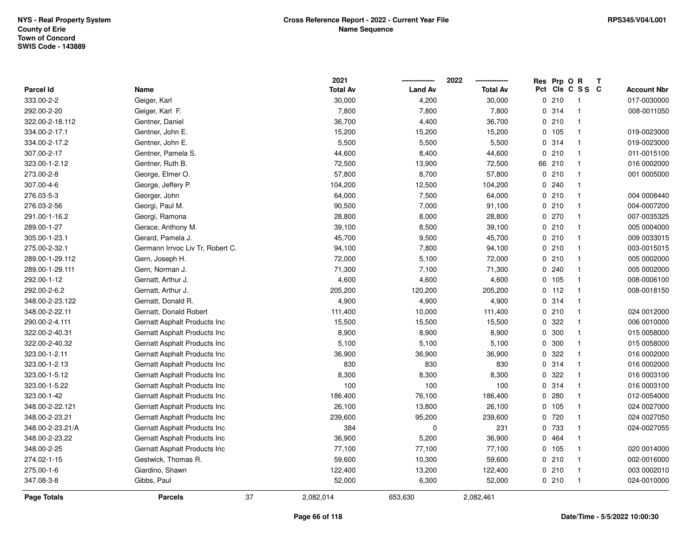|                  |                                  |    | 2021            |                | 2022<br>-------------- | Res | Prp O R |                         | $\mathbf{T}$ |                    |
|------------------|----------------------------------|----|-----------------|----------------|------------------------|-----|---------|-------------------------|--------------|--------------------|
| <b>Parcel Id</b> | Name                             |    | <b>Total Av</b> | <b>Land Av</b> | <b>Total Av</b>        |     |         | Pct Cls C S S C         |              | <b>Account Nbr</b> |
| 333.00-2-2       | Geiger, Karl                     |    | 30,000          | 4,200          | 30,000                 |     | 0210    | - 1                     |              | 017-0030000        |
| 292.00-2-20      | Geiger, Karl F.                  |    | 7,800           | 7,800          | 7,800                  |     | 0 314   | -1                      |              | 008-0011050        |
| 322.00-2-18.112  | Gentner, Daniel                  |    | 36,700          | 4,400          | 36,700                 |     | 0210    | $\overline{\mathbf{1}}$ |              |                    |
| 334.00-2-17.1    | Gentner, John E.                 |    | 15,200          | 15,200         | 15,200                 |     | 0 105   | $\overline{1}$          |              | 019-0023000        |
| 334.00-2-17.2    | Gentner, John E.                 |    | 5,500           | 5,500          | 5,500                  |     | 0.314   | $\overline{1}$          |              | 019-0023000        |
| 307.00-2-17      | Gentner, Pamela S.               |    | 44,600          | 8,400          | 44,600                 |     | 0210    | $\mathbf{1}$            |              | 011-0015100        |
| 323.00-1-2.12    | Gentner, Ruth B.                 |    | 72,500          | 13,900         | 72,500                 |     | 66 210  | $\overline{\mathbf{1}}$ |              | 016 0002000        |
| 273.00-2-8       | George, Elmer O.                 |    | 57,800          | 8,700          | 57,800                 |     | 0210    | $\mathbf{1}$            |              | 001 0005000        |
| 307.00-4-6       | George, Jeffery P.               |    | 104,200         | 12,500         | 104,200                |     | 0.240   | $\overline{\mathbf{1}}$ |              |                    |
| 276.03-5-3       | Georger, John                    |    | 64,000          | 7,500          | 64,000                 |     | 0210    | $\overline{\mathbf{1}}$ |              | 004 0008440        |
| 276.03-2-56      | Georgi, Paul M.                  |    | 90,500          | 7,000          | 91,100                 |     | 0210    | $\overline{\mathbf{1}}$ |              | 004-0007200        |
| 291.00-1-16.2    | Georgi, Ramona                   |    | 28,800          | 8,000          | 28,800                 |     | 0270    | $\overline{\mathbf{1}}$ |              | 007-0035325        |
| 289.00-1-27      | Gerace, Anthony M.               |    | 39,100          | 8,500          | 39,100                 |     | 0210    | -1                      |              | 005 0004000        |
| 305.00-1-23.1    | Gerard, Pamela J.                |    | 45,700          | 9,500          | 45,700                 |     | 0210    | $\overline{\mathbf{1}}$ |              | 009 0033015        |
| 275.00-2-32.1    | Germann Irrvoc Liv Tr, Robert C. |    | 94,100          | 7,800          | 94,100                 |     | 0210    | $\overline{\mathbf{1}}$ |              | 003-0015015        |
| 289.00-1-29.112  | Gern, Joseph H.                  |    | 72,000          | 5,100          | 72,000                 |     | 0210    | $\overline{\mathbf{1}}$ |              | 005 0002000        |
| 289.00-1-29.111  | Gern, Norman J.                  |    | 71,300          | 7,100          | 71,300                 |     | 0.240   | $\overline{\mathbf{1}}$ |              | 005 0002000        |
| 292.00-1-12      | Gernatt, Arthur J.               |    | 4,600           | 4,600          | 4,600                  |     | 0 105   | $\overline{\mathbf{1}}$ |              | 008-0006100        |
| 292.00-2-6.2     | Gernatt, Arthur J.               |    | 205,200         | 120,200        | 205,200                |     | $0$ 112 | $\overline{1}$          |              | 008-0018150        |
| 348.00-2-23.122  | Gernatt, Donald R.               |    | 4,900           | 4,900          | 4,900                  |     | 0.314   | $\overline{\mathbf{1}}$ |              |                    |
| 348.00-2-22.11   | Gernatt, Donald Robert           |    | 111,400         | 10,000         | 111,400                |     | 0210    | $\overline{\mathbf{1}}$ |              | 024 0012000        |
| 290.00-2-4.111   | Gernatt Asphalt Products Inc     |    | 15,500          | 15,500         | 15,500                 |     | 0 322   | $\overline{\mathbf{1}}$ |              | 006 0010000        |
| 322.00-2-40.31   | Gernatt Asphalt Products Inc     |    | 8,900           | 8,900          | 8,900                  |     | 0 300   | $\overline{1}$          |              | 015 0058000        |
| 322.00-2-40.32   | Gernatt Asphalt Products Inc     |    | 5,100           | 5,100          | 5,100                  |     | 0 300   | $\overline{\mathbf{1}}$ |              | 015 0058000        |
| 323.00-1-2.11    | Gernatt Asphalt Products Inc     |    | 36,900          | 36,900         | 36,900                 |     | 0 322   | $\overline{\mathbf{1}}$ |              | 016 0002000        |
| 323.00-1-2.13    | Gernatt Asphalt Products Inc     |    | 830             | 830            | 830                    |     | 0.314   | $\overline{\mathbf{1}}$ |              | 016 0002000        |
| 323.00-1-5.12    | Gernatt Asphalt Products Inc     |    | 8,300           | 8,300          | 8,300                  |     | 0 322   | $\mathbf{1}$            |              | 016 0003100        |
| 323.00-1-5.22    | Gernatt Asphalt Products Inc     |    | 100             | 100            | 100                    |     | 0.314   | $\mathbf{1}$            |              | 016 0003100        |
| 323.00-1-42      | Gernatt Asphalt Products Inc     |    | 186,400         | 76,100         | 186,400                |     | 0.280   | $\overline{\mathbf{1}}$ |              | 012-0054000        |
| 348.00-2-22.121  | Gernatt Asphalt Products Inc     |    | 26,100          | 13,800         | 26,100                 |     | 0 105   | $\overline{1}$          |              | 024 0027000        |
| 348.00-2-23.21   | Gernatt Asphalt Products Inc     |    | 239,600         | 95,200         | 239,600                |     | 0 720   | $\overline{1}$          |              | 024 0027050        |
| 348.00-2-23.21/A | Gernatt Asphalt Products Inc     |    | 384             | 0              | 231                    |     | 0 733   | $\overline{\mathbf{1}}$ |              | 024-0027055        |
| 348.00-2-23.22   | Gernatt Asphalt Products Inc     |    | 36,900          | 5,200          | 36,900                 |     | 0 464   | $\overline{\mathbf{1}}$ |              |                    |
| 348.00-2-25      | Gernatt Asphalt Products Inc     |    | 77,100          | 77,100         | 77,100                 |     | 0.105   | $\overline{\mathbf{1}}$ |              | 020 0014000        |
| 274.02-1-15      | Gestwick, Thomas R.              |    | 59,600          | 10,300         | 59,600                 |     | 0210    | $\overline{\mathbf{1}}$ |              | 002-0016000        |
| 275.00-1-6       | Giardino, Shawn                  |    | 122,400         | 13,200         | 122,400                |     | 0210    | $\overline{1}$          |              | 003 0002010        |
| 347.08-3-8       | Gibbs, Paul                      |    | 52,000          | 6,300          | 52,000                 |     | 0210    | $\overline{1}$          |              | 024-0010000        |
| Page Totals      | <b>Parcels</b>                   | 37 | 2,082,014       | 653,630        | 2,082,461              |     |         |                         |              |                    |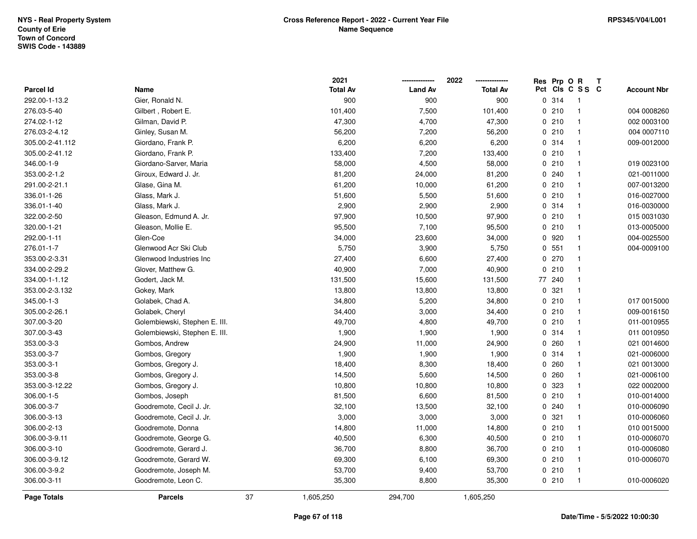|                  |                               |    | 2021            |                | 2022            | Res Prp O R |                 | Т |                    |
|------------------|-------------------------------|----|-----------------|----------------|-----------------|-------------|-----------------|---|--------------------|
| <b>Parcel Id</b> | Name                          |    | <b>Total Av</b> | <b>Land Av</b> | <b>Total Av</b> |             | Pct Cls C S S C |   | <b>Account Nbr</b> |
| 292.00-1-13.2    | Gier, Ronald N.               |    | 900             | 900            | 900             | 0.314       | $\overline{1}$  |   |                    |
| 276.03-5-40      | Gilbert, Robert E.            |    | 101,400         | 7,500          | 101,400         | 0210        | $\mathbf{1}$    |   | 004 0008260        |
| 274.02-1-12      | Gilman, David P.              |    | 47,300          | 4,700          | 47,300          | 0210        | $\mathbf{1}$    |   | 002 0003100        |
| 276.03-2-4.12    | Ginley, Susan M.              |    | 56,200          | 7,200          | 56,200          | 0210        | $\mathbf{1}$    |   | 004 0007110        |
| 305.00-2-41.112  | Giordano, Frank P.            |    | 6,200           | 6,200          | 6,200           | 0.314       | $\mathbf{1}$    |   | 009-0012000        |
| 305.00-2-41.12   | Giordano, Frank P.            |    | 133,400         | 7,200          | 133,400         | 0210        | $\mathbf{1}$    |   |                    |
| 346.00-1-9       | Giordano-Sarver, Maria        |    | 58,000          | 4,500          | 58,000          | 0210        | $\mathbf{1}$    |   | 019 0023100        |
| 353.00-2-1.2     | Giroux, Edward J. Jr.         |    | 81,200          | 24,000         | 81,200          | 0.240       | $\mathbf{1}$    |   | 021-0011000        |
| 291.00-2-21.1    | Glase, Gina M.                |    | 61,200          | 10,000         | 61,200          | 0210        | $\mathbf{1}$    |   | 007-0013200        |
| 336.01-1-26      | Glass, Mark J.                |    | 51,600          | 5,500          | 51,600          | 0210        | $\mathbf{1}$    |   | 016-0027000        |
| 336.01-1-40      | Glass, Mark J.                |    | 2,900           | 2,900          | 2,900           | 0.314       | $\mathbf{1}$    |   | 016-0030000        |
| 322.00-2-50      | Gleason, Edmund A. Jr.        |    | 97,900          | 10,500         | 97,900          | 0210        | $\mathbf{1}$    |   | 015 0031030        |
| 320.00-1-21      | Gleason, Mollie E.            |    | 95,500          | 7,100          | 95,500          | 0210        | $\mathbf 1$     |   | 013-0005000        |
| 292.00-1-11      | Glen-Coe                      |    | 34,000          | 23,600         | 34,000          | 0 920       | $\mathbf{1}$    |   | 004-0025500        |
| 276.01-1-7       | Glenwood Acr Ski Club         |    | 5,750           | 3,900          | 5,750           | 0 551       | $\mathbf{1}$    |   | 004-0009100        |
| 353.00-2-3.31    | Glenwood Industries Inc       |    | 27,400          | 6,600          | 27,400          | 0270        | $\mathbf{1}$    |   |                    |
| 334.00-2-29.2    | Glover, Matthew G.            |    | 40,900          | 7,000          | 40,900          | 0210        | $\mathbf{1}$    |   |                    |
| 334.00-1-1.12    | Godert, Jack M.               |    | 131,500         | 15,600         | 131,500         | 77 240      | $\mathbf{1}$    |   |                    |
| 353.00-2-3.132   | Gokey, Mark                   |    | 13,800          | 13,800         | 13,800          | 0.321       | $\mathbf{1}$    |   |                    |
| 345.00-1-3       | Golabek, Chad A.              |    | 34,800          | 5,200          | 34,800          | 0210        | $\mathbf 1$     |   | 017 0015000        |
| 305.00-2-26.1    | Golabek, Cheryl               |    | 34,400          | 3,000          | 34,400          | 0210        | $\mathbf{1}$    |   | 009-0016150        |
| 307.00-3-20      | Golembiewski, Stephen E. III. |    | 49,700          | 4,800          | 49,700          | 0210        | $\mathbf{1}$    |   | 011-0010955        |
| 307.00-3-43      | Golembiewski, Stephen E. III. |    | 1,900           | 1,900          | 1,900           | 0.314       | $\mathbf{1}$    |   | 011 0010950        |
| 353.00-3-3       | Gombos, Andrew                |    | 24,900          | 11,000         | 24,900          | 0.260       | $\mathbf{1}$    |   | 021 0014600        |
| 353.00-3-7       | Gombos, Gregory               |    | 1,900           | 1,900          | 1,900           | 0.314       | $\mathbf{1}$    |   | 021-0006000        |
| 353.00-3-1       | Gombos, Gregory J.            |    | 18,400          | 8,300          | 18,400          | 0.260       | $\mathbf{1}$    |   | 021 0013000        |
| 353.00-3-8       | Gombos, Gregory J.            |    | 14,500          | 5,600          | 14,500          | 0.260       | $\mathbf{1}$    |   | 021-0006100        |
| 353.00-3-12.22   | Gombos, Gregory J.            |    | 10,800          | 10,800         | 10,800          | 0 323       | $\mathbf{1}$    |   | 022 0002000        |
| 306.00-1-5       | Gombos, Joseph                |    | 81,500          | 6,600          | 81,500          | 0210        | $\mathbf{1}$    |   | 010-0014000        |
| 306.00-3-7       | Goodremote, Cecil J. Jr.      |    | 32,100          | 13,500         | 32,100          | 0.240       | $\mathbf{1}$    |   | 010-0006090        |
| 306.00-3-13      | Goodremote, Cecil J. Jr.      |    | 3,000           | 3,000          | 3,000           | 0.321       | $\mathbf{1}$    |   | 010-0006060        |
| 306.00-2-13      | Goodremote, Donna             |    | 14,800          | 11,000         | 14,800          | 0210        | $\mathbf{1}$    |   | 010 0015000        |
| 306.00-3-9.11    | Goodremote, George G.         |    | 40,500          | 6,300          | 40,500          | 0210        | $\mathbf{1}$    |   | 010-0006070        |
| 306.00-3-10      | Goodremote, Gerard J.         |    | 36,700          | 8,800          | 36,700          | 0210        | $\mathbf{1}$    |   | 010-0006080        |
| 306.00-3-9.12    | Goodremote, Gerard W.         |    | 69,300          | 6,100          | 69,300          | 0210        | $\mathbf{1}$    |   | 010-0006070        |
| 306.00-3-9.2     | Goodremote, Joseph M.         |    | 53,700          | 9,400          | 53,700          | 0210        | $\mathbf{1}$    |   |                    |
| 306.00-3-11      | Goodremote, Leon C.           |    | 35,300          | 8,800          | 35,300          | 0210        | $\mathbf{1}$    |   | 010-0006020        |
| Page Totals      | <b>Parcels</b>                | 37 | 1,605,250       | 294,700        | 1,605,250       |             |                 |   |                    |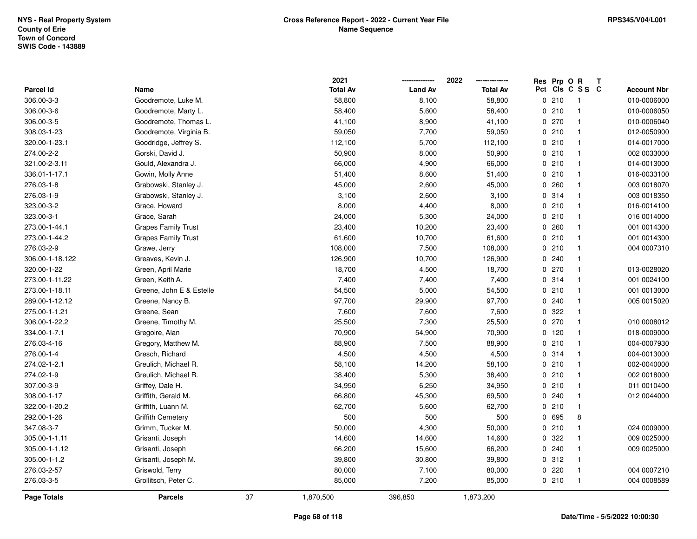|                 |                            |    | 2021            |                | 2022            | Res Prp O R |                         | Т |                    |
|-----------------|----------------------------|----|-----------------|----------------|-----------------|-------------|-------------------------|---|--------------------|
| Parcel Id       | Name                       |    | <b>Total Av</b> | <b>Land Av</b> | <b>Total Av</b> |             | Pct Cls C S S C         |   | <b>Account Nbr</b> |
| 306.00-3-3      | Goodremote, Luke M.        |    | 58,800          | 8,100          | 58,800          | 0210        | $\overline{\mathbf{1}}$ |   | 010-0006000        |
| 306.00-3-6      | Goodremote, Marty L.       |    | 58,400          | 5,600          | 58,400          | 0210        | $\overline{1}$          |   | 010-0006050        |
| 306.00-3-5      | Goodremote, Thomas L.      |    | 41,100          | 8,900          | 41,100          | 0270        | $\overline{1}$          |   | 010-0006040        |
| 308.03-1-23     | Goodremote, Virginia B.    |    | 59,050          | 7,700          | 59,050          | 0210        | $\overline{1}$          |   | 012-0050900        |
| 320.00-1-23.1   | Goodridge, Jeffrey S.      |    | 112,100         | 5,700          | 112,100         | 0210        | $\overline{1}$          |   | 014-0017000        |
| 274.00-2-2      | Gorski, David J.           |    | 50,900          | 8,000          | 50,900          | 0210        | $\overline{1}$          |   | 002 0033000        |
| 321.00-2-3.11   | Gould, Alexandra J.        |    | 66,000          | 4,900          | 66,000          | 0210        | $\overline{1}$          |   | 014-0013000        |
| 336.01-1-17.1   | Gowin, Molly Anne          |    | 51,400          | 8,600          | 51,400          | 0210        | $\overline{1}$          |   | 016-0033100        |
| 276.03-1-8      | Grabowski, Stanley J.      |    | 45,000          | 2,600          | 45,000          | 0.260       | $\overline{1}$          |   | 003 0018070        |
| 276.03-1-9      | Grabowski, Stanley J.      |    | 3,100           | 2,600          | 3,100           | 0.314       | $\overline{1}$          |   | 003 0018350        |
| 323.00-3-2      | Grace, Howard              |    | 8,000           | 4,400          | 8,000           | 0210        | $\overline{1}$          |   | 016-0014100        |
| 323.00-3-1      | Grace, Sarah               |    | 24,000          | 5,300          | 24,000          | 0210        | $\overline{1}$          |   | 016 0014000        |
| 273.00-1-44.1   | <b>Grapes Family Trust</b> |    | 23,400          | 10,200         | 23,400          | 0.260       | -1                      |   | 001 0014300        |
| 273.00-1-44.2   | <b>Grapes Family Trust</b> |    | 61,600          | 10,700         | 61,600          | 0210        | $\overline{1}$          |   | 001 0014300        |
| 276.03-2-9      | Grawe, Jerry               |    | 108,000         | 7,500          | 108,000         | 0210        | $\overline{1}$          |   | 004 0007310        |
| 306.00-1-18.122 | Greaves, Kevin J.          |    | 126,900         | 10,700         | 126,900         | 0.240       | $\overline{1}$          |   |                    |
| 320.00-1-22     | Green, April Marie         |    | 18,700          | 4,500          | 18,700          | 0270        | $\overline{1}$          |   | 013-0028020        |
| 273.00-1-11.22  | Green, Keith A.            |    | 7,400           | 7,400          | 7,400           | 0 314       | -1                      |   | 001 0024100        |
| 273.00-1-18.11  | Greene, John E & Estelle   |    | 54,500          | 5,000          | 54,500          | 0210        | $\overline{1}$          |   | 001 0013000        |
| 289.00-1-12.12  | Greene, Nancy B.           |    | 97,700          | 29,900         | 97,700          | 0.240       | $\overline{1}$          |   | 005 0015020        |
| 275.00-1-1.21   | Greene, Sean               |    | 7,600           | 7,600          | 7,600           | 0.322       | $\overline{1}$          |   |                    |
| 306.00-1-22.2   | Greene, Timothy M.         |    | 25,500          | 7,300          | 25,500          | 0270        | $\overline{1}$          |   | 010 0008012        |
| 334.00-1-7.1    | Gregoire, Alan             |    | 70,900          | 54,900         | 70,900          | 0, 120      | $\overline{1}$          |   | 018-0009000        |
| 276.03-4-16     | Gregory, Matthew M.        |    | 88,900          | 7,500          | 88,900          | 0210        | $\overline{1}$          |   | 004-0007930        |
| 276.00-1-4      | Gresch, Richard            |    | 4,500           | 4,500          | 4,500           | 0.314       | $\overline{1}$          |   | 004-0013000        |
| 274.02-1-2.1    | Greulich, Michael R.       |    | 58,100          | 14,200         | 58,100          | 0210        | -1                      |   | 002-0040000        |
| 274.02-1-9      | Greulich, Michael R.       |    | 38,400          | 5,300          | 38,400          | 0210        | $\overline{1}$          |   | 002 0018000        |
| 307.00-3-9      | Griffey, Dale H.           |    | 34,950          | 6,250          | 34,950          | 0210        | $\overline{1}$          |   | 011 0010400        |
| 308.00-1-17     | Griffith, Gerald M.        |    | 66,800          | 45,300         | 69,500          | 0.240       | $\overline{1}$          |   | 012 0044000        |
| 322.00-1-20.2   | Griffith, Luann M.         |    | 62,700          | 5,600          | 62,700          | 0210        | $\overline{1}$          |   |                    |
| 292.00-1-26     | <b>Griffith Cemetery</b>   |    | 500             | 500            | 500             | 0 695       | 8                       |   |                    |
| 347.08-3-7      | Grimm, Tucker M.           |    | 50,000          | 4,300          | 50,000          | 0210        | $\overline{1}$          |   | 024 0009000        |
| 305.00-1-1.11   | Grisanti, Joseph           |    | 14,600          | 14,600         | 14,600          | 0.322       | $\overline{1}$          |   | 009 0025000        |
| 305.00-1-1.12   | Grisanti, Joseph           |    | 66,200          | 15,600         | 66,200          | 0.240       | $\mathbf{1}$            |   | 009 0025000        |
| 305.00-1-1.2    | Grisanti, Joseph M.        |    | 39,800          | 30,800         | 39,800          | 0.312       | $\overline{1}$          |   |                    |
| 276.03-2-57     | Griswold, Terry            |    | 80,000          | 7,100          | 80,000          | 0220        | $\overline{1}$          |   | 004 0007210        |
| 276.03-3-5      | Grollitsch, Peter C.       |    | 85,000          | 7,200          | 85,000          | 0210        | $\overline{1}$          |   | 004 0008589        |
| Page Totals     | <b>Parcels</b>             | 37 | 1,870,500       | 396,850        | 1,873,200       |             |                         |   |                    |

## **Page 68 of 118**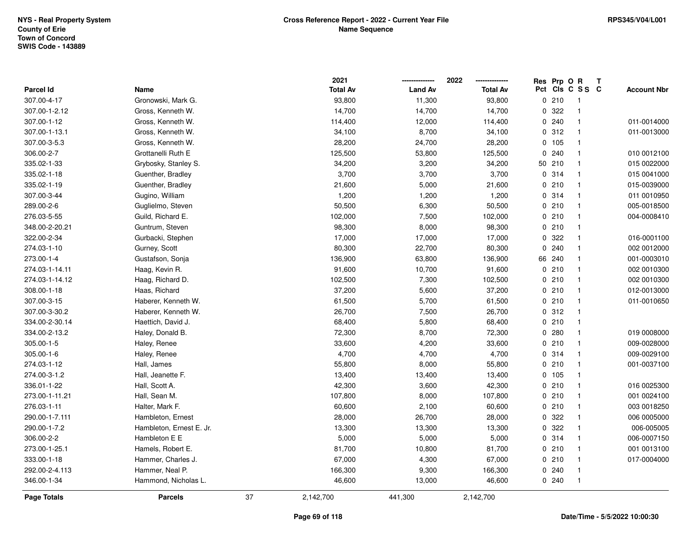|                  |                          |    | 2021            |                | 2022            |             | Res Prp O R |                 | Т |                    |
|------------------|--------------------------|----|-----------------|----------------|-----------------|-------------|-------------|-----------------|---|--------------------|
| <b>Parcel Id</b> | Name                     |    | <b>Total Av</b> | <b>Land Av</b> | <b>Total Av</b> |             |             | Pct Cls C S S C |   | <b>Account Nbr</b> |
| 307.00-4-17      | Gronowski, Mark G.       |    | 93,800          | 11,300         | 93,800          |             | 0210        | -1              |   |                    |
| 307.00-1-2.12    | Gross, Kenneth W.        |    | 14,700          | 14,700         | 14,700          | 0           | 322         | $\overline{1}$  |   |                    |
| 307.00-1-12      | Gross, Kenneth W.        |    | 114,400         | 12,000         | 114,400         |             | 0.240       | $\mathbf{1}$    |   | 011-0014000        |
| 307.00-1-13.1    | Gross, Kenneth W.        |    | 34,100          | 8,700          | 34,100          |             | 0.312       | $\mathbf{1}$    |   | 011-0013000        |
| 307.00-3-5.3     | Gross, Kenneth W.        |    | 28,200          | 24,700         | 28,200          |             | 0 105       | $\mathbf{1}$    |   |                    |
| 306.00-2-7       | Grottanelli Ruth E       |    | 125,500         | 53,800         | 125,500         |             | 0.240       | $\overline{1}$  |   | 010 0012100        |
| 335.02-1-33      | Grybosky, Stanley S.     |    | 34,200          | 3,200          | 34,200          |             | 50 210      | $\mathbf{1}$    |   | 015 0022000        |
| 335.02-1-18      | Guenther, Bradley        |    | 3,700           | 3,700          | 3,700           |             | 0.314       | $\mathbf{1}$    |   | 015 0041000        |
| 335.02-1-19      | Guenther, Bradley        |    | 21,600          | 5,000          | 21,600          | 0           | 210         | $\mathbf{1}$    |   | 015-0039000        |
| 307.00-3-44      | Gugino, William          |    | 1,200           | 1,200          | 1,200           |             | 0.314       | $\mathbf{1}$    |   | 011 0010950        |
| 289.00-2-6       | Guglielmo, Steven        |    | 50,500          | 6,300          | 50,500          |             | 0210        | -1              |   | 005-0018500        |
| 276.03-5-55      | Guild, Richard E.        |    | 102,000         | 7,500          | 102,000         |             | 0210        | $\overline{1}$  |   | 004-0008410        |
| 348.00-2-20.21   | Guntrum, Steven          |    | 98,300          | 8,000          | 98,300          |             | 0210        | -1              |   |                    |
| 322.00-2-34      | Gurbacki, Stephen        |    | 17,000          | 17,000         | 17,000          |             | 0 322       | $\mathbf{1}$    |   | 016-0001100        |
| 274.03-1-10      | Gurney, Scott            |    | 80,300          | 22,700         | 80,300          | $\mathbf 0$ | 240         | $\mathbf{1}$    |   | 002 0012000        |
| 273.00-1-4       | Gustafson, Sonja         |    | 136,900         | 63,800         | 136,900         | 66          | 240         | $\mathbf{1}$    |   | 001-0003010        |
| 274.03-1-14.11   | Haag, Kevin R.           |    | 91,600          | 10,700         | 91,600          |             | 0210        | $\mathbf{1}$    |   | 002 0010300        |
| 274.03-1-14.12   | Haag, Richard D.         |    | 102,500         | 7,300          | 102,500         |             | 0210        | $\mathbf{1}$    |   | 002 0010300        |
| 308.00-1-18      | Haas, Richard            |    | 37,200          | 5,600          | 37,200          |             | 0210        | -1              |   | 012-0013000        |
| 307.00-3-15      | Haberer, Kenneth W.      |    | 61,500          | 5,700          | 61,500          |             | 0210        | -1              |   | 011-0010650        |
| 307.00-3-30.2    | Haberer, Kenneth W.      |    | 26,700          | 7,500          | 26,700          |             | 0.312       | $\mathbf{1}$    |   |                    |
| 334.00-2-30.14   | Haettich, David J.       |    | 68,400          | 5,800          | 68,400          |             | 0210        | -1              |   |                    |
| 334.00-2-13.2    | Haley, Donald B.         |    | 72,300          | 8,700          | 72,300          |             | 0.280       | $\mathbf{1}$    |   | 019 0008000        |
| 305.00-1-5       | Haley, Renee             |    | 33,600          | 4,200          | 33,600          |             | 0210        | $\mathbf{1}$    |   | 009-0028000        |
| 305.00-1-6       | Haley, Renee             |    | 4,700           | 4,700          | 4,700           |             | 0.314       | $\mathbf{1}$    |   | 009-0029100        |
| 274.03-1-12      | Hall, James              |    | 55,800          | 8,000          | 55,800          |             | 0210        | -1              |   | 001-0037100        |
| 274.00-3-1.2     | Hall, Jeanette F.        |    | 13,400          | 13,400         | 13,400          |             | 0, 105      | -1              |   |                    |
| 336.01-1-22      | Hall, Scott A.           |    | 42,300          | 3,600          | 42,300          |             | 0210        | $\overline{1}$  |   | 016 0025300        |
| 273.00-1-11.21   | Hall, Sean M.            |    | 107,800         | 8,000          | 107,800         |             | 0210        | $\overline{1}$  |   | 001 0024100        |
| 276.03-1-11      | Halter, Mark F.          |    | 60,600          | 2,100          | 60,600          |             | 0210        | $\mathbf{1}$    |   | 003 0018250        |
| 290.00-1-7.111   | Hambleton, Ernest        |    | 28,000          | 26,700         | 28,000          |             | 0.322       | $\mathbf{1}$    |   | 006 0005000        |
| 290.00-1-7.2     | Hambleton, Ernest E. Jr. |    | 13,300          | 13,300         | 13,300          |             | 0.322       | $\mathbf{1}$    |   | 006-005005         |
| 306.00-2-2       | Hambleton E E            |    | 5,000           | 5,000          | 5,000           |             | 0.314       | $\mathbf{1}$    |   | 006-0007150        |
| 273.00-1-25.1    | Hamels, Robert E.        |    | 81,700          | 10,800         | 81,700          |             | 0210        | $\mathbf{1}$    |   | 001 0013100        |
| 333.00-1-18      | Hammer, Charles J.       |    | 67,000          | 4,300          | 67,000          |             | 0210        | $\mathbf{1}$    |   | 017-0004000        |
| 292.00-2-4.113   | Hammer, Neal P.          |    | 166,300         | 9,300          | 166,300         |             | 0.240       | -1              |   |                    |
| 346.00-1-34      | Hammond, Nicholas L.     |    | 46,600          | 13,000         | 46,600          |             | 0.240       | $\overline{1}$  |   |                    |
| Page Totals      | <b>Parcels</b>           | 37 | 2,142,700       | 441,300        | 2,142,700       |             |             |                 |   |                    |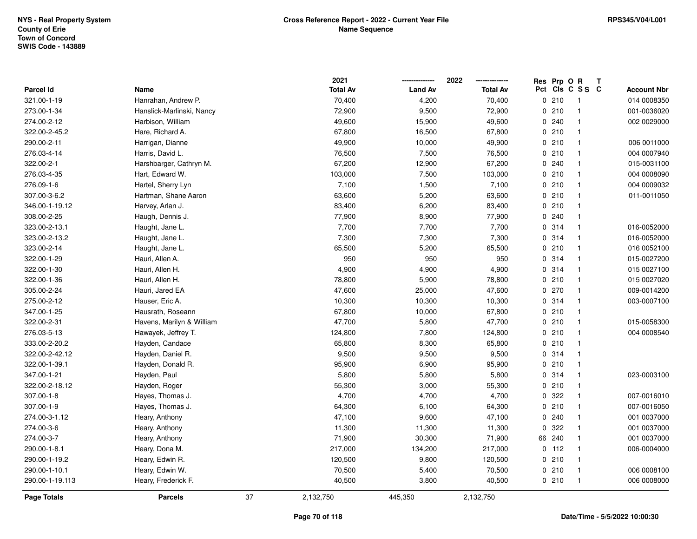|                  |                           |    | 2021            |                | 2022            | Res Prp O R |                 | Т |                    |
|------------------|---------------------------|----|-----------------|----------------|-----------------|-------------|-----------------|---|--------------------|
| <b>Parcel Id</b> | Name                      |    | <b>Total Av</b> | <b>Land Av</b> | <b>Total Av</b> |             | Pct Cls C S S C |   | <b>Account Nbr</b> |
| 321.00-1-19      | Hanrahan, Andrew P.       |    | 70,400          | 4,200          | 70,400          | 0210        | $\overline{1}$  |   | 014 0008350        |
| 273.00-1-34      | Hanslick-Marlinski, Nancy |    | 72,900          | 9,500          | 72,900          | 0210        | $\overline{1}$  |   | 001-0036020        |
| 274.00-2-12      | Harbison, William         |    | 49,600          | 15,900         | 49,600          | 0.240       | $\mathbf{1}$    |   | 002 0029000        |
| 322.00-2-45.2    | Hare, Richard A.          |    | 67,800          | 16,500         | 67,800          | 0210        | $\overline{1}$  |   |                    |
| 290.00-2-11      | Harrigan, Dianne          |    | 49,900          | 10,000         | 49,900          | 0210        | $\mathbf{1}$    |   | 006 0011000        |
| 276.03-4-14      | Harris, David L.          |    | 76,500          | 7,500          | 76,500          | 0210        | $\overline{1}$  |   | 004 0007940        |
| 322.00-2-1       | Harshbarger, Cathryn M.   |    | 67,200          | 12,900         | 67,200          | 0.240       | $\overline{1}$  |   | 015-0031100        |
| 276.03-4-35      | Hart, Edward W.           |    | 103,000         | 7,500          | 103,000         | 0210        | $\overline{1}$  |   | 004 0008090        |
| 276.09-1-6       | Hartel, Sherry Lyn        |    | 7,100           | 1,500          | 7,100           | 0210        | $\mathbf{1}$    |   | 004 0009032        |
| 307.00-3-6.2     | Hartman, Shane Aaron      |    | 63,600          | 5,200          | 63,600          | 0210        | $\mathbf{1}$    |   | 011-0011050        |
| 346.00-1-19.12   | Harvey, Arlan J.          |    | 83,400          | 6,200          | 83,400          | 0210        | -1              |   |                    |
| 308.00-2-25      | Haugh, Dennis J.          |    | 77,900          | 8,900          | 77,900          | 0.240       | $\overline{1}$  |   |                    |
| 323.00-2-13.1    | Haught, Jane L.           |    | 7,700           | 7,700          | 7,700           | 0 314       | $\mathbf 1$     |   | 016-0052000        |
| 323.00-2-13.2    | Haught, Jane L.           |    | 7,300           | 7,300          | 7,300           | 0.314       | $\mathbf{1}$    |   | 016-0052000        |
| 323.00-2-14      | Haught, Jane L.           |    | 65,500          | 5,200          | 65,500          | 0210        | $\mathbf{1}$    |   | 016 0052100        |
| 322.00-1-29      | Hauri, Allen A.           |    | 950             | 950            | 950             | 0.314       | $\mathbf{1}$    |   | 015-0027200        |
| 322.00-1-30      | Hauri, Allen H.           |    | 4,900           | 4,900          | 4,900           | 0.314       | $\overline{1}$  |   | 015 0027100        |
| 322.00-1-36      | Hauri, Allen H.           |    | 78,800          | 5,900          | 78,800          | 0210        | $\overline{1}$  |   | 015 0027020        |
| 305.00-2-24      | Hauri, Jared EA           |    | 47,600          | 25,000         | 47,600          | 0270        | $\mathbf{1}$    |   | 009-0014200        |
| 275.00-2-12      | Hauser, Eric A.           |    | 10,300          | 10,300         | 10,300          | 0.314       | $\overline{1}$  |   | 003-0007100        |
| 347.00-1-25      | Hausrath, Roseann         |    | 67,800          | 10,000         | 67,800          | 0210        | $\overline{1}$  |   |                    |
| 322.00-2-31      | Havens, Marilyn & William |    | 47,700          | 5,800          | 47,700          | 0210        | $\mathbf{1}$    |   | 015-0058300        |
| 276.03-5-13      | Hawayek, Jeffrey T.       |    | 124,800         | 7,800          | 124,800         | 0210        | $\mathbf{1}$    |   | 004 0008540        |
| 333.00-2-20.2    | Hayden, Candace           |    | 65,800          | 8,300          | 65,800          | 0210        | $\overline{1}$  |   |                    |
| 322.00-2-42.12   | Hayden, Daniel R.         |    | 9,500           | 9,500          | 9,500           | 0.314       | $\mathbf{1}$    |   |                    |
| 322.00-1-39.1    | Hayden, Donald R.         |    | 95,900          | 6,900          | 95,900          | 0210        | $\overline{1}$  |   |                    |
| 347.00-1-21      | Hayden, Paul              |    | 5,800           | 5,800          | 5,800           | 0 314       | $\overline{1}$  |   | 023-0003100        |
| 322.00-2-18.12   | Hayden, Roger             |    | 55,300          | 3,000          | 55,300          | 0210        | $\overline{1}$  |   |                    |
| 307.00-1-8       | Hayes, Thomas J.          |    | 4,700           | 4,700          | 4,700           | 0.322       | $\overline{1}$  |   | 007-0016010        |
| 307.00-1-9       | Hayes, Thomas J.          |    | 64,300          | 6,100          | 64,300          | 0210        | $\mathbf{1}$    |   | 007-0016050        |
| 274.00-3-1.12    | Heary, Anthony            |    | 47,100          | 9,600          | 47,100          | 0.240       | $\mathbf{1}$    |   | 001 0037000        |
| 274.00-3-6       | Heary, Anthony            |    | 11,300          | 11,300         | 11,300          | 0 322       | $\mathbf{1}$    |   | 001 0037000        |
| 274.00-3-7       | Heary, Anthony            |    | 71,900          | 30,300         | 71,900          | 66 240      | $\mathbf{1}$    |   | 001 0037000        |
| 290.00-1-8.1     | Heary, Dona M.            |    | 217,000         | 134,200        | 217,000         | $0$ 112     | $\overline{1}$  |   | 006-0004000        |
| 290.00-1-19.2    | Heary, Edwin R.           |    | 120,500         | 9,800          | 120,500         | 0210        | $\overline{1}$  |   |                    |
| 290.00-1-10.1    | Heary, Edwin W.           |    | 70,500          | 5,400          | 70,500          | 0210        | $\overline{1}$  |   | 006 0008100        |
| 290.00-1-19.113  | Heary, Frederick F.       |    | 40,500          | 3,800          | 40,500          | 0210        | $\overline{1}$  |   | 006 0008000        |
| Page Totals      | <b>Parcels</b>            | 37 | 2,132,750       | 445,350        | 2,132,750       |             |                 |   |                    |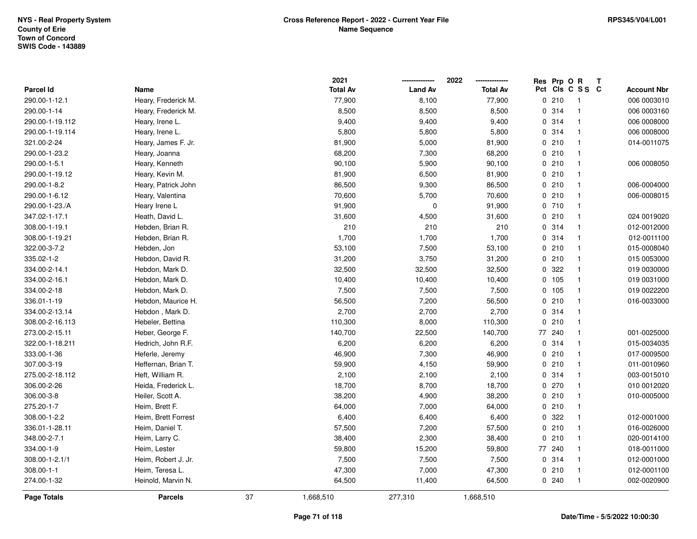|                  |                     |    | 2021            |                | 2022            | Res Prp O R |                 | Т |                    |
|------------------|---------------------|----|-----------------|----------------|-----------------|-------------|-----------------|---|--------------------|
| <b>Parcel Id</b> | Name                |    | <b>Total Av</b> | <b>Land Av</b> | <b>Total Av</b> |             | Pct Cls C S S C |   | <b>Account Nbr</b> |
| 290.00-1-12.1    | Heary, Frederick M. |    | 77,900          | 8,100          | 77,900          | 0210        | $\overline{1}$  |   | 006 0003010        |
| 290.00-1-14      | Heary, Frederick M. |    | 8,500           | 8,500          | 8,500           | 0.314       | $\mathbf{1}$    |   | 006 0003160        |
| 290.00-1-19.112  | Heary, Irene L.     |    | 9,400           | 9,400          | 9,400           | 0.314       | $\mathbf{1}$    |   | 006 0008000        |
| 290.00-1-19.114  | Heary, Irene L.     |    | 5,800           | 5,800          | 5,800           | 0 314       | $\mathbf{1}$    |   | 006 0008000        |
| 321.00-2-24      | Heary, James F. Jr. |    | 81,900          | 5,000          | 81,900          | 0210        | $\mathbf{1}$    |   | 014-0011075        |
| 290.00-1-23.2    | Heary, Joanna       |    | 68,200          | 7,300          | 68,200          | 0210        | $\mathbf{1}$    |   |                    |
| 290.00-1-5.1     | Heary, Kenneth      |    | 90,100          | 5,900          | 90,100          | 0210        | $\mathbf{1}$    |   | 006 0008050        |
| 290.00-1-19.12   | Heary, Kevin M.     |    | 81,900          | 6,500          | 81,900          | 0210        | $\mathbf{1}$    |   |                    |
| 290.00-1-8.2     | Heary, Patrick John |    | 86,500          | 9,300          | 86,500          | 0210        | $\mathbf{1}$    |   | 006-0004000        |
| 290.00-1-6.12    | Heary, Valentina    |    | 70,600          | 5,700          | 70,600          | 0210        | $\mathbf{1}$    |   | 006-0008015        |
| 290.00-1-23./A   | Heary Irene L       |    | 91,900          | $\mathbf 0$    | 91,900          | 0710        | $\mathbf{1}$    |   |                    |
| 347.02-1-17.1    | Heath, David L.     |    | 31,600          | 4,500          | 31,600          | 0210        | $\mathbf{1}$    |   | 024 0019020        |
| 308.00-1-19.1    | Hebden, Brian R.    |    | 210             | 210            | 210             | 0.314       | 1               |   | 012-0012000        |
| 308.00-1-19.21   | Hebden, Brian R.    |    | 1,700           | 1,700          | 1,700           | 0 314       | $\mathbf{1}$    |   | 012-0011100        |
| 322.00-3-7.2     | Hebden, Jon         |    | 53,100          | 7,500          | 53,100          | 0210        | $\mathbf{1}$    |   | 015-0008040        |
| 335.02-1-2       | Hebdon, David R.    |    | 31,200          | 3,750          | 31,200          | 0210        | $\mathbf{1}$    |   | 015 0053000        |
| 334.00-2-14.1    | Hebdon, Mark D.     |    | 32,500          | 32,500         | 32,500          | 0 322       | $\mathbf{1}$    |   | 019 0030000        |
| 334.00-2-16.1    | Hebdon, Mark D.     |    | 10,400          | 10,400         | 10,400          | 0 105       | $\mathbf{1}$    |   | 019 0031000        |
| 334.00-2-18      | Hebdon, Mark D.     |    | 7,500           | 7,500          | 7,500           | 0 105       | $\mathbf{1}$    |   | 019 0022200        |
| 336.01-1-19      | Hebdon, Maurice H.  |    | 56,500          | 7,200          | 56,500          | 0210        | $\mathbf{1}$    |   | 016-0033000        |
| 334.00-2-13.14   | Hebdon, Mark D.     |    | 2,700           | 2,700          | 2,700           | 0 314       | $\mathbf{1}$    |   |                    |
| 308.00-2-16.113  | Hebeler, Bettina    |    | 110,300         | 8,000          | 110,300         | 0210        | $\mathbf{1}$    |   |                    |
| 273.00-2-15.11   | Heber, George F.    |    | 140,700         | 22,500         | 140,700         | 77 240      | $\mathbf{1}$    |   | 001-0025000        |
| 322.00-1-18.211  | Hedrich, John R.F.  |    | 6,200           | 6,200          | 6,200           | 0.314       | $\mathbf{1}$    |   | 015-0034035        |
| 333.00-1-36      | Heferle, Jeremy     |    | 46,900          | 7,300          | 46,900          | 0210        | $\mathbf{1}$    |   | 017-0009500        |
| 307.00-3-19      | Heffernan, Brian T. |    | 59,900          | 4,150          | 59,900          | 0210        | $\mathbf{1}$    |   | 011-0010960        |
| 275.00-2-18.112  | Heft, William R.    |    | 2,100           | 2,100          | 2,100           | 0 314       | $\mathbf{1}$    |   | 003-0015010        |
| 306.00-2-26      | Heida, Frederick L. |    | 18,700          | 8,700          | 18,700          | 0270        | $\mathbf{1}$    |   | 010 0012020        |
| 306.00-3-8       | Heiler, Scott A.    |    | 38,200          | 4,900          | 38,200          | 0210        | $\mathbf{1}$    |   | 010-0005000        |
| 275.20-1-7       | Heim, Brett F.      |    | 64,000          | 7,000          | 64,000          | 0210        | $\mathbf{1}$    |   |                    |
| 308.00-1-2.2     | Heim, Brett Forrest |    | 6,400           | 6,400          | 6,400           | 0 322       | $\mathbf{1}$    |   | 012-0001000        |
| 336.01-1-28.11   | Heim, Daniel T.     |    | 57,500          | 7,200          | 57,500          | 0210        | $\mathbf{1}$    |   | 016-0026000        |
| 348.00-2-7.1     | Heim, Larry C.      |    | 38,400          | 2,300          | 38,400          | 0210        | $\mathbf{1}$    |   | 020-0014100        |
| 334.00-1-9       | Heim, Lester        |    | 59,800          | 15,200         | 59,800          | 77 240      | $\mathbf{1}$    |   | 018-0011000        |
| 308.00-1-2.1/1   | Heim, Robert J. Jr. |    | 7,500           | 7,500          | 7,500           | 0.314       | $\mathbf{1}$    |   | 012-0001000        |
| 308.00-1-1       | Heim, Teresa L.     |    | 47,300          | 7,000          | 47,300          | 0210        | $\mathbf{1}$    |   | 012-0001100        |
| 274.00-1-32      | Heinold, Marvin N.  |    | 64,500          | 11,400         | 64,500          | 0.240       | $\mathbf{1}$    |   | 002-0020900        |
| Page Totals      | <b>Parcels</b>      | 37 | 1,668,510       | 277,310        | 1,668,510       |             |                 |   |                    |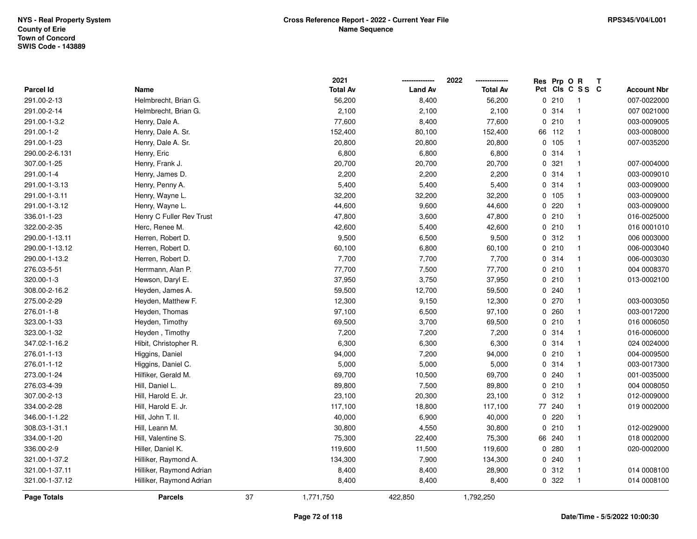|                |                          |    | 2021            |                | 2022            | Res Prp O R |                         | T |                    |
|----------------|--------------------------|----|-----------------|----------------|-----------------|-------------|-------------------------|---|--------------------|
| Parcel Id      | Name                     |    | <b>Total Av</b> | <b>Land Av</b> | <b>Total Av</b> |             | Pct Cls C S S C         |   | <b>Account Nbr</b> |
| 291.00-2-13    | Helmbrecht, Brian G.     |    | 56,200          | 8,400          | 56,200          | 0210        | -1                      |   | 007-0022000        |
| 291.00-2-14    | Helmbrecht, Brian G.     |    | 2,100           | 2,100          | 2,100           | 0.314       | $\overline{1}$          |   | 007 0021000        |
| 291.00-1-3.2   | Henry, Dale A.           |    | 77,600          | 8,400          | 77,600          | 0210        | -1                      |   | 003-0009005        |
| 291.00-1-2     | Henry, Dale A. Sr.       |    | 152,400         | 80,100         | 152,400         | 66 112      | $\overline{1}$          |   | 003-0008000        |
| 291.00-1-23    | Henry, Dale A. Sr.       |    | 20,800          | 20,800         | 20,800          | 0 105       | $\overline{1}$          |   | 007-0035200        |
| 290.00-2-6.131 | Henry, Eric              |    | 6,800           | 6,800          | 6,800           | 0.314       | $\overline{\mathbf{1}}$ |   |                    |
| 307.00-1-25    | Henry, Frank J.          |    | 20,700          | 20,700         | 20,700          | 0.321       | $\mathbf{1}$            |   | 007-0004000        |
| 291.00-1-4     | Henry, James D.          |    | 2,200           | 2,200          | 2,200           | 0 314       | $\overline{1}$          |   | 003-0009010        |
| 291.00-1-3.13  | Henry, Penny A.          |    | 5,400           | 5,400          | 5,400           | 0.314       | $\mathbf{1}$            |   | 003-0009000        |
| 291.00-1-3.11  | Henry, Wayne L.          |    | 32,200          | 32,200         | 32,200          | 0 105       | $\overline{1}$          |   | 003-0009000        |
| 291.00-1-3.12  | Henry, Wayne L.          |    | 44,600          | 9,600          | 44,600          | 0220        | $\mathbf{1}$            |   | 003-0009000        |
| 336.01-1-23    | Henry C Fuller Rev Trust |    | 47,800          | 3,600          | 47,800          | 0210        | $\overline{1}$          |   | 016-0025000        |
| 322.00-2-35    | Herc, Renee M.           |    | 42,600          | 5,400          | 42,600          | 0210        | $\mathbf{1}$            |   | 016 0001010        |
| 290.00-1-13.11 | Herren, Robert D.        |    | 9,500           | 6,500          | 9,500           | 0.312       | $\mathbf{1}$            |   | 006 0003000        |
| 290.00-1-13.12 | Herren, Robert D.        |    | 60,100          | 6,800          | 60,100          | 0210        | $\overline{1}$          |   | 006-0003040        |
| 290.00-1-13.2  | Herren, Robert D.        |    | 7,700           | 7,700          | 7,700           | 0.314       | $\mathbf{1}$            |   | 006-0003030        |
| 276.03-5-51    | Herrmann, Alan P.        |    | 77,700          | 7,500          | 77,700          | 0210        | $\mathbf{1}$            |   | 004 0008370        |
| 320.00-1-3     | Hewson, Daryl E.         |    | 37,950          | 3,750          | 37,950          | 0210        | $\mathbf{1}$            |   | 013-0002100        |
| 308.00-2-16.2  | Heyden, James A.         |    | 59,500          | 12,700         | 59,500          | 0.240       | $\mathbf{1}$            |   |                    |
| 275.00-2-29    | Heyden, Matthew F.       |    | 12,300          | 9,150          | 12,300          | 0270        | $\overline{1}$          |   | 003-0003050        |
| 276.01-1-8     | Heyden, Thomas           |    | 97,100          | 6,500          | 97,100          | 0.260       | $\overline{1}$          |   | 003-0017200        |
| 323.00-1-33    | Heyden, Timothy          |    | 69,500          | 3,700          | 69,500          | 0210        | $\overline{1}$          |   | 016 0006050        |
| 323.00-1-32    | Heyden, Timothy          |    | 7,200           | 7,200          | 7,200           | 0.314       | $\mathbf{1}$            |   | 016-0006000        |
| 347.02-1-16.2  | Hibit, Christopher R.    |    | 6,300           | 6,300          | 6,300           | 0 314       | $\overline{\mathbf{1}}$ |   | 024 0024000        |
| 276.01-1-13    | Higgins, Daniel          |    | 94,000          | 7,200          | 94,000          | 0210        | $\mathbf{1}$            |   | 004-0009500        |
| 276.01-1-12    | Higgins, Daniel C.       |    | 5,000           | 5,000          | 5,000           | 0.314       | $\mathbf 1$             |   | 003-0017300        |
| 273.00-1-24    | Hilfiker, Gerald M.      |    | 69,700          | 10,500         | 69,700          | 0.240       | $\mathbf{1}$            |   | 001-0035000        |
| 276.03-4-39    | Hill, Daniel L.          |    | 89,800          | 7,500          | 89,800          | 0210        | $\overline{1}$          |   | 004 0008050        |
| 307.00-2-13    | Hill, Harold E. Jr.      |    | 23,100          | 20,300         | 23,100          | 0.312       | $\overline{1}$          |   | 012-0009000        |
| 334.00-2-28    | Hill, Harold E. Jr.      |    | 117,100         | 18,800         | 117,100         | 77 240      | $\overline{1}$          |   | 019 0002000        |
| 346.00-1-1.22  | Hill, John T. II.        |    | 40,000          | 6,900          | 40,000          | 0220        | $\overline{1}$          |   |                    |
| 308.03-1-31.1  | Hill, Leann M.           |    | 30,800          | 4,550          | 30,800          | 0210        | $\mathbf{1}$            |   | 012-0029000        |
| 334.00-1-20    | Hill, Valentine S.       |    | 75,300          | 22,400         | 75,300          | 66 240      | $\mathbf 1$             |   | 018 0002000        |
| 336.00-2-9     | Hiller, Daniel K.        |    | 119,600         | 11,500         | 119,600         | 0.280       | $\mathbf{1}$            |   | 020-0002000        |
| 321.00-1-37.2  | Hilliker, Raymond A.     |    | 134,300         | 7,900          | 134,300         | 0.240       | $\mathbf{1}$            |   |                    |
| 321.00-1-37.11 | Hilliker, Raymond Adrian |    | 8,400           | 8,400          | 28,900          | 0.312       | $\overline{1}$          |   | 014 0008100        |
| 321.00-1-37.12 | Hilliker, Raymond Adrian |    | 8,400           | 8,400          | 8,400           | 0 322       | $\overline{1}$          |   | 014 0008100        |
| Page Totals    | <b>Parcels</b>           | 37 | 1,771,750       | 422,850        | 1,792,250       |             |                         |   |                    |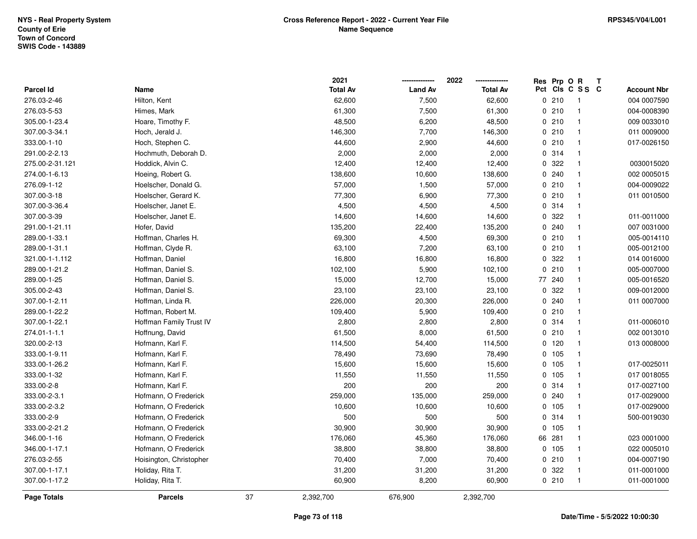|                  |                         |    | 2021            |                | 2022            | Res Prp O R |                 | Т |                    |
|------------------|-------------------------|----|-----------------|----------------|-----------------|-------------|-----------------|---|--------------------|
| <b>Parcel Id</b> | Name                    |    | <b>Total Av</b> | <b>Land Av</b> | <b>Total Av</b> |             | Pct Cls C S S C |   | <b>Account Nbr</b> |
| 276.03-2-46      | Hilton, Kent            |    | 62,600          | 7,500          | 62,600          | 0210        | $\overline{1}$  |   | 004 0007590        |
| 276.03-5-53      | Himes, Mark             |    | 61,300          | 7,500          | 61,300          | 0210        | $\mathbf{1}$    |   | 004-0008390        |
| 305.00-1-23.4    | Hoare, Timothy F.       |    | 48,500          | 6,200          | 48,500          | 0210        | $\mathbf{1}$    |   | 009 0033010        |
| 307.00-3-34.1    | Hoch, Jerald J.         |    | 146,300         | 7,700          | 146,300         | 0210        | $\mathbf{1}$    |   | 011 0009000        |
| 333.00-1-10      | Hoch, Stephen C.        |    | 44,600          | 2,900          | 44,600          | 0210        | $\mathbf{1}$    |   | 017-0026150        |
| 291.00-2-2.13    | Hochmuth, Deborah D.    |    | 2,000           | 2,000          | 2,000           | 0.314       | 1               |   |                    |
| 275.00-2-31.121  | Hoddick, Alvin C.       |    | 12,400          | 12,400         | 12,400          | 0 322       | $\mathbf{1}$    |   | 0030015020         |
| 274.00-1-6.13    | Hoeing, Robert G.       |    | 138,600         | 10,600         | 138,600         | 0.240       | $\mathbf{1}$    |   | 002 0005015        |
| 276.09-1-12      | Hoelscher, Donald G.    |    | 57,000          | 1,500          | 57,000          | 0210        | $\mathbf{1}$    |   | 004-0009022        |
| 307.00-3-18      | Hoelscher, Gerard K.    |    | 77,300          | 6,900          | 77,300          | 0210        | $\mathbf{1}$    |   | 011 0010500        |
| 307.00-3-36.4    | Hoelscher, Janet E.     |    | 4,500           | 4,500          | 4,500           | 0.314       | $\mathbf{1}$    |   |                    |
| 307.00-3-39      | Hoelscher, Janet E.     |    | 14,600          | 14,600         | 14,600          | 0 322       | 1               |   | 011-0011000        |
| 291.00-1-21.11   | Hofer, David            |    | 135,200         | 22,400         | 135,200         | 0.240       | 1               |   | 007 0031000        |
| 289.00-1-33.1    | Hoffman, Charles H.     |    | 69,300          | 4,500          | 69,300          | 0210        | $\mathbf{1}$    |   | 005-0014110        |
| 289.00-1-31.1    | Hoffman, Clyde R.       |    | 63,100          | 7,200          | 63,100          | 0210        | $\mathbf{1}$    |   | 005-0012100        |
| 321.00-1-1.112   | Hoffman, Daniel         |    | 16,800          | 16,800         | 16,800          | 0 322       | $\mathbf{1}$    |   | 014 0016000        |
| 289.00-1-21.2    | Hoffman, Daniel S.      |    | 102,100         | 5,900          | 102,100         | 0210        | $\mathbf{1}$    |   | 005-0007000        |
| 289.00-1-25      | Hoffman, Daniel S.      |    | 15,000          | 12,700         | 15,000          | 77 240      | $\mathbf{1}$    |   | 005-0016520        |
| 305.00-2-43      | Hoffman, Daniel S.      |    | 23,100          | 23,100         | 23,100          | 0.322       | $\mathbf{1}$    |   | 009-0012000        |
| 307.00-1-2.11    | Hoffman, Linda R.       |    | 226,000         | 20,300         | 226,000         | 0.240       | 1               |   | 011 0007000        |
| 289.00-1-22.2    | Hoffman, Robert M.      |    | 109,400         | 5,900          | 109,400         | 0210        | $\mathbf{1}$    |   |                    |
| 307.00-1-22.1    | Hoffman Family Trust IV |    | 2,800           | 2,800          | 2,800           | 0.314       | $\mathbf{1}$    |   | 011-0006010        |
| 274.01-1-1.1     | Hoffnung, David         |    | 61,500          | 8,000          | 61,500          | 0210        | $\mathbf{1}$    |   | 002 0013010        |
| 320.00-2-13      | Hofmann, Karl F.        |    | 114,500         | 54,400         | 114,500         | $0$ 120     | $\mathbf{1}$    |   | 013 0008000        |
| 333.00-1-9.11    | Hofmann, Karl F.        |    | 78,490          | 73,690         | 78,490          | 0 105       | $\mathbf{1}$    |   |                    |
| 333.00-1-26.2    | Hofmann, Karl F.        |    | 15,600          | 15,600         | 15,600          | 0 105       | $\mathbf{1}$    |   | 017-0025011        |
| 333.00-1-32      | Hofmann, Karl F.        |    | 11,550          | 11,550         | 11,550          | 0 105       | $\mathbf{1}$    |   | 017 0018055        |
| 333.00-2-8       | Hofmann, Karl F.        |    | 200             | 200            | 200             | 0 314       | $\mathbf{1}$    |   | 017-0027100        |
| 333.00-2-3.1     | Hofmann, O Frederick    |    | 259,000         | 135,000        | 259,000         | 0.240       | $\mathbf{1}$    |   | 017-0029000        |
| 333.00-2-3.2     | Hofmann, O Frederick    |    | 10,600          | 10,600         | 10,600          | 0.105       | $\mathbf{1}$    |   | 017-0029000        |
| 333.00-2-9       | Hofmann, O Frederick    |    | 500             | 500            | 500             | 0 314       | $\mathbf{1}$    |   | 500-0019030        |
| 333.00-2-21.2    | Hofmann, O Frederick    |    | 30,900          | 30,900         | 30,900          | 0 105       | $\mathbf{1}$    |   |                    |
| 346.00-1-16      | Hofmann, O Frederick    |    | 176,060         | 45,360         | 176,060         | 66 281      | $\mathbf{1}$    |   | 023 0001000        |
| 346.00-1-17.1    | Hofmann, O Frederick    |    | 38,800          | 38,800         | 38,800          | 0, 105      | $\mathbf{1}$    |   | 022 0005010        |
| 276.03-2-55      | Hoisington, Christopher |    | 70,400          | 7,000          | 70,400          | 0210        | $\mathbf{1}$    |   | 004-0007190        |
| 307.00-1-17.1    | Holiday, Rita T.        |    | 31,200          | 31,200         | 31,200          | 0 322       | $\mathbf{1}$    |   | 011-0001000        |
| 307.00-1-17.2    | Holiday, Rita T.        |    | 60,900          | 8,200          | 60,900          | 0210        | $\mathbf{1}$    |   | 011-0001000        |
| Page Totals      | <b>Parcels</b>          | 37 | 2,392,700       | 676,900        | 2,392,700       |             |                 |   |                    |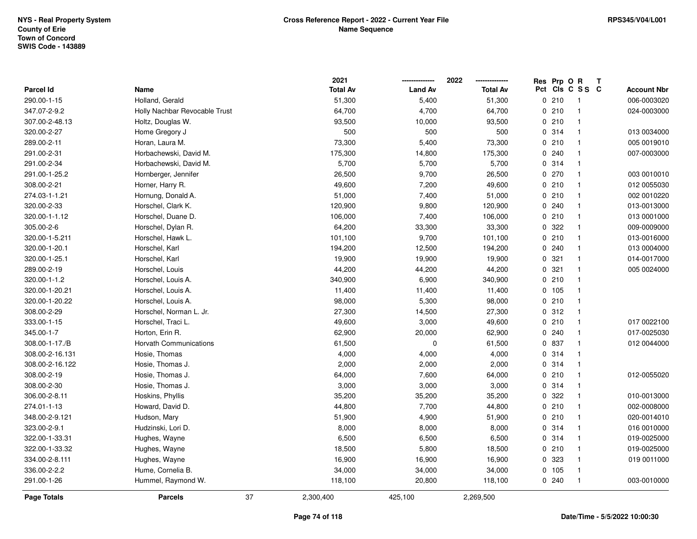|                    |                               | 2021            |                | 2022            |     | Res Prp O R |                | Т                  |
|--------------------|-------------------------------|-----------------|----------------|-----------------|-----|-------------|----------------|--------------------|
| Parcel Id          | Name                          | <b>Total Av</b> | <b>Land Av</b> | <b>Total Av</b> | Pct |             | CIS C S S C    | <b>Account Nbr</b> |
| 290.00-1-15        | Holland, Gerald               | 51,300          | 5,400          | 51,300          |     | 0210        | $\overline{1}$ | 006-0003020        |
| 347.07-2-9.2       | Holly Nachbar Revocable Trust | 64,700          | 4,700          | 64,700          |     | 0210        | $\mathbf{1}$   | 024-0003000        |
| 307.00-2-48.13     | Holtz, Douglas W.             | 93,500          | 10,000         | 93,500          |     | 0210        | $\overline{1}$ |                    |
| 320.00-2-27        | Home Gregory J                | 500             | 500            | 500             |     | 0.314       | $\overline{1}$ | 013 0034000        |
| 289.00-2-11        | Horan, Laura M.               | 73,300          | 5,400          | 73,300          |     | 0210        | $\mathbf 1$    | 005 0019010        |
| 291.00-2-31        | Horbachewski, David M.        | 175,300         | 14,800         | 175,300         |     | 0.240       | $\overline{1}$ | 007-0003000        |
| 291.00-2-34        | Horbachewski, David M.        | 5,700           | 5,700          | 5,700           |     | 0.314       | $\overline{1}$ |                    |
| 291.00-1-25.2      | Hornberger, Jennifer          | 26,500          | 9,700          | 26,500          |     | 0270        | $\mathbf{1}$   | 003 0010010        |
| 308.00-2-21        | Horner, Harry R.              | 49,600          | 7,200          | 49,600          |     | 0210        | $\mathbf{1}$   | 012 0055030        |
| 274.03-1-1.21      | Hornung, Donald A.            | 51,000          | 7,400          | 51,000          |     | 0210        | $\overline{1}$ | 002 0010220        |
| 320.00-2-33        | Horschel, Clark K.            | 120,900         | 9,800          | 120,900         |     | 0.240       | $\mathbf 1$    | 013-0013000        |
| 320.00-1-1.12      | Horschel, Duane D.            | 106,000         | 7,400          | 106,000         |     | 0210        | $\mathbf{1}$   | 013 0001000        |
| 305.00-2-6         | Horschel, Dylan R.            | 64,200          | 33,300         | 33,300          |     | 0 322       |                | 009-0009000        |
| 320.00-1-5.211     | Horschel, Hawk L.             | 101,100         | 9,700          | 101,100         |     | 0210        | $\mathbf 1$    | 013-0016000        |
| 320.00-1-20.1      | Horschel, Karl                | 194,200         | 12,500         | 194,200         |     | 0.240       | $\overline{1}$ | 013 0004000        |
| 320.00-1-25.1      | Horschel, Karl                | 19,900          | 19,900         | 19,900          |     | 0.321       | $\overline{1}$ | 014-0017000        |
| 289.00-2-19        | Horschel, Louis               | 44,200          | 44,200         | 44,200          |     | 0.321       | $\overline{1}$ | 005 0024000        |
| 320.00-1-1.2       | Horschel, Louis A.            | 340,900         | 6,900          | 340,900         |     | 0210        | $\mathbf{1}$   |                    |
| 320.00-1-20.21     | Horschel, Louis A.            | 11,400          | 11,400         | 11,400          |     | 0 105       | $\overline{1}$ |                    |
| 320.00-1-20.22     | Horschel, Louis A.            | 98,000          | 5,300          | 98,000          |     | 0210        | $\mathbf{1}$   |                    |
| 308.00-2-29        | Horschel, Norman L. Jr.       | 27,300          | 14,500         | 27,300          |     | 0.312       | $\mathbf{1}$   |                    |
| 333.00-1-15        | Horschel, Traci L.            | 49,600          | 3,000          | 49,600          |     | 0210        | $\mathbf{1}$   | 017 0022100        |
| 345.00-1-7         | Horton, Erin R.               | 62,900          | 20,000         | 62,900          |     | 0.240       | $\mathbf{1}$   | 017-0025030        |
| 308.00-1-17./B     | <b>Horvath Communications</b> | 61,500          | $\mathbf 0$    | 61,500          |     | 0 837       | $\mathbf{1}$   | 012 0044000        |
| 308.00-2-16.131    | Hosie, Thomas                 | 4,000           | 4,000          | 4,000           |     | 0.314       | $\overline{1}$ |                    |
| 308.00-2-16.122    | Hosie, Thomas J.              | 2,000           | 2,000          | 2,000           |     | 0 314       | $\mathbf{1}$   |                    |
| 308.00-2-19        | Hosie, Thomas J.              | 64,000          | 7,600          | 64,000          |     | 0210        | $\mathbf{1}$   | 012-0055020        |
| 308.00-2-30        | Hosie, Thomas J.              | 3,000           | 3,000          | 3,000           |     | 0.314       | $\overline{1}$ |                    |
| 306.00-2-8.11      | Hoskins, Phyllis              | 35,200          | 35,200         | 35,200          |     | 0.322       | $\overline{1}$ | 010-0013000        |
| 274.01-1-13        | Howard, David D.              | 44,800          | 7,700          | 44,800          |     | 0210        | $\overline{1}$ | 002-0008000        |
| 348.00-2-9.121     | Hudson, Mary                  | 51,900          | 4,900          | 51,900          |     | 0210        | $\overline{1}$ | 020-0014010        |
| 323.00-2-9.1       | Hudzinski, Lori D.            | 8,000           | 8,000          | 8,000           |     | 0.314       | $\mathbf{1}$   | 016 0010000        |
| 322.00-1-33.31     | Hughes, Wayne                 | 6,500           | 6,500          | 6,500           |     | 0.314       | $\overline{1}$ | 019-0025000        |
| 322.00-1-33.32     | Hughes, Wayne                 | 18,500          | 5,800          | 18,500          |     | 0210        | $\mathbf{1}$   | 019-0025000        |
| 334.00-2-8.111     | Hughes, Wayne                 | 16,900          | 16,900         | 16,900          |     | 0 323       | $\mathbf{1}$   | 019 0011000        |
| 336.00-2-2.2       | Hume, Cornelia B.             | 34,000          | 34,000         | 34,000          |     | 0 105       | $\mathbf{1}$   |                    |
| 291.00-1-26        | Hummel, Raymond W.            | 118,100         | 20,800         | 118,100         |     | 0.240       | $\overline{1}$ | 003-0010000        |
| <b>Page Totals</b> | <b>Parcels</b>                | 37<br>2,300,400 | 425,100        | 2,269,500       |     |             |                |                    |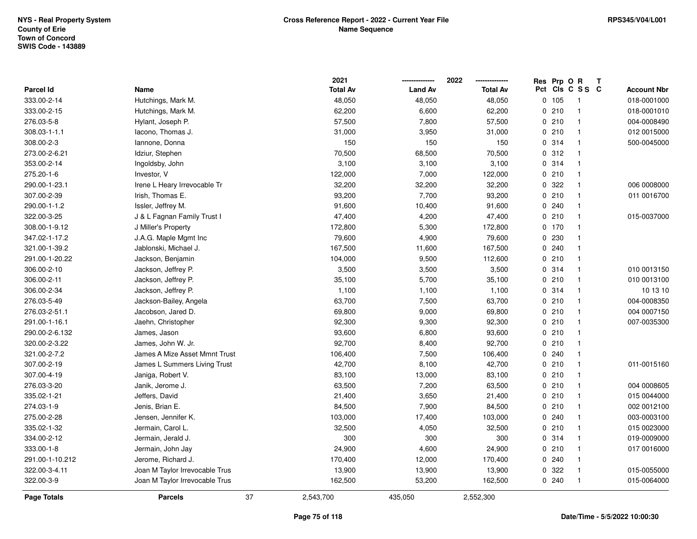|                  |                                |    | 2021            |                | 2022            | Res Prp O R |                 | Т |                    |
|------------------|--------------------------------|----|-----------------|----------------|-----------------|-------------|-----------------|---|--------------------|
| <b>Parcel Id</b> | Name                           |    | <b>Total Av</b> | <b>Land Av</b> | <b>Total Av</b> |             | Pct Cls C S S C |   | <b>Account Nbr</b> |
| 333.00-2-14      | Hutchings, Mark M.             |    | 48,050          | 48,050         | 48,050          | 0 105       | $\overline{1}$  |   | 018-0001000        |
| 333.00-2-15      | Hutchings, Mark M.             |    | 62,200          | 6,600          | 62,200          | 0210        | $\overline{1}$  |   | 018-0001010        |
| 276.03-5-8       | Hylant, Joseph P.              |    | 57,500          | 7,800          | 57,500          | 0210        | $\mathbf{1}$    |   | 004-0008490        |
| 308.03-1-1.1     | lacono, Thomas J.              |    | 31,000          | 3,950          | 31,000          | 0210        | $\mathbf{1}$    |   | 012 0015000        |
| 308.00-2-3       | Iannone, Donna                 |    | 150             | 150            | 150             | 0.314       | $\mathbf{1}$    |   | 500-0045000        |
| 273.00-2-6.21    | Idziur, Stephen                |    | 70,500          | 68,500         | 70,500          | 0.312       | $\mathbf{1}$    |   |                    |
| 353.00-2-14      | Ingoldsby, John                |    | 3,100           | 3,100          | 3,100           | 0.314       | $\mathbf{1}$    |   |                    |
| 275.20-1-6       | Investor, V                    |    | 122,000         | 7,000          | 122,000         | 0210        | $\mathbf{1}$    |   |                    |
| 290.00-1-23.1    | Irene L Heary Irrevocable Tr   |    | 32,200          | 32,200         | 32,200          | 0 322       | $\mathbf{1}$    |   | 006 0008000        |
| 307.00-2-39      | Irish, Thomas E.               |    | 93,200          | 7,700          | 93,200          | 0210        | $\mathbf{1}$    |   | 011 0016700        |
| 290.00-1-1.2     | Issler, Jeffrey M.             |    | 91,600          | 10,400         | 91,600          | 0.240       | $\mathbf{1}$    |   |                    |
| 322.00-3-25      | J & L Fagnan Family Trust I    |    | 47,400          | 4,200          | 47,400          | 0210        | $\mathbf{1}$    |   | 015-0037000        |
| 308.00-1-9.12    | J Miller's Property            |    | 172,800         | 5,300          | 172,800         | 0, 170      |                 |   |                    |
| 347.02-1-17.2    | J.A.G. Maple Mgmt Inc          |    | 79,600          | 4,900          | 79,600          | 0 230       | $\mathbf{1}$    |   |                    |
| 321.00-1-39.2    | Jablonski, Michael J.          |    | 167,500         | 11,600         | 167,500         | 0.240       | $\mathbf{1}$    |   |                    |
| 291.00-1-20.22   | Jackson, Benjamin              |    | 104,000         | 9,500          | 112,600         | 0210        | $\mathbf{1}$    |   |                    |
| 306.00-2-10      | Jackson, Jeffrey P.            |    | 3,500           | 3,500          | 3,500           | 0.314       | $\mathbf{1}$    |   | 010 0013150        |
| 306.00-2-11      | Jackson, Jeffrey P.            |    | 35,100          | 5,700          | 35,100          | 0210        | $\mathbf{1}$    |   | 010 0013100        |
| 306.00-2-34      | Jackson, Jeffrey P.            |    | 1,100           | 1,100          | 1,100           | 0.314       | $\mathbf{1}$    |   | 10 13 10           |
| 276.03-5-49      | Jackson-Bailey, Angela         |    | 63,700          | 7,500          | 63,700          | 0210        | $\mathbf{1}$    |   | 004-0008350        |
| 276.03-2-51.1    | Jacobson, Jared D.             |    | 69,800          | 9,000          | 69,800          | 0210        | $\mathbf{1}$    |   | 004 0007150        |
| 291.00-1-16.1    | Jaehn, Christopher             |    | 92,300          | 9,300          | 92,300          | 0210        | $\mathbf{1}$    |   | 007-0035300        |
| 290.00-2-6.132   | James, Jason                   |    | 93,600          | 6,800          | 93,600          | 0210        | $\mathbf{1}$    |   |                    |
| 320.00-2-3.22    | James, John W. Jr.             |    | 92,700          | 8,400          | 92,700          | 0210        | $\mathbf{1}$    |   |                    |
| 321.00-2-7.2     | James A Mize Asset Mmnt Trust  |    | 106,400         | 7,500          | 106,400         | 0.240       | $\mathbf{1}$    |   |                    |
| 307.00-2-19      | James L Summers Living Trust   |    | 42,700          | 8,100          | 42,700          | 0210        | $\mathbf{1}$    |   | 011-0015160        |
| 307.00-4-19      | Janiga, Robert V.              |    | 83,100          | 13,000         | 83,100          | 0210        | $\mathbf{1}$    |   |                    |
| 276.03-3-20      | Janik, Jerome J.               |    | 63,500          | 7,200          | 63,500          | 0210        | $\mathbf{1}$    |   | 004 0008605        |
| 335.02-1-21      | Jeffers, David                 |    | 21,400          | 3,650          | 21,400          | 0210        | $\mathbf{1}$    |   | 015 0044000        |
| 274.03-1-9       | Jenis, Brian E.                |    | 84,500          | 7,900          | 84,500          | 0210        | $\mathbf{1}$    |   | 002 0012100        |
| 275.00-2-28      | Jensen, Jennifer K.            |    | 103,000         | 17,400         | 103,000         | 0.240       | $\mathbf{1}$    |   | 003-0003100        |
| 335.02-1-32      | Jermain, Carol L.              |    | 32,500          | 4,050          | 32,500          | 0210        | $\mathbf{1}$    |   | 015 0023000        |
| 334.00-2-12      | Jermain, Jerald J.             |    | 300             | 300            | 300             | 0.314       | $\mathbf{1}$    |   | 019-0009000        |
| 333.00-1-8       | Jermain, John Jay              |    | 24,900          | 4,600          | 24,900          | 0210        | $\mathbf{1}$    |   | 017 0016000        |
| 291.00-1-10.212  | Jerome, Richard J.             |    | 170,400         | 12,000         | 170,400         | 0.240       | $\mathbf{1}$    |   |                    |
| 322.00-3-4.11    | Joan M Taylor Irrevocable Trus |    | 13,900          | 13,900         | 13,900          | 0 322       | $\mathbf{1}$    |   | 015-0055000        |
| 322.00-3-9       | Joan M Taylor Irrevocable Trus |    | 162,500         | 53,200         | 162,500         | 0.240       | $\mathbf{1}$    |   | 015-0064000        |
| Page Totals      | <b>Parcels</b>                 | 37 | 2,543,700       | 435,050        | 2,552,300       |             |                 |   |                    |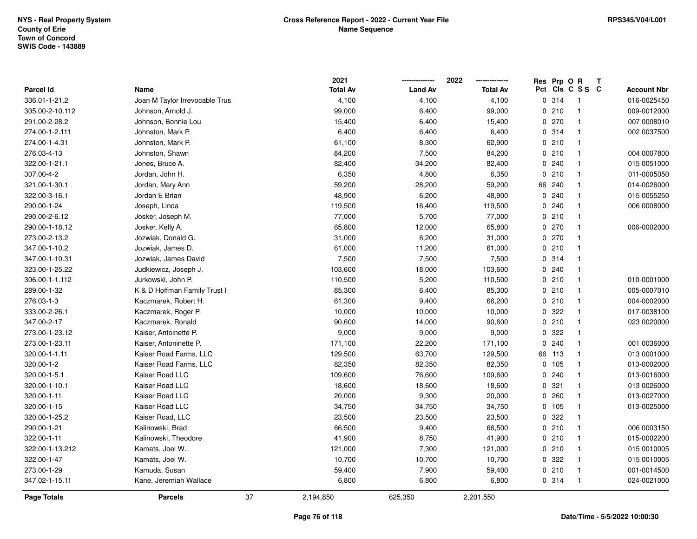|                  |                                |    | 2021            |                | 2022            | Res Prp O R |                 | Т |                    |
|------------------|--------------------------------|----|-----------------|----------------|-----------------|-------------|-----------------|---|--------------------|
| <b>Parcel Id</b> | Name                           |    | <b>Total Av</b> | <b>Land Av</b> | <b>Total Av</b> |             | Pct Cls C S S C |   | <b>Account Nbr</b> |
| 336.01-1-21.2    | Joan M Taylor Irrevocable Trus |    | 4,100           | 4,100          | 4,100           | 0.314       | $\overline{1}$  |   | 016-0025450        |
| 305.00-2-10.112  | Johnson, Arnold J.             |    | 99,000          | 6,400          | 99,000          | 0210        | $\mathbf{1}$    |   | 009-0012000        |
| 291.00-2-28.2    | Johnson, Bonnie Lou            |    | 15,400          | 6,400          | 15,400          | 0.270       | $\mathbf{1}$    |   | 007 0008010        |
| 274.00-1-2.111   | Johnston, Mark P.              |    | 6,400           | 6,400          | 6,400           | 0.314       | $\mathbf{1}$    |   | 002 0037500        |
| 274.00-1-4.31    | Johnston, Mark P.              |    | 61,100          | 8,300          | 62,900          | 0210        | $\mathbf{1}$    |   |                    |
| 276.03-4-13      | Johnston, Shawn                |    | 84,200          | 7,500          | 84,200          | 0210        | $\mathbf{1}$    |   | 004 0007800        |
| 322.00-1-21.1    | Jones, Bruce A.                |    | 82,400          | 34,200         | 82,400          | 0.240       | $\mathbf{1}$    |   | 015 0051000        |
| 307.00-4-2       | Jordan, John H.                |    | 6,350           | 4,800          | 6,350           | 0210        | $\mathbf{1}$    |   | 011-0005050        |
| 321.00-1-30.1    | Jordan, Mary Ann               |    | 59,200          | 28,200         | 59,200          | 66 240      | $\mathbf{1}$    |   | 014-0026000        |
| 322.00-3-16.1    | Jordan E Brian                 |    | 48,900          | 6,200          | 48,900          | 0.240       | $\mathbf{1}$    |   | 015 0055250        |
| 290.00-1-24      | Joseph, Linda                  |    | 119,500         | 16,400         | 119,500         | 0.240       | $\mathbf{1}$    |   | 006 0008000        |
| 290.00-2-6.12    | Josker, Joseph M.              |    | 77,000          | 5,700          | 77,000          | 0210        | $\mathbf{1}$    |   |                    |
| 290.00-1-18.12   | Josker, Kelly A.               |    | 65,800          | 12,000         | 65,800          | 0 270       | $\mathbf 1$     |   | 006-0002000        |
| 273.00-2-13.2    | Jozwiak, Donald G.             |    | 31,000          | 6,200          | 31,000          | 0 270       | $\mathbf{1}$    |   |                    |
| 347.00-1-10.2    | Jozwiak, James D.              |    | 61,000          | 11,200         | 61,000          | 0210        | $\mathbf{1}$    |   |                    |
| 347.00-1-10.31   | Jozwiak, James David           |    | 7,500           | 7,500          | 7,500           | 0.314       | $\mathbf{1}$    |   |                    |
| 323.00-1-25.22   | Judkiewicz, Joseph J.          |    | 103,600         | 18,000         | 103,600         | 0.240       | $\mathbf{1}$    |   |                    |
| 306.00-1-1.112   | Jurkowski, John P.             |    | 110,500         | 5,200          | 110,500         | 0210        | $\mathbf{1}$    |   | 010-0001000        |
| 289.00-1-32      | K & D Hoffman Family Trust I   |    | 85,300          | 6,400          | 85,300          | 0210        | $\mathbf{1}$    |   | 005-0007010        |
| 276.03-1-3       | Kaczmarek, Robert H.           |    | 61,300          | 9,400          | 66,200          | 0210        | $\mathbf{1}$    |   | 004-0002000        |
| 333.00-2-26.1    | Kaczmarek, Roger P.            |    | 10,000          | 10,000         | 10,000          | 0 322       | $\mathbf{1}$    |   | 017-0038100        |
| 347.00-2-17      | Kaczmarek, Ronald              |    | 90,600          | 14,000         | 90,600          | 0210        | $\mathbf{1}$    |   | 023 0020000        |
| 273.00-1-23.12   | Kaiser, Antoinette P.          |    | 9,000           | 9,000          | 9,000           | 0.322       | $\mathbf{1}$    |   |                    |
| 273.00-1-23.11   | Kaiser, Antoninette P.         |    | 171,100         | 22,200         | 171,100         | 0.240       | $\mathbf{1}$    |   | 001 0036000        |
| 320.00-1-1.11    | Kaiser Road Farms, LLC         |    | 129,500         | 63,700         | 129,500         | 66 113      | $\mathbf{1}$    |   | 013 0001000        |
| 320.00-1-2       | Kaiser Road Farms, LLC         |    | 82,350          | 82,350         | 82,350          | 0 105       | $\mathbf{1}$    |   | 013-0002000        |
| 320.00-1-5.1     | Kaiser Road LLC                |    | 109,600         | 76,600         | 109,600         | 0.240       | $\mathbf{1}$    |   | 013-0016000        |
| 320.00-1-10.1    | Kaiser Road LLC                |    | 18,600          | 18,600         | 18,600          | 0.321       | $\mathbf{1}$    |   | 013 0026000        |
| 320.00-1-11      | Kaiser Road LLC                |    | 20,000          | 9,300          | 20,000          | 0.260       | $\mathbf{1}$    |   | 013-0027000        |
| 320.00-1-15      | Kaiser Road LLC                |    | 34,750          | 34,750         | 34,750          | 0, 105      | $\mathbf{1}$    |   | 013-0025000        |
| 320.00-1-25.2    | Kaiser Road, LLC               |    | 23,500          | 23,500         | 23,500          | 0.322       | $\mathbf{1}$    |   |                    |
| 290.00-1-21      | Kalinowski, Brad               |    | 66,500          | 9,400          | 66,500          | 0210        | $\mathbf{1}$    |   | 006 0003150        |
| 322.00-1-11      | Kalinowski, Theodore           |    | 41,900          | 8,750          | 41,900          | 0210        | $\mathbf{1}$    |   | 015-0002200        |
| 322.00-1-13.212  | Kamats, Joel W.                |    | 121,000         | 7,300          | 121,000         | 0210        | $\mathbf{1}$    |   | 015 0010005        |
| 322.00-1-47      | Kamats, Joel W.                |    | 10,700          | 10,700         | 10,700          | 0 322       | $\mathbf{1}$    |   | 015 0010005        |
| 273.00-1-29      | Kamuda, Susan                  |    | 59,400          | 7,900          | 59,400          | 0210        | $\mathbf{1}$    |   | 001-0014500        |
| 347.02-1-15.11   | Kane, Jeremiah Wallace         |    | 6,800           | 6,800          | 6,800           | 0.314       | $\mathbf{1}$    |   | 024-0021000        |
| Page Totals      | <b>Parcels</b>                 | 37 | 2,194,850       | 625,350        | 2,201,550       |             |                 |   |                    |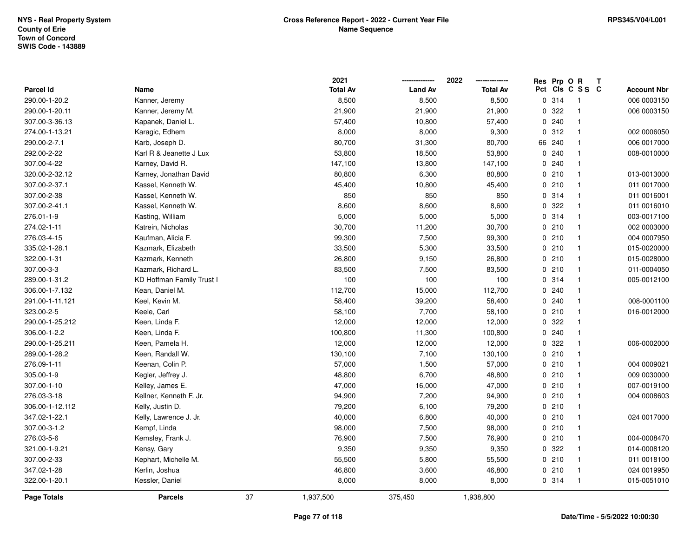|                    |                           |    | 2021            |                | 2022            |     | Res Prp O R |                         | Т |                    |
|--------------------|---------------------------|----|-----------------|----------------|-----------------|-----|-------------|-------------------------|---|--------------------|
| Parcel Id          | Name                      |    | <b>Total Av</b> | <b>Land Av</b> | <b>Total Av</b> | Pct |             | CIS C S S C             |   | <b>Account Nbr</b> |
| 290.00-1-20.2      | Kanner, Jeremy            |    | 8,500           | 8,500          | 8,500           |     | 0.314       | $\overline{1}$          |   | 006 0003150        |
| 290.00-1-20.11     | Kanner, Jeremy M.         |    | 21,900          | 21,900         | 21,900          | 0   | 322         | $\overline{\mathbf{1}}$ |   | 006 0003150        |
| 307.00-3-36.13     | Kapanek, Daniel L.        |    | 57,400          | 10,800         | 57,400          |     | 0.240       | $\overline{1}$          |   |                    |
| 274.00-1-13.21     | Karagic, Edhem            |    | 8,000           | 8,000          | 9,300           |     | 0.312       | $\overline{1}$          |   | 002 0006050        |
| 290.00-2-7.1       | Karb, Joseph D.           |    | 80,700          | 31,300         | 80,700          |     | 66 240      | $\mathbf 1$             |   | 006 0017000        |
| 292.00-2-22        | Karl R & Jeanette J Lux   |    | 53,800          | 18,500         | 53,800          |     | 0.240       | $\mathbf{1}$            |   | 008-0010000        |
| 307.00-4-22        | Karney, David R.          |    | 147,100         | 13,800         | 147,100         |     | 0.240       | $\overline{1}$          |   |                    |
| 320.00-2-32.12     | Karney, Jonathan David    |    | 80,800          | 6,300          | 80,800          |     | 0210        | $\mathbf{1}$            |   | 013-0013000        |
| 307.00-2-37.1      | Kassel, Kenneth W.        |    | 45,400          | 10,800         | 45,400          |     | 0210        | $\mathbf{1}$            |   | 011 0017000        |
| 307.00-2-38        | Kassel, Kenneth W.        |    | 850             | 850            | 850             |     | 0.314       | $\overline{1}$          |   | 011 0016001        |
| 307.00-2-41.1      | Kassel, Kenneth W.        |    | 8,600           | 8,600          | 8,600           |     | 0 322       | $\mathbf{1}$            |   | 011 0016010        |
| 276.01-1-9         | Kasting, William          |    | 5,000           | 5,000          | 5,000           |     | 0.314       | $\mathbf 1$             |   | 003-0017100        |
| 274.02-1-11        | Katrein, Nicholas         |    | 30,700          | 11,200         | 30,700          |     | 0210        |                         |   | 002 0003000        |
| 276.03-4-15        | Kaufman, Alicia F.        |    | 99,300          | 7,500          | 99,300          |     | 0210        | $\mathbf{1}$            |   | 004 0007950        |
| 335.02-1-28.1      | Kazmark, Elizabeth        |    | 33,500          | 5,300          | 33,500          |     | 0210        | $\overline{1}$          |   | 015-0020000        |
| 322.00-1-31        | Kazmark, Kenneth          |    | 26,800          | 9,150          | 26,800          |     | 0210        | $\overline{1}$          |   | 015-0028000        |
| 307.00-3-3         | Kazmark, Richard L.       |    | 83,500          | 7,500          | 83,500          |     | 0210        | $\mathbf{1}$            |   | 011-0004050        |
| 289.00-1-31.2      | KD Hoffman Family Trust I |    | 100             | 100            | 100             |     | 0.314       | $\mathbf{1}$            |   | 005-0012100        |
| 306.00-1-7.132     | Kean, Daniel M.           |    | 112,700         | 15,000         | 112,700         |     | 0.240       | $\mathbf 1$             |   |                    |
| 291.00-1-11.121    | Keel, Kevin M.            |    | 58,400          | 39,200         | 58,400          |     | 0.240       | $\mathbf{1}$            |   | 008-0001100        |
| 323.00-2-5         | Keele, Carl               |    | 58,100          | 7,700          | 58,100          |     | 0210        | $\mathbf{1}$            |   | 016-0012000        |
| 290.00-1-25.212    | Keen, Linda F.            |    | 12,000          | 12,000         | 12,000          |     | 0 322       | $\mathbf{1}$            |   |                    |
| 306.00-1-2.2       | Keen, Linda F.            |    | 100,800         | 11,300         | 100,800         |     | 0.240       | $\mathbf{1}$            |   |                    |
| 290.00-1-25.211    | Keen, Pamela H.           |    | 12,000          | 12,000         | 12,000          |     | 0.322       | $\overline{1}$          |   | 006-0002000        |
| 289.00-1-28.2      | Keen, Randall W.          |    | 130,100         | 7,100          | 130,100         |     | 0210        | $\overline{1}$          |   |                    |
| 276.09-1-11        | Keenan, Colin P.          |    | 57,000          | 1,500          | 57,000          |     | 0210        | $\mathbf 1$             |   | 004 0009021        |
| 305.00-1-9         | Kegler, Jeffrey J.        |    | 48,800          | 6,700          | 48,800          |     | 0210        | $\mathbf 1$             |   | 009 0030000        |
| 307.00-1-10        | Kelley, James E.          |    | 47,000          | 16,000         | 47,000          |     | 0210        | $\mathbf{1}$            |   | 007-0019100        |
| 276.03-3-18        | Kellner, Kenneth F. Jr.   |    | 94,900          | 7,200          | 94,900          |     | 0210        | $\overline{1}$          |   | 004 0008603        |
| 306.00-1-12.112    | Kelly, Justin D.          |    | 79,200          | 6,100          | 79,200          |     | 0210        | $\mathbf{1}$            |   |                    |
| 347.02-1-22.1      | Kelly, Lawrence J. Jr.    |    | 40,000          | 6,800          | 40,000          |     | 0210        | $\overline{1}$          |   | 024 0017000        |
| 307.00-3-1.2       | Kempf, Linda              |    | 98,000          | 7,500          | 98,000          |     | 0210        | $\mathbf{1}$            |   |                    |
| 276.03-5-6         | Kemsley, Frank J.         |    | 76,900          | 7,500          | 76,900          |     | 0210        | $\overline{1}$          |   | 004-0008470        |
| 321.00-1-9.21      | Kensy, Gary               |    | 9,350           | 9,350          | 9,350           |     | 0 322       | $\mathbf{1}$            |   | 014-0008120        |
| 307.00-2-33        | Kephart, Michelle M.      |    | 55,500          | 5,800          | 55,500          |     | 0210        | $\mathbf{1}$            |   | 011 0018100        |
| 347.02-1-28        | Kerlin, Joshua            |    | 46,800          | 3,600          | 46,800          |     | 0210        | $\mathbf{1}$            |   | 024 0019950        |
| 322.00-1-20.1      | Kessler, Daniel           |    | 8,000           | 8,000          | 8,000           |     | 0.314       | $\overline{1}$          |   | 015-0051010        |
| <b>Page Totals</b> | <b>Parcels</b>            | 37 | 1,937,500       | 375,450        | 1,938,800       |     |             |                         |   |                    |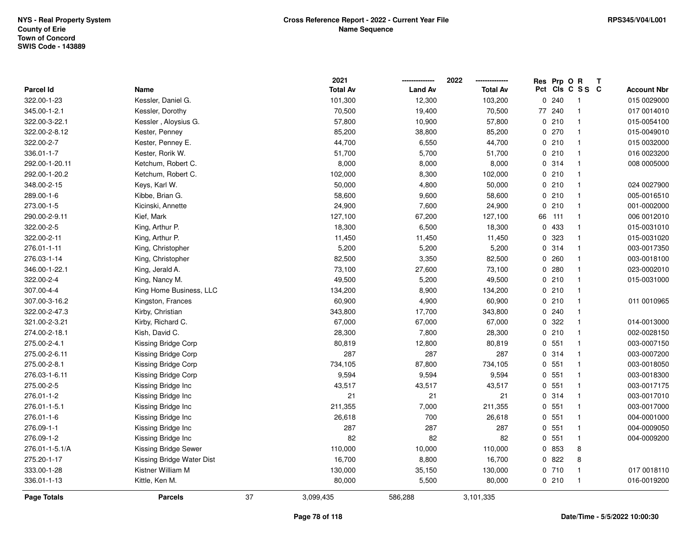|                  |                           |    | 2021            |                | 2022            |    | Res Prp O R |                         | Т |                    |
|------------------|---------------------------|----|-----------------|----------------|-----------------|----|-------------|-------------------------|---|--------------------|
| <b>Parcel Id</b> | Name                      |    | <b>Total Av</b> | <b>Land Av</b> | <b>Total Av</b> |    |             | Pct Cls C S S C         |   | <b>Account Nbr</b> |
| 322.00-1-23      | Kessler, Daniel G.        |    | 101,300         | 12,300         | 103,200         | 0  | 240         | $\overline{\mathbf{1}}$ |   | 015 0029000        |
| 345.00-1-2.1     | Kessler, Dorothy          |    | 70,500          | 19,400         | 70,500          | 77 | 240         | $\overline{1}$          |   | 017 0014010        |
| 322.00-3-22.1    | Kessler, Aloysius G.      |    | 57,800          | 10,900         | 57,800          |    | 0210        | $\overline{1}$          |   | 015-0054100        |
| 322.00-2-8.12    | Kester, Penney            |    | 85,200          | 38,800         | 85,200          |    | 0270        | $\overline{1}$          |   | 015-0049010        |
| 322.00-2-7       | Kester, Penney E.         |    | 44,700          | 6,550          | 44,700          |    | 0210        | $\overline{\mathbf{1}}$ |   | 015 0032000        |
| 336.01-1-7       | Kester, Rorik W.          |    | 51,700          | 5,700          | 51,700          |    | 0210        | -1                      |   | 016 0023200        |
| 292.00-1-20.11   | Ketchum, Robert C.        |    | 8,000           | 8,000          | 8,000           |    | 0.314       | $\overline{1}$          |   | 008 0005000        |
| 292.00-1-20.2    | Ketchum, Robert C.        |    | 102,000         | 8,300          | 102,000         |    | 0210        | $\overline{1}$          |   |                    |
| 348.00-2-15      | Keys, Karl W.             |    | 50,000          | 4,800          | 50,000          |    | 0210        | $\overline{1}$          |   | 024 0027900        |
| 289.00-1-6       | Kibbe, Brian G.           |    | 58,600          | 9,600          | 58,600          |    | 0210        | $\overline{\mathbf{1}}$ |   | 005-0016510        |
| 273.00-1-5       | Kicinski, Annette         |    | 24,900          | 7,600          | 24,900          |    | 0210        | $\overline{1}$          |   | 001-0002000        |
| 290.00-2-9.11    | Kief, Mark                |    | 127,100         | 67,200         | 127,100         |    | 66 111      | $\overline{1}$          |   | 006 0012010        |
| 322.00-2-5       | King, Arthur P.           |    | 18,300          | 6,500          | 18,300          |    | 0 433       | -1                      |   | 015-0031010        |
| 322.00-2-11      | King, Arthur P.           |    | 11,450          | 11,450         | 11,450          |    | 0 323       | $\overline{\mathbf{1}}$ |   | 015-0031020        |
| 276.01-1-11      | King, Christopher         |    | 5,200           | 5,200          | 5,200           |    | 0.314       | $\overline{1}$          |   | 003-0017350        |
| 276.03-1-14      | King, Christopher         |    | 82,500          | 3,350          | 82,500          |    | 0.260       | $\overline{1}$          |   | 003-0018100        |
| 346.00-1-22.1    | King, Jerald A.           |    | 73,100          | 27,600         | 73,100          |    | 0.280       | $\overline{\mathbf{1}}$ |   | 023-0002010        |
| 322.00-2-4       | King, Nancy M.            |    | 49,500          | 5,200          | 49,500          |    | 0210        | $\overline{1}$          |   | 015-0031000        |
| 307.00-4-4       | King Home Business, LLC   |    | 134,200         | 8,900          | 134,200         |    | 0210        | $\overline{1}$          |   |                    |
| 307.00-3-16.2    | Kingston, Frances         |    | 60,900          | 4,900          | 60,900          |    | 0210        | $\overline{\mathbf{1}}$ |   | 011 0010965        |
| 322.00-2-47.3    | Kirby, Christian          |    | 343,800         | 17,700         | 343,800         |    | 0.240       | $\overline{\mathbf{1}}$ |   |                    |
| 321.00-2-3.21    | Kirby, Richard C.         |    | 67,000          | 67,000         | 67,000          |    | 0 322       | $\overline{1}$          |   | 014-0013000        |
| 274.00-2-18.1    | Kish, David C.            |    | 28,300          | 7,800          | 28,300          |    | 0210        | $\overline{1}$          |   | 002-0028150        |
| 275.00-2-4.1     | Kissing Bridge Corp       |    | 80,819          | 12,800         | 80,819          |    | 0.551       | $\overline{1}$          |   | 003-0007150        |
| 275.00-2-6.11    | Kissing Bridge Corp       |    | 287             | 287            | 287             |    | 0 314       | $\overline{1}$          |   | 003-0007200        |
| 275.00-2-8.1     | Kissing Bridge Corp       |    | 734,105         | 87,800         | 734,105         |    | 0, 551      | -1                      |   | 003-0018050        |
| 276.03-1-6.11    | Kissing Bridge Corp       |    | 9,594           | 9,594          | 9,594           |    | 0, 551      | $\overline{\mathbf{1}}$ |   | 003-0018300        |
| 275.00-2-5       | Kissing Bridge Inc        |    | 43,517          | 43,517         | 43,517          |    | 0.551       | $\overline{\mathbf{1}}$ |   | 003-0017175        |
| 276.01-1-2       | Kissing Bridge Inc        |    | 21              | 21             | 21              |    | 0.314       | $\overline{1}$          |   | 003-0017010        |
| 276.01-1-5.1     | Kissing Bridge Inc        |    | 211,355         | 7,000          | 211,355         |    | 0, 551      | $\overline{1}$          |   | 003-0017000        |
| 276.01-1-6       | Kissing Bridge Inc        |    | 26,618          | 700            | 26,618          |    | 0, 551      | $\overline{1}$          |   | 004-0001000        |
| 276.09-1-1       | Kissing Bridge Inc        |    | 287             | 287            | 287             |    | 0.551       | $\overline{1}$          |   | 004-0009050        |
| 276.09-1-2       | Kissing Bridge Inc        |    | 82              | 82             | 82              |    | 0.551       | $\mathbf{1}$            |   | 004-0009200        |
| 276.01-1-5.1/A   | Kissing Bridge Sewer      |    | 110,000         | 10,000         | 110,000         |    | 0 853       | 8                       |   |                    |
| 275.20-1-17      | Kissing Bridge Water Dist |    | 16,700          | 8,800          | 16,700          |    | 0822        | $\,8\,$                 |   |                    |
| 333.00-1-28      | Kistner William M         |    | 130,000         | 35,150         | 130,000         |    | 0710        | $\overline{1}$          |   | 017 0018110        |
| 336.01-1-13      | Kittle, Ken M.            |    | 80,000          | 5,500          | 80,000          |    | 0210        | $\overline{1}$          |   | 016-0019200        |
| Page Totals      | <b>Parcels</b>            | 37 | 3,099,435       | 586,288        | 3,101,335       |    |             |                         |   |                    |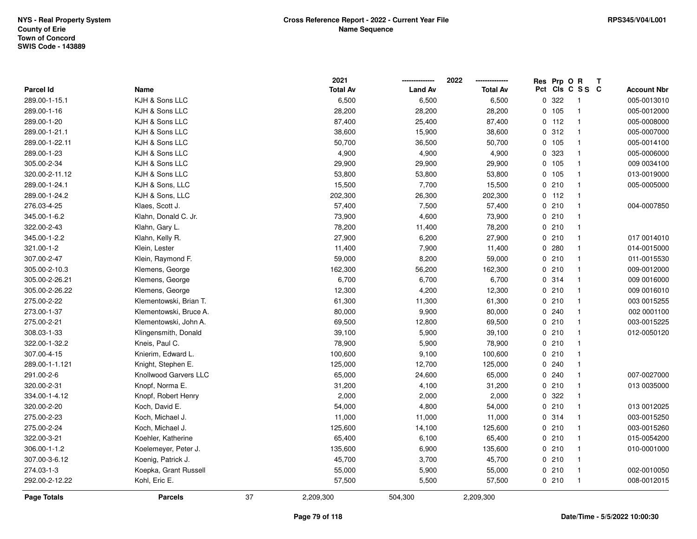|                  |                        |    | 2021            |                | 2022            | Res Prp O R |                            | Т |                    |
|------------------|------------------------|----|-----------------|----------------|-----------------|-------------|----------------------------|---|--------------------|
| <b>Parcel Id</b> | Name                   |    | <b>Total Av</b> | <b>Land Av</b> | <b>Total Av</b> |             | Pct Cls C S S C            |   | <b>Account Nbr</b> |
| 289.00-1-15.1    | KJH & Sons LLC         |    | 6,500           | 6,500          | 6,500           | 0 322       | $\overline{\phantom{0}}$ 1 |   | 005-0013010        |
| 289.00-1-16      | KJH & Sons LLC         |    | 28,200          | 28,200         | 28,200          | 0 105       | $\overline{1}$             |   | 005-0012000        |
| 289.00-1-20      | KJH & Sons LLC         |    | 87,400          | 25,400         | 87,400          | $0$ 112     | $\overline{1}$             |   | 005-0008000        |
| 289.00-1-21.1    | KJH & Sons LLC         |    | 38,600          | 15,900         | 38,600          | 0.312       | $\overline{1}$             |   | 005-0007000        |
| 289.00-1-22.11   | KJH & Sons LLC         |    | 50,700          | 36,500         | 50,700          | 0 105       | $\overline{1}$             |   | 005-0014100        |
| 289.00-1-23      | KJH & Sons LLC         |    | 4,900           | 4,900          | 4,900           | 0 323       | $\overline{\mathbf{1}}$    |   | 005-0006000        |
| 305.00-2-34      | KJH & Sons LLC         |    | 29,900          | 29,900         | 29,900          | 0 105       | $\overline{1}$             |   | 009 0034100        |
| 320.00-2-11.12   | KJH & Sons LLC         |    | 53,800          | 53,800         | 53,800          | 0 105       | $\overline{1}$             |   | 013-0019000        |
| 289.00-1-24.1    | KJH & Sons, LLC        |    | 15,500          | 7,700          | 15,500          | 0210        | $\overline{1}$             |   | 005-0005000        |
| 289.00-1-24.2    | KJH & Sons, LLC        |    | 202,300         | 26,300         | 202,300         | $0$ 112     | $\overline{1}$             |   |                    |
| 276.03-4-25      | Klaes, Scott J.        |    | 57,400          | 7,500          | 57,400          | 0210        | $\overline{1}$             |   | 004-0007850        |
| 345.00-1-6.2     | Klahn, Donald C. Jr.   |    | 73,900          | 4,600          | 73,900          | 0210        | $\overline{\mathbf{1}}$    |   |                    |
| 322.00-2-43      | Klahn, Gary L.         |    | 78,200          | 11,400         | 78,200          | 0210        | -1                         |   |                    |
| 345.00-1-2.2     | Klahn, Kelly R.        |    | 27,900          | 6,200          | 27,900          | 0210        | $\overline{\mathbf{1}}$    |   | 017 0014010        |
| 321.00-1-2       | Klein, Lester          |    | 11,400          | 7,900          | 11,400          | 0.280       | $\overline{1}$             |   | 014-0015000        |
| 307.00-2-47      | Klein, Raymond F.      |    | 59,000          | 8,200          | 59,000          | 0210        | $\overline{1}$             |   | 011-0015530        |
| 305.00-2-10.3    | Klemens, George        |    | 162,300         | 56,200         | 162,300         | 0210        | $\overline{\mathbf{1}}$    |   | 009-0012000        |
| 305.00-2-26.21   | Klemens, George        |    | 6,700           | 6,700          | 6,700           | 0 314       | $\overline{1}$             |   | 009 0016000        |
| 305.00-2-26.22   | Klemens, George        |    | 12,300          | 4,200          | 12,300          | 0210        | $\overline{1}$             |   | 009 0016010        |
| 275.00-2-22      | Klementowski, Brian T. |    | 61,300          | 11,300         | 61,300          | 0210        | $\overline{1}$             |   | 003 0015255        |
| 273.00-1-37      | Klementowski, Bruce A. |    | 80,000          | 9,900          | 80,000          | 0.240       | $\overline{\mathbf{1}}$    |   | 002 0001100        |
| 275.00-2-21      | Klementowski, John A.  |    | 69,500          | 12,800         | 69,500          | 0210        | $\overline{1}$             |   | 003-0015225        |
| 308.03-1-33      | Klingensmith, Donald   |    | 39,100          | 5,900          | 39,100          | 0210        | $\overline{\mathbf{1}}$    |   | 012-0050120        |
| 322.00-1-32.2    | Kneis, Paul C.         |    | 78,900          | 5,900          | 78,900          | 0210        | $\overline{\mathbf{1}}$    |   |                    |
| 307.00-4-15      | Knierim, Edward L.     |    | 100,600         | 9,100          | 100,600         | 0210        | $\overline{\mathbf{1}}$    |   |                    |
| 289.00-1-1.121   | Knight, Stephen E.     |    | 125,000         | 12,700         | 125,000         | 0.240       | -1                         |   |                    |
| 291.00-2-6       | Knollwood Garvers LLC  |    | 65,000          | 24,600         | 65,000          | 0.240       | $\overline{\mathbf{1}}$    |   | 007-0027000        |
| 320.00-2-31      | Knopf, Norma E.        |    | 31,200          | 4,100          | 31,200          | 0210        | $\overline{\mathbf{1}}$    |   | 013 0035000        |
| 334.00-1-4.12    | Knopf, Robert Henry    |    | 2,000           | 2,000          | 2,000           | 0.322       | $\overline{1}$             |   |                    |
| 320.00-2-20      | Koch, David E.         |    | 54,000          | 4,800          | 54,000          | 0210        | $\overline{1}$             |   | 013 0012025        |
| 275.00-2-23      | Koch, Michael J.       |    | 11,000          | 11,000         | 11,000          | 0.314       | $\overline{1}$             |   | 003-0015250        |
| 275.00-2-24      | Koch, Michael J.       |    | 125,600         | 14,100         | 125,600         | 0210        | $\overline{1}$             |   | 003-0015260        |
| 322.00-3-21      | Koehler, Katherine     |    | 65,400          | 6,100          | 65,400          | 0210        | $\overline{1}$             |   | 015-0054200        |
| 306.00-1-1.2     | Koelemeyer, Peter J.   |    | 135,600         | 6,900          | 135,600         | 0210        | $\overline{1}$             |   | 010-0001000        |
| 307.00-3-6.12    | Koenig, Patrick J.     |    | 45,700          | 3,700          | 45,700          | 0210        | $\overline{\mathbf{1}}$    |   |                    |
| 274.03-1-3       | Koepka, Grant Russell  |    | 55,000          | 5,900          | 55,000          | 0210        | $\overline{1}$             |   | 002-0010050        |
| 292.00-2-12.22   | Kohl, Eric E.          |    | 57,500          | 5,500          | 57,500          | 0210        | $\overline{1}$             |   | 008-0012015        |
| Page Totals      | <b>Parcels</b>         | 37 | 2,209,300       | 504,300        | 2,209,300       |             |                            |   |                    |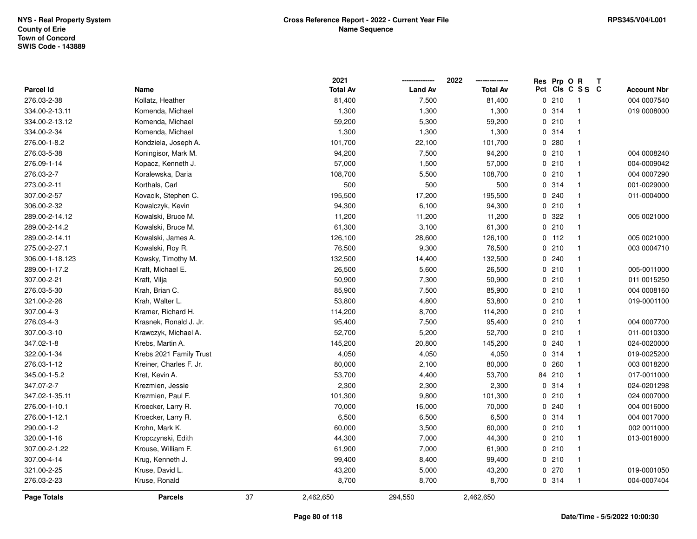|                    |                         |    | 2021            |                | 2022            | Res      | Prp O R |                 | Т |                    |
|--------------------|-------------------------|----|-----------------|----------------|-----------------|----------|---------|-----------------|---|--------------------|
| <b>Parcel Id</b>   | Name                    |    | <b>Total Av</b> | <b>Land Av</b> | <b>Total Av</b> |          |         | Pct Cls C S S C |   | <b>Account Nbr</b> |
| 276.03-2-38        | Kollatz, Heather        |    | 81,400          | 7,500          | 81,400          |          | 0210    | -1              |   | 004 0007540        |
| 334.00-2-13.11     | Komenda, Michael        |    | 1,300           | 1,300          | 1,300           |          | 0.314   | $\mathbf{1}$    |   | 019 0008000        |
| 334.00-2-13.12     | Komenda, Michael        |    | 59,200          | 5,300          | 59,200          |          | 0210    | $\mathbf 1$     |   |                    |
| 334.00-2-34        | Komenda, Michael        |    | 1,300           | 1,300          | 1,300           |          | 0.314   | $\mathbf 1$     |   |                    |
| 276.00-1-8.2       | Kondziela, Joseph A.    |    | 101,700         | 22,100         | 101,700         |          | 0.280   |                 |   |                    |
| 276.03-5-38        | Koningisor, Mark M.     |    | 94,200          | 7,500          | 94,200          |          | 0210    | $\mathbf 1$     |   | 004 0008240        |
| 276.09-1-14        | Kopacz, Kenneth J.      |    | 57,000          | 1,500          | 57,000          |          | 0210    | $\mathbf 1$     |   | 004-0009042        |
| 276.03-2-7         | Koralewska, Daria       |    | 108,700         | 5,500          | 108,700         |          | 0210    | $\mathbf 1$     |   | 004 0007290        |
| 273.00-2-11        | Korthals, Carl          |    | 500             | 500            | 500             |          | 0.314   | $\mathbf{1}$    |   | 001-0029000        |
| 307.00-2-57        | Kovacik, Stephen C.     |    | 195,500         | 17,200         | 195,500         |          | 0.240   |                 |   | 011-0004000        |
| 306.00-2-32        | Kowalczyk, Kevin        |    | 94,300          | 6,100          | 94,300          |          | 0210    | $\mathbf 1$     |   |                    |
| 289.00-2-14.12     | Kowalski, Bruce M.      |    | 11,200          | 11,200         | 11,200          |          | 0.322   |                 |   | 005 0021000        |
| 289.00-2-14.2      | Kowalski, Bruce M.      |    | 61,300          | 3,100          | 61,300          |          | 0210    | -1              |   |                    |
| 289.00-2-14.11     | Kowalski, James A.      |    | 126,100         | 28,600         | 126,100         |          | $0$ 112 | $\mathbf{1}$    |   | 005 0021000        |
| 275.00-2-27.1      | Kowalski, Roy R.        |    | 76,500          | 9,300          | 76,500          |          | 0210    | $\mathbf 1$     |   | 003 0004710        |
| 306.00-1-18.123    | Kowsky, Timothy M.      |    | 132,500         | 14,400         | 132,500         |          | 0.240   | $\mathbf{1}$    |   |                    |
| 289.00-1-17.2      | Kraft, Michael E.       |    | 26,500          | 5,600          | 26,500          |          | 0210    | $\mathbf 1$     |   | 005-0011000        |
| 307.00-2-21        | Kraft, Vilja            |    | 50,900          | 7,300          | 50,900          |          | 0210    | $\mathbf 1$     |   | 011 0015250        |
| 276.03-5-30        | Krah, Brian C.          |    | 85,900          | 7,500          | 85,900          |          | 0210    |                 |   | 004 0008160        |
| 321.00-2-26        | Krah, Walter L.         |    | 53,800          | 4,800          | 53,800          |          | 0210    | $\mathbf 1$     |   | 019-0001100        |
| 307.00-4-3         | Kramer, Richard H.      |    | 114,200         | 8,700          | 114,200         |          | 0210    | $\mathbf 1$     |   |                    |
| 276.03-4-3         | Krasnek, Ronald J. Jr.  |    | 95,400          | 7,500          | 95,400          |          | 0210    | $\mathbf 1$     |   | 004 0007700        |
| 307.00-3-10        | Krawczyk, Michael A.    |    | 52,700          | 5,200          | 52,700          |          | 0210    | $\mathbf 1$     |   | 011-0010300        |
| 347.02-1-8         | Krebs, Martin A.        |    | 145,200         | 20,800         | 145,200         |          | 0.240   | $\mathbf 1$     |   | 024-0020000        |
| 322.00-1-34        | Krebs 2021 Family Trust |    | 4,050           | 4,050          | 4,050           |          | 0.314   | $\mathbf 1$     |   | 019-0025200        |
| 276.03-1-12        | Kreiner, Charles F. Jr. |    | 80,000          | 2,100          | 80,000          | $\Omega$ | 260     |                 |   | 003 0018200        |
| 345.00-1-5.2       | Kret, Kevin A.          |    | 53,700          | 4,400          | 53,700          | 84       | 210     |                 |   | 017-0011000        |
| 347.07-2-7         | Krezmien, Jessie        |    | 2,300           | 2,300          | 2,300           |          | 0 314   | -1              |   | 024-0201298        |
| 347.02-1-35.11     | Krezmien, Paul F.       |    | 101,300         | 9,800          | 101,300         |          | 0210    | $\mathbf 1$     |   | 024 0007000        |
| 276.00-1-10.1      | Kroecker, Larry R.      |    | 70,000          | 16,000         | 70,000          |          | 0.240   | $\mathbf 1$     |   | 004 0016000        |
| 276.00-1-12.1      | Kroecker, Larry R.      |    | 6,500           | 6,500          | 6,500           |          | 0.314   | $\overline{1}$  |   | 004 0017000        |
| 290.00-1-2         | Krohn, Mark K.          |    | 60,000          | 3,500          | 60,000          |          | 0210    | -1              |   | 002 0011000        |
| 320.00-1-16        | Kropczynski, Edith      |    | 44,300          | 7,000          | 44,300          |          | 0210    | $\mathbf 1$     |   | 013-0018000        |
| 307.00-2-1.22      | Krouse, William F.      |    | 61,900          | 7,000          | 61,900          |          | 0210    |                 |   |                    |
| 307.00-4-14        | Krug, Kenneth J.        |    | 99,400          | 8,400          | 99,400          |          | 0210    | -1              |   |                    |
| 321.00-2-25        | Kruse, David L.         |    | 43,200          | 5,000          | 43,200          |          | 0270    | $\mathbf 1$     |   | 019-0001050        |
| 276.03-2-23        | Kruse, Ronald           |    | 8,700           | 8,700          | 8,700           |          | 0.314   | -1              |   | 004-0007404        |
| <b>Page Totals</b> | <b>Parcels</b>          | 37 | 2,462,650       | 294,550        | 2,462,650       |          |         |                 |   |                    |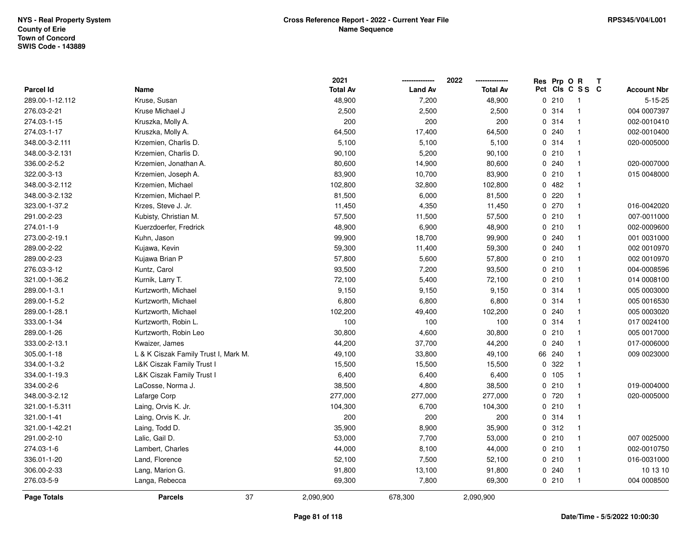|                    |                                      | 2021            |                | 2022            | Res | Prp O  | $\mathbf R$     | $\mathbf{T}$ |                    |
|--------------------|--------------------------------------|-----------------|----------------|-----------------|-----|--------|-----------------|--------------|--------------------|
| <b>Parcel Id</b>   | <b>Name</b>                          | <b>Total Av</b> | <b>Land Av</b> | <b>Total Av</b> |     |        | Pct Cls C S S C |              | <b>Account Nbr</b> |
| 289.00-1-12.112    | Kruse, Susan                         | 48,900          | 7,200          | 48,900          |     | 0210   | $\mathbf{1}$    |              | $5 - 15 - 25$      |
| 276.03-2-21        | Kruse Michael J                      | 2,500           | 2,500          | 2,500           |     | 0.314  | $\mathbf{1}$    |              | 004 0007397        |
| 274.03-1-15        | Kruszka, Molly A.                    | 200             | 200            | 200             |     | 0.314  | $\mathbf{1}$    |              | 002-0010410        |
| 274.03-1-17        | Kruszka, Molly A.                    | 64,500          | 17,400         | 64,500          |     | 0.240  | $\mathbf{1}$    |              | 002-0010400        |
| 348.00-3-2.111     | Krzemien, Charlis D.                 | 5,100           | 5,100          | 5,100           |     | 0.314  | $\mathbf{1}$    |              | 020-0005000        |
| 348.00-3-2.131     | Krzemien, Charlis D.                 | 90,100          | 5,200          | 90,100          |     | 0210   | $\mathbf{1}$    |              |                    |
| 336.00-2-5.2       | Krzemien, Jonathan A.                | 80,600          | 14,900         | 80,600          |     | 0.240  | $\mathbf{1}$    |              | 020-0007000        |
| 322.00-3-13        | Krzemien, Joseph A.                  | 83,900          | 10,700         | 83,900          |     | 0210   | $\mathbf{1}$    |              | 015 0048000        |
| 348.00-3-2.112     | Krzemien, Michael                    | 102,800         | 32,800         | 102,800         |     | 0482   | $\mathbf{1}$    |              |                    |
| 348.00-3-2.132     | Krzemien, Michael P.                 | 81,500          | 6,000          | 81,500          |     | 0.220  | $\mathbf{1}$    |              |                    |
| 323.00-1-37.2      | Krzes, Steve J. Jr.                  | 11,450          | 4,350          | 11,450          |     | 0.270  | $\mathbf{1}$    |              | 016-0042020        |
| 291.00-2-23        | Kubisty, Christian M.                | 57,500          | 11,500         | 57,500          |     | 0210   | $\mathbf{1}$    |              | 007-0011000        |
| 274.01-1-9         | Kuerzdoerfer, Fredrick               | 48,900          | 6,900          | 48,900          |     | 0210   | $\mathbf{1}$    |              | 002-0009600        |
| 273.00-2-19.1      | Kuhn, Jason                          | 99,900          | 18,700         | 99,900          |     | 0.240  | $\mathbf{1}$    |              | 001 0031000        |
| 289.00-2-22        | Kujawa, Kevin                        | 59,300          | 11,400         | 59,300          |     | 0.240  | $\mathbf{1}$    |              | 002 0010970        |
| 289.00-2-23        | Kujawa Brian P                       | 57,800          | 5,600          | 57,800          |     | 0210   | $\mathbf{1}$    |              | 002 0010970        |
| 276.03-3-12        | Kuntz, Carol                         | 93,500          | 7,200          | 93,500          |     | 0210   | $\mathbf{1}$    |              | 004-0008596        |
| 321.00-1-36.2      | Kurnik, Larry T.                     | 72,100          | 5,400          | 72,100          |     | 0210   | $\mathbf{1}$    |              | 014 0008100        |
| 289.00-1-3.1       | Kurtzworth, Michael                  | 9,150           | 9,150          | 9,150           |     | 0.314  | $\mathbf{1}$    |              | 005 0003000        |
| 289.00-1-5.2       | Kurtzworth, Michael                  | 6,800           | 6,800          | 6,800           |     | 0 314  | $\mathbf{1}$    |              | 005 0016530        |
| 289.00-1-28.1      | Kurtzworth, Michael                  | 102,200         | 49,400         | 102,200         |     | 0.240  | $\mathbf{1}$    |              | 005 0003020        |
| 333.00-1-34        | Kurtzworth, Robin L.                 | 100             | 100            | 100             |     | 0 314  | $\mathbf{1}$    |              | 017 0024100        |
| 289.00-1-26        | Kurtzworth, Robin Leo                | 30,800          | 4,600          | 30,800          |     | 0210   | $\mathbf{1}$    |              | 005 0017000        |
| 333.00-2-13.1      | Kwaizer, James                       | 44,200          | 37,700         | 44,200          |     | 0.240  | $\mathbf{1}$    |              | 017-0006000        |
| 305.00-1-18        | L & K Ciszak Family Trust I, Mark M. | 49,100          | 33,800         | 49,100          |     | 66 240 | $\mathbf{1}$    |              | 009 0023000        |
| 334.00-1-3.2       | L&K Ciszak Family Trust I            | 15,500          | 15,500         | 15,500          |     | 0 322  | $\mathbf{1}$    |              |                    |
| 334.00-1-19.3      | L&K Ciszak Family Trust I            | 6,400           | 6,400          | 6,400           |     | 0, 105 | $\mathbf{1}$    |              |                    |
| 334.00-2-6         | LaCosse, Norma J.                    | 38,500          | 4,800          | 38,500          |     | 0210   | $\mathbf{1}$    |              | 019-0004000        |
| 348.00-3-2.12      | Lafarge Corp                         | 277,000         | 277,000        | 277,000         |     | 0 720  | $\mathbf{1}$    |              | 020-0005000        |
| 321.00-1-5.311     | Laing, Orvis K. Jr.                  | 104,300         | 6,700          | 104,300         |     | 0210   | $\mathbf{1}$    |              |                    |
| 321.00-1-41        | Laing, Orvis K. Jr.                  | 200             | 200            | 200             |     | 0.314  | $\mathbf{1}$    |              |                    |
| 321.00-1-42.21     | Laing, Todd D.                       | 35,900          | 8,900          | 35,900          |     | 0.312  | $\mathbf{1}$    |              |                    |
| 291.00-2-10        | Lalic, Gail D.                       | 53,000          | 7,700          | 53,000          |     | 0210   | $\mathbf{1}$    |              | 007 0025000        |
| 274.03-1-6         | Lambert, Charles                     | 44,000          | 8,100          | 44,000          |     | 0210   | $\mathbf{1}$    |              | 002-0010750        |
| 336.01-1-20        | Land, Florence                       | 52,100          | 7,500          | 52,100          |     | 0210   | $\mathbf{1}$    |              | 016-0031000        |
| 306.00-2-33        | Lang, Marion G.                      | 91,800          | 13,100         | 91,800          |     | 0.240  | $\mathbf{1}$    |              | 10 13 10           |
| 276.03-5-9         | Langa, Rebecca                       | 69,300          | 7,800          | 69,300          |     | 0210   | $\mathbf{1}$    |              | 004 0008500        |
| <b>Page Totals</b> | 37<br><b>Parcels</b>                 | 2,090,900       | 678,300        | 2,090,900       |     |        |                 |              |                    |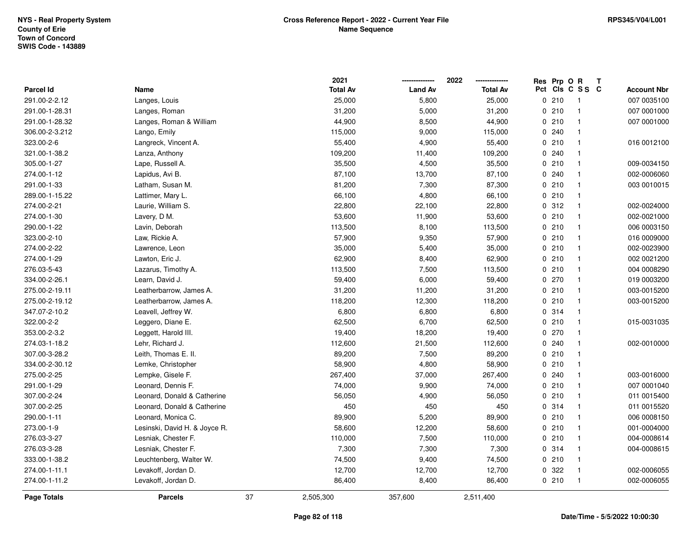|                  |                               | 2021            |                | 2022            |     | Res Prp O R |                | Т |                    |
|------------------|-------------------------------|-----------------|----------------|-----------------|-----|-------------|----------------|---|--------------------|
| <b>Parcel Id</b> | Name                          | <b>Total Av</b> | <b>Land Av</b> | <b>Total Av</b> | Pct |             | CIS C S S C    |   | <b>Account Nbr</b> |
| 291.00-2-2.12    | Langes, Louis                 | 25,000          | 5,800          | 25,000          |     | 0210        | $\overline{1}$ |   | 007 0035100        |
| 291.00-1-28.31   | Langes, Roman                 | 31,200          | 5,000          | 31,200          |     | 0210        | $\overline{1}$ |   | 007 0001000        |
| 291.00-1-28.32   | Langes, Roman & William       | 44,900          | 8,500          | 44,900          |     | 0210        | $\mathbf{1}$   |   | 007 0001000        |
| 306.00-2-3.212   | Lango, Emily                  | 115,000         | 9,000          | 115,000         |     | 0.240       | -1             |   |                    |
| 323.00-2-6       | Langreck, Vincent A.          | 55,400          | 4,900          | 55,400          |     | 0210        | $\mathbf{1}$   |   | 016 0012100        |
| 321.00-1-38.2    | Lanza, Anthony                | 109,200         | 11,400         | 109,200         |     | 0.240       |                |   |                    |
| 305.00-1-27      | Lape, Russell A.              | 35,500          | 4,500          | 35,500          |     | 0210        | $\mathbf{1}$   |   | 009-0034150        |
| 274.00-1-12      | Lapidus, Avi B.               | 87,100          | 13,700         | 87,100          |     | 0.240       | $\mathbf{1}$   |   | 002-0006060        |
| 291.00-1-33      | Latham, Susan M.              | 81,200          | 7,300          | 87,300          |     | 0210        | $\mathbf{1}$   |   | 003 0010015        |
| 289.00-1-15.22   | Lattimer, Mary L.             | 66,100          | 4,800          | 66,100          |     | 0210        | $\mathbf{1}$   |   |                    |
| 274.00-2-21      | Laurie, William S.            | 22,800          | 22,100         | 22,800          |     | 0.312       | $\mathbf{1}$   |   | 002-0024000        |
| 274.00-1-30      | Lavery, D M.                  | 53,600          | 11,900         | 53,600          |     | 0210        | $\mathbf{1}$   |   | 002-0021000        |
| 290.00-1-22      | Lavin, Deborah                | 113,500         | 8,100          | 113,500         |     | 0210        |                |   | 006 0003150        |
| 323.00-2-10      | Law, Rickie A.                | 57,900          | 9,350          | 57,900          |     | 0210        | $\overline{1}$ |   | 016 0009000        |
| 274.00-2-22      | Lawrence, Leon                | 35,000          | 5,400          | 35,000          |     | 0210        | $\overline{1}$ |   | 002-0023900        |
| 274.00-1-29      | Lawton, Eric J.               | 62,900          | 8,400          | 62,900          |     | 0210        | $\overline{1}$ |   | 002 0021200        |
| 276.03-5-43      | Lazarus, Timothy A.           | 113,500         | 7,500          | 113,500         |     | 0210        | $\mathbf{1}$   |   | 004 0008290        |
| 334.00-2-26.1    | Learn, David J.               | 59,400          | 6,000          | 59,400          |     | 0 270       | $\mathbf{1}$   |   | 019 0003200        |
| 275.00-2-19.11   | Leatherbarrow, James A.       | 31,200          | 11,200         | 31,200          |     | 0210        | -1             |   | 003-0015200        |
| 275.00-2-19.12   | Leatherbarrow, James A.       | 118,200         | 12,300         | 118,200         |     | 0210        | -1             |   | 003-0015200        |
| 347.07-2-10.2    | Leavell, Jeffrey W.           | 6,800           | 6,800          | 6,800           |     | 0 314       | $\mathbf{1}$   |   |                    |
| 322.00-2-2       | Leggero, Diane E.             | 62,500          | 6,700          | 62,500          |     | 0210        | $\mathbf{1}$   |   | 015-0031035        |
| 353.00-2-3.2     | Leggett, Harold III.          | 19,400          | 18,200         | 19,400          |     | 0270        | $\mathbf{1}$   |   |                    |
| 274.03-1-18.2    | Lehr, Richard J.              | 112,600         | 21,500         | 112,600         |     | 0.240       | $\mathbf{1}$   |   | 002-0010000        |
| 307.00-3-28.2    | Leith, Thomas E. II.          | 89,200          | 7,500          | 89,200          |     | 0210        | $\overline{1}$ |   |                    |
| 334.00-2-30.12   | Lemke, Christopher            | 58,900          | 4,800          | 58,900          |     | 0210        | -1             |   |                    |
| 275.00-2-25      | Lempke, Gisele F.             | 267,400         | 37,000         | 267,400         |     | 0.240       |                |   | 003-0016000        |
| 291.00-1-29      | Leonard, Dennis F.            | 74,000          | 9,900          | 74,000          |     | 0210        | $\mathbf{1}$   |   | 007 0001040        |
| 307.00-2-24      | Leonard, Donald & Catherine   | 56,050          | 4,900          | 56,050          |     | 0210        | $\overline{1}$ |   | 011 0015400        |
| 307.00-2-25      | Leonard, Donald & Catherine   | 450             | 450            | 450             |     | 0.314       | $\mathbf{1}$   |   | 011 0015520        |
| 290.00-1-11      | Leonard, Monica C.            | 89,900          | 5,200          | 89,900          |     | 0210        | $\overline{1}$ |   | 006 0008150        |
| 273.00-1-9       | Lesinski, David H. & Joyce R. | 58,600          | 12,200         | 58,600          |     | 0210        | $\overline{1}$ |   | 001-0004000        |
| 276.03-3-27      | Lesniak, Chester F.           | 110,000         | 7,500          | 110,000         |     | 0210        | $\overline{1}$ |   | 004-0008614        |
| 276.03-3-28      | Lesniak, Chester F.           | 7,300           | 7,300          | 7,300           |     | 0.314       | $\mathbf{1}$   |   | 004-0008615        |
| 333.00-1-38.2    | Leuchtenberg, Walter W.       | 74,500          | 9,400          | 74,500          |     | 0210        | $\overline{1}$ |   |                    |
| 274.00-1-11.1    | Levakoff, Jordan D.           | 12,700          | 12,700         | 12,700          |     | 0 322       | $\mathbf{1}$   |   | 002-0006055        |
| 274.00-1-11.2    | Levakoff, Jordan D.           | 86,400          | 8,400          | 86,400          |     | 0210        | $\overline{1}$ |   | 002-0006055        |
| Page Totals      | <b>Parcels</b>                | 37<br>2,505,300 | 357,600        | 2,511,400       |     |             |                |   |                    |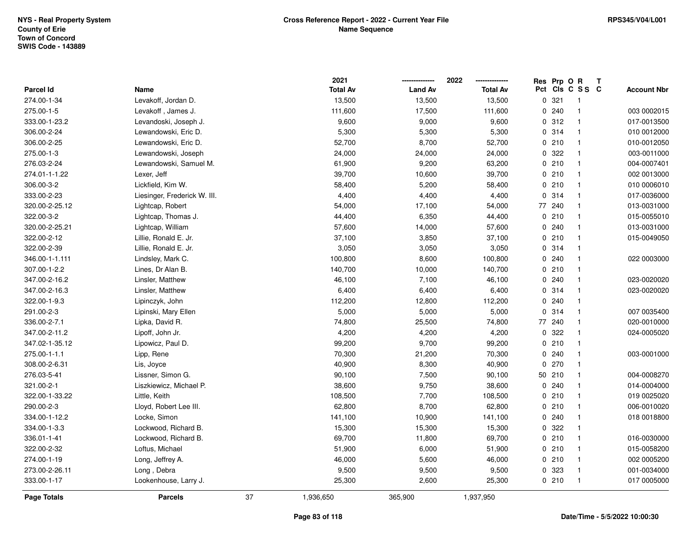|                    |                              |    | 2021            |                | 2022            | Res Prp O R |                 | Т |                    |
|--------------------|------------------------------|----|-----------------|----------------|-----------------|-------------|-----------------|---|--------------------|
| Parcel Id          | Name                         |    | <b>Total Av</b> | <b>Land Av</b> | <b>Total Av</b> |             | Pct Cls C S S C |   | <b>Account Nbr</b> |
| 274.00-1-34        | Levakoff, Jordan D.          |    | 13,500          | 13,500         | 13,500          | 0.321       | $\overline{1}$  |   |                    |
| 275.00-1-5         | Levakoff, James J.           |    | 111,600         | 17,500         | 111,600         | 0.240       | $\mathbf{1}$    |   | 003 0002015        |
| 333.00-1-23.2      | Levandoski, Joseph J.        |    | 9,600           | 9,000          | 9,600           | 0.312       | $\mathbf{1}$    |   | 017-0013500        |
| 306.00-2-24        | Lewandowski, Eric D.         |    | 5,300           | 5,300          | 5,300           | 0.314       | $\mathbf{1}$    |   | 010 0012000        |
| 306.00-2-25        | Lewandowski, Eric D.         |    | 52,700          | 8,700          | 52,700          | 0210        | $\mathbf{1}$    |   | 010-0012050        |
| 275.00-1-3         | Lewandowski, Joseph          |    | 24,000          | 24,000         | 24,000          | 0 322       | $\mathbf{1}$    |   | 003-0011000        |
| 276.03-2-24        | Lewandowski, Samuel M.       |    | 61,900          | 9,200          | 63,200          | 0210        | $\mathbf{1}$    |   | 004-0007401        |
| 274.01-1-1.22      | Lexer, Jeff                  |    | 39,700          | 10,600         | 39,700          | 0210        | $\mathbf{1}$    |   | 002 0013000        |
| 306.00-3-2         | Lickfield, Kim W.            |    | 58,400          | 5,200          | 58,400          | 0210        | $\mathbf{1}$    |   | 010 0006010        |
| 333.00-2-23        | Liesinger, Frederick W. III. |    | 4,400           | 4,400          | 4,400           | 0 314       | $\mathbf{1}$    |   | 017-0036000        |
| 320.00-2-25.12     | Lightcap, Robert             |    | 54,000          | 17,100         | 54,000          | 77 240      | $\mathbf{1}$    |   | 013-0031000        |
| 322.00-3-2         | Lightcap, Thomas J.          |    | 44,400          | 6,350          | 44,400          | 0210        | $\mathbf{1}$    |   | 015-0055010        |
| 320.00-2-25.21     | Lightcap, William            |    | 57,600          | 14,000         | 57,600          | 0.240       | $\mathbf{1}$    |   | 013-0031000        |
| 322.00-2-12        | Lillie, Ronald E. Jr.        |    | 37,100          | 3,850          | 37,100          | 0210        | $\mathbf{1}$    |   | 015-0049050        |
| 322.00-2-39        | Lillie, Ronald E. Jr.        |    | 3,050           | 3,050          | 3,050           | 0 314       | $\mathbf{1}$    |   |                    |
| 346.00-1-1.111     | Lindsley, Mark C.            |    | 100,800         | 8,600          | 100,800         | 0.240       | $\mathbf{1}$    |   | 022 0003000        |
| 307.00-1-2.2       | Lines, Dr Alan B.            |    | 140,700         | 10,000         | 140,700         | 0210        | $\mathbf{1}$    |   |                    |
| 347.00-2-16.2      | Linsler, Matthew             |    | 46,100          | 7,100          | 46,100          | 0.240       | $\mathbf{1}$    |   | 023-0020020        |
| 347.00-2-16.3      | Linsler, Matthew             |    | 6,400           | 6,400          | 6,400           | 0.314       | $\mathbf{1}$    |   | 023-0020020        |
| 322.00-1-9.3       | Lipinczyk, John              |    | 112,200         | 12,800         | 112,200         | 0.240       | $\mathbf{1}$    |   |                    |
| 291.00-2-3         | Lipinski, Mary Ellen         |    | 5,000           | 5,000          | 5,000           | 0 314       | $\mathbf{1}$    |   | 007 0035400        |
| 336.00-2-7.1       | Lipka, David R.              |    | 74,800          | 25,500         | 74,800          | 77 240      | $\mathbf{1}$    |   | 020-0010000        |
| 347.00-2-11.2      | Lipoff, John Jr.             |    | 4,200           | 4,200          | 4,200           | 0 322       | $\mathbf{1}$    |   | 024-0005020        |
| 347.02-1-35.12     | Lipowicz, Paul D.            |    | 99,200          | 9,700          | 99,200          | 0210        | $\mathbf{1}$    |   |                    |
| 275.00-1-1.1       | Lipp, Rene                   |    | 70,300          | 21,200         | 70,300          | 0.240       | $\mathbf{1}$    |   | 003-0001000        |
| 308.00-2-6.31      | Lis, Joyce                   |    | 40,900          | 8,300          | 40,900          | 0270        | $\mathbf{1}$    |   |                    |
| 276.03-5-41        | Lissner, Simon G.            |    | 90,100          | 7,500          | 90,100          | 50 210      | $\overline{1}$  |   | 004-0008270        |
| 321.00-2-1         | Liszkiewicz, Michael P.      |    | 38,600          | 9,750          | 38,600          | 0.240       | $\mathbf{1}$    |   | 014-0004000        |
| 322.00-1-33.22     | Little, Keith                |    | 108,500         | 7,700          | 108,500         | 0210        | $\mathbf{1}$    |   | 019 0025020        |
| 290.00-2-3         | Lloyd, Robert Lee III.       |    | 62,800          | 8,700          | 62,800          | 0210        | $\mathbf{1}$    |   | 006-0010020        |
| 334.00-1-12.2      | Locke, Simon                 |    | 141,100         | 10,900         | 141,100         | 0.240       | $\mathbf{1}$    |   | 018 0018800        |
| 334.00-1-3.3       | Lockwood, Richard B.         |    | 15,300          | 15,300         | 15,300          | 0 322       | $\mathbf{1}$    |   |                    |
| 336.01-1-41        | Lockwood, Richard B.         |    | 69,700          | 11,800         | 69,700          | 0210        | $\mathbf{1}$    |   | 016-0030000        |
| 322.00-2-32        | Loftus, Michael              |    | 51,900          | 6,000          | 51,900          | 0210        | $\mathbf{1}$    |   | 015-0058200        |
| 274.00-1-19        | Long, Jeffrey A.             |    | 46,000          | 5,600          | 46,000          | 0210        | $\mathbf{1}$    |   | 002 0005200        |
| 273.00-2-26.11     | Long, Debra                  |    | 9,500           | 9,500          | 9,500           | 0 323       | $\mathbf{1}$    |   | 001-0034000        |
| 333.00-1-17        | Lookenhouse, Larry J.        |    | 25,300          | 2,600          | 25,300          | 0210        | $\mathbf{1}$    |   | 017 0005000        |
| <b>Page Totals</b> | <b>Parcels</b>               | 37 | 1,936,650       | 365,900        | 1,937,950       |             |                 |   |                    |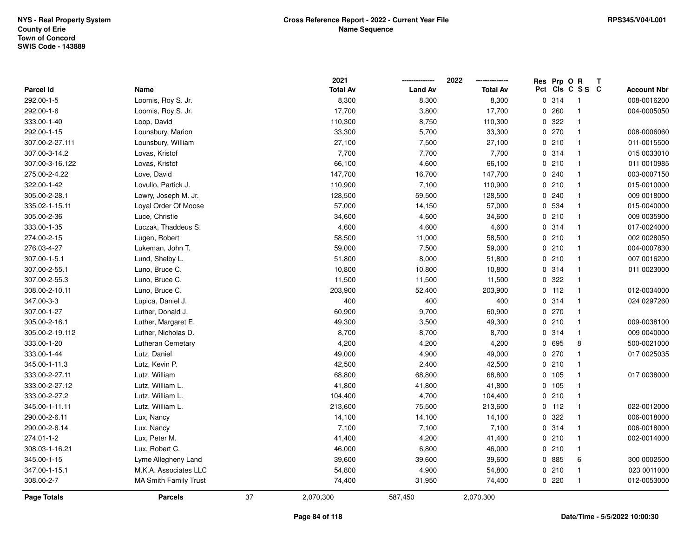|                  |                              |    | 2021            |                | 2022            |     | Res Prp O R |                         | Т                  |
|------------------|------------------------------|----|-----------------|----------------|-----------------|-----|-------------|-------------------------|--------------------|
| <b>Parcel Id</b> | Name                         |    | <b>Total Av</b> | <b>Land Av</b> | <b>Total Av</b> | Pct |             | CIS C S S C             | <b>Account Nbr</b> |
| 292.00-1-5       | Loomis, Roy S. Jr.           |    | 8,300           | 8,300          | 8,300           |     | 0.314       | $\overline{1}$          | 008-0016200        |
| 292.00-1-6       | Loomis, Roy S. Jr.           |    | 17,700          | 3,800          | 17,700          | 0   | 260         | $\overline{\mathbf{1}}$ | 004-0005050        |
| 333.00-1-40      | Loop, David                  |    | 110,300         | 8,750          | 110,300         |     | 0.322       | $\overline{1}$          |                    |
| 292.00-1-15      | Lounsbury, Marion            |    | 33,300          | 5,700          | 33,300          |     | 0270        | $\overline{1}$          | 008-0006060        |
| 307.00-2-27.111  | Lounsbury, William           |    | 27,100          | 7,500          | 27,100          |     | 0210        | $\mathbf 1$             | 011-0015500        |
| 307.00-3-14.2    | Lovas, Kristof               |    | 7,700           | 7,700          | 7,700           |     | 0 314       |                         | 015 0033010        |
| 307.00-3-16.122  | Lovas, Kristof               |    | 66,100          | 4,600          | 66,100          |     | 0210        | $\overline{1}$          | 011 0010985        |
| 275.00-2-4.22    | Love, David                  |    | 147,700         | 16,700         | 147,700         |     | 0.240       | $\overline{1}$          | 003-0007150        |
| 322.00-1-42      | Lovullo, Partick J.          |    | 110,900         | 7,100          | 110,900         |     | 0210        | $\overline{1}$          | 015-0010000        |
| 305.00-2-28.1    | Lowry, Joseph M. Jr.         |    | 128,500         | 59,500         | 128,500         |     | 0.240       | $\overline{1}$          | 009 0018000        |
| 335.02-1-15.11   | Loyal Order Of Moose         |    | 57,000          | 14,150         | 57,000          |     | 0 534       | $\mathbf 1$             | 015-0040000        |
| 305.00-2-36      | Luce, Christie               |    | 34,600          | 4,600          | 34,600          |     | 0210        | $\mathbf 1$             | 009 0035900        |
| 333.00-1-35      | Luczak, Thaddeus S.          |    | 4,600           | 4,600          | 4,600           |     | 0 314       |                         | 017-0024000        |
| 274.00-2-15      | Lugen, Robert                |    | 58,500          | 11,000         | 58,500          |     | 0210        | $\mathbf 1$             | 002 0028050        |
| 276.03-4-27      | Lukeman, John T.             |    | 59,000          | 7,500          | 59,000          |     | 0210        | $\mathbf{1}$            | 004-0007830        |
| 307.00-1-5.1     | Lund, Shelby L.              |    | 51,800          | 8,000          | 51,800          |     | 0210        | $\overline{1}$          | 007 0016200        |
| 307.00-2-55.1    | Luno, Bruce C.               |    | 10,800          | 10,800         | 10,800          |     | 0.314       | $\mathbf{1}$            | 011 0023000        |
| 307.00-2-55.3    | Luno, Bruce C.               |    | 11,500          | 11,500         | 11,500          |     | 0.322       | $\mathbf{1}$            |                    |
| 308.00-2-10.11   | Luno, Bruce C.               |    | 203,900         | 52,400         | 203,900         |     | $0$ 112     | $\mathbf{1}$            | 012-0034000        |
| 347.00-3-3       | Lupica, Daniel J.            |    | 400             | 400            | 400             |     | 0.314       | $\mathbf{1}$            | 024 0297260        |
| 307.00-1-27      | Luther, Donald J.            |    | 60,900          | 9,700          | 60,900          |     | 0270        | $\mathbf{1}$            |                    |
| 305.00-2-16.1    | Luther, Margaret E.          |    | 49,300          | 3,500          | 49,300          |     | 0210        | $\mathbf{1}$            | 009-0038100        |
| 305.00-2-19.112  | Luther, Nicholas D.          |    | 8,700           | 8,700          | 8,700           |     | 0 314       | $\overline{1}$          | 009 0040000        |
| 333.00-1-20      | Lutheran Cemetary            |    | 4,200           | 4,200          | 4,200           |     | 0 695       | 8                       | 500-0021000        |
| 333.00-1-44      | Lutz, Daniel                 |    | 49,000          | 4,900          | 49,000          |     | 0 270       | $\mathbf{1}$            | 017 0025035        |
| 345.00-1-11.3    | Lutz, Kevin P.               |    | 42,500          | 2,400          | 42,500          |     | 0210        | $\mathbf{1}$            |                    |
| 333.00-2-27.11   | Lutz, William                |    | 68,800          | 68,800         | 68,800          |     | 0 105       |                         | 017 0038000        |
| 333.00-2-27.12   | Lutz, William L.             |    | 41,800          | 41,800         | 41,800          |     | 0 105       | $\mathbf{1}$            |                    |
| 333.00-2-27.2    | Lutz, William L.             |    | 104,400         | 4,700          | 104,400         |     | 0210        | $\overline{1}$          |                    |
| 345.00-1-11.11   | Lutz, William L.             |    | 213,600         | 75,500         | 213,600         |     | $0$ 112     | $\mathbf{1}$            | 022-0012000        |
| 290.00-2-6.11    | Lux, Nancy                   |    | 14,100          | 14,100         | 14,100          |     | 0.322       | $\overline{1}$          | 006-0018000        |
| 290.00-2-6.14    | Lux, Nancy                   |    | 7,100           | 7,100          | 7,100           |     | 0.314       | $\overline{1}$          | 006-0018000        |
| 274.01-1-2       | Lux, Peter M.                |    | 41,400          | 4,200          | 41,400          |     | 0210        | $\overline{1}$          | 002-0014000        |
| 308.03-1-16.21   | Lux, Robert C.               |    | 46,000          | 6,800          | 46,000          |     | 0210        | $\mathbf{1}$            |                    |
| 345.00-1-15      | Lyme Allegheny Land          |    | 39,600          | 39,600         | 39,600          |     | 0 885       | 6                       | 300 0002500        |
| 347.00-1-15.1    | M.K.A. Associates LLC        |    | 54,800          | 4,900          | 54,800          |     | 0 210       | $\mathbf{1}$            | 023 0011000        |
| 308.00-2-7       | <b>MA Smith Family Trust</b> |    | 74,400          | 31,950         | 74,400          |     | 0220        | $\mathbf{1}$            | 012-0053000        |
| Page Totals      | <b>Parcels</b>               | 37 | 2,070,300       | 587,450        | 2,070,300       |     |             |                         |                    |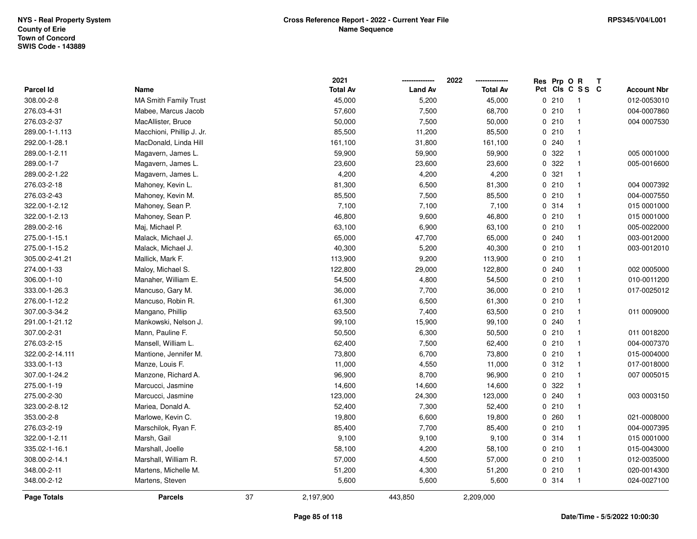|                  |                              |    | 2021            |                | 2022            | Res Prp O R |                 | Т |                    |
|------------------|------------------------------|----|-----------------|----------------|-----------------|-------------|-----------------|---|--------------------|
| <b>Parcel Id</b> | Name                         |    | <b>Total Av</b> | <b>Land Av</b> | <b>Total Av</b> |             | Pct Cls C S S C |   | <b>Account Nbr</b> |
| 308.00-2-8       | <b>MA Smith Family Trust</b> |    | 45,000          | 5,200          | 45,000          | 0210        | $\overline{1}$  |   | 012-0053010        |
| 276.03-4-31      | Mabee, Marcus Jacob          |    | 57,600          | 7,500          | 68,700          | 0210        | $\overline{1}$  |   | 004-0007860        |
| 276.03-2-37      | MacAllister, Bruce           |    | 50,000          | 7,500          | 50,000          | 0210        | $\overline{1}$  |   | 004 0007530        |
| 289.00-1-1.113   | Macchioni, Phillip J. Jr.    |    | 85,500          | 11,200         | 85,500          | 0210        | $\mathbf{1}$    |   |                    |
| 292.00-1-28.1    | MacDonald, Linda Hill        |    | 161,100         | 31,800         | 161,100         | 0 240       | $\mathbf{1}$    |   |                    |
| 289.00-1-2.11    | Magavern, James L.           |    | 59,900          | 59,900         | 59,900          | 0.322       |                 |   | 005 0001000        |
| 289.00-1-7       | Magavern, James L.           |    | 23,600          | 23,600         | 23,600          | 0.322       | $\mathbf{1}$    |   | 005-0016600        |
| 289.00-2-1.22    | Magavern, James L.           |    | 4,200           | 4,200          | 4,200           | 0.321       | $\mathbf{1}$    |   |                    |
| 276.03-2-18      | Mahoney, Kevin L.            |    | 81,300          | 6,500          | 81,300          | 0210        | $\mathbf{1}$    |   | 004 0007392        |
| 276.03-2-43      | Mahoney, Kevin M.            |    | 85,500          | 7,500          | 85,500          | 0210        | $\mathbf{1}$    |   | 004-0007550        |
| 322.00-1-2.12    | Mahoney, Sean P.             |    | 7,100           | 7,100          | 7,100           | 0.314       | -1              |   | 015 0001000        |
| 322.00-1-2.13    | Mahoney, Sean P.             |    | 46,800          | 9,600          | 46,800          | 0210        | $\mathbf{1}$    |   | 015 0001000        |
| 289.00-2-16      | Maj, Michael P.              |    | 63,100          | 6,900          | 63,100          | 0210        | -1              |   | 005-0022000        |
| 275.00-1-15.1    | Malack, Michael J.           |    | 65,000          | 47,700         | 65,000          | 0.240       | $\mathbf{1}$    |   | 003-0012000        |
| 275.00-1-15.2    | Malack, Michael J.           |    | 40,300          | 5,200          | 40,300          | 0210        | $\mathbf{1}$    |   | 003-0012010        |
| 305.00-2-41.21   | Mallick, Mark F.             |    | 113,900         | 9,200          | 113,900         | 0210        | $\mathbf{1}$    |   |                    |
| 274.00-1-33      | Maloy, Michael S.            |    | 122,800         | 29,000         | 122,800         | 0.240       | $\mathbf{1}$    |   | 002 0005000        |
| 306.00-1-10      | Manaher, William E.          |    | 54,500          | 4,800          | 54,500          | 0210        | $\mathbf{1}$    |   | 010-0011200        |
| 333.00-1-26.3    | Mancuso, Gary M.             |    | 36,000          | 7,700          | 36,000          | 0210        | $\mathbf{1}$    |   | 017-0025012        |
| 276.00-1-12.2    | Mancuso, Robin R.            |    | 61,300          | 6,500          | 61,300          | 0210        | $\mathbf{1}$    |   |                    |
| 307.00-3-34.2    | Mangano, Phillip             |    | 63,500          | 7,400          | 63,500          | 0210        | $\mathbf{1}$    |   | 011 0009000        |
| 291.00-1-21.12   | Mankowski, Nelson J.         |    | 99,100          | 15,900         | 99,100          | 0 240       | $\mathbf{1}$    |   |                    |
| 307.00-2-31      | Mann, Pauline F.             |    | 50,500          | 6,300          | 50,500          | 0210        | $\overline{1}$  |   | 011 0018200        |
| 276.03-2-15      | Mansell, William L.          |    | 62,400          | 7,500          | 62,400          | 0210        | $\mathbf{1}$    |   | 004-0007370        |
| 322.00-2-14.111  | Mantione, Jennifer M.        |    | 73,800          | 6,700          | 73,800          | 0210        | $\overline{1}$  |   | 015-0004000        |
| 333.00-1-13      | Manze, Louis F.              |    | 11,000          | 4,550          | 11,000          | 0.312       | $\mathbf{1}$    |   | 017-0018000        |
| 307.00-1-24.2    | Manzone, Richard A.          |    | 96,900          | 8,700          | 96,900          | 0210        | $\mathbf{1}$    |   | 007 0005015        |
| 275.00-1-19      | Marcucci, Jasmine            |    | 14,600          | 14,600         | 14,600          | 0.322       | $\mathbf{1}$    |   |                    |
| 275.00-2-30      | Marcucci, Jasmine            |    | 123,000         | 24,300         | 123,000         | 0.240       | $\mathbf{1}$    |   | 003 0003150        |
| 323.00-2-8.12    | Mariea, Donald A.            |    | 52,400          | 7,300          | 52,400          | 0210        | $\mathbf{1}$    |   |                    |
| 353.00-2-8       | Marlowe, Kevin C.            |    | 19,800          | 6,600          | 19,800          | 0260        | $\mathbf{1}$    |   | 021-0008000        |
| 276.03-2-19      | Marschilok, Ryan F.          |    | 85,400          | 7,700          | 85,400          | 0210        | $\mathbf{1}$    |   | 004-0007395        |
| 322.00-1-2.11    | Marsh, Gail                  |    | 9,100           | 9,100          | 9,100           | 0.314       | $\mathbf{1}$    |   | 015 0001000        |
| 335.02-1-16.1    | Marshall, Joelle             |    | 58,100          | 4,200          | 58,100          | 0210        | $\mathbf{1}$    |   | 015-0043000        |
| 308.00-2-14.1    | Marshall, William R.         |    | 57,000          | 4,500          | 57,000          | 0210        | $\overline{1}$  |   | 012-0035000        |
| 348.00-2-11      | Martens, Michelle M.         |    | 51,200          | 4,300          | 51,200          | 0210        | $\overline{1}$  |   | 020-0014300        |
| 348.00-2-12      | Martens, Steven              |    | 5,600           | 5,600          | 5,600           | 0.314       | $\overline{1}$  |   | 024-0027100        |
| Page Totals      | <b>Parcels</b>               | 37 | 2,197,900       | 443,850        | 2,209,000       |             |                 |   |                    |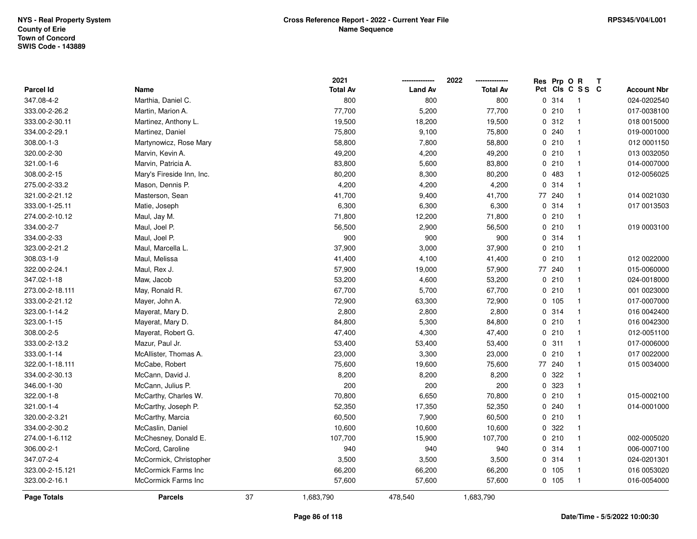|                 |                           |    | 2021            |                | 2022            |     | Res Prp O R |                | Т |                    |
|-----------------|---------------------------|----|-----------------|----------------|-----------------|-----|-------------|----------------|---|--------------------|
| Parcel Id       | Name                      |    | <b>Total Av</b> | <b>Land Av</b> | <b>Total Av</b> | Pct |             | CIS C S S C    |   | <b>Account Nbr</b> |
| 347.08-4-2      | Marthia, Daniel C.        |    | 800             | 800            | 800             |     | 0.314       | $\overline{1}$ |   | 024-0202540        |
| 333.00-2-26.2   | Martin, Marion A.         |    | 77,700          | 5,200          | 77,700          |     | 0210        | $\overline{1}$ |   | 017-0038100        |
| 333.00-2-30.11  | Martinez, Anthony L.      |    | 19,500          | 18,200         | 19,500          |     | 0.312       | $\overline{1}$ |   | 018 0015000        |
| 334.00-2-29.1   | Martinez, Daniel          |    | 75,800          | 9,100          | 75,800          |     | 0240        | -1             |   | 019-0001000        |
| 308.00-1-3      | Martynowicz, Rose Mary    |    | 58,800          | 7,800          | 58,800          |     | 0210        | $\mathbf{1}$   |   | 012 0001150        |
| 320.00-2-30     | Marvin, Kevin A.          |    | 49,200          | 4,200          | 49,200          |     | 0210        |                |   | 013 0032050        |
| 321.00-1-6      | Marvin, Patricia A.       |    | 83,800          | 5,600          | 83,800          |     | 0210        | $\overline{1}$ |   | 014-0007000        |
| 308.00-2-15     | Mary's Fireside Inn, Inc. |    | 80,200          | 8,300          | 80,200          |     | 0 483       | $\mathbf{1}$   |   | 012-0056025        |
| 275.00-2-33.2   | Mason, Dennis P.          |    | 4,200           | 4,200          | 4,200           |     | 0.314       | $\mathbf{1}$   |   |                    |
| 321.00-2-21.12  | Masterson, Sean           |    | 41,700          | 9,400          | 41,700          | 77  | 240         | $\mathbf{1}$   |   | 014 0021030        |
| 333.00-1-25.11  | Matie, Joseph             |    | 6,300           | 6,300          | 6,300           |     | 0.314       | -1             |   | 017 0013503        |
| 274.00-2-10.12  | Maul, Jay M.              |    | 71,800          | 12,200         | 71,800          |     | 0210        | -1             |   |                    |
| 334.00-2-7      | Maul, Joel P.             |    | 56,500          | 2,900          | 56,500          |     | 0210        |                |   | 019 0003100        |
| 334.00-2-33     | Maul, Joel P.             |    | 900             | 900            | 900             |     | 0.314       | $\mathbf{1}$   |   |                    |
| 323.00-2-21.2   | Maul, Marcella L.         |    | 37,900          | 3,000          | 37,900          |     | 0210        | $\overline{1}$ |   |                    |
| 308.03-1-9      | Maul, Melissa             |    | 41,400          | 4,100          | 41,400          |     | 0210        | $\overline{1}$ |   | 012 0022000        |
| 322.00-2-24.1   | Maul, Rex J.              |    | 57,900          | 19,000         | 57,900          | 77  | 240         | $\mathbf{1}$   |   | 015-0060000        |
| 347.02-1-18     | Maw, Jacob                |    | 53,200          | 4,600          | 53,200          |     | 0210        | $\mathbf{1}$   |   | 024-0018000        |
| 273.00-2-18.111 | May, Ronald R.            |    | 67,700          | 5,700          | 67,700          |     | 0210        | -1             |   | 001 0023000        |
| 333.00-2-21.12  | Mayer, John A.            |    | 72,900          | 63,300         | 72,900          |     | 0, 105      |                |   | 017-0007000        |
| 323.00-1-14.2   | Mayerat, Mary D.          |    | 2,800           | 2,800          | 2,800           |     | 0 314       | $\mathbf{1}$   |   | 016 0042400        |
| 323.00-1-15     | Mayerat, Mary D.          |    | 84,800          | 5,300          | 84,800          |     | 0 210       | $\mathbf{1}$   |   | 016 0042300        |
| 308.00-2-5      | Mayerat, Robert G.        |    | 47,400          | 4,300          | 47,400          |     | 0210        | $\mathbf{1}$   |   | 012-0051100        |
| 333.00-2-13.2   | Mazur, Paul Jr.           |    | 53,400          | 53,400         | 53,400          |     | 0.311       | $\mathbf{1}$   |   | 017-0006000        |
| 333.00-1-14     | McAllister, Thomas A.     |    | 23,000          | 3,300          | 23,000          |     | 0210        | $\mathbf{1}$   |   | 017 0022000        |
| 322.00-1-18.111 | McCabe, Robert            |    | 75,600          | 19,600         | 75,600          |     | 77 240      | $\mathbf{1}$   |   | 015 0034000        |
| 334.00-2-30.13  | McCann, David J.          |    | 8,200           | 8,200          | 8,200           |     | 0 322       |                |   |                    |
| 346.00-1-30     | McCann, Julius P.         |    | 200             | 200            | 200             |     | 0 323       | $\mathbf{1}$   |   |                    |
| 322.00-1-8      | McCarthy, Charles W.      |    | 70,800          | 6,650          | 70,800          |     | 0210        | $\mathbf{1}$   |   | 015-0002100        |
| 321.00-1-4      | McCarthy, Joseph P.       |    | 52,350          | 17,350         | 52,350          |     | 0.240       | $\mathbf{1}$   |   | 014-0001000        |
| 320.00-2-3.21   | McCarthy, Marcia          |    | 60,500          | 7,900          | 60,500          |     | 0210        | $\mathbf{1}$   |   |                    |
| 334.00-2-30.2   | McCaslin, Daniel          |    | 10,600          | 10,600         | 10,600          |     | 0 322       | $\mathbf{1}$   |   |                    |
| 274.00-1-6.112  | McChesney, Donald E.      |    | 107,700         | 15,900         | 107,700         |     | 0210        | $\mathbf{1}$   |   | 002-0005020        |
| 306.00-2-1      | McCord, Caroline          |    | 940             | 940            | 940             |     | 0.314       | $\mathbf{1}$   |   | 006-0007100        |
| 347.07-2-4      | McCormick, Christopher    |    | 3,500           | 3,500          | 3,500           |     | 0 314       | $\mathbf{1}$   |   | 024-0201301        |
| 323.00-2-15.121 | McCormick Farms Inc       |    | 66,200          | 66,200         | 66,200          |     | 0 105       | $\mathbf{1}$   |   | 016 0053020        |
| 323.00-2-16.1   | McCormick Farms Inc       |    | 57,600          | 57,600         | 57,600          |     | 0, 105      | $\overline{1}$ |   | 016-0054000        |
| Page Totals     | <b>Parcels</b>            | 37 | 1,683,790       | 478,540        | 1,683,790       |     |             |                |   |                    |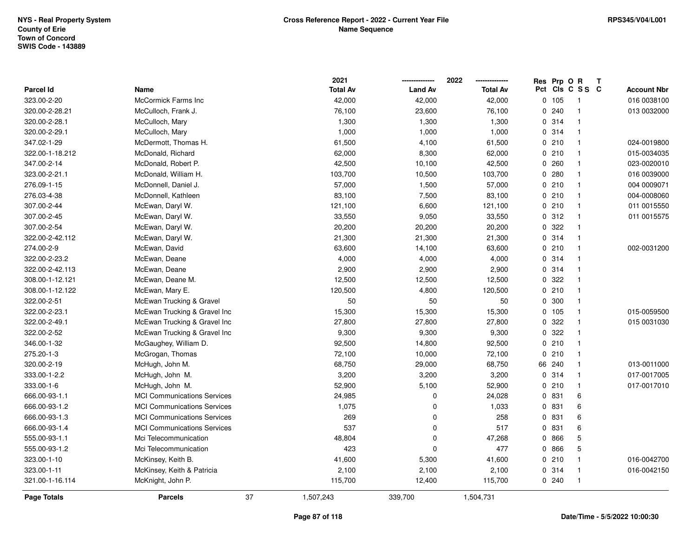|                 |                                    |    | 2021            |                | 2022            |             | Res Prp O R |                 | Т                  |
|-----------------|------------------------------------|----|-----------------|----------------|-----------------|-------------|-------------|-----------------|--------------------|
| Parcel Id       | Name                               |    | <b>Total Av</b> | <b>Land Av</b> | <b>Total Av</b> |             |             | Pct Cls C S S C | <b>Account Nbr</b> |
| 323.00-2-20     | <b>McCormick Farms Inc</b>         |    | 42,000          | 42,000         | 42,000          | $\mathbf 0$ | 105         | $\overline{1}$  | 016 0038100        |
| 320.00-2-28.21  | McCulloch, Frank J.                |    | 76,100          | 23,600         | 76,100          | $\Omega$    | 240         | $\mathbf{1}$    | 013 0032000        |
| 320.00-2-28.1   | McCulloch, Mary                    |    | 1,300           | 1,300          | 1,300           |             | 0.314       | $\mathbf{1}$    |                    |
| 320.00-2-29.1   | McCulloch, Mary                    |    | 1,000           | 1,000          | 1,000           |             | 0.314       | $\mathbf{1}$    |                    |
| 347.02-1-29     | McDermott, Thomas H.               |    | 61,500          | 4,100          | 61,500          |             | 0210        | $\mathbf{1}$    | 024-0019800        |
| 322.00-1-18.212 | McDonald, Richard                  |    | 62,000          | 8,300          | 62,000          |             | 0210        | $\mathbf{1}$    | 015-0034035        |
| 347.00-2-14     | McDonald, Robert P.                |    | 42,500          | 10,100         | 42,500          |             | 0.260       | $\overline{1}$  | 023-0020010        |
| 323.00-2-21.1   | McDonald, William H.               |    | 103,700         | 10,500         | 103,700         | $\Omega$    | 280         | $\overline{1}$  | 016 0039000        |
| 276.09-1-15     | McDonnell, Daniel J.               |    | 57,000          | 1,500          | 57,000          |             | 0210        | $\overline{1}$  | 004 0009071        |
| 276.03-4-38     | McDonnell, Kathleen                |    | 83,100          | 7,500          | 83,100          |             | 0210        | $\mathbf{1}$    | 004-0008060        |
| 307.00-2-44     | McEwan, Daryl W.                   |    | 121,100         | 6,600          | 121,100         |             | 0210        | $\mathbf{1}$    | 011 0015550        |
| 307.00-2-45     | McEwan, Daryl W.                   |    | 33,550          | 9,050          | 33,550          |             | 0.312       | $\overline{1}$  | 011 0015575        |
| 307.00-2-54     | McEwan, Daryl W.                   |    | 20,200          | 20,200         | 20,200          |             | 0.322       | -1              |                    |
| 322.00-2-42.112 | McEwan, Daryl W.                   |    | 21,300          | 21,300         | 21,300          |             | 0.314       | $\mathbf{1}$    |                    |
| 274.00-2-9      | McEwan, David                      |    | 63,600          | 14,100         | 63,600          |             | 0210        | $\overline{1}$  | 002-0031200        |
| 322.00-2-23.2   | McEwan, Deane                      |    | 4,000           | 4,000          | 4,000           |             | 0.314       | $\mathbf{1}$    |                    |
| 322.00-2-42.113 | McEwan, Deane                      |    | 2,900           | 2,900          | 2,900           |             | 0 314       | $\mathbf{1}$    |                    |
| 308.00-1-12.121 | McEwan, Deane M.                   |    | 12,500          | 12,500         | 12,500          |             | 0.322       | $\mathbf{1}$    |                    |
| 308.00-1-12.122 | McEwan, Mary E.                    |    | 120,500         | 4,800          | 120,500         |             | 0210        | $\mathbf{1}$    |                    |
| 322.00-2-51     | McEwan Trucking & Gravel           |    | 50              | 50             | 50              |             | 0.300       | $\mathbf{1}$    |                    |
| 322.00-2-23.1   | McEwan Trucking & Gravel Inc       |    | 15,300          | 15,300         | 15,300          |             | 0 105       | $\mathbf{1}$    | 015-0059500        |
| 322.00-2-49.1   | McEwan Trucking & Gravel Inc       |    | 27,800          | 27,800         | 27,800          | 0           | 322         | $\mathbf{1}$    | 015 0031030        |
| 322.00-2-52     | McEwan Trucking & Gravel Inc       |    | 9,300           | 9,300          | 9,300           | 0           | 322         | $\mathbf{1}$    |                    |
| 346.00-1-32     | McGaughey, William D.              |    | 92,500          | 14,800         | 92,500          |             | 0210        | $\mathbf{1}$    |                    |
| 275.20-1-3      | McGrogan, Thomas                   |    | 72,100          | 10,000         | 72,100          |             | 0210        | $\mathbf{1}$    |                    |
| 320.00-2-19     | McHugh, John M.                    |    | 68,750          | 29,000         | 68,750          |             | 66 240      | $\mathbf{1}$    | 013-0011000        |
| 333.00-1-2.2    | McHugh, John M.                    |    | 3,200           | 3,200          | 3,200           |             | 0.314       | $\mathbf{1}$    | 017-0017005        |
| 333.00-1-6      | McHugh, John M.                    |    | 52,900          | 5,100          | 52,900          |             | 0210        | $\mathbf{1}$    | 017-0017010        |
| 666.00-93-1.1   | <b>MCI Communications Services</b> |    | 24,985          | $\mathbf 0$    | 24,028          |             | 0 831       | 6               |                    |
| 666.00-93-1.2   | <b>MCI Communications Services</b> |    | 1,075           | $\mathbf 0$    | 1,033           |             | 0 831       | 6               |                    |
| 666.00-93-1.3   | <b>MCI Communications Services</b> |    | 269             | $\Omega$       | 258             |             | 0 831       | 6               |                    |
| 666.00-93-1.4   | <b>MCI Communications Services</b> |    | 537             | $\Omega$       | 517             |             | 0 831       | 6               |                    |
| 555.00-93-1.1   | Mci Telecommunication              |    | 48,804          | $\Omega$       | 47,268          |             | 0 866       | 5               |                    |
| 555.00-93-1.2   | Mci Telecommunication              |    | 423             | $\mathbf 0$    | 477             |             | 0 866       | 5               |                    |
| 323.00-1-10     | McKinsey, Keith B.                 |    | 41,600          | 5,300          | 41,600          |             | 0210        | $\mathbf{1}$    | 016-0042700        |
| 323.00-1-11     | McKinsey, Keith & Patricia         |    | 2,100           | 2,100          | 2,100           |             | 0.314       | $\mathbf{1}$    | 016-0042150        |
| 321.00-1-16.114 | McKnight, John P.                  |    | 115,700         | 12,400         | 115,700         |             | 0.240       | $\mathbf{1}$    |                    |
| Page Totals     | <b>Parcels</b>                     | 37 | 1,507,243       | 339,700        | 1,504,731       |             |             |                 |                    |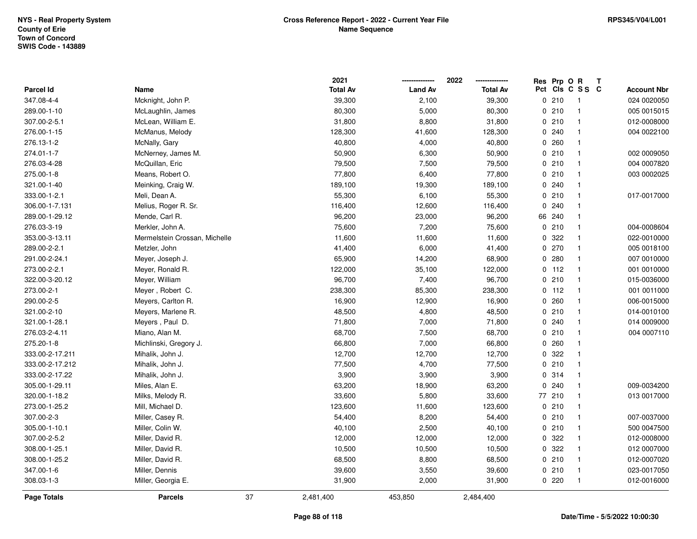|                  |                               |    | 2021            |                | 2022            | Res Prp O R |                         | Т |                    |
|------------------|-------------------------------|----|-----------------|----------------|-----------------|-------------|-------------------------|---|--------------------|
| <b>Parcel Id</b> | Name                          |    | <b>Total Av</b> | <b>Land Av</b> | <b>Total Av</b> |             | Pct Cls C S S C         |   | <b>Account Nbr</b> |
| 347.08-4-4       | Mcknight, John P.             |    | 39,300          | 2,100          | 39,300          | 0210        | $\overline{\mathbf{1}}$ |   | 024 0020050        |
| 289.00-1-10      | McLaughlin, James             |    | 80,300          | 5,000          | 80,300          | 0210        | $\overline{1}$          |   | 005 0015015        |
| 307.00-2-5.1     | McLean, William E.            |    | 31,800          | 8,800          | 31,800          | 0210        | $\overline{\mathbf{1}}$ |   | 012-0008000        |
| 276.00-1-15      | McManus, Melody               |    | 128,300         | 41,600         | 128,300         | 0.240       | $\overline{\mathbf{1}}$ |   | 004 0022100        |
| 276.13-1-2       | McNally, Gary                 |    | 40,800          | 4,000          | 40,800          | 0.260       | $\mathbf{1}$            |   |                    |
| 274.01-1-7       | McNerney, James M.            |    | 50,900          | 6,300          | 50,900          | 0210        | $\mathbf{1}$            |   | 002 0009050        |
| 276.03-4-28      | McQuillan, Eric               |    | 79,500          | 7,500          | 79,500          | 0210        | $\overline{\mathbf{1}}$ |   | 004 0007820        |
| 275.00-1-8       | Means, Robert O.              |    | 77,800          | 6,400          | 77,800          | 0210        | $\overline{1}$          |   | 003 0002025        |
| 321.00-1-40      | Meinking, Craig W.            |    | 189,100         | 19,300         | 189,100         | 0.240       | $\overline{\mathbf{1}}$ |   |                    |
| 333.00-1-2.1     | Meli, Dean A.                 |    | 55,300          | 6,100          | 55,300          | 0210        | $\mathbf{1}$            |   | 017-0017000        |
| 306.00-1-7.131   | Melius, Roger R. Sr.          |    | 116,400         | 12,600         | 116,400         | 0.240       | $\overline{\mathbf{1}}$ |   |                    |
| 289.00-1-29.12   | Mende, Carl R.                |    | 96,200          | 23,000         | 96,200          | 66 240      | $\mathbf 1$             |   |                    |
| 276.03-3-19      | Merkler, John A.              |    | 75,600          | 7,200          | 75,600          | 0210        | -1                      |   | 004-0008604        |
| 353.00-3-13.11   | Mermelstein Crossan, Michelle |    | 11,600          | 11,600         | 11,600          | 0.322       | $\mathbf{1}$            |   | 022-0010000        |
| 289.00-2-2.1     | Metzler, John                 |    | 41,400          | 6,000          | 41,400          | 0270        | $\overline{1}$          |   | 005 0018100        |
| 291.00-2-24.1    | Meyer, Joseph J.              |    | 65,900          | 14,200         | 68,900          | 0.280       | $\overline{1}$          |   | 007 0010000        |
| 273.00-2-2.1     | Meyer, Ronald R.              |    | 122,000         | 35,100         | 122,000         | $0$ 112     | $\overline{1}$          |   | 001 0010000        |
| 322.00-3-20.12   | Meyer, William                |    | 96,700          | 7,400          | 96,700          | 0210        | $\overline{1}$          |   | 015-0036000        |
| 273.00-2-1       | Meyer, Robert C.              |    | 238,300         | 85,300         | 238,300         | $0$ 112     | $\overline{1}$          |   | 001 0011000        |
| 290.00-2-5       | Meyers, Carlton R.            |    | 16,900          | 12,900         | 16,900          | 0.260       | $\overline{\mathbf{1}}$ |   | 006-0015000        |
| 321.00-2-10      | Meyers, Marlene R.            |    | 48,500          | 4,800          | 48,500          | 0210        | $\overline{\mathbf{1}}$ |   | 014-0010100        |
| 321.00-1-28.1    | Meyers, Paul D.               |    | 71,800          | 7,000          | 71,800          | 0.240       | $\mathbf{1}$            |   | 014 0009000        |
| 276.03-2-4.11    | Miano, Alan M.                |    | 68,700          | 7,500          | 68,700          | 0210        | $\overline{\mathbf{1}}$ |   | 004 0007110        |
| 275.20-1-8       | Michlinski, Gregory J.        |    | 66,800          | 7,000          | 66,800          | 0.260       | $\overline{\mathbf{1}}$ |   |                    |
| 333.00-2-17.211  | Mihalik, John J.              |    | 12,700          | 12,700         | 12,700          | 0 322       | $\mathbf{1}$            |   |                    |
| 333.00-2-17.212  | Mihalik, John J.              |    | 77,500          | 4,700          | 77,500          | 0210        | -1                      |   |                    |
| 333.00-2-17.22   | Mihalik, John J.              |    | 3,900           | 3,900          | 3,900           | 0 314       | $\overline{\mathbf{1}}$ |   |                    |
| 305.00-1-29.11   | Miles, Alan E.                |    | 63,200          | 18,900         | 63,200          | 0.240       | $\mathbf{1}$            |   | 009-0034200        |
| 320.00-1-18.2    | Milks, Melody R.              |    | 33,600          | 5,800          | 33,600          | 77 210      | $\overline{\mathbf{1}}$ |   | 013 0017000        |
| 273.00-1-25.2    | Mill, Michael D.              |    | 123,600         | 11,600         | 123,600         | 0210        | $\overline{1}$          |   |                    |
| 307.00-2-3       | Miller, Casey R.              |    | 54,400          | 8,200          | 54,400          | 0210        | $\overline{\mathbf{1}}$ |   | 007-0037000        |
| 305.00-1-10.1    | Miller, Colin W.              |    | 40,100          | 2,500          | 40,100          | 0210        | $\mathbf{1}$            |   | 500 0047500        |
| 307.00-2-5.2     | Miller, David R.              |    | 12,000          | 12,000         | 12,000          | 0.322       | $\overline{\mathbf{1}}$ |   | 012-0008000        |
| 308.00-1-25.1    | Miller, David R.              |    | 10,500          | 10,500         | 10,500          | 0 322       | $\overline{\mathbf{1}}$ |   | 012 0007000        |
| 308.00-1-25.2    | Miller, David R.              |    | 68,500          | 8,800          | 68,500          | 0210        | $\overline{\mathbf{1}}$ |   | 012-0007020        |
| 347.00-1-6       | Miller, Dennis                |    | 39,600          | 3,550          | 39,600          | 0210        | $\overline{1}$          |   | 023-0017050        |
| 308.03-1-3       | Miller, Georgia E.            |    | 31,900          | 2,000          | 31,900          | 0220        | $\overline{1}$          |   | 012-0016000        |
| Page Totals      | <b>Parcels</b>                | 37 | 2,481,400       | 453,850        | 2,484,400       |             |                         |   |                    |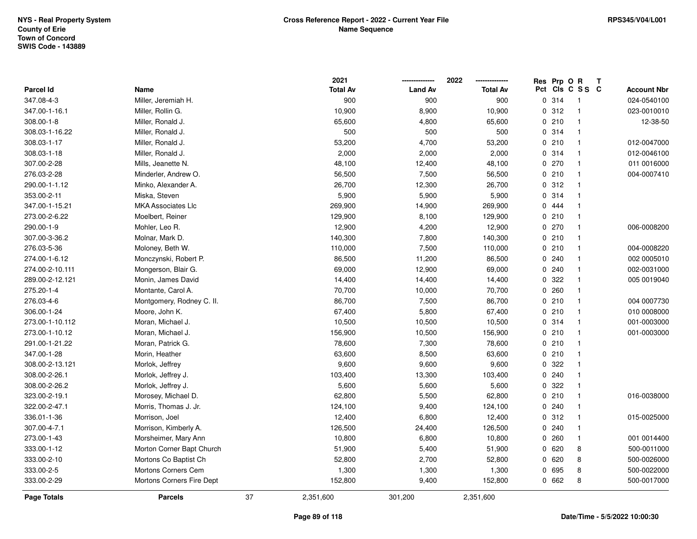|                  |                           |    | 2021            |                | 2022            |     | Res Prp O R |                | Т                  |
|------------------|---------------------------|----|-----------------|----------------|-----------------|-----|-------------|----------------|--------------------|
| <b>Parcel Id</b> | Name                      |    | <b>Total Av</b> | <b>Land Av</b> | <b>Total Av</b> | Pct |             | CIS C S S C    | <b>Account Nbr</b> |
| 347.08-4-3       | Miller, Jeremiah H.       |    | 900             | 900            | 900             |     | 0.314       | $\mathbf{1}$   | 024-0540100        |
| 347.00-1-16.1    | Miller, Rollin G.         |    | 10,900          | 8,900          | 10,900          |     | 0.312       | $\overline{1}$ | 023-0010010        |
| 308.00-1-8       | Miller, Ronald J.         |    | 65,600          | 4,800          | 65,600          |     | 0210        | $\overline{1}$ | 12-38-50           |
| 308.03-1-16.22   | Miller, Ronald J.         |    | 500             | 500            | 500             |     | 0.314       | -1             |                    |
| 308.03-1-17      | Miller, Ronald J.         |    | 53,200          | 4,700          | 53,200          |     | 0210        | $\mathbf 1$    | 012-0047000        |
| 308.03-1-18      | Miller, Ronald J.         |    | 2,000           | 2,000          | 2,000           |     | 0.314       |                | 012-0046100        |
| 307.00-2-28      | Mills, Jeanette N.        |    | 48,100          | 12,400         | 48,100          |     | 0 270       | $\overline{1}$ | 011 0016000        |
| 276.03-2-28      | Minderler, Andrew O.      |    | 56,500          | 7,500          | 56,500          |     | 0210        | $\overline{1}$ | 004-0007410        |
| 290.00-1-1.12    | Minko, Alexander A.       |    | 26,700          | 12,300         | 26,700          |     | 0.312       | $\mathbf{1}$   |                    |
| 353.00-2-11      | Miska, Steven             |    | 5,900           | 5,900          | 5,900           |     | 0.314       | $\overline{1}$ |                    |
| 347.00-1-15.21   | <b>MKA Associates Llc</b> |    | 269,900         | 14,900         | 269,900         |     | 0 444       |                |                    |
| 273.00-2-6.22    | Moelbert, Reiner          |    | 129,900         | 8,100          | 129,900         |     | 0210        | $\mathbf 1$    |                    |
| 290.00-1-9       | Mohler, Leo R.            |    | 12,900          | 4,200          | 12,900          |     | 0270        |                | 006-0008200        |
| 307.00-3-36.2    | Molnar, Mark D.           |    | 140,300         | 7,800          | 140,300         |     | 0210        | $\mathbf{1}$   |                    |
| 276.03-5-36      | Moloney, Beth W.          |    | 110,000         | 7,500          | 110,000         |     | 0210        | $\mathbf{1}$   | 004-0008220        |
| 274.00-1-6.12    | Monczynski, Robert P.     |    | 86,500          | 11,200         | 86,500          |     | 0.240       | $\overline{1}$ | 002 0005010        |
| 274.00-2-10.111  | Mongerson, Blair G.       |    | 69,000          | 12,900         | 69,000          |     | 0.240       | $\mathbf{1}$   | 002-0031000        |
| 289.00-2-12.121  | Monin, James David        |    | 14,400          | 14,400         | 14,400          |     | 0 322       | $\mathbf{1}$   | 005 0019040        |
| 275.20-1-4       | Montante, Carol A.        |    | 70,700          | 10,000         | 70,700          |     | 0.260       | $\mathbf 1$    |                    |
| 276.03-4-6       | Montgomery, Rodney C. II. |    | 86,700          | 7,500          | 86,700          |     | 0210        | $\mathbf{1}$   | 004 0007730        |
| 306.00-1-24      | Moore, John K.            |    | 67,400          | 5,800          | 67,400          |     | 0210        | $\mathbf{1}$   | 010 0008000        |
| 273.00-1-10.112  | Moran, Michael J.         |    | 10,500          | 10,500         | 10,500          |     | 0 314       | $\mathbf{1}$   | 001-0003000        |
| 273.00-1-10.12   | Moran, Michael J.         |    | 156,900         | 10,500         | 156,900         |     | 0210        | $\mathbf{1}$   | 001-0003000        |
| 291.00-1-21.22   | Moran, Patrick G.         |    | 78,600          | 7,300          | 78,600          |     | 0210        | $\overline{1}$ |                    |
| 347.00-1-28      | Morin, Heather            |    | 63,600          | 8,500          | 63,600          |     | 0210        | $\mathbf{1}$   |                    |
| 308.00-2-13.121  | Morlok, Jeffrey           |    | 9,600           | 9,600          | 9,600           |     | 0 322       | -1             |                    |
| 308.00-2-26.1    | Morlok, Jeffrey J.        |    | 103,400         | 13,300         | 103,400         |     | 0.240       |                |                    |
| 308.00-2-26.2    | Morlok, Jeffrey J.        |    | 5,600           | 5,600          | 5,600           |     | 0.322       | $\mathbf{1}$   |                    |
| 323.00-2-19.1    | Morosey, Michael D.       |    | 62,800          | 5,500          | 62,800          |     | 0210        | $\mathbf{1}$   | 016-0038000        |
| 322.00-2-47.1    | Morris, Thomas J. Jr.     |    | 124,100         | 9,400          | 124,100         |     | 0.240       | $\mathbf{1}$   |                    |
| 336.01-1-36      | Morrison, Joel            |    | 12,400          | 6,800          | 12,400          |     | 0.312       | $\overline{1}$ | 015-0025000        |
| 307.00-4-7.1     | Morrison, Kimberly A.     |    | 126,500         | 24,400         | 126,500         |     | 0.240       | $\mathbf{1}$   |                    |
| 273.00-1-43      | Morsheimer, Mary Ann      |    | 10,800          | 6,800          | 10,800          |     | 0.260       | $\mathbf{1}$   | 001 0014400        |
| 333.00-1-12      | Morton Corner Bapt Church |    | 51,900          | 5,400          | 51,900          |     | 0 620       | 8              | 500-0011000        |
| 333.00-2-10      | Mortons Co Baptist Ch     |    | 52,800          | 2,700          | 52,800          |     | 0 620       | 8              | 500-0026000        |
| 333.00-2-5       | Mortons Corners Cem       |    | 1,300           | 1,300          | 1,300           |     | 0 695       | 8              | 500-0022000        |
| 333.00-2-29      | Mortons Corners Fire Dept |    | 152,800         | 9,400          | 152,800         |     | 0 662       | 8              | 500-0017000        |
| Page Totals      | <b>Parcels</b>            | 37 | 2,351,600       | 301,200        | 2,351,600       |     |             |                |                    |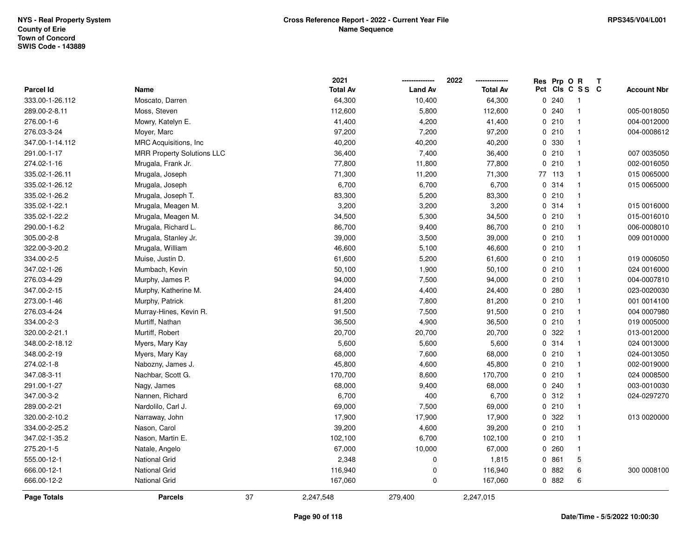|                  |                                   |    | 2021            |                | 2022            | Res          | Prp O R |                         | Т |                    |
|------------------|-----------------------------------|----|-----------------|----------------|-----------------|--------------|---------|-------------------------|---|--------------------|
| <b>Parcel Id</b> | Name                              |    | <b>Total Av</b> | <b>Land Av</b> | <b>Total Av</b> |              |         | Pct Cls C S S C         |   | <b>Account Nbr</b> |
| 333.00-1-26.112  | Moscato, Darren                   |    | 64,300          | 10,400         | 64,300          | $\mathbf 0$  | 240     | -1                      |   |                    |
| 289.00-2-8.11    | Moss, Steven                      |    | 112,600         | 5,800          | 112,600         | $\Omega$     | 240     | $\mathbf{1}$            |   | 005-0018050        |
| 276.00-1-6       | Mowry, Katelyn E.                 |    | 41,400          | 4,200          | 41,400          |              | 0210    | $\mathbf{1}$            |   | 004-0012000        |
| 276.03-3-24      | Moyer, Marc                       |    | 97,200          | 7,200          | 97,200          |              | 0210    | -1                      |   | 004-0008612        |
| 347.00-1-14.112  | MRC Acquisitions, Inc.            |    | 40,200          | 40,200         | 40,200          |              | 0 330   | -1                      |   |                    |
| 291.00-1-17      | <b>MRR Property Solutions LLC</b> |    | 36,400          | 7,400          | 36,400          |              | 0210    | $\mathbf{1}$            |   | 007 0035050        |
| 274.02-1-16      | Mrugala, Frank Jr.                |    | 77,800          | 11,800         | 77,800          |              | 0210    | $\mathbf{1}$            |   | 002-0016050        |
| 335.02-1-26.11   | Mrugala, Joseph                   |    | 71,300          | 11,200         | 71,300          |              | 77 113  | $\mathbf{1}$            |   | 015 0065000        |
| 335.02-1-26.12   | Mrugala, Joseph                   |    | 6,700           | 6,700          | 6,700           |              | 0 314   | $\mathbf{1}$            |   | 015 0065000        |
| 335.02-1-26.2    | Mrugala, Joseph T.                |    | 83,300          | 5,200          | 83,300          |              | 0210    | $\mathbf{1}$            |   |                    |
| 335.02-1-22.1    | Mrugala, Meagen M.                |    | 3,200           | 3,200          | 3,200           |              | 0.314   | -1                      |   | 015 0016000        |
| 335.02-1-22.2    | Mrugala, Meagen M.                |    | 34,500          | 5,300          | 34,500          |              | 0210    | $\overline{\mathbf{1}}$ |   | 015-0016010        |
| 290.00-1-6.2     | Mrugala, Richard L.               |    | 86,700          | 9,400          | 86,700          |              | 0210    | -1                      |   | 006-0008010        |
| 305.00-2-8       | Mrugala, Stanley Jr.              |    | 39,000          | 3,500          | 39,000          |              | 0210    | $\mathbf{1}$            |   | 009 0010000        |
| 322.00-3-20.2    | Mrugala, William                  |    | 46,600          | 5,100          | 46,600          |              | 0210    | $\mathbf{1}$            |   |                    |
| 334.00-2-5       | Muise, Justin D.                  |    | 61,600          | 5,200          | 61,600          |              | 0210    | $\mathbf{1}$            |   | 019 0006050        |
| 347.02-1-26      | Mumbach, Kevin                    |    | 50,100          | 1,900          | 50,100          |              | 0210    | $\mathbf{1}$            |   | 024 0016000        |
| 276.03-4-29      | Murphy, James P.                  |    | 94,000          | 7,500          | 94,000          |              | 0210    | $\mathbf{1}$            |   | 004-0007810        |
| 347.00-2-15      | Murphy, Katherine M.              |    | 24,400          | 4,400          | 24,400          |              | 0.280   | -1                      |   | 023-0020030        |
| 273.00-1-46      | Murphy, Patrick                   |    | 81,200          | 7,800          | 81,200          |              | 0210    | -1                      |   | 001 0014100        |
| 276.03-4-24      | Murray-Hines, Kevin R.            |    | 91,500          | 7,500          | 91,500          |              | 0210    | $\mathbf{1}$            |   | 004 0007980        |
| 334.00-2-3       | Murtiff, Nathan                   |    | 36,500          | 4,900          | 36,500          |              | 0210    | $\mathbf{1}$            |   | 019 0005000        |
| 320.00-2-21.1    | Murtiff, Robert                   |    | 20,700          | 20,700         | 20,700          | 0            | 322     | $\mathbf{1}$            |   | 013-0012000        |
| 348.00-2-18.12   | Myers, Mary Kay                   |    | 5,600           | 5,600          | 5,600           |              | 0.314   | $\mathbf{1}$            |   | 024 0013000        |
| 348.00-2-19      | Myers, Mary Kay                   |    | 68,000          | 7,600          | 68,000          |              | 0210    | $\mathbf 1$             |   | 024-0013050        |
| 274.02-1-8       | Nabozny, James J.                 |    | 45,800          | 4,600          | 45,800          |              | 0210    |                         |   | 002-0019000        |
| 347.08-3-11      | Nachbar, Scott G.                 |    | 170,700         | 8,600          | 170,700         |              | 0210    | -1                      |   | 024 0008500        |
| 291.00-1-27      | Nagy, James                       |    | 68,000          | 9,400          | 68,000          |              | 0.240   | $\mathbf{1}$            |   | 003-0010030        |
| 347.00-3-2       | Nannen, Richard                   |    | 6,700           | 400            | 6,700           |              | 0.312   | $\mathbf{1}$            |   | 024-0297270        |
| 289.00-2-21      | Nardolilo, Carl J.                |    | 69,000          | 7,500          | 69,000          |              | 0210    | $\mathbf{1}$            |   |                    |
| 320.00-2-10.2    | Narraway, John                    |    | 17,900          | 17,900         | 17,900          |              | 0.322   | $\mathbf{1}$            |   | 013 0020000        |
| 334.00-2-25.2    | Nason, Carol                      |    | 39,200          | 4,600          | 39,200          |              | 0210    | $\mathbf{1}$            |   |                    |
| 347.02-1-35.2    | Nason, Martin E.                  |    | 102,100         | 6,700          | 102,100         |              | 0210    | $\mathbf{1}$            |   |                    |
| 275.20-1-5       | Natale, Angelo                    |    | 67,000          | 10,000         | 67,000          |              | 0.260   | $\mathbf{1}$            |   |                    |
| 555.00-12-1      | <b>National Grid</b>              |    | 2,348           | $\pmb{0}$      | 1,815           |              | 0 861   | 5                       |   |                    |
| 666.00-12-1      | <b>National Grid</b>              |    | 116,940         | 0              | 116,940         | $\mathbf{0}$ | 882     | 6                       |   | 300 0008100        |
| 666.00-12-2      | <b>National Grid</b>              |    | 167,060         | 0              | 167,060         |              | 0.882   | 6                       |   |                    |
| Page Totals      | <b>Parcels</b>                    | 37 | 2,247,548       | 279,400        | 2,247,015       |              |         |                         |   |                    |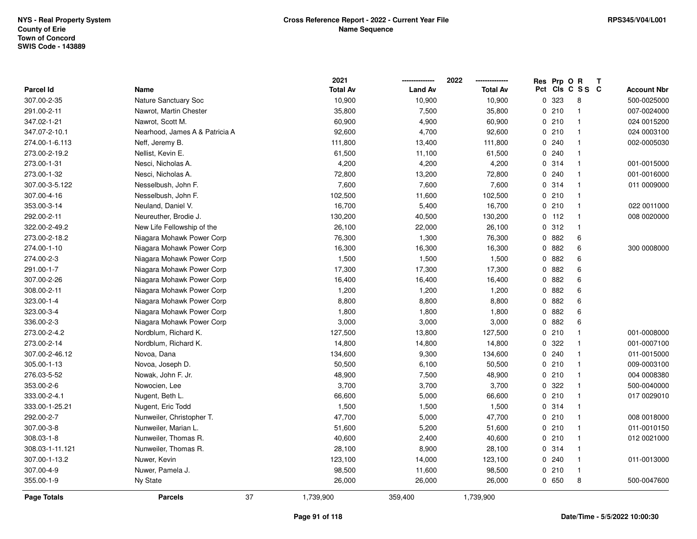|                 |                                | 2021            |                | 2022            | Res | Prp O R |                | T                  |
|-----------------|--------------------------------|-----------------|----------------|-----------------|-----|---------|----------------|--------------------|
| Parcel Id       | Name                           | <b>Total Av</b> | <b>Land Av</b> | <b>Total Av</b> | Pct |         | CIS C S S C    | <b>Account Nbr</b> |
| 307.00-2-35     | Nature Sanctuary Soc           | 10,900          | 10,900         | 10,900          | 0   | 323     | 8              | 500-0025000        |
| 291.00-2-11     | Nawrot, Martin Chester         | 35,800          | 7,500          | 35,800          | 0   | 210     | $\mathbf{1}$   | 007-0024000        |
| 347.02-1-21     | Nawrot, Scott M.               | 60,900          | 4,900          | 60,900          |     | 0210    | $\mathbf{1}$   | 024 0015200        |
| 347.07-2-10.1   | Nearhood, James A & Patricia A | 92,600          | 4,700          | 92,600          |     | 0210    | $\overline{1}$ | 024 0003100        |
| 274.00-1-6.113  | Neff, Jeremy B.                | 111,800         | 13,400         | 111,800         |     | 0.240   | $\mathbf 1$    | 002-0005030        |
| 273.00-2-19.2   | Nellist, Kevin E.              | 61,500          | 11,100         | 61,500          |     | 0.240   |                |                    |
| 273.00-1-31     | Nesci, Nicholas A.             | 4,200           | 4,200          | 4,200           |     | 0.314   | $\mathbf{1}$   | 001-0015000        |
| 273.00-1-32     | Nesci, Nicholas A.             | 72,800          | 13,200         | 72,800          | 0   | 240     | $\mathbf{1}$   | 001-0016000        |
| 307.00-3-5.122  | Nesselbush, John F.            | 7,600           | 7,600          | 7,600           |     | 0.314   | $\mathbf{1}$   | 011 0009000        |
| 307.00-4-16     | Nesselbush, John F.            | 102,500         | 11,600         | 102,500         |     | 0210    | $\mathbf{1}$   |                    |
| 353.00-3-14     | Neuland, Daniel V.             | 16,700          | 5,400          | 16,700          |     | 0210    | -1             | 022 0011000        |
| 292.00-2-11     | Neureuther, Brodie J.          | 130,200         | 40,500         | 130,200         |     | $0$ 112 | -1             | 008 0020000        |
| 322.00-2-49.2   | New Life Fellowship of the     | 26,100          | 22,000         | 26,100          |     | 0.312   | -1             |                    |
| 273.00-2-18.2   | Niagara Mohawk Power Corp      | 76,300          | 1,300          | 76,300          |     | 0 882   | 6              |                    |
| 274.00-1-10     | Niagara Mohawk Power Corp      | 16,300          | 16,300         | 16,300          |     | 0.882   | 6              | 300 0008000        |
| 274.00-2-3      | Niagara Mohawk Power Corp      | 1,500           | 1,500          | 1,500           |     | 0882    | 6              |                    |
| 291.00-1-7      | Niagara Mohawk Power Corp      | 17,300          | 17,300         | 17,300          |     | 0882    | $\,6\,$        |                    |
| 307.00-2-26     | Niagara Mohawk Power Corp      | 16,400          | 16,400         | 16,400          |     | 0 882   | 6              |                    |
| 308.00-2-11     | Niagara Mohawk Power Corp      | 1,200           | 1,200          | 1,200           |     | 0.882   | 6              |                    |
| 323.00-1-4      | Niagara Mohawk Power Corp      | 8,800           | 8,800          | 8,800           |     | 0 882   | 6              |                    |
| 323.00-3-4      | Niagara Mohawk Power Corp      | 1,800           | 1,800          | 1,800           |     | 0882    | 6              |                    |
| 336.00-2-3      | Niagara Mohawk Power Corp      | 3,000           | 3,000          | 3,000           | 0   | 882     | $\,6\,$        |                    |
| 273.00-2-4.2    | Nordblum, Richard K.           | 127,500         | 13,800         | 127,500         |     | 0210    | $\mathbf{1}$   | 001-0008000        |
| 273.00-2-14     | Nordblum, Richard K.           | 14,800          | 14,800         | 14,800          |     | 0.322   | $\mathbf{1}$   | 001-0007100        |
| 307.00-2-46.12  | Novoa, Dana                    | 134,600         | 9,300          | 134,600         |     | 0.240   | $\mathbf{1}$   | 011-0015000        |
| 305.00-1-13     | Novoa, Joseph D.               | 50,500          | 6,100          | 50,500          |     | 0210    | -1             | 009-0003100        |
| 276.03-5-52     | Nowak, John F. Jr.             | 48,900          | 7,500          | 48,900          |     | 0210    |                | 004 0008380        |
| 353.00-2-6      | Nowocien, Lee                  | 3,700           | 3,700          | 3,700           |     | 0.322   | $\overline{1}$ | 500-0040000        |
| 333.00-2-4.1    | Nugent, Beth L.                | 66,600          | 5,000          | 66,600          |     | 0210    | $\overline{1}$ | 017 0029010        |
| 333.00-1-25.21  | Nugent, Eric Todd              | 1,500           | 1,500          | 1,500           |     | 0 314   | $\mathbf{1}$   |                    |
| 292.00-2-7      | Nunweiler, Christopher T.      | 47,700          | 5,000          | 47,700          |     | 0210    | $\mathbf{1}$   | 008 0018000        |
| 307.00-3-8      | Nunweiler, Marian L.           | 51,600          | 5,200          | 51,600          |     | 0210    | $\mathbf{1}$   | 011-0010150        |
| 308.03-1-8      | Nunweiler, Thomas R.           | 40,600          | 2,400          | 40,600          |     | 0210    | $\mathbf{1}$   | 012 0021000        |
| 308.03-1-11.121 | Nunweiler, Thomas R.           | 28,100          | 8,900          | 28,100          |     | 0.314   | $\overline{1}$ |                    |
| 307.00-1-13.2   | Nuwer, Kevin                   | 123,100         | 14,000         | 123,100         |     | 0.240   | $\mathbf 1$    | 011-0013000        |
| 307.00-4-9      | Nuwer, Pamela J.               | 98,500          | 11,600         | 98,500          |     | 0210    | -1             |                    |
| 355.00-1-9      | Ny State                       | 26,000          | 26,000         | 26,000          |     | 0650    | 8              | 500-0047600        |
| Page Totals     | <b>Parcels</b>                 | 37<br>1,739,900 | 359,400        | 1,739,900       |     |         |                |                    |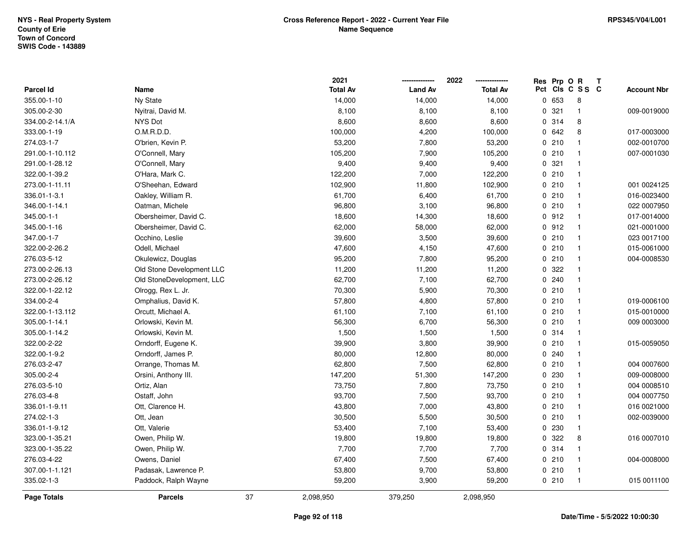|                 |                           |    | 2021            |                | 2022<br>--------------- | Res Prp O R | T               |                    |
|-----------------|---------------------------|----|-----------------|----------------|-------------------------|-------------|-----------------|--------------------|
| Parcel Id       | Name                      |    | <b>Total Av</b> | <b>Land Av</b> | <b>Total Av</b>         |             | Pct Cls C S S C | <b>Account Nbr</b> |
| 355.00-1-10     | Ny State                  |    | 14,000          | 14,000         | 14,000                  | 0 653       | 8               |                    |
| 305.00-2-30     | Nyitrai, David M.         |    | 8,100           | 8,100          | 8,100                   | 0.321       | $\mathbf{1}$    | 009-0019000        |
| 334.00-2-14.1/A | NYS Dot                   |    | 8,600           | 8,600          | 8,600                   | 0.314       | 8               |                    |
| 333.00-1-19     | O.M.R.D.D.                |    | 100,000         | 4,200          | 100,000                 | 0642        | 8               | 017-0003000        |
| 274.03-1-7      | O'brien, Kevin P.         |    | 53,200          | 7,800          | 53,200                  | 0210        | $\mathbf{1}$    | 002-0010700        |
| 291.00-1-10.112 | O'Connell, Mary           |    | 105,200         | 7,900          | 105,200                 | 0210        | $\mathbf{1}$    | 007-0001030        |
| 291.00-1-28.12  | O'Connell, Mary           |    | 9,400           | 9,400          | 9,400                   | 0.321       | $\mathbf{1}$    |                    |
| 322.00-1-39.2   | O'Hara, Mark C.           |    | 122,200         | 7,000          | 122,200                 | 0210        | $\mathbf{1}$    |                    |
| 273.00-1-11.11  | O'Sheehan, Edward         |    | 102,900         | 11,800         | 102,900                 | 0210        | $\overline{1}$  | 001 0024125        |
| 336.01-1-3.1    | Oakley, William R.        |    | 61,700          | 6,400          | 61,700                  | 0210        | $\mathbf{1}$    | 016-0023400        |
| 346.00-1-14.1   | Oatman, Michele           |    | 96,800          | 3,100          | 96,800                  | 0210        | $\overline{1}$  | 022 0007950        |
| 345.00-1-1      | Obersheimer, David C.     |    | 18,600          | 14,300         | 18,600                  | 0.912       | $\overline{1}$  | 017-0014000        |
| 345.00-1-16     | Obersheimer, David C.     |    | 62,000          | 58,000         | 62,000                  | 0912        | $\mathbf{1}$    | 021-0001000        |
| 347.00-1-7      | Occhino, Leslie           |    | 39,600          | 3,500          | 39,600                  | 0210        | $\mathbf{1}$    | 023 0017100        |
| 322.00-2-26.2   | Odell, Michael            |    | 47,600          | 4,150          | 47,600                  | 0210        | $\overline{1}$  | 015-0061000        |
| 276.03-5-12     | Okulewicz, Douglas        |    | 95,200          | 7,800          | 95,200                  | 0210        | $\overline{1}$  | 004-0008530        |
| 273.00-2-26.13  | Old Stone Development LLC |    | 11,200          | 11,200         | 11,200                  | 0.322       | $\mathbf{1}$    |                    |
| 273.00-2-26.12  | Old StoneDevelopment, LLC |    | 62,700          | 7,100          | 62,700                  | 0.240       | $\mathbf{1}$    |                    |
| 322.00-1-22.12  | Olrogg, Rex L. Jr.        |    | 70,300          | 5,900          | 70,300                  | 0210        | $\mathbf{1}$    |                    |
| 334.00-2-4      | Omphalius, David K.       |    | 57,800          | 4,800          | 57,800                  | 0210        | $\overline{1}$  | 019-0006100        |
| 322.00-1-13.112 | Orcutt, Michael A.        |    | 61,100          | 7,100          | 61,100                  | 0210        | $\overline{1}$  | 015-0010000        |
| 305.00-1-14.1   | Orlowski, Kevin M.        |    | 56,300          | 6,700          | 56,300                  | 0210        | $\overline{1}$  | 009 0003000        |
| 305.00-1-14.2   | Orlowski, Kevin M.        |    | 1,500           | 1,500          | 1,500                   | 0.314       | $\mathbf{1}$    |                    |
| 322.00-2-22     | Orndorff, Eugene K.       |    | 39,900          | 3,800          | 39,900                  | 0210        | $\mathbf{1}$    | 015-0059050        |
| 322.00-1-9.2    | Orndorff, James P.        |    | 80,000          | 12,800         | 80,000                  | 0.240       | $\mathbf{1}$    |                    |
| 276.03-2-47     | Orrange, Thomas M.        |    | 62,800          | 7,500          | 62,800                  | 0210        | $\mathbf{1}$    | 004 0007600        |
| 305.00-2-4      | Orsini, Anthony III.      |    | 147,200         | 51,300         | 147,200                 | 0 230       | -1              | 009-0008000        |
| 276.03-5-10     | Ortiz, Alan               |    | 73,750          | 7,800          | 73,750                  | 0210        | $\mathbf{1}$    | 004 0008510        |
| 276.03-4-8      | Ostaff, John              |    | 93,700          | 7,500          | 93,700                  | 0210        | $\overline{1}$  | 004 0007750        |
| 336.01-1-9.11   | Ott, Clarence H.          |    | 43,800          | 7,000          | 43,800                  | 0210        | $\mathbf{1}$    | 016 0021000        |
| 274.02-1-3      | Ott, Jean                 |    | 30,500          | 5,500          | 30,500                  | 0210        | $\mathbf{1}$    | 002-0039000        |
| 336.01-1-9.12   | Ott, Valerie              |    | 53,400          | 7,100          | 53,400                  | 0 230       | $\mathbf{1}$    |                    |
| 323.00-1-35.21  | Owen, Philip W.           |    | 19,800          | 19,800         | 19,800                  | 0.322       | 8               | 016 0007010        |
| 323.00-1-35.22  | Owen, Philip W.           |    | 7,700           | 7,700          | 7,700                   | 0 314       | $\mathbf{1}$    |                    |
| 276.03-4-22     | Owens, Daniel             |    | 67,400          | 7,500          | 67,400                  | 0210        | $\mathbf{1}$    | 004-0008000        |
| 307.00-1-1.121  | Padasak, Lawrence P.      |    | 53,800          | 9,700          | 53,800                  | 0210        | $\mathbf{1}$    |                    |
| 335.02-1-3      | Paddock, Ralph Wayne      |    | 59,200          | 3,900          | 59,200                  | 0210        | $\overline{1}$  | 015 0011100        |
| Page Totals     | <b>Parcels</b>            | 37 | 2,098,950       | 379,250        | 2,098,950               |             |                 |                    |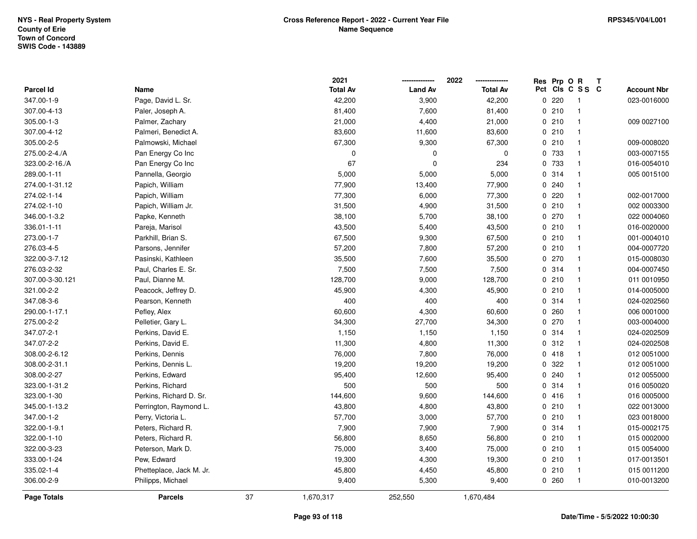|                    |                          |    | 2021            |                | 2022            |     | Res Prp O R |                | Т |                    |
|--------------------|--------------------------|----|-----------------|----------------|-----------------|-----|-------------|----------------|---|--------------------|
| Parcel Id          | Name                     |    | <b>Total Av</b> | <b>Land Av</b> | <b>Total Av</b> | Pct |             | CIS C S S C    |   | <b>Account Nbr</b> |
| 347.00-1-9         | Page, David L. Sr.       |    | 42,200          | 3,900          | 42,200          |     | 0.220       | -1             |   | 023-0016000        |
| 307.00-4-13        | Paler, Joseph A.         |    | 81,400          | 7,600          | 81,400          |     | 0210        | $\mathbf{1}$   |   |                    |
| 305.00-1-3         | Palmer, Zachary          |    | 21,000          | 4,400          | 21,000          |     | 0210        | $\overline{1}$ |   | 009 0027100        |
| 307.00-4-12        | Palmeri, Benedict A.     |    | 83,600          | 11,600         | 83,600          |     | 0210        | $\overline{1}$ |   |                    |
| 305.00-2-5         | Palmowski, Michael       |    | 67,300          | 9,300          | 67,300          |     | 0210        | $\overline{1}$ |   | 009-0008020        |
| 275.00-2-4./A      | Pan Energy Co Inc        |    | 0               | 0              | $\mathbf 0$     |     | 0 733       | $\overline{1}$ |   | 003-0007155        |
| 323.00-2-16./A     | Pan Energy Co Inc        |    | 67              | $\mathbf 0$    | 234             |     | 0 733       | $\overline{1}$ |   | 016-0054010        |
| 289.00-1-11        | Pannella, Georgio        |    | 5,000           | 5,000          | 5,000           |     | 0 314       | $\overline{1}$ |   | 005 0015100        |
| 274.00-1-31.12     | Papich, William          |    | 77,900          | 13,400         | 77,900          |     | 0.240       | $\mathbf{1}$   |   |                    |
| 274.02-1-14        | Papich, William          |    | 77,300          | 6,000          | 77,300          |     | 0220        | $\overline{1}$ |   | 002-0017000        |
| 274.02-1-10        | Papich, William Jr.      |    | 31,500          | 4,900          | 31,500          |     | 0210        | $\mathbf{1}$   |   | 002 0003300        |
| 346.00-1-3.2       | Papke, Kenneth           |    | 38,100          | 5,700          | 38,100          |     | 0270        | $\mathbf 1$    |   | 022 0004060        |
| 336.01-1-11        | Pareja, Marisol          |    | 43,500          | 5,400          | 43,500          |     | 0210        | -1             |   | 016-0020000        |
| 273.00-1-7         | Parkhill, Brian S.       |    | 67,500          | 9,300          | 67,500          |     | 0210        | $\mathbf{1}$   |   | 001-0004010        |
| 276.03-4-5         | Parsons, Jennifer        |    | 57,200          | 7,800          | 57,200          |     | 0210        | $\overline{1}$ |   | 004-0007720        |
| 322.00-3-7.12      | Pasinski, Kathleen       |    | 35,500          | 7,600          | 35,500          |     | 0270        | $\overline{1}$ |   | 015-0008030        |
| 276.03-2-32        | Paul, Charles E. Sr.     |    | 7,500           | 7,500          | 7,500           |     | 0.314       | $\overline{1}$ |   | 004-0007450        |
| 307.00-3-30.121    | Paul, Dianne M.          |    | 128,700         | 9,000          | 128,700         |     | 0210        | $\mathbf{1}$   |   | 011 0010950        |
| 321.00-2-2         | Peacock, Jeffrey D.      |    | 45,900          | 4,300          | 45,900          |     | 0210        | $\mathbf{1}$   |   | 014-0005000        |
| 347.08-3-6         | Pearson, Kenneth         |    | 400             | 400            | 400             |     | 0.314       | $\overline{1}$ |   | 024-0202560        |
| 290.00-1-17.1      | Pefley, Alex             |    | 60,600          | 4,300          | 60,600          |     | 0.260       | $\mathbf{1}$   |   | 006 0001000        |
| 275.00-2-2         | Pelletier, Gary L.       |    | 34,300          | 27,700         | 34,300          |     | 0270        | $\mathbf{1}$   |   | 003-0004000        |
| 347.07-2-1         | Perkins, David E.        |    | 1,150           | 1,150          | 1,150           |     | 0.314       | $\mathbf{1}$   |   | 024-0202509        |
| 347.07-2-2         | Perkins, David E.        |    | 11,300          | 4,800          | 11,300          |     | 0.312       | $\mathbf{1}$   |   | 024-0202508        |
| 308.00-2-6.12      | Perkins, Dennis          |    | 76,000          | 7,800          | 76,000          |     | 0418        | $\overline{1}$ |   | 012 0051000        |
| 308.00-2-31.1      | Perkins, Dennis L.       |    | 19,200          | 19,200         | 19,200          |     | 0 322       | $\mathbf{1}$   |   | 012 0051000        |
| 308.00-2-27        | Perkins, Edward          |    | 95,400          | 12,600         | 95,400          |     | 0.240       | $\mathbf 1$    |   | 012 0055000        |
| 323.00-1-31.2      | Perkins, Richard         |    | 500             | 500            | 500             |     | 0.314       | $\mathbf{1}$   |   | 016 0050020        |
| 323.00-1-30        | Perkins, Richard D. Sr.  |    | 144,600         | 9,600          | 144,600         |     | 0416        | $\mathbf{1}$   |   | 016 0005000        |
| 345.00-1-13.2      | Perrington, Raymond L.   |    | 43,800          | 4,800          | 43,800          |     | 0210        | $\mathbf{1}$   |   | 022 0013000        |
| 347.00-1-2         | Perry, Victoria L.       |    | 57,700          | 3,000          | 57,700          |     | 0210        | $\mathbf{1}$   |   | 023 0018000        |
| 322.00-1-9.1       | Peters, Richard R.       |    | 7,900           | 7,900          | 7,900           |     | 0.314       | $\overline{1}$ |   | 015-0002175        |
| 322.00-1-10        | Peters, Richard R.       |    | 56,800          | 8,650          | 56,800          |     | 0210        | $\overline{1}$ |   | 015 0002000        |
| 322.00-3-23        | Peterson, Mark D.        |    | 75,000          | 3,400          | 75,000          |     | 0210        | $\mathbf{1}$   |   | 015 0054000        |
| 333.00-1-24        | Pew, Edward              |    | 19,300          | 4,300          | 19,300          |     | 0210        | $\mathbf{1}$   |   | 017-0013501        |
| 335.02-1-4         | Phetteplace, Jack M. Jr. |    | 45,800          | 4,450          | 45,800          |     | 0210        | $\mathbf{1}$   |   | 015 0011200        |
| 306.00-2-9         | Philipps, Michael        |    | 9,400           | 5,300          | 9,400           |     | 0.260       | $\overline{1}$ |   | 010-0013200        |
| <b>Page Totals</b> | <b>Parcels</b>           | 37 | 1,670,317       | 252,550        | 1,670,484       |     |             |                |   |                    |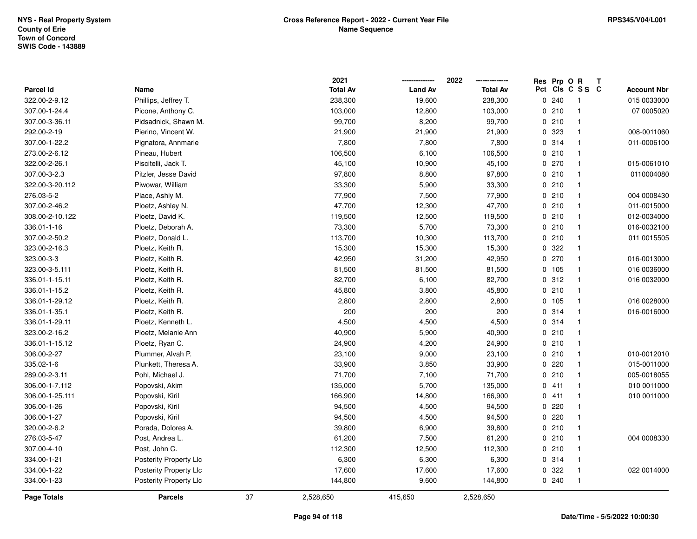|                  |                               |    | 2021            |                | 2022            |     | Res Prp O R |                         | Т |                    |
|------------------|-------------------------------|----|-----------------|----------------|-----------------|-----|-------------|-------------------------|---|--------------------|
| <b>Parcel Id</b> | Name                          |    | <b>Total Av</b> | <b>Land Av</b> | <b>Total Av</b> | Pct |             | CIS C S S C             |   | <b>Account Nbr</b> |
| 322.00-2-9.12    | Phillips, Jeffrey T.          |    | 238,300         | 19,600         | 238,300         |     | 0.240       | -1                      |   | 015 0033000        |
| 307.00-1-24.4    | Picone, Anthony C.            |    | 103,000         | 12,800         | 103,000         |     | 0210        | $\mathbf{1}$            |   | 07 0005020         |
| 307.00-3-36.11   | Pidsadnick, Shawn M.          |    | 99,700          | 8,200          | 99,700          |     | 0210        | $\mathbf{1}$            |   |                    |
| 292.00-2-19      | Pierino, Vincent W.           |    | 21,900          | 21,900         | 21,900          |     | 0 323       | $\mathbf{1}$            |   | 008-0011060        |
| 307.00-1-22.2    | Pignatora, Annmarie           |    | 7,800           | 7,800          | 7,800           |     | 0.314       | $\mathbf{1}$            |   | 011-0006100        |
| 273.00-2-6.12    | Pineau, Hubert                |    | 106,500         | 6,100          | 106,500         |     | 0210        | $\mathbf{1}$            |   |                    |
| 322.00-2-26.1    | Piscitelli, Jack T.           |    | 45,100          | 10,900         | 45,100          |     | 0270        | $\mathbf{1}$            |   | 015-0061010        |
| 307.00-3-2.3     | Pitzler, Jesse David          |    | 97,800          | 8,800          | 97,800          |     | 0210        | $\mathbf{1}$            |   | 0110004080         |
| 322.00-3-20.112  | Piwowar, William              |    | 33,300          | 5,900          | 33,300          |     | 0210        | $\mathbf{1}$            |   |                    |
| 276.03-5-2       | Place, Ashly M.               |    | 77,900          | 7,500          | 77,900          |     | 0210        | $\mathbf{1}$            |   | 004 0008430        |
| 307.00-2-46.2    | Ploetz, Ashley N.             |    | 47,700          | 12,300         | 47,700          |     | 0210        | -1                      |   | 011-0015000        |
| 308.00-2-10.122  | Ploetz, David K.              |    | 119,500         | 12,500         | 119,500         |     | 0210        | $\mathbf 1$             |   | 012-0034000        |
| 336.01-1-16      | Ploetz, Deborah A.            |    | 73,300          | 5,700          | 73,300          |     | 0210        | -1                      |   | 016-0032100        |
| 307.00-2-50.2    | Ploetz, Donald L.             |    | 113,700         | 10,300         | 113,700         |     | 0210        | $\mathbf{1}$            |   | 011 0015505        |
| 323.00-2-16.3    | Ploetz, Keith R.              |    | 15,300          | 15,300         | 15,300          |     | 0 322       | $\mathbf{1}$            |   |                    |
| 323.00-3-3       | Ploetz, Keith R.              |    | 42,950          | 31,200         | 42,950          |     | $0$ 270     | $\mathbf{1}$            |   | 016-0013000        |
| 323.00-3-5.111   | Ploetz, Keith R.              |    | 81,500          | 81,500         | 81,500          |     | 0 105       | $\mathbf{1}$            |   | 016 0036000        |
| 336.01-1-15.11   | Ploetz, Keith R.              |    | 82,700          | 6,100          | 82,700          |     | 0.312       | $\mathbf{1}$            |   | 016 0032000        |
| 336.01-1-15.2    | Ploetz, Keith R.              |    | 45,800          | 3,800          | 45,800          |     | 0210        | $\mathbf{1}$            |   |                    |
| 336.01-1-29.12   | Ploetz, Keith R.              |    | 2,800           | 2,800          | 2,800           |     | 0 105       | -1                      |   | 016 0028000        |
| 336.01-1-35.1    | Ploetz, Keith R.              |    | 200             | 200            | 200             |     | 0.314       | $\mathbf{1}$            |   | 016-0016000        |
| 336.01-1-29.11   | Ploetz, Kenneth L.            |    | 4,500           | 4,500          | 4,500           |     | 0.314       | $\mathbf{1}$            |   |                    |
| 323.00-2-16.2    | Ploetz, Melanie Ann           |    | 40,900          | 5,900          | 40,900          |     | 0210        | $\mathbf{1}$            |   |                    |
| 336.01-1-15.12   | Ploetz, Ryan C.               |    | 24,900          | 4,200          | 24,900          |     | 0210        | $\mathbf{1}$            |   |                    |
| 306.00-2-27      | Plummer, Alvah P.             |    | 23,100          | 9,000          | 23,100          |     | 0210        | $\mathbf{1}$            |   | 010-0012010        |
| 335.02-1-6       | Plunkett, Theresa A.          |    | 33,900          | 3,850          | 33,900          |     | 0220        | -1                      |   | 015-0011000        |
| 289.00-2-3.11    | Pohl, Michael J.              |    | 71,700          | 7,100          | 71,700          |     | 0210        |                         |   | 005-0018055        |
| 306.00-1-7.112   | Popovski, Akim                |    | 135,000         | 5,700          | 135,000         |     | 0411        | $\mathbf{1}$            |   | 010 0011000        |
| 306.00-1-25.111  | Popovski, Kiril               |    | 166,900         | 14,800         | 166,900         |     | 0411        | $\mathbf{1}$            |   | 010 0011000        |
| 306.00-1-26      | Popovski, Kiril               |    | 94,500          | 4,500          | 94,500          |     | 0220        | $\mathbf{1}$            |   |                    |
| 306.00-1-27      | Popovski, Kiril               |    | 94,500          | 4,500          | 94,500          |     | 0220        | $\mathbf{1}$            |   |                    |
| 320.00-2-6.2     | Porada, Dolores A.            |    | 39,800          | 6,900          | 39,800          |     | 0210        | $\mathbf{1}$            |   |                    |
| 276.03-5-47      | Post, Andrea L.               |    | 61,200          | 7,500          | 61,200          |     | 0210        | $\mathbf{1}$            |   | 004 0008330        |
| 307.00-4-10      | Post, John C.                 |    | 112,300         | 12,500         | 112,300         |     | 0210        | $\overline{\mathbf{1}}$ |   |                    |
| 334.00-1-21      | Posterity Property Llc        |    | 6,300           | 6,300          | 6,300           |     | 0 314       | $\mathbf{1}$            |   |                    |
| 334.00-1-22      | <b>Posterity Property Llc</b> |    | 17,600          | 17,600         | 17,600          |     | 0 322       | $\mathbf{1}$            |   | 022 0014000        |
| 334.00-1-23      | <b>Posterity Property Llc</b> |    | 144,800         | 9,600          | 144,800         |     | 0.240       | $\mathbf{1}$            |   |                    |
| Page Totals      | <b>Parcels</b>                | 37 | 2,528,650       | 415,650        | 2,528,650       |     |             |                         |   |                    |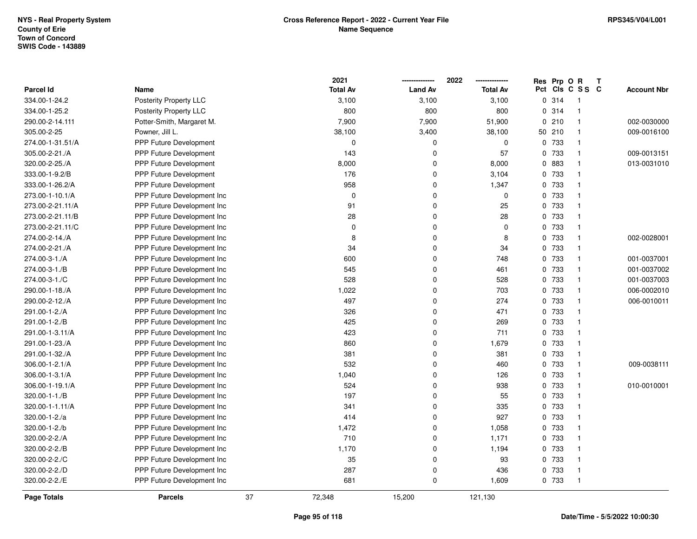|                  |                               |    | 2021            |                | 2022            | Res Prp O R |                 | Т |                    |
|------------------|-------------------------------|----|-----------------|----------------|-----------------|-------------|-----------------|---|--------------------|
| <b>Parcel Id</b> | Name                          |    | <b>Total Av</b> | <b>Land Av</b> | <b>Total Av</b> |             | Pct Cls C S S C |   | <b>Account Nbr</b> |
| 334.00-1-24.2    | Posterity Property LLC        |    | 3,100           | 3,100          | 3,100           | 0.314       | $\mathbf{1}$    |   |                    |
| 334.00-1-25.2    | Posterity Property LLC        |    | 800             | 800            | 800             | 0.314       | $\mathbf{1}$    |   |                    |
| 290.00-2-14.111  | Potter-Smith, Margaret M.     |    | 7,900           | 7,900          | 51,900          | 0210        | $\mathbf{1}$    |   | 002-0030000        |
| 305.00-2-25      | Powner, Jill L.               |    | 38,100          | 3,400          | 38,100          | 50 210      | $\mathbf{1}$    |   | 009-0016100        |
| 274.00-1-31.51/A | PPP Future Development        |    | $\Omega$        | 0              | 0               | 0 733       | $\mathbf{1}$    |   |                    |
| 305.00-2-21./A   | <b>PPP Future Development</b> |    | 143             | 0              | 57              | 0 733       | $\mathbf{1}$    |   | 009-0013151        |
| 320.00-2-25./A   | PPP Future Development        |    | 8,000           | 0              | 8,000           | 0 883       | $\mathbf{1}$    |   | 013-0031010        |
| 333.00-1-9.2/B   | PPP Future Development        |    | 176             | $\Omega$       | 3,104           | 0 733       | $\mathbf{1}$    |   |                    |
| 333.00-1-26.2/A  | <b>PPP Future Development</b> |    | 958             | 0              | 1,347           | 0 733       | $\mathbf{1}$    |   |                    |
| 273.00-1-10.1/A  | PPP Future Development Inc    |    | $\mathbf 0$     | 0              | $\mathbf 0$     | 0 733       | $\mathbf{1}$    |   |                    |
| 273.00-2-21.11/A | PPP Future Development Inc    |    | 91              | 0              | 25              | 0 733       | $\mathbf{1}$    |   |                    |
| 273.00-2-21.11/B | PPP Future Development Inc    |    | 28              | 0              | 28              | 0 733       | $\mathbf{1}$    |   |                    |
| 273.00-2-21.11/C | PPP Future Development Inc    |    | $\mathbf 0$     | 0              | $\mathbf 0$     | 0 733       | $\mathbf{1}$    |   |                    |
| 274.00-2-14./A   | PPP Future Development Inc    |    | 8               | 0              | 8               | 0 733       | $\mathbf{1}$    |   | 002-0028001        |
| 274.00-2-21./A   | PPP Future Development Inc    |    | 34              | 0              | 34              | 0 733       | $\mathbf{1}$    |   |                    |
| 274.00-3-1./A    | PPP Future Development Inc    |    | 600             | 0              | 748             | 0 733       | $\mathbf{1}$    |   | 001-0037001        |
| 274.00-3-1./B    | PPP Future Development Inc    |    | 545             | 0              | 461             | 0 733       | $\mathbf{1}$    |   | 001-0037002        |
| 274.00-3-1./C    | PPP Future Development Inc    |    | 528             | 0              | 528             | 0 733       | $\mathbf{1}$    |   | 001-0037003        |
| 290.00-1-18./A   | PPP Future Development Inc    |    | 1,022           | 0              | 703             | 0 733       | $\mathbf{1}$    |   | 006-0002010        |
| 290.00-2-12./A   | PPP Future Development Inc    |    | 497             | 0              | 274             | 0 733       | $\mathbf{1}$    |   | 006-0010011        |
| 291.00-1-2./A    | PPP Future Development Inc    |    | 326             | 0              | 471             | 0 733       | $\mathbf{1}$    |   |                    |
| 291.00-1-2./B    | PPP Future Development Inc    |    | 425             | 0              | 269             | 0 733       | $\mathbf{1}$    |   |                    |
| 291.00-1-3.11/A  | PPP Future Development Inc    |    | 423             | 0              | 711             | 0 733       | $\mathbf{1}$    |   |                    |
| 291.00-1-23./A   | PPP Future Development Inc    |    | 860             | 0              | 1,679           | 0 733       | $\mathbf{1}$    |   |                    |
| 291.00-1-32./A   | PPP Future Development Inc    |    | 381             | 0              | 381             | 0 733       | $\mathbf{1}$    |   |                    |
| 306.00-1-2.1/A   | PPP Future Development Inc    |    | 532             | 0              | 460             | 0 733       | $\mathbf{1}$    |   | 009-0038111        |
| 306.00-1-3.1/A   | PPP Future Development Inc    |    | 1,040           | 0              | 126             | 0 733       | $\mathbf{1}$    |   |                    |
| 306.00-1-19.1/A  | PPP Future Development Inc    |    | 524             | 0              | 938             | 0 733       | $\mathbf{1}$    |   | 010-0010001        |
| 320.00-1-1./B    | PPP Future Development Inc    |    | 197             | 0              | 55              | 0 733       | $\mathbf{1}$    |   |                    |
| 320.00-1-1.11/A  | PPP Future Development Inc    |    | 341             | 0              | 335             | 0 733       | $\mathbf{1}$    |   |                    |
| 320.00-1-2./a    | PPP Future Development Inc    |    | 414             | 0              | 927             | 0 733       | $\mathbf{1}$    |   |                    |
| 320.00-1-2./b    | PPP Future Development Inc    |    | 1,472           | 0              | 1,058           | 0 733       | $\mathbf{1}$    |   |                    |
| 320.00-2-2./A    | PPP Future Development Inc    |    | 710             | 0              | 1,171           | 0 733       | $\mathbf{1}$    |   |                    |
| 320.00-2-2./B    | PPP Future Development Inc    |    | 1,170           | 0              | 1,194           | 0 733       | $\mathbf{1}$    |   |                    |
| 320.00-2-2./C    | PPP Future Development Inc    |    | 35              | 0              | 93              | 0 733       | $\mathbf{1}$    |   |                    |
| 320.00-2-2./D    | PPP Future Development Inc    |    | 287             | 0              | 436             | 0 733       | $\mathbf{1}$    |   |                    |
| 320.00-2-2./E    | PPP Future Development Inc    |    | 681             | 0              | 1,609           | 0 733       | $\mathbf{1}$    |   |                    |
| Page Totals      | <b>Parcels</b>                | 37 | 72,348          | 15,200         | 121,130         |             |                 |   |                    |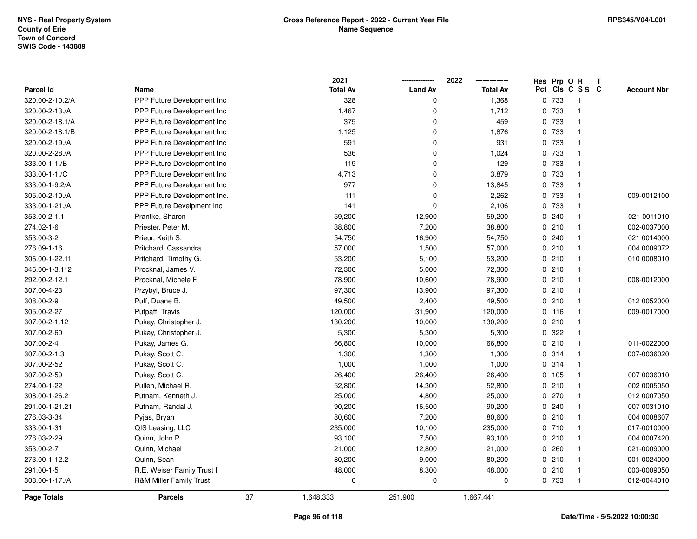|                    |                             |    | 2021            |                | 2022            | Res Prp O R |                         | Т |                    |
|--------------------|-----------------------------|----|-----------------|----------------|-----------------|-------------|-------------------------|---|--------------------|
| <b>Parcel Id</b>   | Name                        |    | <b>Total Av</b> | <b>Land Av</b> | <b>Total Av</b> |             | Pct Cls C S S C         |   | <b>Account Nbr</b> |
| 320.00-2-10.2/A    | PPP Future Development Inc  |    | 328             | $\mathbf 0$    | 1,368           | 0 733       | $\overline{\mathbf{1}}$ |   |                    |
| 320.00-2-13./A     | PPP Future Development Inc  |    | 1,467           | $\mathbf 0$    | 1,712           | 0 733       | $\overline{1}$          |   |                    |
| 320.00-2-18.1/A    | PPP Future Development Inc  |    | 375             | $\mathbf 0$    | 459             | 0 733       | $\mathbf{1}$            |   |                    |
| 320.00-2-18.1/B    | PPP Future Development Inc  |    | 1,125           | $\mathbf 0$    | 1,876           | 0 733       | $\overline{1}$          |   |                    |
| 320.00-2-19./A     | PPP Future Development Inc  |    | 591             | $\mathbf 0$    | 931             | 0 733       | $\mathbf{1}$            |   |                    |
| 320.00-2-28./A     | PPP Future Development Inc  |    | 536             | $\mathbf 0$    | 1,024           | 0 733       | $\overline{1}$          |   |                    |
| 333.00-1-1./B      | PPP Future Development Inc  |    | 119             | $\mathbf 0$    | 129             | 0 733       | $\overline{1}$          |   |                    |
| 333.00-1-1./C      | PPP Future Development Inc  |    | 4,713           | $\mathbf 0$    | 3,879           | 0 733       | $\overline{1}$          |   |                    |
| 333.00-1-9.2/A     | PPP Future Development Inc  |    | 977             | $\mathbf 0$    | 13,845          | 0 733       | $\mathbf{1}$            |   |                    |
| 305.00-2-10./A     | PPP Future Development Inc. |    | 111             | $\mathbf 0$    | 2,262           | 0 733       | $\mathbf{1}$            |   | 009-0012100        |
| 333.00-1-21./A     | PPP Future Develpment Inc   |    | 141             | $\Omega$       | 2,106           | 0 733       | $\overline{1}$          |   |                    |
| 353.00-2-1.1       | Prantke, Sharon             |    | 59,200          | 12,900         | 59,200          | 0.240       | $\overline{1}$          |   | 021-0011010        |
| 274.02-1-6         | Priester, Peter M.          |    | 38,800          | 7,200          | 38,800          | 0210        | $\overline{1}$          |   | 002-0037000        |
| 353.00-3-2         | Prieur, Keith S.            |    | 54,750          | 16,900         | 54,750          | 0.240       | $\overline{1}$          |   | 021 0014000        |
| 276.09-1-16        | Pritchard, Cassandra        |    | 57,000          | 1,500          | 57,000          | 0210        | $\mathbf{1}$            |   | 004 0009072        |
| 306.00-1-22.11     | Pritchard, Timothy G.       |    | 53,200          | 5,100          | 53,200          | 0210        | $\mathbf{1}$            |   | 010 0008010        |
| 346.00-1-3.112     | Procknal, James V.          |    | 72,300          | 5,000          | 72,300          | 0210        | $\mathbf{1}$            |   |                    |
| 292.00-2-12.1      | Procknal, Michele F.        |    | 78,900          | 10,600         | 78,900          | 0210        | $\mathbf{1}$            |   | 008-0012000        |
| 307.00-4-23        | Przybyl, Bruce J.           |    | 97,300          | 13,900         | 97,300          | 0210        | $\overline{1}$          |   |                    |
| 308.00-2-9         | Puff, Duane B.              |    | 49,500          | 2,400          | 49,500          | 0210        | $\mathbf{1}$            |   | 012 0052000        |
| 305.00-2-27        | Pufpaff, Travis             |    | 120,000         | 31,900         | 120,000         | $0$ 116     | $\overline{1}$          |   | 009-0017000        |
| 307.00-2-1.12      | Pukay, Christopher J.       |    | 130,200         | 10,000         | 130,200         | 0210        | $\mathbf{1}$            |   |                    |
| 307.00-2-60        | Pukay, Christopher J.       |    | 5,300           | 5,300          | 5,300           | 0.322       | $\mathbf{1}$            |   |                    |
| 307.00-2-4         | Pukay, James G.             |    | 66,800          | 10,000         | 66,800          | 0210        | $\mathbf{1}$            |   | 011-0022000        |
| 307.00-2-1.3       | Pukay, Scott C.             |    | 1,300           | 1,300          | 1,300           | 0 314       | $\mathbf{1}$            |   | 007-0036020        |
| 307.00-2-52        | Pukay, Scott C.             |    | 1,000           | 1,000          | 1,000           | 0 314       | $\overline{1}$          |   |                    |
| 307.00-2-59        | Pukay, Scott C.             |    | 26,400          | 26,400         | 26,400          | 0 105       | $\overline{1}$          |   | 007 0036010        |
| 274.00-1-22        | Pullen, Michael R.          |    | 52,800          | 14,300         | 52,800          | 0210        | $\overline{1}$          |   | 002 0005050        |
| 308.00-1-26.2      | Putnam, Kenneth J.          |    | 25,000          | 4,800          | 25,000          | $0$ 270     | $\overline{1}$          |   | 012 0007050        |
| 291.00-1-21.21     | Putnam, Randal J.           |    | 90,200          | 16,500         | 90,200          | 0.240       | $\mathbf{1}$            |   | 007 0031010        |
| 276.03-3-34        | Pyjas, Bryan                |    | 80,600          | 7,200          | 80,600          | 0210        | $\mathbf{1}$            |   | 004 0008607        |
| 333.00-1-31        | QIS Leasing, LLC            |    | 235,000         | 10,100         | 235,000         | 0 710       | $\mathbf{1}$            |   | 017-0010000        |
| 276.03-2-29        | Quinn, John P.              |    | 93,100          | 7,500          | 93,100          | 0210        | $\mathbf{1}$            |   | 004 0007420        |
| 353.00-2-7         | Quinn, Michael              |    | 21,000          | 12,800         | 21,000          | 0.260       | $\mathbf{1}$            |   | 021-0009000        |
| 273.00-1-12.2      | Quinn, Sean                 |    | 80,200          | 9,000          | 80,200          | 0210        | $\mathbf{1}$            |   | 001-0024000        |
| 291.00-1-5         | R.E. Weiser Family Trust I  |    | 48,000          | 8,300          | 48,000          | 0210        | $\overline{1}$          |   | 003-0009050        |
| 308.00-1-17./A     | R&M Miller Family Trust     |    | $\pmb{0}$       | $\mathbf 0$    | 0               | 0 733       | $\overline{1}$          |   | 012-0044010        |
| <b>Page Totals</b> | <b>Parcels</b>              | 37 | 1,648,333       | 251,900        | 1,667,441       |             |                         |   |                    |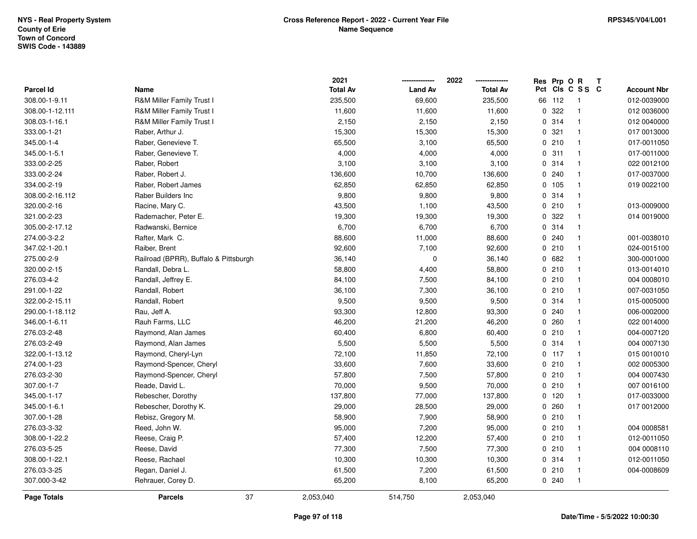|                    |                                       | 2021            |                | 2022            |    | Res Prp O R |                            | Т                  |
|--------------------|---------------------------------------|-----------------|----------------|-----------------|----|-------------|----------------------------|--------------------|
| <b>Parcel Id</b>   | Name                                  | <b>Total Av</b> | <b>Land Av</b> | <b>Total Av</b> |    |             | Pct Cls C S S C            | <b>Account Nbr</b> |
| 308.00-1-9.11      | R&M Miller Family Trust I             | 235,500         | 69,600         | 235,500         | 66 | 112         | $\overline{\phantom{0}}$ 1 | 012-0039000        |
| 308.00-1-12.111    | <b>R&amp;M Miller Family Trust I</b>  | 11,600          | 11,600         | 11,600          |    | 0.322       | $\overline{1}$             | 012 0036000        |
| 308.03-1-16.1      | R&M Miller Family Trust I             | 2,150           | 2,150          | 2,150           |    | 0.314       | $\overline{1}$             | 012 0040000        |
| 333.00-1-21        | Raber, Arthur J.                      | 15,300          | 15,300         | 15,300          |    | 0.321       | $\overline{1}$             | 017 0013000        |
| 345.00-1-4         | Raber, Genevieve T.                   | 65,500          | 3,100          | 65,500          |    | 0210        | $\mathbf{1}$               | 017-0011050        |
| 345.00-1-5.1       | Raber, Genevieve T.                   | 4,000           | 4,000          | 4,000           |    | 0.311       | $\overline{1}$             | 017-0011000        |
| 333.00-2-25        | Raber, Robert                         | 3,100           | 3,100          | 3,100           |    | 0.314       | $\overline{1}$             | 022 0012100        |
| 333.00-2-24        | Raber, Robert J.                      | 136,600         | 10,700         | 136,600         |    | 0.240       | $\overline{1}$             | 017-0037000        |
| 334.00-2-19        | Raber, Robert James                   | 62,850          | 62,850         | 62,850          |    | 0 105       | $\overline{1}$             | 019 0022100        |
| 308.00-2-16.112    | Raber Builders Inc                    | 9,800           | 9,800          | 9,800           |    | 0.314       | $\mathbf{1}$               |                    |
| 320.00-2-16        | Racine, Mary C.                       | 43,500          | 1,100          | 43,500          |    | 0210        | $\overline{1}$             | 013-0009000        |
| 321.00-2-23        | Rademacher, Peter E.                  | 19,300          | 19,300         | 19,300          |    | 0 322       | $\overline{1}$             | 014 0019000        |
| 305.00-2-17.12     | Radwanski, Bernice                    | 6,700           | 6,700          | 6,700           |    | 0.314       | -1                         |                    |
| 274.00-3-2.2       | Rafter, Mark C.                       | 88,600          | 11,000         | 88,600          |    | 0.240       | $\overline{1}$             | 001-0038010        |
| 347.02-1-20.1      | Raiber, Brent                         | 92,600          | 7,100          | 92,600          |    | 0210        | $\overline{1}$             | 024-0015100        |
| 275.00-2-9         | Railroad (BPRR), Buffalo & Pittsburgh | 36,140          | $\mathbf 0$    | 36,140          |    | 0682        | $\overline{1}$             | 300-0001000        |
| 320.00-2-15        | Randall, Debra L.                     | 58,800          | 4,400          | 58,800          |    | 0210        | $\overline{1}$             | 013-0014010        |
| 276.03-4-2         | Randall, Jeffrey E.                   | 84,100          | 7,500          | 84,100          |    | 0210        | $\overline{1}$             | 004 0008010        |
| 291.00-1-22        | Randall, Robert                       | 36,100          | 7,300          | 36,100          |    | 0210        | $\overline{1}$             | 007-0031050        |
| 322.00-2-15.11     | Randall, Robert                       | 9,500           | 9,500          | 9,500           |    | 0.314       | $\overline{1}$             | 015-0005000        |
| 290.00-1-18.112    | Rau, Jeff A.                          | 93,300          | 12,800         | 93,300          |    | 0.240       | $\overline{1}$             | 006-0002000        |
| 346.00-1-6.11      | Rauh Farms, LLC                       | 46,200          | 21,200         | 46,200          |    | 0.260       | $\overline{1}$             | 022 0014000        |
| 276.03-2-48        | Raymond, Alan James                   | 60,400          | 6,800          | 60,400          |    | 0210        | $\overline{1}$             | 004-0007120        |
| 276.03-2-49        | Raymond, Alan James                   | 5,500           | 5,500          | 5,500           |    | 0.314       | $\mathbf{1}$               | 004 0007130        |
| 322.00-1-13.12     | Raymond, Cheryl-Lyn                   | 72,100          | 11,850         | 72,100          |    | $0$ 117     | $\overline{1}$             | 015 0010010        |
| 274.00-1-23        | Raymond-Spencer, Cheryl               | 33,600          | 7,600          | 33,600          |    | 0210        | -1                         | 002 0005300        |
| 276.03-2-30        | Raymond-Spencer, Cheryl               | 57,800          | 7,500          | 57,800          |    | 0210        | $\mathbf{1}$               | 004 0007430        |
| 307.00-1-7         | Reade, David L.                       | 70,000          | 9,500          | 70,000          |    | 0210        | $\overline{1}$             | 007 0016100        |
| 345.00-1-17        | Rebescher, Dorothy                    | 137,800         | 77,000         | 137,800         |    | $0$ 120     | $\overline{1}$             | 017-0033000        |
| 345.00-1-6.1       | Rebescher, Dorothy K.                 | 29,000          | 28,500         | 29,000          |    | 0.260       | $\overline{1}$             | 017 0012000        |
| 307.00-1-28        | Rebisz, Gregory M.                    | 58,900          | 7,900          | 58,900          |    | 0210        | $\overline{1}$             |                    |
| 276.03-3-32        | Reed, John W.                         | 95,000          | 7,200          | 95,000          |    | 0210        | $\mathbf{1}$               | 004 0008581        |
| 308.00-1-22.2      | Reese, Craig P.                       | 57,400          | 12,200         | 57,400          |    | 0210        | $\overline{1}$             | 012-0011050        |
| 276.03-5-25        | Reese, David                          | 77,300          | 7,500          | 77,300          |    | 0210        | $\overline{1}$             | 004 0008110        |
| 308.00-1-22.1      | Reese, Rachael                        | 10,300          | 10,300         | 10,300          |    | 0.314       | $\mathbf{1}$               | 012-0011050        |
| 276.03-3-25        | Regan, Daniel J.                      | 61,500          | 7,200          | 61,500          |    | 0210        | $\overline{1}$             | 004-0008609        |
| 307.000-3-42       | Rehrauer, Corey D.                    | 65,200          | 8,100          | 65,200          |    | 0.240       | $\overline{1}$             |                    |
| <b>Page Totals</b> | 37<br><b>Parcels</b>                  | 2,053,040       | 514,750        | 2,053,040       |    |             |                            |                    |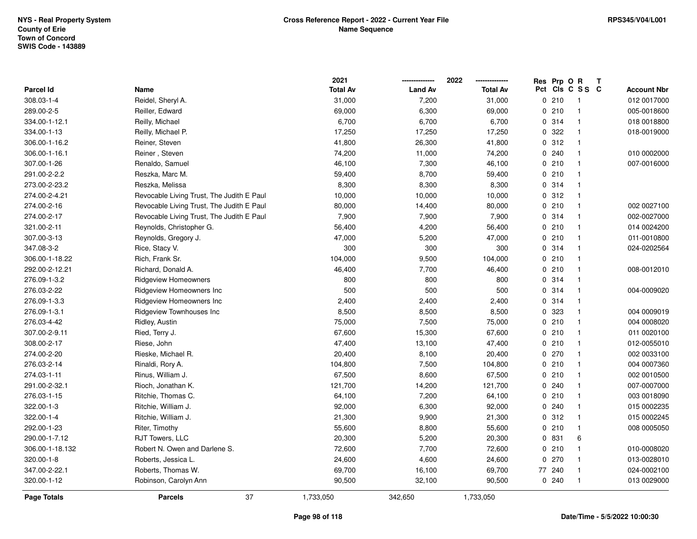| <b>Page Totals</b> | 37<br><b>Parcels</b>                      | 1,733,050               | 342,650        | 1,733,050               |             |                 |   |                    |
|--------------------|-------------------------------------------|-------------------------|----------------|-------------------------|-------------|-----------------|---|--------------------|
| 320.00-1-12        | Robinson, Carolyn Ann                     | 90,500                  | 32,100         | 90,500                  | 0.240       | $\mathbf{1}$    |   | 013 0029000        |
| 347.00-2-22.1      | Roberts, Thomas W.                        | 69,700                  | 16,100         | 69,700                  | 77 240      | $\mathbf{1}$    |   | 024-0002100        |
| 320.00-1-8         | Roberts, Jessica L.                       | 24,600                  | 4,600          | 24,600                  | 0270        | $\mathbf{1}$    |   | 013-0028010        |
| 306.00-1-18.132    | Robert N. Owen and Darlene S.             | 72,600                  | 7,700          | 72,600                  | 0210        | $\mathbf{1}$    |   | 010-0008020        |
| 290.00-1-7.12      | RJT Towers, LLC                           | 20,300                  | 5,200          | 20,300                  | 0 831       | 6               |   |                    |
| 292.00-1-23        | Riter, Timothy                            | 55,600                  | 8,800          | 55,600                  | 0210        | $\mathbf{1}$    |   | 008 0005050        |
| 322.00-1-4         | Ritchie, William J.                       | 21,300                  | 9,900          | 21,300                  | 0.312       | $\mathbf{1}$    |   | 015 0002245        |
| 322.00-1-3         | Ritchie, William J.                       | 92,000                  | 6,300          | 92,000                  | 0.240       | $\mathbf{1}$    |   | 015 0002235        |
| 276.03-1-15        | Ritchie, Thomas C.                        | 64,100                  | 7,200          | 64,100                  | 0210        | $\mathbf{1}$    |   | 003 0018090        |
| 291.00-2-32.1      | Rioch, Jonathan K.                        | 121,700                 | 14,200         | 121,700                 | 0.240       |                 |   | 007-0007000        |
| 274.03-1-11        | Rinus, William J.                         | 67,500                  | 8,600          | 67,500                  | 0210        | $\mathbf{1}$    |   | 002 0010500        |
| 276.03-2-14        | Rinaldi, Rory A.                          | 104,800                 | 7,500          | 104,800                 | 0210        | $\mathbf{1}$    |   | 004 0007360        |
| 274.00-2-20        | Rieske, Michael R.                        | 20,400                  | 8,100          | 20,400                  | 0270        | $\mathbf{1}$    |   | 002 0033100        |
| 308.00-2-17        | Riese, John                               | 47,400                  | 13,100         | 47,400                  | 0210        | $\mathbf{1}$    |   | 012-0055010        |
| 307.00-2-9.11      | Ried, Terry J.                            | 67,600                  | 15,300         | 67,600                  | 0210        | $\mathbf{1}$    |   | 011 0020100        |
| 276.03-4-42        | Ridley, Austin                            | 75,000                  | 7,500          | 75,000                  | 0210        | $\mathbf{1}$    |   | 004 0008020        |
| 276.09-1-3.1       | Ridgeview Townhouses Inc                  | 8,500                   | 8,500          | 8,500                   | 0 323       | $\mathbf{1}$    |   | 004 0009019        |
| 276.09-1-3.3       | Ridgeview Homeowners Inc                  | 2,400                   | 2,400          | 2,400                   | 0.314       | $\mathbf{1}$    |   |                    |
| 276.03-2-22        | Ridgeview Homeowners Inc                  | 500                     | 500            | 500                     | 0.314       | $\mathbf{1}$    |   | 004-0009020        |
| 276.09-1-3.2       | <b>Ridgeview Homeowners</b>               | 800                     | 800            | 800                     | 0.314       | $\mathbf{1}$    |   |                    |
| 292.00-2-12.21     | Richard, Donald A.                        | 46,400                  | 7,700          | 46,400                  | 0210        | $\mathbf{1}$    |   | 008-0012010        |
| 306.00-1-18.22     | Rich, Frank Sr.                           | 104,000                 | 9,500          | 104,000                 | 0210        | $\mathbf{1}$    |   |                    |
| 347.08-3-2         | Rice, Stacy V.                            | 300                     | 300            | 300                     | 0.314       | $\mathbf{1}$    |   | 024-0202564        |
| 307.00-3-13        | Reynolds, Gregory J.                      | 47,000                  | 5,200          | 47,000                  | 0210        | $\mathbf{1}$    |   | 011-0010800        |
| 321.00-2-11        | Reynolds, Christopher G.                  | 56,400                  | 4,200          | 56,400                  | 0210        | $\mathbf{1}$    |   | 014 0024200        |
| 274.00-2-17        | Revocable Living Trust, The Judith E Paul | 7,900                   | 7,900          | 7,900                   | 0 314       | $\mathbf{1}$    |   | 002-0027000        |
| 274.00-2-16        | Revocable Living Trust, The Judith E Paul | 80,000                  | 14,400         | 80,000                  | 0210        | $\mathbf{1}$    |   | 002 0027100        |
| 274.00-2-4.21      | Revocable Living Trust, The Judith E Paul | 10,000                  | 10,000         | 10,000                  | 0.312       | $\mathbf{1}$    |   |                    |
| 273.00-2-23.2      | Reszka, Melissa                           | 8,300                   | 8,300          | 8,300                   | 0.314       | $\mathbf{1}$    |   |                    |
| 291.00-2-2.2       | Reszka, Marc M.                           | 59,400                  | 8,700          | 59,400                  | 0210        | $\mathbf{1}$    |   |                    |
| 307.00-1-26        | Renaldo, Samuel                           | 46,100                  | 7,300          | 46,100                  | 0210        | $\mathbf{1}$    |   | 007-0016000        |
| 306.00-1-16.1      | Reiner, Steven                            | 74,200                  | 11,000         | 74,200                  | 0.240       | $\mathbf{1}$    |   | 010 0002000        |
| 306.00-1-16.2      | Reiner, Steven                            | 41,800                  | 26,300         | 41,800                  | 0.312       | $\mathbf{1}$    |   |                    |
| 334.00-1-13        | Reilly, Michael P.                        | 17,250                  | 17,250         | 17,250                  | 0.322       | $\mathbf{1}$    |   | 018-0019000        |
| 334.00-1-12.1      | Reilly, Michael                           | 6,700                   | 6,700          | 6,700                   | 0.314       | $\mathbf{1}$    |   | 018 0018800        |
| 289.00-2-5         | Reiller, Edward                           | 69,000                  | 6,300          | 69,000                  | 0210        | $\mathbf{1}$    |   | 005-0018600        |
| 308.03-1-4         | Reidel, Sheryl A.                         | 31,000                  | 7,200          | 31,000                  | 0210        | $\overline{1}$  |   | 012 0017000        |
| Parcel Id          | Name                                      | 2021<br><b>Total Av</b> | <b>Land Av</b> | 2022<br><b>Total Av</b> | Res Prp O R | Pct Cls C S S C | Т | <b>Account Nbr</b> |
|                    |                                           |                         |                |                         |             |                 |   |                    |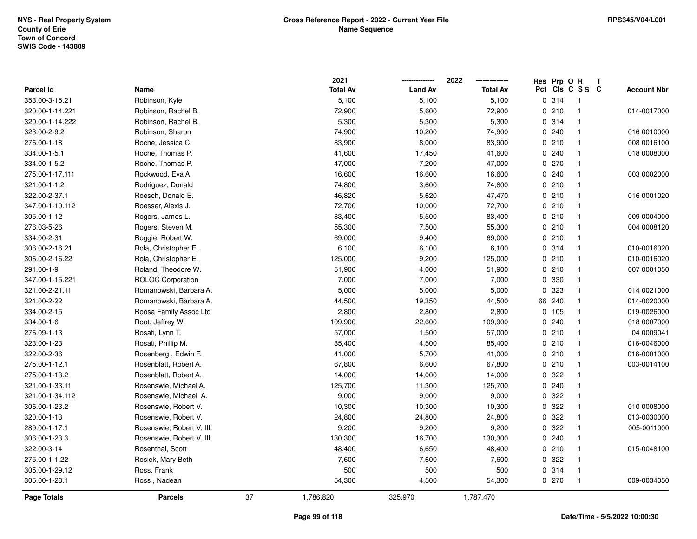|                  |                           |    | 2021            |                | 2022            | Res Prp O R |                         | Т                  |
|------------------|---------------------------|----|-----------------|----------------|-----------------|-------------|-------------------------|--------------------|
| <b>Parcel Id</b> | Name                      |    | <b>Total Av</b> | <b>Land Av</b> | <b>Total Av</b> |             | Pct Cls C S S C         | <b>Account Nbr</b> |
| 353.00-3-15.21   | Robinson, Kyle            |    | 5,100           | 5,100          | 5,100           | 0.314       | $\overline{\mathbf{1}}$ |                    |
| 320.00-1-14.221  | Robinson, Rachel B.       |    | 72,900          | 5,600          | 72,900          | 0210        | $\overline{1}$          | 014-0017000        |
| 320.00-1-14.222  | Robinson, Rachel B.       |    | 5,300           | 5,300          | 5,300           | 0.314       | $\overline{\mathbf{1}}$ |                    |
| 323.00-2-9.2     | Robinson, Sharon          |    | 74,900          | 10,200         | 74,900          | 0.240       | $\overline{\mathbf{1}}$ | 016 0010000        |
| 276.00-1-18      | Roche, Jessica C.         |    | 83,900          | 8,000          | 83,900          | 0210        | $\overline{\mathbf{1}}$ | 008 0016100        |
| 334.00-1-5.1     | Roche, Thomas P.          |    | 41,600          | 17,450         | 41,600          | 0.240       | $\mathbf{1}$            | 018 0008000        |
| 334.00-1-5.2     | Roche, Thomas P.          |    | 47,000          | 7,200          | 47,000          | 0270        | $\overline{\mathbf{1}}$ |                    |
| 275.00-1-17.111  | Rockwood, Eva A.          |    | 16,600          | 16,600         | 16,600          | 0.240       | $\mathbf{1}$            | 003 0002000        |
| 321.00-1-1.2     | Rodriguez, Donald         |    | 74,800          | 3,600          | 74,800          | 0210        | $\overline{1}$          |                    |
| 322.00-2-37.1    | Roesch, Donald E.         |    | 46,820          | 5,620          | 47,470          | 0210        | $\overline{\mathbf{1}}$ | 016 0001020        |
| 347.00-1-10.112  | Roesser, Alexis J.        |    | 72,700          | 10,000         | 72,700          | 0210        | $\overline{1}$          |                    |
| 305.00-1-12      | Rogers, James L.          |    | 83,400          | 5,500          | 83,400          | 0210        | $\overline{\mathbf{1}}$ | 009 0004000        |
| 276.03-5-26      | Rogers, Steven M.         |    | 55,300          | 7,500          | 55,300          | 0210        | -1                      | 004 0008120        |
| 334.00-2-31      | Roggie, Robert W.         |    | 69,000          | 9,400          | 69,000          | 0210        | $\overline{\mathbf{1}}$ |                    |
| 306.00-2-16.21   | Rola, Christopher E.      |    | 6,100           | 6,100          | 6,100           | 0.314       | $\overline{1}$          | 010-0016020        |
| 306.00-2-16.22   | Rola, Christopher E.      |    | 125,000         | 9,200          | 125,000         | 0210        | $\overline{1}$          | 010-0016020        |
| 291.00-1-9       | Roland, Theodore W.       |    | 51,900          | 4,000          | 51,900          | 0210        | $\overline{\mathbf{1}}$ | 007 0001050        |
| 347.00-1-15.221  | <b>ROLOC Corporation</b>  |    | 7,000           | 7,000          | 7,000           | 0 330       | $\overline{1}$          |                    |
| 321.00-2-21.11   | Romanowski, Barbara A.    |    | 5,000           | 5,000          | 5,000           | 0 323       | $\overline{\mathbf{1}}$ | 014 0021000        |
| 321.00-2-22      | Romanowski, Barbara A.    |    | 44,500          | 19,350         | 44,500          | 66 240      | $\overline{\mathbf{1}}$ | 014-0020000        |
| 334.00-2-15      | Roosa Family Assoc Ltd    |    | 2,800           | 2,800          | 2,800           | 0 105       | $\overline{\mathbf{1}}$ | 019-0026000        |
| 334.00-1-6       | Root, Jeffrey W.          |    | 109,900         | 22,600         | 109,900         | 0.240       | $\overline{1}$          | 018 0007000        |
| 276.09-1-13      | Rosati, Lynn T.           |    | 57,000          | 1,500          | 57,000          | 0210        | $\overline{\mathbf{1}}$ | 04 0009041         |
| 323.00-1-23      | Rosati, Phillip M.        |    | 85,400          | 4,500          | 85,400          | 0210        | $\overline{\mathbf{1}}$ | 016-0046000        |
| 322.00-2-36      | Rosenberg, Edwin F.       |    | 41,000          | 5,700          | 41,000          | 0210        | $\overline{\mathbf{1}}$ | 016-0001000        |
| 275.00-1-12.1    | Rosenblatt, Robert A.     |    | 67,800          | 6,600          | 67,800          | 0210        | $\mathbf{1}$            | 003-0014100        |
| 275.00-1-13.2    | Rosenblatt, Robert A.     |    | 14,000          | 14,000         | 14,000          | 0 322       | -1                      |                    |
| 321.00-1-33.11   | Rosenswie, Michael A.     |    | 125,700         | 11,300         | 125,700         | 0.240       | $\mathbf{1}$            |                    |
| 321.00-1-34.112  | Rosenswie, Michael A.     |    | 9,000           | 9,000          | 9,000           | 0.322       | $\overline{\mathbf{1}}$ |                    |
| 306.00-1-23.2    | Rosenswie, Robert V.      |    | 10,300          | 10,300         | 10,300          | 0 322       | $\overline{1}$          | 010 0008000        |
| 320.00-1-13      | Rosenswie, Robert V.      |    | 24,800          | 24,800         | 24,800          | 0 322       | $\overline{1}$          | 013-0030000        |
| 289.00-1-17.1    | Rosenswie, Robert V. III. |    | 9,200           | 9,200          | 9,200           | 0.322       | $\mathbf{1}$            | 005-0011000        |
| 306.00-1-23.3    | Rosenswie, Robert V. III. |    | 130,300         | 16,700         | 130,300         | 0.240       | $\mathbf{1}$            |                    |
| 322.00-3-14      | Rosenthal, Scott          |    | 48,400          | 6,650          | 48,400          | 0210        | $\overline{\mathbf{1}}$ | 015-0048100        |
| 275.00-1-1.22    | Rosiek, Mary Beth         |    | 7,600           | 7,600          | 7,600           | 0 322       | $\mathbf{1}$            |                    |
| 305.00-1-29.12   | Ross, Frank               |    | 500             | 500            | 500             | 0 314       | $\overline{1}$          |                    |
| 305.00-1-28.1    | Ross, Nadean              |    | 54,300          | 4,500          | 54,300          | 0270        | $\overline{1}$          | 009-0034050        |
| Page Totals      | <b>Parcels</b>            | 37 | 1,786,820       | 325,970        | 1,787,470       |             |                         |                    |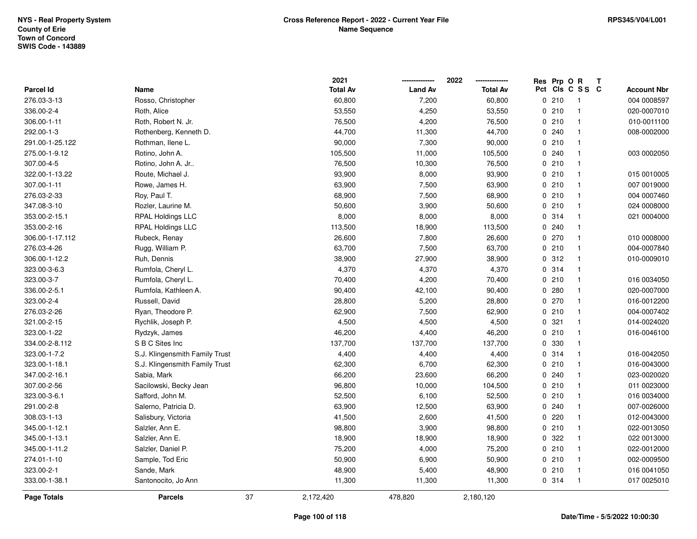|                  |                                |    | 2021            |                | 2022            | Res Prp O R |                         | Т |                    |
|------------------|--------------------------------|----|-----------------|----------------|-----------------|-------------|-------------------------|---|--------------------|
| <b>Parcel Id</b> | Name                           |    | <b>Total Av</b> | <b>Land Av</b> | <b>Total Av</b> |             | Pct Cls C S S C         |   | <b>Account Nbr</b> |
| 276.03-3-13      | Rosso, Christopher             |    | 60,800          | 7,200          | 60,800          | 0210        | $\overline{\mathbf{1}}$ |   | 004 0008597        |
| 336.00-2-4       | Roth, Alice                    |    | 53,550          | 4,250          | 53,550          | 0210        | $\overline{1}$          |   | 020-0007010        |
| 306.00-1-11      | Roth, Robert N. Jr.            |    | 76,500          | 4,200          | 76,500          | 0210        | $\overline{\mathbf{1}}$ |   | 010-0011100        |
| 292.00-1-3       | Rothenberg, Kenneth D.         |    | 44,700          | 11,300         | 44,700          | 0.240       | $\overline{\mathbf{1}}$ |   | 008-0002000        |
| 291.00-1-25.122  | Rothman, Ilene L.              |    | 90,000          | 7,300          | 90,000          | 0210        | $\overline{\mathbf{1}}$ |   |                    |
| 275.00-1-9.12    | Rotino, John A.                |    | 105,500         | 11,000         | 105,500         | 0.240       | -1                      |   | 003 0002050        |
| 307.00-4-5       | Rotino, John A. Jr             |    | 76,500          | 10,300         | 76,500          | 0210        | $\overline{\mathbf{1}}$ |   |                    |
| 322.00-1-13.22   | Route, Michael J.              |    | 93,900          | 8,000          | 93,900          | 0210        | $\overline{1}$          |   | 015 0010005        |
| 307.00-1-11      | Rowe, James H.                 |    | 63,900          | 7,500          | 63,900          | 0210        | $\overline{1}$          |   | 007 0019000        |
| 276.03-2-33      | Roy, Paul T.                   |    | 68,900          | 7,500          | 68,900          | 0210        | $\mathbf{1}$            |   | 004 0007460        |
| 347.08-3-10      | Rozler, Laurine M.             |    | 50,600          | 3,900          | 50,600          | 0210        | $\overline{\mathbf{1}}$ |   | 024 0008000        |
| 353.00-2-15.1    | <b>RPAL Holdings LLC</b>       |    | 8,000           | 8,000          | 8,000           | 0 314       | $\mathbf{1}$            |   | 021 0004000        |
| 353.00-2-16      | RPAL Holdings LLC              |    | 113,500         | 18,900         | 113,500         | 0.240       | -1                      |   |                    |
| 306.00-1-17.112  | Rubeck, Renay                  |    | 26,600          | 7,800          | 26,600          | 0270        | $\mathbf{1}$            |   | 010 0008000        |
| 276.03-4-26      | Rugg, William P.               |    | 63,700          | 7,500          | 63,700          | 0210        | $\overline{1}$          |   | 004-0007840        |
| 306.00-1-12.2    | Ruh, Dennis                    |    | 38,900          | 27,900         | 38,900          | 0.312       | $\overline{1}$          |   | 010-0009010        |
| 323.00-3-6.3     | Rumfola, Cheryl L.             |    | 4,370           | 4,370          | 4,370           | 0 314       | $\overline{\mathbf{1}}$ |   |                    |
| 323.00-3-7       | Rumfola, Cheryl L.             |    | 70,400          | 4,200          | 70,400          | 0210        | $\overline{\mathbf{1}}$ |   | 016 0034050        |
| 336.00-2-5.1     | Rumfola, Kathleen A.           |    | 90,400          | 42,100         | 90,400          | 0.280       | $\overline{\mathbf{1}}$ |   | 020-0007000        |
| 323.00-2-4       | Russell, David                 |    | 28,800          | 5,200          | 28,800          | 0270        | $\overline{\mathbf{1}}$ |   | 016-0012200        |
| 276.03-2-26      | Ryan, Theodore P.              |    | 62,900          | 7,500          | 62,900          | 0210        | $\overline{\mathbf{1}}$ |   | 004-0007402        |
| 321.00-2-15      | Rychlik, Joseph P.             |    | 4,500           | 4,500          | 4,500           | 0.321       | $\overline{1}$          |   | 014-0024020        |
| 323.00-1-22      | Rydzyk, James                  |    | 46,200          | 4,400          | 46,200          | 0210        | $\overline{\mathbf{1}}$ |   | 016-0046100        |
| 334.00-2-8.112   | S B C Sites Inc                |    | 137,700         | 137,700        | 137,700         | 0 330       | $\overline{\mathbf{1}}$ |   |                    |
| 323.00-1-7.2     | S.J. Klingensmith Family Trust |    | 4,400           | 4,400          | 4,400           | 0 314       | $\overline{\mathbf{1}}$ |   | 016-0042050        |
| 323.00-1-18.1    | S.J. Klingensmith Family Trust |    | 62,300          | 6,700          | 62,300          | 0210        | -1                      |   | 016-0043000        |
| 347.00-2-16.1    | Sabia, Mark                    |    | 66,200          | 23,600         | 66,200          | 0.240       | -1                      |   | 023-0020020        |
| 307.00-2-56      | Sacilowski, Becky Jean         |    | 96,800          | 10,000         | 104,500         | 0210        | $\mathbf{1}$            |   | 011 0023000        |
| 323.00-3-6.1     | Safford, John M.               |    | 52,500          | 6,100          | 52,500          | 0210        | $\overline{\mathbf{1}}$ |   | 016 0034000        |
| 291.00-2-8       | Salerno, Patricia D.           |    | 63,900          | 12,500         | 63,900          | 0.240       | $\overline{1}$          |   | 007-0026000        |
| 308.03-1-13      | Salisbury, Victoria            |    | 41,500          | 2,600          | 41,500          | 0220        | $\overline{\mathbf{1}}$ |   | 012-0043000        |
| 345.00-1-12.1    | Salzler, Ann E.                |    | 98,800          | 3,900          | 98,800          | 0210        | $\mathbf{1}$            |   | 022-0013050        |
| 345.00-1-13.1    | Salzler, Ann E.                |    | 18,900          | 18,900         | 18,900          | 0.322       | $\overline{\mathbf{1}}$ |   | 022 0013000        |
| 345.00-1-11.2    | Salzler, Daniel P.             |    | 75,200          | 4,000          | 75,200          | 0210        | $\overline{\mathbf{1}}$ |   | 022-0012000        |
| 274.01-1-10      | Sample, Tod Eric               |    | 50,900          | 6,900          | 50,900          | 0210        | $\overline{\mathbf{1}}$ |   | 002-0009500        |
| 323.00-2-1       | Sande, Mark                    |    | 48,900          | 5,400          | 48,900          | 0210        | $\overline{\mathbf{1}}$ |   | 016 0041050        |
| 333.00-1-38.1    | Santonocito, Jo Ann            |    | 11,300          | 11,300         | 11,300          | 0 314       | $\overline{1}$          |   | 017 0025010        |
| Page Totals      | <b>Parcels</b>                 | 37 | 2,172,420       | 478,820        | 2,180,120       |             |                         |   |                    |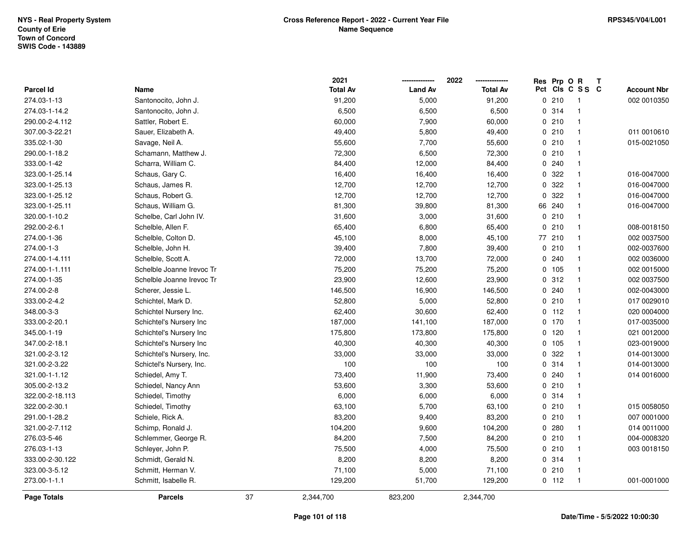|                 |                           |    | 2021            |                | 2022            |     | Res Prp O R |                         | T |                    |
|-----------------|---------------------------|----|-----------------|----------------|-----------------|-----|-------------|-------------------------|---|--------------------|
| Parcel Id       | Name                      |    | <b>Total Av</b> | <b>Land Av</b> | <b>Total Av</b> | Pct |             | CIs C S S C             |   | <b>Account Nbr</b> |
| 274.03-1-13     | Santonocito, John J.      |    | 91,200          | 5,000          | 91,200          |     | 0210        | $\overline{\mathbf{1}}$ |   | 002 0010350        |
| 274.03-1-14.2   | Santonocito, John J.      |    | 6,500           | 6,500          | 6,500           |     | 0.314       | $\overline{1}$          |   |                    |
| 290.00-2-4.112  | Sattler, Robert E.        |    | 60,000          | 7,900          | 60,000          |     | 0210        | $\overline{1}$          |   |                    |
| 307.00-3-22.21  | Sauer, Elizabeth A.       |    | 49,400          | 5,800          | 49,400          |     | 0210        | $\overline{1}$          |   | 011 0010610        |
| 335.02-1-30     | Savage, Neil A.           |    | 55,600          | 7,700          | 55,600          |     | 0210        | $\overline{1}$          |   | 015-0021050        |
| 290.00-1-18.2   | Schamann, Matthew J.      |    | 72,300          | 6,500          | 72,300          |     | 0210        | $\overline{1}$          |   |                    |
| 333.00-1-42     | Scharra, William C.       |    | 84,400          | 12,000         | 84,400          |     | 0.240       | $\overline{1}$          |   |                    |
| 323.00-1-25.14  | Schaus, Gary C.           |    | 16,400          | 16,400         | 16,400          | 0   | 322         | $\overline{1}$          |   | 016-0047000        |
| 323.00-1-25.13  | Schaus, James R.          |    | 12,700          | 12,700         | 12,700          | 0   | 322         | $\overline{1}$          |   | 016-0047000        |
| 323.00-1-25.12  | Schaus, Robert G.         |    | 12,700          | 12,700         | 12,700          | 0   | 322         | $\overline{1}$          |   | 016-0047000        |
| 323.00-1-25.11  | Schaus, William G.        |    | 81,300          | 39,800         | 81,300          | 66  | 240         | $\overline{\mathbf{1}}$ |   | 016-0047000        |
| 320.00-1-10.2   | Schelbe, Carl John IV.    |    | 31,600          | 3,000          | 31,600          |     | 0210        | $\overline{1}$          |   |                    |
| 292.00-2-6.1    | Schelble, Allen F.        |    | 65,400          | 6,800          | 65,400          |     | 0210        | $\overline{1}$          |   | 008-0018150        |
| 274.00-1-36     | Schelble, Colton D.       |    | 45,100          | 8,000          | 45,100          |     | 77 210      | $\overline{1}$          |   | 002 0037500        |
| 274.00-1-3      | Schelble, John H.         |    | 39,400          | 7,800          | 39,400          |     | 0210        | $\overline{1}$          |   | 002-0037600        |
| 274.00-1-4.111  | Schelble, Scott A.        |    | 72,000          | 13,700         | 72,000          |     | 0.240       | $\overline{1}$          |   | 002 0036000        |
| 274.00-1-1.111  | Schelble Joanne Irevoc Tr |    | 75,200          | 75,200         | 75,200          |     | 0 105       | $\overline{1}$          |   | 002 0015000        |
| 274.00-1-35     | Schelble Joanne Irevoc Tr |    | 23,900          | 12,600         | 23,900          |     | 0 312       | $\overline{1}$          |   | 002 0037500        |
| 274.00-2-8      | Scherer, Jessie L.        |    | 146,500         | 16,900         | 146,500         |     | 0.240       | $\mathbf{1}$            |   | 002-0043000        |
| 333.00-2-4.2    | Schichtel, Mark D.        |    | 52,800          | 5,000          | 52,800          |     | 0210        | $\overline{1}$          |   | 017 0029010        |
| 348.00-3-3      | Schichtel Nursery Inc.    |    | 62,400          | 30,600         | 62,400          |     | $0$ 112     | $\overline{1}$          |   | 020 0004000        |
| 333.00-2-20.1   | Schichtel's Nursery Inc   |    | 187,000         | 141,100        | 187,000         |     | 0, 170      | $\overline{1}$          |   | 017-0035000        |
| 345.00-1-19     | Schichtel's Nursery Inc   |    | 175,800         | 173,800        | 175,800         | 0   | 120         | $\overline{1}$          |   | 021 0012000        |
| 347.00-2-18.1   | Schichtel's Nursery Inc   |    | 40,300          | 40,300         | 40,300          | 0   | 105         | $\overline{1}$          |   | 023-0019000        |
| 321.00-2-3.12   | Schichtel's Nursery, Inc. |    | 33,000          | 33,000         | 33,000          |     | 0 322       | $\mathbf{1}$            |   | 014-0013000        |
| 321.00-2-3.22   | Schictel's Nursery, Inc.  |    | 100             | 100            | 100             |     | 0 314       | -1                      |   | 014-0013000        |
| 321.00-1-1.12   | Schiedel, Amy T.          |    | 73,400          | 11,900         | 73,400          |     | 0.240       | $\overline{\mathbf{1}}$ |   | 014 0016000        |
| 305.00-2-13.2   | Schiedel, Nancy Ann       |    | 53,600          | 3,300          | 53,600          |     | 0210        | $\mathbf{1}$            |   |                    |
| 322.00-2-18.113 | Schiedel, Timothy         |    | 6,000           | 6,000          | 6,000           |     | 0.314       | $\overline{1}$          |   |                    |
| 322.00-2-30.1   | Schiedel, Timothy         |    | 63,100          | 5,700          | 63,100          |     | 0210        | $\overline{1}$          |   | 015 0058050        |
| 291.00-1-28.2   | Schiele, Rick A.          |    | 83,200          | 9,400          | 83,200          |     | 0210        | $\overline{1}$          |   | 007 0001000        |
| 321.00-2-7.112  | Schimp, Ronald J.         |    | 104,200         | 9,600          | 104,200         |     | 0.280       | $\overline{1}$          |   | 014 0011000        |
| 276.03-5-46     | Schlemmer, George R.      |    | 84,200          | 7,500          | 84,200          |     | 0210        | $\overline{1}$          |   | 004-0008320        |
| 276.03-1-13     | Schleyer, John P.         |    | 75,500          | 4,000          | 75,500          |     | 0210        | $\overline{1}$          |   | 003 0018150        |
| 333.00-2-30.122 | Schmidt, Gerald N.        |    | 8,200           | 8,200          | 8,200           |     | 0 314       | $\overline{1}$          |   |                    |
| 323.00-3-5.12   | Schmitt, Herman V.        |    | 71,100          | 5,000          | 71,100          |     | 0210        | $\overline{1}$          |   |                    |
| 273.00-1-1.1    | Schmitt, Isabelle R.      |    | 129,200         | 51,700         | 129,200         |     | $0$ 112     | $\overline{1}$          |   | 001-0001000        |
| Page Totals     | <b>Parcels</b>            | 37 | 2,344,700       | 823,200        | 2,344,700       |     |             |                         |   |                    |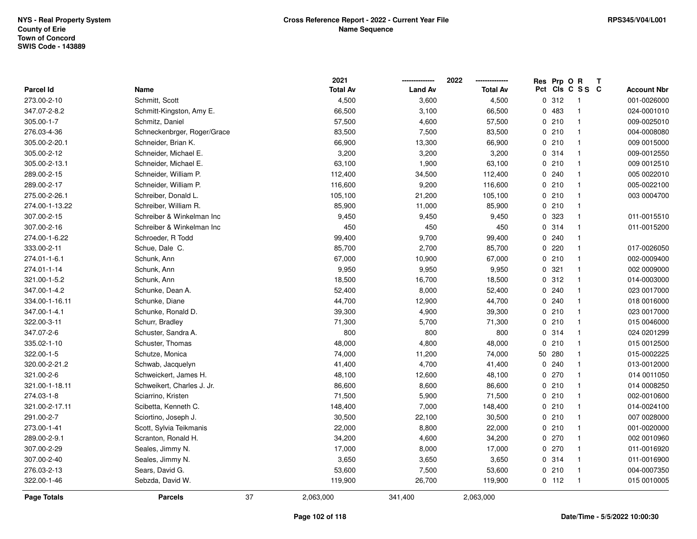|                  |                             |    | 2021            |                | 2022            | Res Prp O R |                            | Т |                    |
|------------------|-----------------------------|----|-----------------|----------------|-----------------|-------------|----------------------------|---|--------------------|
| <b>Parcel Id</b> | Name                        |    | <b>Total Av</b> | <b>Land Av</b> | <b>Total Av</b> |             | Pct Cls C S S C            |   | <b>Account Nbr</b> |
| 273.00-2-10      | Schmitt, Scott              |    | 4,500           | 3,600          | 4,500           | 0.312       | $\overline{\phantom{0}}$ 1 |   | 001-0026000        |
| 347.07-2-8.2     | Schmitt-Kingston, Amy E.    |    | 66,500          | 3,100          | 66,500          | 0483        | $\mathbf{1}$               |   | 024-0001010        |
| 305.00-1-7       | Schmitz, Daniel             |    | 57,500          | 4,600          | 57,500          | 0210        | $\mathbf{1}$               |   | 009-0025010        |
| 276.03-4-36      | Schneckenbrger, Roger/Grace |    | 83,500          | 7,500          | 83,500          | 0210        | $\mathbf{1}$               |   | 004-0008080        |
| 305.00-2-20.1    | Schneider, Brian K.         |    | 66,900          | 13,300         | 66,900          | 0210        | $\mathbf{1}$               |   | 009 0015000        |
| 305.00-2-12      | Schneider, Michael E.       |    | 3,200           | 3,200          | 3,200           | 0.314       | $\mathbf{1}$               |   | 009-0012550        |
| 305.00-2-13.1    | Schneider, Michael E.       |    | 63,100          | 1,900          | 63,100          | 0210        | $\mathbf{1}$               |   | 009 0012510        |
| 289.00-2-15      | Schneider, William P.       |    | 112,400         | 34,500         | 112,400         | 0.240       | $\mathbf{1}$               |   | 005 0022010        |
| 289.00-2-17      | Schneider, William P.       |    | 116,600         | 9,200          | 116,600         | 0210        | $\mathbf{1}$               |   | 005-0022100        |
| 275.00-2-26.1    | Schreiber, Donald L.        |    | 105,100         | 21,200         | 105,100         | 0210        | $\mathbf{1}$               |   | 003 0004700        |
| 274.00-1-13.22   | Schreiber, William R.       |    | 85,900          | 11,000         | 85,900          | 0210        | $\mathbf{1}$               |   |                    |
| 307.00-2-15      | Schreiber & Winkelman Inc   |    | 9,450           | 9,450          | 9,450           | 0 323       | $\mathbf{1}$               |   | 011-0015510        |
| 307.00-2-16      | Schreiber & Winkelman Inc   |    | 450             | 450            | 450             | 0.314       | $\mathbf 1$                |   | 011-0015200        |
| 274.00-1-6.22    | Schroeder, R Todd           |    | 99,400          | 9,700          | 99,400          | 0.240       | $\mathbf 1$                |   |                    |
| 333.00-2-11      | Schue, Dale C.              |    | 85,700          | 2,700          | 85,700          | 0.220       | $\mathbf{1}$               |   | 017-0026050        |
| 274.01-1-6.1     | Schunk, Ann                 |    | 67,000          | 10,900         | 67,000          | 0210        | $\mathbf{1}$               |   | 002-0009400        |
| 274.01-1-14      | Schunk, Ann                 |    | 9,950           | 9,950          | 9,950           | 0.321       | $\mathbf{1}$               |   | 002 0009000        |
| 321.00-1-5.2     | Schunk, Ann                 |    | 18,500          | 16,700         | 18,500          | 0.312       | $\mathbf{1}$               |   | 014-0003000        |
| 347.00-1-4.2     | Schunke, Dean A.            |    | 52,400          | 8,000          | 52,400          | 0.240       | $\mathbf{1}$               |   | 023 0017000        |
| 334.00-1-16.11   | Schunke, Diane              |    | 44,700          | 12,900         | 44,700          | 0.240       | $\mathbf{1}$               |   | 018 0016000        |
| 347.00-1-4.1     | Schunke, Ronald D.          |    | 39,300          | 4,900          | 39,300          | 0210        | $\mathbf{1}$               |   | 023 0017000        |
| 322.00-3-11      | Schurr, Bradley             |    | 71,300          | 5,700          | 71,300          | 0210        | $\mathbf{1}$               |   | 015 0046000        |
| 347.07-2-6       | Schuster, Sandra A.         |    | 800             | 800            | 800             | 0.314       | $\mathbf{1}$               |   | 024 0201299        |
| 335.02-1-10      | Schuster, Thomas            |    | 48,000          | 4,800          | 48,000          | 0210        | $\mathbf{1}$               |   | 015 0012500        |
| 322.00-1-5       | Schutze, Monica             |    | 74,000          | 11,200         | 74,000          | 50 280      | $\mathbf{1}$               |   | 015-0002225        |
| 320.00-2-21.2    | Schwab, Jacquelyn           |    | 41,400          | 4,700          | 41,400          | 0.240       | $\mathbf{1}$               |   | 013-0012000        |
| 321.00-2-6       | Schweickert, James H.       |    | 48,100          | 12,600         | 48,100          | 0270        | $\mathbf{1}$               |   | 014 0011050        |
| 321.00-1-18.11   | Schweikert, Charles J. Jr.  |    | 86,600          | 8,600          | 86,600          | 0210        | $\mathbf{1}$               |   | 014 0008250        |
| 274.03-1-8       | Sciarrino, Kristen          |    | 71,500          | 5,900          | 71,500          | 0210        | $\mathbf{1}$               |   | 002-0010600        |
| 321.00-2-17.11   | Scibetta, Kenneth C.        |    | 148,400         | 7,000          | 148,400         | 0210        | $\mathbf{1}$               |   | 014-0024100        |
| 291.00-2-7       | Sciortino, Joseph J.        |    | 30,500          | 22,100         | 30,500          | 0210        | $\mathbf{1}$               |   | 007 0028000        |
| 273.00-1-41      | Scott, Sylvia Teikmanis     |    | 22,000          | 8,800          | 22,000          | 0210        | $\mathbf{1}$               |   | 001-0020000        |
| 289.00-2-9.1     | Scranton, Ronald H.         |    | 34,200          | 4,600          | 34,200          | 0270        | $\mathbf{1}$               |   | 002 0010960        |
| 307.00-2-29      | Seales, Jimmy N.            |    | 17,000          | 8,000          | 17,000          | 0270        | $\mathbf{1}$               |   | 011-0016920        |
| 307.00-2-40      | Seales, Jimmy N.            |    | 3,650           | 3,650          | 3,650           | 0.314       | $\mathbf{1}$               |   | 011-0016900        |
| 276.03-2-13      | Sears, David G.             |    | 53,600          | 7,500          | 53,600          | 0210        | $\mathbf{1}$               |   | 004-0007350        |
| 322.00-1-46      | Sebzda, David W.            |    | 119,900         | 26,700         | 119,900         | $0$ 112     | $\mathbf{1}$               |   | 015 0010005        |
| Page Totals      | <b>Parcels</b>              | 37 | 2,063,000       | 341,400        | 2,063,000       |             |                            |   |                    |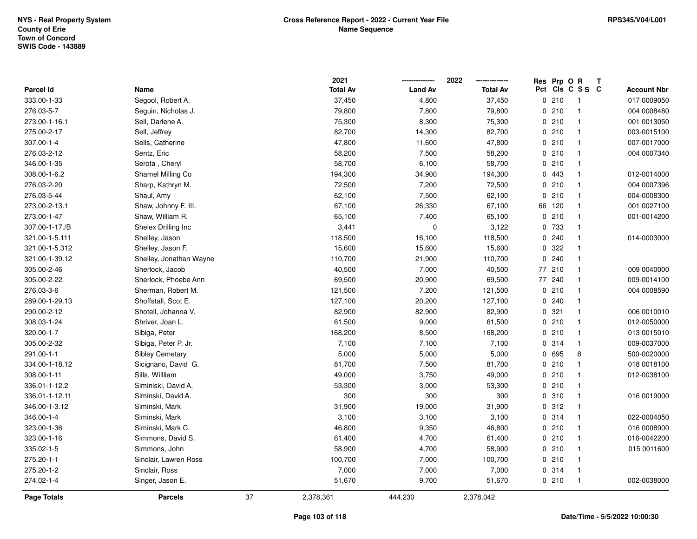|                  |                         |    | 2021            |                | 2022            |     | Res Prp O R |                          | T |                    |
|------------------|-------------------------|----|-----------------|----------------|-----------------|-----|-------------|--------------------------|---|--------------------|
| <b>Parcel Id</b> | Name                    |    | <b>Total Av</b> | <b>Land Av</b> | <b>Total Av</b> | Pct |             | CIS C S S C              |   | <b>Account Nbr</b> |
| 333.00-1-33      | Segool, Robert A.       |    | 37,450          | 4,800          | 37,450          |     | 0210        | $\overline{\phantom{1}}$ |   | 017 0009050        |
| 276.03-5-7       | Seguin, Nicholas J.     |    | 79,800          | 7,800          | 79,800          |     | 0210        | $\mathbf{1}$             |   | 004 0008480        |
| 273.00-1-16.1    | Sell, Darlene A.        |    | 75,300          | 8,300          | 75,300          |     | 0210        | $\mathbf{1}$             |   | 001 0013050        |
| 275.00-2-17      | Sell, Jeffrey           |    | 82,700          | 14,300         | 82,700          |     | 0210        | $\mathbf{1}$             |   | 003-0015100        |
| 307.00-1-4       | Sells, Catherine        |    | 47,800          | 11,600         | 47,800          |     | 0210        | $\mathbf{1}$             |   | 007-0017000        |
| 276.03-2-12      | Sentz, Eric             |    | 58,200          | 7,500          | 58,200          |     | 0210        | $\mathbf{1}$             |   | 004 0007340        |
| 346.00-1-35      | Serota, Cheryl          |    | 58,700          | 6,100          | 58,700          |     | 0210        | $\mathbf{1}$             |   |                    |
| 308.00-1-6.2     | Shamel Milling Co       |    | 194,300         | 34,900         | 194,300         |     | 0443        | $\mathbf{1}$             |   | 012-0014000        |
| 276.03-2-20      | Sharp, Kathryn M.       |    | 72,500          | 7,200          | 72,500          |     | 0210        | $\mathbf{1}$             |   | 004 0007396        |
| 276.03-5-44      | Shaul, Amy              |    | 62,100          | 7,500          | 62,100          |     | 0210        | $\mathbf{1}$             |   | 004-0008300        |
| 273.00-2-13.1    | Shaw, Johnny F. III.    |    | 67,100          | 26,330         | 67,100          |     | 66 120      | $\mathbf{1}$             |   | 001 0027100        |
| 273.00-1-47      | Shaw, William R.        |    | 65,100          | 7,400          | 65,100          |     | 0210        | $\mathbf 1$              |   | 001-0014200        |
| 307.00-1-17./B   | Shelex Drilling Inc     |    | 3,441           | $\pmb{0}$      | 3,122           |     | 0 733       | $\mathbf{1}$             |   |                    |
| 321.00-1-5.111   | Shelley, Jason          |    | 118,500         | 16,100         | 118,500         |     | 0.240       | $\mathbf{1}$             |   | 014-0003000        |
| 321.00-1-5.312   | Shelley, Jason F.       |    | 15,600          | 15,600         | 15,600          |     | 0.322       | $\mathbf{1}$             |   |                    |
| 321.00-1-39.12   | Shelley, Jonathan Wayne |    | 110,700         | 21,900         | 110,700         |     | 0.240       | $\mathbf{1}$             |   |                    |
| 305.00-2-46      | Sherlock, Jacob         |    | 40,500          | 7,000          | 40,500          |     | 77 210      | $\mathbf{1}$             |   | 009 0040000        |
| 305.00-2-22      | Sherlock, Phoebe Ann    |    | 69,500          | 20,900         | 69,500          |     | 77 240      | $\mathbf{1}$             |   | 009-0014100        |
| 276.03-3-6       | Sherman, Robert M.      |    | 121,500         | 7,200          | 121,500         |     | 0210        | $\mathbf{1}$             |   | 004 0008590        |
| 289.00-1-29.13   | Shoffstall, Scot E.     |    | 127,100         | 20,200         | 127,100         |     | 0.240       | $\mathbf{1}$             |   |                    |
| 290.00-2-12      | Shotell, Johanna V.     |    | 82,900          | 82,900         | 82,900          |     | 0.321       | $\mathbf{1}$             |   | 006 0010010        |
| 308.03-1-24      | Shriver, Joan L.        |    | 61,500          | 9,000          | 61,500          |     | 0210        | $\mathbf{1}$             |   | 012-0050000        |
| 320.00-1-7       | Sibiga, Peter           |    | 168,200         | 8,500          | 168,200         |     | 0210        | $\mathbf{1}$             |   | 013 0015010        |
| 305.00-2-32      | Sibiga, Peter P. Jr.    |    | 7,100           | 7,100          | 7,100           |     | 0.314       | $\mathbf{1}$             |   | 009-0037000        |
| 291.00-1-1       | Sibley Cemetary         |    | 5,000           | 5,000          | 5,000           |     | 0 695       | 8                        |   | 500-0020000        |
| 334.00-1-18.12   | Sicignano, David G.     |    | 81,700          | 7,500          | 81,700          |     | 0210        | $\mathbf{1}$             |   | 018 0018100        |
| 308.00-1-11      | Sills, Willliam         |    | 49,000          | 3,750          | 49,000          |     | 0210        | $\mathbf{1}$             |   | 012-0038100        |
| 336.01-1-12.2    | Siminiski, David A.     |    | 53,300          | 3,000          | 53,300          |     | 0210        | $\mathbf{1}$             |   |                    |
| 336.01-1-12.11   | Siminski, David A.      |    | 300             | 300            | 300             |     | 0.310       | $\mathbf{1}$             |   | 016 0019000        |
| 346.00-1-3.12    | Siminski, Mark          |    | 31,900          | 19,000         | 31,900          |     | 0.312       | $\mathbf{1}$             |   |                    |
| 346.00-1-4       | Siminski, Mark          |    | 3,100           | 3,100          | 3,100           |     | 0.314       | $\mathbf{1}$             |   | 022-0004050        |
| 323.00-1-36      | Siminski, Mark C.       |    | 46,800          | 9,350          | 46,800          |     | 0210        | $\mathbf{1}$             |   | 016 0008900        |
| 323.00-1-16      | Simmons, David S.       |    | 61,400          | 4,700          | 61,400          |     | 0210        | $\mathbf{1}$             |   | 016-0042200        |
| 335.02-1-5       | Simmons, John           |    | 58,900          | 4,700          | 58,900          |     | 0210        | $\mathbf{1}$             |   | 015 0011600        |
| 275.20-1-1       | Sinclair, Lawren Ross   |    | 100,700         | 7,000          | 100,700         |     | 0210        | $\mathbf{1}$             |   |                    |
| 275.20-1-2       | Sinclair, Ross          |    | 7,000           | 7,000          | 7,000           |     | 0 314       | $\mathbf{1}$             |   |                    |
| 274.02-1-4       | Singer, Jason E.        |    | 51,670          | 9,700          | 51,670          |     | 0210        | $\mathbf{1}$             |   | 002-0038000        |
| Page Totals      | <b>Parcels</b>          | 37 | 2,378,361       | 444,230        | 2,378,042       |     |             |                          |   |                    |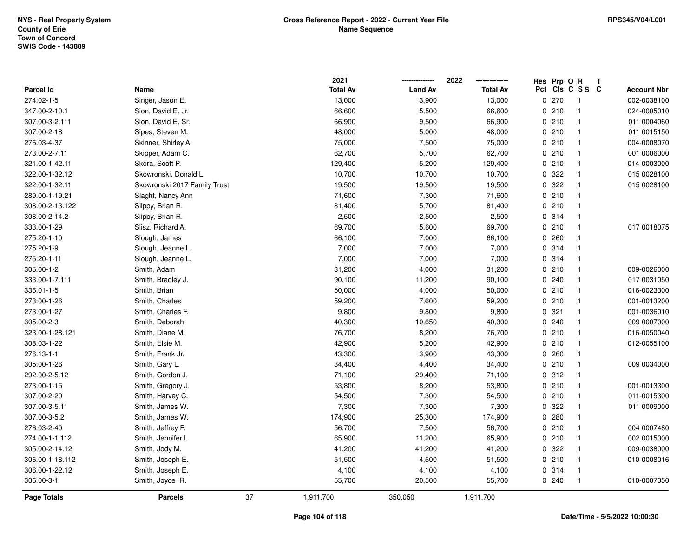|                 |                              |    | 2021            |                | 2022            |     | Res Prp O R |                | T |                    |
|-----------------|------------------------------|----|-----------------|----------------|-----------------|-----|-------------|----------------|---|--------------------|
| Parcel Id       | Name                         |    | <b>Total Av</b> | <b>Land Av</b> | <b>Total Av</b> | Pct |             | CIS C S S C    |   | <b>Account Nbr</b> |
| 274.02-1-5      | Singer, Jason E.             |    | 13,000          | 3,900          | 13,000          |     | 0270        | $\overline{1}$ |   | 002-0038100        |
| 347.00-2-10.1   | Sion, David E. Jr.           |    | 66,600          | 5,500          | 66,600          |     | 0210        | $\mathbf{1}$   |   | 024-0005010        |
| 307.00-3-2.111  | Sion, David E. Sr.           |    | 66,900          | 9,500          | 66,900          |     | 0210        | $\mathbf{1}$   |   | 011 0004060        |
| 307.00-2-18     | Sipes, Steven M.             |    | 48,000          | 5,000          | 48,000          |     | 0210        | $\mathbf{1}$   |   | 011 0015150        |
| 276.03-4-37     | Skinner, Shirley A.          |    | 75,000          | 7,500          | 75,000          |     | 0210        | $\mathbf{1}$   |   | 004-0008070        |
| 273.00-2-7.11   | Skipper, Adam C.             |    | 62,700          | 5,700          | 62,700          |     | 0210        | $\mathbf{1}$   |   | 001 0006000        |
| 321.00-1-42.11  | Skora, Scott P.              |    | 129,400         | 5,200          | 129,400         |     | 0210        | $\mathbf{1}$   |   | 014-0003000        |
| 322.00-1-32.12  | Skowronski, Donald L.        |    | 10,700          | 10,700         | 10,700          |     | 0 322       | $\mathbf{1}$   |   | 015 0028100        |
| 322.00-1-32.11  | Skowronski 2017 Family Trust |    | 19,500          | 19,500         | 19,500          |     | 0.322       | $\mathbf{1}$   |   | 015 0028100        |
| 289.00-1-19.21  | Slaght, Nancy Ann            |    | 71,600          | 7,300          | 71,600          |     | 0210        | $\mathbf{1}$   |   |                    |
| 308.00-2-13.122 | Slippy, Brian R.             |    | 81,400          | 5,700          | 81,400          |     | 0210        | $\mathbf{1}$   |   |                    |
| 308.00-2-14.2   | Slippy, Brian R.             |    | 2,500           | 2,500          | 2,500           |     | 0 314       | $\mathbf{1}$   |   |                    |
| 333.00-1-29     | Slisz, Richard A.            |    | 69,700          | 5,600          | 69,700          |     | 0210        | 1              |   | 017 0018075        |
| 275.20-1-10     | Slough, James                |    | 66,100          | 7,000          | 66,100          |     | 0260        | $\mathbf{1}$   |   |                    |
| 275.20-1-9      | Slough, Jeanne L.            |    | 7,000           | 7,000          | 7,000           |     | 0.314       | $\mathbf{1}$   |   |                    |
| 275.20-1-11     | Slough, Jeanne L.            |    | 7,000           | 7,000          | 7,000           |     | 0.314       | $\mathbf{1}$   |   |                    |
| 305.00-1-2      | Smith, Adam                  |    | 31,200          | 4,000          | 31,200          |     | 0210        | $\mathbf{1}$   |   | 009-0026000        |
| 333.00-1-7.111  | Smith, Bradley J.            |    | 90,100          | 11,200         | 90,100          |     | 0.240       | $\mathbf{1}$   |   | 017 0031050        |
| 336.01-1-5      | Smith, Brian                 |    | 50,000          | 4,000          | 50,000          |     | 0210        | $\mathbf{1}$   |   | 016-0023300        |
| 273.00-1-26     | Smith, Charles               |    | 59,200          | 7,600          | 59,200          |     | 0210        | $\mathbf{1}$   |   | 001-0013200        |
| 273.00-1-27     | Smith, Charles F.            |    | 9,800           | 9,800          | 9,800           |     | 0.321       | $\mathbf{1}$   |   | 001-0036010        |
| 305.00-2-3      | Smith, Deborah               |    | 40,300          | 10,650         | 40,300          |     | 0.240       | $\mathbf{1}$   |   | 009 0007000        |
| 323.00-1-28.121 | Smith, Diane M.              |    | 76,700          | 8,200          | 76,700          |     | 0210        | $\mathbf{1}$   |   | 016-0050040        |
| 308.03-1-22     | Smith, Elsie M.              |    | 42,900          | 5,200          | 42,900          |     | 0210        | $\mathbf{1}$   |   | 012-0055100        |
| 276.13-1-1      | Smith, Frank Jr.             |    | 43,300          | 3,900          | 43,300          |     | 0.260       | $\mathbf{1}$   |   |                    |
| 305.00-1-26     | Smith, Gary L.               |    | 34,400          | 4,400          | 34,400          |     | 0210        | $\mathbf{1}$   |   | 009 0034000        |
| 292.00-2-5.12   | Smith, Gordon J.             |    | 71,100          | 29,400         | 71,100          |     | 0.312       | $\mathbf{1}$   |   |                    |
| 273.00-1-15     | Smith, Gregory J.            |    | 53,800          | 8,200          | 53,800          |     | 0210        | $\mathbf{1}$   |   | 001-0013300        |
| 307.00-2-20     | Smith, Harvey C.             |    | 54,500          | 7,300          | 54,500          |     | 0210        | $\mathbf{1}$   |   | 011-0015300        |
| 307.00-3-5.11   | Smith, James W.              |    | 7,300           | 7,300          | 7,300           |     | 0 322       | $\mathbf{1}$   |   | 011 0009000        |
| 307.00-3-5.2    | Smith, James W.              |    | 174,900         | 25,300         | 174,900         |     | 0.280       | $\mathbf{1}$   |   |                    |
| 276.03-2-40     | Smith, Jeffrey P.            |    | 56,700          | 7,500          | 56,700          |     | 0210        | $\mathbf{1}$   |   | 004 0007480        |
| 274.00-1-1.112  | Smith, Jennifer L.           |    | 65,900          | 11,200         | 65,900          |     | 0210        | $\mathbf{1}$   |   | 002 0015000        |
| 305.00-2-14.12  | Smith, Jody M.               |    | 41,200          | 41,200         | 41,200          |     | 0 322       | $\mathbf{1}$   |   | 009-0038000        |
| 306.00-1-18.112 | Smith, Joseph E.             |    | 51,500          | 4,500          | 51,500          |     | 0210        | $\mathbf{1}$   |   | 010-0008016        |
| 306.00-1-22.12  | Smith, Joseph E.             |    | 4,100           | 4,100          | 4,100           |     | 0 314       | $\mathbf{1}$   |   |                    |
| 306.00-3-1      | Smith, Joyce R.              |    | 55,700          | 20,500         | 55,700          |     | 0.240       | $\mathbf{1}$   |   | 010-0007050        |
| Page Totals     | <b>Parcels</b>               | 37 | 1,911,700       | 350,050        | 1,911,700       |     |             |                |   |                    |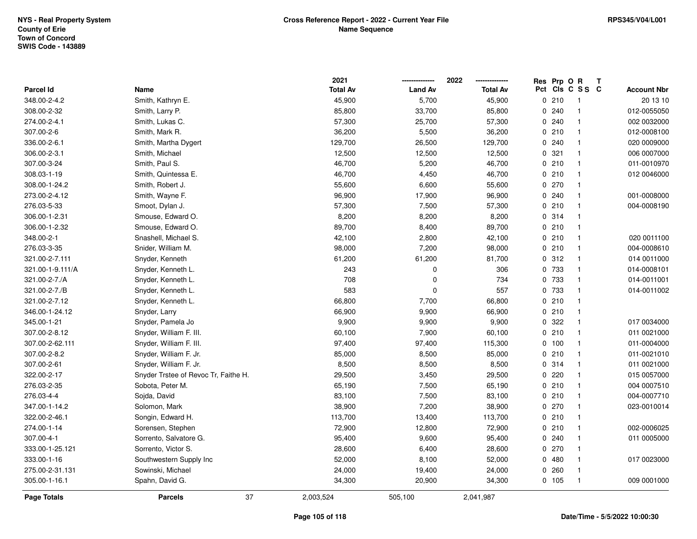|                  |                                      | 2021            |                | 2022<br>--------------- | Res Prp O R |                 | Т |                    |
|------------------|--------------------------------------|-----------------|----------------|-------------------------|-------------|-----------------|---|--------------------|
| Parcel Id        | Name                                 | <b>Total Av</b> | <b>Land Av</b> | <b>Total Av</b>         |             | Pct Cls C S S C |   | <b>Account Nbr</b> |
| 348.00-2-4.2     | Smith, Kathryn E.                    | 45,900          | 5,700          | 45,900                  | 0210        | $\overline{1}$  |   | 20 13 10           |
| 308.00-2-32      | Smith, Larry P.                      | 85,800          | 33,700         | 85,800                  | 0.240       | $\overline{1}$  |   | 012-0055050        |
| 274.00-2-4.1     | Smith, Lukas C.                      | 57,300          | 25,700         | 57,300                  | 0.240       | $\overline{1}$  |   | 002 0032000        |
| 307.00-2-6       | Smith, Mark R.                       | 36,200          | 5,500          | 36,200                  | 0210        | $\overline{1}$  |   | 012-0008100        |
| 336.00-2-6.1     | Smith, Martha Dygert                 | 129,700         | 26,500         | 129,700                 | 0.240       | $\overline{1}$  |   | 020 0009000        |
| 306.00-2-3.1     | Smith, Michael                       | 12,500          | 12,500         | 12,500                  | 0.321       | $\overline{1}$  |   | 006 0007000        |
| 307.00-3-24      | Smith, Paul S.                       | 46,700          | 5,200          | 46,700                  | 0210        | $\overline{1}$  |   | 011-0010970        |
| 308.03-1-19      | Smith, Quintessa E.                  | 46,700          | 4,450          | 46,700                  | 0210        | $\overline{1}$  |   | 012 0046000        |
| 308.00-1-24.2    | Smith, Robert J.                     | 55,600          | 6,600          | 55,600                  | 0270        | $\overline{1}$  |   |                    |
| 273.00-2-4.12    | Smith, Wayne F.                      | 96,900          | 17,900         | 96,900                  | 0.240       | $\overline{1}$  |   | 001-0008000        |
| 276.03-5-33      | Smoot, Dylan J.                      | 57,300          | 7,500          | 57,300                  | 0210        | $\mathbf{1}$    |   | 004-0008190        |
| 306.00-1-2.31    | Smouse, Edward O.                    | 8,200           | 8,200          | 8,200                   | 0 314       | $\mathbf 1$     |   |                    |
| 306.00-1-2.32    | Smouse, Edward O.                    | 89,700          | 8,400          | 89,700                  | 0210        | $\overline{1}$  |   |                    |
| 348.00-2-1       | Snashell, Michael S.                 | 42,100          | 2,800          | 42,100                  | 0210        | $\overline{1}$  |   | 020 0011100        |
| 276.03-3-35      | Snider, William M.                   | 98,000          | 7,200          | 98,000                  | 0210        | $\overline{1}$  |   | 004-0008610        |
| 321.00-2-7.111   | Snyder, Kenneth                      | 61,200          | 61,200         | 81,700                  | 0.312       | $\overline{1}$  |   | 014 0011000        |
| 321.00-1-9.111/A | Snyder, Kenneth L.                   | 243             | 0              | 306                     | 0 733       | $\overline{1}$  |   | 014-0008101        |
| 321.00-2-7./A    | Snyder, Kenneth L.                   | 708             | $\mathbf 0$    | 734                     | 0 733       | $\overline{1}$  |   | 014-0011001        |
| 321.00-2-7./B    | Snyder, Kenneth L.                   | 583             | $\mathbf 0$    | 557                     | 0 733       | $\overline{1}$  |   | 014-0011002        |
| 321.00-2-7.12    | Snyder, Kenneth L.                   | 66,800          | 7,700          | 66,800                  | 0210        | $\overline{1}$  |   |                    |
| 346.00-1-24.12   | Snyder, Larry                        | 66,900          | 9,900          | 66,900                  | 0210        | $\overline{1}$  |   |                    |
| 345.00-1-21      | Snyder, Pamela Jo                    | 9,900           | 9,900          | 9,900                   | 0.322       | $\overline{1}$  |   | 017 0034000        |
| 307.00-2-8.12    | Snyder, William F. III.              | 60,100          | 7,900          | 60,100                  | 0210        | $\overline{1}$  |   | 011 0021000        |
| 307.00-2-62.111  | Snyder, William F. III.              | 97,400          | 97,400         | 115,300                 | 0 100       | $\overline{1}$  |   | 011-0004000        |
| 307.00-2-8.2     | Snyder, William F. Jr.               | 85,000          | 8,500          | 85,000                  | 0210        | $\overline{1}$  |   | 011-0021010        |
| 307.00-2-61      | Snyder, William F. Jr.               | 8,500           | 8,500          | 8,500                   | 0.314       | $\overline{1}$  |   | 011 0021000        |
| 322.00-2-17      | Snyder Trstee of Revoc Tr, Faithe H. | 29,500          | 3,450          | 29,500                  | 0220        | -1              |   | 015 0057000        |
| 276.03-2-35      | Sobota, Peter M.                     | 65,190          | 7,500          | 65,190                  | 0210        | $\overline{1}$  |   | 004 0007510        |
| 276.03-4-4       | Sojda, David                         | 83,100          | 7,500          | 83,100                  | 0210        | $\overline{1}$  |   | 004-0007710        |
| 347.00-1-14.2    | Solomon, Mark                        | 38,900          | 7,200          | 38,900                  | 0270        | $\overline{1}$  |   | 023-0010014        |
| 322.00-2-46.1    | Songin, Edward H.                    | 113,700         | 13,400         | 113,700                 | 0210        | $\overline{1}$  |   |                    |
| 274.00-1-14      | Sorensen, Stephen                    | 72,900          | 12,800         | 72,900                  | 0210        | $\mathbf{1}$    |   | 002-0006025        |
| 307.00-4-1       | Sorrento, Salvatore G.               | 95,400          | 9,600          | 95,400                  | 0.240       | $\overline{1}$  |   | 011 0005000        |
| 333.00-1-25.121  | Sorrento, Victor S.                  | 28,600          | 6,400          | 28,600                  | 0270        | $\overline{1}$  |   |                    |
| 333.00-1-16      | Southwestern Supply Inc              | 52,000          | 8,100          | 52,000                  | 0480        | $\mathbf{1}$    |   | 017 0023000        |
| 275.00-2-31.131  | Sowinski, Michael                    | 24,000          | 19,400         | 24,000                  | 0260        | $\overline{1}$  |   |                    |
| 305.00-1-16.1    | Spahn, David G.                      | 34,300          | 20,900         | 34,300                  | 0.105       | $\overline{1}$  |   | 009 0001000        |
| Page Totals      | 37<br><b>Parcels</b>                 | 2,003,524       | 505,100        | 2,041,987               |             |                 |   |                    |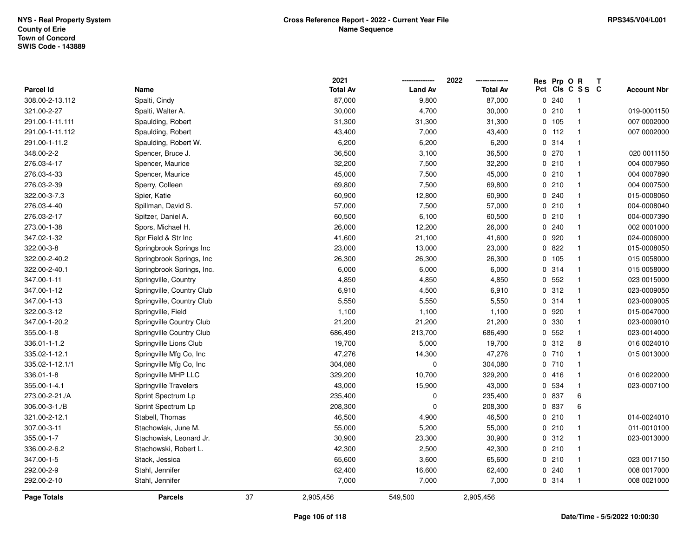|                  |                           |    | 2021            |                | 2022            | Res Prp O R |                 | Т |                    |
|------------------|---------------------------|----|-----------------|----------------|-----------------|-------------|-----------------|---|--------------------|
| <b>Parcel Id</b> | Name                      |    | <b>Total Av</b> | <b>Land Av</b> | <b>Total Av</b> |             | Pct Cls C S S C |   | <b>Account Nbr</b> |
| 308.00-2-13.112  | Spalti, Cindy             |    | 87,000          | 9,800          | 87,000          | 0.240       | $\mathbf{1}$    |   |                    |
| 321.00-2-27      | Spalti, Walter A.         |    | 30,000          | 4,700          | 30,000          | 0210        | $\mathbf{1}$    |   | 019-0001150        |
| 291.00-1-11.111  | Spaulding, Robert         |    | 31,300          | 31,300         | 31,300          | 0 105       | $\mathbf{1}$    |   | 007 0002000        |
| 291.00-1-11.112  | Spaulding, Robert         |    | 43,400          | 7,000          | 43,400          | $0$ 112     | $\mathbf{1}$    |   | 007 0002000        |
| 291.00-1-11.2    | Spaulding, Robert W.      |    | 6,200           | 6,200          | 6,200           | 0 314       | $\mathbf{1}$    |   |                    |
| 348.00-2-2       | Spencer, Bruce J.         |    | 36,500          | 3,100          | 36,500          | 0.270       | $\mathbf{1}$    |   | 020 0011150        |
| 276.03-4-17      | Spencer, Maurice          |    | 32,200          | 7,500          | 32,200          | 0210        | $\mathbf{1}$    |   | 004 0007960        |
| 276.03-4-33      | Spencer, Maurice          |    | 45,000          | 7,500          | 45,000          | 0210        | $\mathbf{1}$    |   | 004 0007890        |
| 276.03-2-39      | Sperry, Colleen           |    | 69,800          | 7,500          | 69,800          | 0210        | $\mathbf{1}$    |   | 004 0007500        |
| 322.00-3-7.3     | Spier, Katie              |    | 60,900          | 12,800         | 60,900          | 0.240       | $\mathbf{1}$    |   | 015-0008060        |
| 276.03-4-40      | Spillman, David S.        |    | 57,000          | 7,500          | 57,000          | 0210        | $\mathbf{1}$    |   | 004-0008040        |
| 276.03-2-17      | Spitzer, Daniel A.        |    | 60,500          | 6,100          | 60,500          | 0210        | $\mathbf{1}$    |   | 004-0007390        |
| 273.00-1-38      | Spors, Michael H.         |    | 26,000          | 12,200         | 26,000          | 0.240       |                 |   | 002 0001000        |
| 347.02-1-32      | Spr Field & Str Inc       |    | 41,600          | 21,100         | 41,600          | 0 920       | $\mathbf{1}$    |   | 024-0006000        |
| 322.00-3-8       | Springbrook Springs Inc   |    | 23,000          | 13,000         | 23,000          | 0822        | $\mathbf{1}$    |   | 015-0008050        |
| 322.00-2-40.2    | Springbrook Springs, Inc  |    | 26,300          | 26,300         | 26,300          | 0 105       | $\mathbf{1}$    |   | 015 0058000        |
| 322.00-2-40.1    | Springbrook Springs, Inc. |    | 6,000           | 6,000          | 6,000           | 0.314       | $\mathbf{1}$    |   | 015 0058000        |
| 347.00-1-11      | Springville, Country      |    | 4,850           | 4,850          | 4,850           | 0.552       | $\mathbf{1}$    |   | 023 0015000        |
| 347.00-1-12      | Springville, Country Club |    | 6,910           | 4,500          | 6,910           | 0.312       | $\mathbf{1}$    |   | 023-0009050        |
| 347.00-1-13      | Springville, Country Club |    | 5,550           | 5,550          | 5,550           | 0.314       | $\mathbf{1}$    |   | 023-0009005        |
| 322.00-3-12      | Springville, Field        |    | 1,100           | 1,100          | 1,100           | 0 920       | $\mathbf{1}$    |   | 015-0047000        |
| 347.00-1-20.2    | Springville Country Club  |    | 21,200          | 21,200         | 21,200          | 0 330       | $\mathbf{1}$    |   | 023-0009010        |
| 355.00-1-8       | Springville Country Club  |    | 686,490         | 213,700        | 686,490         | 0.552       | $\mathbf{1}$    |   | 023-0014000        |
| 336.01-1-1.2     | Springville Lions Club    |    | 19,700          | 5,000          | 19,700          | 0.312       | 8               |   | 016 0024010        |
| 335.02-1-12.1    | Springville Mfg Co, Inc   |    | 47,276          | 14,300         | 47,276          | 0710        | $\mathbf{1}$    |   | 015 0013000        |
| 335.02-1-12.1/1  | Springville Mfg Co, Inc   |    | 304,080         | 0              | 304,080         | 0710        | $\mathbf{1}$    |   |                    |
| 336.01-1-8       | Springville MHP LLC       |    | 329,200         | 10,700         | 329,200         | 0416        | $\mathbf{1}$    |   | 016 0022000        |
| 355.00-1-4.1     | Springville Travelers     |    | 43,000          | 15,900         | 43,000          | 0 534       | $\mathbf{1}$    |   | 023-0007100        |
| 273.00-2-21./A   | Sprint Spectrum Lp        |    | 235,400         | 0              | 235,400         | 0 837       | 6               |   |                    |
| 306.00-3-1./B    | Sprint Spectrum Lp        |    | 208,300         | 0              | 208,300         | 0 837       | 6               |   |                    |
| 321.00-2-12.1    | Stabell, Thomas           |    | 46,500          | 4,900          | 46,500          | 0210        | $\mathbf{1}$    |   | 014-0024010        |
| 307.00-3-11      | Stachowiak, June M.       |    | 55,000          | 5,200          | 55,000          | 0210        | $\mathbf{1}$    |   | 011-0010100        |
| 355.00-1-7       | Stachowiak, Leonard Jr.   |    | 30,900          | 23,300         | 30,900          | 0.312       | $\mathbf{1}$    |   | 023-0013000        |
| 336.00-2-6.2     | Stachowski, Robert L.     |    | 42,300          | 2,500          | 42,300          | 0210        | $\mathbf{1}$    |   |                    |
| 347.00-1-5       | Stack, Jessica            |    | 65,600          | 3,600          | 65,600          | 0210        | $\mathbf{1}$    |   | 023 0017150        |
| 292.00-2-9       | Stahl, Jennifer           |    | 62,400          | 16,600         | 62,400          | 0.240       | $\mathbf{1}$    |   | 008 0017000        |
| 292.00-2-10      | Stahl, Jennifer           |    | 7,000           | 7,000          | 7,000           | 0.314       | $\mathbf{1}$    |   | 008 0021000        |
| Page Totals      | <b>Parcels</b>            | 37 | 2,905,456       | 549,500        | 2,905,456       |             |                 |   |                    |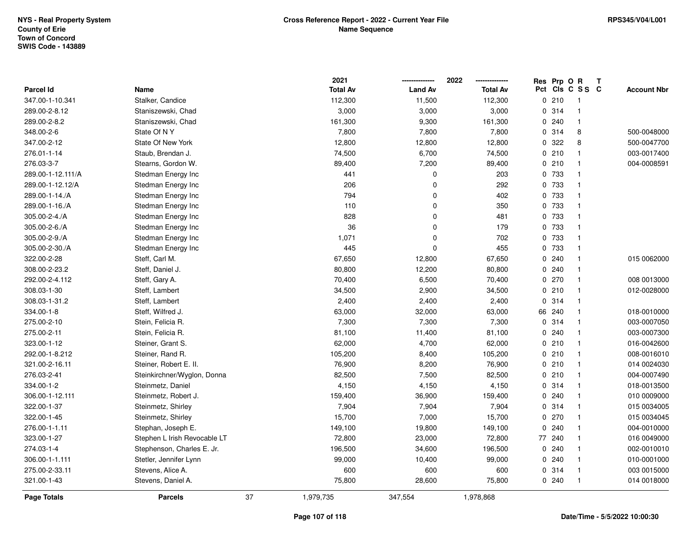|                    |                              |    | 2021            |                | 2022            |     | Res Prp O R |                | Т |                    |
|--------------------|------------------------------|----|-----------------|----------------|-----------------|-----|-------------|----------------|---|--------------------|
| <b>Parcel Id</b>   | Name                         |    | <b>Total Av</b> | <b>Land Av</b> | <b>Total Av</b> | Pct |             | CIS C S S C    |   | <b>Account Nbr</b> |
| 347.00-1-10.341    | Stalker, Candice             |    | 112,300         | 11,500         | 112,300         |     | 0210        | $\mathbf{1}$   |   |                    |
| 289.00-2-8.12      | Staniszewski, Chad           |    | 3,000           | 3,000          | 3,000           |     | 0.314       | $\overline{1}$ |   |                    |
| 289.00-2-8.2       | Staniszewski, Chad           |    | 161,300         | 9,300          | 161,300         |     | 0.240       | $\overline{1}$ |   |                    |
| 348.00-2-6         | State Of NY                  |    | 7,800           | 7,800          | 7,800           |     | 0.314       | 8              |   | 500-0048000        |
| 347.00-2-12        | State Of New York            |    | 12,800          | 12,800         | 12,800          |     | 0 322       | 8              |   | 500-0047700        |
| 276.01-1-14        | Staub, Brendan J.            |    | 74,500          | 6,700          | 74,500          |     | 0210        |                |   | 003-0017400        |
| 276.03-3-7         | Stearns, Gordon W.           |    | 89,400          | 7,200          | 89,400          |     | 0210        | $\mathbf{1}$   |   | 004-0008591        |
| 289.00-1-12.111/A  | Stedman Energy Inc           |    | 441             | $\mathbf 0$    | 203             |     | 0 733       | $\mathbf{1}$   |   |                    |
| 289.00-1-12.12/A   | Stedman Energy Inc           |    | 206             | $\Omega$       | 292             |     | 0 733       | $\overline{1}$ |   |                    |
| 289.00-1-14./A     | Stedman Energy Inc           |    | 794             | $\Omega$       | 402             |     | 0 733       | $\mathbf{1}$   |   |                    |
| 289.00-1-16./A     | Stedman Energy Inc           |    | 110             | $\mathbf 0$    | 350             |     | 0 733       | $\mathbf{1}$   |   |                    |
| 305.00-2-4./A      | Stedman Energy Inc           |    | 828             | 0              | 481             |     | 0 733       | $\mathbf{1}$   |   |                    |
| 305.00-2-6./A      | Stedman Energy Inc           |    | 36              | 0              | 179             |     | 0 733       |                |   |                    |
| 305.00-2-9./A      | Stedman Energy Inc           |    | 1,071           | $\Omega$       | 702             |     | 0 733       | $\mathbf{1}$   |   |                    |
| 305.00-2-30./A     | Stedman Energy Inc           |    | 445             | $\Omega$       | 455             |     | 0 733       | $\mathbf{1}$   |   |                    |
| 322.00-2-28        | Steff, Carl M.               |    | 67,650          | 12,800         | 67,650          |     | 0.240       | $\mathbf{1}$   |   | 015 0062000        |
| 308.00-2-23.2      | Steff, Daniel J.             |    | 80,800          | 12,200         | 80,800          |     | 0.240       | $\mathbf{1}$   |   |                    |
| 292.00-2-4.112     | Steff, Gary A.               |    | 70,400          | 6,500          | 70,400          |     | 0270        | $\mathbf{1}$   |   | 008 0013000        |
| 308.03-1-30        | Steff, Lambert               |    | 34,500          | 2,900          | 34,500          |     | 0210        | $\mathbf{1}$   |   | 012-0028000        |
| 308.03-1-31.2      | Steff, Lambert               |    | 2,400           | 2,400          | 2,400           |     | 0.314       | $\mathbf 1$    |   |                    |
| 334.00-1-8         | Steff, Wilfred J.            |    | 63,000          | 32,000         | 63,000          | 66  | 240         | $\mathbf{1}$   |   | 018-0010000        |
| 275.00-2-10        | Stein, Felicia R.            |    | 7,300           | 7,300          | 7,300           | 0   | 314         | $\mathbf{1}$   |   | 003-0007050        |
| 275.00-2-11        | Stein, Felicia R.            |    | 81,100          | 11,400         | 81,100          | 0   | 240         | $\mathbf{1}$   |   | 003-0007300        |
| 323.00-1-12        | Steiner, Grant S.            |    | 62,000          | 4,700          | 62,000          |     | 0210        | $\overline{1}$ |   | 016-0042600        |
| 292.00-1-8.212     | Steiner, Rand R.             |    | 105,200         | 8,400          | 105,200         |     | 0210        | $\mathbf{1}$   |   | 008-0016010        |
| 321.00-2-16.11     | Steiner, Robert E. II.       |    | 76,900          | 8,200          | 76,900          |     | 0210        |                |   | 014 0024030        |
| 276.03-2-41        | Steinkirchner/Wyglon, Donna  |    | 82,500          | 7,500          | 82,500          |     | 0210        | -1             |   | 004-0007490        |
| 334.00-1-2         | Steinmetz, Daniel            |    | 4,150           | 4,150          | 4,150           |     | 0.314       |                |   | 018-0013500        |
| 306.00-1-12.111    | Steinmetz, Robert J.         |    | 159,400         | 36,900         | 159,400         |     | 0.240       | $\mathbf{1}$   |   | 010 0009000        |
| 322.00-1-37        | Steinmetz, Shirley           |    | 7,904           | 7,904          | 7,904           |     | 0.314       | $\mathbf{1}$   |   | 015 0034005        |
| 322.00-1-45        | Steinmetz, Shirley           |    | 15,700          | 7,000          | 15,700          |     | 0 270       | $\mathbf{1}$   |   | 015 0034045        |
| 276.00-1-1.11      | Stephan, Joseph E.           |    | 149,100         | 19,800         | 149,100         | 0   | 240         | $\mathbf{1}$   |   | 004-0010000        |
| 323.00-1-27        | Stephen L Irish Revocable LT |    | 72,800          | 23,000         | 72,800          |     | 77 240      | $\mathbf{1}$   |   | 016 0049000        |
| 274.03-1-4         | Stephenson, Charles E. Jr.   |    | 196,500         | 34,600         | 196,500         | 0   | 240         | $\mathbf 1$    |   | 002-0010010        |
| 306.00-1-1.111     | Stetler, Jennifer Lynn       |    | 99,000          | 10,400         | 99,000          |     | 0.240       | $\mathbf{1}$   |   | 010-0001000        |
| 275.00-2-33.11     | Stevens, Alice A.            |    | 600             | 600            | 600             |     | 0.314       | $\mathbf{1}$   |   | 003 0015000        |
| 321.00-1-43        | Stevens, Daniel A.           |    | 75,800          | 28,600         | 75,800          |     | 0.240       | -1             |   | 014 0018000        |
| <b>Page Totals</b> | <b>Parcels</b>               | 37 | 1,979,735       | 347,554        | 1,978,868       |     |             |                |   |                    |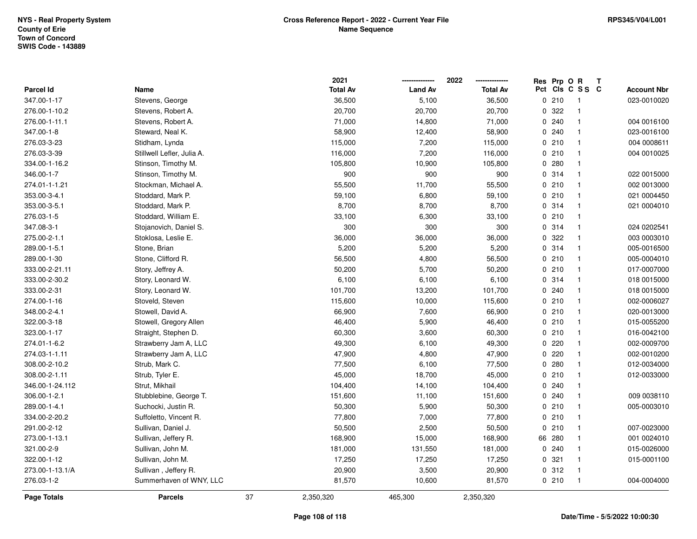|                  |                            |    | 2021            |                | 2022            | Res Prp O R |                 | Т |                    |
|------------------|----------------------------|----|-----------------|----------------|-----------------|-------------|-----------------|---|--------------------|
| <b>Parcel Id</b> | Name                       |    | <b>Total Av</b> | <b>Land Av</b> | <b>Total Av</b> |             | Pct Cls C S S C |   | <b>Account Nbr</b> |
| 347.00-1-17      | Stevens, George            |    | 36,500          | 5,100          | 36,500          | 0210        | $\overline{1}$  |   | 023-0010020        |
| 276.00-1-10.2    | Stevens, Robert A.         |    | 20,700          | 20,700         | 20,700          | 0 322       | $\overline{1}$  |   |                    |
| 276.00-1-11.1    | Stevens, Robert A.         |    | 71,000          | 14,800         | 71,000          | 0.240       | $\mathbf{1}$    |   | 004 0016100        |
| 347.00-1-8       | Steward, Neal K.           |    | 58,900          | 12,400         | 58,900          | 0.240       | $\mathbf{1}$    |   | 023-0016100        |
| 276.03-3-23      | Stidham, Lynda             |    | 115,000         | 7,200          | 115,000         | 0210        | $\mathbf{1}$    |   | 004 0008611        |
| 276.03-3-39      | Stillwell Lefler, Julia A. |    | 116,000         | 7,200          | 116,000         | 0210        | $\mathbf{1}$    |   | 004 0010025        |
| 334.00-1-16.2    | Stinson, Timothy M.        |    | 105,800         | 10,900         | 105,800         | 0280        | $\mathbf{1}$    |   |                    |
| 346.00-1-7       | Stinson, Timothy M.        |    | 900             | 900            | 900             | 0.314       | $\mathbf{1}$    |   | 022 0015000        |
| 274.01-1-1.21    | Stockman, Michael A.       |    | 55,500          | 11,700         | 55,500          | 0210        | $\mathbf{1}$    |   | 002 0013000        |
| 353.00-3-4.1     | Stoddard, Mark P.          |    | 59,100          | 6,800          | 59,100          | 0210        | $\overline{1}$  |   | 021 0004450        |
| 353.00-3-5.1     | Stoddard, Mark P.          |    | 8,700           | 8,700          | 8,700           | 0.314       | $\mathbf{1}$    |   | 021 0004010        |
| 276.03-1-5       | Stoddard, William E.       |    | 33,100          | 6,300          | 33,100          | 0210        | $\mathbf{1}$    |   |                    |
| 347.08-3-1       | Stojanovich, Daniel S.     |    | 300             | 300            | 300             | 0 314       | -1              |   | 024 0202541        |
| 275.00-2-1.1     | Stoklosa, Leslie E.        |    | 36,000          | 36,000         | 36,000          | 0 322       | $\mathbf{1}$    |   | 003 0003010        |
| 289.00-1-5.1     | Stone, Brian               |    | 5,200           | 5,200          | 5,200           | 0.314       | $\mathbf{1}$    |   | 005-0016500        |
| 289.00-1-30      | Stone, Clifford R.         |    | 56,500          | 4,800          | 56,500          | 0210        | $\mathbf{1}$    |   | 005-0004010        |
| 333.00-2-21.11   | Story, Jeffrey A.          |    | 50,200          | 5,700          | 50,200          | 0210        | $\mathbf{1}$    |   | 017-0007000        |
| 333.00-2-30.2    | Story, Leonard W.          |    | 6,100           | 6,100          | 6,100           | 0 314       | $\mathbf{1}$    |   | 018 0015000        |
| 333.00-2-31      | Story, Leonard W.          |    | 101,700         | 13,200         | 101,700         | 0.240       | $\mathbf{1}$    |   | 018 0015000        |
| 274.00-1-16      | Stoveld, Steven            |    | 115,600         | 10,000         | 115,600         | 0210        | $\mathbf{1}$    |   | 002-0006027        |
| 348.00-2-4.1     | Stowell, David A.          |    | 66,900          | 7,600          | 66,900          | 0210        | $\mathbf{1}$    |   | 020-0013000        |
| 322.00-3-18      | Stowell, Gregory Allen     |    | 46,400          | 5,900          | 46,400          | 0210        | $\mathbf{1}$    |   | 015-0055200        |
| 323.00-1-17      | Straight, Stephen D.       |    | 60,300          | 3,600          | 60,300          | 0210        | $\mathbf{1}$    |   | 016-0042100        |
| 274.01-1-6.2     | Strawberry Jam A, LLC      |    | 49,300          | 6,100          | 49,300          | 0220        | $\mathbf{1}$    |   | 002-0009700        |
| 274.03-1-1.11    | Strawberry Jam A, LLC      |    | 47,900          | 4,800          | 47,900          | 0220        | $\mathbf{1}$    |   | 002-0010200        |
| 308.00-2-10.2    | Strub, Mark C.             |    | 77,500          | 6,100          | 77,500          | 0.280       | $\mathbf{1}$    |   | 012-0034000        |
| 308.00-2-1.11    | Strub, Tyler E.            |    | 45,000          | 18,700         | 45,000          | 0210        | $\mathbf{1}$    |   | 012-0033000        |
| 346.00-1-24.112  | Strut, Mikhail             |    | 104,400         | 14,100         | 104,400         | 0.240       | $\mathbf{1}$    |   |                    |
| 306.00-1-2.1     | Stubblebine, George T.     |    | 151,600         | 11,100         | 151,600         | 0.240       | $\mathbf{1}$    |   | 009 0038110        |
| 289.00-1-4.1     | Suchocki, Justin R.        |    | 50,300          | 5,900          | 50,300          | 0210        | $\mathbf{1}$    |   | 005-0003010        |
| 334.00-2-20.2    | Suffoletto, Vincent R.     |    | 77,800          | 7,000          | 77,800          | 0210        | $\overline{1}$  |   |                    |
| 291.00-2-12      | Sullivan, Daniel J.        |    | 50,500          | 2,500          | 50,500          | 0210        | $\mathbf{1}$    |   | 007-0023000        |
| 273.00-1-13.1    | Sullivan, Jeffery R.       |    | 168,900         | 15,000         | 168,900         | 66 280      | $\mathbf{1}$    |   | 001 0024010        |
| 321.00-2-9       | Sullivan, John M.          |    | 181,000         | 131,550        | 181,000         | 0.240       | $\mathbf{1}$    |   | 015-0026000        |
| 322.00-1-12      | Sullivan, John M.          |    | 17,250          | 17,250         | 17,250          | 0.321       | $\mathbf{1}$    |   | 015-0001100        |
| 273.00-1-13.1/A  | Sullivan, Jeffery R.       |    | 20,900          | 3,500          | 20,900          | 0.312       | $\overline{1}$  |   |                    |
| 276.03-1-2       | Summerhaven of WNY, LLC    |    | 81,570          | 10,600         | 81,570          | 0210        | $\overline{1}$  |   | 004-0004000        |
| Page Totals      | <b>Parcels</b>             | 37 | 2,350,320       | 465,300        | 2,350,320       |             |                 |   |                    |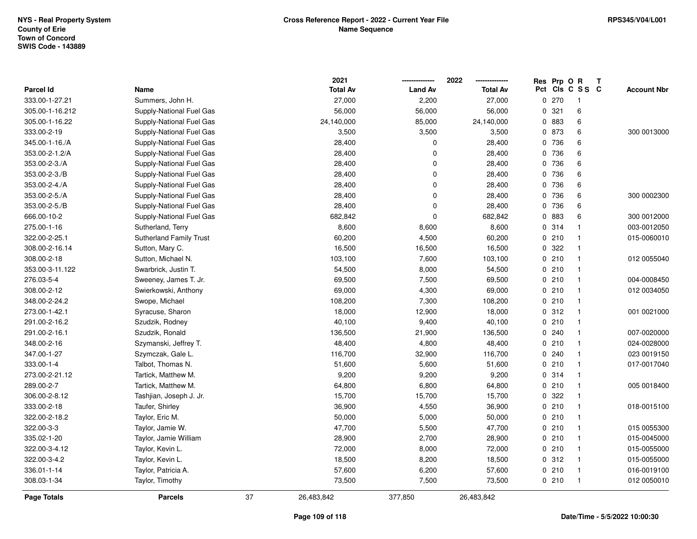|                  |                                |    | 2021            |                | 2022            |     | Res Prp O R |              | T |                    |
|------------------|--------------------------------|----|-----------------|----------------|-----------------|-----|-------------|--------------|---|--------------------|
| <b>Parcel Id</b> | Name                           |    | <b>Total Av</b> | <b>Land Av</b> | <b>Total Av</b> | Pct |             | CIs C S S C  |   | <b>Account Nbr</b> |
| 333.00-1-27.21   | Summers, John H.               |    | 27,000          | 2,200          | 27,000          |     | 0270        | $\mathbf{1}$ |   |                    |
| 305.00-1-16.212  | Supply-National Fuel Gas       |    | 56,000          | 56,000         | 56,000          |     | 0.321       | 6            |   |                    |
| 305.00-1-16.22   | Supply-National Fuel Gas       |    | 24,140,000      | 85,000         | 24,140,000      |     | 0 883       | 6            |   |                    |
| 333.00-2-19      | Supply-National Fuel Gas       |    | 3,500           | 3,500          | 3,500           |     | 0 873       | 6            |   | 300 0013000        |
| 345.00-1-16./A   | Supply-National Fuel Gas       |    | 28,400          | 0              | 28,400          |     | 0 736       | 6            |   |                    |
| 353.00-2-1.2/A   | Supply-National Fuel Gas       |    | 28,400          | 0              | 28,400          |     | 0 736       | 6            |   |                    |
| 353.00-2-3./A    | Supply-National Fuel Gas       |    | 28,400          | 0              | 28,400          |     | 0 736       | 6            |   |                    |
| 353.00-2-3./B    | Supply-National Fuel Gas       |    | 28,400          | 0              | 28,400          |     | 0 736       | 6            |   |                    |
| 353.00-2-4./A    | Supply-National Fuel Gas       |    | 28,400          | $\overline{0}$ | 28,400          |     | 0 736       | 6            |   |                    |
| 353.00-2-5./A    | Supply-National Fuel Gas       |    | 28,400          | 0              | 28,400          |     | 0 736       | 6            |   | 300 0002300        |
| 353.00-2-5./B    | Supply-National Fuel Gas       |    | 28,400          | 0              | 28,400          |     | 0 736       | 6            |   |                    |
| 666.00-10-2      | Supply-National Fuel Gas       |    | 682,842         | $\mathbf 0$    | 682,842         |     | 0 883       | 6            |   | 300 0012000        |
| 275.00-1-16      | Sutherland, Terry              |    | 8,600           | 8,600          | 8,600           |     | 0 314       | $\mathbf{1}$ |   | 003-0012050        |
| 322.00-2-25.1    | <b>Sutherland Family Trust</b> |    | 60,200          | 4,500          | 60,200          |     | 0210        | $\mathbf{1}$ |   | 015-0060010        |
| 308.00-2-16.14   | Sutton, Mary C.                |    | 16,500          | 16,500         | 16,500          |     | 0 322       | $\mathbf{1}$ |   |                    |
| 308.00-2-18      | Sutton, Michael N.             |    | 103,100         | 7,600          | 103,100         |     | 0210        | $\mathbf{1}$ |   | 012 0055040        |
| 353.00-3-11.122  | Swarbrick, Justin T.           |    | 54,500          | 8,000          | 54,500          |     | 0210        | $\mathbf{1}$ |   |                    |
| 276.03-5-4       | Sweeney, James T. Jr.          |    | 69,500          | 7,500          | 69,500          |     | 0210        | $\mathbf{1}$ |   | 004-0008450        |
| 308.00-2-12      | Swierkowski, Anthony           |    | 69,000          | 4,300          | 69,000          |     | 0210        | $\mathbf{1}$ |   | 012 0034050        |
| 348.00-2-24.2    | Swope, Michael                 |    | 108,200         | 7,300          | 108,200         |     | 0210        | $\mathbf{1}$ |   |                    |
| 273.00-1-42.1    | Syracuse, Sharon               |    | 18,000          | 12,900         | 18,000          |     | 0.312       | $\mathbf{1}$ |   | 001 0021000        |
| 291.00-2-16.2    | Szudzik, Rodney                |    | 40,100          | 9,400          | 40,100          |     | 0210        | $\mathbf{1}$ |   |                    |
| 291.00-2-16.1    | Szudzik, Ronald                |    | 136,500         | 21,900         | 136,500         |     | 0.240       | $\mathbf{1}$ |   | 007-0020000        |
| 348.00-2-16      | Szymanski, Jeffrey T.          |    | 48,400          | 4,800          | 48,400          |     | 0210        | $\mathbf{1}$ |   | 024-0028000        |
| 347.00-1-27      | Szymczak, Gale L.              |    | 116,700         | 32,900         | 116,700         |     | 0.240       | $\mathbf{1}$ |   | 023 0019150        |
| 333.00-1-4       | Talbot, Thomas N.              |    | 51,600          | 5,600          | 51,600          |     | 0210        | $\mathbf{1}$ |   | 017-0017040        |
| 273.00-2-21.12   | Tartick, Matthew M.            |    | 9,200           | 9,200          | 9,200           |     | 0.314       | $\mathbf 1$  |   |                    |
| 289.00-2-7       | Tartick, Matthew M.            |    | 64,800          | 6,800          | 64,800          |     | 0210        | 1            |   | 005 0018400        |
| 306.00-2-8.12    | Tashjian, Joseph J. Jr.        |    | 15,700          | 15,700         | 15,700          |     | 0 322       | $\mathbf{1}$ |   |                    |
| 333.00-2-18      | Taufer, Shirley                |    | 36,900          | 4,550          | 36,900          |     | 0210        | $\mathbf{1}$ |   | 018-0015100        |
| 322.00-2-18.2    | Taylor, Eric M.                |    | 50,000          | 5,000          | 50,000          |     | 0210        | $\mathbf{1}$ |   |                    |
| 322.00-3-3       | Taylor, Jamie W.               |    | 47,700          | 5,500          | 47,700          |     | 0210        | $\mathbf{1}$ |   | 015 0055300        |
| 335.02-1-20      | Taylor, Jamie William          |    | 28,900          | 2,700          | 28,900          |     | 0210        | $\mathbf{1}$ |   | 015-0045000        |
| 322.00-3-4.12    | Taylor, Kevin L.               |    | 72,000          | 8,000          | 72,000          |     | 0210        | $\mathbf{1}$ |   | 015-0055000        |
| 322.00-3-4.2     | Taylor, Kevin L.               |    | 18,500          | 8,200          | 18,500          |     | 0.312       | $\mathbf{1}$ |   | 015-0055000        |
| 336.01-1-14      | Taylor, Patricia A.            |    | 57,600          | 6,200          | 57,600          |     | 0210        | $\mathbf{1}$ |   | 016-0019100        |
| 308.03-1-34      | Taylor, Timothy                |    | 73,500          | 7,500          | 73,500          |     | 0210        | $\mathbf{1}$ |   | 012 0050010        |
| Page Totals      | <b>Parcels</b>                 | 37 | 26,483,842      | 377,850        | 26,483,842      |     |             |              |   |                    |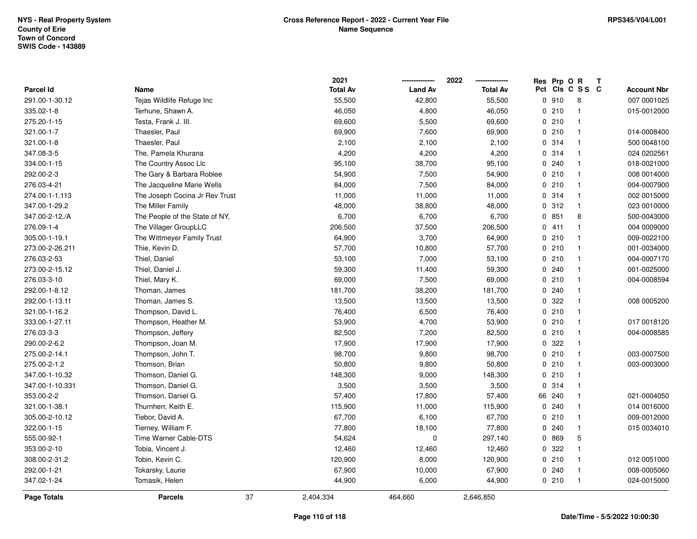|                  |                                | 2021            |                | 2022            |     | Res Prp O R |                | Т                  |
|------------------|--------------------------------|-----------------|----------------|-----------------|-----|-------------|----------------|--------------------|
| <b>Parcel Id</b> | Name                           | <b>Total Av</b> | <b>Land Av</b> | <b>Total Av</b> | Pct |             | CIS C S S C    | <b>Account Nbr</b> |
| 291.00-1-30.12   | Tejas Wildlife Refuge Inc      | 55,500          | 42,800         | 55,500          |     | 0910        | 8              | 007 0001025        |
| 335.02-1-8       | Terhune, Shawn A.              | 46,050          | 4,800          | 46,050          | 0   | 210         | $\mathbf{1}$   | 015-0012000        |
| 275.20-1-15      | Testa, Frank J. III.           | 69,600          | 5,500          | 69,600          |     | 0210        | $\mathbf{1}$   |                    |
| 321.00-1-7       | Thaesler, Paul                 | 69,900          | 7,600          | 69,900          |     | 0210        | $\mathbf{1}$   | 014-0008400        |
| 321.00-1-8       | Thaesler, Paul                 | 2,100           | 2,100          | 2,100           |     | 0.314       | -1             | 500 0048100        |
| 347.08-3-5       | The, Pamela Khurana            | 4,200           | 4,200          | 4,200           |     | 0 314       | -1             | 024 0202561        |
| 334.00-1-15      | The Country Assoc Llc          | 95,100          | 38,700         | 95,100          |     | 0.240       | $\mathbf{1}$   | 018-0021000        |
| 292.00-2-3       | The Gary & Barbara Roblee      | 54,900          | 7,500          | 54,900          |     | 0210        | $\mathbf{1}$   | 008 0014000        |
| 276.03-4-21      | The Jacqueline Marie Wells     | 84,000          | 7,500          | 84,000          |     | 0210        | $\mathbf{1}$   | 004-0007900        |
| 274.00-1-1.113   | The Joseph Cocina Jr Rev Trust | 11,000          | 11,000         | 11,000          |     | 0.314       | $\mathbf{1}$   | 002 0015000        |
| 347.00-1-29.2    | The Miller Family              | 48,000          | 38,800         | 48,000          |     | 0.312       | $\mathbf{1}$   | 023 0010000        |
| 347.00-2-12./A   | The People of the State of NY. | 6,700           | 6,700          | 6,700           |     | 0851        | 8              | 500-0043000        |
| 276.09-1-4       | The Villager GroupLLC          | 206,500         | 37,500         | 206,500         |     | 0411        | -1             | 004 0009000        |
| 305.00-1-19.1    | The Wittmeyer Family Trust     | 64,900          | 3,700          | 64,900          |     | 0210        | $\mathbf{1}$   | 009-0022100        |
| 273.00-2-26.211  | Thie, Kevin D.                 | 57,700          | 10,800         | 57,700          |     | 0210        | $\mathbf{1}$   | 001-0034000        |
| 276.03-2-53      | Thiel, Daniel                  | 53,100          | 7,000          | 53,100          |     | 0210        | $\mathbf{1}$   | 004-0007170        |
| 273.00-2-15.12   | Thiel, Daniel J.               | 59,300          | 11,400         | 59,300          |     | 0.240       | $\mathbf{1}$   | 001-0025000        |
| 276.03-3-10      | Thiel, Mary K.                 | 69,000          | 7,500          | 69,000          |     | 0210        | -1             | 004-0008594        |
| 292.00-1-8.12    | Thoman, James                  | 181,700         | 38,200         | 181,700         |     | 0.240       | -1             |                    |
| 292.00-1-13.11   | Thoman, James S.               | 13,500          | 13,500         | 13,500          |     | 0.322       | -1             | 008 0005200        |
| 321.00-1-16.2    | Thompson, David L.             | 76,400          | 6,500          | 76,400          |     | 0210        | $\mathbf{1}$   |                    |
| 333.00-1-27.11   | Thompson, Heather M.           | 53,900          | 4,700          | 53,900          |     | 0210        | -1             | 017 0018120        |
| 276.03-3-3       | Thompson, Jeffery              | 82,500          | 7,200          | 82,500          |     | 0210        | $\mathbf{1}$   | 004-0008585        |
| 290.00-2-6.2     | Thompson, Joan M.              | 17,900          | 17,900         | 17,900          |     | 0 322       | $\mathbf{1}$   |                    |
| 275.00-2-14.1    | Thompson, John T.              | 98,700          | 9,800          | 98,700          |     | 0210        | $\mathbf{1}$   | 003-0007500        |
| 275.00-2-1.2     | Thomson, Brian                 | 50,800          | 9,800          | 50,800          |     | 0210        | -1             | 003-0003000        |
| 347.00-1-10.32   | Thomson, Daniel G.             | 148,300         | 9,000          | 148,300         |     | 0210        | -1             |                    |
| 347.00-1-10.331  | Thomson, Daniel G.             | 3,500           | 3,500          | 3,500           |     | 0 314       | $\mathbf{1}$   |                    |
| 353.00-2-2       | Thomson, Daniel G.             | 57,400          | 17,800         | 57,400          |     | 66 240      | -1             | 021-0004050        |
| 321.00-1-38.1    | Thurnherr, Keith E.            | 115,900         | 11,000         | 115,900         |     | 0.240       | $\mathbf{1}$   | 014 0016000        |
| 305.00-2-10.12   | Tiebor, David A.               | 67,700          | 6,100          | 67,700          |     | 0210        | $\mathbf{1}$   | 009-0012000        |
| 322.00-1-15      | Tierney, William F.            | 77,800          | 18,100         | 77,800          |     | 0.240       | $\mathbf{1}$   | 015 0034010        |
| 555.00-92-1      | Time Warner Cable-DTS          | 54,624          | $\mathbf 0$    | 297,140         |     | 0 869       | 5              |                    |
| 353.00-2-10      | Tobia, Vincent J.              | 12,460          | 12,460         | 12,460          |     | 0 322       | $\mathbf{1}$   |                    |
| 308.00-2-31.2    | Tobin, Kevin C.                | 120,900         | 8,000          | 120,900         |     | 0210        | $\mathbf{1}$   | 012 0051000        |
| 292.00-1-21      | Tokarsky, Laurie               | 67,900          | 10,000         | 67,900          |     | 0.240       | -1             | 008-0005060        |
| 347.02-1-24      | Tomasik, Helen                 | 44,900          | 6,000          | 44,900          |     | 0210        | $\overline{1}$ | 024-0015000        |
| Page Totals      | 37<br><b>Parcels</b>           | 2,404,334       | 464,660        | 2,646,850       |     |             |                |                    |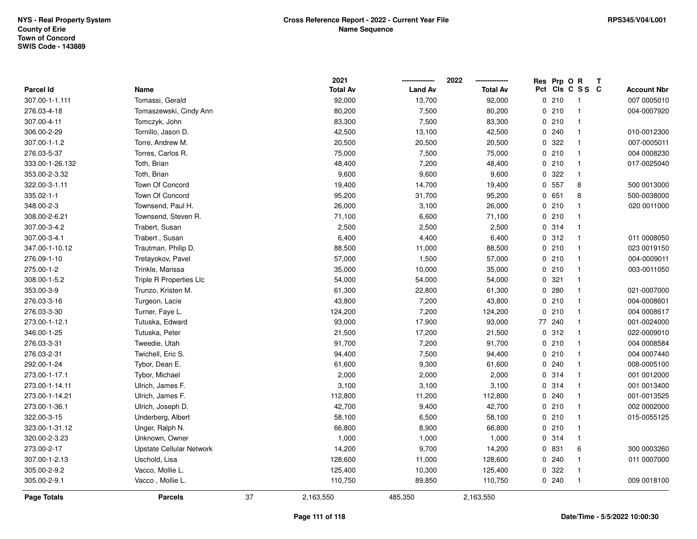|                 |                          |    | 2021            |                | 2022            |     | Res Prp O R | Т                       |                    |
|-----------------|--------------------------|----|-----------------|----------------|-----------------|-----|-------------|-------------------------|--------------------|
| Parcel Id       | Name                     |    | <b>Total Av</b> | <b>Land Av</b> | <b>Total Av</b> | Pct |             | CIS C S S C             | <b>Account Nbr</b> |
| 307.00-1-1.111  | Tomassi, Gerald          |    | 92,000          | 13,700         | 92,000          |     | 0210        | $\overline{\mathbf{1}}$ | 007 0005010        |
| 276.03-4-18     | Tomaszewski, Cindy Ann   |    | 80,200          | 7,500          | 80,200          | 0   | 210         | $\overline{1}$          | 004-0007920        |
| 307.00-4-11     | Tomczyk, John            |    | 83,300          | 7,500          | 83,300          |     | 0210        | $\mathbf{1}$            |                    |
| 306.00-2-29     | Tornillo, Jason D.       |    | 42,500          | 13,100         | 42,500          |     | 0.240       | $\mathbf{1}$            | 010-0012300        |
| 307.00-1-1.2    | Torre, Andrew M.         |    | 20,500          | 20,500         | 20,500          |     | 0.322       | $\mathbf{1}$            | 007-0005011        |
| 276.03-5-37     | Torres, Carlos R.        |    | 75,000          | 7,500          | 75,000          |     | 0210        | $\overline{1}$          | 004 0008230        |
| 333.00-1-26.132 | Toth, Brian              |    | 48,400          | 7,200          | 48,400          |     | 0210        | $\mathbf{1}$            | 017-0025040        |
| 353.00-2-3.32   | Toth, Brian              |    | 9,600           | 9,600          | 9,600           | 0   | 322         | $\mathbf{1}$            |                    |
| 322.00-3-1.11   | Town Of Concord          |    | 19,400          | 14,700         | 19,400          |     | 0 557       | 8                       | 500 0013000        |
| 335.02-1-1      | Town Of Concord          |    | 95,200          | 31,700         | 95,200          |     | 0 651       | 8                       | 500-0038000        |
| 348.00-2-3      | Townsend, Paul H.        |    | 26,000          | 3,100          | 26,000          |     | 0210        | -1                      | 020 0011000        |
| 308.00-2-6.21   | Townsend, Steven R.      |    | 71,100          | 6,600          | 71,100          |     | 0210        | $\mathbf{1}$            |                    |
| 307.00-3-4.2    | Trabert, Susan           |    | 2,500           | 2,500          | 2,500           |     | 0.314       | -1                      |                    |
| 307.00-3-4.1    | Trabert, Susan           |    | 6,400           | 4,400          | 6,400           |     | 0.312       | $\mathbf{1}$            | 011 0008050        |
| 347.00-1-10.12  | Trautman, Philip D.      |    | 88,500          | 11,000         | 88,500          |     | 0210        | $\mathbf{1}$            | 023 0019150        |
| 276.09-1-10     | Tretayokov, Pavel        |    | 57,000          | 1,500          | 57,000          |     | 0210        | $\mathbf{1}$            | 004-0009011        |
| 275.00-1-2      | Trinkle, Marissa         |    | 35,000          | 10,000         | 35,000          |     | 0210        | $\mathbf{1}$            | 003-0011050        |
| 308.00-1-5.2    | Triple R Properties Llc  |    | 54,000          | 54,000         | 54,000          |     | 0.321       | $\mathbf{1}$            |                    |
| 353.00-3-9      | Trunzo, Kristen M.       |    | 61,300          | 22,800         | 61,300          |     | 0.280       | $\mathbf{1}$            | 021-0007000        |
| 276.03-3-16     | Turgeon, Lacie           |    | 43,800          | 7,200          | 43,800          |     | 0210        | $\overline{1}$          | 004-0008601        |
| 276.03-3-30     | Turner, Faye L.          |    | 124,200         | 7,200          | 124,200         |     | 0210        | $\mathbf{1}$            | 004 0008617        |
| 273.00-1-12.1   | Tutuska, Edward          |    | 93,000          | 17,900         | 93,000          | 77  | 240         | -1                      | 001-0024000        |
| 346.00-1-25     | Tutuska, Peter           |    | 21,500          | 17,200         | 21,500          |     | 0.312       | $\mathbf{1}$            | 022-0009010        |
| 276.03-3-31     | Tweedie, Utah            |    | 91,700          | 7,200          | 91,700          |     | 0210        | $\mathbf{1}$            | 004 0008584        |
| 276.03-2-31     | Twichell, Eric S.        |    | 94,400          | 7,500          | 94,400          |     | 0210        | $\mathbf{1}$            | 004 0007440        |
| 292.00-1-24     | Tybor, Dean E.           |    | 61,600          | 9,300          | 61,600          |     | 0.240       | -1                      | 008-0005100        |
| 273.00-1-17.1   | Tybor, Michael           |    | 2,000           | 2,000          | 2,000           |     | 0.314       | -1                      | 001 0012000        |
| 273.00-1-14.11  | Ulrich, James F.         |    | 3,100           | 3,100          | 3,100           |     | 0.314       | $\overline{1}$          | 001 0013400        |
| 273.00-1-14.21  | Ulrich, James F.         |    | 112,800         | 11,200         | 112,800         |     | 0.240       | $\overline{1}$          | 001-0013525        |
| 273.00-1-36.1   | Ulrich, Joseph D.        |    | 42,700          | 9,400          | 42,700          |     | 0210        | $\mathbf{1}$            | 002 0002000        |
| 322.00-3-15     | Underberg, Albert        |    | 58,100          | 6,500          | 58,100          |     | 0210        | $\mathbf{1}$            | 015-0055125        |
| 323.00-1-31.12  | Unger, Ralph N.          |    | 66,800          | 8,900          | 66,800          |     | 0210        | $\mathbf{1}$            |                    |
| 320.00-2-3.23   | Unknown, Owner           |    | 1,000           | 1,000          | 1,000           |     | 0.314       | $\mathbf{1}$            |                    |
| 273.00-2-17     | Upstate Cellular Network |    | 14,200          | 9,700          | 14,200          |     | 0 831       | 6                       | 300 0003260        |
| 307.00-1-2.13   | Uschold, Lisa            |    | 128,600         | 11,000         | 128,600         |     | 0.240       | $\mathbf{1}$            | 011 0007000        |
| 305.00-2-9.2    | Vacco, Mollie L.         |    | 125,400         | 10,300         | 125,400         |     | 0 322       | -1                      |                    |
| 305.00-2-9.1    | Vacco, Mollie L.         |    | 110,750         | 89,850         | 110,750         |     | 0.240       | $\mathbf{1}$            | 009 0018100        |
| Page Totals     | <b>Parcels</b>           | 37 | 2,163,550       | 485,350        | 2,163,550       |     |             |                         |                    |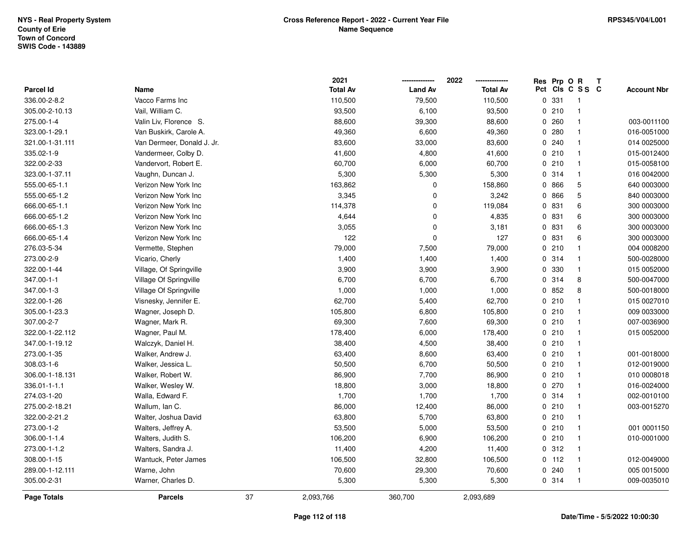|                  |                            |    | 2021            |                | 2022            | Res Prp O R |                 | T |                    |
|------------------|----------------------------|----|-----------------|----------------|-----------------|-------------|-----------------|---|--------------------|
| <b>Parcel Id</b> | Name                       |    | <b>Total Av</b> | <b>Land Av</b> | <b>Total Av</b> |             | Pct Cls C S S C |   | <b>Account Nbr</b> |
| 336.00-2-8.2     | Vacco Farms Inc            |    | 110,500         | 79,500         | 110,500         | 0 331       | $\overline{1}$  |   |                    |
| 305.00-2-10.13   | Vail, William C.           |    | 93,500          | 6,100          | 93,500          | 0210        | $\mathbf{1}$    |   |                    |
| 275.00-1-4       | Valin Liv, Florence S.     |    | 88,600          | 39,300         | 88,600          | 0.260       | $\mathbf{1}$    |   | 003-0011100        |
| 323.00-1-29.1    | Van Buskirk, Carole A.     |    | 49,360          | 6,600          | 49,360          | 0.280       | $\mathbf{1}$    |   | 016-0051000        |
| 321.00-1-31.111  | Van Dermeer, Donald J. Jr. |    | 83,600          | 33,000         | 83,600          | 0.240       | $\mathbf{1}$    |   | 014 0025000        |
| 335.02-1-9       | Vandermeer, Colby D.       |    | 41,600          | 4,800          | 41,600          | 0210        | $\mathbf{1}$    |   | 015-0012400        |
| 322.00-2-33      | Vandervort, Robert E.      |    | 60,700          | 6,000          | 60,700          | 0210        | $\mathbf{1}$    |   | 015-0058100        |
| 323.00-1-37.11   | Vaughn, Duncan J.          |    | 5,300           | 5,300          | 5,300           | 0 314       | $\mathbf{1}$    |   | 016 0042000        |
| 555.00-65-1.1    | Verizon New York Inc       |    | 163,862         | 0              | 158,860         | 0 866       | $\mathbf 5$     |   | 640 0003000        |
| 555.00-65-1.2    | Verizon New York Inc       |    | 3,345           | 0              | 3,242           | 0 866       | $\mathbf 5$     |   | 840 0003000        |
| 666.00-65-1.1    | Verizon New York Inc       |    | 114,378         | $\mathbf 0$    | 119,084         | 0 831       | 6               |   | 300 0003000        |
| 666.00-65-1.2    | Verizon New York Inc       |    | 4,644           | $\mathbf 0$    | 4,835           | 0 831       | 6               |   | 300 0003000        |
| 666.00-65-1.3    | Verizon New York Inc       |    | 3,055           | $\mathbf 0$    | 3,181           | 0 831       | 6               |   | 300 0003000        |
| 666.00-65-1.4    | Verizon New York Inc       |    | 122             | $\mathbf 0$    | 127             | 0 831       | 6               |   | 300 0003000        |
| 276.03-5-34      | Vermette, Stephen          |    | 79,000          | 7,500          | 79,000          | 0210        | $\mathbf{1}$    |   | 004 0008200        |
| 273.00-2-9       | Vicario, Cherly            |    | 1,400           | 1,400          | 1,400           | 0.314       | $\mathbf{1}$    |   | 500-0028000        |
| 322.00-1-44      | Village, Of Springville    |    | 3,900           | 3,900          | 3,900           | 0 330       | $\mathbf{1}$    |   | 015 0052000        |
| 347.00-1-1       | Village Of Springville     |    | 6,700           | 6,700          | 6,700           | 0 314       | 8               |   | 500-0047000        |
| 347.00-1-3       | Village Of Springville     |    | 1,000           | 1,000          | 1,000           | 0852        | 8               |   | 500-0018000        |
| 322.00-1-26      | Visnesky, Jennifer E.      |    | 62,700          | 5,400          | 62,700          | 0210        | $\mathbf{1}$    |   | 015 0027010        |
| 305.00-1-23.3    | Wagner, Joseph D.          |    | 105,800         | 6,800          | 105,800         | 0210        | $\mathbf{1}$    |   | 009 0033000        |
| 307.00-2-7       | Wagner, Mark R.            |    | 69,300          | 7,600          | 69,300          | 0210        | $\mathbf{1}$    |   | 007-0036900        |
| 322.00-1-22.112  | Wagner, Paul M.            |    | 178,400         | 6,000          | 178,400         | 0210        | $\mathbf{1}$    |   | 015 0052000        |
| 347.00-1-19.12   | Walczyk, Daniel H.         |    | 38,400          | 4,500          | 38,400          | 0210        | $\mathbf{1}$    |   |                    |
| 273.00-1-35      | Walker, Andrew J.          |    | 63,400          | 8,600          | 63,400          | 0210        | $\mathbf{1}$    |   | 001-0018000        |
| 308.03-1-6       | Walker, Jessica L.         |    | 50,500          | 6,700          | 50,500          | 0210        | $\mathbf{1}$    |   | 012-0019000        |
| 306.00-1-18.131  | Walker, Robert W.          |    | 86,900          | 7,700          | 86,900          | 0210        | $\mathbf{1}$    |   | 010 0008018        |
| 336.01-1-1.1     | Walker, Wesley W.          |    | 18,800          | 3,000          | 18,800          | 0270        | $\mathbf{1}$    |   | 016-0024000        |
| 274.03-1-20      | Walla, Edward F.           |    | 1,700           | 1,700          | 1,700           | 0.314       | $\mathbf{1}$    |   | 002-0010100        |
| 275.00-2-18.21   | Wallum, Ian C.             |    | 86,000          | 12,400         | 86,000          | 0210        | $\mathbf{1}$    |   | 003-0015270        |
| 322.00-2-21.2    | Walter, Joshua David       |    | 63,800          | 5,700          | 63,800          | 0210        | $\mathbf{1}$    |   |                    |
| 273.00-1-2       | Walters, Jeffrey A.        |    | 53,500          | 5,000          | 53,500          | 0210        | $\mathbf{1}$    |   | 001 0001150        |
| 306.00-1-1.4     | Walters, Judith S.         |    | 106,200         | 6,900          | 106,200         | 0210        | $\mathbf{1}$    |   | 010-0001000        |
| 273.00-1-1.2     | Walters, Sandra J.         |    | 11,400          | 4,200          | 11,400          | 0.312       | $\mathbf{1}$    |   |                    |
| 308.00-1-15      | Wantuck, Peter James       |    | 106,500         | 32,800         | 106,500         | $0$ 112     | $\mathbf{1}$    |   | 012-0049000        |
| 289.00-1-12.111  | Warne, John                |    | 70,600          | 29,300         | 70,600          | 0.240       | $\mathbf{1}$    |   | 005 0015000        |
| 305.00-2-31      | Warner, Charles D.         |    | 5,300           | 5,300          | 5,300           | 0 314       | $\mathbf{1}$    |   | 009-0035010        |
| Page Totals      | <b>Parcels</b>             | 37 | 2,093,766       | 360,700        | 2,093,689       |             |                 |   |                    |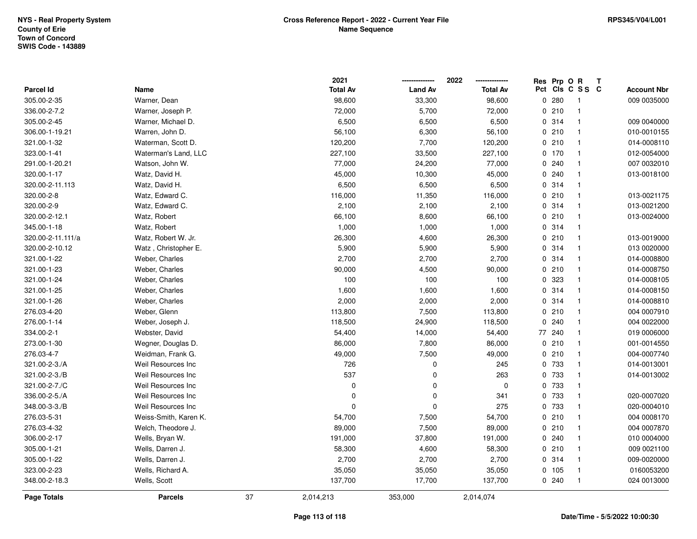|                   |                       |    | 2021            |                | 2022            |     | Res Prp O R | Т              |                    |
|-------------------|-----------------------|----|-----------------|----------------|-----------------|-----|-------------|----------------|--------------------|
| <b>Parcel Id</b>  | Name                  |    | <b>Total Av</b> | <b>Land Av</b> | <b>Total Av</b> | Pct |             | CIS C S S C    | <b>Account Nbr</b> |
| 305.00-2-35       | Warner, Dean          |    | 98,600          | 33,300         | 98,600          | 0   | 280         | -1             | 009 0035000        |
| 336.00-2-7.2      | Warner, Joseph P.     |    | 72,000          | 5,700          | 72,000          |     | 0210        | $\overline{1}$ |                    |
| 305.00-2-45       | Warner, Michael D.    |    | 6,500           | 6,500          | 6,500           |     | 0.314       | $\overline{1}$ | 009 0040000        |
| 306.00-1-19.21    | Warren, John D.       |    | 56,100          | 6,300          | 56,100          |     | 0210        | -1             | 010-0010155        |
| 321.00-1-32       | Waterman, Scott D.    |    | 120,200         | 7,700          | 120,200         |     | 0210        | $\mathbf 1$    | 014-0008110        |
| 323.00-1-41       | Waterman's Land, LLC  |    | 227,100         | 33,500         | 227,100         |     | 0, 170      | $\overline{1}$ | 012-0054000        |
| 291.00-1-20.21    | Watson, John W.       |    | 77,000          | 24,200         | 77,000          |     | 0.240       | $\mathbf{1}$   | 007 0032010        |
| 320.00-1-17       | Watz, David H.        |    | 45,000          | 10,300         | 45,000          |     | 0240        | $\mathbf{1}$   | 013-0018100        |
| 320.00-2-11.113   | Watz, David H.        |    | 6,500           | 6,500          | 6,500           |     | 0 314       | $\overline{1}$ |                    |
| 320.00-2-8        | Watz, Edward C.       |    | 116,000         | 11,350         | 116,000         |     | 0210        | $\overline{1}$ | 013-0021175        |
| 320.00-2-9        | Watz, Edward C.       |    | 2,100           | 2,100          | 2,100           |     | 0.314       | $\mathbf{1}$   | 013-0021200        |
| 320.00-2-12.1     | Watz, Robert          |    | 66,100          | 8,600          | 66,100          |     | 0210        | $\mathbf 1$    | 013-0024000        |
| 345.00-1-18       | Watz, Robert          |    | 1,000           | 1,000          | 1,000           |     | 0 314       | -1             |                    |
| 320.00-2-11.111/a | Watz, Robert W. Jr.   |    | 26,300          | 4,600          | 26,300          |     | 0210        | $\mathbf 1$    | 013-0019000        |
| 320.00-2-10.12    | Watz, Christopher E.  |    | 5,900           | 5,900          | 5,900           |     | 0.314       | $\mathbf{1}$   | 013 0020000        |
| 321.00-1-22       | Weber, Charles        |    | 2,700           | 2,700          | 2,700           |     | 0.314       | $\overline{1}$ | 014-0008800        |
| 321.00-1-23       | Weber, Charles        |    | 90,000          | 4,500          | 90,000          |     | 0210        | $\mathbf{1}$   | 014-0008750        |
| 321.00-1-24       | Weber, Charles        |    | 100             | 100            | 100             |     | 0 323       | $\mathbf{1}$   | 014-0008105        |
| 321.00-1-25       | Weber, Charles        |    | 1,600           | 1,600          | 1,600           |     | 0.314       | $\mathbf 1$    | 014-0008150        |
| 321.00-1-26       | Weber, Charles        |    | 2,000           | 2,000          | 2,000           |     | 0.314       | $\mathbf{1}$   | 014-0008810        |
| 276.03-4-20       | Weber, Glenn          |    | 113,800         | 7,500          | 113,800         |     | 0210        | $\mathbf{1}$   | 004 0007910        |
| 276.00-1-14       | Weber, Joseph J.      |    | 118,500         | 24,900         | 118,500         |     | 0240        | $\mathbf{1}$   | 004 0022000        |
| 334.00-2-1        | Webster, David        |    | 54,400          | 14,000         | 54,400          | 77  | 240         | $\mathbf{1}$   | 019 0006000        |
| 273.00-1-30       | Wegner, Douglas D.    |    | 86,000          | 7,800          | 86,000          |     | 0210        | $\overline{1}$ | 001-0014550        |
| 276.03-4-7        | Weidman, Frank G.     |    | 49,000          | 7,500          | 49,000          |     | 0210        | $\mathbf{1}$   | 004-0007740        |
| 321.00-2-3./A     | Weil Resources Inc    |    | 726             | 0              | 245             |     | 0 733       | $\mathbf{1}$   | 014-0013001        |
| 321.00-2-3./B     | Weil Resources Inc    |    | 537             | 0              | 263             |     | 0 733       |                | 014-0013002        |
| 321.00-2-7./C     | Weil Resources Inc    |    | 0               | $\mathbf 0$    | $\pmb{0}$       |     | 0 733       | $\mathbf{1}$   |                    |
| 336.00-2-5./A     | Weil Resources Inc    |    | 0               | $\Omega$       | 341             |     | 0 733       | $\overline{1}$ | 020-0007020        |
| 348.00-3-3./B     | Weil Resources Inc    |    | 0               | $\mathbf 0$    | 275             |     | 0 733       | $\mathbf{1}$   | 020-0004010        |
| 276.03-5-31       | Weiss-Smith, Karen K. |    | 54,700          | 7,500          | 54,700          |     | 0210        | $\overline{1}$ | 004 0008170        |
| 276.03-4-32       | Welch, Theodore J.    |    | 89,000          | 7,500          | 89,000          |     | 0210        | $\mathbf{1}$   | 004 0007870        |
| 306.00-2-17       | Wells, Bryan W.       |    | 191,000         | 37,800         | 191,000         |     | 0.240       | $\mathbf{1}$   | 010 0004000        |
| 305.00-1-21       | Wells, Darren J.      |    | 58,300          | 4,600          | 58,300          |     | 0210        | $\mathbf{1}$   | 009 0021100        |
| 305.00-1-22       | Wells, Darren J.      |    | 2,700           | 2,700          | 2,700           |     | 0.314       | $\mathbf{1}$   | 009-0020000        |
| 323.00-2-23       | Wells, Richard A.     |    | 35,050          | 35,050         | 35,050          |     | 0, 105      | $\mathbf{1}$   | 0160053200         |
| 348.00-2-18.3     | Wells, Scott          |    | 137,700         | 17,700         | 137,700         |     | 0.240       | $\mathbf{1}$   | 024 0013000        |
| Page Totals       | <b>Parcels</b>        | 37 | 2,014,213       | 353,000        | 2,014,074       |     |             |                |                    |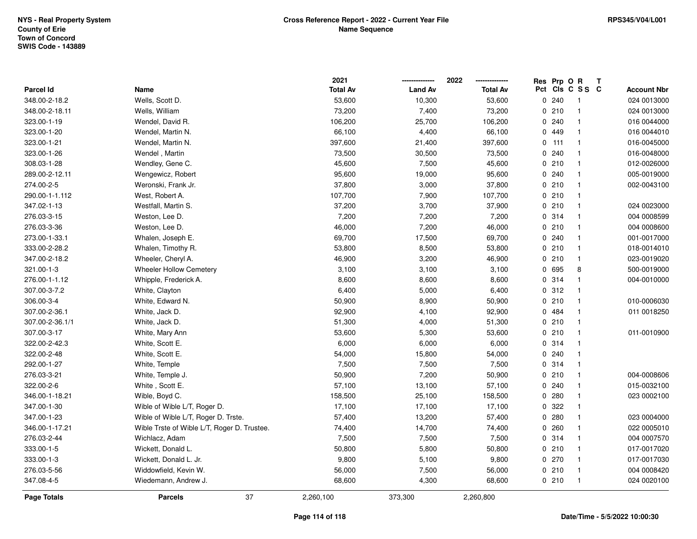|                  |                                             | 2021            |                | 2022            | Res | Prp OR  |                         | $\mathbf{T}$ |                    |
|------------------|---------------------------------------------|-----------------|----------------|-----------------|-----|---------|-------------------------|--------------|--------------------|
| <b>Parcel Id</b> | Name                                        | <b>Total Av</b> | <b>Land Av</b> | <b>Total Av</b> |     |         | Pct Cls C S S C         |              | <b>Account Nbr</b> |
| 348.00-2-18.2    | Wells, Scott D.                             | 53,600          | 10,300         | 53,600          |     | 0 240   | - 1                     |              | 024 0013000        |
| 348.00-2-18.11   | Wells, William                              | 73,200          | 7,400          | 73,200          |     | 0210    |                         |              | 024 0013000        |
| 323.00-1-19      | Wendel, David R.                            | 106,200         | 25,700         | 106,200         |     | 0240    | -1                      |              | 016 0044000        |
| 323.00-1-20      | Wendel, Martin N.                           | 66,100          | 4,400          | 66,100          |     | 0 449   | $\overline{\mathbf{1}}$ |              | 016 0044010        |
| 323.00-1-21      | Wendel, Martin N.                           | 397,600         | 21,400         | 397,600         |     | $0$ 111 | $\overline{1}$          |              | 016-0045000        |
| 323.00-1-26      | Wendel, Martin                              | 73,500          | 30,500         | 73,500          |     | 0.240   | $\overline{\mathbf{1}}$ |              | 016-0048000        |
| 308.03-1-28      | Wendley, Gene C.                            | 45,600          | 7,500          | 45,600          |     | 0210    | $\overline{1}$          |              | 012-0026000        |
| 289.00-2-12.11   | Wengewicz, Robert                           | 95,600          | 19,000         | 95,600          |     | 0.240   | -1                      |              | 005-0019000        |
| 274.00-2-5       | Weronski, Frank Jr.                         | 37,800          | 3,000          | 37,800          |     | 0210    | $\overline{\mathbf{1}}$ |              | 002-0043100        |
| 290.00-1-1.112   | West, Robert A.                             | 107,700         | 7,900          | 107,700         |     | 0210    | $\overline{1}$          |              |                    |
| 347.02-1-13      | Westfall, Martin S.                         | 37,200          | 3,700          | 37,900          |     | 0210    | $\overline{\mathbf{1}}$ |              | 024 0023000        |
| 276.03-3-15      | Weston, Lee D.                              | 7,200           | 7,200          | 7,200           |     | 0 314   | $\overline{\mathbf{1}}$ |              | 004 0008599        |
| 276.03-3-36      | Weston, Lee D.                              | 46,000          | 7,200          | 46,000          |     | 0210    | -1                      |              | 004 0008600        |
| 273.00-1-33.1    | Whalen, Joseph E.                           | 69,700          | 17,500         | 69,700          |     | 0.240   | $\mathbf{1}$            |              | 001-0017000        |
| 333.00-2-28.2    | Whalen, Timothy R.                          | 53,800          | 8,500          | 53,800          |     | 0210    | -1                      |              | 018-0014010        |
| 347.00-2-18.2    | Wheeler, Cheryl A.                          | 46,900          | 3,200          | 46,900          |     | 0210    | $\overline{\mathbf{1}}$ |              | 023-0019020        |
| 321.00-1-3       | <b>Wheeler Hollow Cemetery</b>              | 3,100           | 3,100          | 3,100           |     | 0 695   | 8                       |              | 500-0019000        |
| 276.00-1-1.12    | Whipple, Frederick A.                       | 8,600           | 8,600          | 8,600           |     | 0.314   | $\mathbf{1}$            |              | 004-0010000        |
| 307.00-3-7.2     | White, Clayton                              | 6,400           | 5,000          | 6,400           |     | 0.312   | $\overline{\mathbf{1}}$ |              |                    |
| 306.00-3-4       | White, Edward N.                            | 50,900          | 8,900          | 50,900          |     | 0210    | -1                      |              | 010-0006030        |
| 307.00-2-36.1    | White, Jack D.                              | 92,900          | 4,100          | 92,900          |     | 0484    | $\overline{\mathbf{1}}$ |              | 011 0018250        |
| 307.00-2-36.1/1  | White, Jack D.                              | 51,300          | 4,000          | 51,300          |     | 0210    | $\overline{\mathbf{1}}$ |              |                    |
| 307.00-3-17      | White, Mary Ann                             | 53,600          | 5,300          | 53,600          |     | 0210    | $\overline{1}$          |              | 011-0010900        |
| 322.00-2-42.3    | White, Scott E.                             | 6,000           | 6,000          | 6,000           |     | 0 314   | $\overline{\mathbf{1}}$ |              |                    |
| 322.00-2-48      | White, Scott E.                             | 54,000          | 15,800         | 54,000          |     | 0.240   | $\overline{\mathbf{1}}$ |              |                    |
| 292.00-1-27      | White, Temple                               | 7,500           | 7,500          | 7,500           |     | 0.314   | $\overline{\mathbf{1}}$ |              |                    |
| 276.03-3-21      | White, Temple J.                            | 50,900          | 7,200          | 50,900          |     | 0210    | -1                      |              | 004-0008606        |
| 322.00-2-6       | White, Scott E.                             | 57,100          | 13,100         | 57,100          |     | 0.240   | $\overline{\mathbf{1}}$ |              | 015-0032100        |
| 346.00-1-18.21   | Wible, Boyd C.                              | 158,500         | 25,100         | 158,500         |     | 0.280   | $\overline{1}$          |              | 023 0002100        |
| 347.00-1-30      | Wible of Wible L/T, Roger D.                | 17,100          | 17,100         | 17,100          |     | 0 322   | $\overline{\mathbf{1}}$ |              |                    |
| 347.00-1-23      | Wible of Wible L/T, Roger D. Trste.         | 57,400          | 13,200         | 57,400          |     | 0.280   | $\overline{\mathbf{1}}$ |              | 023 0004000        |
| 346.00-1-17.21   | Wible Trste of Wible L/T, Roger D. Trustee. | 74,400          | 14,700         | 74,400          |     | 0.260   | $\overline{\mathbf{1}}$ |              | 022 0005010        |
| 276.03-2-44      | Wichlacz, Adam                              | 7,500           | 7,500          | 7,500           |     | 0.314   | $\overline{\mathbf{1}}$ |              | 004 0007570        |
| 333.00-1-5       | Wickett, Donald L.                          | 50,800          | 5,800          | 50,800          |     | 0210    | $\overline{\mathbf{1}}$ |              | 017-0017020        |
| 333.00-1-3       | Wickett, Donald L. Jr.                      | 9,800           | 5,100          | 9,800           |     | 0270    | $\overline{\mathbf{1}}$ |              | 017-0017030        |
| 276.03-5-56      | Widdowfield, Kevin W.                       | 56,000          | 7,500          | 56,000          |     | 0210    | $\overline{\mathbf{1}}$ |              | 004 0008420        |
| 347.08-4-5       | Wiedemann, Andrew J.                        | 68,600          | 4,300          | 68,600          |     | 0210    | $\overline{1}$          |              | 024 0020100        |
| Page Totals      | 37<br><b>Parcels</b>                        | 2,260,100       | 373,300        | 2,260,800       |     |         |                         |              |                    |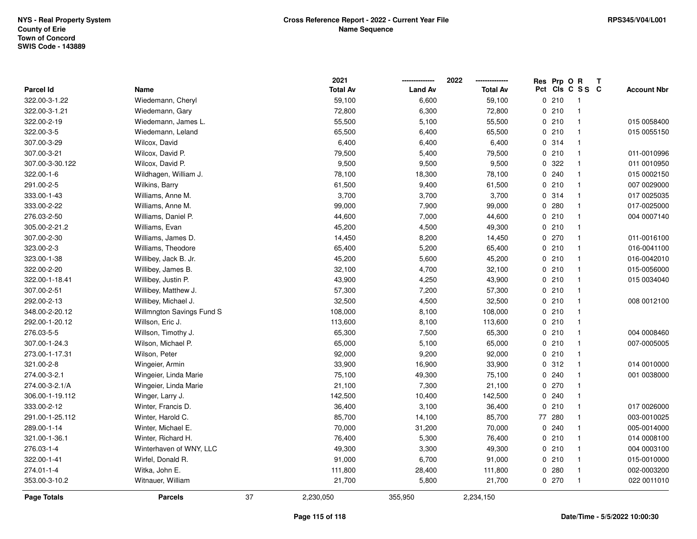|                 |                           |    | 2021            |                | 2022            |    | Res Prp O R |                 | Т |                    |
|-----------------|---------------------------|----|-----------------|----------------|-----------------|----|-------------|-----------------|---|--------------------|
| Parcel Id       | Name                      |    | <b>Total Av</b> | <b>Land Av</b> | <b>Total Av</b> |    |             | Pct Cls C S S C |   | <b>Account Nbr</b> |
| 322.00-3-1.22   | Wiedemann, Cheryl         |    | 59,100          | 6,600          | 59,100          |    | 0210        | $\mathbf{1}$    |   |                    |
| 322.00-3-1.21   | Wiedemann, Gary           |    | 72,800          | 6,300          | 72,800          |    | 0210        | $\mathbf{1}$    |   |                    |
| 322.00-2-19     | Wiedemann, James L.       |    | 55,500          | 5,100          | 55,500          |    | 0210        | $\mathbf{1}$    |   | 015 0058400        |
| 322.00-3-5      | Wiedemann, Leland         |    | 65,500          | 6,400          | 65,500          |    | 0210        | $\mathbf{1}$    |   | 015 0055150        |
| 307.00-3-29     | Wilcox, David             |    | 6,400           | 6,400          | 6,400           |    | 0.314       | $\mathbf{1}$    |   |                    |
| 307.00-3-21     | Wilcox, David P.          |    | 79,500          | 5,400          | 79,500          |    | 0210        |                 |   | 011-0010996        |
| 307.00-3-30.122 | Wilcox, David P.          |    | 9,500           | 9,500          | 9,500           |    | 0.322       | $\mathbf{1}$    |   | 011 0010950        |
| 322.00-1-6      | Wildhagen, William J.     |    | 78,100          | 18,300         | 78,100          |    | 0.240       | $\mathbf{1}$    |   | 015 0002150        |
| 291.00-2-5      | Wilkins, Barry            |    | 61,500          | 9,400          | 61,500          |    | 0210        | $\mathbf{1}$    |   | 007 0029000        |
| 333.00-1-43     | Williams, Anne M.         |    | 3,700           | 3,700          | 3,700           |    | 0.314       | $\mathbf{1}$    |   | 017 0025035        |
| 333.00-2-22     | Williams, Anne M.         |    | 99,000          | 7,900          | 99,000          |    | 0.280       | $\mathbf{1}$    |   | 017-0025000        |
| 276.03-2-50     | Williams, Daniel P.       |    | 44,600          | 7,000          | 44,600          |    | 0210        | $\mathbf{1}$    |   | 004 0007140        |
| 305.00-2-21.2   | Williams, Evan            |    | 45,200          | 4,500          | 49,300          |    | 0210        |                 |   |                    |
| 307.00-2-30     | Williams, James D.        |    | 14,450          | 8,200          | 14,450          |    | 0270        | $\mathbf{1}$    |   | 011-0016100        |
| 323.00-2-3      | Williams, Theodore        |    | 65,400          | 5,200          | 65,400          |    | 0210        | $\mathbf{1}$    |   | 016-0041100        |
| 323.00-1-38     | Willibey, Jack B. Jr.     |    | 45,200          | 5,600          | 45,200          |    | 0210        | $\mathbf{1}$    |   | 016-0042010        |
| 322.00-2-20     | Willibey, James B.        |    | 32,100          | 4,700          | 32,100          |    | 0210        | $\mathbf{1}$    |   | 015-0056000        |
| 322.00-1-18.41  | Willibey, Justin P.       |    | 43,900          | 4,250          | 43,900          |    | 0210        | $\mathbf{1}$    |   | 015 0034040        |
| 307.00-2-51     | Willibey, Matthew J.      |    | 57,300          | 7,200          | 57,300          |    | 0210        | $\mathbf{1}$    |   |                    |
| 292.00-2-13     | Willibey, Michael J.      |    | 32,500          | 4,500          | 32,500          |    | 0210        | -1              |   | 008 0012100        |
| 348.00-2-20.12  | Willmngton Savings Fund S |    | 108,000         | 8,100          | 108,000         |    | 0210        | $\mathbf{1}$    |   |                    |
| 292.00-1-20.12  | Willson, Eric J.          |    | 113,600         | 8,100          | 113,600         |    | 0210        | $\mathbf{1}$    |   |                    |
| 276.03-5-5      | Willson, Timothy J.       |    | 65,300          | 7,500          | 65,300          |    | 0210        | $\mathbf{1}$    |   | 004 0008460        |
| 307.00-1-24.3   | Wilson, Michael P.        |    | 65,000          | 5,100          | 65,000          |    | 0210        | $\mathbf{1}$    |   | 007-0005005        |
| 273.00-1-17.31  | Wilson, Peter             |    | 92,000          | 9,200          | 92,000          |    | 0210        | $\mathbf{1}$    |   |                    |
| 321.00-2-8      | Wingeier, Armin           |    | 33,900          | 16,900         | 33,900          |    | 0.312       | $\mathbf{1}$    |   | 014 0010000        |
| 274.00-3-2.1    | Wingeier, Linda Marie     |    | 75,100          | 49,300         | 75,100          |    | 0.240       |                 |   | 001 0038000        |
| 274.00-3-2.1/A  | Wingeier, Linda Marie     |    | 21,100          | 7,300          | 21,100          |    | 0270        | $\mathbf{1}$    |   |                    |
| 306.00-1-19.112 | Winger, Larry J.          |    | 142,500         | 10,400         | 142,500         |    | 0.240       | $\mathbf{1}$    |   |                    |
| 333.00-2-12     | Winter, Francis D.        |    | 36,400          | 3,100          | 36,400          | 0  | 210         | $\mathbf{1}$    |   | 017 0026000        |
| 291.00-1-25.112 | Winter, Harold C.         |    | 85,700          | 14,100         | 85,700          | 77 | 280         | $\mathbf{1}$    |   | 003-0010025        |
| 289.00-1-14     | Winter, Michael E.        |    | 70,000          | 31,200         | 70,000          |    | 0.240       | $\mathbf{1}$    |   | 005-0014000        |
| 321.00-1-36.1   | Winter, Richard H.        |    | 76,400          | 5,300          | 76,400          |    | 0210        | $\mathbf{1}$    |   | 014 0008100        |
| 276.03-1-4      | Winterhaven of WNY, LLC   |    | 49,300          | 3,300          | 49,300          |    | 0210        | $\mathbf{1}$    |   | 004 0003100        |
| 322.00-1-41     | Wirfel, Donald R.         |    | 91,000          | 6,700          | 91,000          |    | 0210        | $\mathbf{1}$    |   | 015-0010000        |
| 274.01-1-4      | Witka, John E.            |    | 111,800         | 28,400         | 111,800         |    | 0.280       | $\mathbf{1}$    |   | 002-0003200        |
| 353.00-3-10.2   | Witnauer, William         |    | 21,700          | 5,800          | 21,700          |    | 0270        | $\mathbf{1}$    |   | 022 0011010        |
| Page Totals     | <b>Parcels</b>            | 37 | 2,230,050       | 355,950        | 2,234,150       |    |             |                 |   |                    |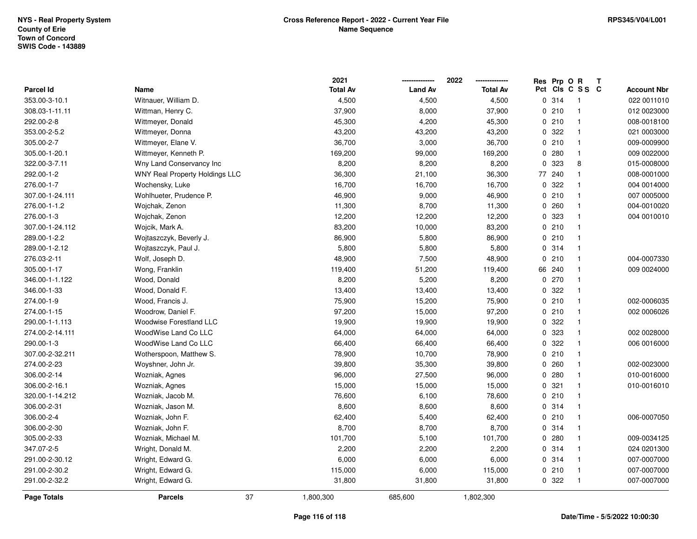**2021 -------------- 2022**

**--------------**

|                    |                                       | 2021            |                | 2022            | Res Prp O R |                 | T |                    |
|--------------------|---------------------------------------|-----------------|----------------|-----------------|-------------|-----------------|---|--------------------|
| Parcel Id          | Name                                  | <b>Total Av</b> | <b>Land Av</b> | <b>Total Av</b> |             | Pct Cls C S S C |   | <b>Account Nbr</b> |
| 353.00-3-10.1      | Witnauer, William D.                  | 4,500           | 4,500          | 4,500           | 0.314       | $\overline{1}$  |   | 022 0011010        |
| 308.03-1-11.11     | Wittman, Henry C.                     | 37,900          | 8,000          | 37,900          | 0210        | $\mathbf{1}$    |   | 012 0023000        |
| 292.00-2-8         | Wittmeyer, Donald                     | 45,300          | 4,200          | 45,300          | 0210        | $\overline{1}$  |   | 008-0018100        |
| 353.00-2-5.2       | Wittmeyer, Donna                      | 43,200          | 43,200         | 43,200          | 0.322       | $\mathbf{1}$    |   | 021 0003000        |
| 305.00-2-7         | Wittmeyer, Elane V.                   | 36,700          | 3,000          | 36,700          | 0210        | $\mathbf{1}$    |   | 009-0009900        |
| 305.00-1-20.1      | Wittmeyer, Kenneth P.                 | 169,200         | 99,000         | 169,200         | 0.280       | $\mathbf{1}$    |   | 009 0022000        |
| 322.00-3-7.11      | Wny Land Conservancy Inc              | 8,200           | 8,200          | 8,200           | 0 323       | 8               |   | 015-0008000        |
| 292.00-1-2         | <b>WNY Real Property Holdings LLC</b> | 36,300          | 21,100         | 36,300          | 77 240      | $\mathbf{1}$    |   | 008-0001000        |
| 276.00-1-7         | Wochensky, Luke                       | 16,700          | 16,700         | 16,700          | 0.322       | $\mathbf{1}$    |   | 004 0014000        |
| 307.00-1-24.111    | Wohlhueter, Prudence P.               | 46,900          | 9,000          | 46,900          | 0210        | $\mathbf{1}$    |   | 007 0005000        |
| 276.00-1-1.2       | Wojchak, Zenon                        | 11,300          | 8,700          | 11,300          | 0.260       | $\overline{1}$  |   | 004-0010020        |
| 276.00-1-3         | Wojchak, Zenon                        | 12,200          | 12,200         | 12,200          | 0 323       | $\mathbf{1}$    |   | 004 0010010        |
| 307.00-1-24.112    | Wojcik, Mark A.                       | 83,200          | 10,000         | 83,200          | 0210        | $\overline{1}$  |   |                    |
| 289.00-1-2.2       | Wojtaszczyk, Beverly J.               | 86,900          | 5,800          | 86,900          | 0210        | $\overline{1}$  |   |                    |
| 289.00-1-2.12      | Wojtaszczyk, Paul J.                  | 5,800           | 5,800          | 5,800           | 0.314       | $\mathbf{1}$    |   |                    |
| 276.03-2-11        | Wolf, Joseph D.                       | 48,900          | 7,500          | 48,900          | 0210        | $\mathbf{1}$    |   | 004-0007330        |
| 305.00-1-17        | Wong, Franklin                        | 119,400         | 51,200         | 119,400         | 66 240      | $\mathbf{1}$    |   | 009 0024000        |
| 346.00-1-1.122     | Wood, Donald                          | 8,200           | 5,200          | 8,200           | 0270        | $\overline{1}$  |   |                    |
| 346.00-1-33        | Wood, Donald F.                       | 13,400          | 13,400         | 13,400          | 0.322       | $\overline{1}$  |   |                    |
| 274.00-1-9         | Wood, Francis J.                      | 75,900          | 15,200         | 75,900          | 0210        | $\overline{1}$  |   | 002-0006035        |
| 274.00-1-15        | Woodrow, Daniel F.                    | 97,200          | 15,000         | 97,200          | 0210        | $\mathbf{1}$    |   | 002 0006026        |
| 290.00-1-1.113     | <b>Woodwise Forestland LLC</b>        | 19,900          | 19,900         | 19,900          | 0.322       | $\overline{1}$  |   |                    |
| 274.00-2-14.111    | WoodWise Land Co LLC                  | 64,000          | 64,000         | 64,000          | 0 323       | $\mathbf{1}$    |   | 002 0028000        |
| 290.00-1-3         | WoodWise Land Co LLC                  | 66,400          | 66,400         | 66,400          | 0 322       | $\mathbf{1}$    |   | 006 0016000        |
| 307.00-2-32.211    | Wotherspoon, Matthew S.               | 78,900          | 10,700         | 78,900          | 0210        | $\mathbf{1}$    |   |                    |
| 274.00-2-23        | Woyshner, John Jr.                    | 39,800          | 35,300         | 39,800          | 0.260       | $\overline{1}$  |   | 002-0023000        |
| 306.00-2-14        | Wozniak, Agnes                        | 96,000          | 27,500         | 96,000          | 0.280       | $\mathbf{1}$    |   | 010-0016000        |
| 306.00-2-16.1      | Wozniak, Agnes                        | 15,000          | 15,000         | 15,000          | 0.321       | $\mathbf{1}$    |   | 010-0016010        |
| 320.00-1-14.212    | Wozniak, Jacob M.                     | 76,600          | 6,100          | 78,600          | 0210        | $\mathbf{1}$    |   |                    |
| 306.00-2-31        | Wozniak, Jason M.                     | 8,600           | 8,600          | 8,600           | 0 314       | $\mathbf{1}$    |   |                    |
| 306.00-2-4         | Wozniak, John F.                      | 62,400          | 5,400          | 62,400          | 0210        | $\mathbf{1}$    |   | 006-0007050        |
| 306.00-2-30        | Wozniak, John F.                      | 8,700           | 8,700          | 8,700           | 0 314       | $\mathbf{1}$    |   |                    |
| 305.00-2-33        | Wozniak, Michael M.                   | 101,700         | 5,100          | 101,700         | 0.280       | $\mathbf{1}$    |   | 009-0034125        |
| 347.07-2-5         | Wright, Donald M.                     | 2,200           | 2,200          | 2,200           | 0.314       | $\mathbf{1}$    |   | 024 0201300        |
| 291.00-2-30.12     | Wright, Edward G.                     | 6,000           | 6,000          | 6,000           | 0.314       | $\mathbf{1}$    |   | 007-0007000        |
| 291.00-2-30.2      | Wright, Edward G.                     | 115,000         | 6,000          | 115,000         | 0210        | $\overline{1}$  |   | 007-0007000        |
| 291.00-2-32.2      | Wright, Edward G.                     | 31,800          | 31,800         | 31,800          | 0 322       | $\overline{1}$  |   | 007-0007000        |
| <b>Page Totals</b> | 37<br><b>Parcels</b>                  | 1,800,300       | 685,600        | 1,802,300       |             |                 |   |                    |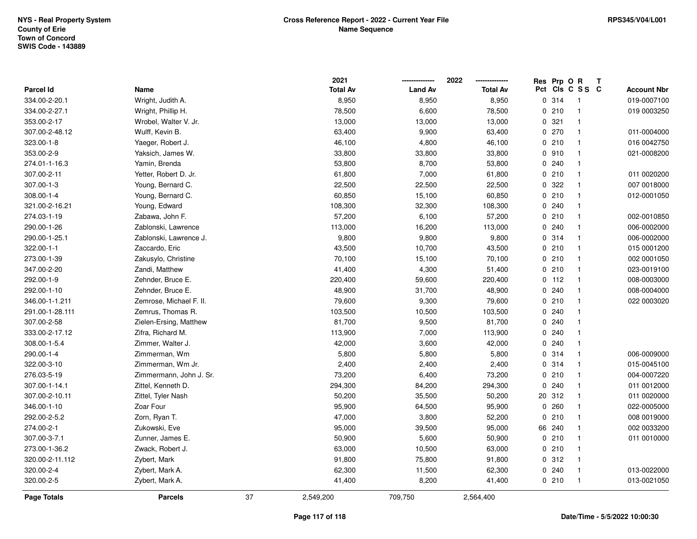|                 |                         |    | 2021            |                | 2022            | Res | Prp O R |                         | Т |                    |
|-----------------|-------------------------|----|-----------------|----------------|-----------------|-----|---------|-------------------------|---|--------------------|
| Parcel Id       | Name                    |    | <b>Total Av</b> | <b>Land Av</b> | <b>Total Av</b> |     |         | Pct Cls C S S C         |   | <b>Account Nbr</b> |
| 334.00-2-20.1   | Wright, Judith A.       |    | 8,950           | 8,950          | 8,950           |     | 0.314   | $\mathbf{1}$            |   | 019-0007100        |
| 334.00-2-27.1   | Wright, Phillip H.      |    | 78,500          | 6,600          | 78,500          |     | 0210    | $\mathbf{1}$            |   | 019 0003250        |
| 353.00-2-17     | Wrobel, Walter V. Jr.   |    | 13,000          | 13,000         | 13,000          |     | 0.321   | $\mathbf{1}$            |   |                    |
| 307.00-2-48.12  | Wulff, Kevin B.         |    | 63,400          | 9,900          | 63,400          |     | 0270    | $\mathbf{1}$            |   | 011-0004000        |
| 323.00-1-8      | Yaeger, Robert J.       |    | 46,100          | 4,800          | 46,100          |     | 0210    | $\mathbf{1}$            |   | 016 0042750        |
| 353.00-2-9      | Yaksich, James W.       |    | 33,800          | 33,800         | 33,800          |     | 0.910   |                         |   | 021-0008200        |
| 274.01-1-16.3   | Yamin, Brenda           |    | 53,800          | 8,700          | 53,800          |     | 0.240   | $\mathbf{1}$            |   |                    |
| 307.00-2-11     | Yetter, Robert D. Jr.   |    | 61,800          | 7,000          | 61,800          |     | 0210    | $\mathbf{1}$            |   | 011 0020200        |
| 307.00-1-3      | Young, Bernard C.       |    | 22,500          | 22,500         | 22,500          |     | 0.322   | $\mathbf{1}$            |   | 007 0018000        |
| 308.00-1-4      | Young, Bernard C.       |    | 60,850          | 15,100         | 60,850          |     | 0210    | $\mathbf{1}$            |   | 012-0001050        |
| 321.00-2-16.21  | Young, Edward           |    | 108,300         | 32,300         | 108,300         |     | 0.240   | -1                      |   |                    |
| 274.03-1-19     | Zabawa, John F.         |    | 57,200          | 6,100          | 57,200          |     | 0210    | $\mathbf{1}$            |   | 002-0010850        |
| 290.00-1-26     | Zablonski, Lawrence     |    | 113,000         | 16,200         | 113,000         |     | 0.240   |                         |   | 006-0002000        |
| 290.00-1-25.1   | Zablonski, Lawrence J.  |    | 9,800           | 9,800          | 9,800           |     | 0.314   | $\mathbf{1}$            |   | 006-0002000        |
| 322.00-1-1      | Zaccardo, Eric          |    | 43,500          | 10,700         | 43,500          |     | 0210    | $\mathbf{1}$            |   | 015 0001200        |
| 273.00-1-39     | Zakusylo, Christine     |    | 70,100          | 15,100         | 70,100          |     | 0210    | $\mathbf{1}$            |   | 002 0001050        |
| 347.00-2-20     | Zandi, Matthew          |    | 41,400          | 4,300          | 51,400          |     | 0210    | $\mathbf{1}$            |   | 023-0019100        |
| 292.00-1-9      | Zehnder, Bruce E.       |    | 220,400         | 59,600         | 220,400         |     | $0$ 112 | $\mathbf{1}$            |   | 008-0003000        |
| 292.00-1-10     | Zehnder, Bruce E.       |    | 48,900          | 31,700         | 48,900          |     | 0.240   | $\mathbf{1}$            |   | 008-0004000        |
| 346.00-1-1.211  | Zemrose, Michael F. II. |    | 79,600          | 9,300          | 79,600          |     | 0210    | -1                      |   | 022 0003020        |
| 291.00-1-28.111 | Zemrus, Thomas R.       |    | 103,500         | 10,500         | 103,500         |     | 0.240   | $\overline{\mathbf{1}}$ |   |                    |
| 307.00-2-58     | Zielen-Ersing, Matthew  |    | 81,700          | 9,500          | 81,700          |     | 0.240   | -1                      |   |                    |
| 333.00-2-17.12  | Zifra, Richard M.       |    | 113,900         | 7,000          | 113,900         |     | 0.240   | $\mathbf{1}$            |   |                    |
| 308.00-1-5.4    | Zimmer, Walter J.       |    | 42,000          | 3,600          | 42,000          |     | 0.240   | $\mathbf{1}$            |   |                    |
| 290.00-1-4      | Zimmerman, Wm           |    | 5,800           | 5,800          | 5,800           |     | 0.314   | $\mathbf{1}$            |   | 006-0009000        |
| 322.00-3-10     | Zimmerman, Wm Jr.       |    | 2,400           | 2,400          | 2,400           |     | 0.314   | $\mathbf{1}$            |   | 015-0045100        |
| 276.03-5-19     | Zimmermann, John J. Sr. |    | 73,200          | 6,400          | 73,200          |     | 0210    | -1                      |   | 004-0007220        |
| 307.00-1-14.1   | Zittel, Kenneth D.      |    | 294,300         | 84,200         | 294,300         | 0   | 240     | $\mathbf{1}$            |   | 011 0012000        |
| 307.00-2-10.11  | Zittel, Tyler Nash      |    | 50,200          | 35,500         | 50,200          | 20  | 312     | $\mathbf{1}$            |   | 011 0020000        |
| 346.00-1-10     | Zoar Four               |    | 95,900          | 64,500         | 95,900          | 0   | 260     | $\mathbf{1}$            |   | 022-0005000        |
| 292.00-2-5.2    | Zorn, Ryan T.           |    | 47,000          | 3,800          | 52,200          | 0   | 210     | $\mathbf{1}$            |   | 008 0019000        |
| 274.00-2-1      | Zukowski, Eve           |    | 95,000          | 39,500         | 95,000          |     | 66 240  | $\mathbf{1}$            |   | 002 0033200        |
| 307.00-3-7.1    | Zunner, James E.        |    | 50,900          | 5,600          | 50,900          |     | 0210    | $\mathbf{1}$            |   | 011 0010000        |
| 273.00-1-36.2   | Zwack, Robert J.        |    | 63,000          | 10,500         | 63,000          |     | 0210    | $\mathbf{1}$            |   |                    |
| 320.00-2-11.112 | Zybert, Mark            |    | 91,800          | 75,800         | 91,800          |     | 0.312   | $\mathbf{1}$            |   |                    |
| 320.00-2-4      | Zybert, Mark A.         |    | 62,300          | 11,500         | 62,300          |     | 0.240   | $\mathbf{1}$            |   | 013-0022000        |
| 320.00-2-5      | Zybert, Mark A.         |    | 41,400          | 8,200          | 41,400          |     | 0210    | $\mathbf{1}$            |   | 013-0021050        |
| Page Totals     | <b>Parcels</b>          | 37 | 2,549,200       | 709,750        | 2,564,400       |     |         |                         |   |                    |